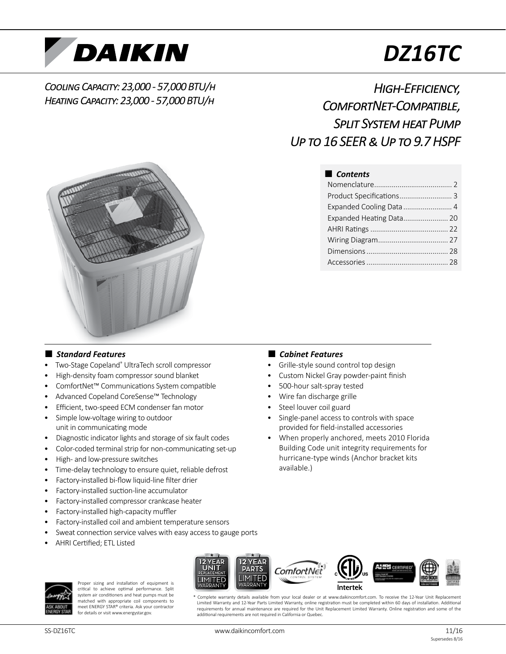

# *DZ16TC*

# *Cooling Capacity: 23,000 - 57,000 BTU/h Heating Capacity: 23,000 - 57,000 BTU/h*

# *High-Efficiency, ComfortNet-Compatible, Split System heat Pump Up to 16 SEER & Up to 9.7 HSPF*



# ■ *Contents*

| Product Specifications 3 |  |
|--------------------------|--|
| Expanded Cooling Data  4 |  |
| Expanded Heating Data 20 |  |
|                          |  |
|                          |  |
|                          |  |
|                          |  |

# ■ *Standard Features*

- Two-Stage Copeland® UltraTech scroll compressor
- High-density foam compressor sound blanket
- ComfortNet™ Communications System compatible
- Advanced Copeland CoreSense™ Technology
- Efficient, two-speed ECM condenser fan motor
- Simple low-voltage wiring to outdoor unit in communicating mode
- Diagnostic indicator lights and storage of six fault codes
- Color-coded terminal strip for non-communicating set-up
- High- and low-pressure switches
- Time-delay technology to ensure quiet, reliable defrost
- Factory-installed bi-flow liquid-line filter drier
- Factory-installed suction-line accumulator
- Factory-installed compressor crankcase heater
- Factory-installed high-capacity muffler
- Factory-installed coil and ambient temperature sensors
- Sweat connection service valves with easy access to gauge ports
- AHRI Certified; ETL Listed



Proper sizing and installation of equipment is critical to achieve optimal performance. Split system air conditioners and heat pumps must be matched with appropriate coil components to meet ENERGY STAR® criteria. Ask your contractor for details or visit www.energystar.gov.



- Grille-style sound control top design
- Custom Nickel Gray powder-paint finish
- 500-hour salt-spray tested
- Wire fan discharge grille
- Steel louver coil guard
- Single-panel access to controls with space provided for field-installed accessories
- When properly anchored, meets 2010 Florida Building Code unit integrity requirements for hurricane-type winds (Anchor bracket kits available.)



Complete warranty details available from your local dealer or at www.daikincomfort.com. To receive the 12-Year Unit Replacement Limited Warranty and 12-Year Parts Limited Warranty, online registration must be completed within 60 days of installation. Additional requirements for annual maintenance are required for the Unit Replacement Limited Warranty. Online registration and some of the additional requirements are not required in California or Quebec.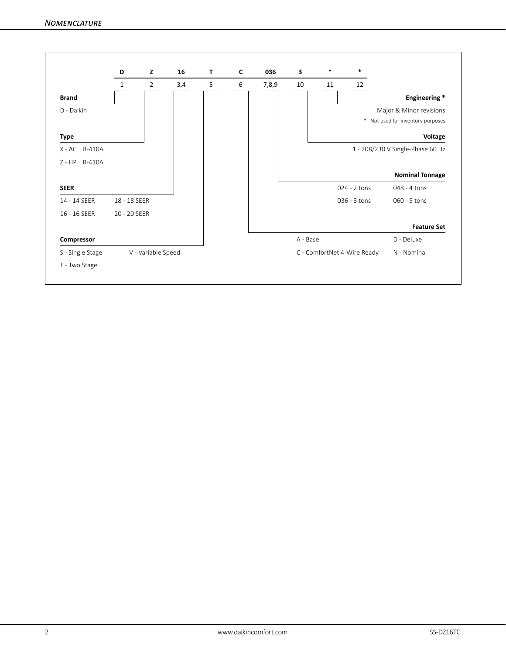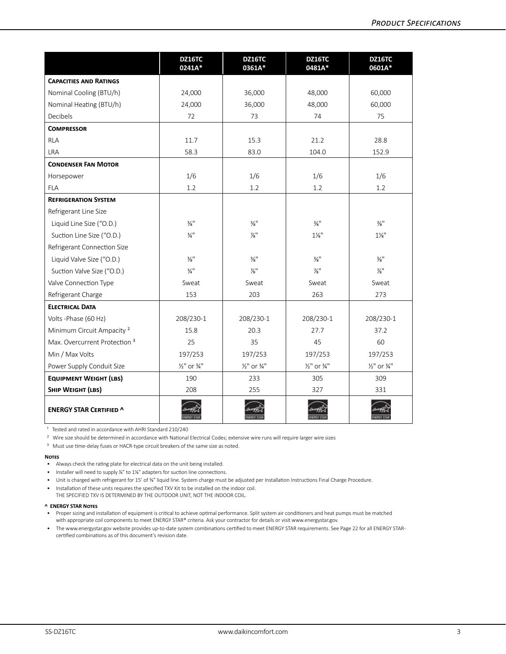|                                          | DZ16TC<br>0241A*                   | DZ16TC<br>0361A*                   | DZ16TC<br>0481A*                   | DZ16TC<br>0601A*                   |
|------------------------------------------|------------------------------------|------------------------------------|------------------------------------|------------------------------------|
| <b>CAPACITIES AND RATINGS</b>            |                                    |                                    |                                    |                                    |
| Nominal Cooling (BTU/h)                  | 24,000                             | 36,000                             | 48,000                             | 60,000                             |
| Nominal Heating (BTU/h)                  | 24,000                             | 36,000                             | 48,000                             | 60,000                             |
| Decibels                                 | 72                                 | 73                                 | 74                                 | 75                                 |
| <b>COMPRESSOR</b>                        |                                    |                                    |                                    |                                    |
| RLA                                      | 11.7                               | 15.3                               | 21.2                               | 28.8                               |
| <b>LRA</b>                               | 58.3                               | 83.0                               | 104.0                              | 152.9                              |
| <b>CONDENSER FAN MOTOR</b>               |                                    |                                    |                                    |                                    |
| Horsepower                               | 1/6                                | 1/6                                | 1/6                                | 1/6                                |
| <b>FLA</b>                               | 1.2                                | 1.2                                | 1.2                                | 1.2                                |
| <b>REFRIGERATION SYSTEM</b>              |                                    |                                    |                                    |                                    |
| Refrigerant Line Size                    |                                    |                                    |                                    |                                    |
| Liquid Line Size ("O.D.)                 | $\frac{3}{8}$ <sup>11</sup>        | $\frac{3}{8}$ <sup>11</sup>        | $\frac{3}{8}$ <sup>11</sup>        | $\frac{3}{8}$ <sup>11</sup>        |
| Suction Line Size ("O.D.)                | $\frac{3}{4}$ <sup>11</sup>        | $\frac{7}{8}$ "                    | $1\frac{1}{8}$ "                   | $1\frac{1}{8}$ "                   |
| Refrigerant Connection Size              |                                    |                                    |                                    |                                    |
| Liquid Valve Size ("O.D.)                | $\frac{3}{8}$ <sup>11</sup>        | $\frac{3}{8}$ <sup>11</sup>        | $\frac{3}{8}$ <sup>11</sup>        | $\frac{3}{8}$ <sup>11</sup>        |
| Suction Valve Size ("O.D.)               | $\frac{3}{4}$ <sup>11</sup>        | $\frac{7}{8}$                      | $\frac{7}{8}$ "                    | $\frac{7}{8}$                      |
| Valve Connection Type                    | Sweat                              | Sweat                              | Sweat                              | Sweat                              |
| Refrigerant Charge                       | 153                                | 203                                | 263                                | 273                                |
| <b>ELECTRICAL DATA</b>                   |                                    |                                    |                                    |                                    |
| Volts - Phase (60 Hz)                    | 208/230-1                          | 208/230-1                          | 208/230-1                          | 208/230-1                          |
| Minimum Circuit Ampacity <sup>2</sup>    | 15.8                               | 20.3                               | 27.7                               | 37.2                               |
| Max. Overcurrent Protection <sup>3</sup> | 25                                 | 35                                 | 45                                 | 60                                 |
| Min / Max Volts                          | 197/253                            | 197/253                            | 197/253                            | 197/253                            |
| Power Supply Conduit Size                | $\frac{1}{2}$ " or $\frac{3}{4}$ " | $\frac{1}{2}$ " or $\frac{3}{4}$ " | $\frac{1}{2}$ " or $\frac{3}{4}$ " | $\frac{1}{2}$ " or $\frac{3}{4}$ " |
| <b>EQUIPMENT WEIGHT (LBS)</b>            | 190                                | 233                                | 305                                | 309                                |
| SHIP WEIGHT (LBS)                        | 208                                | 255                                | 327                                | 331                                |
| <b>ENERGY STAR CERTIFIED ^</b>           |                                    |                                    |                                    |                                    |

<sup>1</sup> Tested and rated in accordance with AHRI Standard 210/240

² Wire size should be determined in accordance with National Electrical Codes; extensive wire runs will require larger wire sizes

<sup>3</sup> Must use time-delay fuses or HACR-type circuit breakers of the same size as noted.

#### **Notes**

- Always check the rating plate for electrical data on the unit being installed.
- Installer will need to supply %" to 1%" adapters for suction line connections.
- Unit is charged with refrigerant for 15' of %" liquid line. System charge must be adjusted per Installation Instructions Final Charge Procedure.
- Installation of these units requires the specified TXV Kit to be installed on the indoor coil. THE SPECIFIED TXV IS DETERMINED BY THE OUTDOOR UNIT, NOT THE INDOOR COIL.

#### **^ ENERGY STAR Notes**

- Proper sizing and installation of equipment is critical to achieve optimal performance. Split system air conditioners and heat pumps must be matched with appropriate coil components to meet ENERGY STAR® criteria. Ask your contractor for details or visit www.energystar.gov.
- The www.energystar.gov website provides up-to-date system combinations certified to meet ENERGY STAR requirements. See Page 22 for all ENERGY STARcertified combinations as of this document's revision date.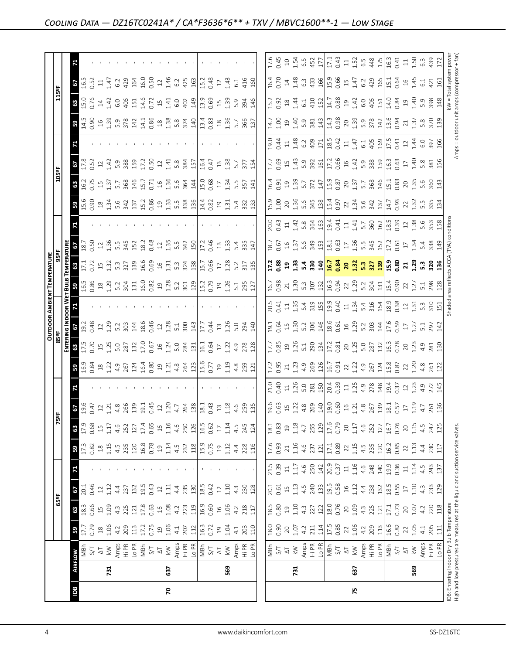|                                                                                                                            |                |                                                                                                    |                                              |                                |                                                          |              |                     |                                            |                             |                         |                                                                                                                                                                                                                                                                  |                                                                                                                                                                                                                                                                                                                                                   |                                                                                                                                                                                                                                 |        | <b>OUTDOOR AMBIENT TEMPERATURE</b>              |                                                                                                                     |                                                                                                                                                                                                                                                                                                           |                                                                                                                                                                                                                                                                                               |                                                                                                                                 |                                  |                                                                                                                                                                                                                                                                                                                  |                                                                                    |                                                                         |                                                   |
|----------------------------------------------------------------------------------------------------------------------------|----------------|----------------------------------------------------------------------------------------------------|----------------------------------------------|--------------------------------|----------------------------------------------------------|--------------|---------------------|--------------------------------------------|-----------------------------|-------------------------|------------------------------------------------------------------------------------------------------------------------------------------------------------------------------------------------------------------------------------------------------------------|---------------------------------------------------------------------------------------------------------------------------------------------------------------------------------------------------------------------------------------------------------------------------------------------------------------------------------------------------|---------------------------------------------------------------------------------------------------------------------------------------------------------------------------------------------------------------------------------|--------|-------------------------------------------------|---------------------------------------------------------------------------------------------------------------------|-----------------------------------------------------------------------------------------------------------------------------------------------------------------------------------------------------------------------------------------------------------------------------------------------------------|-----------------------------------------------------------------------------------------------------------------------------------------------------------------------------------------------------------------------------------------------------------------------------------------------|---------------------------------------------------------------------------------------------------------------------------------|----------------------------------|------------------------------------------------------------------------------------------------------------------------------------------------------------------------------------------------------------------------------------------------------------------------------------------------------------------|------------------------------------------------------------------------------------|-------------------------------------------------------------------------|---------------------------------------------------|
|                                                                                                                            |                |                                                                                                    |                                              | 65°F                           |                                                          |              |                     |                                            | 5F                          |                         |                                                                                                                                                                                                                                                                  | 85 <sup>eF</sup>                                                                                                                                                                                                                                                                                                                                  |                                                                                                                                                                                                                                 |        |                                                 |                                                                                                                     |                                                                                                                                                                                                                                                                                                           |                                                                                                                                                                                                                                                                                               | 105°F                                                                                                                           |                                  |                                                                                                                                                                                                                                                                                                                  | 115ºF                                                                              |                                                                         |                                                   |
|                                                                                                                            |                |                                                                                                    |                                              |                                |                                                          |              |                     |                                            |                             |                         |                                                                                                                                                                                                                                                                  | ENTE<br>6                                                                                                                                                                                                                                                                                                                                         | <b>JG INDOOR W</b>                                                                                                                                                                                                              |        |                                                 |                                                                                                                     |                                                                                                                                                                                                                                                                                                           |                                                                                                                                                                                                                                                                                               |                                                                                                                                 |                                  |                                                                                                                                                                                                                                                                                                                  |                                                                                    |                                                                         |                                                   |
| <b>BO</b>                                                                                                                  | <b>AIRFLOW</b> |                                                                                                    | 59                                           | 63                             | 67                                                       | 71           | 59                  | 63                                         | $59.47$<br>0.47<br>1.21     |                         |                                                                                                                                                                                                                                                                  | 63                                                                                                                                                                                                                                                                                                                                                | $\frac{1}{2}$                                                                                                                                                                                                                   |        |                                                 | $\frac{3}{171}$                                                                                                     | $rac{18.7}{18.7}$                                                                                                                                                                                                                                                                                         | 3.58                                                                                                                                                                                                                                                                                          | <b>8</b><br>16.2<br>0.75                                                                                                        | $rac{2}{178}$                    |                                                                                                                                                                                                                                                                                                                  | <b>85.0</b><br>0.76                                                                | $\frac{67}{16.5}$                                                       |                                                   |
|                                                                                                                            |                | NBP<br>S/T                                                                                         | 17.7<br>0.79                                 | 18.3<br>0.66                   | 20.1                                                     |              | $17.3\,$            | 17.9                                       |                             |                         |                                                                                                                                                                                                                                                                  | 17.5<br>0.70                                                                                                                                                                                                                                                                                                                                      |                                                                                                                                                                                                                                 |        |                                                 |                                                                                                                     |                                                                                                                                                                                                                                                                                                           |                                                                                                                                                                                                                                                                                               |                                                                                                                                 |                                  |                                                                                                                                                                                                                                                                                                                  |                                                                                    |                                                                         |                                                   |
|                                                                                                                            |                |                                                                                                    |                                              |                                | 0.46                                                     |              | 0.82                | 0.68                                       |                             |                         |                                                                                                                                                                                                                                                                  |                                                                                                                                                                                                                                                                                                                                                   | 0.48                                                                                                                                                                                                                            |        |                                                 |                                                                                                                     |                                                                                                                                                                                                                                                                                                           |                                                                                                                                                                                                                                                                                               |                                                                                                                                 |                                  |                                                                                                                                                                                                                                                                                                                  |                                                                                    |                                                                         |                                                   |
|                                                                                                                            |                | $\frac{1}{2}$                                                                                      | $\begin{array}{c}\n 2 \\  1 \\  \end{array}$ | 1.09                           | $12\,$                                                   |              | $^{26}$             | $15$                                       |                             |                         |                                                                                                                                                                                                                                                                  | 1.25                                                                                                                                                                                                                                                                                                                                              | 1.29                                                                                                                                                                                                                            |        |                                                 | 1.32                                                                                                                |                                                                                                                                                                                                                                                                                                           |                                                                                                                                                                                                                                                                                               | 1.37                                                                                                                            | 1.42                             |                                                                                                                                                                                                                                                                                                                  | $14$<br>$1.42$                                                                     | $\Xi$                                                                   |                                                   |
|                                                                                                                            | 731            |                                                                                                    |                                              |                                | 1.12                                                     |              | 1.15                | 1.17                                       |                             |                         |                                                                                                                                                                                                                                                                  |                                                                                                                                                                                                                                                                                                                                                   |                                                                                                                                                                                                                                 |        |                                                 |                                                                                                                     |                                                                                                                                                                                                                                                                                                           |                                                                                                                                                                                                                                                                                               |                                                                                                                                 |                                  |                                                                                                                                                                                                                                                                                                                  |                                                                                    | 1.47                                                                    |                                                   |
|                                                                                                                            |                |                                                                                                    | 4.2                                          | $4.\overline{3}$<br>225        | 4.4                                                      |              | 4.5                 | 4.6                                        |                             |                         |                                                                                                                                                                                                                                                                  |                                                                                                                                                                                                                                                                                                                                                   |                                                                                                                                                                                                                                 |        |                                                 | 5.3<br>327                                                                                                          |                                                                                                                                                                                                                                                                                                           |                                                                                                                                                                                                                                                                                               | 5.7<br>368                                                                                                                      | 5.9                              |                                                                                                                                                                                                                                                                                                                  |                                                                                    | 6.2                                                                     |                                                   |
|                                                                                                                            |                | $\begin{array}{c}\n\text{Amps} \\ \text{Hi PR} \\ \text{Lo PR} \\ \hline\n\text{NBr}\n\end{array}$ | 209<br>113                                   | 121                            | 237                                                      |              | 235<br>120          | 252<br>127                                 | $4.8$<br>266<br>139<br>19.1 |                         | $\mathbf{B}$ g g a $\Xi$ a $\Xi$ a $\Xi$ a $\Xi$ a $\Xi$ a $\Xi$ a $\Xi$ a $\Xi$ a $\Xi$ a $\Xi$ a $\Xi$ a $\Xi$ a $\Xi$ a $\Xi$ a $\Xi$ a $\Xi$ a $\Xi$ a $\Xi$ a $\Xi$ a $\Xi$ a $\Xi$ a $\Xi$ a $\Xi$ a $\Xi$ a $\Xi$ a $\Xi$ a $\Xi$ a $\Xi$ a $\Xi$ a $\Xi$ | $\frac{5.0}{287}$<br>$\frac{23}{17}$<br>$\frac{25}{17}$<br>$\frac{6}{16}$                                                                                                                                                                                                                                                                         | n 2007 100 2009 100 2009 100 2009 100 2009 100 2009 100 2009 100 2009 100 2009 100 2009 100 2009 100 2009 100<br>2009 100 2009 100 2009 100 2009 100 2009 100 2009 100 2009 100 2009 100 2009 100 2009 100 2009 100 2009 100 20 |        |                                                 |                                                                                                                     | $1.36$<br>$1.36$<br>$5.5$<br>$5.2$                                                                                                                                                                                                                                                                        | $\frac{1}{3}$ and $\frac{1}{3}$ and $\frac{1}{3}$ and $\frac{1}{3}$ and $\frac{1}{3}$ and $\frac{1}{3}$ and $\frac{1}{3}$ and $\frac{1}{3}$ and $\frac{1}{3}$ and $\frac{1}{3}$ and $\frac{1}{3}$ and $\frac{1}{3}$ and $\frac{1}{3}$ and $\frac{1}{3}$ and $\frac{1}{3}$ and $\frac{1}{3}$ a |                                                                                                                                 | 388<br>159                       | $3\frac{1}{4}$ . $3\frac{1}{5}$ $3\frac{1}{5}$ $3\frac{1}{5}$ $3\frac{1}{5}$ $3\frac{1}{5}$ $3\frac{1}{5}$ $3\frac{1}{5}$ $3\frac{1}{5}$ $3\frac{1}{5}$ $3\frac{1}{5}$ $3\frac{1}{5}$ $3\frac{1}{5}$ $3\frac{1}{5}$ $3\frac{1}{5}$ $3\frac{1}{5}$ $3\frac{1}{5}$ $3\frac{1}{5}$ $3\frac{1}{5}$ $3\frac{1}{5}$    | $\begin{array}{c} 6.0 \\ 406 \\ 151 \\ 14.6 \\ 0.72 \\ 14.7 \\ 0.9 \\ \end{array}$ | 429                                                                     |                                                   |
|                                                                                                                            |                |                                                                                                    |                                              |                                | 132                                                      |              |                     |                                            |                             |                         |                                                                                                                                                                                                                                                                  |                                                                                                                                                                                                                                                                                                                                                   |                                                                                                                                                                                                                                 |        |                                                 |                                                                                                                     |                                                                                                                                                                                                                                                                                                           |                                                                                                                                                                                                                                                                                               |                                                                                                                                 |                                  |                                                                                                                                                                                                                                                                                                                  |                                                                                    |                                                                         |                                                   |
|                                                                                                                            |                |                                                                                                    | $\frac{17.2}{ }$                             | 17.8                           | 19.5                                                     |              | 16.8                | 17.4                                       |                             |                         |                                                                                                                                                                                                                                                                  |                                                                                                                                                                                                                                                                                                                                                   |                                                                                                                                                                                                                                 |        |                                                 |                                                                                                                     | 18.2<br>0.48                                                                                                                                                                                                                                                                                              |                                                                                                                                                                                                                                                                                               | $\frac{146}{15.7}$                                                                                                              | 17.2<br>0.50<br>12               |                                                                                                                                                                                                                                                                                                                  |                                                                                    | $\frac{164}{16.0}$                                                      |                                                   |
|                                                                                                                            |                |                                                                                                    | 0.75                                         | 0.63                           | 0.43                                                     |              | 0.78                | 0.65                                       |                             |                         |                                                                                                                                                                                                                                                                  |                                                                                                                                                                                                                                                                                                                                                   |                                                                                                                                                                                                                                 |        |                                                 |                                                                                                                     |                                                                                                                                                                                                                                                                                                           |                                                                                                                                                                                                                                                                                               |                                                                                                                                 |                                  |                                                                                                                                                                                                                                                                                                                  |                                                                                    |                                                                         |                                                   |
|                                                                                                                            |                | $\overline{\mathcal{L}}$                                                                           | $\overline{19}$                              | $16$                           | $12$                                                     |              | $\Xi$               | $16$                                       |                             |                         |                                                                                                                                                                                                                                                                  |                                                                                                                                                                                                                                                                                                                                                   |                                                                                                                                                                                                                                 |        |                                                 |                                                                                                                     |                                                                                                                                                                                                                                                                                                           |                                                                                                                                                                                                                                                                                               | $16$                                                                                                                            |                                  |                                                                                                                                                                                                                                                                                                                  |                                                                                    |                                                                         |                                                   |
| 20                                                                                                                         | 637            | $\lessgtr$                                                                                         | 1.06                                         | 1.08                           | 1.11                                                     |              | $1.14\,$            | $1.16$                                     | $0.45$<br>1.20<br>4.7       |                         |                                                                                                                                                                                                                                                                  |                                                                                                                                                                                                                                                                                                                                                   |                                                                                                                                                                                                                                 |        |                                                 |                                                                                                                     |                                                                                                                                                                                                                                                                                                           |                                                                                                                                                                                                                                                                                               |                                                                                                                                 |                                  |                                                                                                                                                                                                                                                                                                                  |                                                                                    | $1.46$<br>$6.2$                                                         |                                                   |
|                                                                                                                            |                | Amps                                                                                               | $4.1\,$                                      | 4.2                            | 4.4                                                      |              | 4.5                 | 4.6                                        |                             |                         |                                                                                                                                                                                                                                                                  |                                                                                                                                                                                                                                                                                                                                                   |                                                                                                                                                                                                                                 |        |                                                 |                                                                                                                     |                                                                                                                                                                                                                                                                                                           |                                                                                                                                                                                                                                                                                               |                                                                                                                                 |                                  |                                                                                                                                                                                                                                                                                                                  |                                                                                    |                                                                         |                                                   |
|                                                                                                                            |                | Hi PR                                                                                              | 207                                          | 223                            | 235                                                      |              | 232                 | 250                                        | 264<br>138                  |                         |                                                                                                                                                                                                                                                                  | $\begin{array}{c}\n 1.76 \\  1.77 \\  1.78 \\  1.79 \\  1.79 \\  1.79 \\  1.74 \\  1.74 \\  1.74 \\  1.74 \\  1.74 \\  1.74 \\  1.75 \\  1.75 \\  1.75 \\  1.75 \\  1.75 \\  1.75 \\  1.75 \\  1.75 \\  1.75 \\  1.75 \\  1.75 \\  1.75 \\  1.75 \\  1.75 \\  1.75 \\  1.75 \\  1.75 \\  1.75 \\  1.75 \\  1.75 \\  1.75 \\  1.75 \\  1.75 \\  1$ |                                                                                                                                                                                                                                 |        |                                                 | $\frac{29}{16}$ , $\frac{6}{6}$ , $\frac{6}{6}$ , $\frac{6}{12}$ , $\frac{7}{12}$ , $\frac{7}{12}$ , $\frac{7}{12}$ | $\begin{array}{c} 12 \\ 1.35 \\ 5.4 \\ 342 \\ \hline \end{array}$                                                                                                                                                                                                                                         |                                                                                                                                                                                                                                                                                               | $1.36$<br>5.6<br>364<br>14                                                                                                      | $1.41$<br>$5.8$<br>$384$<br>$15$ |                                                                                                                                                                                                                                                                                                                  | 402                                                                                | 425                                                                     |                                                   |
|                                                                                                                            |                | Lo PR                                                                                              | 112                                          | 119                            | 130                                                      |              | $118$               | 126                                        |                             |                         |                                                                                                                                                                                                                                                                  |                                                                                                                                                                                                                                                                                                                                                   |                                                                                                                                                                                                                                 |        |                                                 |                                                                                                                     |                                                                                                                                                                                                                                                                                                           |                                                                                                                                                                                                                                                                                               |                                                                                                                                 |                                  |                                                                                                                                                                                                                                                                                                                  |                                                                                    |                                                                         |                                                   |
|                                                                                                                            |                | $\frac{1}{2}$                                                                                      | 16.3                                         | 16.9                           | 18.5                                                     |              | 15.9<br>0.75        | 16.5                                       | $18.1$<br>0.43              |                         |                                                                                                                                                                                                                                                                  |                                                                                                                                                                                                                                                                                                                                                   |                                                                                                                                                                                                                                 |        |                                                 | $\overline{\phantom{0}15.7}$                                                                                        |                                                                                                                                                                                                                                                                                                           |                                                                                                                                                                                                                                                                                               | $15.0$<br>0.68<br>17                                                                                                            | 16.4                             | $\begin{bmatrix} 13.8 & 0.8 & 0.8 \\ 0.8 & 0.3 & 0.5 \\ 0.8 & 0.3 & 0.5 \\ 0 & 0.3 & 0.5 \\ 0 & 0 & 0.5 & 0 \\ 0 & 0 & 0 & 0.5 \\ 0 & 0 & 0 & 0.5 \\ 0 & 0 & 0 & 0.5 \\ 0 & 0 & 0 & 0.5 \\ 0 & 0 & 0 & 0 & 0 \\ 0 & 0 & 0 & 0 & 0 \\ 0 & 0 & 0 & 0 & 0.5 \\ 0 & 0 & 0 & 0 & 0 & 0 \\ 0 & 0 & 0 & 0 & 0 & 0 \\ 0$ | 13.89<br>13.99<br>13.99<br>14.99                                                   | 15.2<br>0.48                                                            |                                                   |
|                                                                                                                            |                |                                                                                                    | 0.72                                         | 0.60                           | 0.42                                                     |              |                     | 0.62                                       |                             |                         |                                                                                                                                                                                                                                                                  |                                                                                                                                                                                                                                                                                                                                                   |                                                                                                                                                                                                                                 |        |                                                 |                                                                                                                     | 17.2<br>0.46                                                                                                                                                                                                                                                                                              |                                                                                                                                                                                                                                                                                               |                                                                                                                                 |                                  |                                                                                                                                                                                                                                                                                                                  |                                                                                    |                                                                         |                                                   |
|                                                                                                                            |                | $\overline{\Delta}$                                                                                | $\Xi$                                        | $\frac{16}{2}$                 | $\ensuremath{\mathop{\mathop{\boldsymbol{1}}}}\nolimits$ |              | $\overline{19}$     | $\Box$                                     | $13\,$                      |                         |                                                                                                                                                                                                                                                                  |                                                                                                                                                                                                                                                                                                                                                   |                                                                                                                                                                                                                                 |        |                                                 |                                                                                                                     |                                                                                                                                                                                                                                                                                                           |                                                                                                                                                                                                                                                                                               |                                                                                                                                 |                                  |                                                                                                                                                                                                                                                                                                                  |                                                                                    | $\ensuremath{\mathop{\mathop{\boldsymbol{2}}}}$                         |                                                   |
|                                                                                                                            | 569            | $\lesssim$                                                                                         | 1.04                                         | 1.06                           | 1.10                                                     |              | 1.12                | $1.14\,$                                   | 1.18                        |                         |                                                                                                                                                                                                                                                                  |                                                                                                                                                                                                                                                                                                                                                   |                                                                                                                                                                                                                                 |        |                                                 | $\begin{array}{c}\n 17 \\  28 \\  5.2 \\  315 \\  435\n \end{array}$                                                | $\begin{array}{c} 13 \\ 1.33 \end{array}$                                                                                                                                                                                                                                                                 |                                                                                                                                                                                                                                                                                               | 1.34                                                                                                                            | $0.47$<br>1.38<br>1.38           |                                                                                                                                                                                                                                                                                                                  |                                                                                    | 1.43                                                                    |                                                   |
|                                                                                                                            |                | Amps                                                                                               | 4.1                                          | 4.2                            | $4.\overline{3}$                                         |              |                     |                                            |                             |                         |                                                                                                                                                                                                                                                                  |                                                                                                                                                                                                                                                                                                                                                   |                                                                                                                                                                                                                                 |        |                                                 |                                                                                                                     |                                                                                                                                                                                                                                                                                                           |                                                                                                                                                                                                                                                                                               |                                                                                                                                 |                                  |                                                                                                                                                                                                                                                                                                                  |                                                                                    | 6.1                                                                     |                                                   |
|                                                                                                                            |                |                                                                                                    | 203                                          | 218                            | 230                                                      |              | 4.4<br>228<br>116   | $4.5$<br>245                               | $4.6$<br>255                |                         |                                                                                                                                                                                                                                                                  |                                                                                                                                                                                                                                                                                                                                                   |                                                                                                                                                                                                                                 |        |                                                 |                                                                                                                     |                                                                                                                                                                                                                                                                                                           |                                                                                                                                                                                                                                                                                               | $5.5$<br>357<br>141                                                                                                             | 5.7<br>377                       |                                                                                                                                                                                                                                                                                                                  |                                                                                    |                                                                         |                                                   |
|                                                                                                                            |                | Hi PR<br>Lo PR                                                                                     | 110                                          | 117                            | 128                                                      |              |                     | 124                                        |                             |                         |                                                                                                                                                                                                                                                                  |                                                                                                                                                                                                                                                                                                                                                   | 5.0<br>294<br>140                                                                                                                                                                                                               |        |                                                 |                                                                                                                     | 5.4<br>335<br>147                                                                                                                                                                                                                                                                                         |                                                                                                                                                                                                                                                                                               |                                                                                                                                 | 154                              | 137                                                                                                                                                                                                                                                                                                              |                                                                                    | 416<br>160                                                              |                                                   |
|                                                                                                                            |                |                                                                                                    |                                              |                                |                                                          |              |                     |                                            |                             |                         |                                                                                                                                                                                                                                                                  |                                                                                                                                                                                                                                                                                                                                                   |                                                                                                                                                                                                                                 |        |                                                 |                                                                                                                     |                                                                                                                                                                                                                                                                                                           |                                                                                                                                                                                                                                                                                               |                                                                                                                                 |                                  |                                                                                                                                                                                                                                                                                                                  |                                                                                    |                                                                         |                                                   |
|                                                                                                                            |                |                                                                                                    |                                              | 18.5                           | 20.1                                                     | 21.5         | 17.6                | 18.1                                       |                             | 21.0                    | 17.2                                                                                                                                                                                                                                                             | 17.7                                                                                                                                                                                                                                                                                                                                              | 19.1                                                                                                                                                                                                                            |        |                                                 |                                                                                                                     | 18.7                                                                                                                                                                                                                                                                                                      |                                                                                                                                                                                                                                                                                               |                                                                                                                                 | 17.7                             |                                                                                                                                                                                                                                                                                                                  | 5.2                                                                                | 16.4                                                                    | 17.6<br>0.45                                      |
|                                                                                                                            |                | NBh<br>S/T                                                                                         | 18.0<br>0.90                                 | 0.80                           | 0.61                                                     | 0.39         | 0.93                | 0.83                                       | $0.63$<br>$0.63$            |                         | 3.95                                                                                                                                                                                                                                                             | 0.85                                                                                                                                                                                                                                                                                                                                              | <sup>3.64</sup>                                                                                                                                                                                                                 |        |                                                 |                                                                                                                     | 0.67                                                                                                                                                                                                                                                                                                      |                                                                                                                                                                                                                                                                                               |                                                                                                                                 | <b>99.G</b>                      |                                                                                                                                                                                                                                                                                                                  |                                                                                    | 0.70                                                                    |                                                   |
|                                                                                                                            |                | $\frac{\sqrt{1}}{2}$                                                                               | $20$<br>1.07                                 | 1.10                           | $15$                                                     | $\Xi$        | 21                  | $\overline{19}$                            |                             |                         |                                                                                                                                                                                                                                                                  |                                                                                                                                                                                                                                                                                                                                                   |                                                                                                                                                                                                                                 |        |                                                 |                                                                                                                     |                                                                                                                                                                                                                                                                                                           |                                                                                                                                                                                                                                                                                               |                                                                                                                                 |                                  |                                                                                                                                                                                                                                                                                                                  |                                                                                    |                                                                         | $\square$                                         |
|                                                                                                                            | 731            |                                                                                                    |                                              |                                | 1.13                                                     | 1.17         | $1.16$<br>4.6       | $\begin{array}{c} 1.18 \\ 4.7 \end{array}$ |                             |                         |                                                                                                                                                                                                                                                                  |                                                                                                                                                                                                                                                                                                                                                   |                                                                                                                                                                                                                                 |        |                                                 |                                                                                                                     |                                                                                                                                                                                                                                                                                                           |                                                                                                                                                                                                                                                                                               |                                                                                                                                 |                                  |                                                                                                                                                                                                                                                                                                                  |                                                                                    |                                                                         |                                                   |
|                                                                                                                            |                | Amps<br>Hi PR                                                                                      | 4.2                                          | $4.\overline{3}$               | 4.5                                                      | 4.6          |                     |                                            |                             |                         |                                                                                                                                                                                                                                                                  |                                                                                                                                                                                                                                                                                                                                                   |                                                                                                                                                                                                                                 |        |                                                 |                                                                                                                     |                                                                                                                                                                                                                                                                                                           |                                                                                                                                                                                                                                                                                               |                                                                                                                                 |                                  |                                                                                                                                                                                                                                                                                                                  | $\frac{0.92}{0.88}$ $\frac{0.44}{0.41}$ $\frac{0.24}{0.88}$                        | $148$ $148$ $433$ $160$ $15.9$ $0.66$                                   | $1.54$<br>6.5 452<br>452<br>17.13<br>0.43         |
|                                                                                                                            |                |                                                                                                    | 211                                          | 227                            | 240                                                      | 250<br>142   | 237                 | 255                                        |                             |                         |                                                                                                                                                                                                                                                                  |                                                                                                                                                                                                                                                                                                                                                   |                                                                                                                                                                                                                                 |        |                                                 |                                                                                                                     |                                                                                                                                                                                                                                                                                                           |                                                                                                                                                                                                                                                                                               |                                                                                                                                 |                                  |                                                                                                                                                                                                                                                                                                                  |                                                                                    |                                                                         |                                                   |
|                                                                                                                            |                | Lo PR                                                                                              | 114                                          | 122                            |                                                          |              |                     | 129                                        |                             |                         |                                                                                                                                                                                                                                                                  |                                                                                                                                                                                                                                                                                                                                                   |                                                                                                                                                                                                                                 |        |                                                 |                                                                                                                     |                                                                                                                                                                                                                                                                                                           |                                                                                                                                                                                                                                                                                               |                                                                                                                                 |                                  |                                                                                                                                                                                                                                                                                                                  |                                                                                    |                                                                         |                                                   |
|                                                                                                                            |                | MBh                                                                                                | 17.5<br>0.85                                 | 18.0<br>0.76                   | 19.5                                                     | 20.9         | 17.1<br>0.89        | 17.6<br>0.79                               |                             |                         |                                                                                                                                                                                                                                                                  |                                                                                                                                                                                                                                                                                                                                                   |                                                                                                                                                                                                                                 |        |                                                 |                                                                                                                     |                                                                                                                                                                                                                                                                                                           |                                                                                                                                                                                                                                                                                               |                                                                                                                                 |                                  |                                                                                                                                                                                                                                                                                                                  |                                                                                    |                                                                         |                                                   |
|                                                                                                                            |                | $51$                                                                                               |                                              |                                | 0.58                                                     | 0.37         |                     |                                            |                             |                         |                                                                                                                                                                                                                                                                  |                                                                                                                                                                                                                                                                                                                                                   |                                                                                                                                                                                                                                 |        |                                                 |                                                                                                                     |                                                                                                                                                                                                                                                                                                           |                                                                                                                                                                                                                                                                                               |                                                                                                                                 |                                  |                                                                                                                                                                                                                                                                                                                  |                                                                                    |                                                                         |                                                   |
|                                                                                                                            |                | $\overline{\mathcal{L}}$                                                                           | 22                                           | $20$                           | $16$                                                     | $\Xi$        | $22\,$              | 20                                         |                             |                         |                                                                                                                                                                                                                                                                  |                                                                                                                                                                                                                                                                                                                                                   |                                                                                                                                                                                                                                 |        |                                                 |                                                                                                                     |                                                                                                                                                                                                                                                                                                           |                                                                                                                                                                                                                                                                                               |                                                                                                                                 |                                  |                                                                                                                                                                                                                                                                                                                  |                                                                                    |                                                                         |                                                   |
| 75                                                                                                                         | 637            | $\lesssim$                                                                                         | 1.06                                         | 1.09                           | 1.12                                                     | 1.16         | 1.15                | $1.17\,$                                   |                             |                         |                                                                                                                                                                                                                                                                  |                                                                                                                                                                                                                                                                                                                                                   |                                                                                                                                                                                                                                 |        |                                                 |                                                                                                                     |                                                                                                                                                                                                                                                                                                           |                                                                                                                                                                                                                                                                                               |                                                                                                                                 |                                  |                                                                                                                                                                                                                                                                                                                  |                                                                                    |                                                                         |                                                   |
|                                                                                                                            |                | Amps                                                                                               | 4.2                                          |                                | 4.4                                                      | 4.6          |                     | 4.6                                        |                             |                         |                                                                                                                                                                                                                                                                  |                                                                                                                                                                                                                                                                                                                                                   |                                                                                                                                                                                                                                 |        |                                                 |                                                                                                                     |                                                                                                                                                                                                                                                                                                           |                                                                                                                                                                                                                                                                                               |                                                                                                                                 |                                  |                                                                                                                                                                                                                                                                                                                  |                                                                                    |                                                                         |                                                   |
|                                                                                                                            |                | Hi PR                                                                                              | 209                                          | $4.\overline{3}$<br>225<br>121 | 238                                                      | 248<br>140   | $4.5$<br>235<br>120 | 252                                        |                             |                         |                                                                                                                                                                                                                                                                  |                                                                                                                                                                                                                                                                                                                                                   |                                                                                                                                                                                                                                 |        |                                                 |                                                                                                                     |                                                                                                                                                                                                                                                                                                           |                                                                                                                                                                                                                                                                                               |                                                                                                                                 |                                  |                                                                                                                                                                                                                                                                                                                  | $\begin{array}{c} 19 \\ 1.42 \\ 6.0 \\ 406 \\ 151 \end{array}$                     |                                                                         |                                                   |
|                                                                                                                            |                | Lo PR                                                                                              | 113                                          |                                | 132                                                      |              |                     | 127                                        |                             |                         |                                                                                                                                                                                                                                                                  |                                                                                                                                                                                                                                                                                                                                                   |                                                                                                                                                                                                                                 |        |                                                 |                                                                                                                     |                                                                                                                                                                                                                                                                                                           |                                                                                                                                                                                                                                                                                               |                                                                                                                                 |                                  |                                                                                                                                                                                                                                                                                                                  |                                                                                    | $\begin{array}{c} 15 \\ 1.47 \\ 6.2 \\ 429 \\ 15.1 \\ 0.64 \end{array}$ | $11.526$ $48 P10.41$<br>$6.3 P10.3$<br>$1.52 6.4$ |
|                                                                                                                            |                | NS<br>S/T                                                                                          | 16.6<br>0.82                                 | 17.1                           | 18.5<br>0.55                                             | 19.9<br>0.36 | 16.2<br>0.85        | $16.7\,$                                   |                             |                         |                                                                                                                                                                                                                                                                  |                                                                                                                                                                                                                                                                                                                                                   |                                                                                                                                                                                                                                 |        |                                                 |                                                                                                                     |                                                                                                                                                                                                                                                                                                           |                                                                                                                                                                                                                                                                                               |                                                                                                                                 |                                  |                                                                                                                                                                                                                                                                                                                  | 14.0<br>0.84                                                                       |                                                                         |                                                   |
|                                                                                                                            |                |                                                                                                    |                                              | 0.73                           |                                                          |              |                     | 0.76                                       |                             |                         |                                                                                                                                                                                                                                                                  |                                                                                                                                                                                                                                                                                                                                                   |                                                                                                                                                                                                                                 |        |                                                 |                                                                                                                     |                                                                                                                                                                                                                                                                                                           |                                                                                                                                                                                                                                                                                               |                                                                                                                                 |                                  |                                                                                                                                                                                                                                                                                                                  |                                                                                    |                                                                         |                                                   |
|                                                                                                                            |                | $\overline{\mathcal{L}}$                                                                           | $22\,$                                       | $20$                           | $\Gamma$                                                 | $\Xi$        | $22\,$              | 20                                         |                             |                         |                                                                                                                                                                                                                                                                  |                                                                                                                                                                                                                                                                                                                                                   |                                                                                                                                                                                                                                 |        |                                                 |                                                                                                                     |                                                                                                                                                                                                                                                                                                           |                                                                                                                                                                                                                                                                                               |                                                                                                                                 |                                  | $\frac{21}{1.37}$                                                                                                                                                                                                                                                                                                | 1.40                                                                               |                                                                         |                                                   |
|                                                                                                                            | 569            | $\geqslant$                                                                                        | 1.05                                         | 1.07                           | 1.10                                                     | 1.14         | 1.13                | $1.15$                                     |                             |                         |                                                                                                                                                                                                                                                                  |                                                                                                                                                                                                                                                                                                                                                   |                                                                                                                                                                                                                                 |        |                                                 |                                                                                                                     |                                                                                                                                                                                                                                                                                                           |                                                                                                                                                                                                                                                                                               |                                                                                                                                 |                                  |                                                                                                                                                                                                                                                                                                                  |                                                                                    |                                                                         |                                                   |
|                                                                                                                            |                | Amps<br>Hi PR                                                                                      | $\frac{1}{4}$                                | 4.2                            | $4.\overline{3}$                                         | 4.5          | 4.4                 | 4.5                                        |                             |                         |                                                                                                                                                                                                                                                                  |                                                                                                                                                                                                                                                                                                                                                   |                                                                                                                                                                                                                                 |        |                                                 |                                                                                                                     |                                                                                                                                                                                                                                                                                                           |                                                                                                                                                                                                                                                                                               |                                                                                                                                 |                                  |                                                                                                                                                                                                                                                                                                                  |                                                                                    |                                                                         |                                                   |
|                                                                                                                            |                | Lo PR                                                                                              | 205<br>11                                    | 118<br>220                     | 233<br>129                                               | 243<br>137   | 230<br>117          | 125<br>247                                 |                             | $4.9$<br>$272$<br>$145$ |                                                                                                                                                                                                                                                                  | $\begin{array}{c} 23.75 & 23.75 & 24.75 & 25.75 \\ 25.75 & 25.75 & 25.75 & 25.75 \\ 25.75 & 25.75 & 25.75 & 25.75 \\ 25.75 & 25.75 & 25.75 & 25.75 \\ 25.75 & 25.75 & 25.75 & 25.75 \\ 25.75 & 25.75 & 25.75 & 25.75 \\ 25.75 & 25.75 & 25.75 & 25.75 \\ 25.75 & 25.75 & 25$                                                                      |                                                                                                                                                                                                                                 | 151    | $\frac{1}{2}$<br>$\frac{3}{2}$<br>$\frac{8}{2}$ | ្អ ខ្លី ៦ ដូ ដូ ម <mark>្លី មិ ខ ដូ ដូ ង ដូ ង</mark> ដូ ខ្លី ដ ដូ ដូ ង ង ដូ                                         | $\frac{15}{12}$ $\frac{17}{12}$ $\frac{18}{12}$ $\frac{17}{12}$ $\frac{17}{12}$ $\frac{17}{12}$ $\frac{17}{12}$ $\frac{17}{12}$ $\frac{17}{12}$ $\frac{17}{12}$ $\frac{17}{12}$ $\frac{17}{12}$ $\frac{17}{12}$ $\frac{17}{12}$ $\frac{17}{12}$ $\frac{17}{12}$ $\frac{17}{12}$ $\frac{17}{12}$ $\frac{1$ |                                                                                                                                                                                                                                                                                               | <u>ផ្ទៃ ដូច ដូច អូឡេដ្ឋា ដូច ទី មី ដូច ទី មី ដូច ទី ដូច ទី ដូច</u><br>ក្នុង ដូច មី ដូច នី ដូច នី ដូច នី ដូច ទី ដូច ទី ដូច ទី ដូ |                                  | 5.8<br>370<br>139                                                                                                                                                                                                                                                                                                | 5.38 \$                                                                            | $145$ $147$ $141$                                                       | $1.50$ $0.30$ $0.7$                               |
|                                                                                                                            |                |                                                                                                    |                                              |                                |                                                          |              |                     |                                            |                             |                         |                                                                                                                                                                                                                                                                  |                                                                                                                                                                                                                                                                                                                                                   |                                                                                                                                                                                                                                 |        |                                                 |                                                                                                                     |                                                                                                                                                                                                                                                                                                           |                                                                                                                                                                                                                                                                                               |                                                                                                                                 |                                  |                                                                                                                                                                                                                                                                                                                  |                                                                                    |                                                                         |                                                   |
| High and low pressures are measured at the liquid and suction service valves.<br>IDB: Entering Indoor Dry Bulb Temperature |                |                                                                                                    |                                              |                                |                                                          |              |                     |                                            |                             |                         |                                                                                                                                                                                                                                                                  |                                                                                                                                                                                                                                                                                                                                                   |                                                                                                                                                                                                                                 | Shaded |                                                 | cts ACCA                                                                                                            | (TVA) conditions                                                                                                                                                                                                                                                                                          |                                                                                                                                                                                                                                                                                               |                                                                                                                                 |                                  |                                                                                                                                                                                                                                                                                                                  | kW = Total system powe                                                             |                                                                         |                                                   |
|                                                                                                                            |                |                                                                                                    |                                              |                                |                                                          |              |                     |                                            |                             |                         |                                                                                                                                                                                                                                                                  |                                                                                                                                                                                                                                                                                                                                                   |                                                                                                                                                                                                                                 |        |                                                 |                                                                                                                     |                                                                                                                                                                                                                                                                                                           |                                                                                                                                                                                                                                                                                               |                                                                                                                                 |                                  | Amps = outdoor unit amps (compressor + fan                                                                                                                                                                                                                                                                       |                                                                                    |                                                                         |                                                   |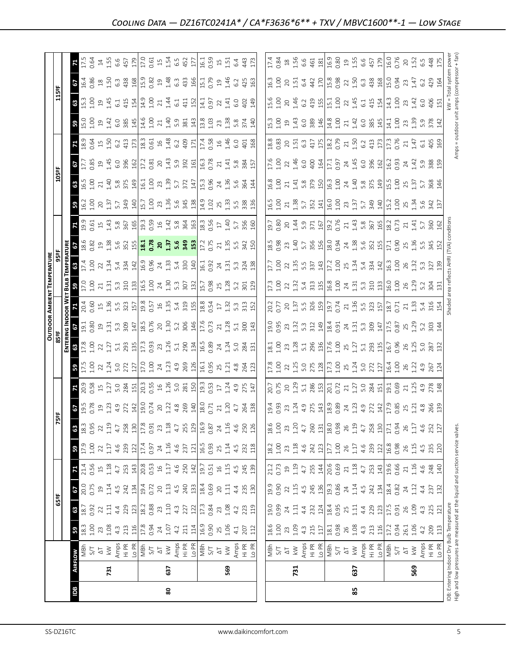|                                                                                                                            |                |                                                                               |                     |                                                                     |                             |                                           |                                             |                                            |                                                                                                                     |                                                                                                                                                                                                                                                 |                                                                                                      |                                                                                                               |                                                                                                                                                                                                                                                                                             |                                                                                                     | <b>OUTDOOR AMBIENT TEMPERATURE</b>                                                                                                                                                                                                                                                                            |                                                                                                                                                                                                                                                                                                                                                      |                                                                                                                                                                                                                                  |                                                                                                                                                                                                                                                                                                                     |                                                                                                                                                                                                                                                                                                                       |                     |                                                                                                                                                                                                                                                                                                                                                   |                                                                                                    |                                                                                                                                                                                                                                                                                                                       |                                                                                                                                                                                                                                                                                                                     |                                                                                                                                                                                                                                                                                                                |                                                                                                                                                                                                                                                                                               |
|----------------------------------------------------------------------------------------------------------------------------|----------------|-------------------------------------------------------------------------------|---------------------|---------------------------------------------------------------------|-----------------------------|-------------------------------------------|---------------------------------------------|--------------------------------------------|---------------------------------------------------------------------------------------------------------------------|-------------------------------------------------------------------------------------------------------------------------------------------------------------------------------------------------------------------------------------------------|------------------------------------------------------------------------------------------------------|---------------------------------------------------------------------------------------------------------------|---------------------------------------------------------------------------------------------------------------------------------------------------------------------------------------------------------------------------------------------------------------------------------------------|-----------------------------------------------------------------------------------------------------|---------------------------------------------------------------------------------------------------------------------------------------------------------------------------------------------------------------------------------------------------------------------------------------------------------------|------------------------------------------------------------------------------------------------------------------------------------------------------------------------------------------------------------------------------------------------------------------------------------------------------------------------------------------------------|----------------------------------------------------------------------------------------------------------------------------------------------------------------------------------------------------------------------------------|---------------------------------------------------------------------------------------------------------------------------------------------------------------------------------------------------------------------------------------------------------------------------------------------------------------------|-----------------------------------------------------------------------------------------------------------------------------------------------------------------------------------------------------------------------------------------------------------------------------------------------------------------------|---------------------|---------------------------------------------------------------------------------------------------------------------------------------------------------------------------------------------------------------------------------------------------------------------------------------------------------------------------------------------------|----------------------------------------------------------------------------------------------------|-----------------------------------------------------------------------------------------------------------------------------------------------------------------------------------------------------------------------------------------------------------------------------------------------------------------------|---------------------------------------------------------------------------------------------------------------------------------------------------------------------------------------------------------------------------------------------------------------------------------------------------------------------|----------------------------------------------------------------------------------------------------------------------------------------------------------------------------------------------------------------------------------------------------------------------------------------------------------------|-----------------------------------------------------------------------------------------------------------------------------------------------------------------------------------------------------------------------------------------------------------------------------------------------|
|                                                                                                                            |                |                                                                               |                     | 65°F                                                                |                             |                                           |                                             |                                            | 5ºF                                                                                                                 |                                                                                                                                                                                                                                                 |                                                                                                      | 85 ap                                                                                                         |                                                                                                                                                                                                                                                                                             |                                                                                                     |                                                                                                                                                                                                                                                                                                               |                                                                                                                                                                                                                                                                                                                                                      |                                                                                                                                                                                                                                  |                                                                                                                                                                                                                                                                                                                     |                                                                                                                                                                                                                                                                                                                       | 105ºF               |                                                                                                                                                                                                                                                                                                                                                   |                                                                                                    |                                                                                                                                                                                                                                                                                                                       | 115°F                                                                                                                                                                                                                                                                                                               |                                                                                                                                                                                                                                                                                                                |                                                                                                                                                                                                                                                                                               |
|                                                                                                                            |                |                                                                               |                     |                                                                     |                             |                                           |                                             |                                            |                                                                                                                     |                                                                                                                                                                                                                                                 |                                                                                                      | ENTE)<br>E                                                                                                    |                                                                                                                                                                                                                                                                                             |                                                                                                     |                                                                                                                                                                                                                                                                                                               |                                                                                                                                                                                                                                                                                                                                                      |                                                                                                                                                                                                                                  |                                                                                                                                                                                                                                                                                                                     |                                                                                                                                                                                                                                                                                                                       |                     |                                                                                                                                                                                                                                                                                                                                                   |                                                                                                    |                                                                                                                                                                                                                                                                                                                       |                                                                                                                                                                                                                                                                                                                     |                                                                                                                                                                                                                                                                                                                |                                                                                                                                                                                                                                                                                               |
| Bal                                                                                                                        | <b>AIRFLOW</b> |                                                                               | ${\tt s}$           | $\frac{25}{38}$                                                     | 67                          |                                           | ${\bf s}$                                   | 63                                         | <b>8</b><br>195<br>8                                                                                                | И                                                                                                                                                                                                                                               | 59                                                                                                   | 63                                                                                                            |                                                                                                                                                                                                                                                                                             |                                                                                                     |                                                                                                                                                                                                                                                                                                               |                                                                                                                                                                                                                                                                                                                                                      |                                                                                                                                                                                                                                  |                                                                                                                                                                                                                                                                                                                     | ႙ၟ                                                                                                                                                                                                                                                                                                                    | 63                  | 29                                                                                                                                                                                                                                                                                                                                                |                                                                                                    |                                                                                                                                                                                                                                                                                                                       | 63                                                                                                                                                                                                                                                                                                                  | 19                                                                                                                                                                                                                                                                                                             | 71                                                                                                                                                                                                                                                                                            |
|                                                                                                                            |                | $\frac{25}{15}$                                                               | $18.3$<br>$1.00$    |                                                                     | 20.0<br>0.75                | 21.4                                      | $17.9$<br>1.00                              | 18.3                                       |                                                                                                                     |                                                                                                                                                                                                                                                 |                                                                                                      |                                                                                                               |                                                                                                                                                                                                                                                                                             |                                                                                                     |                                                                                                                                                                                                                                                                                                               |                                                                                                                                                                                                                                                                                                                                                      |                                                                                                                                                                                                                                  |                                                                                                                                                                                                                                                                                                                     | $\frac{1}{9}$ .00                                                                                                                                                                                                                                                                                                     | $\frac{16.5}{1.00}$ |                                                                                                                                                                                                                                                                                                                                                   |                                                                                                    |                                                                                                                                                                                                                                                                                                                       | $\frac{13}{2}$                                                                                                                                                                                                                                                                                                      | 16.4<br>0.86                                                                                                                                                                                                                                                                                                   | $17.5$<br>0.64                                                                                                                                                                                                                                                                                |
|                                                                                                                            |                |                                                                               |                     |                                                                     |                             | 0.56                                      |                                             | 0.95                                       |                                                                                                                     |                                                                                                                                                                                                                                                 |                                                                                                      |                                                                                                               |                                                                                                                                                                                                                                                                                             | <b>09.C</b>                                                                                         |                                                                                                                                                                                                                                                                                                               |                                                                                                                                                                                                                                                                                                                                                      |                                                                                                                                                                                                                                  |                                                                                                                                                                                                                                                                                                                     |                                                                                                                                                                                                                                                                                                                       |                     |                                                                                                                                                                                                                                                                                                                                                   |                                                                                                    |                                                                                                                                                                                                                                                                                                                       | 001                                                                                                                                                                                                                                                                                                                 |                                                                                                                                                                                                                                                                                                                |                                                                                                                                                                                                                                                                                               |
|                                                                                                                            |                |                                                                               |                     |                                                                     |                             |                                           |                                             | $\overline{2}$                             |                                                                                                                     |                                                                                                                                                                                                                                                 |                                                                                                      |                                                                                                               |                                                                                                                                                                                                                                                                                             |                                                                                                     |                                                                                                                                                                                                                                                                                                               |                                                                                                                                                                                                                                                                                                                                                      |                                                                                                                                                                                                                                  |                                                                                                                                                                                                                                                                                                                     |                                                                                                                                                                                                                                                                                                                       |                     |                                                                                                                                                                                                                                                                                                                                                   |                                                                                                    |                                                                                                                                                                                                                                                                                                                       |                                                                                                                                                                                                                                                                                                                     |                                                                                                                                                                                                                                                                                                                |                                                                                                                                                                                                                                                                                               |
|                                                                                                                            | 731            | $\frac{\sqrt{1}}{2}$                                                          |                     | $22$<br>1.11                                                        | 1.14                        | 1.18                                      | 1.17                                        |                                            |                                                                                                                     |                                                                                                                                                                                                                                                 |                                                                                                      |                                                                                                               |                                                                                                                                                                                                                                                                                             |                                                                                                     |                                                                                                                                                                                                                                                                                                               |                                                                                                                                                                                                                                                                                                                                                      |                                                                                                                                                                                                                                  |                                                                                                                                                                                                                                                                                                                     |                                                                                                                                                                                                                                                                                                                       |                     |                                                                                                                                                                                                                                                                                                                                                   |                                                                                                    |                                                                                                                                                                                                                                                                                                                       |                                                                                                                                                                                                                                                                                                                     |                                                                                                                                                                                                                                                                                                                |                                                                                                                                                                                                                                                                                               |
|                                                                                                                            |                |                                                                               | $23 \n 1.08$<br>4.3 |                                                                     | 4.5                         | 4.7                                       | 4.6                                         | $1.19$<br>$4.7$                            |                                                                                                                     |                                                                                                                                                                                                                                                 |                                                                                                      |                                                                                                               |                                                                                                                                                                                                                                                                                             |                                                                                                     |                                                                                                                                                                                                                                                                                                               |                                                                                                                                                                                                                                                                                                                                                      |                                                                                                                                                                                                                                  |                                                                                                                                                                                                                                                                                                                     |                                                                                                                                                                                                                                                                                                                       |                     |                                                                                                                                                                                                                                                                                                                                                   | $\frac{1}{8}$ $\frac{3}{8}$ $\frac{3}{8}$ $\frac{4}{15}$ $\frac{5}{8}$ $\frac{2}{4}$ $\frac{3}{4}$ |                                                                                                                                                                                                                                                                                                                       | $245$ $-145$                                                                                                                                                                                                                                                                                                        |                                                                                                                                                                                                                                                                                                                |                                                                                                                                                                                                                                                                                               |
|                                                                                                                            |                |                                                                               | 213                 |                                                                     | 242                         |                                           |                                             | 258                                        |                                                                                                                     |                                                                                                                                                                                                                                                 |                                                                                                      |                                                                                                               |                                                                                                                                                                                                                                                                                             |                                                                                                     |                                                                                                                                                                                                                                                                                                               |                                                                                                                                                                                                                                                                                                                                                      |                                                                                                                                                                                                                                  |                                                                                                                                                                                                                                                                                                                     |                                                                                                                                                                                                                                                                                                                       |                     |                                                                                                                                                                                                                                                                                                                                                   |                                                                                                    |                                                                                                                                                                                                                                                                                                                       | 415                                                                                                                                                                                                                                                                                                                 |                                                                                                                                                                                                                                                                                                                |                                                                                                                                                                                                                                                                                               |
|                                                                                                                            |                |                                                                               |                     |                                                                     |                             |                                           |                                             | 130                                        |                                                                                                                     |                                                                                                                                                                                                                                                 |                                                                                                      |                                                                                                               |                                                                                                                                                                                                                                                                                             |                                                                                                     |                                                                                                                                                                                                                                                                                                               |                                                                                                                                                                                                                                                                                                                                                      |                                                                                                                                                                                                                                  |                                                                                                                                                                                                                                                                                                                     |                                                                                                                                                                                                                                                                                                                       |                     |                                                                                                                                                                                                                                                                                                                                                   |                                                                                                    |                                                                                                                                                                                                                                                                                                                       |                                                                                                                                                                                                                                                                                                                     |                                                                                                                                                                                                                                                                                                                |                                                                                                                                                                                                                                                                                               |
|                                                                                                                            |                | Amps<br>Hi PR<br>Lo PI<br>S/T<br>S/T                                          | $\frac{116}{17.8}$  | $4.29$ $2.21$ $2.8$ $2.3$ $2.3$ $2.3$ $2.3$ $2.3$ $2.3$ $2.3$ $2.3$ | $\frac{134}{19.4}$          | 253<br>143<br>20.53                       | 239<br>122<br>17.4                          | $17.8\,$                                   | $\begin{array}{c} 19 \\ 11 \\ 43 \\ 27 \\ 28 \\ 19 \\ 19 \\ 0.74 \\ 0.74 \end{array}$                               |                                                                                                                                                                                                                                                 | 12 0 2 3 4 0 2 2 2 2 2 3 4 3 4 8 5 6 7 6 7 7 8 7 7 8 7 7 7 7 7 8 7 7 7 7 8 7 7 7 7 8 7 7 7 7 8 7 7 7 | n 2 2 2 3 3 3 4 5 6 7 7 8 9 7 7 8 9 7 7 8 9 7 7 8 9 7 7 8 9 7 7 8 9 7 7 8 9 7 7 8 9 7 7 8 9 7 7 8 9 7 7 8 9 7 | <u>្រុក ក្នុង ក្នុង ក្នុង ក្នុង ក្នុង ក្នុង ក្នុង ក្នុង ក្នុង ក្នុង ក្នុង ក្នុង ក្នុង ក្នុង ក្នុង ក្នុង ក្នុង ក្</u>                                                                                                                                                                        |                                                                                                     | <mark>ង</mark> 2 ទី ។ ដូ ជូ ង ឌី គ្រូ ទី វី ដូ ជូ ខ្លួ ដូ ជូ នូ នូ ដូ ជូ ទី ភូ ភូ ទី គ្                                                                                                                                                                                                                       | $\frac{1}{2}$<br>$\frac{1}{2}$<br>$\frac{1}{2}$<br>$\frac{1}{2}$<br>$\frac{1}{2}$<br>$\frac{1}{2}$<br>$\frac{1}{2}$<br>$\frac{1}{2}$<br>$\frac{1}{2}$<br>$\frac{1}{2}$<br>$\frac{1}{2}$<br>$\frac{1}{2}$<br>$\frac{1}{2}$<br>$\frac{1}{2}$<br>$\frac{1}{2}$<br>$\frac{1}{2}$<br>$\frac{1}{2}$<br>$\frac{1}{2}$<br>$\frac{1}{2}$<br>$\frac{1}{2}$<br> | <mark>ទ</mark> ឌី នី ៦ ឌី ដូ ងូ ងូ ងូ <mark>ដី នី ខ ដូ ងូ ងូ ងូ ង</mark>                                                                                                                                                         |                                                                                                                                                                                                                                                                                                                     |                                                                                                                                                                                                                                                                                                                       |                     | $\frac{17.7}{12.89}$ $\frac{9}{4}$ $\frac{47}{6}$ $\frac{6}{8}$ $\frac{80}{12}$ $\frac{17.81}{12.81}$ $\frac{20}{12.81}$                                                                                                                                                                                                                          | $\begin{array}{c}\n 173 \\  183 \\  0.61 \\  1.48 \\  6.2 \\  409 \\  11\n \end{array}$            | <b>B</b> B G a H G a B H H G a H H G a H H G a H H G a H H G a H H G a H H M B H H H G a H H                                                                                                                                                                                                                          | $\frac{154}{14.9}$                                                                                                                                                                                                                                                                                                  |                                                                                                                                                                                                                                                                                                                |                                                                                                                                                                                                                                                                                               |
|                                                                                                                            |                |                                                                               |                     |                                                                     |                             |                                           | 0.97                                        | 0.91                                       |                                                                                                                     |                                                                                                                                                                                                                                                 |                                                                                                      |                                                                                                               |                                                                                                                                                                                                                                                                                             |                                                                                                     |                                                                                                                                                                                                                                                                                                               |                                                                                                                                                                                                                                                                                                                                                      |                                                                                                                                                                                                                                  |                                                                                                                                                                                                                                                                                                                     |                                                                                                                                                                                                                                                                                                                       |                     |                                                                                                                                                                                                                                                                                                                                                   |                                                                                                    |                                                                                                                                                                                                                                                                                                                       |                                                                                                                                                                                                                                                                                                                     |                                                                                                                                                                                                                                                                                                                |                                                                                                                                                                                                                                                                                               |
|                                                                                                                            |                | $\Delta \text{T}$                                                             | $24\,$              |                                                                     | $20\,$                      | $\overline{\mathfrak{g}}$                 | 24                                          | 23                                         | $20$                                                                                                                |                                                                                                                                                                                                                                                 |                                                                                                      |                                                                                                               |                                                                                                                                                                                                                                                                                             |                                                                                                     |                                                                                                                                                                                                                                                                                                               |                                                                                                                                                                                                                                                                                                                                                      |                                                                                                                                                                                                                                  |                                                                                                                                                                                                                                                                                                                     |                                                                                                                                                                                                                                                                                                                       |                     |                                                                                                                                                                                                                                                                                                                                                   |                                                                                                    |                                                                                                                                                                                                                                                                                                                       |                                                                                                                                                                                                                                                                                                                     |                                                                                                                                                                                                                                                                                                                |                                                                                                                                                                                                                                                                                               |
| 80                                                                                                                         | 637            | $\lesssim$                                                                    | 1.07                | 1.10                                                                |                             |                                           |                                             |                                            |                                                                                                                     |                                                                                                                                                                                                                                                 |                                                                                                      |                                                                                                               |                                                                                                                                                                                                                                                                                             |                                                                                                     |                                                                                                                                                                                                                                                                                                               |                                                                                                                                                                                                                                                                                                                                                      |                                                                                                                                                                                                                                  |                                                                                                                                                                                                                                                                                                                     |                                                                                                                                                                                                                                                                                                                       |                     |                                                                                                                                                                                                                                                                                                                                                   |                                                                                                    |                                                                                                                                                                                                                                                                                                                       | 1.44                                                                                                                                                                                                                                                                                                                |                                                                                                                                                                                                                                                                                                                |                                                                                                                                                                                                                                                                                               |
|                                                                                                                            |                |                                                                               | 4.2                 | $4.\overline{3}$                                                    | $1.13$<br>4.5               | $1.17$<br>4.6                             | $1.16$<br>4.6                               | $\begin{array}{c} 1.18 \\ 4.7 \end{array}$ |                                                                                                                     |                                                                                                                                                                                                                                                 |                                                                                                      |                                                                                                               |                                                                                                                                                                                                                                                                                             |                                                                                                     |                                                                                                                                                                                                                                                                                                               |                                                                                                                                                                                                                                                                                                                                                      |                                                                                                                                                                                                                                  |                                                                                                                                                                                                                                                                                                                     |                                                                                                                                                                                                                                                                                                                       |                     |                                                                                                                                                                                                                                                                                                                                                   |                                                                                                    |                                                                                                                                                                                                                                                                                                                       | 6.1                                                                                                                                                                                                                                                                                                                 |                                                                                                                                                                                                                                                                                                                |                                                                                                                                                                                                                                                                                               |
|                                                                                                                            |                | Amps<br>Hi PR<br>Lo PR                                                        | 211                 | 227                                                                 |                             | 250<br>142                                | 237                                         | 255                                        |                                                                                                                     |                                                                                                                                                                                                                                                 |                                                                                                      |                                                                                                               |                                                                                                                                                                                                                                                                                             |                                                                                                     |                                                                                                                                                                                                                                                                                                               |                                                                                                                                                                                                                                                                                                                                                      |                                                                                                                                                                                                                                  |                                                                                                                                                                                                                                                                                                                     |                                                                                                                                                                                                                                                                                                                       |                     |                                                                                                                                                                                                                                                                                                                                                   |                                                                                                    |                                                                                                                                                                                                                                                                                                                       | 411                                                                                                                                                                                                                                                                                                                 |                                                                                                                                                                                                                                                                                                                |                                                                                                                                                                                                                                                                                               |
|                                                                                                                            |                |                                                                               | 114                 |                                                                     | 240                         |                                           | 121                                         |                                            |                                                                                                                     |                                                                                                                                                                                                                                                 |                                                                                                      |                                                                                                               |                                                                                                                                                                                                                                                                                             |                                                                                                     |                                                                                                                                                                                                                                                                                                               |                                                                                                                                                                                                                                                                                                                                                      |                                                                                                                                                                                                                                  |                                                                                                                                                                                                                                                                                                                     |                                                                                                                                                                                                                                                                                                                       |                     |                                                                                                                                                                                                                                                                                                                                                   |                                                                                                    |                                                                                                                                                                                                                                                                                                                       |                                                                                                                                                                                                                                                                                                                     |                                                                                                                                                                                                                                                                                                                |                                                                                                                                                                                                                                                                                               |
|                                                                                                                            |                | $\frac{1}{2}$                                                                 |                     | $\sqrt{2}$                                                          |                             | $19.7$<br>$0.51$                          | 16.5<br>0.93                                | 16.9                                       | $\begin{array}{c}\n 1.22 \\  4.8 \\  \hline\n 269 \\  \hline\n 140 \\  \hline\n 18.7 \\  \hline\n 21\n \end{array}$ | $\frac{19.3}{0.53}$ 5 $\frac{1}{2}$ 7                                                                                                                                                                                                           |                                                                                                      |                                                                                                               |                                                                                                                                                                                                                                                                                             |                                                                                                     |                                                                                                                                                                                                                                                                                                               |                                                                                                                                                                                                                                                                                                                                                      |                                                                                                                                                                                                                                  |                                                                                                                                                                                                                                                                                                                     |                                                                                                                                                                                                                                                                                                                       |                     | $\begin{array}{c}\n 1.43 \\  1.93 \\  3.92 \\  1.63 \\  0.78 \\  0.74 \\  0.83 \\  0.57 \\  0.74 \\  0.83 \\  0.57 \\  0.57 \\  0.57 \\  0.57 \\  0.57 \\  0.57 \\  0.57 \\  0.57 \\  0.57 \\  0.57 \\  0.57 \\  0.57 \\  0.57 \\  0.57 \\  0.57 \\  0.57 \\  0.57 \\  0.57 \\  0.57 \\  0.57 \\  0.57 \\  0.57 \\  0.57 \\  0.57 \\  0.57 \\  0$ |                                                                                                    |                                                                                                                                                                                                                                                                                                                       |                                                                                                                                                                                                                                                                                                                     |                                                                                                                                                                                                                                                                                                                | $\frac{1}{6}$ $\frac{3}{6}$ $\frac{3}{6}$ $\frac{1}{6}$ $\frac{3}{6}$ $\frac{4}{6}$                                                                                                                                                                                                           |
|                                                                                                                            |                |                                                                               | 16.9<br>0.90        | 0.84                                                                | 18.4<br>0.69                |                                           |                                             | 0.87                                       |                                                                                                                     |                                                                                                                                                                                                                                                 |                                                                                                      |                                                                                                               |                                                                                                                                                                                                                                                                                             |                                                                                                     |                                                                                                                                                                                                                                                                                                               |                                                                                                                                                                                                                                                                                                                                                      |                                                                                                                                                                                                                                  |                                                                                                                                                                                                                                                                                                                     |                                                                                                                                                                                                                                                                                                                       |                     |                                                                                                                                                                                                                                                                                                                                                   |                                                                                                    |                                                                                                                                                                                                                                                                                                                       | $14.1$<br>0.97                                                                                                                                                                                                                                                                                                      |                                                                                                                                                                                                                                                                                                                |                                                                                                                                                                                                                                                                                               |
|                                                                                                                            |                | $\overline{\Delta}$                                                           |                     | 23                                                                  | $20$                        | $\frac{16}{2}$                            | 25                                          | $\overline{24}$                            |                                                                                                                     |                                                                                                                                                                                                                                                 |                                                                                                      |                                                                                                               |                                                                                                                                                                                                                                                                                             |                                                                                                     |                                                                                                                                                                                                                                                                                                               |                                                                                                                                                                                                                                                                                                                                                      |                                                                                                                                                                                                                                  |                                                                                                                                                                                                                                                                                                                     |                                                                                                                                                                                                                                                                                                                       |                     |                                                                                                                                                                                                                                                                                                                                                   |                                                                                                    |                                                                                                                                                                                                                                                                                                                       | 22                                                                                                                                                                                                                                                                                                                  | $\Xi$                                                                                                                                                                                                                                                                                                          |                                                                                                                                                                                                                                                                                               |
|                                                                                                                            | 569            | $\lesssim$                                                                    | 25<br>1.06          | 1.08                                                                | $\Xi$                       | 1.15                                      | 1.14                                        |                                            | 1.20                                                                                                                |                                                                                                                                                                                                                                                 |                                                                                                      |                                                                                                               |                                                                                                                                                                                                                                                                                             |                                                                                                     |                                                                                                                                                                                                                                                                                                               |                                                                                                                                                                                                                                                                                                                                                      |                                                                                                                                                                                                                                  |                                                                                                                                                                                                                                                                                                                     |                                                                                                                                                                                                                                                                                                                       |                     |                                                                                                                                                                                                                                                                                                                                                   |                                                                                                    |                                                                                                                                                                                                                                                                                                                       | 1.41                                                                                                                                                                                                                                                                                                                |                                                                                                                                                                                                                                                                                                                |                                                                                                                                                                                                                                                                                               |
|                                                                                                                            |                |                                                                               | 4.1                 | 4.2                                                                 | 4.4                         | 4.5                                       |                                             | $1.16$<br>$4.6$<br>$250$<br>$126$          | 4.7                                                                                                                 |                                                                                                                                                                                                                                                 |                                                                                                      |                                                                                                               |                                                                                                                                                                                                                                                                                             |                                                                                                     |                                                                                                                                                                                                                                                                                                               |                                                                                                                                                                                                                                                                                                                                                      | $17.25$ $15.33$ $15.33$ $15.33$ $15.33$ $15.33$ $15.33$ $15.33$ $15.33$ $15.33$ $15.33$ $15.33$ $15.33$ $15.33$ $15.33$ $15.33$ $15.33$ $15.33$ $15.33$ $15.33$ $15.33$ $15.33$ $15.33$ $15.33$ $15.33$ $15.33$ $15.33$ $15.3$   |                                                                                                                                                                                                                                                                                                                     |                                                                                                                                                                                                                                                                                                                       |                     |                                                                                                                                                                                                                                                                                                                                                   | $17.4$<br>0.58<br>1.46<br>6.0                                                                      |                                                                                                                                                                                                                                                                                                                       | 6.0                                                                                                                                                                                                                                                                                                                 | $1.46$<br>6.2                                                                                                                                                                                                                                                                                                  |                                                                                                                                                                                                                                                                                               |
|                                                                                                                            |                | Amps<br>Hi PR<br>Lo PR                                                        | 207<br>112          |                                                                     | 235                         |                                           | $4.5$<br>232<br>118                         |                                            |                                                                                                                     | $4.9$<br>$275$                                                                                                                                                                                                                                  |                                                                                                      |                                                                                                               |                                                                                                                                                                                                                                                                                             |                                                                                                     |                                                                                                                                                                                                                                                                                                               |                                                                                                                                                                                                                                                                                                                                                      |                                                                                                                                                                                                                                  |                                                                                                                                                                                                                                                                                                                     |                                                                                                                                                                                                                                                                                                                       |                     |                                                                                                                                                                                                                                                                                                                                                   | $\overline{5}$                                                                                     | $5.\overline{8}$<br>374                                                                                                                                                                                                                                                                                               | 402                                                                                                                                                                                                                                                                                                                 | 425                                                                                                                                                                                                                                                                                                            | 443                                                                                                                                                                                                                                                                                           |
|                                                                                                                            |                |                                                                               |                     | 223<br>119                                                          | 130                         | 245<br>139                                |                                             |                                            | 264<br>138                                                                                                          | 147                                                                                                                                                                                                                                             |                                                                                                      |                                                                                                               |                                                                                                                                                                                                                                                                                             |                                                                                                     |                                                                                                                                                                                                                                                                                                               |                                                                                                                                                                                                                                                                                                                                                      |                                                                                                                                                                                                                                  |                                                                                                                                                                                                                                                                                                                     |                                                                                                                                                                                                                                                                                                                       | 144                 |                                                                                                                                                                                                                                                                                                                                                   | 168                                                                                                | $\frac{140}{2}$                                                                                                                                                                                                                                                                                                       | 149                                                                                                                                                                                                                                                                                                                 | 163                                                                                                                                                                                                                                                                                                            | 173                                                                                                                                                                                                                                                                                           |
|                                                                                                                            |                |                                                                               |                     |                                                                     |                             |                                           |                                             |                                            |                                                                                                                     |                                                                                                                                                                                                                                                 |                                                                                                      |                                                                                                               |                                                                                                                                                                                                                                                                                             |                                                                                                     |                                                                                                                                                                                                                                                                                                               |                                                                                                                                                                                                                                                                                                                                                      |                                                                                                                                                                                                                                  |                                                                                                                                                                                                                                                                                                                     |                                                                                                                                                                                                                                                                                                                       |                     |                                                                                                                                                                                                                                                                                                                                                   |                                                                                                    |                                                                                                                                                                                                                                                                                                                       |                                                                                                                                                                                                                                                                                                                     |                                                                                                                                                                                                                                                                                                                |                                                                                                                                                                                                                                                                                               |
|                                                                                                                            |                |                                                                               |                     |                                                                     | 19.9                        |                                           |                                             |                                            |                                                                                                                     |                                                                                                                                                                                                                                                 |                                                                                                      |                                                                                                               |                                                                                                                                                                                                                                                                                             |                                                                                                     |                                                                                                                                                                                                                                                                                                               | 17.7                                                                                                                                                                                                                                                                                                                                                 |                                                                                                                                                                                                                                  |                                                                                                                                                                                                                                                                                                                     |                                                                                                                                                                                                                                                                                                                       |                     |                                                                                                                                                                                                                                                                                                                                                   |                                                                                                    | 15.3                                                                                                                                                                                                                                                                                                                  | <b>L5.6</b>                                                                                                                                                                                                                                                                                                         | 16.3                                                                                                                                                                                                                                                                                                           | 17.4                                                                                                                                                                                                                                                                                          |
|                                                                                                                            |                |                                                                               |                     | 19.0<br>0.99                                                        |                             | 21.2<br>0.73                              | $\begin{array}{c} 18.2 \\ 1.00 \end{array}$ | 1.00                                       |                                                                                                                     | 20.7<br>0.75                                                                                                                                                                                                                                    |                                                                                                      | 18.1                                                                                                          | 0.61                                                                                                                                                                                                                                                                                        |                                                                                                     |                                                                                                                                                                                                                                                                                                               |                                                                                                                                                                                                                                                                                                                                                      | $18.5$<br>0.98                                                                                                                                                                                                                   | 19.7                                                                                                                                                                                                                                                                                                                | 16.5                                                                                                                                                                                                                                                                                                                  | 16.8                |                                                                                                                                                                                                                                                                                                                                                   |                                                                                                    |                                                                                                                                                                                                                                                                                                                       |                                                                                                                                                                                                                                                                                                                     |                                                                                                                                                                                                                                                                                                                |                                                                                                                                                                                                                                                                                               |
|                                                                                                                            |                | $\begin{array}{c}\n\text{N} \\ \text{N} \\ \text{N} \\ \text{N}\n\end{array}$ | $1.00$<br>$2.3$     |                                                                     | 0.90                        |                                           |                                             |                                            | $19.4$<br>$0.93$<br>$23$                                                                                            |                                                                                                                                                                                                                                                 |                                                                                                      | 1.00                                                                                                          | 0.95                                                                                                                                                                                                                                                                                        |                                                                                                     | 17.3<br>1.00<br>22                                                                                                                                                                                                                                                                                            |                                                                                                                                                                                                                                                                                                                                                      |                                                                                                                                                                                                                                  |                                                                                                                                                                                                                                                                                                                     | $1.00$<br>$21$                                                                                                                                                                                                                                                                                                        |                     | $1.00$<br>$22$                                                                                                                                                                                                                                                                                                                                    |                                                                                                    |                                                                                                                                                                                                                                                                                                                       | $1.00$<br>$20$                                                                                                                                                                                                                                                                                                      | 1.00                                                                                                                                                                                                                                                                                                           | 0.84                                                                                                                                                                                                                                                                                          |
|                                                                                                                            |                |                                                                               |                     | 24                                                                  | $\overline{2}$              | $\overline{19}$                           | 23                                          | 23                                         |                                                                                                                     | $\overline{20}$                                                                                                                                                                                                                                 |                                                                                                      |                                                                                                               |                                                                                                                                                                                                                                                                                             |                                                                                                     |                                                                                                                                                                                                                                                                                                               |                                                                                                                                                                                                                                                                                                                                                      | 23                                                                                                                                                                                                                               |                                                                                                                                                                                                                                                                                                                     |                                                                                                                                                                                                                                                                                                                       |                     |                                                                                                                                                                                                                                                                                                                                                   |                                                                                                    |                                                                                                                                                                                                                                                                                                                       |                                                                                                                                                                                                                                                                                                                     | 20                                                                                                                                                                                                                                                                                                             |                                                                                                                                                                                                                                                                                               |
|                                                                                                                            | 731            |                                                                               | 1.09                | $\Xi$                                                               | 1.15                        | 1.19                                      |                                             | 1.20                                       |                                                                                                                     |                                                                                                                                                                                                                                                 |                                                                                                      |                                                                                                               |                                                                                                                                                                                                                                                                                             |                                                                                                     |                                                                                                                                                                                                                                                                                                               |                                                                                                                                                                                                                                                                                                                                                      |                                                                                                                                                                                                                                  |                                                                                                                                                                                                                                                                                                                     |                                                                                                                                                                                                                                                                                                                       |                     |                                                                                                                                                                                                                                                                                                                                                   |                                                                                                    |                                                                                                                                                                                                                                                                                                                       | 1.46                                                                                                                                                                                                                                                                                                                | 1.51                                                                                                                                                                                                                                                                                                           | $1.56$<br>$6.6$                                                                                                                                                                                                                                                                               |
|                                                                                                                            |                |                                                                               | $4.\overline{3}$    | 4.4                                                                 |                             |                                           |                                             | 4.7                                        |                                                                                                                     |                                                                                                                                                                                                                                                 |                                                                                                      |                                                                                                               |                                                                                                                                                                                                                                                                                             |                                                                                                     |                                                                                                                                                                                                                                                                                                               |                                                                                                                                                                                                                                                                                                                                                      |                                                                                                                                                                                                                                  |                                                                                                                                                                                                                                                                                                                     |                                                                                                                                                                                                                                                                                                                       |                     |                                                                                                                                                                                                                                                                                                                                                   |                                                                                                    |                                                                                                                                                                                                                                                                                                                       | 6.2                                                                                                                                                                                                                                                                                                                 | 6.4                                                                                                                                                                                                                                                                                                            |                                                                                                                                                                                                                                                                                               |
|                                                                                                                            |                |                                                                               | 215                 |                                                                     |                             |                                           |                                             | <b>260</b>                                 |                                                                                                                     |                                                                                                                                                                                                                                                 |                                                                                                      |                                                                                                               |                                                                                                                                                                                                                                                                                             |                                                                                                     |                                                                                                                                                                                                                                                                                                               |                                                                                                                                                                                                                                                                                                                                                      |                                                                                                                                                                                                                                  |                                                                                                                                                                                                                                                                                                                     |                                                                                                                                                                                                                                                                                                                       |                     |                                                                                                                                                                                                                                                                                                                                                   |                                                                                                    |                                                                                                                                                                                                                                                                                                                       |                                                                                                                                                                                                                                                                                                                     |                                                                                                                                                                                                                                                                                                                |                                                                                                                                                                                                                                                                                               |
|                                                                                                                            |                | Amps<br>Hi PR<br>Lo PR                                                        | 117                 | 232<br>124                                                          | $4.5$<br>$245$<br>$136$     | $4.7$ $55$ $14$                           | $1.18$<br>$4.6$<br>$24.2$<br>$123$          | 131                                        |                                                                                                                     |                                                                                                                                                                                                                                                 |                                                                                                      |                                                                                                               |                                                                                                                                                                                                                                                                                             |                                                                                                     |                                                                                                                                                                                                                                                                                                               |                                                                                                                                                                                                                                                                                                                                                      |                                                                                                                                                                                                                                  |                                                                                                                                                                                                                                                                                                                     |                                                                                                                                                                                                                                                                                                                       |                     |                                                                                                                                                                                                                                                                                                                                                   |                                                                                                    |                                                                                                                                                                                                                                                                                                                       |                                                                                                                                                                                                                                                                                                                     |                                                                                                                                                                                                                                                                                                                |                                                                                                                                                                                                                                                                                               |
|                                                                                                                            |                |                                                                               | $18.1$<br>$0.98$    | 18.4<br>0.95                                                        | $19.3$<br>$0.86$<br>$24$    | $20.6$<br>$0.69$<br>$21$                  | 17.7<br>1.00                                | $\frac{18.0}{0.98}$                        |                                                                                                                     |                                                                                                                                                                                                                                                 |                                                                                                      |                                                                                                               |                                                                                                                                                                                                                                                                                             |                                                                                                     |                                                                                                                                                                                                                                                                                                               |                                                                                                                                                                                                                                                                                                                                                      |                                                                                                                                                                                                                                  |                                                                                                                                                                                                                                                                                                                     |                                                                                                                                                                                                                                                                                                                       |                     |                                                                                                                                                                                                                                                                                                                                                   |                                                                                                    |                                                                                                                                                                                                                                                                                                                       |                                                                                                                                                                                                                                                                                                                     |                                                                                                                                                                                                                                                                                                                |                                                                                                                                                                                                                                                                                               |
|                                                                                                                            |                | HgM<br>N                                                                      |                     |                                                                     |                             |                                           |                                             |                                            |                                                                                                                     |                                                                                                                                                                                                                                                 |                                                                                                      |                                                                                                               |                                                                                                                                                                                                                                                                                             |                                                                                                     |                                                                                                                                                                                                                                                                                                               |                                                                                                                                                                                                                                                                                                                                                      |                                                                                                                                                                                                                                  |                                                                                                                                                                                                                                                                                                                     |                                                                                                                                                                                                                                                                                                                       |                     |                                                                                                                                                                                                                                                                                                                                                   |                                                                                                    |                                                                                                                                                                                                                                                                                                                       |                                                                                                                                                                                                                                                                                                                     |                                                                                                                                                                                                                                                                                                                |                                                                                                                                                                                                                                                                                               |
|                                                                                                                            |                | $\frac{\Delta T}{\kappa N}$                                                   | $26$ $1.08$         |                                                                     |                             |                                           | 26                                          |                                            |                                                                                                                     |                                                                                                                                                                                                                                                 |                                                                                                      |                                                                                                               |                                                                                                                                                                                                                                                                                             |                                                                                                     |                                                                                                                                                                                                                                                                                                               |                                                                                                                                                                                                                                                                                                                                                      |                                                                                                                                                                                                                                  |                                                                                                                                                                                                                                                                                                                     |                                                                                                                                                                                                                                                                                                                       |                     |                                                                                                                                                                                                                                                                                                                                                   |                                                                                                    |                                                                                                                                                                                                                                                                                                                       |                                                                                                                                                                                                                                                                                                                     |                                                                                                                                                                                                                                                                                                                |                                                                                                                                                                                                                                                                                               |
| 85                                                                                                                         | 637            |                                                                               |                     | $25$<br>1.11                                                        | $1.14$<br>4.5<br>242<br>134 | $1.18$<br>$4.7$                           | $1.17$<br>$4.6$<br>$2.39$<br>$122$          | $1.19$<br>$4.7$<br>$258$<br>$130$          |                                                                                                                     |                                                                                                                                                                                                                                                 |                                                                                                      |                                                                                                               |                                                                                                                                                                                                                                                                                             |                                                                                                     |                                                                                                                                                                                                                                                                                                               |                                                                                                                                                                                                                                                                                                                                                      |                                                                                                                                                                                                                                  |                                                                                                                                                                                                                                                                                                                     |                                                                                                                                                                                                                                                                                                                       |                     |                                                                                                                                                                                                                                                                                                                                                   |                                                                                                    |                                                                                                                                                                                                                                                                                                                       |                                                                                                                                                                                                                                                                                                                     |                                                                                                                                                                                                                                                                                                                |                                                                                                                                                                                                                                                                                               |
|                                                                                                                            |                |                                                                               | $4.\overline{3}$    |                                                                     |                             |                                           |                                             |                                            |                                                                                                                     |                                                                                                                                                                                                                                                 |                                                                                                      |                                                                                                               |                                                                                                                                                                                                                                                                                             |                                                                                                     |                                                                                                                                                                                                                                                                                                               |                                                                                                                                                                                                                                                                                                                                                      |                                                                                                                                                                                                                                  |                                                                                                                                                                                                                                                                                                                     |                                                                                                                                                                                                                                                                                                                       |                     |                                                                                                                                                                                                                                                                                                                                                   |                                                                                                    |                                                                                                                                                                                                                                                                                                                       |                                                                                                                                                                                                                                                                                                                     |                                                                                                                                                                                                                                                                                                                |                                                                                                                                                                                                                                                                                               |
|                                                                                                                            |                | Amps<br>Hi PR                                                                 | 213                 | $4.4$<br>229                                                        |                             | 253<br>143                                |                                             |                                            |                                                                                                                     |                                                                                                                                                                                                                                                 |                                                                                                      |                                                                                                               |                                                                                                                                                                                                                                                                                             |                                                                                                     |                                                                                                                                                                                                                                                                                                               |                                                                                                                                                                                                                                                                                                                                                      |                                                                                                                                                                                                                                  |                                                                                                                                                                                                                                                                                                                     |                                                                                                                                                                                                                                                                                                                       |                     |                                                                                                                                                                                                                                                                                                                                                   |                                                                                                    |                                                                                                                                                                                                                                                                                                                       |                                                                                                                                                                                                                                                                                                                     |                                                                                                                                                                                                                                                                                                                |                                                                                                                                                                                                                                                                                               |
|                                                                                                                            |                | Lo PR                                                                         | 116                 |                                                                     |                             |                                           |                                             |                                            |                                                                                                                     |                                                                                                                                                                                                                                                 |                                                                                                      |                                                                                                               |                                                                                                                                                                                                                                                                                             |                                                                                                     |                                                                                                                                                                                                                                                                                                               |                                                                                                                                                                                                                                                                                                                                                      |                                                                                                                                                                                                                                  |                                                                                                                                                                                                                                                                                                                     |                                                                                                                                                                                                                                                                                                                       |                     |                                                                                                                                                                                                                                                                                                                                                   |                                                                                                    |                                                                                                                                                                                                                                                                                                                       |                                                                                                                                                                                                                                                                                                                     |                                                                                                                                                                                                                                                                                                                |                                                                                                                                                                                                                                                                                               |
|                                                                                                                            |                | $\frac{1}{2}$                                                                 | 17.2<br>0.94        | 17.5<br>0.91                                                        | 18.4<br>0.82                | $\frac{19.6}{0.66}$                       | 16.8<br>0.98                                | $\overline{17.1}$                          |                                                                                                                     | $\begin{array}{c} 1.338 \\ 1.438 \\ 1.528 \end{array} \begin{array}{c} 1.438 \\ 1.438 \\ 1.528 \end{array} \begin{array}{c} 1.438 \\ 1.438 \end{array} \begin{array}{c} 1.438 \\ 1.438 \end{array} \begin{array}{c} 1.438 \\ 1.438 \end{array}$ |                                                                                                      |                                                                                                               | $\begin{array}{c} 23.533 \\ 23.533 \\ 24.534 \\ 25.535 \\ 26.535 \\ 27.535 \\ 28.535 \\ 29.535 \\ 21.535 \\ 22.535 \\ 23.535 \\ 24.535 \\ 25.535 \\ 26.535 \\ 27.535 \\ 28.535 \\ 29.535 \\ 21.535 \\ 22.535 \\ 23.535 \\ 24.535 \\ 25.535 \\ 26.535 \\ 27.535 \\ 28.535 \\ 29.535 \\ 21.5$ | <u>2012 ។ ក្នុងក្នុងក្នុង ក្នុង ក្នុង ក្នុង</u><br>ប្រភេទ ក្នុង ក្នុង ក្នុង ក្នុង ក្នុង ក្នុង ក្នុង | $\begin{array}{c} 13 & 23 & 24 \\ 25 & 27 & 28 \\ 26 & 27 & 29 \\ 27 & 28 & 29 \\ 28 & 29 & 29 \\ 29 & 29 & 29 \\ 20 & 20 & 29 \\ 21 & 23 & 20 \\ 22 & 23 & 20 \\ 23 & 23 & 20 \\ 24 & 23 & 23 \\ 25 & 26 & 23 \\ 27 & 29 & 20 \\ 28 & 29 & 20 \\ 29 & 20 & 20 \\ 20 & 20 & 20 \\ 21 & 20 & 20 \\ 22 & 20 & $ | $\frac{1}{2}$ 2 $\frac{1}{2}$ $\frac{1}{2}$ $\frac{1}{2}$ $\frac{1}{2}$ $\frac{1}{2}$ $\frac{1}{2}$ $\frac{1}{2}$ $\frac{1}{2}$ $\frac{1}{2}$ $\frac{1}{2}$ $\frac{1}{2}$ $\frac{1}{2}$ $\frac{1}{2}$ $\frac{1}{2}$ $\frac{1}{2}$ $\frac{1}{2}$ $\frac{1}{2}$ $\frac{1}{2}$ $\frac{1}{2}$ $\frac{1}{2}$ $\frac{1}{2}$                                |                                                                                                                                                                                                                                  |                                                                                                                                                                                                                                                                                                                     |                                                                                                                                                                                                                                                                                                                       |                     |                                                                                                                                                                                                                                                                                                                                                   |                                                                                                    | $\frac{5}{1}$ a $\frac{4}{3}$ $\frac{6}{3}$ $\frac{8}{3}$ $\frac{4}{3}$ $\frac{1}{3}$ $\frac{3}{2}$ $\frac{1}{3}$ $\frac{1}{3}$ $\frac{6}{3}$ $\frac{8}{3}$ $\frac{4}{3}$ $\frac{1}{3}$ $\frac{3}{2}$ $\frac{1}{3}$ $\frac{3}{2}$ $\frac{1}{3}$ $\frac{3}{2}$ $\frac{1}{3}$ $\frac{1}{2}$ $\frac{1}{3}$ $\frac{3}{2}$ | $\frac{1}{4}$ $\frac{1}{4}$ $\frac{1}{4}$ $\frac{1}{5}$ $\frac{1}{6}$ $\frac{1}{2}$ $\frac{1}{4}$ $\frac{1}{4}$ $\frac{1}{2}$ $\frac{1}{6}$ $\frac{1}{2}$ $\frac{1}{4}$ $\frac{1}{2}$ $\frac{1}{6}$ $\frac{1}{2}$ $\frac{1}{6}$ $\frac{1}{2}$ $\frac{1}{6}$ $\frac{1}{2}$ $\frac{1}{6}$ $\frac{1}{6}$ $\frac{1}{6}$ | $470$ $\frac{2}{11}$ $\frac{2}{11}$ $\frac{2}{11}$ $\frac{2}{11}$ $\frac{2}{11}$ $\frac{2}{11}$ $\frac{2}{11}$ $\frac{2}{11}$ $\frac{2}{11}$ $\frac{2}{11}$ $\frac{2}{11}$ $\frac{2}{11}$ $\frac{2}{11}$ $\frac{2}{11}$ $\frac{2}{11}$ $\frac{2}{11}$ $\frac{2}{11}$ $\frac{2}{11}$ $\frac{2}{11}$ $\frac{2}{$ | $\frac{1}{4}$ and $\frac{1}{4}$ and $\frac{1}{4}$ and $\frac{1}{4}$ and $\frac{1}{4}$ and $\frac{1}{4}$ and $\frac{1}{4}$ and $\frac{1}{4}$ and $\frac{1}{4}$ and $\frac{1}{4}$ and $\frac{1}{4}$ and $\frac{1}{4}$ and $\frac{1}{4}$ and $\frac{1}{4}$ and $\frac{1}{4}$ and $\frac{1}{4}$ a |
|                                                                                                                            |                |                                                                               |                     |                                                                     |                             |                                           |                                             | 0.94                                       |                                                                                                                     |                                                                                                                                                                                                                                                 |                                                                                                      |                                                                                                               |                                                                                                                                                                                                                                                                                             |                                                                                                     |                                                                                                                                                                                                                                                                                                               |                                                                                                                                                                                                                                                                                                                                                      |                                                                                                                                                                                                                                  |                                                                                                                                                                                                                                                                                                                     |                                                                                                                                                                                                                                                                                                                       |                     |                                                                                                                                                                                                                                                                                                                                                   |                                                                                                    |                                                                                                                                                                                                                                                                                                                       |                                                                                                                                                                                                                                                                                                                     |                                                                                                                                                                                                                                                                                                                |                                                                                                                                                                                                                                                                                               |
|                                                                                                                            |                | $\Delta \mathbb{T}$                                                           | 26.1<br>1.06        | $26$<br>1.09                                                        | $^{24}$ 1.12                | $\begin{array}{c} 21 \\ 1.16 \end{array}$ | $26$<br>1.15                                | 26                                         |                                                                                                                     |                                                                                                                                                                                                                                                 |                                                                                                      |                                                                                                               |                                                                                                                                                                                                                                                                                             |                                                                                                     |                                                                                                                                                                                                                                                                                                               |                                                                                                                                                                                                                                                                                                                                                      |                                                                                                                                                                                                                                  |                                                                                                                                                                                                                                                                                                                     |                                                                                                                                                                                                                                                                                                                       |                     |                                                                                                                                                                                                                                                                                                                                                   |                                                                                                    |                                                                                                                                                                                                                                                                                                                       | $23$<br>$1.42$                                                                                                                                                                                                                                                                                                      | $23$<br>1.47                                                                                                                                                                                                                                                                                                   |                                                                                                                                                                                                                                                                                               |
|                                                                                                                            | 569            | $\mathbb{R}^N$                                                                |                     |                                                                     |                             |                                           |                                             | 1.17                                       |                                                                                                                     |                                                                                                                                                                                                                                                 |                                                                                                      |                                                                                                               |                                                                                                                                                                                                                                                                                             |                                                                                                     |                                                                                                                                                                                                                                                                                                               |                                                                                                                                                                                                                                                                                                                                                      |                                                                                                                                                                                                                                  |                                                                                                                                                                                                                                                                                                                     |                                                                                                                                                                                                                                                                                                                       |                     |                                                                                                                                                                                                                                                                                                                                                   |                                                                                                    |                                                                                                                                                                                                                                                                                                                       |                                                                                                                                                                                                                                                                                                                     |                                                                                                                                                                                                                                                                                                                |                                                                                                                                                                                                                                                                                               |
|                                                                                                                            |                | Amps<br>Hi PR                                                                 | 4.2                 | $4.\overline{3}$                                                    | 4.4                         | 4.6                                       |                                             | 4.6                                        | 4.8                                                                                                                 |                                                                                                                                                                                                                                                 |                                                                                                      |                                                                                                               |                                                                                                                                                                                                                                                                                             | 5.4<br>316                                                                                          | $\frac{5}{3}$ 304                                                                                                                                                                                                                                                                                             | 5.3<br>327                                                                                                                                                                                                                                                                                                                                           |                                                                                                                                                                                                                                  |                                                                                                                                                                                                                                                                                                                     |                                                                                                                                                                                                                                                                                                                       |                     |                                                                                                                                                                                                                                                                                                                                                   |                                                                                                    |                                                                                                                                                                                                                                                                                                                       |                                                                                                                                                                                                                                                                                                                     |                                                                                                                                                                                                                                                                                                                | $20$<br>$1.52$<br>$6.5$<br>$448$                                                                                                                                                                                                                                                              |
|                                                                                                                            |                |                                                                               | 209                 | 225                                                                 | 237                         | 248<br>140                                | $4.5$<br>235<br>120                         | 252                                        |                                                                                                                     |                                                                                                                                                                                                                                                 |                                                                                                      |                                                                                                               | 5.2<br>303<br>144                                                                                                                                                                                                                                                                           |                                                                                                     |                                                                                                                                                                                                                                                                                                               |                                                                                                                                                                                                                                                                                                                                                      | $\frac{1}{2}$ is a selfangled at a selfangled at a selfangled at a selfangled at a selfangled at a selfangled at a selfangled at a selfangled at a selfangled at a selfangled at a selfangled at a selfangled at a selfangled at | $\frac{1}{2}$ $\frac{1}{2}$ $\frac{1}{2}$ $\frac{1}{2}$ $\frac{1}{2}$ $\frac{1}{2}$ $\frac{1}{2}$ $\frac{1}{2}$ $\frac{1}{2}$ $\frac{1}{2}$ $\frac{1}{2}$ $\frac{1}{2}$ $\frac{1}{2}$ $\frac{1}{2}$ $\frac{1}{2}$ $\frac{1}{2}$ $\frac{1}{2}$ $\frac{1}{2}$ $\frac{1}{2}$ $\frac{1}{2}$ $\frac{1}{2}$ $\frac{1}{2}$ | $\frac{38}{13}$ $\sim$ $\frac{1}{2}$ $\sim$ $\frac{1}{2}$ $\sim$ $\frac{1}{2}$ $\sim$ $\frac{1}{2}$ $\sim$ $\frac{1}{2}$ $\sim$ $\frac{1}{2}$ $\sim$ $\frac{1}{2}$ $\sim$ $\frac{1}{2}$ $\sim$ $\frac{1}{2}$ $\sim$ $\frac{1}{2}$ $\sim$ $\frac{1}{2}$ $\sim$ $\frac{1}{2}$ $\sim$ $\frac{1}{2}$ $\sim$ $\frac{1}{2}$ |                     | $1.46$ $3.8$ $1.7$ $1.7$ $3.7$ $4.4$ $3.6$ $8.9$ $1.4$ $1.3$ $1.5$ $2.4$ $1.5$ $3.8$ $1.4$ $1.5$ $3.4$ $1.5$ $3.6$ $1.5$ $1.5$ $1.5$ $1.5$ $1.5$ $1.5$ $1.5$ $1.5$ $1.5$ $1.5$ $1.5$ $1.5$ $1.5$ $1.5$ $1.5$ $1.5$ $1.5$ $1.5$                                                                                                                    | $6.1$<br>$405$<br>$169$                                                                            | 5.9<br>378<br>142                                                                                                                                                                                                                                                                                                     | $rac{6}{4}$ $rac{6}{11}$                                                                                                                                                                                                                                                                                            | G <sub>2</sub><br>429<br>164                                                                                                                                                                                                                                                                                   |                                                                                                                                                                                                                                                                                               |
|                                                                                                                            |                | Lo <sub>PR</sub>                                                              | 113                 | 121                                                                 | 132                         |                                           |                                             | 127                                        | 139                                                                                                                 | 148                                                                                                                                                                                                                                             | 124                                                                                                  |                                                                                                               |                                                                                                                                                                                                                                                                                             | 154                                                                                                 | 131                                                                                                                                                                                                                                                                                                           |                                                                                                                                                                                                                                                                                                                                                      |                                                                                                                                                                                                                                  |                                                                                                                                                                                                                                                                                                                     |                                                                                                                                                                                                                                                                                                                       |                     |                                                                                                                                                                                                                                                                                                                                                   |                                                                                                    |                                                                                                                                                                                                                                                                                                                       |                                                                                                                                                                                                                                                                                                                     |                                                                                                                                                                                                                                                                                                                | 175                                                                                                                                                                                                                                                                                           |
| High and low pressures are measured at the liquid and suction service valves.<br>IDB: Entering Indoor Dry Bulb Temperature |                |                                                                               |                     |                                                                     |                             |                                           |                                             |                                            |                                                                                                                     |                                                                                                                                                                                                                                                 |                                                                                                      |                                                                                                               |                                                                                                                                                                                                                                                                                             | shaded                                                                                              | rea reflects AHRI                                                                                                                                                                                                                                                                                             |                                                                                                                                                                                                                                                                                                                                                      | (TVA) condition                                                                                                                                                                                                                  |                                                                                                                                                                                                                                                                                                                     |                                                                                                                                                                                                                                                                                                                       |                     |                                                                                                                                                                                                                                                                                                                                                   |                                                                                                    | Amps = outdoor unit amps (compressor + far                                                                                                                                                                                                                                                                            | $kW =$                                                                                                                                                                                                                                                                                                              | Total syster                                                                                                                                                                                                                                                                                                   | powe                                                                                                                                                                                                                                                                                          |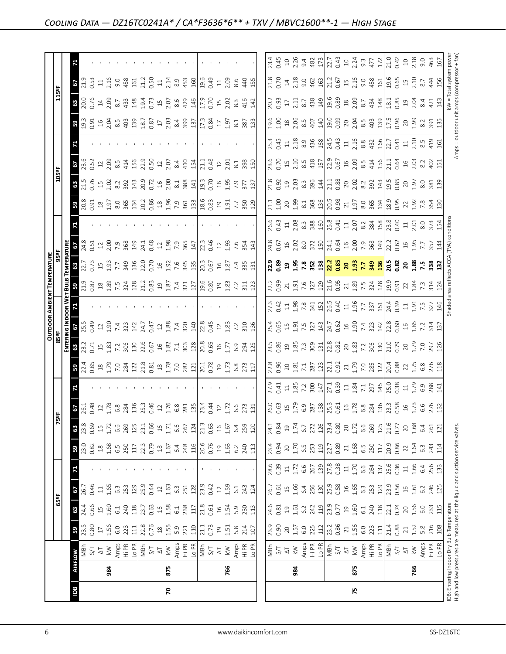|                                                                                                                            |                |                                      |                                             |                                                         |                                             |                                         |                                                         |                                                                                                                                                 |                                  |                                                                                                       |                                                                                                                                                                                                                                                                                                                                    |                                                                                                                                                                                                                                                                             |                                                                                                                                                                                                                                                                                                                                                                                                                                                  |                                                                                                                                                                                                                                                                                                             | <b>OUTDOOR AMBIENT TEMPERATURE</b>                                                                                                                                                                                                |               |                                                                                                                                                                                                                                                                                                                                                      |                                                                                                                                                                                                                                |                                                                                    |                                                                                                                                                                                                                                                                                                                       |                                                                                                                                                                                                                                                                                                                 |                                                                                                                                                                                                                                  |                                                                                                                                                                                                                                                                                 |                                                                                                        |                                                                                                                                                                                                                                                                                                                                            |                                                                                     |
|----------------------------------------------------------------------------------------------------------------------------|----------------|--------------------------------------|---------------------------------------------|---------------------------------------------------------|---------------------------------------------|-----------------------------------------|---------------------------------------------------------|-------------------------------------------------------------------------------------------------------------------------------------------------|----------------------------------|-------------------------------------------------------------------------------------------------------|------------------------------------------------------------------------------------------------------------------------------------------------------------------------------------------------------------------------------------------------------------------------------------------------------------------------------------|-----------------------------------------------------------------------------------------------------------------------------------------------------------------------------------------------------------------------------------------------------------------------------|--------------------------------------------------------------------------------------------------------------------------------------------------------------------------------------------------------------------------------------------------------------------------------------------------------------------------------------------------------------------------------------------------------------------------------------------------|-------------------------------------------------------------------------------------------------------------------------------------------------------------------------------------------------------------------------------------------------------------------------------------------------------------|-----------------------------------------------------------------------------------------------------------------------------------------------------------------------------------------------------------------------------------|---------------|------------------------------------------------------------------------------------------------------------------------------------------------------------------------------------------------------------------------------------------------------------------------------------------------------------------------------------------------------|--------------------------------------------------------------------------------------------------------------------------------------------------------------------------------------------------------------------------------|------------------------------------------------------------------------------------|-----------------------------------------------------------------------------------------------------------------------------------------------------------------------------------------------------------------------------------------------------------------------------------------------------------------------|-----------------------------------------------------------------------------------------------------------------------------------------------------------------------------------------------------------------------------------------------------------------------------------------------------------------|----------------------------------------------------------------------------------------------------------------------------------------------------------------------------------------------------------------------------------|---------------------------------------------------------------------------------------------------------------------------------------------------------------------------------------------------------------------------------------------------------------------------------|--------------------------------------------------------------------------------------------------------|--------------------------------------------------------------------------------------------------------------------------------------------------------------------------------------------------------------------------------------------------------------------------------------------------------------------------------------------|-------------------------------------------------------------------------------------|
|                                                                                                                            |                |                                      |                                             | 65°F                                                    |                                             |                                         |                                                         | 75°F                                                                                                                                            |                                  |                                                                                                       |                                                                                                                                                                                                                                                                                                                                    | 85 ap                                                                                                                                                                                                                                                                       |                                                                                                                                                                                                                                                                                                                                                                                                                                                  |                                                                                                                                                                                                                                                                                                             |                                                                                                                                                                                                                                   |               |                                                                                                                                                                                                                                                                                                                                                      |                                                                                                                                                                                                                                |                                                                                    | 105°F                                                                                                                                                                                                                                                                                                                 |                                                                                                                                                                                                                                                                                                                 |                                                                                                                                                                                                                                  |                                                                                                                                                                                                                                                                                 | 115°F                                                                                                  |                                                                                                                                                                                                                                                                                                                                            |                                                                                     |
|                                                                                                                            |                |                                      |                                             |                                                         |                                             |                                         |                                                         |                                                                                                                                                 |                                  |                                                                                                       |                                                                                                                                                                                                                                                                                                                                    | E<br>21                                                                                                                                                                                                                                                                     |                                                                                                                                                                                                                                                                                                                                                                                                                                                  |                                                                                                                                                                                                                                                                                                             |                                                                                                                                                                                                                                   |               |                                                                                                                                                                                                                                                                                                                                                      |                                                                                                                                                                                                                                |                                                                                    |                                                                                                                                                                                                                                                                                                                       |                                                                                                                                                                                                                                                                                                                 |                                                                                                                                                                                                                                  |                                                                                                                                                                                                                                                                                 |                                                                                                        |                                                                                                                                                                                                                                                                                                                                            |                                                                                     |
| Bal                                                                                                                        | <b>AIRFLOW</b> |                                      | 59                                          | 63                                                      | 29                                          |                                         | 59                                                      | 63                                                                                                                                              | <b>67</b><br>26.1<br>0.48        |                                                                                                       |                                                                                                                                                                                                                                                                                                                                    | $8^{23}_{23}$                                                                                                                                                                                                                                                               | <b>67</b><br>25.5<br>0.49                                                                                                                                                                                                                                                                                                                                                                                                                        |                                                                                                                                                                                                                                                                                                             |                                                                                                                                                                                                                                   | $\frac{3}{2}$ |                                                                                                                                                                                                                                                                                                                                                      |                                                                                                                                                                                                                                | $20.8$<br>20.91                                                                    |                                                                                                                                                                                                                                                                                                                       | $\frac{67}{23.52}$                                                                                                                                                                                                                                                                                              |                                                                                                                                                                                                                                  | <b>ន</b> មិនី                                                                                                                                                                                                                                                                   | $\frac{35}{200}$                                                                                       | $\frac{67}{213}$                                                                                                                                                                                                                                                                                                                           |                                                                                     |
|                                                                                                                            |                | NBh<br>5/1                           | 23.5<br>0.80                                | 24.4<br>0.66                                            | 0.46<br>26.7                                |                                         | 23.0<br>0.82                                            | 23.8<br>0.69                                                                                                                                    |                                  |                                                                                                       |                                                                                                                                                                                                                                                                                                                                    |                                                                                                                                                                                                                                                                             |                                                                                                                                                                                                                                                                                                                                                                                                                                                  |                                                                                                                                                                                                                                                                                                             |                                                                                                                                                                                                                                   |               |                                                                                                                                                                                                                                                                                                                                                      |                                                                                                                                                                                                                                |                                                                                    |                                                                                                                                                                                                                                                                                                                       |                                                                                                                                                                                                                                                                                                                 |                                                                                                                                                                                                                                  |                                                                                                                                                                                                                                                                                 |                                                                                                        |                                                                                                                                                                                                                                                                                                                                            |                                                                                     |
|                                                                                                                            |                | $\overline{\triangle}$               |                                             |                                                         | $\Xi$                                       |                                         |                                                         | $\Xi$                                                                                                                                           |                                  |                                                                                                       |                                                                                                                                                                                                                                                                                                                                    |                                                                                                                                                                                                                                                                             |                                                                                                                                                                                                                                                                                                                                                                                                                                                  |                                                                                                                                                                                                                                                                                                             |                                                                                                                                                                                                                                   |               |                                                                                                                                                                                                                                                                                                                                                      |                                                                                                                                                                                                                                |                                                                                    |                                                                                                                                                                                                                                                                                                                       |                                                                                                                                                                                                                                                                                                                 |                                                                                                                                                                                                                                  |                                                                                                                                                                                                                                                                                 |                                                                                                        | $\Xi$                                                                                                                                                                                                                                                                                                                                      |                                                                                     |
|                                                                                                                            | 984            | $\lesssim$                           | $\begin{array}{c} 1.56 \\ 1.56 \end{array}$ |                                                         | 1.65                                        |                                         |                                                         | 1.72                                                                                                                                            | 1.78                             |                                                                                                       |                                                                                                                                                                                                                                                                                                                                    |                                                                                                                                                                                                                                                                             |                                                                                                                                                                                                                                                                                                                                                                                                                                                  |                                                                                                                                                                                                                                                                                                             |                                                                                                                                                                                                                                   |               |                                                                                                                                                                                                                                                                                                                                                      |                                                                                                                                                                                                                                |                                                                                    |                                                                                                                                                                                                                                                                                                                       | $\frac{12}{2.09}$                                                                                                                                                                                                                                                                                               |                                                                                                                                                                                                                                  |                                                                                                                                                                                                                                                                                 | $\frac{14}{2.09}$                                                                                      | 2.16                                                                                                                                                                                                                                                                                                                                       |                                                                                     |
|                                                                                                                            |                |                                      | 6.0                                         | $1.60$<br>$1.60$<br>$240$                               | $6.\overline{3}$                            |                                         | $\begin{array}{c} 18 \\ 1.68 \\ 6.5 \\ 250 \end{array}$ | 6.6                                                                                                                                             |                                  |                                                                                                       |                                                                                                                                                                                                                                                                                                                                    |                                                                                                                                                                                                                                                                             |                                                                                                                                                                                                                                                                                                                                                                                                                                                  |                                                                                                                                                                                                                                                                                                             |                                                                                                                                                                                                                                   |               | $\frac{1}{2}$<br>$\frac{1}{2}$<br>$\frac{1}{2}$<br>$\frac{1}{2}$<br>$\frac{1}{2}$<br>$\frac{1}{2}$<br>$\frac{1}{2}$<br>$\frac{1}{2}$<br>$\frac{1}{2}$<br>$\frac{1}{2}$<br>$\frac{1}{2}$<br>$\frac{1}{2}$<br>$\frac{1}{2}$<br>$\frac{1}{2}$<br>$\frac{1}{2}$<br>$\frac{1}{2}$<br>$\frac{1}{2}$<br>$\frac{1}{2}$<br>$\frac{1}{2}$<br>$\frac{1}{2}$<br> |                                                                                                                                                                                                                                |                                                                                    | $31.5$ $\frac{1}{2}$ $\frac{1}{2}$ $\frac{1}{6}$ $\frac{1}{2}$ $\frac{1}{6}$ $\frac{1}{2}$ $\frac{1}{6}$ $\frac{1}{2}$ $\frac{1}{6}$ $\frac{1}{2}$ $\frac{1}{6}$ $\frac{1}{2}$ $\frac{1}{6}$ $\frac{1}{2}$ $\frac{1}{6}$ $\frac{1}{2}$ $\frac{1}{6}$ $\frac{1}{2}$ $\frac{1}{6}$ $\frac{1}{2}$ $\frac{1}{6}$ $\frac{$ | $8.\overline{5}$                                                                                                                                                                                                                                                                                                |                                                                                                                                                                                                                                  |                                                                                                                                                                                                                                                                                 |                                                                                                        |                                                                                                                                                                                                                                                                                                                                            |                                                                                     |
|                                                                                                                            |                | Amps<br>Hi PR<br>Lo PR<br>S/T<br>S/T | 223                                         |                                                         | 253                                         |                                         |                                                         | 269                                                                                                                                             | $6.8$<br>284<br>136<br>25.3      |                                                                                                       |                                                                                                                                                                                                                                                                                                                                    |                                                                                                                                                                                                                                                                             |                                                                                                                                                                                                                                                                                                                                                                                                                                                  |                                                                                                                                                                                                                                                                                                             |                                                                                                                                                                                                                                   |               |                                                                                                                                                                                                                                                                                                                                                      |                                                                                                                                                                                                                                |                                                                                    |                                                                                                                                                                                                                                                                                                                       | 414                                                                                                                                                                                                                                                                                                             |                                                                                                                                                                                                                                  |                                                                                                                                                                                                                                                                                 | $8.7$<br>433                                                                                           | $9.88$<br>452                                                                                                                                                                                                                                                                                                                              |                                                                                     |
|                                                                                                                            |                |                                      | $\Xi$                                       | $\frac{3}{11}$                                          | 129                                         |                                         | 117                                                     | 125                                                                                                                                             |                                  |                                                                                                       |                                                                                                                                                                                                                                                                                                                                    |                                                                                                                                                                                                                                                                             |                                                                                                                                                                                                                                                                                                                                                                                                                                                  |                                                                                                                                                                                                                                                                                                             |                                                                                                                                                                                                                                   |               |                                                                                                                                                                                                                                                                                                                                                      |                                                                                                                                                                                                                                |                                                                                    |                                                                                                                                                                                                                                                                                                                       | 156                                                                                                                                                                                                                                                                                                             |                                                                                                                                                                                                                                  |                                                                                                                                                                                                                                                                                 | 148                                                                                                    |                                                                                                                                                                                                                                                                                                                                            |                                                                                     |
|                                                                                                                            |                |                                      | 22.8                                        | 23.7                                                    | 25.9<br>0.44                                |                                         | 22.3                                                    | 23.1                                                                                                                                            |                                  |                                                                                                       |                                                                                                                                                                                                                                                                                                                                    |                                                                                                                                                                                                                                                                             |                                                                                                                                                                                                                                                                                                                                                                                                                                                  |                                                                                                                                                                                                                                                                                                             |                                                                                                                                                                                                                                   |               |                                                                                                                                                                                                                                                                                                                                                      |                                                                                                                                                                                                                                |                                                                                    |                                                                                                                                                                                                                                                                                                                       | $22.9$<br>0.50<br>$12$<br>2.07                                                                                                                                                                                                                                                                                  |                                                                                                                                                                                                                                  |                                                                                                                                                                                                                                                                                 | 19.4                                                                                                   | 21.2<br>0.50<br>11                                                                                                                                                                                                                                                                                                                         |                                                                                     |
|                                                                                                                            |                |                                      |                                             |                                                         |                                             |                                         |                                                         | 0.66                                                                                                                                            | 0.46                             |                                                                                                       |                                                                                                                                                                                                                                                                                                                                    |                                                                                                                                                                                                                                                                             |                                                                                                                                                                                                                                                                                                                                                                                                                                                  |                                                                                                                                                                                                                                                                                                             |                                                                                                                                                                                                                                   |               |                                                                                                                                                                                                                                                                                                                                                      |                                                                                                                                                                                                                                |                                                                                    |                                                                                                                                                                                                                                                                                                                       |                                                                                                                                                                                                                                                                                                                 |                                                                                                                                                                                                                                  |                                                                                                                                                                                                                                                                                 | $0.73$<br>$15$<br>$2.07$<br>$8.6$                                                                      |                                                                                                                                                                                                                                                                                                                                            |                                                                                     |
|                                                                                                                            |                |                                      | $^{28}$                                     | $\frac{16}{1}$                                          | $12\,$                                      |                                         | $\overset{\text{\tiny \textsf{SO}}}{\rightarrow}$       | $16$                                                                                                                                            | $\Xi$                            |                                                                                                       |                                                                                                                                                                                                                                                                                                                                    |                                                                                                                                                                                                                                                                             |                                                                                                                                                                                                                                                                                                                                                                                                                                                  |                                                                                                                                                                                                                                                                                                             |                                                                                                                                                                                                                                   |               |                                                                                                                                                                                                                                                                                                                                                      |                                                                                                                                                                                                                                |                                                                                    | $16$<br>$2.00$                                                                                                                                                                                                                                                                                                        |                                                                                                                                                                                                                                                                                                                 |                                                                                                                                                                                                                                  |                                                                                                                                                                                                                                                                                 |                                                                                                        |                                                                                                                                                                                                                                                                                                                                            |                                                                                     |
| $\mathbf{r}$                                                                                                               | 875            | $\lesssim$                           | $1.55$<br>$5.9$                             | 1.58                                                    | 1.63                                        |                                         | 1.67                                                    | $1.71\,$                                                                                                                                        |                                  |                                                                                                       |                                                                                                                                                                                                                                                                                                                                    |                                                                                                                                                                                                                                                                             |                                                                                                                                                                                                                                                                                                                                                                                                                                                  |                                                                                                                                                                                                                                                                                                             |                                                                                                                                                                                                                                   |               |                                                                                                                                                                                                                                                                                                                                                      |                                                                                                                                                                                                                                |                                                                                    |                                                                                                                                                                                                                                                                                                                       |                                                                                                                                                                                                                                                                                                                 |                                                                                                                                                                                                                                  |                                                                                                                                                                                                                                                                                 |                                                                                                        | 2.14                                                                                                                                                                                                                                                                                                                                       |                                                                                     |
|                                                                                                                            |                |                                      |                                             | $61$                                                    | $6.\overline{3}$                            |                                         | 6.4                                                     | 6.6                                                                                                                                             |                                  |                                                                                                       |                                                                                                                                                                                                                                                                                                                                    |                                                                                                                                                                                                                                                                             |                                                                                                                                                                                                                                                                                                                                                                                                                                                  |                                                                                                                                                                                                                                                                                                             |                                                                                                                                                                                                                                   |               |                                                                                                                                                                                                                                                                                                                                                      |                                                                                                                                                                                                                                |                                                                                    |                                                                                                                                                                                                                                                                                                                       | 8.4                                                                                                                                                                                                                                                                                                             |                                                                                                                                                                                                                                  |                                                                                                                                                                                                                                                                                 |                                                                                                        |                                                                                                                                                                                                                                                                                                                                            |                                                                                     |
|                                                                                                                            |                | Amps<br>Hi PR<br><u>Io</u> PR        | $\frac{221}{110}$                           | 238                                                     | 251                                         |                                         | $248$<br>116                                            | 267<br>124                                                                                                                                      | $1.76$<br>$6.8$<br>$281$<br>$13$ |                                                                                                       | $3.25$ $\frac{3}{2}$ $\frac{3}{2}$ $\frac{3}{2}$ $\frac{3}{2}$ $\frac{3}{2}$ $\frac{3}{2}$ $\frac{3}{2}$ $\frac{3}{2}$ $\frac{3}{2}$ $\frac{3}{2}$ $\frac{3}{2}$ $\frac{3}{2}$ $\frac{3}{2}$ $\frac{3}{2}$ $\frac{3}{2}$ $\frac{3}{2}$ $\frac{3}{2}$ $\frac{3}{2}$ $\frac{3}{2}$ $\frac{3}{2}$ $\frac{3}{2}$ $\frac{$              | $\begin{array}{c} 43.75 & 10.75 & 10.75 & 10.75 & 10.75 \\ 10.75 & 10.75 & 10.75 & 10.75 & 10.75 \\ 10.75 & 10.75 & 10.75 & 10.75 & 10.75 \\ 10.75 & 10.75 & 10.75 & 10.75 & 10.75 \\ 10.75 & 10.75 & 10.75 & 10.75 & 10.75 \\ 10.75 & 10.75 & 10.75 & 10.75 & 10.75 \\ 10$ | $\begin{array}{c c c c c c c c c} \multicolumn{4}{c }{\text{1}} & \multicolumn{4}{c }{\text{1}} & \multicolumn{4}{c }{\text{1}} & \multicolumn{4}{c }{\text{1}} & \multicolumn{4}{c }{\text{1}} & \multicolumn{4}{c }{\text{1}} & \multicolumn{4}{c }{\text{1}} & \multicolumn{4}{c }{\text{1}} & \multicolumn{4}{c }{\text{1}} & \multicolumn{4}{c }{\text{1}} & \multicolumn{4}{c }{\text{1}} & \multicolumn{4}{c }{\text{1}} & \multicolumn{$ |                                                                                                                                                                                                                                                                                                             |                                                                                                                                                                                                                                   |               | $365$<br>$147$                                                                                                                                                                                                                                                                                                                                       |                                                                                                                                                                                                                                |                                                                                    | $\frac{1}{8}$ $\frac{1}{8}$ $\frac{1}{2}$                                                                                                                                                                                                                                                                             | 410                                                                                                                                                                                                                                                                                                             |                                                                                                                                                                                                                                  | $\begin{array}{c} 43.63 & 45.63 & 45.63 \\ 45.63 & 45.63 & 45.63 \\ 45.63 & 45.63 & 45.63 \\ 45.63 & 45.63 & 45.63 \\ 45.63 & 45.63 & 45.63 \\ 45.63 & 45.63 & 45.63 \\ 45.63 & 45.63 & 45.63 \\ 45.63 & 45.63 & 45.63 \\ 45.63 & 45.63 & 45.63 \\ 45.63 & 45.63 & 45.63 \\ 45$ | 429                                                                                                    | $rac{3}{450}$                                                                                                                                                                                                                                                                                                                              |                                                                                     |
|                                                                                                                            |                |                                      |                                             | 117                                                     | 128                                         |                                         |                                                         |                                                                                                                                                 |                                  |                                                                                                       |                                                                                                                                                                                                                                                                                                                                    |                                                                                                                                                                                                                                                                             |                                                                                                                                                                                                                                                                                                                                                                                                                                                  |                                                                                                                                                                                                                                                                                                             |                                                                                                                                                                                                                                   |               |                                                                                                                                                                                                                                                                                                                                                      |                                                                                                                                                                                                                                |                                                                                    |                                                                                                                                                                                                                                                                                                                       | 154                                                                                                                                                                                                                                                                                                             |                                                                                                                                                                                                                                  |                                                                                                                                                                                                                                                                                 |                                                                                                        |                                                                                                                                                                                                                                                                                                                                            |                                                                                     |
|                                                                                                                            |                | $\frac{1}{2}$                        | 21.1<br>0.73                                | 21.8                                                    | 23.9                                        |                                         | 20.6<br>0.76                                            | 21.3                                                                                                                                            | 23.44<br>0.44                    |                                                                                                       |                                                                                                                                                                                                                                                                                                                                    |                                                                                                                                                                                                                                                                             | $\begin{array}{ccc}\n 2.8 & 2.2 & 2.3 \\  2.4 & 2.3 & 2.3 \\  2.5 & 2.3 & 2.5\n \end{array}$                                                                                                                                                                                                                                                                                                                                                     |                                                                                                                                                                                                                                                                                                             |                                                                                                                                                                                                                                   |               | 22.3<br>0.46                                                                                                                                                                                                                                                                                                                                         |                                                                                                                                                                                                                                |                                                                                    | 19.3<br>0.70                                                                                                                                                                                                                                                                                                          | 21.1<br>0.48                                                                                                                                                                                                                                                                                                    |                                                                                                                                                                                                                                  |                                                                                                                                                                                                                                                                                 | $17.9$<br>$0.70$<br>$15$<br>$2.02$                                                                     | 0.49                                                                                                                                                                                                                                                                                                                                       |                                                                                     |
|                                                                                                                            |                |                                      |                                             | 0.61                                                    | 0.42                                        |                                         |                                                         | 0.63                                                                                                                                            |                                  |                                                                                                       |                                                                                                                                                                                                                                                                                                                                    |                                                                                                                                                                                                                                                                             |                                                                                                                                                                                                                                                                                                                                                                                                                                                  |                                                                                                                                                                                                                                                                                                             |                                                                                                                                                                                                                                   |               |                                                                                                                                                                                                                                                                                                                                                      |                                                                                                                                                                                                                                |                                                                                    |                                                                                                                                                                                                                                                                                                                       |                                                                                                                                                                                                                                                                                                                 |                                                                                                                                                                                                                                  |                                                                                                                                                                                                                                                                                 |                                                                                                        |                                                                                                                                                                                                                                                                                                                                            |                                                                                     |
|                                                                                                                            |                | $\frac{\Delta T}{L}$                 |                                             |                                                         | $\mathfrak{Q}$                              |                                         | $\Xi$                                                   | $\frac{16}{1}$                                                                                                                                  |                                  |                                                                                                       |                                                                                                                                                                                                                                                                                                                                    |                                                                                                                                                                                                                                                                             |                                                                                                                                                                                                                                                                                                                                                                                                                                                  |                                                                                                                                                                                                                                                                                                             |                                                                                                                                                                                                                                   |               |                                                                                                                                                                                                                                                                                                                                                      |                                                                                                                                                                                                                                |                                                                                    |                                                                                                                                                                                                                                                                                                                       |                                                                                                                                                                                                                                                                                                                 |                                                                                                                                                                                                                                  |                                                                                                                                                                                                                                                                                 |                                                                                                        |                                                                                                                                                                                                                                                                                                                                            |                                                                                     |
|                                                                                                                            | 766            |                                      | $\begin{array}{c} 25 \\ 25 \end{array}$     | 1.54                                                    | 1.59                                        |                                         | 1.63                                                    | 1.67                                                                                                                                            |                                  |                                                                                                       |                                                                                                                                                                                                                                                                                                                                    |                                                                                                                                                                                                                                                                             |                                                                                                                                                                                                                                                                                                                                                                                                                                                  |                                                                                                                                                                                                                                                                                                             |                                                                                                                                                                                                                                   |               |                                                                                                                                                                                                                                                                                                                                                      |                                                                                                                                                                                                                                |                                                                                    | 1.95                                                                                                                                                                                                                                                                                                                  | $\frac{12}{2.01}$                                                                                                                                                                                                                                                                                               |                                                                                                                                                                                                                                  |                                                                                                                                                                                                                                                                                 |                                                                                                        | $\frac{11}{2.09}$                                                                                                                                                                                                                                                                                                                          |                                                                                     |
|                                                                                                                            |                |                                      | 5.8                                         | 5.9                                                     | $6.1\,$                                     |                                         | 6.2                                                     |                                                                                                                                                 | 172671                           |                                                                                                       |                                                                                                                                                                                                                                                                                                                                    |                                                                                                                                                                                                                                                                             |                                                                                                                                                                                                                                                                                                                                                                                                                                                  |                                                                                                                                                                                                                                                                                                             |                                                                                                                                                                                                                                   |               | $13.93$ $-5.54$<br>$-7.54$<br>$-7.54$                                                                                                                                                                                                                                                                                                                |                                                                                                                                                                                                                                |                                                                                    | 7.9<br>377                                                                                                                                                                                                                                                                                                            |                                                                                                                                                                                                                                                                                                                 |                                                                                                                                                                                                                                  |                                                                                                                                                                                                                                                                                 | $8.\overline{3}$                                                                                       | 8.6                                                                                                                                                                                                                                                                                                                                        |                                                                                     |
|                                                                                                                            |                | Amps<br>Hi PR<br>Lo PR               | 214                                         | 230                                                     | 243                                         |                                         | 240                                                     | 6.4<br>259<br>120                                                                                                                               |                                  |                                                                                                       |                                                                                                                                                                                                                                                                                                                                    |                                                                                                                                                                                                                                                                             |                                                                                                                                                                                                                                                                                                                                                                                                                                                  |                                                                                                                                                                                                                                                                                                             |                                                                                                                                                                                                                                   |               |                                                                                                                                                                                                                                                                                                                                                      |                                                                                                                                                                                                                                |                                                                                    |                                                                                                                                                                                                                                                                                                                       | $\frac{1}{8}$ $\frac{8}{15}$                                                                                                                                                                                                                                                                                    |                                                                                                                                                                                                                                  |                                                                                                                                                                                                                                                                                 | 416<br>142                                                                                             | 440                                                                                                                                                                                                                                                                                                                                        |                                                                                     |
|                                                                                                                            |                |                                      | 107                                         | 113                                                     | 124                                         |                                         | 113                                                     |                                                                                                                                                 |                                  |                                                                                                       |                                                                                                                                                                                                                                                                                                                                    |                                                                                                                                                                                                                                                                             |                                                                                                                                                                                                                                                                                                                                                                                                                                                  |                                                                                                                                                                                                                                                                                                             |                                                                                                                                                                                                                                   |               |                                                                                                                                                                                                                                                                                                                                                      |                                                                                                                                                                                                                                |                                                                                    | 137                                                                                                                                                                                                                                                                                                                   |                                                                                                                                                                                                                                                                                                                 |                                                                                                                                                                                                                                  |                                                                                                                                                                                                                                                                                 |                                                                                                        | 155                                                                                                                                                                                                                                                                                                                                        |                                                                                     |
|                                                                                                                            |                |                                      |                                             |                                                         |                                             |                                         |                                                         |                                                                                                                                                 |                                  |                                                                                                       |                                                                                                                                                                                                                                                                                                                                    |                                                                                                                                                                                                                                                                             |                                                                                                                                                                                                                                                                                                                                                                                                                                                  |                                                                                                                                                                                                                                                                                                             |                                                                                                                                                                                                                                   |               |                                                                                                                                                                                                                                                                                                                                                      |                                                                                                                                                                                                                                |                                                                                    |                                                                                                                                                                                                                                                                                                                       |                                                                                                                                                                                                                                                                                                                 |                                                                                                                                                                                                                                  |                                                                                                                                                                                                                                                                                 |                                                                                                        |                                                                                                                                                                                                                                                                                                                                            |                                                                                     |
|                                                                                                                            |                | HgM<br>27                            | 23.9<br>0.90                                | 24.6<br>0.81                                            | 26.7                                        | 28.6                                    | 23.4                                                    | 24.1<br>0.84                                                                                                                                    |                                  | 27.9                                                                                                  |                                                                                                                                                                                                                                                                                                                                    |                                                                                                                                                                                                                                                                             |                                                                                                                                                                                                                                                                                                                                                                                                                                                  |                                                                                                                                                                                                                                                                                                             | 22.2                                                                                                                                                                                                                              |               |                                                                                                                                                                                                                                                                                                                                                      |                                                                                                                                                                                                                                |                                                                                    |                                                                                                                                                                                                                                                                                                                       | 23.6<br>0.70                                                                                                                                                                                                                                                                                                    |                                                                                                                                                                                                                                  |                                                                                                                                                                                                                                                                                 |                                                                                                        | 21.8                                                                                                                                                                                                                                                                                                                                       | 23.45<br>D.45                                                                       |
|                                                                                                                            |                |                                      |                                             |                                                         | 0.61                                        | 0.39                                    | 0.94                                                    |                                                                                                                                                 |                                  |                                                                                                       |                                                                                                                                                                                                                                                                                                                                    |                                                                                                                                                                                                                                                                             |                                                                                                                                                                                                                                                                                                                                                                                                                                                  |                                                                                                                                                                                                                                                                                                             |                                                                                                                                                                                                                                   |               |                                                                                                                                                                                                                                                                                                                                                      |                                                                                                                                                                                                                                |                                                                                    |                                                                                                                                                                                                                                                                                                                       |                                                                                                                                                                                                                                                                                                                 |                                                                                                                                                                                                                                  |                                                                                                                                                                                                                                                                                 | $\begin{array}{c} 20.2 \\ 0.93 \\ 1.1 \\ 2.11 \\ 8.7 \\ \end{array}$                                   | 0.70                                                                                                                                                                                                                                                                                                                                       |                                                                                     |
|                                                                                                                            |                | $\frac{\Delta}{\Delta}$              |                                             |                                                         | 1.66                                        | $\frac{11}{1.72}$                       |                                                         | $\overline{c}$                                                                                                                                  |                                  |                                                                                                       |                                                                                                                                                                                                                                                                                                                                    |                                                                                                                                                                                                                                                                             |                                                                                                                                                                                                                                                                                                                                                                                                                                                  |                                                                                                                                                                                                                                                                                                             |                                                                                                                                                                                                                                   |               |                                                                                                                                                                                                                                                                                                                                                      |                                                                                                                                                                                                                                |                                                                                    |                                                                                                                                                                                                                                                                                                                       |                                                                                                                                                                                                                                                                                                                 |                                                                                                                                                                                                                                  |                                                                                                                                                                                                                                                                                 |                                                                                                        |                                                                                                                                                                                                                                                                                                                                            |                                                                                     |
|                                                                                                                            | 984            |                                      | $20$<br>1.57<br>6.0                         | $1.61$<br>$6.2$                                         |                                             |                                         | $20$<br>$1.70$<br>$6.5$                                 | $1.74$<br>6.7                                                                                                                                   |                                  |                                                                                                       |                                                                                                                                                                                                                                                                                                                                    |                                                                                                                                                                                                                                                                             |                                                                                                                                                                                                                                                                                                                                                                                                                                                  |                                                                                                                                                                                                                                                                                                             |                                                                                                                                                                                                                                   |               |                                                                                                                                                                                                                                                                                                                                                      |                                                                                                                                                                                                                                |                                                                                    |                                                                                                                                                                                                                                                                                                                       |                                                                                                                                                                                                                                                                                                                 |                                                                                                                                                                                                                                  |                                                                                                                                                                                                                                                                                 |                                                                                                        |                                                                                                                                                                                                                                                                                                                                            |                                                                                     |
|                                                                                                                            |                |                                      |                                             |                                                         |                                             | 6.6                                     |                                                         |                                                                                                                                                 |                                  |                                                                                                       |                                                                                                                                                                                                                                                                                                                                    |                                                                                                                                                                                                                                                                             |                                                                                                                                                                                                                                                                                                                                                                                                                                                  |                                                                                                                                                                                                                                                                                                             |                                                                                                                                                                                                                                   |               |                                                                                                                                                                                                                                                                                                                                                      |                                                                                                                                                                                                                                |                                                                                    |                                                                                                                                                                                                                                                                                                                       |                                                                                                                                                                                                                                                                                                                 |                                                                                                                                                                                                                                  |                                                                                                                                                                                                                                                                                 |                                                                                                        |                                                                                                                                                                                                                                                                                                                                            |                                                                                     |
|                                                                                                                            |                | Amps<br>Hi PR<br>Lo PR<br>S/T<br>S/T | 225                                         | 242<br>119                                              | $6.4$<br>$250$<br>$130$<br>$25.3$<br>$0.58$ | 267<br>139<br>27.8<br>0.38              | 253<br>119                                              | 272<br>126                                                                                                                                      |                                  |                                                                                                       |                                                                                                                                                                                                                                                                                                                                    |                                                                                                                                                                                                                                                                             |                                                                                                                                                                                                                                                                                                                                                                                                                                                  |                                                                                                                                                                                                                                                                                                             |                                                                                                                                                                                                                                   |               |                                                                                                                                                                                                                                                                                                                                                      |                                                                                                                                                                                                                                |                                                                                    |                                                                                                                                                                                                                                                                                                                       |                                                                                                                                                                                                                                                                                                                 |                                                                                                                                                                                                                                  |                                                                                                                                                                                                                                                                                 |                                                                                                        |                                                                                                                                                                                                                                                                                                                                            | $\begin{array}{c}\n10 \\ 2.26 \\ 0.48 \\ 2.73 \\ 0.43 \\ 0.43\n\end{array}$         |
|                                                                                                                            |                |                                      | 112                                         |                                                         |                                             |                                         |                                                         |                                                                                                                                                 |                                  |                                                                                                       |                                                                                                                                                                                                                                                                                                                                    |                                                                                                                                                                                                                                                                             |                                                                                                                                                                                                                                                                                                                                                                                                                                                  |                                                                                                                                                                                                                                                                                                             |                                                                                                                                                                                                                                   |               |                                                                                                                                                                                                                                                                                                                                                      |                                                                                                                                                                                                                                |                                                                                    |                                                                                                                                                                                                                                                                                                                       |                                                                                                                                                                                                                                                                                                                 |                                                                                                                                                                                                                                  |                                                                                                                                                                                                                                                                                 |                                                                                                        |                                                                                                                                                                                                                                                                                                                                            |                                                                                     |
|                                                                                                                            |                |                                      | 23.2<br>0.86                                | 23.9<br>0.77<br>19                                      |                                             |                                         | 22.7                                                    | 23.4<br>0.80                                                                                                                                    |                                  |                                                                                                       |                                                                                                                                                                                                                                                                                                                                    |                                                                                                                                                                                                                                                                             |                                                                                                                                                                                                                                                                                                                                                                                                                                                  |                                                                                                                                                                                                                                                                                                             |                                                                                                                                                                                                                                   |               |                                                                                                                                                                                                                                                                                                                                                      |                                                                                                                                                                                                                                |                                                                                    |                                                                                                                                                                                                                                                                                                                       |                                                                                                                                                                                                                                                                                                                 |                                                                                                                                                                                                                                  |                                                                                                                                                                                                                                                                                 |                                                                                                        |                                                                                                                                                                                                                                                                                                                                            |                                                                                     |
|                                                                                                                            |                |                                      |                                             |                                                         |                                             |                                         |                                                         |                                                                                                                                                 |                                  |                                                                                                       |                                                                                                                                                                                                                                                                                                                                    |                                                                                                                                                                                                                                                                             |                                                                                                                                                                                                                                                                                                                                                                                                                                                  |                                                                                                                                                                                                                                                                                                             |                                                                                                                                                                                                                                   |               |                                                                                                                                                                                                                                                                                                                                                      |                                                                                                                                                                                                                                |                                                                                    |                                                                                                                                                                                                                                                                                                                       |                                                                                                                                                                                                                                                                                                                 |                                                                                                                                                                                                                                  |                                                                                                                                                                                                                                                                                 |                                                                                                        |                                                                                                                                                                                                                                                                                                                                            |                                                                                     |
|                                                                                                                            |                |                                      |                                             |                                                         | $165$                                       | $\Xi$                                   |                                                         |                                                                                                                                                 |                                  |                                                                                                       |                                                                                                                                                                                                                                                                                                                                    |                                                                                                                                                                                                                                                                             |                                                                                                                                                                                                                                                                                                                                                                                                                                                  |                                                                                                                                                                                                                                                                                                             |                                                                                                                                                                                                                                   |               |                                                                                                                                                                                                                                                                                                                                                      |                                                                                                                                                                                                                                |                                                                                    |                                                                                                                                                                                                                                                                                                                       |                                                                                                                                                                                                                                                                                                                 |                                                                                                                                                                                                                                  |                                                                                                                                                                                                                                                                                 |                                                                                                        |                                                                                                                                                                                                                                                                                                                                            |                                                                                     |
| 54                                                                                                                         | 875            | $\lesssim$                           | $71.56$<br>$6.0$                            |                                                         |                                             | 1.70                                    | $\begin{array}{c} 21 \\ 1.68 \\ 6.5 \end{array}$        |                                                                                                                                                 |                                  |                                                                                                       |                                                                                                                                                                                                                                                                                                                                    |                                                                                                                                                                                                                                                                             |                                                                                                                                                                                                                                                                                                                                                                                                                                                  |                                                                                                                                                                                                                                                                                                             |                                                                                                                                                                                                                                   |               |                                                                                                                                                                                                                                                                                                                                                      |                                                                                                                                                                                                                                |                                                                                    |                                                                                                                                                                                                                                                                                                                       |                                                                                                                                                                                                                                                                                                                 |                                                                                                                                                                                                                                  |                                                                                                                                                                                                                                                                                 |                                                                                                        |                                                                                                                                                                                                                                                                                                                                            |                                                                                     |
|                                                                                                                            |                | Amps<br>Hi PR                        |                                             |                                                         |                                             | 6.6                                     |                                                         |                                                                                                                                                 |                                  |                                                                                                       |                                                                                                                                                                                                                                                                                                                                    |                                                                                                                                                                                                                                                                             |                                                                                                                                                                                                                                                                                                                                                                                                                                                  |                                                                                                                                                                                                                                                                                                             |                                                                                                                                                                                                                                   |               |                                                                                                                                                                                                                                                                                                                                                      |                                                                                                                                                                                                                                |                                                                                    |                                                                                                                                                                                                                                                                                                                       |                                                                                                                                                                                                                                                                                                                 |                                                                                                                                                                                                                                  |                                                                                                                                                                                                                                                                                 |                                                                                                        |                                                                                                                                                                                                                                                                                                                                            |                                                                                     |
|                                                                                                                            |                | Lo PR                                | 223<br>$111$                                |                                                         |                                             | 264<br>137                              | 250<br>117                                              |                                                                                                                                                 |                                  |                                                                                                       |                                                                                                                                                                                                                                                                                                                                    |                                                                                                                                                                                                                                                                             |                                                                                                                                                                                                                                                                                                                                                                                                                                                  |                                                                                                                                                                                                                                                                                                             |                                                                                                                                                                                                                                   |               |                                                                                                                                                                                                                                                                                                                                                      |                                                                                                                                                                                                                                |                                                                                    |                                                                                                                                                                                                                                                                                                                       |                                                                                                                                                                                                                                                                                                                 |                                                                                                                                                                                                                                  |                                                                                                                                                                                                                                                                                 | $\frac{889}{195}$ $\frac{89}{195}$ $\frac{89}{195}$ $\frac{87}{195}$ $\frac{87}{195}$ $\frac{87}{195}$ |                                                                                                                                                                                                                                                                                                                                            |                                                                                     |
|                                                                                                                            |                |                                      |                                             | $\frac{1.60}{6.1}$ $\frac{240}{1.7}$ $\frac{240}{2.74}$ | $6.3$ 253 213.9                             |                                         | 20.9                                                    | $\begin{array}{c}\n 20 \\  \hline\n 1.72 \\  \hline\n 6.6 \\  \hline\n 269 \\  \hline\n 11.6 \\  \hline\n 0.77 \\  \hline\n 0.77\n \end{array}$ |                                  |                                                                                                       |                                                                                                                                                                                                                                                                                                                                    |                                                                                                                                                                                                                                                                             |                                                                                                                                                                                                                                                                                                                                                                                                                                                  | $\begin{array}{l} 22.33 \\ 23.42 \\ 24.53 \\ 25.64 \\ 26.7 \\ 27.85 \\ 28.7 \\ 29.7 \\ 20.7 \\ 21.7 \\ 22.7 \\ 23.7 \\ 24.7 \\ 25.7 \\ 26.7 \\ 27.7 \\ 28.7 \\ 29.7 \\ 21.7 \\ 22.7 \\ 23.7 \\ 24.7 \\ 25.7 \\ 27.7 \\ 28.7 \\ 29.7 \\ 29.7 \\ 21.7 \\ 22.7 \\ 23.7 \\ 24.7 \\ 25.7 \\ 27.7 \\ 28.7 \\ 29.$ | $\frac{1}{3}$ 2 3 4 5 6 7 8 9 9 2 3 4 9 9 2 3 4 9 9 2 3 4 7 9 9 2 3 4 7 9 9 2 3 4 7 9 9 2 3 4 7 9 2 3 4 7 9 2 3 4 7 9 2 4 7 9 1 0 2 3 4 7 9 2 4 7 9 1 0 3 5 2 4 7 9 1 0 3 2 4 7 9 1 0 3 2 4 7 9 1 0 3 2 4 7 9 1 0 3 2 4 7 9 1 0 3 |               |                                                                                                                                                                                                                                                                                                                                                      |                                                                                                                                                                                                                                |                                                                                    |                                                                                                                                                                                                                                                                                                                       |                                                                                                                                                                                                                                                                                                                 |                                                                                                                                                                                                                                  |                                                                                                                                                                                                                                                                                 |                                                                                                        | $\begin{array}{c}\n 1 & 0 & 0 \\  2 & 0 & 0 & 0 \\  3 & 0 & 0 & 0 \\  4 & 0 & 0 & 0 \\  5 & 0 & 0 & 0 \\  6 & 0 & 0 & 0 \\  7 & 0 & 0 & 0 \\  8 & 0 & 0 & 0 \\  9 & 0 & 0 & 0 \\  10 & 0 & 0 & 0 \\  11 & 0 & 0 & 0 & 0 \\  12 & 0 & 0 & 0 & 0 \\  13 & 0 & 0 & 0 & 0 \\  14 & 0 & 0 & 0 & 0 \\  16 & 0 & 0 & 0 & 0 \\  17 & 0 & 0 & 0 & $ | $\begin{array}{c}\n10 \\ 2.34 \\ 0.37 \\ 4.72 \\ 1.71 \\ 0.42 \\ 0.42\n\end{array}$ |
|                                                                                                                            |                | NSV<br>24                            | $21.4$<br>0.83                              |                                                         |                                             | 25.6<br>0.36                            | 0.86                                                    |                                                                                                                                                 |                                  |                                                                                                       |                                                                                                                                                                                                                                                                                                                                    |                                                                                                                                                                                                                                                                             |                                                                                                                                                                                                                                                                                                                                                                                                                                                  |                                                                                                                                                                                                                                                                                                             |                                                                                                                                                                                                                                   |               |                                                                                                                                                                                                                                                                                                                                                      |                                                                                                                                                                                                                                |                                                                                    |                                                                                                                                                                                                                                                                                                                       |                                                                                                                                                                                                                                                                                                                 |                                                                                                                                                                                                                                  |                                                                                                                                                                                                                                                                                 |                                                                                                        |                                                                                                                                                                                                                                                                                                                                            |                                                                                     |
|                                                                                                                            |                | $\Delta \mathbb{T}$                  | $\mathrel{\mathop{\mathbf{21}}}\nolimits$   | $20\,$                                                  | $\begin{array}{c} 16 \\ 1.61 \end{array}$   | $\begin{array}{c}\n1.66 \\ \end{array}$ |                                                         | $20$                                                                                                                                            |                                  |                                                                                                       |                                                                                                                                                                                                                                                                                                                                    |                                                                                                                                                                                                                                                                             |                                                                                                                                                                                                                                                                                                                                                                                                                                                  |                                                                                                                                                                                                                                                                                                             |                                                                                                                                                                                                                                   |               |                                                                                                                                                                                                                                                                                                                                                      |                                                                                                                                                                                                                                |                                                                                    |                                                                                                                                                                                                                                                                                                                       |                                                                                                                                                                                                                                                                                                                 |                                                                                                                                                                                                                                  |                                                                                                                                                                                                                                                                                 | $\frac{13.58}{2.30}$                                                                                   |                                                                                                                                                                                                                                                                                                                                            | $\Box$                                                                              |
|                                                                                                                            | 766            | $\lesssim$                           | 1.52                                        | 1.56                                                    |                                             |                                         | $22$<br>1.64                                            | 1.68                                                                                                                                            |                                  |                                                                                                       |                                                                                                                                                                                                                                                                                                                                    |                                                                                                                                                                                                                                                                             |                                                                                                                                                                                                                                                                                                                                                                                                                                                  |                                                                                                                                                                                                                                                                                                             |                                                                                                                                                                                                                                   |               |                                                                                                                                                                                                                                                                                                                                                      |                                                                                                                                                                                                                                |                                                                                    |                                                                                                                                                                                                                                                                                                                       |                                                                                                                                                                                                                                                                                                                 |                                                                                                                                                                                                                                  |                                                                                                                                                                                                                                                                                 |                                                                                                        |                                                                                                                                                                                                                                                                                                                                            | 2.18                                                                                |
|                                                                                                                            |                | Amps<br>Hi PR                        | 5.8                                         | $6.0$                                                   | 6.2                                         | 6.4                                     | 6.3                                                     | 6.4                                                                                                                                             |                                  |                                                                                                       |                                                                                                                                                                                                                                                                                                                                    |                                                                                                                                                                                                                                                                             |                                                                                                                                                                                                                                                                                                                                                                                                                                                  |                                                                                                                                                                                                                                                                                                             |                                                                                                                                                                                                                                   |               |                                                                                                                                                                                                                                                                                                                                                      |                                                                                                                                                                                                                                |                                                                                    |                                                                                                                                                                                                                                                                                                                       |                                                                                                                                                                                                                                                                                                                 |                                                                                                                                                                                                                                  |                                                                                                                                                                                                                                                                                 |                                                                                                        |                                                                                                                                                                                                                                                                                                                                            |                                                                                     |
|                                                                                                                            |                |                                      | 216                                         | 233                                                     | 246<br>125                                  | 256<br>133                              | 243<br>114                                              | 261<br>121                                                                                                                                      |                                  | $\begin{array}{cccc}\n3.1 & 3.5 & 3.6 & 4 \\ 5.1 & 3.5 & 3.6 & 4 \\ 6.2 & 3.6 & 4.6 & 4\n\end{array}$ | $\frac{8}{23}$ $\frac{8}{5}$ $\approx$ $\frac{8}{5}$ $\frac{1}{12}$ $\frac{1}{23}$ $\frac{1}{23}$ $\approx$ $\frac{1}{25}$ $\approx$ $\frac{8}{25}$ $\frac{1}{21}$ $\frac{1}{25}$ $\approx$ $\frac{8}{25}$ $\frac{1}{21}$ $\frac{1}{25}$ $\approx$ $\frac{8}{25}$ $\frac{1}{21}$ $\approx$ $\frac{8}{25}$ $\approx$ $\frac{8}{25}$ |                                                                                                                                                                                                                                                                             |                                                                                                                                                                                                                                                                                                                                                                                                                                                  |                                                                                                                                                                                                                                                                                                             |                                                                                                                                                                                                                                   |               | $\frac{36}{245}$ $\frac{10}{25}$ $\frac{10}{25}$ $\frac{10}{25}$ $\frac{10}{25}$ $\frac{10}{25}$ $\frac{10}{25}$ $\frac{10}{25}$ $\frac{10}{25}$ $\frac{10}{25}$ $\frac{10}{25}$ $\frac{10}{25}$ $\frac{10}{25}$ $\frac{10}{25}$ $\frac{10}{25}$ $\frac{10}{25}$ $\frac{10}{25}$ $\frac{10}{25}$ $\frac{$                                            | $26.6$ $3.7$ $1.8$ $3.8$ $3.8$ $4.8$ $5.8$ $1.3$ $1.3$ $1.3$ $1.3$ $1.3$ $1.3$ $1.3$ $1.3$ $1.3$ $1.3$ $1.3$ $1.3$ $1.3$ $1.3$ $1.3$ $1.3$ $1.3$ $1.3$ $1.3$ $1.3$ $1.3$ $1.3$ $1.3$ $1.3$ $1.3$ $1.3$ $1.3$ $1.3$ $1.3$ $1.3$ | 11 0 0 0 3 1 3 2 3 1 0 3 1 0 1 0 1 2 3 4 4 5 6 7 7 8 4 7 8 7 8 7 7 8 7 8 7 8 7 8 7 | (3.999933387)(1.3888233833)                                                                                                                                                                                                                                                                                           | $\frac{15}{2}$ $\frac{25}{2}$ $\frac{25}{2}$ $\frac{15}{2}$ $\frac{1}{2}$ $\frac{15}{2}$ $\frac{5}{2}$ $\frac{35}{2}$ $\frac{35}{2}$ $\frac{45}{2}$ $\frac{11}{2}$ $\frac{13}{2}$ $\frac{3}{2}$ $\frac{3}{2}$ $\frac{3}{2}$ $\frac{3}{2}$ $\frac{3}{2}$ $\frac{3}{2}$ $\frac{3}{2}$ $\frac{3}{2}$ $\frac{3}{2}$ | ns e de subsetence de la consegnación de la consegnación de la consegnación de la consegnación de la consegnac<br>En el consegnación de la consegnación de la consegnación de la consegnación de la consegnación de la consegnac |                                                                                                                                                                                                                                                                                 | 8.4<br>421<br>143                                                                                      | $\frac{8.7}{44}$                                                                                                                                                                                                                                                                                                                           | 9.63<br>463                                                                         |
|                                                                                                                            |                | Lo PR                                | 108                                         | 115                                                     |                                             |                                         |                                                         |                                                                                                                                                 |                                  |                                                                                                       |                                                                                                                                                                                                                                                                                                                                    |                                                                                                                                                                                                                                                                             |                                                                                                                                                                                                                                                                                                                                                                                                                                                  |                                                                                                                                                                                                                                                                                                             |                                                                                                                                                                                                                                   |               |                                                                                                                                                                                                                                                                                                                                                      |                                                                                                                                                                                                                                |                                                                                    |                                                                                                                                                                                                                                                                                                                       |                                                                                                                                                                                                                                                                                                                 |                                                                                                                                                                                                                                  |                                                                                                                                                                                                                                                                                 |                                                                                                        |                                                                                                                                                                                                                                                                                                                                            |                                                                                     |
| High and low pressures are measured at the liquid and suction service valves.<br>IDB: Entering Indoor Dry Bulb Temperature |                |                                      |                                             |                                                         |                                             |                                         |                                                         |                                                                                                                                                 |                                  |                                                                                                       |                                                                                                                                                                                                                                                                                                                                    |                                                                                                                                                                                                                                                                             |                                                                                                                                                                                                                                                                                                                                                                                                                                                  | Shaded                                                                                                                                                                                                                                                                                                      |                                                                                                                                                                                                                                   | cts ACCA      | TVA) condition                                                                                                                                                                                                                                                                                                                                       |                                                                                                                                                                                                                                |                                                                                    |                                                                                                                                                                                                                                                                                                                       |                                                                                                                                                                                                                                                                                                                 |                                                                                                                                                                                                                                  | Amps = outdoor unit amps (compressor + fan)                                                                                                                                                                                                                                     | $kW =$                                                                                                 | Total system                                                                                                                                                                                                                                                                                                                               | power                                                                               |
|                                                                                                                            |                |                                      |                                             |                                                         |                                             |                                         |                                                         |                                                                                                                                                 |                                  |                                                                                                       |                                                                                                                                                                                                                                                                                                                                    |                                                                                                                                                                                                                                                                             |                                                                                                                                                                                                                                                                                                                                                                                                                                                  |                                                                                                                                                                                                                                                                                                             |                                                                                                                                                                                                                                   |               |                                                                                                                                                                                                                                                                                                                                                      |                                                                                                                                                                                                                                |                                                                                    |                                                                                                                                                                                                                                                                                                                       |                                                                                                                                                                                                                                                                                                                 |                                                                                                                                                                                                                                  |                                                                                                                                                                                                                                                                                 |                                                                                                        |                                                                                                                                                                                                                                                                                                                                            |                                                                                     |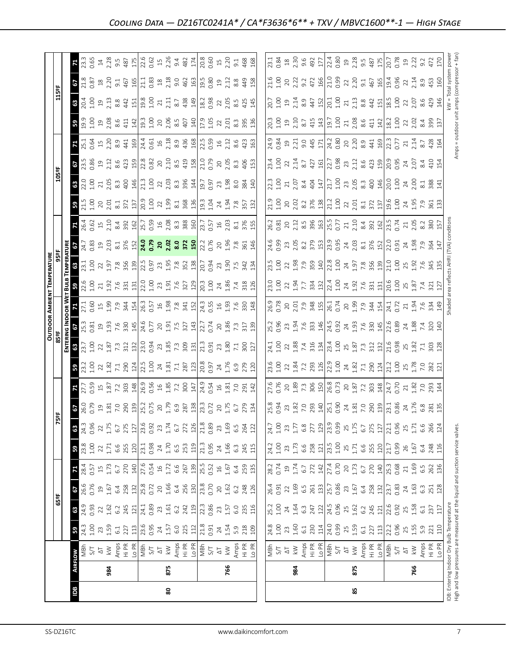|                                                                                                                            |                |                                                                         |                                                                                                                                                                                                                                                                                                                     |                                                                                                               |                                                                                                                                                                                                                                                                                             |                                                                                                                                                                                       |                                                                                                                                                                                                                                                                          |                                                                                                                                                                                                                                                                       |                                                                                                                                                                                                                                                                                                                                                                                                        |               |                                                                                                                                                                                                                                                                                                                     |                                                                                                                                                                                                                                                                                                           |       | OUTDOOR AMBIENT TEMPERATUR                                                                                                                                                                                                     |                                                                                                                                                                                                                                                                                                           |                                                                                                                                                                                                                                                                                                                     |                                                                                                                                                                                                                                                                                                                                                                                              |                                                                                                                                                                                                                                |                                                                                                                                                                                                                                                                                                           |                                                                                                                                                                                                                                                                                                           |                                                                                                                                                                                                                                                                                                                                                               |                                                                       |                                                                                                                                                                                                                                |                                                                                                                                                                                                                                                                                                                     |                                                                                                                                                                                                                                                                                                                                    |
|----------------------------------------------------------------------------------------------------------------------------|----------------|-------------------------------------------------------------------------|---------------------------------------------------------------------------------------------------------------------------------------------------------------------------------------------------------------------------------------------------------------------------------------------------------------------|---------------------------------------------------------------------------------------------------------------|---------------------------------------------------------------------------------------------------------------------------------------------------------------------------------------------------------------------------------------------------------------------------------------------|---------------------------------------------------------------------------------------------------------------------------------------------------------------------------------------|--------------------------------------------------------------------------------------------------------------------------------------------------------------------------------------------------------------------------------------------------------------------------|-----------------------------------------------------------------------------------------------------------------------------------------------------------------------------------------------------------------------------------------------------------------------|--------------------------------------------------------------------------------------------------------------------------------------------------------------------------------------------------------------------------------------------------------------------------------------------------------------------------------------------------------------------------------------------------------|---------------|---------------------------------------------------------------------------------------------------------------------------------------------------------------------------------------------------------------------------------------------------------------------------------------------------------------------|-----------------------------------------------------------------------------------------------------------------------------------------------------------------------------------------------------------------------------------------------------------------------------------------------------------|-------|--------------------------------------------------------------------------------------------------------------------------------------------------------------------------------------------------------------------------------|-----------------------------------------------------------------------------------------------------------------------------------------------------------------------------------------------------------------------------------------------------------------------------------------------------------|---------------------------------------------------------------------------------------------------------------------------------------------------------------------------------------------------------------------------------------------------------------------------------------------------------------------|----------------------------------------------------------------------------------------------------------------------------------------------------------------------------------------------------------------------------------------------------------------------------------------------------------------------------------------------------------------------------------------------|--------------------------------------------------------------------------------------------------------------------------------------------------------------------------------------------------------------------------------|-----------------------------------------------------------------------------------------------------------------------------------------------------------------------------------------------------------------------------------------------------------------------------------------------------------|-----------------------------------------------------------------------------------------------------------------------------------------------------------------------------------------------------------------------------------------------------------------------------------------------------------|---------------------------------------------------------------------------------------------------------------------------------------------------------------------------------------------------------------------------------------------------------------------------------------------------------------------------------------------------------------|-----------------------------------------------------------------------|--------------------------------------------------------------------------------------------------------------------------------------------------------------------------------------------------------------------------------|---------------------------------------------------------------------------------------------------------------------------------------------------------------------------------------------------------------------------------------------------------------------------------------------------------------------|------------------------------------------------------------------------------------------------------------------------------------------------------------------------------------------------------------------------------------------------------------------------------------------------------------------------------------|
|                                                                                                                            |                |                                                                         |                                                                                                                                                                                                                                                                                                                     | 65°F                                                                                                          |                                                                                                                                                                                                                                                                                             |                                                                                                                                                                                       |                                                                                                                                                                                                                                                                          | Ñ                                                                                                                                                                                                                                                                     | ឌី                                                                                                                                                                                                                                                                                                                                                                                                     |               |                                                                                                                                                                                                                                                                                                                     |                                                                                                                                                                                                                                                                                                           |       |                                                                                                                                                                                                                                |                                                                                                                                                                                                                                                                                                           |                                                                                                                                                                                                                                                                                                                     |                                                                                                                                                                                                                                                                                                                                                                                              |                                                                                                                                                                                                                                | 105°F                                                                                                                                                                                                                                                                                                     |                                                                                                                                                                                                                                                                                                           |                                                                                                                                                                                                                                                                                                                                                               |                                                                       | 115ºF                                                                                                                                                                                                                          |                                                                                                                                                                                                                                                                                                                     |                                                                                                                                                                                                                                                                                                                                    |
|                                                                                                                            |                |                                                                         |                                                                                                                                                                                                                                                                                                                     |                                                                                                               |                                                                                                                                                                                                                                                                                             |                                                                                                                                                                                       |                                                                                                                                                                                                                                                                          |                                                                                                                                                                                                                                                                       |                                                                                                                                                                                                                                                                                                                                                                                                        |               |                                                                                                                                                                                                                                                                                                                     |                                                                                                                                                                                                                                                                                                           |       |                                                                                                                                                                                                                                |                                                                                                                                                                                                                                                                                                           |                                                                                                                                                                                                                                                                                                                     |                                                                                                                                                                                                                                                                                                                                                                                              |                                                                                                                                                                                                                                |                                                                                                                                                                                                                                                                                                           |                                                                                                                                                                                                                                                                                                           |                                                                                                                                                                                                                                                                                                                                                               |                                                                       |                                                                                                                                                                                                                                |                                                                                                                                                                                                                                                                                                                     |                                                                                                                                                                                                                                                                                                                                    |
| Bg                                                                                                                         | <b>AIRFLOW</b> |                                                                         |                                                                                                                                                                                                                                                                                                                     |                                                                                                               |                                                                                                                                                                                                                                                                                             |                                                                                                                                                                                       |                                                                                                                                                                                                                                                                          | $\boldsymbol{\mathsf{3}}$                                                                                                                                                                                                                                             |                                                                                                                                                                                                                                                                                                                                                                                                        |               |                                                                                                                                                                                                                                                                                                                     |                                                                                                                                                                                                                                                                                                           |       |                                                                                                                                                                                                                                |                                                                                                                                                                                                                                                                                                           |                                                                                                                                                                                                                                                                                                                     |                                                                                                                                                                                                                                                                                                                                                                                              |                                                                                                                                                                                                                                |                                                                                                                                                                                                                                                                                                           |                                                                                                                                                                                                                                                                                                           |                                                                                                                                                                                                                                                                                                                                                               |                                                                       |                                                                                                                                                                                                                                |                                                                                                                                                                                                                                                                                                                     |                                                                                                                                                                                                                                                                                                                                    |
|                                                                                                                            |                |                                                                         |                                                                                                                                                                                                                                                                                                                     | $\frac{6}{5}$ $\frac{1}{2}$                                                                                   | $rac{67}{26.6}$                                                                                                                                                                                                                                                                             |                                                                                                                                                                                       |                                                                                                                                                                                                                                                                          | 0.96<br>24.3                                                                                                                                                                                                                                                          | $\frac{6}{100}$                                                                                                                                                                                                                                                                                                                                                                                        |               |                                                                                                                                                                                                                                                                                                                     |                                                                                                                                                                                                                                                                                                           |       |                                                                                                                                                                                                                                |                                                                                                                                                                                                                                                                                                           |                                                                                                                                                                                                                                                                                                                     |                                                                                                                                                                                                                                                                                                                                                                                              |                                                                                                                                                                                                                                |                                                                                                                                                                                                                                                                                                           |                                                                                                                                                                                                                                                                                                           |                                                                                                                                                                                                                                                                                                                                                               |                                                                       |                                                                                                                                                                                                                                | $rac{21.8}{51.8}$                                                                                                                                                                                                                                                                                                   | $\frac{23}{3}$ .65                                                                                                                                                                                                                                                                                                                 |
|                                                                                                                            |                |                                                                         |                                                                                                                                                                                                                                                                                                                     |                                                                                                               |                                                                                                                                                                                                                                                                                             |                                                                                                                                                                                       |                                                                                                                                                                                                                                                                          |                                                                                                                                                                                                                                                                       |                                                                                                                                                                                                                                                                                                                                                                                                        |               |                                                                                                                                                                                                                                                                                                                     |                                                                                                                                                                                                                                                                                                           |       |                                                                                                                                                                                                                                |                                                                                                                                                                                                                                                                                                           |                                                                                                                                                                                                                                                                                                                     |                                                                                                                                                                                                                                                                                                                                                                                              |                                                                                                                                                                                                                                |                                                                                                                                                                                                                                                                                                           |                                                                                                                                                                                                                                                                                                           |                                                                                                                                                                                                                                                                                                                                                               |                                                                       |                                                                                                                                                                                                                                |                                                                                                                                                                                                                                                                                                                     |                                                                                                                                                                                                                                                                                                                                    |
|                                                                                                                            | 984            | $\frac{1}{2} \sum_{i=1}^{N} \sum_{j=1}^{N}$                             |                                                                                                                                                                                                                                                                                                                     |                                                                                                               |                                                                                                                                                                                                                                                                                             |                                                                                                                                                                                       | $33.8$<br>1.00 2 2 1.71                                                                                                                                                                                                                                                  |                                                                                                                                                                                                                                                                       |                                                                                                                                                                                                                                                                                                                                                                                                        |               |                                                                                                                                                                                                                                                                                                                     |                                                                                                                                                                                                                                                                                                           |       |                                                                                                                                                                                                                                |                                                                                                                                                                                                                                                                                                           |                                                                                                                                                                                                                                                                                                                     |                                                                                                                                                                                                                                                                                                                                                                                              |                                                                                                                                                                                                                                |                                                                                                                                                                                                                                                                                                           |                                                                                                                                                                                                                                                                                                           |                                                                                                                                                                                                                                                                                                                                                               |                                                                       |                                                                                                                                                                                                                                |                                                                                                                                                                                                                                                                                                                     |                                                                                                                                                                                                                                                                                                                                    |
|                                                                                                                            |                |                                                                         |                                                                                                                                                                                                                                                                                                                     |                                                                                                               |                                                                                                                                                                                                                                                                                             |                                                                                                                                                                                       |                                                                                                                                                                                                                                                                          |                                                                                                                                                                                                                                                                       |                                                                                                                                                                                                                                                                                                                                                                                                        |               |                                                                                                                                                                                                                                                                                                                     |                                                                                                                                                                                                                                                                                                           |       |                                                                                                                                                                                                                                |                                                                                                                                                                                                                                                                                                           |                                                                                                                                                                                                                                                                                                                     |                                                                                                                                                                                                                                                                                                                                                                                              |                                                                                                                                                                                                                                |                                                                                                                                                                                                                                                                                                           |                                                                                                                                                                                                                                                                                                           |                                                                                                                                                                                                                                                                                                                                                               |                                                                       |                                                                                                                                                                                                                                |                                                                                                                                                                                                                                                                                                                     |                                                                                                                                                                                                                                                                                                                                    |
|                                                                                                                            |                |                                                                         | $\frac{1}{3}$ 3 $\frac{1}{2}$ 3 $\frac{1}{2}$ 3 $\frac{1}{2}$ 5 $\frac{1}{2}$ 3 $\frac{1}{2}$ 3 $\frac{1}{2}$ 3 $\frac{1}{2}$ 3 $\frac{1}{2}$ 3 $\frac{1}{2}$ 4 $\frac{1}{2}$ 5 $\frac{1}{2}$ 5 $\frac{1}{2}$ 5 $\frac{1}{2}$ 5 $\frac{1}{2}$ 5 $\frac{1}{2}$ 5 $\frac{1}{2}$ 5 $\frac{1}{2}$ 5 $\frac{1$           | $\begin{array}{c}\n 22 \\  \hline\n 1.62 \\  \hline\n 0.89 \\  \hline\n 1.41 \\  \hline\n 0.89\n \end{array}$ | $\begin{array}{c} 21.676 \\ 21.678 \\ 21.678 \\ 21.678 \\ 21.678 \\ 21.678 \\ 21.678 \\ 21.678 \\ 21.678 \\ 21.678 \\ 21.678 \\ 21.678 \\ 21.678 \\ 21.678 \\ 21.678 \\ 21.678 \\ 21.678 \\ 21.678 \\ 21.678 \\ 21.678 \\ 22.678 \\ 23.678 \\ 24.678 \\ 25.678 \\ 26.678 \\ 27.678 \\ 28.6$ | $\frac{1}{8}$ $\frac{2}{3}$ $\frac{5}{5}$ $\frac{1}{1}$ $\frac{7}{2}$ $\frac{2}{5}$ $\frac{2}{5}$ $\frac{2}{5}$ $\frac{4}{5}$ $\frac{6}{5}$ $\frac{5}{4}$ $\frac{6}{5}$ $\frac{1}{4}$ | $6.6$<br>$255$<br>$120$<br>$7.3$<br>$0.98$                                                                                                                                                                                                                               | $\begin{array}{c c} 22 & 5 \\ 1.75 & 6.7 \\ 6.7 & 275 \\ 127 & 23.6 \\ 0.92 & 0.92 \\ \end{array}$                                                                                                                                                                    | $\begin{array}{c} 21 \overline{11} & 21 \overline{11} & 21 \overline{11} \\ 21 \overline{11} & 21 \overline{11} & 21 \overline{11} \\ 21 \overline{11} & 21 \overline{11} & 21 \overline{11} \\ 21 \overline{11} & 21 \overline{11} & 21 \overline{11} \\ 21 \overline{11} & 21 \overline{11} & 21 \overline{11} \\ 21 \overline{11} & 21 \overline{11} & 21 \overline{11} \\ 21 \overline{11} & 21 \$ |               | $\frac{1}{2}$ $\frac{1}{2}$ $\frac{1}{2}$ $\frac{1}{2}$ $\frac{1}{2}$ $\frac{1}{2}$ $\frac{1}{2}$ $\frac{1}{2}$ $\frac{1}{2}$ $\frac{1}{2}$ $\frac{1}{2}$ $\frac{1}{2}$ $\frac{1}{2}$ $\frac{1}{2}$ $\frac{1}{2}$ $\frac{1}{2}$ $\frac{1}{2}$ $\frac{1}{2}$ $\frac{1}{2}$ $\frac{1}{2}$ $\frac{1}{2}$ $\frac{1}{2}$ | $\frac{3}{2}$ 3 $\frac{3}{2}$ 3 $\frac{3}{2}$ 3 $\frac{3}{2}$ 3 $\frac{3}{2}$ 3 $\frac{3}{2}$ 3 $\frac{3}{2}$ 3 $\frac{3}{2}$ 3 $\frac{3}{2}$ 3 $\frac{3}{2}$ 3 $\frac{3}{2}$ 3 $\frac{3}{2}$ 3 $\frac{3}{2}$ 3 $\frac{3}{2}$ 3 $\frac{3}{2}$ 3 $\frac{3}{2}$ 3 $\frac{3}{2}$ 5 $\frac{3}{2}$ 3 $\frac{3$ |       | $32.5$ $32.5$ $33.5$ $33.5$ $33.5$ $33.5$ $33.5$ $33.5$ $33.5$ $33.5$ $33.5$ $33.5$ $33.5$ $33.5$ $33.5$ $33.5$ $33.5$ $33.5$ $33.5$ $33.5$ $33.5$ $33.5$ $33.5$ $33.5$ $33.5$ $33.5$ $33.5$ $33.5$ $33.5$ $33.5$ $33.5$ $33.$ |                                                                                                                                                                                                                                                                                                           | $\frac{1}{6}$ $\frac{1}{2}$ $\frac{1}{6}$ $\frac{3}{6}$ $\frac{5}{6}$ $\frac{3}{6}$ $\frac{1}{6}$ $\frac{1}{6}$ $\frac{1}{6}$ $\frac{1}{6}$ $\frac{1}{6}$ $\frac{1}{6}$ $\frac{1}{6}$ $\frac{1}{6}$ $\frac{1}{6}$ $\frac{1}{6}$ $\frac{1}{6}$ $\frac{1}{6}$ $\frac{1}{6}$ $\frac{1}{6}$ $\frac{1}{6}$ $\frac{1}{6}$ | $\mathbf{Z}$ 3 $\alpha$ 5 $\alpha$ 5 $\alpha$ 5 $\alpha$ 6 $\alpha$ 6 $\alpha$ 6 $\alpha$ 6 $\alpha$ 6 $\alpha$ 6 $\alpha$ 6 $\alpha$ 6 $\alpha$ 6 $\alpha$ 6 $\alpha$ 6 $\alpha$ 6 $\alpha$ 6 $\alpha$ 6 $\alpha$ 6 $\alpha$ 6 $\alpha$ 6 $\alpha$ 6 $\alpha$ 6 $\alpha$ 6 $\alpha$ 6 $\alpha$ 6 $\alpha$ 6 $\alpha$ 6 $\alpha$ 6 $\alpha$ 6 $\alpha$ 6                                     |                                                                                                                                                                                                                                | $\frac{16}{12}$ $\frac{12}{12}$ $\frac{12}{12}$ $\frac{12}{12}$ $\frac{12}{12}$ $\frac{12}{12}$ $\frac{12}{12}$ $\frac{12}{12}$ $\frac{12}{12}$ $\frac{12}{12}$ $\frac{12}{12}$ $\frac{12}{12}$ $\frac{12}{12}$ $\frac{12}{12}$ $\frac{12}{12}$ $\frac{12}{12}$ $\frac{12}{12}$ $\frac{12}{12}$ $\frac{1$ | $\frac{1}{2}$ 5 $\frac{1}{2}$ 5 $\frac{1}{2}$ 5 $\frac{1}{2}$ 5 $\frac{1}{2}$ 6 $\frac{1}{2}$ 5 $\frac{1}{2}$ 6 $\frac{1}{2}$ 5 $\frac{1}{2}$ 5 $\frac{1}{2}$ 5 $\frac{1}{2}$ 5 $\frac{1}{2}$ 5 $\frac{1}{2}$ 5 $\frac{1}{2}$ 5 $\frac{1}{2}$ 5 $\frac{1}{2}$ 5 $\frac{1}{2}$ 5 $\frac{1}{2}$ 5 $\frac{1$ | $\mathbf{5}$ 3 $\overline{5}$ 3 $\overline{2}$ 3 $\overline{3}$ 3 $\overline{4}$ $\overline{5}$ 9 $\overline{2}$ 3 $\overline{3}$ 3 $\overline{3}$ 3 $\overline{4}$ $\overline{5}$ 9 $\overline{2}$ 3 $\overline{3}$ 3 $\overline{3}$ $\overline{3}$ $\overline{2}$ $\overline{3}$ $\overline{2}$ $\overline{3}$ $\overline{2}$ $\overline{3}$ $\overline{2}$ | <b>B</b> gi g a g s e t al gi g s g e s a a al gi g s g s g s g s a a | $32.5$ $23.5$ $33.5$ $34.5$ $10.5$ $32.5$ $33.5$ $34.5$ $35.5$ $36.5$ $37.5$ $38.5$ $39.5$ $39.5$ $39.5$ $39.5$ $39.5$ $39.5$ $39.5$ $39.5$ $39.5$ $39.5$ $39.5$ $39.5$ $39.5$ $39.5$ $39.5$ $39.5$ $39.5$ $39.5$ $39.5$ $39.$ |                                                                                                                                                                                                                                                                                                                     | $\begin{array}{c}\n 14.885 \\  2.895 \\  3.975 \\  2.987 \\  2.995 \\  2.995 \\  2.995 \\  2.995 \\  2.995 \\  2.995 \\  2.995 \\  2.995 \\  2.995 \\  2.995 \\  2.995 \\  2.995 \\  2.995 \\  2.995 \\  2.995 \\  2.995 \\  2.995 \\  2.995 \\  2.995 \\  2.995 \\  2.995 \\  2.995 \\  2.995 \\  2.995 \\  2.995 \\  2.995 \\  $ |
|                                                                                                                            |                |                                                                         |                                                                                                                                                                                                                                                                                                                     |                                                                                                               |                                                                                                                                                                                                                                                                                             |                                                                                                                                                                                       |                                                                                                                                                                                                                                                                          |                                                                                                                                                                                                                                                                       |                                                                                                                                                                                                                                                                                                                                                                                                        |               |                                                                                                                                                                                                                                                                                                                     |                                                                                                                                                                                                                                                                                                           |       |                                                                                                                                                                                                                                |                                                                                                                                                                                                                                                                                                           |                                                                                                                                                                                                                                                                                                                     |                                                                                                                                                                                                                                                                                                                                                                                              |                                                                                                                                                                                                                                |                                                                                                                                                                                                                                                                                                           |                                                                                                                                                                                                                                                                                                           |                                                                                                                                                                                                                                                                                                                                                               |                                                                       |                                                                                                                                                                                                                                |                                                                                                                                                                                                                                                                                                                     |                                                                                                                                                                                                                                                                                                                                    |
|                                                                                                                            |                |                                                                         |                                                                                                                                                                                                                                                                                                                     |                                                                                                               |                                                                                                                                                                                                                                                                                             |                                                                                                                                                                                       |                                                                                                                                                                                                                                                                          |                                                                                                                                                                                                                                                                       |                                                                                                                                                                                                                                                                                                                                                                                                        |               |                                                                                                                                                                                                                                                                                                                     |                                                                                                                                                                                                                                                                                                           |       |                                                                                                                                                                                                                                |                                                                                                                                                                                                                                                                                                           |                                                                                                                                                                                                                                                                                                                     |                                                                                                                                                                                                                                                                                                                                                                                              |                                                                                                                                                                                                                                |                                                                                                                                                                                                                                                                                                           |                                                                                                                                                                                                                                                                                                           |                                                                                                                                                                                                                                                                                                                                                               |                                                                       |                                                                                                                                                                                                                                |                                                                                                                                                                                                                                                                                                                     |                                                                                                                                                                                                                                                                                                                                    |
|                                                                                                                            |                |                                                                         |                                                                                                                                                                                                                                                                                                                     |                                                                                                               |                                                                                                                                                                                                                                                                                             |                                                                                                                                                                                       |                                                                                                                                                                                                                                                                          | 23                                                                                                                                                                                                                                                                    |                                                                                                                                                                                                                                                                                                                                                                                                        |               |                                                                                                                                                                                                                                                                                                                     |                                                                                                                                                                                                                                                                                                           |       |                                                                                                                                                                                                                                |                                                                                                                                                                                                                                                                                                           |                                                                                                                                                                                                                                                                                                                     |                                                                                                                                                                                                                                                                                                                                                                                              |                                                                                                                                                                                                                                |                                                                                                                                                                                                                                                                                                           |                                                                                                                                                                                                                                                                                                           |                                                                                                                                                                                                                                                                                                                                                               |                                                                       |                                                                                                                                                                                                                                |                                                                                                                                                                                                                                                                                                                     |                                                                                                                                                                                                                                                                                                                                    |
| 80                                                                                                                         | 875            |                                                                         |                                                                                                                                                                                                                                                                                                                     | $\begin{array}{c} 23 \\ 1.61 \\ 6.2 \\ 242 \\ 12 \\ 23.86 \\ 0.86 \end{array}$                                |                                                                                                                                                                                                                                                                                             |                                                                                                                                                                                       | $24$<br>1.70<br>6.5                                                                                                                                                                                                                                                      |                                                                                                                                                                                                                                                                       |                                                                                                                                                                                                                                                                                                                                                                                                        |               |                                                                                                                                                                                                                                                                                                                     |                                                                                                                                                                                                                                                                                                           |       |                                                                                                                                                                                                                                |                                                                                                                                                                                                                                                                                                           |                                                                                                                                                                                                                                                                                                                     |                                                                                                                                                                                                                                                                                                                                                                                              |                                                                                                                                                                                                                                |                                                                                                                                                                                                                                                                                                           |                                                                                                                                                                                                                                                                                                           |                                                                                                                                                                                                                                                                                                                                                               |                                                                       |                                                                                                                                                                                                                                |                                                                                                                                                                                                                                                                                                                     |                                                                                                                                                                                                                                                                                                                                    |
|                                                                                                                            |                |                                                                         |                                                                                                                                                                                                                                                                                                                     |                                                                                                               |                                                                                                                                                                                                                                                                                             |                                                                                                                                                                                       |                                                                                                                                                                                                                                                                          |                                                                                                                                                                                                                                                                       |                                                                                                                                                                                                                                                                                                                                                                                                        |               |                                                                                                                                                                                                                                                                                                                     |                                                                                                                                                                                                                                                                                                           |       |                                                                                                                                                                                                                                |                                                                                                                                                                                                                                                                                                           |                                                                                                                                                                                                                                                                                                                     |                                                                                                                                                                                                                                                                                                                                                                                              |                                                                                                                                                                                                                                |                                                                                                                                                                                                                                                                                                           |                                                                                                                                                                                                                                                                                                           |                                                                                                                                                                                                                                                                                                                                                               |                                                                       |                                                                                                                                                                                                                                |                                                                                                                                                                                                                                                                                                                     |                                                                                                                                                                                                                                                                                                                                    |
|                                                                                                                            |                |                                                                         |                                                                                                                                                                                                                                                                                                                     |                                                                                                               |                                                                                                                                                                                                                                                                                             | $\frac{27}{66}$ $\frac{6}{6}$ $\frac{5}{6}$ $\frac{13}{25}$ $\frac{15}{25}$ $\frac{25}{25}$ $\frac{25}{25}$ $\frac{16}{25}$ $\frac{1}{25}$                                            |                                                                                                                                                                                                                                                                          | $1.74$<br>$6.7$<br>$272$<br>$126$<br>$7.89$<br>$0.89$                                                                                                                                                                                                                 |                                                                                                                                                                                                                                                                                                                                                                                                        |               |                                                                                                                                                                                                                                                                                                                     |                                                                                                                                                                                                                                                                                                           |       |                                                                                                                                                                                                                                |                                                                                                                                                                                                                                                                                                           |                                                                                                                                                                                                                                                                                                                     |                                                                                                                                                                                                                                                                                                                                                                                              |                                                                                                                                                                                                                                |                                                                                                                                                                                                                                                                                                           |                                                                                                                                                                                                                                                                                                           |                                                                                                                                                                                                                                                                                                                                                               |                                                                       |                                                                                                                                                                                                                                |                                                                                                                                                                                                                                                                                                                     |                                                                                                                                                                                                                                                                                                                                    |
|                                                                                                                            |                |                                                                         |                                                                                                                                                                                                                                                                                                                     |                                                                                                               |                                                                                                                                                                                                                                                                                             |                                                                                                                                                                                       | 253                                                                                                                                                                                                                                                                      |                                                                                                                                                                                                                                                                       |                                                                                                                                                                                                                                                                                                                                                                                                        |               |                                                                                                                                                                                                                                                                                                                     |                                                                                                                                                                                                                                                                                                           |       |                                                                                                                                                                                                                                |                                                                                                                                                                                                                                                                                                           |                                                                                                                                                                                                                                                                                                                     |                                                                                                                                                                                                                                                                                                                                                                                              |                                                                                                                                                                                                                                |                                                                                                                                                                                                                                                                                                           |                                                                                                                                                                                                                                                                                                           |                                                                                                                                                                                                                                                                                                                                                               |                                                                       |                                                                                                                                                                                                                                |                                                                                                                                                                                                                                                                                                                     |                                                                                                                                                                                                                                                                                                                                    |
|                                                                                                                            |                |                                                                         |                                                                                                                                                                                                                                                                                                                     |                                                                                                               |                                                                                                                                                                                                                                                                                             |                                                                                                                                                                                       | $\begin{bmatrix} 2.3 \\ 2.95 \\ 0.95 \end{bmatrix}$                                                                                                                                                                                                                      |                                                                                                                                                                                                                                                                       |                                                                                                                                                                                                                                                                                                                                                                                                        |               |                                                                                                                                                                                                                                                                                                                     |                                                                                                                                                                                                                                                                                                           |       |                                                                                                                                                                                                                                |                                                                                                                                                                                                                                                                                                           |                                                                                                                                                                                                                                                                                                                     |                                                                                                                                                                                                                                                                                                                                                                                              |                                                                                                                                                                                                                                |                                                                                                                                                                                                                                                                                                           |                                                                                                                                                                                                                                                                                                           |                                                                                                                                                                                                                                                                                                                                                               |                                                                       |                                                                                                                                                                                                                                |                                                                                                                                                                                                                                                                                                                     |                                                                                                                                                                                                                                                                                                                                    |
|                                                                                                                            |                |                                                                         |                                                                                                                                                                                                                                                                                                                     |                                                                                                               |                                                                                                                                                                                                                                                                                             |                                                                                                                                                                                       |                                                                                                                                                                                                                                                                          |                                                                                                                                                                                                                                                                       |                                                                                                                                                                                                                                                                                                                                                                                                        |               |                                                                                                                                                                                                                                                                                                                     |                                                                                                                                                                                                                                                                                                           |       |                                                                                                                                                                                                                                |                                                                                                                                                                                                                                                                                                           |                                                                                                                                                                                                                                                                                                                     |                                                                                                                                                                                                                                                                                                                                                                                              |                                                                                                                                                                                                                                |                                                                                                                                                                                                                                                                                                           |                                                                                                                                                                                                                                                                                                           |                                                                                                                                                                                                                                                                                                                                                               |                                                                       |                                                                                                                                                                                                                                |                                                                                                                                                                                                                                                                                                                     |                                                                                                                                                                                                                                                                                                                                    |
|                                                                                                                            |                |                                                                         |                                                                                                                                                                                                                                                                                                                     | 23                                                                                                            |                                                                                                                                                                                                                                                                                             |                                                                                                                                                                                       |                                                                                                                                                                                                                                                                          |                                                                                                                                                                                                                                                                       |                                                                                                                                                                                                                                                                                                                                                                                                        |               |                                                                                                                                                                                                                                                                                                                     |                                                                                                                                                                                                                                                                                                           |       |                                                                                                                                                                                                                                |                                                                                                                                                                                                                                                                                                           |                                                                                                                                                                                                                                                                                                                     |                                                                                                                                                                                                                                                                                                                                                                                              |                                                                                                                                                                                                                                |                                                                                                                                                                                                                                                                                                           |                                                                                                                                                                                                                                                                                                           |                                                                                                                                                                                                                                                                                                                                                               |                                                                       |                                                                                                                                                                                                                                |                                                                                                                                                                                                                                                                                                                     |                                                                                                                                                                                                                                                                                                                                    |
|                                                                                                                            | 766            |                                                                         | $74.59$<br>$1.54$<br>$5.9$<br>$2.09$                                                                                                                                                                                                                                                                                | 1.57                                                                                                          | $20^{1.62}$                                                                                                                                                                                                                                                                                 |                                                                                                                                                                                       | $24$<br>$1.66$<br>$6.3$                                                                                                                                                                                                                                                  | 73.69                                                                                                                                                                                                                                                                 |                                                                                                                                                                                                                                                                                                                                                                                                        |               |                                                                                                                                                                                                                                                                                                                     |                                                                                                                                                                                                                                                                                                           |       |                                                                                                                                                                                                                                |                                                                                                                                                                                                                                                                                                           |                                                                                                                                                                                                                                                                                                                     |                                                                                                                                                                                                                                                                                                                                                                                              |                                                                                                                                                                                                                                |                                                                                                                                                                                                                                                                                                           |                                                                                                                                                                                                                                                                                                           |                                                                                                                                                                                                                                                                                                                                                               |                                                                       |                                                                                                                                                                                                                                |                                                                                                                                                                                                                                                                                                                     |                                                                                                                                                                                                                                                                                                                                    |
|                                                                                                                            |                |                                                                         |                                                                                                                                                                                                                                                                                                                     | 6.0                                                                                                           | 6.2                                                                                                                                                                                                                                                                                         | 6.4                                                                                                                                                                                   |                                                                                                                                                                                                                                                                          |                                                                                                                                                                                                                                                                       |                                                                                                                                                                                                                                                                                                                                                                                                        |               |                                                                                                                                                                                                                                                                                                                     |                                                                                                                                                                                                                                                                                                           |       |                                                                                                                                                                                                                                |                                                                                                                                                                                                                                                                                                           |                                                                                                                                                                                                                                                                                                                     |                                                                                                                                                                                                                                                                                                                                                                                              |                                                                                                                                                                                                                                |                                                                                                                                                                                                                                                                                                           |                                                                                                                                                                                                                                                                                                           |                                                                                                                                                                                                                                                                                                                                                               |                                                                       |                                                                                                                                                                                                                                |                                                                                                                                                                                                                                                                                                                     |                                                                                                                                                                                                                                                                                                                                    |
|                                                                                                                            |                | Amps<br>Hi PR<br>Lo PR                                                  |                                                                                                                                                                                                                                                                                                                     | 235<br>116                                                                                                    |                                                                                                                                                                                                                                                                                             | 259<br>135                                                                                                                                                                            |                                                                                                                                                                                                                                                                          |                                                                                                                                                                                                                                                                       |                                                                                                                                                                                                                                                                                                                                                                                                        |               |                                                                                                                                                                                                                                                                                                                     |                                                                                                                                                                                                                                                                                                           |       |                                                                                                                                                                                                                                |                                                                                                                                                                                                                                                                                                           |                                                                                                                                                                                                                                                                                                                     |                                                                                                                                                                                                                                                                                                                                                                                              |                                                                                                                                                                                                                                |                                                                                                                                                                                                                                                                                                           |                                                                                                                                                                                                                                                                                                           |                                                                                                                                                                                                                                                                                                                                                               |                                                                       |                                                                                                                                                                                                                                |                                                                                                                                                                                                                                                                                                                     | 468<br>168                                                                                                                                                                                                                                                                                                                         |
|                                                                                                                            |                |                                                                         |                                                                                                                                                                                                                                                                                                                     |                                                                                                               | 248<br>126                                                                                                                                                                                                                                                                                  |                                                                                                                                                                                       | 245<br>115                                                                                                                                                                                                                                                               | 264<br>122                                                                                                                                                                                                                                                            |                                                                                                                                                                                                                                                                                                                                                                                                        | $\frac{1}{4}$ |                                                                                                                                                                                                                                                                                                                     |                                                                                                                                                                                                                                                                                                           |       |                                                                                                                                                                                                                                |                                                                                                                                                                                                                                                                                                           |                                                                                                                                                                                                                                                                                                                     |                                                                                                                                                                                                                                                                                                                                                                                              |                                                                                                                                                                                                                                |                                                                                                                                                                                                                                                                                                           |                                                                                                                                                                                                                                                                                                           |                                                                                                                                                                                                                                                                                                                                                               |                                                                       | 145                                                                                                                                                                                                                            |                                                                                                                                                                                                                                                                                                                     |                                                                                                                                                                                                                                                                                                                                    |
|                                                                                                                            |                |                                                                         |                                                                                                                                                                                                                                                                                                                     |                                                                                                               |                                                                                                                                                                                                                                                                                             |                                                                                                                                                                                       |                                                                                                                                                                                                                                                                          |                                                                                                                                                                                                                                                                       |                                                                                                                                                                                                                                                                                                                                                                                                        |               |                                                                                                                                                                                                                                                                                                                     |                                                                                                                                                                                                                                                                                                           |       |                                                                                                                                                                                                                                |                                                                                                                                                                                                                                                                                                           |                                                                                                                                                                                                                                                                                                                     |                                                                                                                                                                                                                                                                                                                                                                                              |                                                                                                                                                                                                                                |                                                                                                                                                                                                                                                                                                           |                                                                                                                                                                                                                                                                                                           |                                                                                                                                                                                                                                                                                                                                                               |                                                                       |                                                                                                                                                                                                                                |                                                                                                                                                                                                                                                                                                                     |                                                                                                                                                                                                                                                                                                                                    |
|                                                                                                                            |                |                                                                         |                                                                                                                                                                                                                                                                                                                     |                                                                                                               |                                                                                                                                                                                                                                                                                             | 28.2<br>0.74                                                                                                                                                                          | 24.2<br>1.00<br>23                                                                                                                                                                                                                                                       |                                                                                                                                                                                                                                                                       |                                                                                                                                                                                                                                                                                                                                                                                                        |               |                                                                                                                                                                                                                                                                                                                     |                                                                                                                                                                                                                                                                                                           |       |                                                                                                                                                                                                                                |                                                                                                                                                                                                                                                                                                           |                                                                                                                                                                                                                                                                                                                     |                                                                                                                                                                                                                                                                                                                                                                                              |                                                                                                                                                                                                                                |                                                                                                                                                                                                                                                                                                           |                                                                                                                                                                                                                                                                                                           |                                                                                                                                                                                                                                                                                                                                                               |                                                                       |                                                                                                                                                                                                                                |                                                                                                                                                                                                                                                                                                                     |                                                                                                                                                                                                                                                                                                                                    |
|                                                                                                                            |                | $\frac{5}{5}$ $\frac{2}{5}$ $\frac{2}{5}$ $\frac{5}{5}$                 | $24.8$<br>1.00<br>23<br>1.60                                                                                                                                                                                                                                                                                        | 25.2<br>1.00                                                                                                  | 26.4<br>0.91                                                                                                                                                                                                                                                                                |                                                                                                                                                                                       |                                                                                                                                                                                                                                                                          |                                                                                                                                                                                                                                                                       |                                                                                                                                                                                                                                                                                                                                                                                                        |               |                                                                                                                                                                                                                                                                                                                     |                                                                                                                                                                                                                                                                                                           |       |                                                                                                                                                                                                                                |                                                                                                                                                                                                                                                                                                           |                                                                                                                                                                                                                                                                                                                     |                                                                                                                                                                                                                                                                                                                                                                                              |                                                                                                                                                                                                                                |                                                                                                                                                                                                                                                                                                           |                                                                                                                                                                                                                                                                                                           |                                                                                                                                                                                                                                                                                                                                                               |                                                                       |                                                                                                                                                                                                                                | 21.6<br>1.00<br>2.22                                                                                                                                                                                                                                                                                                | 23.1<br>0.84                                                                                                                                                                                                                                                                                                                       |
|                                                                                                                            |                |                                                                         |                                                                                                                                                                                                                                                                                                                     |                                                                                                               |                                                                                                                                                                                                                                                                                             |                                                                                                                                                                                       |                                                                                                                                                                                                                                                                          |                                                                                                                                                                                                                                                                       |                                                                                                                                                                                                                                                                                                                                                                                                        |               |                                                                                                                                                                                                                                                                                                                     |                                                                                                                                                                                                                                                                                                           |       |                                                                                                                                                                                                                                |                                                                                                                                                                                                                                                                                                           |                                                                                                                                                                                                                                                                                                                     |                                                                                                                                                                                                                                                                                                                                                                                              |                                                                                                                                                                                                                                |                                                                                                                                                                                                                                                                                                           |                                                                                                                                                                                                                                                                                                           |                                                                                                                                                                                                                                                                                                                                                               |                                                                       |                                                                                                                                                                                                                                |                                                                                                                                                                                                                                                                                                                     |                                                                                                                                                                                                                                                                                                                                    |
|                                                                                                                            | 984            |                                                                         |                                                                                                                                                                                                                                                                                                                     |                                                                                                               |                                                                                                                                                                                                                                                                                             |                                                                                                                                                                                       |                                                                                                                                                                                                                                                                          |                                                                                                                                                                                                                                                                       |                                                                                                                                                                                                                                                                                                                                                                                                        |               |                                                                                                                                                                                                                                                                                                                     |                                                                                                                                                                                                                                                                                                           |       |                                                                                                                                                                                                                                |                                                                                                                                                                                                                                                                                                           |                                                                                                                                                                                                                                                                                                                     |                                                                                                                                                                                                                                                                                                                                                                                              |                                                                                                                                                                                                                                |                                                                                                                                                                                                                                                                                                           |                                                                                                                                                                                                                                                                                                           |                                                                                                                                                                                                                                                                                                                                                               |                                                                       |                                                                                                                                                                                                                                |                                                                                                                                                                                                                                                                                                                     |                                                                                                                                                                                                                                                                                                                                    |
|                                                                                                                            |                |                                                                         |                                                                                                                                                                                                                                                                                                                     | $24$<br>1.64<br>5.3<br>$\frac{2}{1}$<br>5.3<br>$\frac{2}{1}$<br>5.9<br>0.9<br>0.9                             |                                                                                                                                                                                                                                                                                             |                                                                                                                                                                                       |                                                                                                                                                                                                                                                                          | $\begin{array}{c c} 24.7 & 0.000 & 0.000 & 0.000 & 0.000 & 0.000 & 0.000 & 0.000 & 0.000 & 0.000 & 0.000 & 0.000 & 0.000 & 0.000 & 0.000 & 0.000 & 0.000 & 0.000 & 0.000 & 0.000 & 0.000 & 0.000 & 0.000 & 0.000 & 0.000 & 0.000 & 0.000 & 0.000 & 0.000 & 0.000 & 0$ |                                                                                                                                                                                                                                                                                                                                                                                                        |               |                                                                                                                                                                                                                                                                                                                     |                                                                                                                                                                                                                                                                                                           |       |                                                                                                                                                                                                                                |                                                                                                                                                                                                                                                                                                           |                                                                                                                                                                                                                                                                                                                     |                                                                                                                                                                                                                                                                                                                                                                                              |                                                                                                                                                                                                                                |                                                                                                                                                                                                                                                                                                           |                                                                                                                                                                                                                                                                                                           |                                                                                                                                                                                                                                                                                                                                                               |                                                                       |                                                                                                                                                                                                                                |                                                                                                                                                                                                                                                                                                                     |                                                                                                                                                                                                                                                                                                                                    |
|                                                                                                                            |                |                                                                         |                                                                                                                                                                                                                                                                                                                     |                                                                                                               |                                                                                                                                                                                                                                                                                             |                                                                                                                                                                                       |                                                                                                                                                                                                                                                                          |                                                                                                                                                                                                                                                                       |                                                                                                                                                                                                                                                                                                                                                                                                        |               |                                                                                                                                                                                                                                                                                                                     |                                                                                                                                                                                                                                                                                                           |       |                                                                                                                                                                                                                                |                                                                                                                                                                                                                                                                                                           |                                                                                                                                                                                                                                                                                                                     |                                                                                                                                                                                                                                                                                                                                                                                              |                                                                                                                                                                                                                                |                                                                                                                                                                                                                                                                                                           |                                                                                                                                                                                                                                                                                                           |                                                                                                                                                                                                                                                                                                                                                               |                                                                       |                                                                                                                                                                                                                                |                                                                                                                                                                                                                                                                                                                     |                                                                                                                                                                                                                                                                                                                                    |
|                                                                                                                            |                |                                                                         |                                                                                                                                                                                                                                                                                                                     |                                                                                                               |                                                                                                                                                                                                                                                                                             |                                                                                                                                                                                       |                                                                                                                                                                                                                                                                          |                                                                                                                                                                                                                                                                       |                                                                                                                                                                                                                                                                                                                                                                                                        |               |                                                                                                                                                                                                                                                                                                                     |                                                                                                                                                                                                                                                                                                           |       |                                                                                                                                                                                                                                |                                                                                                                                                                                                                                                                                                           |                                                                                                                                                                                                                                                                                                                     |                                                                                                                                                                                                                                                                                                                                                                                              |                                                                                                                                                                                                                                |                                                                                                                                                                                                                                                                                                           |                                                                                                                                                                                                                                                                                                           |                                                                                                                                                                                                                                                                                                                                                               |                                                                       |                                                                                                                                                                                                                                |                                                                                                                                                                                                                                                                                                                     |                                                                                                                                                                                                                                                                                                                                    |
|                                                                                                                            |                |                                                                         |                                                                                                                                                                                                                                                                                                                     |                                                                                                               |                                                                                                                                                                                                                                                                                             |                                                                                                                                                                                       |                                                                                                                                                                                                                                                                          |                                                                                                                                                                                                                                                                       |                                                                                                                                                                                                                                                                                                                                                                                                        |               |                                                                                                                                                                                                                                                                                                                     |                                                                                                                                                                                                                                                                                                           |       |                                                                                                                                                                                                                                |                                                                                                                                                                                                                                                                                                           |                                                                                                                                                                                                                                                                                                                     |                                                                                                                                                                                                                                                                                                                                                                                              |                                                                                                                                                                                                                                |                                                                                                                                                                                                                                                                                                           |                                                                                                                                                                                                                                                                                                           |                                                                                                                                                                                                                                                                                                                                                               |                                                                       |                                                                                                                                                                                                                                |                                                                                                                                                                                                                                                                                                                     |                                                                                                                                                                                                                                                                                                                                    |
|                                                                                                                            |                |                                                                         |                                                                                                                                                                                                                                                                                                                     |                                                                                                               |                                                                                                                                                                                                                                                                                             |                                                                                                                                                                                       |                                                                                                                                                                                                                                                                          |                                                                                                                                                                                                                                                                       |                                                                                                                                                                                                                                                                                                                                                                                                        |               |                                                                                                                                                                                                                                                                                                                     |                                                                                                                                                                                                                                                                                                           |       |                                                                                                                                                                                                                                |                                                                                                                                                                                                                                                                                                           |                                                                                                                                                                                                                                                                                                                     |                                                                                                                                                                                                                                                                                                                                                                                              |                                                                                                                                                                                                                                |                                                                                                                                                                                                                                                                                                           |                                                                                                                                                                                                                                                                                                           |                                                                                                                                                                                                                                                                                                                                                               |                                                                       |                                                                                                                                                                                                                                |                                                                                                                                                                                                                                                                                                                     |                                                                                                                                                                                                                                                                                                                                    |
|                                                                                                                            |                |                                                                         |                                                                                                                                                                                                                                                                                                                     |                                                                                                               |                                                                                                                                                                                                                                                                                             |                                                                                                                                                                                       |                                                                                                                                                                                                                                                                          |                                                                                                                                                                                                                                                                       |                                                                                                                                                                                                                                                                                                                                                                                                        |               |                                                                                                                                                                                                                                                                                                                     |                                                                                                                                                                                                                                                                                                           |       |                                                                                                                                                                                                                                |                                                                                                                                                                                                                                                                                                           |                                                                                                                                                                                                                                                                                                                     |                                                                                                                                                                                                                                                                                                                                                                                              |                                                                                                                                                                                                                                |                                                                                                                                                                                                                                                                                                           |                                                                                                                                                                                                                                                                                                           |                                                                                                                                                                                                                                                                                                                                                               |                                                                       |                                                                                                                                                                                                                                |                                                                                                                                                                                                                                                                                                                     |                                                                                                                                                                                                                                                                                                                                    |
| 85                                                                                                                         | 875            |                                                                         | $\frac{1}{2}$ $\frac{1}{2}$ $\frac{1}{2}$ $\frac{1}{2}$ $\frac{1}{2}$ $\frac{1}{2}$ $\frac{1}{2}$ $\frac{1}{2}$ $\frac{1}{2}$ $\frac{1}{2}$ $\frac{1}{2}$ $\frac{1}{2}$ $\frac{1}{2}$ $\frac{1}{2}$ $\frac{1}{2}$ $\frac{1}{2}$ $\frac{1}{2}$ $\frac{1}{2}$ $\frac{1}{2}$ $\frac{1}{2}$ $\frac{1}{2}$ $\frac{1}{2}$ |                                                                                                               |                                                                                                                                                                                                                                                                                             |                                                                                                                                                                                       |                                                                                                                                                                                                                                                                          |                                                                                                                                                                                                                                                                       |                                                                                                                                                                                                                                                                                                                                                                                                        |               |                                                                                                                                                                                                                                                                                                                     |                                                                                                                                                                                                                                                                                                           |       |                                                                                                                                                                                                                                |                                                                                                                                                                                                                                                                                                           |                                                                                                                                                                                                                                                                                                                     |                                                                                                                                                                                                                                                                                                                                                                                              |                                                                                                                                                                                                                                |                                                                                                                                                                                                                                                                                                           |                                                                                                                                                                                                                                                                                                           |                                                                                                                                                                                                                                                                                                                                                               |                                                                       |                                                                                                                                                                                                                                |                                                                                                                                                                                                                                                                                                                     |                                                                                                                                                                                                                                                                                                                                    |
|                                                                                                                            |                |                                                                         |                                                                                                                                                                                                                                                                                                                     |                                                                                                               |                                                                                                                                                                                                                                                                                             |                                                                                                                                                                                       |                                                                                                                                                                                                                                                                          |                                                                                                                                                                                                                                                                       |                                                                                                                                                                                                                                                                                                                                                                                                        |               |                                                                                                                                                                                                                                                                                                                     |                                                                                                                                                                                                                                                                                                           |       |                                                                                                                                                                                                                                |                                                                                                                                                                                                                                                                                                           |                                                                                                                                                                                                                                                                                                                     |                                                                                                                                                                                                                                                                                                                                                                                              |                                                                                                                                                                                                                                |                                                                                                                                                                                                                                                                                                           |                                                                                                                                                                                                                                                                                                           |                                                                                                                                                                                                                                                                                                                                                               |                                                                       |                                                                                                                                                                                                                                |                                                                                                                                                                                                                                                                                                                     |                                                                                                                                                                                                                                                                                                                                    |
|                                                                                                                            |                | Amps<br>H PR<br>LO PM<br>S T<br>Amps<br>Amps<br>LO PR<br>LO PR<br>LO PR | $113$                                                                                                                                                                                                                                                                                                               |                                                                                                               |                                                                                                                                                                                                                                                                                             |                                                                                                                                                                                       |                                                                                                                                                                                                                                                                          |                                                                                                                                                                                                                                                                       |                                                                                                                                                                                                                                                                                                                                                                                                        |               |                                                                                                                                                                                                                                                                                                                     |                                                                                                                                                                                                                                                                                                           |       |                                                                                                                                                                                                                                |                                                                                                                                                                                                                                                                                                           |                                                                                                                                                                                                                                                                                                                     |                                                                                                                                                                                                                                                                                                                                                                                              |                                                                                                                                                                                                                                |                                                                                                                                                                                                                                                                                                           |                                                                                                                                                                                                                                                                                                           |                                                                                                                                                                                                                                                                                                                                                               |                                                                       |                                                                                                                                                                                                                                |                                                                                                                                                                                                                                                                                                                     |                                                                                                                                                                                                                                                                                                                                    |
|                                                                                                                            |                |                                                                         |                                                                                                                                                                                                                                                                                                                     |                                                                                                               | $\begin{array}{c} 22.56 & 24.57 \\ 24.56 & 25.57 \\ 25.57 & 25.57 \\ 25.57 & 25.57 \\ 25.57 & 25.57 \\ 25.57 & 25.57 \\ 25.57 & 25.57 \\ 25.57 & 25.57 \\ 25.57 & 25.57 \\ 25.57 & 25.57 \\ 25.57 & 25.57 \\ 25.57 & 25.57 \\ 25.57 & 25.57 \\ 25.57 & 25.57 \\ 25.57 & 25.57 \\ 25$        |                                                                                                                                                                                       | $\begin{array}{c c c c c c} 1.73 & 0.99 & 0.90 & 0.00 & 0.00 & 0.00 & 0.00 & 0.00 & 0.00 & 0.00 & 0.00 & 0.00 & 0.00 & 0.00 & 0.00 & 0.00 & 0.00 & 0.00 & 0.00 & 0.00 & 0.00 & 0.00 & 0.00 & 0.00 & 0.00 & 0.00 & 0.00 & 0.00 & 0.00 & 0.00 & 0.00 & 0.00 & 0.00 & 0.00$ | $\begin{array}{c} 23.9 \\ 0.99 \\ 25 \\ 1.75 \\ 6.7 \\ 275 \\ 21 \\ 21 \\ 23.4 \\ 0.96 \\ \end{array}$                                                                                                                                                                |                                                                                                                                                                                                                                                                                                                                                                                                        |               |                                                                                                                                                                                                                                                                                                                     |                                                                                                                                                                                                                                                                                                           |       |                                                                                                                                                                                                                                | $\frac{15}{21}$ $\frac{30}{21}$ $\frac{30}{21}$ $\frac{30}{21}$ $\frac{30}{21}$ $\frac{30}{21}$ $\frac{30}{21}$ $\frac{30}{21}$ $\frac{30}{21}$ $\frac{30}{21}$ $\frac{30}{21}$ $\frac{30}{21}$ $\frac{30}{21}$ $\frac{30}{21}$ $\frac{30}{21}$ $\frac{30}{21}$ $\frac{30}{21}$ $\frac{30}{21}$ $\frac{3$ |                                                                                                                                                                                                                                                                                                                     | $\begin{array}{l} 26.81 \\ 26.92 \end{array} \begin{array}{l} 27.4 \\ 27.4 \\ 28.4 \end{array} \begin{array}{l} 27.4 \\ 27.4 \\ 27.4 \end{array} \begin{array}{l} 27.4 \\ 27.4 \\ 27.4 \end{array} \begin{array}{l} 27.4 \\ 27.4 \\ 27.4 \end{array} \begin{array}{l} 27.4 \\ 27.4 \\ 27.4 \end{array} \begin{array}{l} 27.4 \\ 27.4 \\ 27.4 \end{array} \begin{array}{l} 27.4 \\ 27.4 \\ 2$ | $21.9$ $8.3$ $2.8$ $8.7$ $2.8$ $2.7$ $2.7$ $2.8$ $2.7$ $2.7$ $2.8$ $2.7$ $2.7$ $2.8$ $2.7$ $2.8$ $2.7$ $2.7$ $2.8$ $2.7$ $2.7$ $2.8$ $2.7$ $2.8$ $2.7$ $2.8$ $2.7$ $2.8$ $2.7$ $2.8$ $2.7$ $2.8$ $2.7$ $2.8$ $2.7$ $2.8$ $2.8$ |                                                                                                                                                                                                                                                                                                           |                                                                                                                                                                                                                                                                                                           | $23.89$ and client client client client client client client client client client client client client client client client client client client client client client client client client client client client client client                                                                                                                                 |                                                                       |                                                                                                                                                                                                                                | $\frac{1}{2}$ $\frac{1}{2}$ $\frac{1}{2}$ $\frac{1}{2}$ $\frac{1}{2}$ $\frac{1}{2}$ $\frac{1}{2}$ $\frac{1}{2}$ $\frac{1}{2}$ $\frac{1}{2}$ $\frac{1}{2}$ $\frac{1}{2}$ $\frac{1}{2}$ $\frac{1}{2}$ $\frac{1}{2}$ $\frac{1}{2}$ $\frac{1}{2}$ $\frac{1}{2}$ $\frac{1}{2}$ $\frac{1}{2}$ $\frac{1}{2}$ $\frac{1}{2}$ | $\begin{array}{c}\n 23.83 \\  25.83 \\  26.83 \\  27.83 \\  28.93 \\  29.83 \\  20.83 \\  21.83 \\  22.83 \\  23.83 \\  24.83 \\  25.83 \\  27.83 \\  27.83 \\  27.83 \\  27.83 \\  27.83 \\  27.83 \\  27.83 \\  27.83 \\  27.83 \\  27.83 \\  27.83 \\  27.83 \\  27.83 \\  27.83 \\  27.83 \\  27.83 \\  27.83 \\  27.83 \\  2$ |
|                                                                                                                            |                | S/T<br>S/T                                                              | 22.2<br>0.96                                                                                                                                                                                                                                                                                                        |                                                                                                               |                                                                                                                                                                                                                                                                                             |                                                                                                                                                                                       |                                                                                                                                                                                                                                                                          |                                                                                                                                                                                                                                                                       |                                                                                                                                                                                                                                                                                                                                                                                                        |               |                                                                                                                                                                                                                                                                                                                     |                                                                                                                                                                                                                                                                                                           |       |                                                                                                                                                                                                                                |                                                                                                                                                                                                                                                                                                           |                                                                                                                                                                                                                                                                                                                     |                                                                                                                                                                                                                                                                                                                                                                                              |                                                                                                                                                                                                                                |                                                                                                                                                                                                                                                                                                           |                                                                                                                                                                                                                                                                                                           |                                                                                                                                                                                                                                                                                                                                                               |                                                                       |                                                                                                                                                                                                                                |                                                                                                                                                                                                                                                                                                                     |                                                                                                                                                                                                                                                                                                                                    |
|                                                                                                                            |                |                                                                         |                                                                                                                                                                                                                                                                                                                     |                                                                                                               |                                                                                                                                                                                                                                                                                             |                                                                                                                                                                                       |                                                                                                                                                                                                                                                                          |                                                                                                                                                                                                                                                                       |                                                                                                                                                                                                                                                                                                                                                                                                        |               |                                                                                                                                                                                                                                                                                                                     |                                                                                                                                                                                                                                                                                                           |       |                                                                                                                                                                                                                                |                                                                                                                                                                                                                                                                                                           |                                                                                                                                                                                                                                                                                                                     |                                                                                                                                                                                                                                                                                                                                                                                              |                                                                                                                                                                                                                                |                                                                                                                                                                                                                                                                                                           |                                                                                                                                                                                                                                                                                                           |                                                                                                                                                                                                                                                                                                                                                               |                                                                       |                                                                                                                                                                                                                                |                                                                                                                                                                                                                                                                                                                     |                                                                                                                                                                                                                                                                                                                                    |
|                                                                                                                            | 766            | $\frac{\Delta T}{k}$                                                    | $\begin{array}{c} 25 \\ 1.55 \end{array}$                                                                                                                                                                                                                                                                           | $25$<br>$1.58$                                                                                                | $24$<br>1.63                                                                                                                                                                                                                                                                                |                                                                                                                                                                                       | $26$<br>$1.67$                                                                                                                                                                                                                                                           | $25$<br>1.71                                                                                                                                                                                                                                                          |                                                                                                                                                                                                                                                                                                                                                                                                        |               |                                                                                                                                                                                                                                                                                                                     |                                                                                                                                                                                                                                                                                                           |       |                                                                                                                                                                                                                                |                                                                                                                                                                                                                                                                                                           |                                                                                                                                                                                                                                                                                                                     |                                                                                                                                                                                                                                                                                                                                                                                              |                                                                                                                                                                                                                                |                                                                                                                                                                                                                                                                                                           |                                                                                                                                                                                                                                                                                                           |                                                                                                                                                                                                                                                                                                                                                               |                                                                       |                                                                                                                                                                                                                                |                                                                                                                                                                                                                                                                                                                     |                                                                                                                                                                                                                                                                                                                                    |
|                                                                                                                            |                |                                                                         | 5.9<br>221                                                                                                                                                                                                                                                                                                          |                                                                                                               |                                                                                                                                                                                                                                                                                             |                                                                                                                                                                                       |                                                                                                                                                                                                                                                                          |                                                                                                                                                                                                                                                                       |                                                                                                                                                                                                                                                                                                                                                                                                        |               |                                                                                                                                                                                                                                                                                                                     |                                                                                                                                                                                                                                                                                                           |       |                                                                                                                                                                                                                                |                                                                                                                                                                                                                                                                                                           |                                                                                                                                                                                                                                                                                                                     |                                                                                                                                                                                                                                                                                                                                                                                              |                                                                                                                                                                                                                                |                                                                                                                                                                                                                                                                                                           |                                                                                                                                                                                                                                                                                                           |                                                                                                                                                                                                                                                                                                                                                               |                                                                       | 8.6<br>429                                                                                                                                                                                                                     |                                                                                                                                                                                                                                                                                                                     |                                                                                                                                                                                                                                                                                                                                    |
|                                                                                                                            |                | Amps<br>Hi PR                                                           |                                                                                                                                                                                                                                                                                                                     | 6.1<br>237                                                                                                    | G.3<br>251<br>128                                                                                                                                                                                                                                                                           | $71.69$<br>$6.5$<br>$262$<br>$136$                                                                                                                                                    | 6.4<br>248<br>116                                                                                                                                                                                                                                                        | 6.6<br>266<br>124                                                                                                                                                                                                                                                     |                                                                                                                                                                                                                                                                                                                                                                                                        |               |                                                                                                                                                                                                                                                                                                                     |                                                                                                                                                                                                                                                                                                           |       |                                                                                                                                                                                                                                |                                                                                                                                                                                                                                                                                                           |                                                                                                                                                                                                                                                                                                                     |                                                                                                                                                                                                                                                                                                                                                                                              |                                                                                                                                                                                                                                |                                                                                                                                                                                                                                                                                                           |                                                                                                                                                                                                                                                                                                           |                                                                                                                                                                                                                                                                                                                                                               | 8.4<br>399<br>137                                                     |                                                                                                                                                                                                                                | 3. 5<br>45<br>160                                                                                                                                                                                                                                                                                                   |                                                                                                                                                                                                                                                                                                                                    |
|                                                                                                                            |                | Lo PR                                                                   | 110                                                                                                                                                                                                                                                                                                                 | 117                                                                                                           |                                                                                                                                                                                                                                                                                             |                                                                                                                                                                                       |                                                                                                                                                                                                                                                                          |                                                                                                                                                                                                                                                                       |                                                                                                                                                                                                                                                                                                                                                                                                        | 144           | $\overline{121}$                                                                                                                                                                                                                                                                                                    |                                                                                                                                                                                                                                                                                                           |       |                                                                                                                                                                                                                                |                                                                                                                                                                                                                                                                                                           |                                                                                                                                                                                                                                                                                                                     |                                                                                                                                                                                                                                                                                                                                                                                              |                                                                                                                                                                                                                                |                                                                                                                                                                                                                                                                                                           |                                                                                                                                                                                                                                                                                                           |                                                                                                                                                                                                                                                                                                                                                               |                                                                       | 146                                                                                                                                                                                                                            |                                                                                                                                                                                                                                                                                                                     |                                                                                                                                                                                                                                                                                                                                    |
| High and low pressures are measured at the liquid and suction service valves.<br>IDB: Entering Indoor Dry Bulb Temperature |                |                                                                         |                                                                                                                                                                                                                                                                                                                     |                                                                                                               |                                                                                                                                                                                                                                                                                             |                                                                                                                                                                                       |                                                                                                                                                                                                                                                                          |                                                                                                                                                                                                                                                                       |                                                                                                                                                                                                                                                                                                                                                                                                        |               |                                                                                                                                                                                                                                                                                                                     |                                                                                                                                                                                                                                                                                                           | haded |                                                                                                                                                                                                                                |                                                                                                                                                                                                                                                                                                           | (M)                                                                                                                                                                                                                                                                                                                 |                                                                                                                                                                                                                                                                                                                                                                                              |                                                                                                                                                                                                                                |                                                                                                                                                                                                                                                                                                           |                                                                                                                                                                                                                                                                                                           |                                                                                                                                                                                                                                                                                                                                                               | outdoor unit amps (compressor + far                                   |                                                                                                                                                                                                                                | tal syst                                                                                                                                                                                                                                                                                                            | powe                                                                                                                                                                                                                                                                                                                               |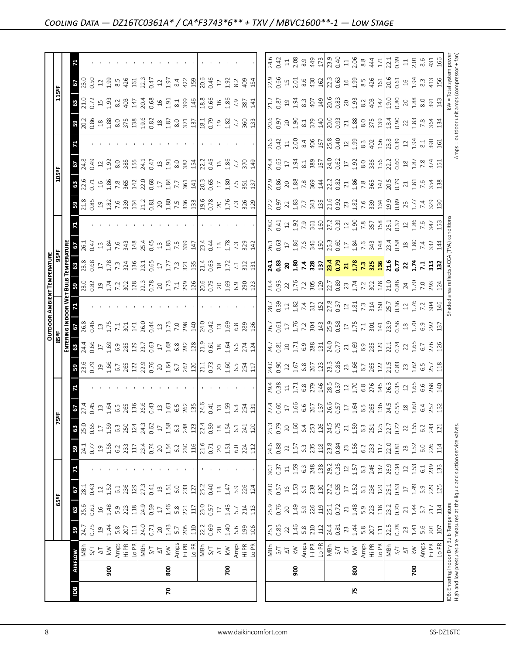|                                                                                                                            |                |                                                                                                                                                                                                                                                                                                                                                                                                                                                           |                                                                                                                                                 |                                                                                         |                                                                                  |                                                                                                                                                                                                                               |                                                                   |                                                                            |                                                                                                                                                                                                                                                                                                             |                                                                                                                                                                                                                                                                                                                     |                                                                                |                                                                                                      |                                                                                                                                                                                                                                                                       | <b>OUTDOOR AMBIENT TEMPERATURE</b>                                                                                                                                                                                                                                                                                                                                                     |                                                                                                                                                                                                                                                                                                                        |                                                                                                                                                                                                                                |                                                                                                      |                                                                                                                                                                                                                                                                       |                                                                                                                                                                                                                                                                                                           |                                                                                                                                                                                                                                                                                                           |                                                                                                                                                                                                                                             |                                                                                                                                                                                                                                |                                                                                                      |                                                                                                                                                                                                                              |
|----------------------------------------------------------------------------------------------------------------------------|----------------|-----------------------------------------------------------------------------------------------------------------------------------------------------------------------------------------------------------------------------------------------------------------------------------------------------------------------------------------------------------------------------------------------------------------------------------------------------------|-------------------------------------------------------------------------------------------------------------------------------------------------|-----------------------------------------------------------------------------------------|----------------------------------------------------------------------------------|-------------------------------------------------------------------------------------------------------------------------------------------------------------------------------------------------------------------------------|-------------------------------------------------------------------|----------------------------------------------------------------------------|-------------------------------------------------------------------------------------------------------------------------------------------------------------------------------------------------------------------------------------------------------------------------------------------------------------|---------------------------------------------------------------------------------------------------------------------------------------------------------------------------------------------------------------------------------------------------------------------------------------------------------------------|--------------------------------------------------------------------------------|------------------------------------------------------------------------------------------------------|-----------------------------------------------------------------------------------------------------------------------------------------------------------------------------------------------------------------------------------------------------------------------|----------------------------------------------------------------------------------------------------------------------------------------------------------------------------------------------------------------------------------------------------------------------------------------------------------------------------------------------------------------------------------------|------------------------------------------------------------------------------------------------------------------------------------------------------------------------------------------------------------------------------------------------------------------------------------------------------------------------|--------------------------------------------------------------------------------------------------------------------------------------------------------------------------------------------------------------------------------|------------------------------------------------------------------------------------------------------|-----------------------------------------------------------------------------------------------------------------------------------------------------------------------------------------------------------------------------------------------------------------------|-----------------------------------------------------------------------------------------------------------------------------------------------------------------------------------------------------------------------------------------------------------------------------------------------------------|-----------------------------------------------------------------------------------------------------------------------------------------------------------------------------------------------------------------------------------------------------------------------------------------------------------|---------------------------------------------------------------------------------------------------------------------------------------------------------------------------------------------------------------------------------------------|--------------------------------------------------------------------------------------------------------------------------------------------------------------------------------------------------------------------------------|------------------------------------------------------------------------------------------------------|------------------------------------------------------------------------------------------------------------------------------------------------------------------------------------------------------------------------------|
|                                                                                                                            |                |                                                                                                                                                                                                                                                                                                                                                                                                                                                           |                                                                                                                                                 | 65°F                                                                                    |                                                                                  |                                                                                                                                                                                                                               |                                                                   | Ñ                                                                          | ឌ្គ                                                                                                                                                                                                                                                                                                         |                                                                                                                                                                                                                                                                                                                     | 85 ap                                                                          |                                                                                                      |                                                                                                                                                                                                                                                                       |                                                                                                                                                                                                                                                                                                                                                                                        |                                                                                                                                                                                                                                                                                                                        |                                                                                                                                                                                                                                |                                                                                                      |                                                                                                                                                                                                                                                                       | 105°F                                                                                                                                                                                                                                                                                                     |                                                                                                                                                                                                                                                                                                           |                                                                                                                                                                                                                                             | 115ºF                                                                                                                                                                                                                          |                                                                                                      |                                                                                                                                                                                                                              |
|                                                                                                                            |                |                                                                                                                                                                                                                                                                                                                                                                                                                                                           |                                                                                                                                                 |                                                                                         |                                                                                  |                                                                                                                                                                                                                               |                                                                   |                                                                            |                                                                                                                                                                                                                                                                                                             |                                                                                                                                                                                                                                                                                                                     | ENTEI                                                                          |                                                                                                      |                                                                                                                                                                                                                                                                       |                                                                                                                                                                                                                                                                                                                                                                                        |                                                                                                                                                                                                                                                                                                                        |                                                                                                                                                                                                                                |                                                                                                      |                                                                                                                                                                                                                                                                       |                                                                                                                                                                                                                                                                                                           |                                                                                                                                                                                                                                                                                                           |                                                                                                                                                                                                                                             |                                                                                                                                                                                                                                |                                                                                                      |                                                                                                                                                                                                                              |
| Bal                                                                                                                        | <b>AIRFLOW</b> |                                                                                                                                                                                                                                                                                                                                                                                                                                                           | ${\bf 59}$                                                                                                                                      | 63                                                                                      | $\frac{5}{281}$                                                                  |                                                                                                                                                                                                                               | ${\tt s}$                                                         | 25.0<br>63                                                                 | <b>67</b><br>27.45<br>0.45                                                                                                                                                                                                                                                                                  |                                                                                                                                                                                                                                                                                                                     |                                                                                |                                                                                                      |                                                                                                                                                                                                                                                                       |                                                                                                                                                                                                                                                                                                                                                                                        |                                                                                                                                                                                                                                                                                                                        | $rac{36.1}{26.1}$                                                                                                                                                                                                              |                                                                                                      | <b>3</b><br>21.85                                                                                                                                                                                                                                                     | $\frac{32.6}{22.5}$                                                                                                                                                                                                                                                                                       | $\frac{64.8}{43}$                                                                                                                                                                                                                                                                                         |                                                                                                                                                                                                                                             | <b>68</b><br>21.0<br>0.72                                                                                                                                                                                                      | $rac{67}{23.50}$                                                                                     |                                                                                                                                                                                                                              |
|                                                                                                                            |                | 고 국<br>S                                                                                                                                                                                                                                                                                                                                                                                                                                                  | 24.7<br>0.75                                                                                                                                    | 25.6<br>0.62                                                                            | 0.43                                                                             |                                                                                                                                                                                                                               | $\frac{24.1}{0.77}$                                               | 0.65                                                                       |                                                                                                                                                                                                                                                                                                             |                                                                                                                                                                                                                                                                                                                     |                                                                                |                                                                                                      |                                                                                                                                                                                                                                                                       |                                                                                                                                                                                                                                                                                                                                                                                        |                                                                                                                                                                                                                                                                                                                        |                                                                                                                                                                                                                                |                                                                                                      |                                                                                                                                                                                                                                                                       |                                                                                                                                                                                                                                                                                                           |                                                                                                                                                                                                                                                                                                           |                                                                                                                                                                                                                                             |                                                                                                                                                                                                                                |                                                                                                      |                                                                                                                                                                                                                              |
|                                                                                                                            |                |                                                                                                                                                                                                                                                                                                                                                                                                                                                           |                                                                                                                                                 |                                                                                         | $\ensuremath{\mathop{\mathop{\mathbf{2}}}}$                                      |                                                                                                                                                                                                                               |                                                                   | $\Box$                                                                     |                                                                                                                                                                                                                                                                                                             |                                                                                                                                                                                                                                                                                                                     |                                                                                |                                                                                                      |                                                                                                                                                                                                                                                                       |                                                                                                                                                                                                                                                                                                                                                                                        |                                                                                                                                                                                                                                                                                                                        |                                                                                                                                                                                                                                |                                                                                                      |                                                                                                                                                                                                                                                                       |                                                                                                                                                                                                                                                                                                           |                                                                                                                                                                                                                                                                                                           |                                                                                                                                                                                                                                             |                                                                                                                                                                                                                                |                                                                                                      |                                                                                                                                                                                                                              |
|                                                                                                                            | 500            | $\lesssim$                                                                                                                                                                                                                                                                                                                                                                                                                                                |                                                                                                                                                 |                                                                                         | 1.52                                                                             |                                                                                                                                                                                                                               |                                                                   |                                                                            |                                                                                                                                                                                                                                                                                                             |                                                                                                                                                                                                                                                                                                                     |                                                                                |                                                                                                      |                                                                                                                                                                                                                                                                       |                                                                                                                                                                                                                                                                                                                                                                                        |                                                                                                                                                                                                                                                                                                                        |                                                                                                                                                                                                                                |                                                                                                      |                                                                                                                                                                                                                                                                       |                                                                                                                                                                                                                                                                                                           | 1.92                                                                                                                                                                                                                                                                                                      |                                                                                                                                                                                                                                             | 1.93                                                                                                                                                                                                                           | 1.99                                                                                                 |                                                                                                                                                                                                                              |
|                                                                                                                            |                |                                                                                                                                                                                                                                                                                                                                                                                                                                                           |                                                                                                                                                 | $1.48$<br>$5.3$<br>$5.3$                                                                | 6.1                                                                              |                                                                                                                                                                                                                               | $1.56$<br>$6.2$<br>$6.33$                                         | 1.59<br>6.3<br>250                                                         |                                                                                                                                                                                                                                                                                                             |                                                                                                                                                                                                                                                                                                                     |                                                                                |                                                                                                      |                                                                                                                                                                                                                                                                       |                                                                                                                                                                                                                                                                                                                                                                                        |                                                                                                                                                                                                                                                                                                                        |                                                                                                                                                                                                                                |                                                                                                      |                                                                                                                                                                                                                                                                       |                                                                                                                                                                                                                                                                                                           |                                                                                                                                                                                                                                                                                                           |                                                                                                                                                                                                                                             |                                                                                                                                                                                                                                | $8.5$<br>426                                                                                         |                                                                                                                                                                                                                              |
|                                                                                                                            |                | Amps<br>H P R M S S T<br>S T<br>A R M M P R R M M S T<br>S T<br>S T<br>S T                                                                                                                                                                                                                                                                                                                                                                                | 34801                                                                                                                                           |                                                                                         | 236                                                                              |                                                                                                                                                                                                                               |                                                                   |                                                                            | $\begin{array}{c}\n 1.64 \\  1.64 \\  6.5 \\  765 \\  80 \\  130 \\  6\n \end{array}$                                                                                                                                                                                                                       | $3\frac{8}{3}$ $3\frac{8}{3}$ $2\frac{8}{3}$ $3\frac{13}{3}$ $3\frac{8}{3}$ $3\frac{3}{3}$ $3\frac{4}{3}$ $3\frac{5}{3}$ $3\frac{3}{4}$ $3\frac{13}{3}$ $3\frac{13}{3}$ $3\frac{13}{3}$ $3\frac{3}{3}$ $3\frac{3}{3}$ $3\frac{3}{3}$ $3\frac{3}{3}$ $3\frac{3}{3}$                                                  | $3.355$ $2.553$ $3.21$ $3.55$ $2.55$ $3.21$ $3.55$ $3.21$ $3.55$ $3.21$ $3.21$ |                                                                                                      |                                                                                                                                                                                                                                                                       | $\mathbf{B}$ $\beta$ $\beta$ $\beta$ $\alpha$ $\beta$ $\gamma$ $\gamma$ $\beta$ $\alpha$ $\beta$ $\beta$ $\beta$ $\gamma$ $\gamma$ $\gamma$ $\beta$ $\beta$ $\beta$ $\gamma$ $\gamma$ $\gamma$ $\beta$ $\beta$ $\beta$ $\gamma$ $\gamma$ $\gamma$ $\beta$ $\beta$ $\beta$ $\beta$ $\gamma$ $\gamma$ $\gamma$ $\gamma$ $\gamma$ $\beta$ $\gamma$ $\beta$ $\gamma$ $\gamma$ $\gamma$ $\$ | $\frac{1}{3}$ $\frac{1}{3}$ $\frac{1}{3}$ $\frac{1}{3}$ $\frac{1}{3}$ $\frac{1}{3}$ $\frac{1}{3}$ $\frac{1}{3}$ $\frac{1}{3}$ $\frac{1}{2}$ $\frac{1}{12}$ $\frac{1}{12}$ $\frac{1}{3}$ $\frac{1}{3}$ $\frac{1}{2}$ $\frac{1}{12}$ $\frac{1}{3}$ $\frac{1}{2}$ $\frac{1}{3}$ $\frac{1}{2}$ $\frac{1}{3}$ $\frac{1}{2}$ |                                                                                                                                                                                                                                |                                                                                                      | $\begin{array}{c} 23.75 & 24.75 & 25.75 & 26.75 & 26.75 & 26.75 & 26.75 & 26.75 & 26.75 & 26.75 & 26.75 & 26.75 & 26.75 & 26.75 & 26.75 & 26.75 & 26.75 & 26.75 & 26.75 & 26.75 & 26.75 & 26.75 & 26.75 & 26.75 & 26.75 & 26.75 & 26.75 & 26.75 & 26.75 & 26.75 & 26$ | $\frac{16}{12}$ $\frac{16}{12}$ $\frac{16}{12}$ $\frac{16}{12}$ $\frac{16}{12}$ $\frac{16}{12}$ $\frac{16}{12}$ $\frac{16}{12}$ $\frac{16}{12}$ $\frac{16}{12}$ $\frac{16}{12}$ $\frac{16}{12}$ $\frac{16}{12}$ $\frac{16}{12}$ $\frac{16}{12}$ $\frac{16}{12}$ $\frac{16}{12}$ $\frac{16}{12}$ $\frac{1$ | $\frac{25}{25}$ $\frac{25}{25}$ $\frac{17}{25}$ $\frac{17}{25}$ $\frac{17}{25}$ $\frac{17}{25}$ $\frac{17}{25}$ $\frac{17}{25}$ $\frac{17}{25}$ $\frac{17}{25}$ $\frac{17}{25}$ $\frac{17}{25}$ $\frac{17}{25}$ $\frac{17}{25}$ $\frac{17}{25}$ $\frac{17}{25}$ $\frac{17}{25}$ $\frac{17}{25}$ $\frac{1$ | <mark>ង</mark> ប្តី នី នី នី នី ដូ នី នី នី នី ដូ នី ដូ ដូ ដូ នី ដូ នី ដូ នី ដូ នី ដូ នី ដូ នី ដូ នី ដូ នី ដូ នី ដូ នី ដូ<br>ស្តី ក្តី នី នី នី នី ដូ នី នី នី នី នី ដូ នី ដូ ដូ ដូ នី ដូ នី ដូ នី ដូ នី ដូ នី ដូ នី ដូ នី ដូ នី ដូ នី ដូ ន | $\frac{23}{403}$                                                                                                                                                                                                               |                                                                                                      |                                                                                                                                                                                                                              |
|                                                                                                                            |                |                                                                                                                                                                                                                                                                                                                                                                                                                                                           |                                                                                                                                                 |                                                                                         | 129                                                                              |                                                                                                                                                                                                                               |                                                                   | 124                                                                        |                                                                                                                                                                                                                                                                                                             |                                                                                                                                                                                                                                                                                                                     |                                                                                |                                                                                                      |                                                                                                                                                                                                                                                                       |                                                                                                                                                                                                                                                                                                                                                                                        |                                                                                                                                                                                                                                                                                                                        |                                                                                                                                                                                                                                |                                                                                                      |                                                                                                                                                                                                                                                                       |                                                                                                                                                                                                                                                                                                           |                                                                                                                                                                                                                                                                                                           |                                                                                                                                                                                                                                             |                                                                                                                                                                                                                                | 161                                                                                                  |                                                                                                                                                                                                                              |
|                                                                                                                            |                |                                                                                                                                                                                                                                                                                                                                                                                                                                                           | 24.0<br>0.71                                                                                                                                    | $\frac{28}{24.9}$                                                                       | 27.3<br>0.41                                                                     |                                                                                                                                                                                                                               | $\frac{117}{23.4}$                                                | 24.3<br>0.62                                                               |                                                                                                                                                                                                                                                                                                             |                                                                                                                                                                                                                                                                                                                     |                                                                                |                                                                                                      |                                                                                                                                                                                                                                                                       |                                                                                                                                                                                                                                                                                                                                                                                        |                                                                                                                                                                                                                                                                                                                        |                                                                                                                                                                                                                                |                                                                                                      |                                                                                                                                                                                                                                                                       |                                                                                                                                                                                                                                                                                                           |                                                                                                                                                                                                                                                                                                           |                                                                                                                                                                                                                                             |                                                                                                                                                                                                                                | $\begin{array}{c} 22.3 \\ 0.47 \\ 1.97 \end{array}$                                                  |                                                                                                                                                                                                                              |
|                                                                                                                            |                |                                                                                                                                                                                                                                                                                                                                                                                                                                                           |                                                                                                                                                 |                                                                                         |                                                                                  |                                                                                                                                                                                                                               |                                                                   |                                                                            | 0.43                                                                                                                                                                                                                                                                                                        |                                                                                                                                                                                                                                                                                                                     |                                                                                |                                                                                                      |                                                                                                                                                                                                                                                                       |                                                                                                                                                                                                                                                                                                                                                                                        |                                                                                                                                                                                                                                                                                                                        |                                                                                                                                                                                                                                |                                                                                                      |                                                                                                                                                                                                                                                                       |                                                                                                                                                                                                                                                                                                           |                                                                                                                                                                                                                                                                                                           |                                                                                                                                                                                                                                             |                                                                                                                                                                                                                                |                                                                                                      |                                                                                                                                                                                                                              |
|                                                                                                                            |                |                                                                                                                                                                                                                                                                                                                                                                                                                                                           | $20$                                                                                                                                            |                                                                                         | $\ensuremath{\mathop{\mathbb{1}}}\xspace$                                        |                                                                                                                                                                                                                               | $20\,$                                                            | $\overline{17}$                                                            | $\Xi$                                                                                                                                                                                                                                                                                                       |                                                                                                                                                                                                                                                                                                                     |                                                                                |                                                                                                      |                                                                                                                                                                                                                                                                       |                                                                                                                                                                                                                                                                                                                                                                                        |                                                                                                                                                                                                                                                                                                                        |                                                                                                                                                                                                                                |                                                                                                      |                                                                                                                                                                                                                                                                       |                                                                                                                                                                                                                                                                                                           |                                                                                                                                                                                                                                                                                                           |                                                                                                                                                                                                                                             |                                                                                                                                                                                                                                |                                                                                                      |                                                                                                                                                                                                                              |
| 20                                                                                                                         | 800            |                                                                                                                                                                                                                                                                                                                                                                                                                                                           |                                                                                                                                                 |                                                                                         | 1.51                                                                             |                                                                                                                                                                                                                               | $1.54$<br>$6.2$                                                   | $1.58$<br>6.3                                                              |                                                                                                                                                                                                                                                                                                             |                                                                                                                                                                                                                                                                                                                     |                                                                                |                                                                                                      |                                                                                                                                                                                                                                                                       |                                                                                                                                                                                                                                                                                                                                                                                        |                                                                                                                                                                                                                                                                                                                        |                                                                                                                                                                                                                                |                                                                                                      |                                                                                                                                                                                                                                                                       |                                                                                                                                                                                                                                                                                                           |                                                                                                                                                                                                                                                                                                           |                                                                                                                                                                                                                                             |                                                                                                                                                                                                                                |                                                                                                      |                                                                                                                                                                                                                              |
|                                                                                                                            |                |                                                                                                                                                                                                                                                                                                                                                                                                                                                           |                                                                                                                                                 |                                                                                         | 6.0                                                                              |                                                                                                                                                                                                                               |                                                                   |                                                                            |                                                                                                                                                                                                                                                                                                             |                                                                                                                                                                                                                                                                                                                     |                                                                                |                                                                                                      |                                                                                                                                                                                                                                                                       |                                                                                                                                                                                                                                                                                                                                                                                        |                                                                                                                                                                                                                                                                                                                        |                                                                                                                                                                                                                                |                                                                                                      |                                                                                                                                                                                                                                                                       |                                                                                                                                                                                                                                                                                                           |                                                                                                                                                                                                                                                                                                           |                                                                                                                                                                                                                                             |                                                                                                                                                                                                                                | 8.4                                                                                                  |                                                                                                                                                                                                                              |
|                                                                                                                            |                |                                                                                                                                                                                                                                                                                                                                                                                                                                                           | $1.43$<br>5.7<br>205<br>110                                                                                                                     | $1.46$<br>5.8<br>221<br>117                                                             | 233<br>127                                                                       |                                                                                                                                                                                                                               | $\frac{230}{21.6}$                                                | 248                                                                        | $\frac{163}{65}$ $\frac{63}{26}$ $\frac{19}{24}$ $\frac{6}{64}$ $\frac{1}{64}$                                                                                                                                                                                                                              |                                                                                                                                                                                                                                                                                                                     |                                                                                |                                                                                                      |                                                                                                                                                                                                                                                                       |                                                                                                                                                                                                                                                                                                                                                                                        |                                                                                                                                                                                                                                                                                                                        |                                                                                                                                                                                                                                |                                                                                                      |                                                                                                                                                                                                                                                                       |                                                                                                                                                                                                                                                                                                           |                                                                                                                                                                                                                                                                                                           |                                                                                                                                                                                                                                             |                                                                                                                                                                                                                                | $42$ $\frac{5}{1}$                                                                                   |                                                                                                                                                                                                                              |
|                                                                                                                            |                |                                                                                                                                                                                                                                                                                                                                                                                                                                                           |                                                                                                                                                 |                                                                                         | 25.2                                                                             |                                                                                                                                                                                                                               |                                                                   |                                                                            |                                                                                                                                                                                                                                                                                                             |                                                                                                                                                                                                                                                                                                                     |                                                                                |                                                                                                      |                                                                                                                                                                                                                                                                       |                                                                                                                                                                                                                                                                                                                                                                                        |                                                                                                                                                                                                                                                                                                                        |                                                                                                                                                                                                                                |                                                                                                      |                                                                                                                                                                                                                                                                       |                                                                                                                                                                                                                                                                                                           |                                                                                                                                                                                                                                                                                                           |                                                                                                                                                                                                                                             |                                                                                                                                                                                                                                |                                                                                                      |                                                                                                                                                                                                                              |
|                                                                                                                            |                |                                                                                                                                                                                                                                                                                                                                                                                                                                                           | 22.2<br>0.69                                                                                                                                    | $\frac{0.57}{0.57}$                                                                     | 0.40                                                                             |                                                                                                                                                                                                                               |                                                                   | 22.4<br>0.59                                                               |                                                                                                                                                                                                                                                                                                             |                                                                                                                                                                                                                                                                                                                     |                                                                                |                                                                                                      |                                                                                                                                                                                                                                                                       |                                                                                                                                                                                                                                                                                                                                                                                        |                                                                                                                                                                                                                                                                                                                        |                                                                                                                                                                                                                                |                                                                                                      |                                                                                                                                                                                                                                                                       |                                                                                                                                                                                                                                                                                                           |                                                                                                                                                                                                                                                                                                           |                                                                                                                                                                                                                                             |                                                                                                                                                                                                                                | $20.46$<br>0.46<br>1.92<br>8.2                                                                       |                                                                                                                                                                                                                              |
|                                                                                                                            |                |                                                                                                                                                                                                                                                                                                                                                                                                                                                           |                                                                                                                                                 | $\overline{\mathbb{L}}$                                                                 | $\Xi$                                                                            |                                                                                                                                                                                                                               |                                                                   |                                                                            |                                                                                                                                                                                                                                                                                                             |                                                                                                                                                                                                                                                                                                                     |                                                                                |                                                                                                      |                                                                                                                                                                                                                                                                       |                                                                                                                                                                                                                                                                                                                                                                                        |                                                                                                                                                                                                                                                                                                                        |                                                                                                                                                                                                                                |                                                                                                      |                                                                                                                                                                                                                                                                       |                                                                                                                                                                                                                                                                                                           |                                                                                                                                                                                                                                                                                                           |                                                                                                                                                                                                                                             |                                                                                                                                                                                                                                |                                                                                                      |                                                                                                                                                                                                                              |
|                                                                                                                            | 700            | $\frac{\Delta T}{\Delta}$                                                                                                                                                                                                                                                                                                                                                                                                                                 | $20$<br>1.40                                                                                                                                    | 1.43                                                                                    | 1.47                                                                             |                                                                                                                                                                                                                               | $20^{1.51}$                                                       | $1.54$<br>$1.54$                                                           | $\begin{array}{c}\n 1.5 \\  1.53\n \end{array}$                                                                                                                                                                                                                                                             |                                                                                                                                                                                                                                                                                                                     |                                                                                |                                                                                                      |                                                                                                                                                                                                                                                                       |                                                                                                                                                                                                                                                                                                                                                                                        |                                                                                                                                                                                                                                                                                                                        |                                                                                                                                                                                                                                |                                                                                                      |                                                                                                                                                                                                                                                                       |                                                                                                                                                                                                                                                                                                           |                                                                                                                                                                                                                                                                                                           |                                                                                                                                                                                                                                             |                                                                                                                                                                                                                                |                                                                                                      |                                                                                                                                                                                                                              |
|                                                                                                                            |                |                                                                                                                                                                                                                                                                                                                                                                                                                                                           | 5.6                                                                                                                                             | 5.7                                                                                     | 5.9                                                                              |                                                                                                                                                                                                                               |                                                                   |                                                                            |                                                                                                                                                                                                                                                                                                             |                                                                                                                                                                                                                                                                                                                     |                                                                                |                                                                                                      |                                                                                                                                                                                                                                                                       |                                                                                                                                                                                                                                                                                                                                                                                        |                                                                                                                                                                                                                                                                                                                        |                                                                                                                                                                                                                                |                                                                                                      |                                                                                                                                                                                                                                                                       |                                                                                                                                                                                                                                                                                                           |                                                                                                                                                                                                                                                                                                           |                                                                                                                                                                                                                                             |                                                                                                                                                                                                                                |                                                                                                      |                                                                                                                                                                                                                              |
|                                                                                                                            |                | Amps<br>Hi PR<br>Lo PR                                                                                                                                                                                                                                                                                                                                                                                                                                    | 199                                                                                                                                             | 214                                                                                     |                                                                                  |                                                                                                                                                                                                                               | G.O<br>224<br>112                                                 |                                                                            |                                                                                                                                                                                                                                                                                                             |                                                                                                                                                                                                                                                                                                                     |                                                                                |                                                                                                      |                                                                                                                                                                                                                                                                       |                                                                                                                                                                                                                                                                                                                                                                                        |                                                                                                                                                                                                                                                                                                                        | $\begin{array}{c} 13 \\ 1.78 \\ 7.3 \\ 84 \\ 1 \end{array}$                                                                                                                                                                    |                                                                                                      |                                                                                                                                                                                                                                                                       |                                                                                                                                                                                                                                                                                                           | 7.7<br>370<br>149                                                                                                                                                                                                                                                                                         |                                                                                                                                                                                                                                             |                                                                                                                                                                                                                                | 409                                                                                                  |                                                                                                                                                                                                                              |
|                                                                                                                            |                |                                                                                                                                                                                                                                                                                                                                                                                                                                                           | 106                                                                                                                                             | 113                                                                                     | 226<br>124                                                                       |                                                                                                                                                                                                                               |                                                                   | 241<br>120                                                                 | 254<br>131                                                                                                                                                                                                                                                                                                  |                                                                                                                                                                                                                                                                                                                     |                                                                                |                                                                                                      |                                                                                                                                                                                                                                                                       |                                                                                                                                                                                                                                                                                                                                                                                        |                                                                                                                                                                                                                                                                                                                        |                                                                                                                                                                                                                                |                                                                                                      |                                                                                                                                                                                                                                                                       |                                                                                                                                                                                                                                                                                                           |                                                                                                                                                                                                                                                                                                           |                                                                                                                                                                                                                                             |                                                                                                                                                                                                                                | 154                                                                                                  |                                                                                                                                                                                                                              |
|                                                                                                                            |                |                                                                                                                                                                                                                                                                                                                                                                                                                                                           |                                                                                                                                                 |                                                                                         |                                                                                  |                                                                                                                                                                                                                               |                                                                   |                                                                            |                                                                                                                                                                                                                                                                                                             |                                                                                                                                                                                                                                                                                                                     |                                                                                |                                                                                                      |                                                                                                                                                                                                                                                                       |                                                                                                                                                                                                                                                                                                                                                                                        |                                                                                                                                                                                                                                                                                                                        |                                                                                                                                                                                                                                |                                                                                                      |                                                                                                                                                                                                                                                                       |                                                                                                                                                                                                                                                                                                           |                                                                                                                                                                                                                                                                                                           |                                                                                                                                                                                                                                             |                                                                                                                                                                                                                                |                                                                                                      |                                                                                                                                                                                                                              |
|                                                                                                                            |                |                                                                                                                                                                                                                                                                                                                                                                                                                                                           |                                                                                                                                                 |                                                                                         |                                                                                  |                                                                                                                                                                                                                               |                                                                   |                                                                            |                                                                                                                                                                                                                                                                                                             |                                                                                                                                                                                                                                                                                                                     |                                                                                |                                                                                                      |                                                                                                                                                                                                                                                                       |                                                                                                                                                                                                                                                                                                                                                                                        |                                                                                                                                                                                                                                                                                                                        | 26.1                                                                                                                                                                                                                           |                                                                                                      | 22.2                                                                                                                                                                                                                                                                  |                                                                                                                                                                                                                                                                                                           |                                                                                                                                                                                                                                                                                                           |                                                                                                                                                                                                                                             |                                                                                                                                                                                                                                | 22.9                                                                                                 |                                                                                                                                                                                                                              |
|                                                                                                                            |                | NBh<br>S/T                                                                                                                                                                                                                                                                                                                                                                                                                                                | 25.1<br>0.85                                                                                                                                    | 25.9<br>0.76                                                                            | 28.0<br>0.57                                                                     | 30.1<br>0.37                                                                                                                                                                                                                  | 24.6<br>0.88                                                      | 25.3<br>0.79                                                               |                                                                                                                                                                                                                                                                                                             |                                                                                                                                                                                                                                                                                                                     |                                                                                |                                                                                                      |                                                                                                                                                                                                                                                                       |                                                                                                                                                                                                                                                                                                                                                                                        |                                                                                                                                                                                                                                                                                                                        |                                                                                                                                                                                                                                |                                                                                                      |                                                                                                                                                                                                                                                                       |                                                                                                                                                                                                                                                                                                           |                                                                                                                                                                                                                                                                                                           |                                                                                                                                                                                                                                             |                                                                                                                                                                                                                                |                                                                                                      | 24.6<br>0.42                                                                                                                                                                                                                 |
|                                                                                                                            |                | $\frac{\Delta}{\Delta}$                                                                                                                                                                                                                                                                                                                                                                                                                                   | 22                                                                                                                                              | $20$                                                                                    |                                                                                  |                                                                                                                                                                                                                               | 22                                                                | 20                                                                         |                                                                                                                                                                                                                                                                                                             |                                                                                                                                                                                                                                                                                                                     |                                                                                |                                                                                                      |                                                                                                                                                                                                                                                                       |                                                                                                                                                                                                                                                                                                                                                                                        |                                                                                                                                                                                                                                                                                                                        |                                                                                                                                                                                                                                |                                                                                                      |                                                                                                                                                                                                                                                                       |                                                                                                                                                                                                                                                                                                           |                                                                                                                                                                                                                                                                                                           |                                                                                                                                                                                                                                             |                                                                                                                                                                                                                                |                                                                                                      |                                                                                                                                                                                                                              |
|                                                                                                                            | 900            |                                                                                                                                                                                                                                                                                                                                                                                                                                                           |                                                                                                                                                 |                                                                                         | $\begin{array}{c} 16 \\ 1.53 \\ 6.1 \end{array}$                                 |                                                                                                                                                                                                                               | $1.57$<br>6.3                                                     |                                                                            |                                                                                                                                                                                                                                                                                                             |                                                                                                                                                                                                                                                                                                                     |                                                                                |                                                                                                      |                                                                                                                                                                                                                                                                       |                                                                                                                                                                                                                                                                                                                                                                                        |                                                                                                                                                                                                                                                                                                                        |                                                                                                                                                                                                                                |                                                                                                      |                                                                                                                                                                                                                                                                       |                                                                                                                                                                                                                                                                                                           |                                                                                                                                                                                                                                                                                                           |                                                                                                                                                                                                                                             |                                                                                                                                                                                                                                |                                                                                                      | $\frac{11}{2}$ 8.9                                                                                                                                                                                                           |
|                                                                                                                            |                |                                                                                                                                                                                                                                                                                                                                                                                                                                                           |                                                                                                                                                 | $1.49$<br>5.9 226<br>$2.51$<br>5.72                                                     |                                                                                  | $11.59$ $6.3$ $88$ $19.3$ $19.3$ $19.3$ $19.3$ $19.3$ $19.3$ $19.3$ $19.3$ $19.3$ $19.3$ $19.3$ $19.3$ $19.3$ $19.3$ $19.3$ $19.3$ $19.3$ $19.3$ $19.3$ $19.3$ $19.3$ $19.3$ $19.3$ $19.3$ $19.3$ $19.3$ $19.3$ $19.3$ $19.3$ |                                                                   | $1.60$<br>$6.4$<br>$253$<br>$126$<br>$74.5$<br>0.75                        |                                                                                                                                                                                                                                                                                                             |                                                                                                                                                                                                                                                                                                                     |                                                                                |                                                                                                      |                                                                                                                                                                                                                                                                       |                                                                                                                                                                                                                                                                                                                                                                                        |                                                                                                                                                                                                                                                                                                                        |                                                                                                                                                                                                                                |                                                                                                      |                                                                                                                                                                                                                                                                       |                                                                                                                                                                                                                                                                                                           |                                                                                                                                                                                                                                                                                                           |                                                                                                                                                                                                                                             |                                                                                                                                                                                                                                |                                                                                                      |                                                                                                                                                                                                                              |
|                                                                                                                            |                | $\begin{array}{l}\n\text{Amps} \\ \text{Hi PR} \\ \text{L0 PR} \\ \text{N5} \\ \text{A} \\ \text{A} \\ \text{A} \\ \text{A} \\ \text{A} \\ \text{A} \\ \text{B} \\ \text{A} \\ \text{B} \\ \text{A} \\ \text{B} \\ \text{B} \\ \text{A} \\ \text{B} \\ \text{B} \\ \text{B} \\ \text{B} \\ \text{B} \\ \text{B} \\ \text{B} \\ \text{B} \\ \text{B} \\ \text{B} \\ \text{B} \\ \text{B} \\ \text{B} \\ \text{B} \\ \text{B} \\ \text{B} \\ \text{B} \\ \$ |                                                                                                                                                 |                                                                                         | $\frac{238}{27.30}$                                                              |                                                                                                                                                                                                                               | $\frac{235}{1280}$                                                |                                                                            |                                                                                                                                                                                                                                                                                                             |                                                                                                                                                                                                                                                                                                                     |                                                                                |                                                                                                      |                                                                                                                                                                                                                                                                       |                                                                                                                                                                                                                                                                                                                                                                                        |                                                                                                                                                                                                                                                                                                                        |                                                                                                                                                                                                                                |                                                                                                      |                                                                                                                                                                                                                                                                       |                                                                                                                                                                                                                                                                                                           |                                                                                                                                                                                                                                                                                                           |                                                                                                                                                                                                                                             |                                                                                                                                                                                                                                |                                                                                                      |                                                                                                                                                                                                                              |
|                                                                                                                            |                |                                                                                                                                                                                                                                                                                                                                                                                                                                                           |                                                                                                                                                 |                                                                                         |                                                                                  |                                                                                                                                                                                                                               |                                                                   |                                                                            |                                                                                                                                                                                                                                                                                                             |                                                                                                                                                                                                                                                                                                                     |                                                                                |                                                                                                      |                                                                                                                                                                                                                                                                       |                                                                                                                                                                                                                                                                                                                                                                                        |                                                                                                                                                                                                                                                                                                                        |                                                                                                                                                                                                                                |                                                                                                      |                                                                                                                                                                                                                                                                       |                                                                                                                                                                                                                                                                                                           |                                                                                                                                                                                                                                                                                                           |                                                                                                                                                                                                                                             |                                                                                                                                                                                                                                |                                                                                                      |                                                                                                                                                                                                                              |
|                                                                                                                            |                |                                                                                                                                                                                                                                                                                                                                                                                                                                                           |                                                                                                                                                 |                                                                                         |                                                                                  |                                                                                                                                                                                                                               |                                                                   |                                                                            |                                                                                                                                                                                                                                                                                                             |                                                                                                                                                                                                                                                                                                                     |                                                                                |                                                                                                      |                                                                                                                                                                                                                                                                       |                                                                                                                                                                                                                                                                                                                                                                                        |                                                                                                                                                                                                                                                                                                                        |                                                                                                                                                                                                                                |                                                                                                      |                                                                                                                                                                                                                                                                       |                                                                                                                                                                                                                                                                                                           |                                                                                                                                                                                                                                                                                                           |                                                                                                                                                                                                                                             |                                                                                                                                                                                                                                |                                                                                                      |                                                                                                                                                                                                                              |
|                                                                                                                            |                |                                                                                                                                                                                                                                                                                                                                                                                                                                                           |                                                                                                                                                 |                                                                                         |                                                                                  |                                                                                                                                                                                                                               |                                                                   |                                                                            |                                                                                                                                                                                                                                                                                                             |                                                                                                                                                                                                                                                                                                                     |                                                                                |                                                                                                      |                                                                                                                                                                                                                                                                       |                                                                                                                                                                                                                                                                                                                                                                                        |                                                                                                                                                                                                                                                                                                                        |                                                                                                                                                                                                                                |                                                                                                      |                                                                                                                                                                                                                                                                       |                                                                                                                                                                                                                                                                                                           |                                                                                                                                                                                                                                                                                                           |                                                                                                                                                                                                                                             |                                                                                                                                                                                                                                |                                                                                                      |                                                                                                                                                                                                                              |
|                                                                                                                            |                |                                                                                                                                                                                                                                                                                                                                                                                                                                                           |                                                                                                                                                 |                                                                                         |                                                                                  |                                                                                                                                                                                                                               |                                                                   |                                                                            |                                                                                                                                                                                                                                                                                                             |                                                                                                                                                                                                                                                                                                                     |                                                                                |                                                                                                      |                                                                                                                                                                                                                                                                       |                                                                                                                                                                                                                                                                                                                                                                                        |                                                                                                                                                                                                                                                                                                                        |                                                                                                                                                                                                                                |                                                                                                      |                                                                                                                                                                                                                                                                       |                                                                                                                                                                                                                                                                                                           |                                                                                                                                                                                                                                                                                                           |                                                                                                                                                                                                                                             |                                                                                                                                                                                                                                |                                                                                                      |                                                                                                                                                                                                                              |
| 15                                                                                                                         | 800            |                                                                                                                                                                                                                                                                                                                                                                                                                                                           |                                                                                                                                                 |                                                                                         |                                                                                  |                                                                                                                                                                                                                               |                                                                   |                                                                            |                                                                                                                                                                                                                                                                                                             |                                                                                                                                                                                                                                                                                                                     |                                                                                |                                                                                                      |                                                                                                                                                                                                                                                                       |                                                                                                                                                                                                                                                                                                                                                                                        |                                                                                                                                                                                                                                                                                                                        |                                                                                                                                                                                                                                |                                                                                                      |                                                                                                                                                                                                                                                                       |                                                                                                                                                                                                                                                                                                           |                                                                                                                                                                                                                                                                                                           |                                                                                                                                                                                                                                             |                                                                                                                                                                                                                                |                                                                                                      |                                                                                                                                                                                                                              |
|                                                                                                                            |                | Amps<br>Hi PR                                                                                                                                                                                                                                                                                                                                                                                                                                             | $\frac{46}{18}$ $\frac{8}{3}$ $\frac{21}{14}$ $\frac{4}{3}$ $\frac{8}{3}$ $\frac{8}{3}$ $\frac{4}{3}$ $\frac{8}{3}$ $\frac{8}{3}$ $\frac{8}{2}$ |                                                                                         |                                                                                  |                                                                                                                                                                                                                               |                                                                   |                                                                            |                                                                                                                                                                                                                                                                                                             |                                                                                                                                                                                                                                                                                                                     |                                                                                |                                                                                                      |                                                                                                                                                                                                                                                                       |                                                                                                                                                                                                                                                                                                                                                                                        |                                                                                                                                                                                                                                                                                                                        |                                                                                                                                                                                                                                |                                                                                                      |                                                                                                                                                                                                                                                                       |                                                                                                                                                                                                                                                                                                           |                                                                                                                                                                                                                                                                                                           |                                                                                                                                                                                                                                             |                                                                                                                                                                                                                                |                                                                                                      |                                                                                                                                                                                                                              |
|                                                                                                                            |                | Lo PR                                                                                                                                                                                                                                                                                                                                                                                                                                                     | $\frac{11}{2}$                                                                                                                                  | $\begin{array}{c}\n 21 \\  1.48 \\  5.3 \\  21 \\  31 \\  21 \\  32 \\  0\n\end{array}$ | $\begin{array}{c} 17 \\ 1.52 \\ 6.1 \\ 8.7 \\ 29 \\ 15.1 \\ 0.53 \\ \end{array}$ | $\begin{array}{c} 1.57 \\ 1.57 \\ 6.3 \\ 246 \\ \hline \end{array}$                                                                                                                                                           | $\begin{array}{c} 23 \\ 1.56 \\ 6.2 \\ 233 \\ \hline \end{array}$ | $\begin{array}{c} 21 \\ 1.59 \\ 6.3 \\ 251 \\ 22.7 \\ 0.72 \\ \end{array}$ |                                                                                                                                                                                                                                                                                                             |                                                                                                                                                                                                                                                                                                                     |                                                                                |                                                                                                      | $\begin{array}{l} 28.39\\ 03.91\\ 24.82\\ 7.47\\ 7.51\\ 7.81\\ 24.81\\ 25.02\\ 26.03\\ 27.03\\ 28.03\\ 29.03\\ 21.03\\ 23.03\\ 24.03\\ 25.03\\ 27.03\\ 28.03\\ 29.03\\ 21.03\\ 23.03\\ 24.03\\ 25.03\\ 26.03\\ 27.03\\ 28.03\\ 29.03\\ 21.03\\ 23.03\\ 24.03\\ 25.03$ |                                                                                                                                                                                                                                                                                                                                                                                        |                                                                                                                                                                                                                                                                                                                        |                                                                                                                                                                                                                                |                                                                                                      |                                                                                                                                                                                                                                                                       |                                                                                                                                                                                                                                                                                                           |                                                                                                                                                                                                                                                                                                           |                                                                                                                                                                                                                                             | $21.25$ $25.33$ $25.41$ $25.42$ $25.43$ $25.42$ $25.43$ $25.42$ $25.43$ $25.42$ $25.43$ $25.42$ $25.43$ $25.42$ $25.43$ $25.42$ $25.43$ $25.42$ $25.43$ $25.43$ $25.43$ $25.43$ $25.43$ $25.43$ $25.43$ $25.43$ $25.43$ $25.4$ |                                                                                                      | $472.3$<br>$472.3$<br>$472.3$<br>$472.3$<br>$472.3$                                                                                                                                                                          |
|                                                                                                                            |                | $\frac{1}{2}$                                                                                                                                                                                                                                                                                                                                                                                                                                             | 22.5<br>0.78                                                                                                                                    |                                                                                         |                                                                                  | 26.9<br>0.34                                                                                                                                                                                                                  | $22.0$<br>$0.81$                                                  |                                                                            |                                                                                                                                                                                                                                                                                                             |                                                                                                                                                                                                                                                                                                                     |                                                                                |                                                                                                      |                                                                                                                                                                                                                                                                       |                                                                                                                                                                                                                                                                                                                                                                                        |                                                                                                                                                                                                                                                                                                                        |                                                                                                                                                                                                                                |                                                                                                      |                                                                                                                                                                                                                                                                       |                                                                                                                                                                                                                                                                                                           |                                                                                                                                                                                                                                                                                                           |                                                                                                                                                                                                                                             | $\frac{0.6}{0.80}$                                                                                                                                                                                                             |                                                                                                      |                                                                                                                                                                                                                              |
|                                                                                                                            |                |                                                                                                                                                                                                                                                                                                                                                                                                                                                           |                                                                                                                                                 |                                                                                         |                                                                                  |                                                                                                                                                                                                                               |                                                                   |                                                                            |                                                                                                                                                                                                                                                                                                             |                                                                                                                                                                                                                                                                                                                     |                                                                                |                                                                                                      |                                                                                                                                                                                                                                                                       |                                                                                                                                                                                                                                                                                                                                                                                        |                                                                                                                                                                                                                                                                                                                        |                                                                                                                                                                                                                                |                                                                                                      |                                                                                                                                                                                                                                                                       |                                                                                                                                                                                                                                                                                                           |                                                                                                                                                                                                                                                                                                           |                                                                                                                                                                                                                                             |                                                                                                                                                                                                                                |                                                                                                      |                                                                                                                                                                                                                              |
|                                                                                                                            |                | $\frac{\Delta T}{k}$                                                                                                                                                                                                                                                                                                                                                                                                                                      | $23$<br>1.41                                                                                                                                    | $\mathbf{21}$                                                                           |                                                                                  | $\begin{array}{c} 1.5 \\ 1.5 \end{array}$                                                                                                                                                                                     | 23<br>1.52                                                        | $22$<br>1.55                                                               |                                                                                                                                                                                                                                                                                                             |                                                                                                                                                                                                                                                                                                                     |                                                                                |                                                                                                      |                                                                                                                                                                                                                                                                       |                                                                                                                                                                                                                                                                                                                                                                                        |                                                                                                                                                                                                                                                                                                                        |                                                                                                                                                                                                                                |                                                                                                      |                                                                                                                                                                                                                                                                       |                                                                                                                                                                                                                                                                                                           |                                                                                                                                                                                                                                                                                                           |                                                                                                                                                                                                                                             |                                                                                                                                                                                                                                |                                                                                                      |                                                                                                                                                                                                                              |
|                                                                                                                            | 700            |                                                                                                                                                                                                                                                                                                                                                                                                                                                           |                                                                                                                                                 | 1.44                                                                                    |                                                                                  |                                                                                                                                                                                                                               |                                                                   |                                                                            |                                                                                                                                                                                                                                                                                                             |                                                                                                                                                                                                                                                                                                                     |                                                                                |                                                                                                      |                                                                                                                                                                                                                                                                       |                                                                                                                                                                                                                                                                                                                                                                                        |                                                                                                                                                                                                                                                                                                                        |                                                                                                                                                                                                                                |                                                                                                      |                                                                                                                                                                                                                                                                       |                                                                                                                                                                                                                                                                                                           |                                                                                                                                                                                                                                                                                                           |                                                                                                                                                                                                                                             |                                                                                                                                                                                                                                |                                                                                                      |                                                                                                                                                                                                                              |
|                                                                                                                            |                | Amps<br>Hi PR                                                                                                                                                                                                                                                                                                                                                                                                                                             |                                                                                                                                                 | 5.7                                                                                     |                                                                                  | 6.1                                                                                                                                                                                                                           | 6.0                                                               | 6.2                                                                        |                                                                                                                                                                                                                                                                                                             |                                                                                                                                                                                                                                                                                                                     |                                                                                |                                                                                                      |                                                                                                                                                                                                                                                                       |                                                                                                                                                                                                                                                                                                                                                                                        |                                                                                                                                                                                                                                                                                                                        |                                                                                                                                                                                                                                |                                                                                                      |                                                                                                                                                                                                                                                                       |                                                                                                                                                                                                                                                                                                           |                                                                                                                                                                                                                                                                                                           |                                                                                                                                                                                                                                             |                                                                                                                                                                                                                                |                                                                                                      |                                                                                                                                                                                                                              |
|                                                                                                                            |                | Lo PR                                                                                                                                                                                                                                                                                                                                                                                                                                                     | 5.6<br>201<br>107                                                                                                                               | 114<br>217                                                                              | $1799$<br>$149$<br>$259$<br>$21$                                                 | 239<br>133                                                                                                                                                                                                                    | 226<br>114                                                        | 243<br>121                                                                 | $\frac{7}{22}$ $\frac{26}{5}$ $\frac{16}{5}$ $\frac{16}{5}$ $\frac{16}{5}$ $\frac{16}{5}$ $\frac{16}{5}$ $\frac{16}{5}$ $\frac{16}{5}$ $\frac{16}{5}$ $\frac{16}{5}$ $\frac{16}{5}$ $\frac{16}{5}$ $\frac{16}{5}$ $\frac{16}{5}$ $\frac{16}{5}$ $\frac{16}{5}$ $\frac{16}{5}$ $\frac{16}{5}$ $\frac{16}{5}$ | $\frac{1}{2}$ $\frac{2}{3}$ $\frac{3}{2}$ $\frac{1}{2}$ $\frac{3}{2}$ $\frac{3}{2}$ $\frac{3}{2}$ $\frac{3}{2}$ $\frac{3}{2}$ $\frac{3}{2}$ $\frac{3}{2}$ $\frac{3}{2}$ $\frac{3}{2}$ $\frac{3}{2}$ $\frac{3}{2}$ $\frac{3}{2}$ $\frac{3}{2}$ $\frac{3}{2}$ $\frac{3}{2}$ $\frac{3}{2}$ $\frac{3}{2}$ $\frac{3}{2}$ |                                                                                | 26.51 12 12 13 14 16 16 17 17 18 17 18 18 18 19 19 10 11 11 12 13 14 16 17 18 18 19 19 19 19 19 19 1 |                                                                                                                                                                                                                                                                       | $\begin{array}{l} 3.93 \\ 2.95 \\ 3.97 \\ 4.75 \\ 5.83 \\ 6.97 \\ 7.83 \\ 7.83 \\ 7.83 \\ 7.83 \\ 7.83 \\ 7.83 \\ 7.83 \\ 7.83 \\ 7.83 \\ 7.83 \\ 7.83 \\ 7.83 \\ 7.83 \\ 7.83 \\ 7.83 \\ 7.83 \\ 7.83 \\ 7.83 \\ 7.83 \\ 7.83 \\ 7.83 \\ 7.83 \\ 7.83 \\ 7.83 \\ 7.83 \\ 7.83 \\ 7.83 \\ 7.83 \\ 7.83 \\ 7.$                                                                          | អ៊ី ឌី ឌី ឌី ឌី ដ <mark>្ឋាង្គី ខ្លួ ដ ដ ង ង</mark> ដ្ឋី ខ្លួ ឌី ដ ដ ដ ង ដ                                                                                                                                                                                                                                             | $0.525$ $0.735$ $0.85$ $0.85$ $0.85$ $0.85$ $0.85$ $0.85$ $0.85$ $0.85$ $0.85$ $0.85$ $0.85$ $0.85$ $0.85$ $0.85$ $0.85$ $0.85$ $0.85$ $0.85$ $0.85$ $0.85$ $0.85$ $0.85$ $0.85$ $0.85$ $0.85$ $0.85$ $0.85$ $0.85$ $0.85$ $0$ | 80 1 1 1 2 2 3 4 5 6 7 8 9 7 8 9 7 8 9 7 8 9 7 8 9 7 8 9 7 8 9 7 8 9 7 8 9 7 8 9 7 8 9 7 8 9 7 8 9 7 |                                                                                                                                                                                                                                                                       | $\frac{23}{22}$ as $\frac{23}{22}$ as $\frac{23}{22}$ as $\frac{24}{21}$ as $\frac{12}{22}$ as $\frac{24}{22}$ as $\frac{25}{22}$ as $\frac{24}{22}$ as $\frac{25}{22}$ as $\frac{24}{22}$ as $\frac{25}{22}$ as $\frac{24}{22}$ as $\frac{25}{22}$ as $\frac{25}{22}$ as $\frac{25}{22}$                 |                                                                                                                                                                                                                                                                                                           |                                                                                                                                                                                                                                             | $28.8$ $3.5$ $3.4$                                                                                                                                                                                                             | $\frac{16}{80}$ $\frac{6}{8}$ $\frac{16}{8}$ $\frac{3}{8}$ $\frac{3}{4}$ $\frac{3}{4}$ $\frac{4}{8}$ | $11$ $0.6$ $0.5$ $0.5$ $0.5$ $0.5$ $0.5$ $0.5$ $0.5$ $0.5$ $0.5$ $0.5$ $0.5$ $0.5$ $0.5$ $0.5$ $0.5$ $0.5$ $0.5$ $0.5$ $0.5$ $0.5$ $0.5$ $0.5$ $0.5$ $0.5$ $0.5$ $0.5$ $0.5$ $0.5$ $0.5$ $0.5$ $0.5$ $0.5$ $0.5$ $0.5$ $0.5$ |
|                                                                                                                            |                |                                                                                                                                                                                                                                                                                                                                                                                                                                                           |                                                                                                                                                 |                                                                                         |                                                                                  |                                                                                                                                                                                                                               |                                                                   |                                                                            |                                                                                                                                                                                                                                                                                                             |                                                                                                                                                                                                                                                                                                                     |                                                                                |                                                                                                      |                                                                                                                                                                                                                                                                       |                                                                                                                                                                                                                                                                                                                                                                                        |                                                                                                                                                                                                                                                                                                                        | (TVA) condition                                                                                                                                                                                                                |                                                                                                      |                                                                                                                                                                                                                                                                       |                                                                                                                                                                                                                                                                                                           |                                                                                                                                                                                                                                                                                                           |                                                                                                                                                                                                                                             |                                                                                                                                                                                                                                |                                                                                                      |                                                                                                                                                                                                                              |
| High and low pressures are measured at the liquid and suction service valves.<br>IDB: Entering Indoor Dry Bulb Temperature |                |                                                                                                                                                                                                                                                                                                                                                                                                                                                           |                                                                                                                                                 |                                                                                         |                                                                                  |                                                                                                                                                                                                                               |                                                                   |                                                                            |                                                                                                                                                                                                                                                                                                             |                                                                                                                                                                                                                                                                                                                     |                                                                                |                                                                                                      | Shaded                                                                                                                                                                                                                                                                |                                                                                                                                                                                                                                                                                                                                                                                        |                                                                                                                                                                                                                                                                                                                        |                                                                                                                                                                                                                                |                                                                                                      |                                                                                                                                                                                                                                                                       |                                                                                                                                                                                                                                                                                                           |                                                                                                                                                                                                                                                                                                           | Amps = outdoor unit amps (compressor + fan)                                                                                                                                                                                                 | $kW =$                                                                                                                                                                                                                         | Total system                                                                                         | power                                                                                                                                                                                                                        |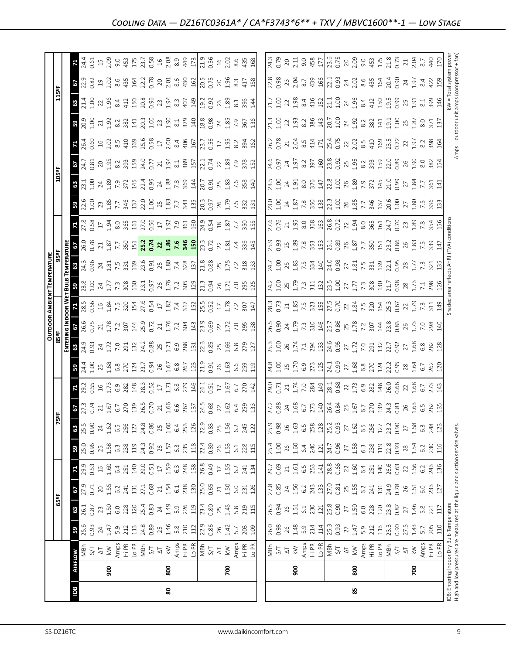|                                                                               |                |                             |               |                  |              |                                              |                   |                                                          |                                                                                                                                                                                                                                                                                                      |                                                                                                                                                                                                                                                                                                     |                                                                                                                                                                                                                                                                                                                     |       |                                                                                                                                                                                                                                                                                                                                                          |                                                                                                                                                                                                                                                                                                               | <b>OUTDOOR AMBIENT TEMPERATURI</b>                                                                            |                                                                                                                                                                                                                                                                                                                                                                                                                                                                                                    |         |                                                                                                                                                                                                                                                                                                           |                                                                                                                                                                                                                                                                                 |                                                                                                                                                                                                                                |                                                                                                                                                                                                                                                                                                              |                                                                                                                                                                                                                                   |                                                                                                                                                                                                                                                                                             |                                                                                                                                                                                                                                                             |                                                                                                                                                                                                                                                                    |                                                                                                                                                                                                                                                                                                               |
|-------------------------------------------------------------------------------|----------------|-----------------------------|---------------|------------------|--------------|----------------------------------------------|-------------------|----------------------------------------------------------|------------------------------------------------------------------------------------------------------------------------------------------------------------------------------------------------------------------------------------------------------------------------------------------------------|-----------------------------------------------------------------------------------------------------------------------------------------------------------------------------------------------------------------------------------------------------------------------------------------------------|---------------------------------------------------------------------------------------------------------------------------------------------------------------------------------------------------------------------------------------------------------------------------------------------------------------------|-------|----------------------------------------------------------------------------------------------------------------------------------------------------------------------------------------------------------------------------------------------------------------------------------------------------------------------------------------------------------|---------------------------------------------------------------------------------------------------------------------------------------------------------------------------------------------------------------------------------------------------------------------------------------------------------------|---------------------------------------------------------------------------------------------------------------|----------------------------------------------------------------------------------------------------------------------------------------------------------------------------------------------------------------------------------------------------------------------------------------------------------------------------------------------------------------------------------------------------------------------------------------------------------------------------------------------------|---------|-----------------------------------------------------------------------------------------------------------------------------------------------------------------------------------------------------------------------------------------------------------------------------------------------------------|---------------------------------------------------------------------------------------------------------------------------------------------------------------------------------------------------------------------------------------------------------------------------------|--------------------------------------------------------------------------------------------------------------------------------------------------------------------------------------------------------------------------------|--------------------------------------------------------------------------------------------------------------------------------------------------------------------------------------------------------------------------------------------------------------------------------------------------------------|-----------------------------------------------------------------------------------------------------------------------------------------------------------------------------------------------------------------------------------|---------------------------------------------------------------------------------------------------------------------------------------------------------------------------------------------------------------------------------------------------------------------------------------------|-------------------------------------------------------------------------------------------------------------------------------------------------------------------------------------------------------------------------------------------------------------|--------------------------------------------------------------------------------------------------------------------------------------------------------------------------------------------------------------------------------------------------------------------|---------------------------------------------------------------------------------------------------------------------------------------------------------------------------------------------------------------------------------------------------------------------------------------------------------------|
|                                                                               |                |                             |               | 65°F             |              |                                              |                   |                                                          | 5ºF                                                                                                                                                                                                                                                                                                  |                                                                                                                                                                                                                                                                                                     |                                                                                                                                                                                                                                                                                                                     | 85 ap |                                                                                                                                                                                                                                                                                                                                                          |                                                                                                                                                                                                                                                                                                               |                                                                                                               |                                                                                                                                                                                                                                                                                                                                                                                                                                                                                                    |         |                                                                                                                                                                                                                                                                                                           |                                                                                                                                                                                                                                                                                 | <b>105º</b>                                                                                                                                                                                                                    |                                                                                                                                                                                                                                                                                                              |                                                                                                                                                                                                                                   |                                                                                                                                                                                                                                                                                             | 115ºF                                                                                                                                                                                                                                                       |                                                                                                                                                                                                                                                                    |                                                                                                                                                                                                                                                                                                               |
|                                                                               |                |                             |               |                  |              |                                              |                   |                                                          |                                                                                                                                                                                                                                                                                                      |                                                                                                                                                                                                                                                                                                     |                                                                                                                                                                                                                                                                                                                     | 톱     |                                                                                                                                                                                                                                                                                                                                                          |                                                                                                                                                                                                                                                                                                               |                                                                                                               |                                                                                                                                                                                                                                                                                                                                                                                                                                                                                                    |         |                                                                                                                                                                                                                                                                                                           |                                                                                                                                                                                                                                                                                 |                                                                                                                                                                                                                                |                                                                                                                                                                                                                                                                                                              |                                                                                                                                                                                                                                   |                                                                                                                                                                                                                                                                                             |                                                                                                                                                                                                                                                             |                                                                                                                                                                                                                                                                    |                                                                                                                                                                                                                                                                                                               |
| Ba                                                                            | <b>AIRFLOW</b> |                             | 59            | 63               | 29           |                                              | 59                | 63                                                       |                                                                                                                                                                                                                                                                                                      | <b>Z</b>                                                                                                                                                                                                                                                                                            |                                                                                                                                                                                                                                                                                                                     | 63    |                                                                                                                                                                                                                                                                                                                                                          |                                                                                                                                                                                                                                                                                                               |                                                                                                               |                                                                                                                                                                                                                                                                                                                                                                                                                                                                                                    |         |                                                                                                                                                                                                                                                                                                           |                                                                                                                                                                                                                                                                                 |                                                                                                                                                                                                                                | 29                                                                                                                                                                                                                                                                                                           |                                                                                                                                                                                                                                   |                                                                                                                                                                                                                                                                                             | 63                                                                                                                                                                                                                                                          | 19                                                                                                                                                                                                                                                                 |                                                                                                                                                                                                                                                                                                               |
|                                                                               |                | MBh                         | 25.6<br>0.93  | $\frac{1}{26.1}$ |              |                                              | 25.0              | 25.5                                                     |                                                                                                                                                                                                                                                                                                      |                                                                                                                                                                                                                                                                                                     |                                                                                                                                                                                                                                                                                                                     |       |                                                                                                                                                                                                                                                                                                                                                          |                                                                                                                                                                                                                                                                                                               |                                                                                                               |                                                                                                                                                                                                                                                                                                                                                                                                                                                                                                    |         |                                                                                                                                                                                                                                                                                                           |                                                                                                                                                                                                                                                                                 |                                                                                                                                                                                                                                | 24.7<br>0.81                                                                                                                                                                                                                                                                                                 | 26.4<br>0.60                                                                                                                                                                                                                      |                                                                                                                                                                                                                                                                                             | $\frac{1.4}{1.00}$                                                                                                                                                                                                                                          | 22.9<br>0.82                                                                                                                                                                                                                                                       | 24.4                                                                                                                                                                                                                                                                                                          |
|                                                                               |                | 5/1                         |               | 0.87             | 0.71         |                                              | 0.96              | 0.90                                                     |                                                                                                                                                                                                                                                                                                      |                                                                                                                                                                                                                                                                                                     |                                                                                                                                                                                                                                                                                                                     |       |                                                                                                                                                                                                                                                                                                                                                          |                                                                                                                                                                                                                                                                                                               |                                                                                                               |                                                                                                                                                                                                                                                                                                                                                                                                                                                                                                    |         |                                                                                                                                                                                                                                                                                                           |                                                                                                                                                                                                                                                                                 |                                                                                                                                                                                                                                |                                                                                                                                                                                                                                                                                                              |                                                                                                                                                                                                                                   |                                                                                                                                                                                                                                                                                             |                                                                                                                                                                                                                                                             |                                                                                                                                                                                                                                                                    | $-0.61$                                                                                                                                                                                                                                                                                                       |
|                                                                               |                | $\overline{\triangleright}$ | 24            | $23$<br>1.50     | $\gtrsim$    | $16$                                         | 25                | $\overline{24}$                                          |                                                                                                                                                                                                                                                                                                      |                                                                                                                                                                                                                                                                                                     |                                                                                                                                                                                                                                                                                                                     |       |                                                                                                                                                                                                                                                                                                                                                          |                                                                                                                                                                                                                                                                                                               |                                                                                                               |                                                                                                                                                                                                                                                                                                                                                                                                                                                                                                    |         |                                                                                                                                                                                                                                                                                                           |                                                                                                                                                                                                                                                                                 |                                                                                                                                                                                                                                |                                                                                                                                                                                                                                                                                                              |                                                                                                                                                                                                                                   |                                                                                                                                                                                                                                                                                             |                                                                                                                                                                                                                                                             |                                                                                                                                                                                                                                                                    |                                                                                                                                                                                                                                                                                                               |
|                                                                               | 900            | $\leqslant$                 | 1.47          |                  | 1.55         | 1.60                                         | 1.58              | 1.62                                                     |                                                                                                                                                                                                                                                                                                      |                                                                                                                                                                                                                                                                                                     |                                                                                                                                                                                                                                                                                                                     |       |                                                                                                                                                                                                                                                                                                                                                          |                                                                                                                                                                                                                                                                                                               |                                                                                                               |                                                                                                                                                                                                                                                                                                                                                                                                                                                                                                    |         |                                                                                                                                                                                                                                                                                                           |                                                                                                                                                                                                                                                                                 |                                                                                                                                                                                                                                |                                                                                                                                                                                                                                                                                                              |                                                                                                                                                                                                                                   |                                                                                                                                                                                                                                                                                             |                                                                                                                                                                                                                                                             |                                                                                                                                                                                                                                                                    |                                                                                                                                                                                                                                                                                                               |
|                                                                               |                |                             | 5.9<br>212    | 6.0              | 6.2          | 6.4                                          | $6.\overline{3}$  | 6.5                                                      |                                                                                                                                                                                                                                                                                                      |                                                                                                                                                                                                                                                                                                     |                                                                                                                                                                                                                                                                                                                     |       |                                                                                                                                                                                                                                                                                                                                                          |                                                                                                                                                                                                                                                                                                               |                                                                                                               |                                                                                                                                                                                                                                                                                                                                                                                                                                                                                                    |         |                                                                                                                                                                                                                                                                                                           |                                                                                                                                                                                                                                                                                 |                                                                                                                                                                                                                                |                                                                                                                                                                                                                                                                                                              |                                                                                                                                                                                                                                   |                                                                                                                                                                                                                                                                                             |                                                                                                                                                                                                                                                             |                                                                                                                                                                                                                                                                    |                                                                                                                                                                                                                                                                                                               |
|                                                                               |                | Amps<br>Hi PR               |               | 228              | 241          | 251                                          | 238               | 256                                                      |                                                                                                                                                                                                                                                                                                      |                                                                                                                                                                                                                                                                                                     |                                                                                                                                                                                                                                                                                                                     |       |                                                                                                                                                                                                                                                                                                                                                          |                                                                                                                                                                                                                                                                                                               |                                                                                                               |                                                                                                                                                                                                                                                                                                                                                                                                                                                                                                    |         |                                                                                                                                                                                                                                                                                                           |                                                                                                                                                                                                                                                                                 |                                                                                                                                                                                                                                |                                                                                                                                                                                                                                                                                                              |                                                                                                                                                                                                                                   |                                                                                                                                                                                                                                                                                             |                                                                                                                                                                                                                                                             |                                                                                                                                                                                                                                                                    |                                                                                                                                                                                                                                                                                                               |
|                                                                               |                | Lo PR                       | 113           | 120              | 131          | 140                                          | 119               | 127                                                      |                                                                                                                                                                                                                                                                                                      |                                                                                                                                                                                                                                                                                                     |                                                                                                                                                                                                                                                                                                                     |       |                                                                                                                                                                                                                                                                                                                                                          |                                                                                                                                                                                                                                                                                                               |                                                                                                               |                                                                                                                                                                                                                                                                                                                                                                                                                                                                                                    |         |                                                                                                                                                                                                                                                                                                           |                                                                                                                                                                                                                                                                                 |                                                                                                                                                                                                                                |                                                                                                                                                                                                                                                                                                              |                                                                                                                                                                                                                                   |                                                                                                                                                                                                                                                                                             |                                                                                                                                                                                                                                                             |                                                                                                                                                                                                                                                                    |                                                                                                                                                                                                                                                                                                               |
|                                                                               |                | $\frac{1}{48M}$             | 24.8<br>0.89  | 25.4<br>0.83     | 27.1         | 29.0                                         | 24.3              | 24.8                                                     | $57.77 \times 10000$ $27.77 \times 10000$ $27.77 \times 10000$ $27.77 \times 10000$ $27.77 \times 10000$ $27.77 \times 10000$ $27.77 \times 10000$ $27.77 \times 10000$ $27.77 \times 10000$ $27.77 \times 10000$ $27.77 \times 10000$ $27.77 \times 10000$ $27.77 \times 10000$ $27.77 \times 1000$ | $\begin{array}{l} 23.53 \\ 25.54 \\ 26.57 \\ 27.59 \\ 28.54 \\ 29.59 \\ 20.54 \\ 21.53 \\ 22.54 \\ 23.55 \\ 24.55 \\ 25.57 \\ 26.57 \\ 27.57 \\ 28.57 \\ 29.57 \\ 21.57 \\ 22.57 \\ 23.57 \\ 24.57 \\ 25.57 \\ 26.57 \\ 27.57 \\ 28.57 \\ 29.57 \\ 20.57 \\ 21.57 \\ 22.57 \\ 23.57 \\ 24.57 \\ 25$ | $\frac{1}{2}$ $\frac{1}{2}$ $\frac{1}{2}$ $\frac{1}{2}$ $\frac{1}{2}$ $\frac{1}{2}$ $\frac{1}{2}$ $\frac{1}{2}$ $\frac{1}{2}$ $\frac{1}{2}$ $\frac{1}{2}$ $\frac{1}{2}$ $\frac{1}{2}$ $\frac{1}{2}$ $\frac{1}{2}$ $\frac{1}{2}$ $\frac{1}{2}$ $\frac{1}{2}$ $\frac{1}{2}$ $\frac{1}{2}$ $\frac{1}{2}$ $\frac{1}{2}$ |       | $\frac{1}{6}$ $\frac{1}{6}$ $\frac{1}{6}$ $\frac{1}{6}$ $\frac{1}{6}$ $\frac{1}{6}$ $\frac{1}{6}$ $\frac{1}{6}$ $\frac{1}{6}$ $\frac{1}{6}$ $\frac{1}{6}$ $\frac{1}{6}$ $\frac{1}{6}$ $\frac{1}{6}$ $\frac{1}{6}$ $\frac{1}{6}$ $\frac{1}{6}$ $\frac{1}{6}$ $\frac{1}{6}$ $\frac{1}{6}$ $\frac{1}{6}$ $\frac{1}{6}$ $\frac{1}{6}$ $\frac{1}{6}$ $\frac{$ |                                                                                                                                                                                                                                                                                                               | <b>3</b> 2 3 3 4 5 5 8 8 8 9 3 3 4 5 5 8 7 6 8 9 4 5 6 7 8 9 7 6 9 7 6 9 7 6 9 7 8 9 7                        | $2.6$ $3.8$ $4.8$ $1.6$ $1.8$ $1.2$ $1.3$ $1.3$ $1.3$ $1.3$ $1.3$ $1.3$ $1.3$ $1.3$ $1.3$ $1.3$ $1.3$ $1.3$ $1.3$ $1.3$ $1.3$ $1.3$ $1.3$ $1.3$ $1.3$ $1.3$ $1.3$ $1.3$ $1.3$ $1.3$ $1.3$ $1.3$ $1.3$ $1.3$ $1.3$ $1.3$ $1.3$                                                                                                                                                                                                                                                                      |         |                                                                                                                                                                                                                                                                                                           | <b>3</b> 2 3 3 3 5 5 4 5 2 3 5 4 5 5 6 7 7 8 5 2 6 7 6 7 7 8 7                                                                                                                                                                                                                  | $3.73$ $3.4$ $3.5$ $3.6$ $3.4$ $3.4$ $3.4$ $3.4$ $3.4$ $3.4$ $3.4$ $3.4$ $3.4$ $3.4$ $3.4$ $3.4$ $3.4$ $3.4$ $3.4$ $3.4$ $3.4$ $3.4$ $3.4$ $3.4$ $3.4$ $3.4$ $3.4$ $3.4$ $3.4$ $3.4$ $3.4$ $3.4$ $3.4$ $3.4$ $3.4$ $3.4$ $3.4$ |                                                                                                                                                                                                                                                                                                              |                                                                                                                                                                                                                                   |                                                                                                                                                                                                                                                                                             | $\begin{array}{ccc}\n 22 & 5 & 4 & 12 \\  25 & 4 & 12 & 12 \\  25 & 25 & 12 & 12 \\  25 & 25 & 12 & 12 \\  25 & 25 & 12 & 12\n \end{array}$                                                                                                                 | $\begin{array}{c}\n 2.02667 & 2.00000 & 2.00000 & 2.00000 & 2.0000 & 2.0000 & 2.0000 & 2.0000 & 2.0000 & 2.0000 & 2.0000 & 2.0000 & 2.0000 & 2.0000 & 2.0000 & 2.0000 & 2.0000 & 2.0000 & 2.0000 & 2.0000 & 2.0000 & 2.0000 & 2.0000 & 2.0000 & 2.0000 & 2.0000 &$ |                                                                                                                                                                                                                                                                                                               |
|                                                                               |                |                             |               |                  | 0.68         | 0.51                                         | 0.92              | 0.86                                                     |                                                                                                                                                                                                                                                                                                      |                                                                                                                                                                                                                                                                                                     |                                                                                                                                                                                                                                                                                                                     |       |                                                                                                                                                                                                                                                                                                                                                          |                                                                                                                                                                                                                                                                                                               |                                                                                                               |                                                                                                                                                                                                                                                                                                                                                                                                                                                                                                    |         |                                                                                                                                                                                                                                                                                                           |                                                                                                                                                                                                                                                                                 |                                                                                                                                                                                                                                |                                                                                                                                                                                                                                                                                                              |                                                                                                                                                                                                                                   |                                                                                                                                                                                                                                                                                             |                                                                                                                                                                                                                                                             |                                                                                                                                                                                                                                                                    |                                                                                                                                                                                                                                                                                                               |
|                                                                               |                | $\overline{\Delta}$         | 25            | 24               | $21\,$       | $\overline{17}$                              | 26                | 25                                                       |                                                                                                                                                                                                                                                                                                      |                                                                                                                                                                                                                                                                                                     |                                                                                                                                                                                                                                                                                                                     |       |                                                                                                                                                                                                                                                                                                                                                          |                                                                                                                                                                                                                                                                                                               |                                                                                                               |                                                                                                                                                                                                                                                                                                                                                                                                                                                                                                    |         |                                                                                                                                                                                                                                                                                                           |                                                                                                                                                                                                                                                                                 |                                                                                                                                                                                                                                |                                                                                                                                                                                                                                                                                                              |                                                                                                                                                                                                                                   |                                                                                                                                                                                                                                                                                             |                                                                                                                                                                                                                                                             |                                                                                                                                                                                                                                                                    |                                                                                                                                                                                                                                                                                                               |
| 80                                                                            | 800            | $\gtrapprox$                |               | 1.49             | 1.54         | $1.59$<br>6.3                                | 1.57              | 1.60                                                     |                                                                                                                                                                                                                                                                                                      |                                                                                                                                                                                                                                                                                                     |                                                                                                                                                                                                                                                                                                                     |       |                                                                                                                                                                                                                                                                                                                                                          |                                                                                                                                                                                                                                                                                                               |                                                                                                               |                                                                                                                                                                                                                                                                                                                                                                                                                                                                                                    |         |                                                                                                                                                                                                                                                                                                           |                                                                                                                                                                                                                                                                                 |                                                                                                                                                                                                                                |                                                                                                                                                                                                                                                                                                              |                                                                                                                                                                                                                                   |                                                                                                                                                                                                                                                                                             |                                                                                                                                                                                                                                                             |                                                                                                                                                                                                                                                                    |                                                                                                                                                                                                                                                                                                               |
|                                                                               |                | Amps                        | $1.46$<br>5.8 | 5.9              | 6.1          |                                              | $6.\overline{3}$  | 6.4                                                      |                                                                                                                                                                                                                                                                                                      |                                                                                                                                                                                                                                                                                                     |                                                                                                                                                                                                                                                                                                                     |       |                                                                                                                                                                                                                                                                                                                                                          |                                                                                                                                                                                                                                                                                                               |                                                                                                               |                                                                                                                                                                                                                                                                                                                                                                                                                                                                                                    |         |                                                                                                                                                                                                                                                                                                           |                                                                                                                                                                                                                                                                                 |                                                                                                                                                                                                                                |                                                                                                                                                                                                                                                                                                              |                                                                                                                                                                                                                                   |                                                                                                                                                                                                                                                                                             |                                                                                                                                                                                                                                                             |                                                                                                                                                                                                                                                                    |                                                                                                                                                                                                                                                                                                               |
|                                                                               |                | Hi PR                       | 210           | 226              | 238          |                                              | 235               | 253                                                      |                                                                                                                                                                                                                                                                                                      |                                                                                                                                                                                                                                                                                                     |                                                                                                                                                                                                                                                                                                                     |       |                                                                                                                                                                                                                                                                                                                                                          |                                                                                                                                                                                                                                                                                                               |                                                                                                               |                                                                                                                                                                                                                                                                                                                                                                                                                                                                                                    |         |                                                                                                                                                                                                                                                                                                           |                                                                                                                                                                                                                                                                                 |                                                                                                                                                                                                                                |                                                                                                                                                                                                                                                                                                              |                                                                                                                                                                                                                                   |                                                                                                                                                                                                                                                                                             |                                                                                                                                                                                                                                                             |                                                                                                                                                                                                                                                                    |                                                                                                                                                                                                                                                                                                               |
|                                                                               |                | Lo PR                       | 112           | 119              | 130          | 248                                          | 118               | 126                                                      |                                                                                                                                                                                                                                                                                                      |                                                                                                                                                                                                                                                                                                     |                                                                                                                                                                                                                                                                                                                     |       |                                                                                                                                                                                                                                                                                                                                                          |                                                                                                                                                                                                                                                                                                               |                                                                                                               |                                                                                                                                                                                                                                                                                                                                                                                                                                                                                                    |         |                                                                                                                                                                                                                                                                                                           |                                                                                                                                                                                                                                                                                 |                                                                                                                                                                                                                                |                                                                                                                                                                                                                                                                                                              |                                                                                                                                                                                                                                   |                                                                                                                                                                                                                                                                                             |                                                                                                                                                                                                                                                             |                                                                                                                                                                                                                                                                    |                                                                                                                                                                                                                                                                                                               |
|                                                                               |                | MBh<br>$5/7$                | 22.9          | 23.4             | 25.0         | 26.8                                         | 22.4              | 22.9                                                     |                                                                                                                                                                                                                                                                                                      |                                                                                                                                                                                                                                                                                                     |                                                                                                                                                                                                                                                                                                                     |       |                                                                                                                                                                                                                                                                                                                                                          |                                                                                                                                                                                                                                                                                                               |                                                                                                               |                                                                                                                                                                                                                                                                                                                                                                                                                                                                                                    |         |                                                                                                                                                                                                                                                                                                           |                                                                                                                                                                                                                                                                                 |                                                                                                                                                                                                                                |                                                                                                                                                                                                                                                                                                              |                                                                                                                                                                                                                                   |                                                                                                                                                                                                                                                                                             | $\frac{1}{2}$ $\frac{1}{2}$ $\frac{1}{2}$ $\frac{1}{2}$ $\frac{1}{2}$ $\frac{1}{2}$ $\frac{1}{2}$ $\frac{1}{2}$ $\frac{1}{2}$ $\frac{1}{2}$ $\frac{1}{2}$ $\frac{1}{2}$ $\frac{1}{2}$ $\frac{1}{2}$ $\frac{1}{2}$ $\frac{1}{2}$ $\frac{1}{2}$ $\frac{1}{2}$ |                                                                                                                                                                                                                                                                    |                                                                                                                                                                                                                                                                                                               |
|                                                                               |                |                             | 0.86          | 0.80             | 0.65         | 0.49                                         | 0.89              | 0.83                                                     |                                                                                                                                                                                                                                                                                                      |                                                                                                                                                                                                                                                                                                     |                                                                                                                                                                                                                                                                                                                     |       |                                                                                                                                                                                                                                                                                                                                                          |                                                                                                                                                                                                                                                                                                               |                                                                                                               |                                                                                                                                                                                                                                                                                                                                                                                                                                                                                                    |         |                                                                                                                                                                                                                                                                                                           |                                                                                                                                                                                                                                                                                 |                                                                                                                                                                                                                                |                                                                                                                                                                                                                                                                                                              |                                                                                                                                                                                                                                   |                                                                                                                                                                                                                                                                                             |                                                                                                                                                                                                                                                             |                                                                                                                                                                                                                                                                    |                                                                                                                                                                                                                                                                                                               |
|                                                                               |                | $\overline{\Delta}$         | $26$          | 25               | $21\,$       | $\Box$                                       | 26                | 25                                                       |                                                                                                                                                                                                                                                                                                      |                                                                                                                                                                                                                                                                                                     |                                                                                                                                                                                                                                                                                                                     |       |                                                                                                                                                                                                                                                                                                                                                          |                                                                                                                                                                                                                                                                                                               |                                                                                                               |                                                                                                                                                                                                                                                                                                                                                                                                                                                                                                    |         |                                                                                                                                                                                                                                                                                                           |                                                                                                                                                                                                                                                                                 |                                                                                                                                                                                                                                |                                                                                                                                                                                                                                                                                                              |                                                                                                                                                                                                                                   |                                                                                                                                                                                                                                                                                             |                                                                                                                                                                                                                                                             |                                                                                                                                                                                                                                                                    |                                                                                                                                                                                                                                                                                                               |
|                                                                               | 700            | $\gtrapprox$                | 1.42          | 1.45             | 1.50         | 1.55                                         | 1.53              | 1.56                                                     |                                                                                                                                                                                                                                                                                                      |                                                                                                                                                                                                                                                                                                     |                                                                                                                                                                                                                                                                                                                     |       |                                                                                                                                                                                                                                                                                                                                                          |                                                                                                                                                                                                                                                                                                               |                                                                                                               |                                                                                                                                                                                                                                                                                                                                                                                                                                                                                                    |         |                                                                                                                                                                                                                                                                                                           |                                                                                                                                                                                                                                                                                 |                                                                                                                                                                                                                                |                                                                                                                                                                                                                                                                                                              |                                                                                                                                                                                                                                   |                                                                                                                                                                                                                                                                                             |                                                                                                                                                                                                                                                             | $296$<br>$196$<br>$417$<br>$458$                                                                                                                                                                                                                                   |                                                                                                                                                                                                                                                                                                               |
|                                                                               |                |                             | 5.7           | 5.8              | 6.0          | 6.2                                          | 6.1               | 6.2                                                      |                                                                                                                                                                                                                                                                                                      |                                                                                                                                                                                                                                                                                                     |                                                                                                                                                                                                                                                                                                                     |       |                                                                                                                                                                                                                                                                                                                                                          |                                                                                                                                                                                                                                                                                                               |                                                                                                               |                                                                                                                                                                                                                                                                                                                                                                                                                                                                                                    |         |                                                                                                                                                                                                                                                                                                           |                                                                                                                                                                                                                                                                                 |                                                                                                                                                                                                                                |                                                                                                                                                                                                                                                                                                              |                                                                                                                                                                                                                                   |                                                                                                                                                                                                                                                                                             |                                                                                                                                                                                                                                                             |                                                                                                                                                                                                                                                                    |                                                                                                                                                                                                                                                                                                               |
|                                                                               |                | Amps<br>Hi PR<br>Lo PR      | 203           | 219              | 231          | 241                                          |                   | 245                                                      |                                                                                                                                                                                                                                                                                                      |                                                                                                                                                                                                                                                                                                     |                                                                                                                                                                                                                                                                                                                     |       |                                                                                                                                                                                                                                                                                                                                                          |                                                                                                                                                                                                                                                                                                               |                                                                                                               |                                                                                                                                                                                                                                                                                                                                                                                                                                                                                                    |         |                                                                                                                                                                                                                                                                                                           |                                                                                                                                                                                                                                                                                 |                                                                                                                                                                                                                                |                                                                                                                                                                                                                                                                                                              |                                                                                                                                                                                                                                   |                                                                                                                                                                                                                                                                                             |                                                                                                                                                                                                                                                             |                                                                                                                                                                                                                                                                    |                                                                                                                                                                                                                                                                                                               |
|                                                                               |                |                             | 109           | 115              | 126          | 134                                          | 228<br>115        | 122                                                      |                                                                                                                                                                                                                                                                                                      | $\frac{1}{4}$                                                                                                                                                                                                                                                                                       |                                                                                                                                                                                                                                                                                                                     |       |                                                                                                                                                                                                                                                                                                                                                          |                                                                                                                                                                                                                                                                                                               |                                                                                                               |                                                                                                                                                                                                                                                                                                                                                                                                                                                                                                    |         |                                                                                                                                                                                                                                                                                                           | 131                                                                                                                                                                                                                                                                             |                                                                                                                                                                                                                                |                                                                                                                                                                                                                                                                                                              | 162                                                                                                                                                                                                                               |                                                                                                                                                                                                                                                                                             |                                                                                                                                                                                                                                                             |                                                                                                                                                                                                                                                                    |                                                                                                                                                                                                                                                                                                               |
|                                                                               |                |                             |               |                  |              |                                              |                   |                                                          |                                                                                                                                                                                                                                                                                                      |                                                                                                                                                                                                                                                                                                     |                                                                                                                                                                                                                                                                                                                     |       |                                                                                                                                                                                                                                                                                                                                                          |                                                                                                                                                                                                                                                                                                               |                                                                                                               |                                                                                                                                                                                                                                                                                                                                                                                                                                                                                                    |         |                                                                                                                                                                                                                                                                                                           |                                                                                                                                                                                                                                                                                 |                                                                                                                                                                                                                                |                                                                                                                                                                                                                                                                                                              |                                                                                                                                                                                                                                   |                                                                                                                                                                                                                                                                                             |                                                                                                                                                                                                                                                             |                                                                                                                                                                                                                                                                    |                                                                                                                                                                                                                                                                                                               |
|                                                                               |                |                             | 26.0          | 26.5             | 27.8         | 29.7                                         |                   | 25.9                                                     |                                                                                                                                                                                                                                                                                                      |                                                                                                                                                                                                                                                                                                     |                                                                                                                                                                                                                                                                                                                     |       |                                                                                                                                                                                                                                                                                                                                                          |                                                                                                                                                                                                                                                                                                               |                                                                                                               |                                                                                                                                                                                                                                                                                                                                                                                                                                                                                                    |         |                                                                                                                                                                                                                                                                                                           |                                                                                                                                                                                                                                                                                 |                                                                                                                                                                                                                                |                                                                                                                                                                                                                                                                                                              |                                                                                                                                                                                                                                   |                                                                                                                                                                                                                                                                                             |                                                                                                                                                                                                                                                             |                                                                                                                                                                                                                                                                    |                                                                                                                                                                                                                                                                                                               |
|                                                                               |                | NBh<br>S/T                  | 0.98          | 0.94             | 0.85         | 0.69                                         | 25.4<br>1.00      | 0.98                                                     |                                                                                                                                                                                                                                                                                                      |                                                                                                                                                                                                                                                                                                     |                                                                                                                                                                                                                                                                                                                     |       |                                                                                                                                                                                                                                                                                                                                                          |                                                                                                                                                                                                                                                                                                               |                                                                                                               |                                                                                                                                                                                                                                                                                                                                                                                                                                                                                                    |         |                                                                                                                                                                                                                                                                                                           |                                                                                                                                                                                                                                                                                 |                                                                                                                                                                                                                                |                                                                                                                                                                                                                                                                                                              |                                                                                                                                                                                                                                   |                                                                                                                                                                                                                                                                                             |                                                                                                                                                                                                                                                             | 22.8<br>0.98                                                                                                                                                                                                                                                       | 24.3<br>0.79                                                                                                                                                                                                                                                                                                  |
|                                                                               |                | $\overline{\Delta}$         |               | $26$             | $24\,$       | $\gtrsim$                                    | 26                | 26                                                       |                                                                                                                                                                                                                                                                                                      |                                                                                                                                                                                                                                                                                                     |                                                                                                                                                                                                                                                                                                                     |       |                                                                                                                                                                                                                                                                                                                                                          |                                                                                                                                                                                                                                                                                                               |                                                                                                               |                                                                                                                                                                                                                                                                                                                                                                                                                                                                                                    |         |                                                                                                                                                                                                                                                                                                           |                                                                                                                                                                                                                                                                                 |                                                                                                                                                                                                                                |                                                                                                                                                                                                                                                                                                              |                                                                                                                                                                                                                                   |                                                                                                                                                                                                                                                                                             |                                                                                                                                                                                                                                                             |                                                                                                                                                                                                                                                                    | 20                                                                                                                                                                                                                                                                                                            |
|                                                                               | 500            | $\gtrapprox$                | $26$<br>1.48  | 1.51             | 1.56         |                                              | 1.60              |                                                          |                                                                                                                                                                                                                                                                                                      |                                                                                                                                                                                                                                                                                                     |                                                                                                                                                                                                                                                                                                                     |       |                                                                                                                                                                                                                                                                                                                                                          |                                                                                                                                                                                                                                                                                                               |                                                                                                               |                                                                                                                                                                                                                                                                                                                                                                                                                                                                                                    |         |                                                                                                                                                                                                                                                                                                           |                                                                                                                                                                                                                                                                                 |                                                                                                                                                                                                                                |                                                                                                                                                                                                                                                                                                              |                                                                                                                                                                                                                                   |                                                                                                                                                                                                                                                                                             |                                                                                                                                                                                                                                                             |                                                                                                                                                                                                                                                                    |                                                                                                                                                                                                                                                                                                               |
|                                                                               |                |                             | 5.9           | $6.1$            | 6.2          | $\begin{array}{c}\n1.61 \\ 6.5\n\end{array}$ | 6.4               |                                                          |                                                                                                                                                                                                                                                                                                      |                                                                                                                                                                                                                                                                                                     |                                                                                                                                                                                                                                                                                                                     |       |                                                                                                                                                                                                                                                                                                                                                          |                                                                                                                                                                                                                                                                                                               |                                                                                                               |                                                                                                                                                                                                                                                                                                                                                                                                                                                                                                    |         |                                                                                                                                                                                                                                                                                                           |                                                                                                                                                                                                                                                                                 |                                                                                                                                                                                                                                |                                                                                                                                                                                                                                                                                                              |                                                                                                                                                                                                                                   |                                                                                                                                                                                                                                                                                             |                                                                                                                                                                                                                                                             |                                                                                                                                                                                                                                                                    |                                                                                                                                                                                                                                                                                                               |
|                                                                               |                | Amps<br>Hi PR               | 214           | 230              |              |                                              | 240               |                                                          |                                                                                                                                                                                                                                                                                                      |                                                                                                                                                                                                                                                                                                     |                                                                                                                                                                                                                                                                                                                     |       |                                                                                                                                                                                                                                                                                                                                                          |                                                                                                                                                                                                                                                                                                               |                                                                                                               |                                                                                                                                                                                                                                                                                                                                                                                                                                                                                                    |         |                                                                                                                                                                                                                                                                                                           |                                                                                                                                                                                                                                                                                 |                                                                                                                                                                                                                                |                                                                                                                                                                                                                                                                                                              |                                                                                                                                                                                                                                   |                                                                                                                                                                                                                                                                                             |                                                                                                                                                                                                                                                             |                                                                                                                                                                                                                                                                    |                                                                                                                                                                                                                                                                                                               |
|                                                                               |                | Lo PR                       | 114           | 121              | 243<br>133   | 253                                          | $121\,$           | $\begin{array}{c} 1.63 \\ 6.5 \\ 2.8 \\ 128 \end{array}$ | $\begin{array}{c} 12.88 & 42.68 & 12.68 \\ 23.82 & 42.68 & 12.68 \\ 24.62 & 45.68 & 12.68 \\ 25.62 & 45.68 & 12.68 \\ 25.62 & 45.68 & 12.68 \\ 25.62 & 45.68 & 12.68 \\ 25.62 & 45.68 & 12.68 \\ 25.62 & 45.68 & 12.68 \\ 25.62 & 45.68 & 12.68 \\ 25.62 & 45.68 & 12.68 \\ 25$                      | $\begin{array}{l} 0.71 \\ 0.71 \\ 0.72 \end{array} \begin{array}{l} 0.71 \\ 0.71 \\ 0.72 \end{array} \begin{array}{l} 0.71 \\ 0.71 \\ 0.72 \end{array} \begin{array}{l} 0.71 \\ 0.71 \\ 0.72 \end{array} \begin{array}{l} 0.71 \\ 0.71 \\ 0.72 \end{array}$                                         |                                                                                                                                                                                                                                                                                                                     |       | $\begin{array}{l} 16.56 \\ 16.98 \\ 16.98 \\ 16.98 \\ 16.98 \\ 16.98 \\ 16.98 \\ 16.98 \\ 16.98 \\ 16.98 \\ 16.98 \\ 16.98 \\ 16.98 \\ 16.98 \\ 16.98 \\ 16.98 \\ 16.98 \\ 16.98 \\ 16.98 \\ 17.98 \\ 18.98 \\ 17.98 \\ 18.98 \\ 19.98 \\ 19.98 \\ 19.98 \\ 19.98 \\ 19.98 \\ 19.98 \\ 19.98 \\ 19$                                                      | $\begin{array}{l} 23.5 \\ 25.7 \\ 26.7 \\ 27.8 \\ 28.9 \\ 29.1 \\ 20.8 \\ 21.0 \\ 22.0 \\ 23.0 \\ 24.0 \\ 25.0 \\ 26.0 \\ 27.0 \\ 28.0 \\ 29.0 \\ 21.0 \\ 23.0 \\ 24.0 \\ 25.0 \\ 27.0 \\ 27.0 \\ 28.0 \\ 29.0 \\ 29.0 \\ 21.0 \\ 23.0 \\ 25.0 \\ 27.0 \\ 27.0 \\ 28.0 \\ 29.0 \\ 29.0 \\ 29.0 \\ 21.0 \\ 23$ | 22 5 22 5 32 5 32 5 4 5 6 7 6 7 7 8 7 7 8 7 7 7 8 7 7 7 8 7 7 7 8 7 7 7 8 7 8 7 7 7 8 7 7 8 7 7 8 7 7 7 8 7 7 | $\begin{array}{l} \mathcal{A}\ \mathcal{I}\ \mathcal{B}\ \mathcal{C}\ \mathcal{C}\ \mathcal{C}\ \mathcal{C}\ \mathcal{C}\ \mathcal{C}\ \mathcal{C}\ \mathcal{C}\ \mathcal{C}\ \mathcal{C}\ \mathcal{C}\ \mathcal{C}\ \mathcal{C}\ \mathcal{C}\ \mathcal{C}\ \mathcal{C}\ \mathcal{C}\ \mathcal{C}\ \mathcal{C}\ \mathcal{C}\ \mathcal{C}\ \mathcal{C}\ \mathcal{C}\ \mathcal{C}\ \mathcal{C}\ \mathcal{C}\ \mathcal{C}\ \mathcal{C}\ \mathcal{C}\ \mathcal{C}\ \mathcal{C}\ \mathcal{C}\ \mathcal$ |         | $\frac{16}{22}$ $\frac{25}{22}$ $\frac{16}{22}$ $\frac{16}{22}$ $\frac{16}{22}$ $\frac{16}{22}$ $\frac{16}{22}$ $\frac{16}{22}$ $\frac{16}{22}$ $\frac{16}{22}$ $\frac{16}{22}$ $\frac{16}{22}$ $\frac{16}{22}$ $\frac{16}{22}$ $\frac{16}{22}$ $\frac{16}{22}$ $\frac{16}{22}$ $\frac{16}{22}$ $\frac{1$ | $\begin{array}{l} 23.68 & 24.78 & 25.88 \\ 25.1 & 25.8 & 25.88 & 25.88 \\ 25.1 & 25.8 & 25.88 & 25.88 \\ 25.1 & 25.8 & 25.88 & 25.88 \\ 25.1 & 25.8 & 25.88 & 25.88 \\ 25.1 & 25.8 & 25.88 & 25.88 \\ 25.1 & 25.8 & 25.88 & 25.88 \\ 25.1 & 25.8 & 25.88 & 25.88 \\ 25.1 & 25.$ |                                                                                                                                                                                                                                | $\frac{46}{31}$ $\frac{5}{21}$ $\frac{1}{21}$ $\frac{1}{21}$ $\frac{1}{21}$ $\frac{1}{21}$ $\frac{1}{21}$ $\frac{1}{21}$ $\frac{1}{21}$ $\frac{1}{21}$ $\frac{1}{21}$ $\frac{1}{21}$ $\frac{1}{21}$ $\frac{1}{21}$ $\frac{1}{21}$ $\frac{1}{21}$ $\frac{1}{21}$ $\frac{1}{21}$ $\frac{1}{21}$ $\frac{1}{21}$ | $26.78$ $7.34$ $3.471$<br>$7.84$ $3.471$<br>$7.85$ $7.84$ $7.87$ $7.84$ $7.84$ $7.84$ $7.84$ $7.84$ $7.84$ $7.84$ $7.84$ $7.84$ $7.84$ $7.84$ $7.84$ $7.84$ $7.84$ $7.84$ $7.84$ $7.84$ $7.84$ $7.84$ $7.84$ $7.84$ $7.84$ $7.84$ | $\begin{array}{c} 11500 \\ 115110 \\ 125100 \\ 135100 \\ 145100 \\ 155100 \\ 165100 \\ 175100 \\ 185100 \\ 195100 \\ 195100 \\ 195100 \\ 195100 \\ 195100 \\ 195100 \\ 195100 \\ 195100 \\ 195100 \\ 195100 \\ 195100 \\ 195100 \\ 195100 \\ 195100 \\ 195100 \\ 195100 \\ 195100 \\ 19510$ | $21.5$ $2.8$ $3.4$ $3.4$ $4.5$ $1.3$ $1.3$ $2.4$ $3.4$ $3.4$ $3.4$ $3.5$ $3.5$ $3.5$ $3.5$ $3.5$ $3.5$ $3.5$ $3.5$ $3.5$ $3.5$ $3.5$ $3.5$ $3.5$ $3.5$ $3.5$ $3.5$ $3.5$ $3.5$ $3.5$ $3.5$ $3.5$ $3.5$ $3.5$ $3.5$ $3.5$ $3.5$                              |                                                                                                                                                                                                                                                                    | $\begin{array}{c} 1.13 \\ 0.98 \\ 4.57 \\ 1.71 \\ 0.75 \\ 0.75 \\ 0.75 \\ 0.75 \\ 0.75 \\ 0.75 \\ 0.75 \\ 0.73 \\ 0.73 \\ 0.73 \\ 0.73 \\ 0.73 \\ 0.73 \\ 0.73 \\ 0.73 \\ 0.73 \\ 0.73 \\ 0.73 \\ 0.73 \\ 0.73 \\ 0.73 \\ 0.73 \\ 0.73 \\ 0.73 \\ 0.73 \\ 0.73 \\ 0.73 \\ 0.73 \\ 0.73 \\ 0.73 \\ 0.73 \\ 0.$ |
|                                                                               |                | NBh                         | 25.3<br>0.93  | 25.8<br>0.90     |              | 28.8<br>0.66                                 | 24.7              | 25.2                                                     |                                                                                                                                                                                                                                                                                                      |                                                                                                                                                                                                                                                                                                     |                                                                                                                                                                                                                                                                                                                     |       |                                                                                                                                                                                                                                                                                                                                                          |                                                                                                                                                                                                                                                                                                               |                                                                                                               |                                                                                                                                                                                                                                                                                                                                                                                                                                                                                                    |         |                                                                                                                                                                                                                                                                                                           |                                                                                                                                                                                                                                                                                 |                                                                                                                                                                                                                                |                                                                                                                                                                                                                                                                                                              |                                                                                                                                                                                                                                   |                                                                                                                                                                                                                                                                                             |                                                                                                                                                                                                                                                             |                                                                                                                                                                                                                                                                    |                                                                                                                                                                                                                                                                                                               |
|                                                                               |                | 5/1                         |               |                  | 27.0<br>0.81 |                                              | 0.96              | 0.93                                                     |                                                                                                                                                                                                                                                                                                      |                                                                                                                                                                                                                                                                                                     |                                                                                                                                                                                                                                                                                                                     |       |                                                                                                                                                                                                                                                                                                                                                          |                                                                                                                                                                                                                                                                                                               |                                                                                                               |                                                                                                                                                                                                                                                                                                                                                                                                                                                                                                    |         |                                                                                                                                                                                                                                                                                                           |                                                                                                                                                                                                                                                                                 |                                                                                                                                                                                                                                |                                                                                                                                                                                                                                                                                                              |                                                                                                                                                                                                                                   |                                                                                                                                                                                                                                                                                             |                                                                                                                                                                                                                                                             |                                                                                                                                                                                                                                                                    |                                                                                                                                                                                                                                                                                                               |
|                                                                               |                | $\overline{\Delta}$         | $27\,$        | $\overline{27}$  | 25           | $22\,$                                       | $\overline{27}$   | 27                                                       |                                                                                                                                                                                                                                                                                                      |                                                                                                                                                                                                                                                                                                     |                                                                                                                                                                                                                                                                                                                     |       |                                                                                                                                                                                                                                                                                                                                                          |                                                                                                                                                                                                                                                                                                               |                                                                                                               |                                                                                                                                                                                                                                                                                                                                                                                                                                                                                                    |         |                                                                                                                                                                                                                                                                                                           |                                                                                                                                                                                                                                                                                 |                                                                                                                                                                                                                                |                                                                                                                                                                                                                                                                                                              |                                                                                                                                                                                                                                   |                                                                                                                                                                                                                                                                                             |                                                                                                                                                                                                                                                             |                                                                                                                                                                                                                                                                    |                                                                                                                                                                                                                                                                                                               |
| 85                                                                            | 800            | $\gtrapprox$                | 1.47          | 1.50             | 1.55         | 1.60                                         | 1.58              | $1.62$<br>6.5                                            |                                                                                                                                                                                                                                                                                                      |                                                                                                                                                                                                                                                                                                     |                                                                                                                                                                                                                                                                                                                     |       |                                                                                                                                                                                                                                                                                                                                                          |                                                                                                                                                                                                                                                                                                               |                                                                                                               |                                                                                                                                                                                                                                                                                                                                                                                                                                                                                                    |         |                                                                                                                                                                                                                                                                                                           |                                                                                                                                                                                                                                                                                 |                                                                                                                                                                                                                                |                                                                                                                                                                                                                                                                                                              |                                                                                                                                                                                                                                   |                                                                                                                                                                                                                                                                                             |                                                                                                                                                                                                                                                             |                                                                                                                                                                                                                                                                    |                                                                                                                                                                                                                                                                                                               |
|                                                                               |                | Amps                        | 5.9           | 6.0              | 6.2          | 6.4                                          |                   |                                                          |                                                                                                                                                                                                                                                                                                      |                                                                                                                                                                                                                                                                                                     |                                                                                                                                                                                                                                                                                                                     |       |                                                                                                                                                                                                                                                                                                                                                          |                                                                                                                                                                                                                                                                                                               |                                                                                                               |                                                                                                                                                                                                                                                                                                                                                                                                                                                                                                    |         |                                                                                                                                                                                                                                                                                                           |                                                                                                                                                                                                                                                                                 |                                                                                                                                                                                                                                |                                                                                                                                                                                                                                                                                                              |                                                                                                                                                                                                                                   |                                                                                                                                                                                                                                                                                             |                                                                                                                                                                                                                                                             |                                                                                                                                                                                                                                                                    |                                                                                                                                                                                                                                                                                                               |
|                                                                               |                | Hi PR                       | 212           | 228              | 241          | 251                                          | 6.3<br>238<br>119 | 256                                                      |                                                                                                                                                                                                                                                                                                      |                                                                                                                                                                                                                                                                                                     |                                                                                                                                                                                                                                                                                                                     |       |                                                                                                                                                                                                                                                                                                                                                          |                                                                                                                                                                                                                                                                                                               |                                                                                                               |                                                                                                                                                                                                                                                                                                                                                                                                                                                                                                    |         |                                                                                                                                                                                                                                                                                                           |                                                                                                                                                                                                                                                                                 |                                                                                                                                                                                                                                |                                                                                                                                                                                                                                                                                                              |                                                                                                                                                                                                                                   |                                                                                                                                                                                                                                                                                             |                                                                                                                                                                                                                                                             |                                                                                                                                                                                                                                                                    |                                                                                                                                                                                                                                                                                                               |
|                                                                               |                | Lo PR                       | 113           | 120              | 131          | 140                                          |                   | 127                                                      |                                                                                                                                                                                                                                                                                                      |                                                                                                                                                                                                                                                                                                     |                                                                                                                                                                                                                                                                                                                     |       |                                                                                                                                                                                                                                                                                                                                                          |                                                                                                                                                                                                                                                                                                               |                                                                                                               |                                                                                                                                                                                                                                                                                                                                                                                                                                                                                                    |         |                                                                                                                                                                                                                                                                                                           |                                                                                                                                                                                                                                                                                 |                                                                                                                                                                                                                                |                                                                                                                                                                                                                                                                                                              |                                                                                                                                                                                                                                   |                                                                                                                                                                                                                                                                                             |                                                                                                                                                                                                                                                             |                                                                                                                                                                                                                                                                    |                                                                                                                                                                                                                                                                                                               |
|                                                                               |                | NBh                         | 23.3<br>0.90  | 23.8             | 24.9<br>0.78 | 26.6<br>0.63                                 | 22.8              | 23.2                                                     |                                                                                                                                                                                                                                                                                                      |                                                                                                                                                                                                                                                                                                     |                                                                                                                                                                                                                                                                                                                     |       |                                                                                                                                                                                                                                                                                                                                                          |                                                                                                                                                                                                                                                                                                               |                                                                                                               |                                                                                                                                                                                                                                                                                                                                                                                                                                                                                                    |         |                                                                                                                                                                                                                                                                                                           |                                                                                                                                                                                                                                                                                 |                                                                                                                                                                                                                                |                                                                                                                                                                                                                                                                                                              |                                                                                                                                                                                                                                   |                                                                                                                                                                                                                                                                                             |                                                                                                                                                                                                                                                             | $\frac{1}{20}$<br>$\frac{3}{24}$<br>$\frac{3}{27}$                                                                                                                                                                                                                 |                                                                                                                                                                                                                                                                                                               |
|                                                                               |                | 5/1                         |               | 0.87             |              |                                              | 0.93              | 0.90                                                     |                                                                                                                                                                                                                                                                                                      |                                                                                                                                                                                                                                                                                                     |                                                                                                                                                                                                                                                                                                                     |       |                                                                                                                                                                                                                                                                                                                                                          |                                                                                                                                                                                                                                                                                                               |                                                                                                               |                                                                                                                                                                                                                                                                                                                                                                                                                                                                                                    |         |                                                                                                                                                                                                                                                                                                           |                                                                                                                                                                                                                                                                                 |                                                                                                                                                                                                                                |                                                                                                                                                                                                                                                                                                              |                                                                                                                                                                                                                                   |                                                                                                                                                                                                                                                                                             |                                                                                                                                                                                                                                                             |                                                                                                                                                                                                                                                                    |                                                                                                                                                                                                                                                                                                               |
|                                                                               |                | $\overline{\Delta}$         | 27.5          | 27               | $26$         | $22\,$                                       | $28$              | 27                                                       |                                                                                                                                                                                                                                                                                                      |                                                                                                                                                                                                                                                                                                     |                                                                                                                                                                                                                                                                                                                     |       |                                                                                                                                                                                                                                                                                                                                                          |                                                                                                                                                                                                                                                                                                               |                                                                                                               |                                                                                                                                                                                                                                                                                                                                                                                                                                                                                                    |         |                                                                                                                                                                                                                                                                                                           |                                                                                                                                                                                                                                                                                 |                                                                                                                                                                                                                                |                                                                                                                                                                                                                                                                                                              |                                                                                                                                                                                                                                   |                                                                                                                                                                                                                                                                                             |                                                                                                                                                                                                                                                             |                                                                                                                                                                                                                                                                    |                                                                                                                                                                                                                                                                                                               |
|                                                                               | 700            | $\lesssim$                  | 1.43          | 1.46             | 1.51         | 1.56                                         | 1.54              | 1.58                                                     |                                                                                                                                                                                                                                                                                                      |                                                                                                                                                                                                                                                                                                     |                                                                                                                                                                                                                                                                                                                     |       |                                                                                                                                                                                                                                                                                                                                                          |                                                                                                                                                                                                                                                                                                               |                                                                                                               |                                                                                                                                                                                                                                                                                                                                                                                                                                                                                                    |         |                                                                                                                                                                                                                                                                                                           |                                                                                                                                                                                                                                                                                 |                                                                                                                                                                                                                                |                                                                                                                                                                                                                                                                                                              |                                                                                                                                                                                                                                   |                                                                                                                                                                                                                                                                                             |                                                                                                                                                                                                                                                             |                                                                                                                                                                                                                                                                    |                                                                                                                                                                                                                                                                                                               |
|                                                                               |                | Amps                        | 5.7           | 5.8              | 6.0          | 6.2                                          | 6.2               | $6.\overline{3}$                                         |                                                                                                                                                                                                                                                                                                      |                                                                                                                                                                                                                                                                                                     |                                                                                                                                                                                                                                                                                                                     |       |                                                                                                                                                                                                                                                                                                                                                          |                                                                                                                                                                                                                                                                                                               |                                                                                                               |                                                                                                                                                                                                                                                                                                                                                                                                                                                                                                    |         |                                                                                                                                                                                                                                                                                                           |                                                                                                                                                                                                                                                                                 |                                                                                                                                                                                                                                |                                                                                                                                                                                                                                                                                                              |                                                                                                                                                                                                                                   |                                                                                                                                                                                                                                                                                             |                                                                                                                                                                                                                                                             |                                                                                                                                                                                                                                                                    |                                                                                                                                                                                                                                                                                                               |
|                                                                               |                | Hi PR                       | 205           | 221              | 233<br>127   | 136<br>243                                   | 230<br>116        | 248<br>123                                               |                                                                                                                                                                                                                                                                                                      |                                                                                                                                                                                                                                                                                                     |                                                                                                                                                                                                                                                                                                                     |       |                                                                                                                                                                                                                                                                                                                                                          |                                                                                                                                                                                                                                                                                                               |                                                                                                               |                                                                                                                                                                                                                                                                                                                                                                                                                                                                                                    |         |                                                                                                                                                                                                                                                                                                           |                                                                                                                                                                                                                                                                                 |                                                                                                                                                                                                                                |                                                                                                                                                                                                                                                                                                              |                                                                                                                                                                                                                                   | 8.0<br>371<br>137                                                                                                                                                                                                                                                                           | $\frac{1}{8}$ 3 $\frac{4}{1}$                                                                                                                                                                                                                               | 8.4<br>42<br>159                                                                                                                                                                                                                                                   | $73.87$<br>$2.342$                                                                                                                                                                                                                                                                                            |
|                                                                               |                | Lo PR                       | 110           | 117              |              |                                              |                   |                                                          |                                                                                                                                                                                                                                                                                                      |                                                                                                                                                                                                                                                                                                     |                                                                                                                                                                                                                                                                                                                     |       |                                                                                                                                                                                                                                                                                                                                                          |                                                                                                                                                                                                                                                                                                               |                                                                                                               |                                                                                                                                                                                                                                                                                                                                                                                                                                                                                                    |         |                                                                                                                                                                                                                                                                                                           |                                                                                                                                                                                                                                                                                 |                                                                                                                                                                                                                                |                                                                                                                                                                                                                                                                                                              |                                                                                                                                                                                                                                   |                                                                                                                                                                                                                                                                                             |                                                                                                                                                                                                                                                             |                                                                                                                                                                                                                                                                    |                                                                                                                                                                                                                                                                                                               |
| IDB: Entering Indoor Dry Bulb Temperature                                     |                |                             |               |                  |              |                                              |                   |                                                          |                                                                                                                                                                                                                                                                                                      |                                                                                                                                                                                                                                                                                                     |                                                                                                                                                                                                                                                                                                                     |       |                                                                                                                                                                                                                                                                                                                                                          | shadec                                                                                                                                                                                                                                                                                                        |                                                                                                               |                                                                                                                                                                                                                                                                                                                                                                                                                                                                                                    | TVA) co |                                                                                                                                                                                                                                                                                                           |                                                                                                                                                                                                                                                                                 |                                                                                                                                                                                                                                |                                                                                                                                                                                                                                                                                                              |                                                                                                                                                                                                                                   |                                                                                                                                                                                                                                                                                             | $=$ MY                                                                                                                                                                                                                                                      |                                                                                                                                                                                                                                                                    | powe                                                                                                                                                                                                                                                                                                          |
| High and low pressures are measured at the liquid and suction service valves. |                |                             |               |                  |              |                                              |                   |                                                          |                                                                                                                                                                                                                                                                                                      |                                                                                                                                                                                                                                                                                                     |                                                                                                                                                                                                                                                                                                                     |       |                                                                                                                                                                                                                                                                                                                                                          |                                                                                                                                                                                                                                                                                                               |                                                                                                               |                                                                                                                                                                                                                                                                                                                                                                                                                                                                                                    |         |                                                                                                                                                                                                                                                                                                           |                                                                                                                                                                                                                                                                                 |                                                                                                                                                                                                                                |                                                                                                                                                                                                                                                                                                              |                                                                                                                                                                                                                                   |                                                                                                                                                                                                                                                                                             | Amps = outdoor unit amps (compressor + fan                                                                                                                                                                                                                  |                                                                                                                                                                                                                                                                    |                                                                                                                                                                                                                                                                                                               |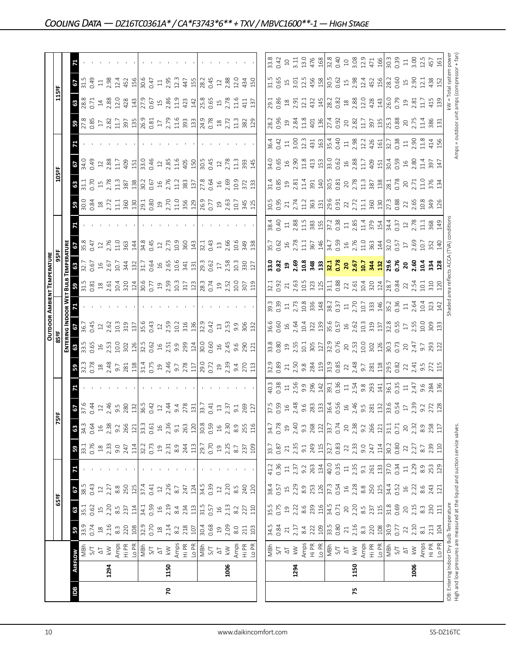|     |      |                                                                                                                                                                                                                                                                                                                                                                                                                            |                                                                                                                                                                                                                                                                                                                                                                                                                                       |                                                                                                                                                                                                                                                                                            |                                                                                                                                                                                                                                                                                                                                                                                                |                                                                                                                                                                                                                                                                                                        |                                                                                                                                                                                                                                                                                                                                                   |                                                                                            |                                                                                                                                                                                                                                                                                                 |                            |                                                                                                                                                                                                                                                               |                                                                                                                                                                                                                                                                                                       |                                                                                                                                                                                                                                |                                                                                                                                                                                                                                                                                                                      | <b>OUTDOOR AMBIENT TEMPERATURE</b>                                                                                                                                                                                                                                                                                                                |                                                                                     |                                                             |                                                                                                                                                                                                                                                                                                                            |                                                         |                                                                                                                    |                                    |                      |                                                          |                                                      |                                           |                                                                                          |
|-----|------|----------------------------------------------------------------------------------------------------------------------------------------------------------------------------------------------------------------------------------------------------------------------------------------------------------------------------------------------------------------------------------------------------------------------------|---------------------------------------------------------------------------------------------------------------------------------------------------------------------------------------------------------------------------------------------------------------------------------------------------------------------------------------------------------------------------------------------------------------------------------------|--------------------------------------------------------------------------------------------------------------------------------------------------------------------------------------------------------------------------------------------------------------------------------------------|------------------------------------------------------------------------------------------------------------------------------------------------------------------------------------------------------------------------------------------------------------------------------------------------------------------------------------------------------------------------------------------------|--------------------------------------------------------------------------------------------------------------------------------------------------------------------------------------------------------------------------------------------------------------------------------------------------------|---------------------------------------------------------------------------------------------------------------------------------------------------------------------------------------------------------------------------------------------------------------------------------------------------------------------------------------------------|--------------------------------------------------------------------------------------------|-------------------------------------------------------------------------------------------------------------------------------------------------------------------------------------------------------------------------------------------------------------------------------------------------|----------------------------|---------------------------------------------------------------------------------------------------------------------------------------------------------------------------------------------------------------------------------------------------------------|-------------------------------------------------------------------------------------------------------------------------------------------------------------------------------------------------------------------------------------------------------------------------------------------------------|--------------------------------------------------------------------------------------------------------------------------------------------------------------------------------------------------------------------------------|----------------------------------------------------------------------------------------------------------------------------------------------------------------------------------------------------------------------------------------------------------------------------------------------------------------------|---------------------------------------------------------------------------------------------------------------------------------------------------------------------------------------------------------------------------------------------------------------------------------------------------------------------------------------------------|-------------------------------------------------------------------------------------|-------------------------------------------------------------|----------------------------------------------------------------------------------------------------------------------------------------------------------------------------------------------------------------------------------------------------------------------------------------------------------------------------|---------------------------------------------------------|--------------------------------------------------------------------------------------------------------------------|------------------------------------|----------------------|----------------------------------------------------------|------------------------------------------------------|-------------------------------------------|------------------------------------------------------------------------------------------|
|     |      |                                                                                                                                                                                                                                                                                                                                                                                                                            |                                                                                                                                                                                                                                                                                                                                                                                                                                       | 65°F                                                                                                                                                                                                                                                                                       |                                                                                                                                                                                                                                                                                                                                                                                                |                                                                                                                                                                                                                                                                                                        |                                                                                                                                                                                                                                                                                                                                                   | Ñ                                                                                          | 읈                                                                                                                                                                                                                                                                                               |                            |                                                                                                                                                                                                                                                               | 85°F                                                                                                                                                                                                                                                                                                  |                                                                                                                                                                                                                                |                                                                                                                                                                                                                                                                                                                      |                                                                                                                                                                                                                                                                                                                                                   |                                                                                     |                                                             |                                                                                                                                                                                                                                                                                                                            |                                                         | 105°F                                                                                                              |                                    |                      |                                                          | 115ºF                                                |                                           |                                                                                          |
|     |      |                                                                                                                                                                                                                                                                                                                                                                                                                            |                                                                                                                                                                                                                                                                                                                                                                                                                                       |                                                                                                                                                                                                                                                                                            |                                                                                                                                                                                                                                                                                                                                                                                                |                                                                                                                                                                                                                                                                                                        |                                                                                                                                                                                                                                                                                                                                                   |                                                                                            |                                                                                                                                                                                                                                                                                                 |                            |                                                                                                                                                                                                                                                               |                                                                                                                                                                                                                                                                                                       | ENTERING INDOOR W                                                                                                                                                                                                              |                                                                                                                                                                                                                                                                                                                      | BuuB                                                                                                                                                                                                                                                                                                                                              | <b>TEMPERATURI</b>                                                                  |                                                             |                                                                                                                                                                                                                                                                                                                            |                                                         |                                                                                                                    |                                    |                      |                                                          |                                                      |                                           |                                                                                          |
| 8dl |      |                                                                                                                                                                                                                                                                                                                                                                                                                            | $33.9$<br>33.9                                                                                                                                                                                                                                                                                                                                                                                                                        |                                                                                                                                                                                                                                                                                            | $rac{38}{4}$                                                                                                                                                                                                                                                                                                                                                                                   |                                                                                                                                                                                                                                                                                                        | <b>3</b><br>33.1<br>0.76                                                                                                                                                                                                                                                                                                                          | 63                                                                                         | $\frac{6}{37.6}$                                                                                                                                                                                                                                                                                |                            | 3.38                                                                                                                                                                                                                                                          | 63                                                                                                                                                                                                                                                                                                    | 29                                                                                                                                                                                                                             |                                                                                                                                                                                                                                                                                                                      | $31.5$ $31.5$                                                                                                                                                                                                                                                                                                                                     | <b>8</b><br>32.7<br>0.67                                                            | 29                                                          |                                                                                                                                                                                                                                                                                                                            | ႙ၟ                                                      | 3 <sup>o</sup>                                                                                                     | 29                                 |                      | 59                                                       | $\frac{38.8}{28.8}$                                  | $\frac{2.75}{2}$                          |                                                                                          |
|     |      |                                                                                                                                                                                                                                                                                                                                                                                                                            |                                                                                                                                                                                                                                                                                                                                                                                                                                       |                                                                                                                                                                                                                                                                                            |                                                                                                                                                                                                                                                                                                                                                                                                |                                                                                                                                                                                                                                                                                                        |                                                                                                                                                                                                                                                                                                                                                   | 34.3                                                                                       |                                                                                                                                                                                                                                                                                                 |                            |                                                                                                                                                                                                                                                               | 33.5                                                                                                                                                                                                                                                                                                  | 36.7                                                                                                                                                                                                                           |                                                                                                                                                                                                                                                                                                                      |                                                                                                                                                                                                                                                                                                                                                   |                                                                                     | $\frac{8}{0.47}$                                            |                                                                                                                                                                                                                                                                                                                            | $\frac{30.84}{0.84}$                                    | $\frac{11}{31.1}$                                                                                                  | $34.0$<br>0.49                     |                      | 27.85                                                    |                                                      |                                           |                                                                                          |
|     |      |                                                                                                                                                                                                                                                                                                                                                                                                                            |                                                                                                                                                                                                                                                                                                                                                                                                                                       |                                                                                                                                                                                                                                                                                            | 0.43                                                                                                                                                                                                                                                                                                                                                                                           |                                                                                                                                                                                                                                                                                                        |                                                                                                                                                                                                                                                                                                                                                   | 0.64                                                                                       |                                                                                                                                                                                                                                                                                                 |                            |                                                                                                                                                                                                                                                               | 0.65                                                                                                                                                                                                                                                                                                  | 0.45                                                                                                                                                                                                                           |                                                                                                                                                                                                                                                                                                                      |                                                                                                                                                                                                                                                                                                                                                   |                                                                                     |                                                             |                                                                                                                                                                                                                                                                                                                            |                                                         |                                                                                                                    |                                    |                      |                                                          |                                                      | 0.49                                      |                                                                                          |
|     |      |                                                                                                                                                                                                                                                                                                                                                                                                                            |                                                                                                                                                                                                                                                                                                                                                                                                                                       |                                                                                                                                                                                                                                                                                            | $12$                                                                                                                                                                                                                                                                                                                                                                                           |                                                                                                                                                                                                                                                                                                        |                                                                                                                                                                                                                                                                                                                                                   | $\frac{16}{1}$                                                                             | $\mathfrak{Q}$                                                                                                                                                                                                                                                                                  |                            |                                                                                                                                                                                                                                                               | $16$<br>$2.53$                                                                                                                                                                                                                                                                                        | $12^{2}$                                                                                                                                                                                                                       |                                                                                                                                                                                                                                                                                                                      |                                                                                                                                                                                                                                                                                                                                                   | $16$<br>$2.67$                                                                      | $12\,$                                                      |                                                                                                                                                                                                                                                                                                                            | $\frac{18}{2.72}$                                       | $\overline{15}$                                                                                                    | $12$                               |                      |                                                          | $\ensuremath{\mathop{\mathop{\mathbf{1}}}}\nolimits$ | $\Xi$                                     |                                                                                          |
|     | 1294 |                                                                                                                                                                                                                                                                                                                                                                                                                            |                                                                                                                                                                                                                                                                                                                                                                                                                                       |                                                                                                                                                                                                                                                                                            | 2.27                                                                                                                                                                                                                                                                                                                                                                                           |                                                                                                                                                                                                                                                                                                        |                                                                                                                                                                                                                                                                                                                                                   | 2.38                                                                                       | 2.46<br>9.5                                                                                                                                                                                                                                                                                     |                            |                                                                                                                                                                                                                                                               | 10.0                                                                                                                                                                                                                                                                                                  | 10.3                                                                                                                                                                                                                           |                                                                                                                                                                                                                                                                                                                      |                                                                                                                                                                                                                                                                                                                                                   |                                                                                     | 2.76<br>11.0                                                |                                                                                                                                                                                                                                                                                                                            | $\Xi$                                                   | 2.78<br>$\frac{3}{11}$                                                                                             | 2.88<br>11.7                       |                      |                                                          | 12.0<br>2.88                                         | 2.98<br>12.4                              |                                                                                          |
|     |      |                                                                                                                                                                                                                                                                                                                                                                                                                            |                                                                                                                                                                                                                                                                                                                                                                                                                                       |                                                                                                                                                                                                                                                                                            |                                                                                                                                                                                                                                                                                                                                                                                                |                                                                                                                                                                                                                                                                                                        |                                                                                                                                                                                                                                                                                                                                                   | $9.2$<br>266                                                                               | 280                                                                                                                                                                                                                                                                                             |                            |                                                                                                                                                                                                                                                               | 302                                                                                                                                                                                                                                                                                                   | 319                                                                                                                                                                                                                            |                                                                                                                                                                                                                                                                                                                      |                                                                                                                                                                                                                                                                                                                                                   | 10.7<br>344                                                                         | 363                                                         |                                                                                                                                                                                                                                                                                                                            |                                                         | 387                                                                                                                | 409                                |                      |                                                          | 428                                                  | 452                                       |                                                                                          |
|     |      | $\begin{array}{c c c c c c} \hline \textbf{MREDW} & \textbf{MHD} & \textbf{MFD} & \textbf{MFD} & \textbf{MFD} & \textbf{MFD} & \textbf{MFD} & \textbf{MFD} & \textbf{MFD} & \textbf{MFD} & \textbf{MFD} & \textbf{MFD} & \textbf{MFD} & \textbf{MFD} & \textbf{MFD} & \textbf{MFD} & \textbf{MFD} & \textbf{MFD} & \textbf{MFD} & \textbf{MFD} & \textbf{MFD} & \textbf{MFD} & \textbf{MFD} & \textbf{MFD} & \textbf{MFD}$ | $\begin{array}{c}\n\text{a} & \text{a} & \text{b} \\ \text{c} & \text{d} & \text{c} \\ \text{d} & \text{d} & \text{d} \\ \text{e} & \text{f} & \text{g} \\ \text{f} & \text{g} & \text{g} \\ \text{g} & \text{g} & \text{g} \\ \text{h} & \text{g} & \text{h} \\ \text{h} & \text{h} & \text{h} \\ \text{i} & \text{h} & \text{h} \\ \text{j} & \text{h} & \text{h} \\ \text{m} & \text{h} & \text{h} \\ \text{m} & \text{h} & \text$ |                                                                                                                                                                                                                                                                                            | 8.8<br>250 274<br>374 22 26<br>2.7                                                                                                                                                                                                                                                                                                                                                             |                                                                                                                                                                                                                                                                                                        | $\begin{array}{c}\n 2.33 \\  2.33 \\  3.53 \\  5.73 \\  6.73 \\  7.33 \\  7.33 \\  8.34 \\  7.53 \\  7.53 \\  8.73 \\  9.73 \\  1.0 \\  0.70 \\  0.70 \\  0.70 \\  0.70 \\  0.70 \\  0.70 \\  0.70 \\  0.70 \\  0.70 \\  0.70 \\  0.70 \\  0.70 \\  0.70 \\  0.70 \\  0.70 \\  0.70 \\  0.70 \\  0.70 \\  0.70 \\  0.70 \\  0.70 \\  0.70 \\  0.$ | 121                                                                                        | 132                                                                                                                                                                                                                                                                                             |                            | $\begin{array}{l} 23,0000\\ 24,0000\\ 25,00000\\ 26,00000\\ 27,00000\\ 28,00000\\ 29,00000\\ 29,00000\\ 29,00000\\ 29,00000\\ 29,0000\\ 29,0000\\ 29,0000\\ 29,0000\\ 29,0000\\ 29,0000\\ 29,0000\\ 29,0000\\ 29,0000\\ 29,0000\\ 29,0000\\ 29,0000\\ 29,000$ |                                                                                                                                                                                                                                                                                                       | 137                                                                                                                                                                                                                            |                                                                                                                                                                                                                                                                                                                      | $\begin{array}{c}\n 2535 \\  2651 \\  2752 \\  2851 \\  2951 \\  2051 \\  2051 \\  2051 \\  2051 \\  2051 \\  2051 \\  2051 \\  2051 \\  2051 \\  2051 \\  2051 \\  2051 \\  2051 \\  2051 \\  2051 \\  2051 \\  2051 \\  2051 \\  2051 \\  2051 \\  2051 \\  2051 \\  2051 \\  2051 \\  2051 \\  2051 \\  2051 \\  2051 \\  2051 \\  2051 \\  2$ | 132                                                                                 | 144                                                         |                                                                                                                                                                                                                                                                                                                            | 360<br>130                                              | 138                                                                                                                | 151                                |                      |                                                          | 143                                                  | 156                                       |                                                                                          |
|     |      |                                                                                                                                                                                                                                                                                                                                                                                                                            |                                                                                                                                                                                                                                                                                                                                                                                                                                       |                                                                                                                                                                                                                                                                                            |                                                                                                                                                                                                                                                                                                                                                                                                |                                                                                                                                                                                                                                                                                                        |                                                                                                                                                                                                                                                                                                                                                   |                                                                                            | 36.5                                                                                                                                                                                                                                                                                            |                            |                                                                                                                                                                                                                                                               | $\frac{126}{32.5}$                                                                                                                                                                                                                                                                                    |                                                                                                                                                                                                                                |                                                                                                                                                                                                                                                                                                                      |                                                                                                                                                                                                                                                                                                                                                   |                                                                                     | 34.8                                                        |                                                                                                                                                                                                                                                                                                                            |                                                         | 30.2                                                                                                               | 33.0                               |                      |                                                          |                                                      |                                           |                                                                                          |
|     |      |                                                                                                                                                                                                                                                                                                                                                                                                                            |                                                                                                                                                                                                                                                                                                                                                                                                                                       |                                                                                                                                                                                                                                                                                            |                                                                                                                                                                                                                                                                                                                                                                                                |                                                                                                                                                                                                                                                                                                        |                                                                                                                                                                                                                                                                                                                                                   | 33.3                                                                                       | 0.42                                                                                                                                                                                                                                                                                            |                            |                                                                                                                                                                                                                                                               |                                                                                                                                                                                                                                                                                                       | 35.6<br>0.43                                                                                                                                                                                                                   |                                                                                                                                                                                                                                                                                                                      |                                                                                                                                                                                                                                                                                                                                                   | 31.7<br>0.64                                                                        | 0.45                                                        |                                                                                                                                                                                                                                                                                                                            | 29.1<br>0.80                                            | 0.67                                                                                                               | 0.46                               |                      |                                                          | 27.9<br>0.67                                         | 30.6<br>0.47                              |                                                                                          |
|     |      |                                                                                                                                                                                                                                                                                                                                                                                                                            |                                                                                                                                                                                                                                                                                                                                                                                                                                       |                                                                                                                                                                                                                                                                                            |                                                                                                                                                                                                                                                                                                                                                                                                |                                                                                                                                                                                                                                                                                                        |                                                                                                                                                                                                                                                                                                                                                   | $\Xi$                                                                                      | $12$                                                                                                                                                                                                                                                                                            |                            |                                                                                                                                                                                                                                                               | $16$                                                                                                                                                                                                                                                                                                  |                                                                                                                                                                                                                                |                                                                                                                                                                                                                                                                                                                      |                                                                                                                                                                                                                                                                                                                                                   |                                                                                     |                                                             |                                                                                                                                                                                                                                                                                                                            | $\Xi$                                                   | $\Xi$                                                                                                              | $\ensuremath{\mathop{\mathit{1}}}$ |                      |                                                          | $15$                                                 | $11_{2.95}$                               |                                                                                          |
| 20  | 1150 |                                                                                                                                                                                                                                                                                                                                                                                                                            |                                                                                                                                                                                                                                                                                                                                                                                                                                       |                                                                                                                                                                                                                                                                                            |                                                                                                                                                                                                                                                                                                                                                                                                |                                                                                                                                                                                                                                                                                                        |                                                                                                                                                                                                                                                                                                                                                   | 2.36                                                                                       |                                                                                                                                                                                                                                                                                                 |                            |                                                                                                                                                                                                                                                               | 2.51                                                                                                                                                                                                                                                                                                  | $12^{159}$                                                                                                                                                                                                                     |                                                                                                                                                                                                                                                                                                                      |                                                                                                                                                                                                                                                                                                                                                   |                                                                                     |                                                             |                                                                                                                                                                                                                                                                                                                            |                                                         | 2.76                                                                                                               | 2.85                               |                      |                                                          | 2.86                                                 |                                           |                                                                                          |
|     |      |                                                                                                                                                                                                                                                                                                                                                                                                                            |                                                                                                                                                                                                                                                                                                                                                                                                                                       |                                                                                                                                                                                                                                                                                            |                                                                                                                                                                                                                                                                                                                                                                                                |                                                                                                                                                                                                                                                                                                        |                                                                                                                                                                                                                                                                                                                                                   | $\overline{9}$ .                                                                           | $2.44$<br>9.4<br>278                                                                                                                                                                                                                                                                            |                            |                                                                                                                                                                                                                                                               | 9.9                                                                                                                                                                                                                                                                                                   | 10.2                                                                                                                                                                                                                           |                                                                                                                                                                                                                                                                                                                      |                                                                                                                                                                                                                                                                                                                                                   | $16$<br>$2.65$<br>$10.6$                                                            | $\frac{12}{2.73}$                                           |                                                                                                                                                                                                                                                                                                                            | 2.70                                                    | 11.2                                                                                                               | 11.6                               |                      |                                                          | $\frac{9}{11}$                                       | 12.3                                      |                                                                                          |
|     |      |                                                                                                                                                                                                                                                                                                                                                                                                                            |                                                                                                                                                                                                                                                                                                                                                                                                                                       |                                                                                                                                                                                                                                                                                            | $\frac{247}{124}$                                                                                                                                                                                                                                                                                                                                                                              |                                                                                                                                                                                                                                                                                                        |                                                                                                                                                                                                                                                                                                                                                   | $\frac{263}{20.80}$                                                                        |                                                                                                                                                                                                                                                                                                 |                            |                                                                                                                                                                                                                                                               | 299                                                                                                                                                                                                                                                                                                   | 316                                                                                                                                                                                                                            |                                                                                                                                                                                                                                                                                                                      |                                                                                                                                                                                                                                                                                                                                                   | $\frac{1}{3}$ $\frac{1}{2}$ $\frac{1}{3}$ $\frac{1}{6}$ $\frac{1}{6}$ $\frac{1}{6}$ | 360                                                         |                                                                                                                                                                                                                                                                                                                            | 356<br>129                                              | 383                                                                                                                | 405                                |                      |                                                          | 423                                                  | 447                                       |                                                                                          |
|     |      |                                                                                                                                                                                                                                                                                                                                                                                                                            |                                                                                                                                                                                                                                                                                                                                                                                                                                       |                                                                                                                                                                                                                                                                                            |                                                                                                                                                                                                                                                                                                                                                                                                |                                                                                                                                                                                                                                                                                                        |                                                                                                                                                                                                                                                                                                                                                   |                                                                                            | 131                                                                                                                                                                                                                                                                                             |                            |                                                                                                                                                                                                                                                               |                                                                                                                                                                                                                                                                                                       |                                                                                                                                                                                                                                |                                                                                                                                                                                                                                                                                                                      |                                                                                                                                                                                                                                                                                                                                                   |                                                                                     | 143                                                         |                                                                                                                                                                                                                                                                                                                            |                                                         | 137                                                                                                                | 150                                |                      |                                                          | 142                                                  | 155                                       |                                                                                          |
|     |      |                                                                                                                                                                                                                                                                                                                                                                                                                            |                                                                                                                                                                                                                                                                                                                                                                                                                                       |                                                                                                                                                                                                                                                                                            |                                                                                                                                                                                                                                                                                                                                                                                                |                                                                                                                                                                                                                                                                                                        |                                                                                                                                                                                                                                                                                                                                                   |                                                                                            | 33.7                                                                                                                                                                                                                                                                                            |                            |                                                                                                                                                                                                                                                               | $\frac{124}{30.60}$ 3 45 6 7 8 9 9 9 1 4 5 9 9 9 1 $\frac{124}{20.60}$ 1 5 9 9 9 9 9 1 $\frac{124}{20.60}$ 1 5 9 9 9 9 9 9 1 $\frac{124}{20.60}$ 1 6 $\frac{124}{20.60}$ 1 6 $\frac{124}{20.60}$ 1 6 $\frac{124}{20.60}$ 1 6 $\frac{124}{20.60}$ 1 6 $\frac{124}{$                                    |                                                                                                                                                                                                                                |                                                                                                                                                                                                                                                                                                                      |                                                                                                                                                                                                                                                                                                                                                   |                                                                                     | 32.1                                                        |                                                                                                                                                                                                                                                                                                                            |                                                         | 27.8                                                                                                               | 30.5                               |                      |                                                          | 15.8<br>0.65                                         | 28.2                                      |                                                                                          |
|     |      |                                                                                                                                                                                                                                                                                                                                                                                                                            |                                                                                                                                                                                                                                                                                                                                                                                                                                       |                                                                                                                                                                                                                                                                                            | 34.5<br>0.39                                                                                                                                                                                                                                                                                                                                                                                   |                                                                                                                                                                                                                                                                                                        |                                                                                                                                                                                                                                                                                                                                                   |                                                                                            | 0.41                                                                                                                                                                                                                                                                                            |                            |                                                                                                                                                                                                                                                               |                                                                                                                                                                                                                                                                                                       |                                                                                                                                                                                                                                |                                                                                                                                                                                                                                                                                                                      |                                                                                                                                                                                                                                                                                                                                                   |                                                                                     | 0.43                                                        |                                                                                                                                                                                                                                                                                                                            | 26.9<br>0.77                                            | 0.64                                                                                                               | 0.45                               |                      |                                                          |                                                      | 0.45                                      |                                                                                          |
|     |      |                                                                                                                                                                                                                                                                                                                                                                                                                            |                                                                                                                                                                                                                                                                                                                                                                                                                                       |                                                                                                                                                                                                                                                                                            |                                                                                                                                                                                                                                                                                                                                                                                                |                                                                                                                                                                                                                                                                                                        |                                                                                                                                                                                                                                                                                                                                                   |                                                                                            | $13$                                                                                                                                                                                                                                                                                            |                            |                                                                                                                                                                                                                                                               |                                                                                                                                                                                                                                                                                                       |                                                                                                                                                                                                                                |                                                                                                                                                                                                                                                                                                                      |                                                                                                                                                                                                                                                                                                                                                   |                                                                                     |                                                             |                                                                                                                                                                                                                                                                                                                            | $\overline{19}$                                         |                                                                                                                    | $12\,$                             |                      |                                                          | $15$                                                 |                                           |                                                                                          |
|     | 1006 |                                                                                                                                                                                                                                                                                                                                                                                                                            |                                                                                                                                                                                                                                                                                                                                                                                                                                       |                                                                                                                                                                                                                                                                                            |                                                                                                                                                                                                                                                                                                                                                                                                |                                                                                                                                                                                                                                                                                                        |                                                                                                                                                                                                                                                                                                                                                   |                                                                                            | 2.37                                                                                                                                                                                                                                                                                            |                            |                                                                                                                                                                                                                                                               |                                                                                                                                                                                                                                                                                                       | $32.9$<br>0.42<br>13<br>2.53                                                                                                                                                                                                   |                                                                                                                                                                                                                                                                                                                      |                                                                                                                                                                                                                                                                                                                                                   | $17^{2.58}$                                                                         |                                                             |                                                                                                                                                                                                                                                                                                                            | 2.63                                                    | $16$<br>$2.69$                                                                                                     | 2.78                               |                      |                                                          | 2.78                                                 | $\begin{array}{c} 12 \\ 2.88 \end{array}$ |                                                                                          |
|     |      |                                                                                                                                                                                                                                                                                                                                                                                                                            |                                                                                                                                                                                                                                                                                                                                                                                                                                       |                                                                                                                                                                                                                                                                                            | $\begin{array}{c} 12 \\ 2.20 \\ 8.5 \\ 240 \\ 120 \end{array}$                                                                                                                                                                                                                                                                                                                                 |                                                                                                                                                                                                                                                                                                        | $\begin{array}{c} 19 \\ 2.25 \\ 8.7 \\ 2.37 \\ 109 \end{array}$                                                                                                                                                                                                                                                                                   | $\begin{array}{c} 16 \\ 2.30 \\ 8.9 \\ 255 \\ 116 \end{array}$                             | 9.1                                                                                                                                                                                                                                                                                             |                            |                                                                                                                                                                                                                                                               |                                                                                                                                                                                                                                                                                                       | 9.9                                                                                                                                                                                                                            |                                                                                                                                                                                                                                                                                                                      |                                                                                                                                                                                                                                                                                                                                                   |                                                                                     | $13$<br>$2.66$<br>$10.6$                                    |                                                                                                                                                                                                                                                                                                                            |                                                         |                                                                                                                    | $\frac{3}{11}$                     |                      |                                                          | 11.6                                                 | 12.0                                      |                                                                                          |
|     |      |                                                                                                                                                                                                                                                                                                                                                                                                                            |                                                                                                                                                                                                                                                                                                                                                                                                                                       |                                                                                                                                                                                                                                                                                            |                                                                                                                                                                                                                                                                                                                                                                                                |                                                                                                                                                                                                                                                                                                        |                                                                                                                                                                                                                                                                                                                                                   |                                                                                            | 269                                                                                                                                                                                                                                                                                             |                            |                                                                                                                                                                                                                                                               |                                                                                                                                                                                                                                                                                                       | 306                                                                                                                                                                                                                            |                                                                                                                                                                                                                                                                                                                      |                                                                                                                                                                                                                                                                                                                                                   | 10.3<br>330<br>127                                                                  | 349                                                         |                                                                                                                                                                                                                                                                                                                            |                                                         | $\frac{10.9}{372}$                                                                                                 | 393                                |                      | 11.3<br>382                                              | 411                                                  | 434                                       |                                                                                          |
|     |      | Amps<br>Hi PR<br>Lo PR                                                                                                                                                                                                                                                                                                                                                                                                     | 103                                                                                                                                                                                                                                                                                                                                                                                                                                   |                                                                                                                                                                                                                                                                                            |                                                                                                                                                                                                                                                                                                                                                                                                |                                                                                                                                                                                                                                                                                                        |                                                                                                                                                                                                                                                                                                                                                   |                                                                                            | 127                                                                                                                                                                                                                                                                                             |                            | 113                                                                                                                                                                                                                                                           | 121                                                                                                                                                                                                                                                                                                   | 132                                                                                                                                                                                                                            |                                                                                                                                                                                                                                                                                                                      | 119                                                                                                                                                                                                                                                                                                                                               |                                                                                     | 138                                                         |                                                                                                                                                                                                                                                                                                                            | 10.7<br>345<br>125                                      | 133                                                                                                                | 145                                |                      | 129                                                      | 137                                                  | 150                                       |                                                                                          |
|     |      |                                                                                                                                                                                                                                                                                                                                                                                                                            |                                                                                                                                                                                                                                                                                                                                                                                                                                       |                                                                                                                                                                                                                                                                                            |                                                                                                                                                                                                                                                                                                                                                                                                |                                                                                                                                                                                                                                                                                                        |                                                                                                                                                                                                                                                                                                                                                   |                                                                                            |                                                                                                                                                                                                                                                                                                 |                            |                                                                                                                                                                                                                                                               |                                                                                                                                                                                                                                                                                                       |                                                                                                                                                                                                                                |                                                                                                                                                                                                                                                                                                                      |                                                                                                                                                                                                                                                                                                                                                   |                                                                                     |                                                             |                                                                                                                                                                                                                                                                                                                            |                                                         |                                                                                                                    |                                    |                      |                                                          |                                                      |                                           |                                                                                          |
|     |      |                                                                                                                                                                                                                                                                                                                                                                                                                            |                                                                                                                                                                                                                                                                                                                                                                                                                                       |                                                                                                                                                                                                                                                                                            |                                                                                                                                                                                                                                                                                                                                                                                                |                                                                                                                                                                                                                                                                                                        |                                                                                                                                                                                                                                                                                                                                                   | 34.7<br>0.78                                                                               | 37.5                                                                                                                                                                                                                                                                                            | 40.3                       |                                                                                                                                                                                                                                                               |                                                                                                                                                                                                                                                                                                       |                                                                                                                                                                                                                                |                                                                                                                                                                                                                                                                                                                      | 32.1<br>0.92                                                                                                                                                                                                                                                                                                                                      | 33.0<br>0.82                                                                        | 35.7                                                        |                                                                                                                                                                                                                                                                                                                            | 30.5                                                    | 31.4                                                                                                               |                                    |                      |                                                          |                                                      | 31.5                                      | 33.8                                                                                     |
|     |      |                                                                                                                                                                                                                                                                                                                                                                                                                            |                                                                                                                                                                                                                                                                                                                                                                                                                                       |                                                                                                                                                                                                                                                                                            |                                                                                                                                                                                                                                                                                                                                                                                                |                                                                                                                                                                                                                                                                                                        |                                                                                                                                                                                                                                                                                                                                                   |                                                                                            | 0.59                                                                                                                                                                                                                                                                                            | 0.38                       |                                                                                                                                                                                                                                                               |                                                                                                                                                                                                                                                                                                       |                                                                                                                                                                                                                                |                                                                                                                                                                                                                                                                                                                      |                                                                                                                                                                                                                                                                                                                                                   |                                                                                     | 0.62                                                        | 38.4<br>0.40                                                                                                                                                                                                                                                                                                               | 0.95                                                    |                                                                                                                    | 34.0<br>0.65                       |                      | 28.2<br>0.96                                             | 29.1<br>0.86                                         |                                           | 0.42                                                                                     |
|     |      |                                                                                                                                                                                                                                                                                                                                                                                                                            |                                                                                                                                                                                                                                                                                                                                                                                                                                       |                                                                                                                                                                                                                                                                                            |                                                                                                                                                                                                                                                                                                                                                                                                |                                                                                                                                                                                                                                                                                                        |                                                                                                                                                                                                                                                                                                                                                   |                                                                                            | $16$                                                                                                                                                                                                                                                                                            | $\Xi$                      | $\frac{32.9}{0.89}$                                                                                                                                                                                                                                           |                                                                                                                                                                                                                                                                                                       |                                                                                                                                                                                                                                |                                                                                                                                                                                                                                                                                                                      |                                                                                                                                                                                                                                                                                                                                                   |                                                                                     |                                                             | $\Xi$                                                                                                                                                                                                                                                                                                                      |                                                         |                                                                                                                    |                                    | $36.4$<br>0.42<br>11 | $\overline{1}9$                                          |                                                      |                                           | $\Box$                                                                                   |
|     | 1294 |                                                                                                                                                                                                                                                                                                                                                                                                                            |                                                                                                                                                                                                                                                                                                                                                                                                                                       |                                                                                                                                                                                                                                                                                            |                                                                                                                                                                                                                                                                                                                                                                                                |                                                                                                                                                                                                                                                                                                        |                                                                                                                                                                                                                                                                                                                                                   |                                                                                            |                                                                                                                                                                                                                                                                                                 |                            |                                                                                                                                                                                                                                                               |                                                                                                                                                                                                                                                                                                       |                                                                                                                                                                                                                                |                                                                                                                                                                                                                                                                                                                      |                                                                                                                                                                                                                                                                                                                                                   |                                                                                     |                                                             |                                                                                                                                                                                                                                                                                                                            |                                                         |                                                                                                                    |                                    |                      |                                                          | $\frac{18}{2.51}$                                    |                                           |                                                                                          |
|     |      | $\begin{array}{l} \hline \text{NBI} \\ \text{S/T} \\ \text{A} \rightarrow \text{S} \\ \text{A} \rightarrow \text{S} \\ \text{A} \rightarrow \text{S} \\ \text{A} \rightarrow \text{S} \\ \text{A} \rightarrow \text{S} \\ \text{A} \rightarrow \text{S} \end{array}$                                                                                                                                                       | $\begin{array}{ccc}\n\ddot{x} & \dot{x} & \dot{x} & \dot{x} \\ \dot{x} & \dot{x} & \dot{y} & \dot{z} \\ \dot{y} & \dot{y} & \dot{z} & \dot{z} \\ \dot{z} & \dot{y} & \dot{z} & \dot{z} \\ \dot{z} & \dot{z} & \dot{z} & \dot{z}\n\end{array}$                                                                                                                                                                                         | $\begin{array}{c} 15.5 & 0.0000 \\ 15.5 & 0.0000 \\ 15.5 & 0.0000 \\ 15.5 & 0.0000 \\ 15.5 & 15.5 \\ 15.5 & 15.5 \\ 15.5 & 15.5 \\ 15.5 & 15.5 \\ 15.5 & 15.5 \\ 15.5 & 15.5 \\ 15.5 & 15.5 \\ 15.5 & 15.5 \\ 15.5 & 15.5 \\ 15.5 & 15.5 \\ 15.5 & 15.5 \\ 15.5 & 15.5 \\ 15.5 & 15.5 \\ $ | $\begin{array}{c} 38.5 & \text{F} & \text{F} & \text{F} \\ 25.5 & \text{F} & \text{F} & \text{F} \\ 25.5 & \text{F} & \text{F} & \text{F} \\ 25.5 & \text{F} & \text{F} & \text{F} \\ 25.5 & \text{F} & \text{F} & \text{F} \\ 25.5 & \text{F} & \text{F} & \text{F} \\ 25.5 & \text{F} & \text{F} & \text{F} \\ 25.5 & \text{F} & \text{F} & \text{F} \\ 25.5 & \text{F} & \text{F} & \text{$ |                                                                                                                                                                                                                                                                                                        | $\begin{array}{c} 33.7 \\ 0.87 \\ 2.3 \\ 3.4 \\ 9.1 \\ \hline \end{array}$                                                                                                                                                                                                                                                                        | $\begin{array}{c c}\n 19 & 40 \\  2.40 & 53 \\  33.7 & 12 \\  \hline\n 0.74\n \end{array}$ | $\frac{36}{23}$ $\frac{36}{23}$ $\frac{36}{23}$ $\frac{1}{36}$ $\frac{1}{66}$ $\frac{1}{66}$ $\frac{1}{66}$ $\frac{1}{66}$ $\frac{1}{66}$ $\frac{1}{66}$ $\frac{1}{66}$ $\frac{1}{66}$ $\frac{1}{66}$ $\frac{1}{66}$ $\frac{1}{66}$ $\frac{1}{66}$ $\frac{1}{66}$ $\frac{1}{66}$ $\frac{1}{66}$ | 2.56<br>9.96<br>296<br>142 |                                                                                                                                                                                                                                                               | $\frac{33.8}{0.80}$ $\frac{8}{1.51}$ $\frac{5}{1.51}$ $\frac{5}{1.51}$ $\frac{5}{1.51}$ $\frac{5}{1.51}$ $\frac{5}{1.51}$ $\frac{5}{1.51}$                                                                                                                                                            | $36.6$ $60.6$ $61.4$ $62.4$ $72.7$ $72.8$ $72.7$ $72.8$ $72.7$ $72.7$ $72.7$ $72.7$ $72.7$ $72.7$ $72.7$ $72.7$ $72.7$ $72.7$ $72.7$ $72.7$ $72.7$ $72.7$ $72.7$ $72.7$ $72.7$ $72.7$ $72.7$ $72.7$ $72.7$ $72.7$ $72.7$ $72.$ | $\begin{array}{c} 33.83 \\ 33.81 \\ 35.1 \end{array} \begin{array}{c} 23.84 \\ 23.1 \\ 23.1 \end{array} \begin{array}{c} 23.84 \\ 23.1 \\ 23.1 \end{array} \begin{array}{c} 23.84 \\ 23.1 \\ 23.1 \end{array} \begin{array}{c} 23.84 \\ 23.1 \\ 23.1 \end{array} \begin{array}{c} 23.84 \\ 23.1 \\ 23.1 \end{array}$ | $\begin{array}{c} 21 \\ 2.63 \\ 10.5 \\ 3.23 \\ \hline \end{array} \begin{array}{c} 2 \\ 2 \\ 3 \\ 1 \\ 2 \\ 3 \\ 3 \\ 0.88 \\ \hline \end{array}$                                                                                                                                                                                                | 19 2.69 3 3 3 3 3 4 5 6 7 8                                                         | $\begin{array}{c} 16 \\ 2.78 \\ 11.1 \\ 367 \\ \end{array}$ | $\begin{array}{c} 2.88 \\ 1.11 \\ 3.83 \\ 3.5 \end{array} \begin{array}{c} 2.8 \\ 1.11 \\ 3.11 \\ 4.11 \\ 5.11 \\ 5.11 \\ 5.11 \\ 5.11 \\ 5.12 \\ 5.13 \\ 5.14 \\ 5.14 \\ 5.14 \\ 5.14 \\ 5.14 \\ 5.14 \\ 5.14 \\ 5.14 \\ 5.14 \\ 5.14 \\ 5.14 \\ 5.14 \\ 5.14 \\ 5.14 \\ 5.14 \\ 5.14 \\ 5.14 \\ 5.14 \\ 5.14 \\ 5.14 \\$ | $2.74$<br>$1.2$ $363$<br>$121$<br>$29.6$<br>$0.91$      | $\begin{array}{c} 19 \\ 2.81 \\ 1.14 \\ 391 \\ \hline \end{array}$                                                 |                                    |                      | $2.84$<br>$4.24$<br>$4.36$<br>$4.46$<br>$4.46$<br>$4.52$ |                                                      |                                           | $\begin{array}{c} 3.11 \\ 13.0 \\ 47.6 \\ \hline 168 \\ 3.2 \\ 60 \\ \hline \end{array}$ |
|     |      |                                                                                                                                                                                                                                                                                                                                                                                                                            |                                                                                                                                                                                                                                                                                                                                                                                                                                       |                                                                                                                                                                                                                                                                                            |                                                                                                                                                                                                                                                                                                                                                                                                |                                                                                                                                                                                                                                                                                                        |                                                                                                                                                                                                                                                                                                                                                   |                                                                                            |                                                                                                                                                                                                                                                                                                 |                            |                                                                                                                                                                                                                                                               |                                                                                                                                                                                                                                                                                                       |                                                                                                                                                                                                                                |                                                                                                                                                                                                                                                                                                                      |                                                                                                                                                                                                                                                                                                                                                   |                                                                                     |                                                             |                                                                                                                                                                                                                                                                                                                            |                                                         |                                                                                                                    |                                    |                      |                                                          | 432                                                  |                                           |                                                                                          |
|     |      |                                                                                                                                                                                                                                                                                                                                                                                                                            |                                                                                                                                                                                                                                                                                                                                                                                                                                       |                                                                                                                                                                                                                                                                                            |                                                                                                                                                                                                                                                                                                                                                                                                |                                                                                                                                                                                                                                                                                                        |                                                                                                                                                                                                                                                                                                                                                   |                                                                                            |                                                                                                                                                                                                                                                                                                 |                            |                                                                                                                                                                                                                                                               |                                                                                                                                                                                                                                                                                                       |                                                                                                                                                                                                                                |                                                                                                                                                                                                                                                                                                                      |                                                                                                                                                                                                                                                                                                                                                   |                                                                                     |                                                             |                                                                                                                                                                                                                                                                                                                            |                                                         |                                                                                                                    |                                    |                      |                                                          | 145                                                  |                                           |                                                                                          |
|     |      |                                                                                                                                                                                                                                                                                                                                                                                                                            |                                                                                                                                                                                                                                                                                                                                                                                                                                       |                                                                                                                                                                                                                                                                                            |                                                                                                                                                                                                                                                                                                                                                                                                |                                                                                                                                                                                                                                                                                                        |                                                                                                                                                                                                                                                                                                                                                   |                                                                                            |                                                                                                                                                                                                                                                                                                 | 39.1<br>0.36               |                                                                                                                                                                                                                                                               |                                                                                                                                                                                                                                                                                                       |                                                                                                                                                                                                                                |                                                                                                                                                                                                                                                                                                                      |                                                                                                                                                                                                                                                                                                                                                   |                                                                                     | 34.7<br>0.59                                                |                                                                                                                                                                                                                                                                                                                            |                                                         |                                                                                                                    |                                    |                      |                                                          | 28.2<br>0.82                                         |                                           |                                                                                          |
|     |      |                                                                                                                                                                                                                                                                                                                                                                                                                            |                                                                                                                                                                                                                                                                                                                                                                                                                                       |                                                                                                                                                                                                                                                                                            |                                                                                                                                                                                                                                                                                                                                                                                                |                                                                                                                                                                                                                                                                                                        |                                                                                                                                                                                                                                                                                                                                                   |                                                                                            |                                                                                                                                                                                                                                                                                                 |                            |                                                                                                                                                                                                                                                               |                                                                                                                                                                                                                                                                                                       |                                                                                                                                                                                                                                |                                                                                                                                                                                                                                                                                                                      |                                                                                                                                                                                                                                                                                                                                                   |                                                                                     |                                                             |                                                                                                                                                                                                                                                                                                                            |                                                         |                                                                                                                    |                                    |                      |                                                          |                                                      |                                           |                                                                                          |
|     |      |                                                                                                                                                                                                                                                                                                                                                                                                                            |                                                                                                                                                                                                                                                                                                                                                                                                                                       |                                                                                                                                                                                                                                                                                            |                                                                                                                                                                                                                                                                                                                                                                                                |                                                                                                                                                                                                                                                                                                        | 2.33                                                                                                                                                                                                                                                                                                                                              |                                                                                            |                                                                                                                                                                                                                                                                                                 |                            |                                                                                                                                                                                                                                                               |                                                                                                                                                                                                                                                                                                       |                                                                                                                                                                                                                                |                                                                                                                                                                                                                                                                                                                      |                                                                                                                                                                                                                                                                                                                                                   |                                                                                     |                                                             |                                                                                                                                                                                                                                                                                                                            |                                                         |                                                                                                                    |                                    |                      |                                                          | $18$<br>$2.88$                                       | $15$<br>$2.98$                            |                                                                                          |
| 75  | 1150 |                                                                                                                                                                                                                                                                                                                                                                                                                            |                                                                                                                                                                                                                                                                                                                                                                                                                                       |                                                                                                                                                                                                                                                                                            |                                                                                                                                                                                                                                                                                                                                                                                                |                                                                                                                                                                                                                                                                                                        |                                                                                                                                                                                                                                                                                                                                                   |                                                                                            |                                                                                                                                                                                                                                                                                                 | $11$ $0.54$<br>$9.8$ $293$ |                                                                                                                                                                                                                                                               |                                                                                                                                                                                                                                                                                                       |                                                                                                                                                                                                                                |                                                                                                                                                                                                                                                                                                                      |                                                                                                                                                                                                                                                                                                                                                   |                                                                                     | $16$<br>$2.76$<br>$11.0$<br>$363$                           |                                                                                                                                                                                                                                                                                                                            |                                                         |                                                                                                                    |                                    |                      |                                                          |                                                      |                                           | $\begin{array}{c} 10 \\ 3.08 \\ 12.9 \\ 471 \end{array}$                                 |
|     |      |                                                                                                                                                                                                                                                                                                                                                                                                                            |                                                                                                                                                                                                                                                                                                                                                                                                                                       |                                                                                                                                                                                                                                                                                            |                                                                                                                                                                                                                                                                                                                                                                                                |                                                                                                                                                                                                                                                                                                        |                                                                                                                                                                                                                                                                                                                                                   |                                                                                            |                                                                                                                                                                                                                                                                                                 |                            |                                                                                                                                                                                                                                                               |                                                                                                                                                                                                                                                                                                       |                                                                                                                                                                                                                                |                                                                                                                                                                                                                                                                                                                      |                                                                                                                                                                                                                                                                                                                                                   |                                                                                     |                                                             |                                                                                                                                                                                                                                                                                                                            |                                                         |                                                                                                                    |                                    |                      |                                                          | $12.0$<br>428                                        |                                           |                                                                                          |
|     |      |                                                                                                                                                                                                                                                                                                                                                                                                                            |                                                                                                                                                                                                                                                                                                                                                                                                                                       |                                                                                                                                                                                                                                                                                            |                                                                                                                                                                                                                                                                                                                                                                                                |                                                                                                                                                                                                                                                                                                        |                                                                                                                                                                                                                                                                                                                                                   |                                                                                            |                                                                                                                                                                                                                                                                                                 |                            |                                                                                                                                                                                                                                                               |                                                                                                                                                                                                                                                                                                       |                                                                                                                                                                                                                                |                                                                                                                                                                                                                                                                                                                      |                                                                                                                                                                                                                                                                                                                                                   |                                                                                     |                                                             |                                                                                                                                                                                                                                                                                                                            |                                                         |                                                                                                                    |                                    |                      |                                                          |                                                      | $13.4$<br>$45.2$                          |                                                                                          |
|     |      |                                                                                                                                                                                                                                                                                                                                                                                                                            |                                                                                                                                                                                                                                                                                                                                                                                                                                       |                                                                                                                                                                                                                                                                                            |                                                                                                                                                                                                                                                                                                                                                                                                |                                                                                                                                                                                                                                                                                                        |                                                                                                                                                                                                                                                                                                                                                   |                                                                                            |                                                                                                                                                                                                                                                                                                 |                            |                                                                                                                                                                                                                                                               |                                                                                                                                                                                                                                                                                                       |                                                                                                                                                                                                                                |                                                                                                                                                                                                                                                                                                                      |                                                                                                                                                                                                                                                                                                                                                   |                                                                                     |                                                             |                                                                                                                                                                                                                                                                                                                            |                                                         |                                                                                                                    |                                    |                      |                                                          | 143                                                  |                                           |                                                                                          |
|     |      | $\begin{array}{c}\n\text{Amps} \\ \text{Hi PR} \\ \text{L0 PR} \\ \text{NBF}\n\end{array}$                                                                                                                                                                                                                                                                                                                                 |                                                                                                                                                                                                                                                                                                                                                                                                                                       |                                                                                                                                                                                                                                                                                            |                                                                                                                                                                                                                                                                                                                                                                                                |                                                                                                                                                                                                                                                                                                        | $9.0$<br>$247$<br>$110.80$<br>$0.80$                                                                                                                                                                                                                                                                                                              | $\begin{array}{c} 20 \\ 2.38 \\ 9.2 \\ 266 \\ 111 \\ 31.1 \\ 0.71 \end{array}$             |                                                                                                                                                                                                                                                                                                 | $\frac{141}{36}$ 35        |                                                                                                                                                                                                                                                               | $\begin{array}{c} 2,86 \\ 2,76 \\ 3,76 \\ 5,76 \\ 6,76 \\ 7,76 \\ 8,76 \\ 10,76 \\ 10,76 \\ 10,76 \\ 10,76 \\ 10,76 \\ 10,76 \\ 10,76 \\ 10,76 \\ 11,76 \\ 12,76 \\ 13,76 \\ 14,76 \\ 15,76 \\ 16,76 \\ 17,76 \\ 18,76 \\ 19,76 \\ 19,76 \\ 19,76 \\ 19,76 \\ 19,76 \\ 19,76 \\ 19,76 \\ 19,76 \\ 19$ | $\frac{137}{32.8}$                                                                                                                                                                                                             |                                                                                                                                                                                                                                                                                                                      |                                                                                                                                                                                                                                                                                                                                                   | <b>a</b> 2.67<br>2.67<br>3.4<br>2.9.6<br>2.76                                       | $\frac{144}{32.0}$                                          | $\begin{array}{c} 34.4 \\ 0.37 \\ 2.78 \\ 1.1 \\ 368 \\ \end{array}$                                                                                                                                                                                                                                                       | $22,72$<br>$1.1$ $1.3$ $80$<br>$1.3$ $80$<br>$1.3$ $88$ | $\begin{array}{c} 20 \\ 2.78 \\ 1.38 \\ \hline \end{array} \begin{array}{c} 20 \\ 38 \\ 1.3 \\ \hline \end{array}$ |                                    |                      |                                                          | 26.0<br>0.79                                         | 28.2                                      | $\frac{166}{30}$                                                                         |
|     |      |                                                                                                                                                                                                                                                                                                                                                                                                                            |                                                                                                                                                                                                                                                                                                                                                                                                                                       |                                                                                                                                                                                                                                                                                            |                                                                                                                                                                                                                                                                                                                                                                                                |                                                                                                                                                                                                                                                                                                        |                                                                                                                                                                                                                                                                                                                                                   |                                                                                            |                                                                                                                                                                                                                                                                                                 |                            |                                                                                                                                                                                                                                                               |                                                                                                                                                                                                                                                                                                       |                                                                                                                                                                                                                                |                                                                                                                                                                                                                                                                                                                      |                                                                                                                                                                                                                                                                                                                                                   |                                                                                     |                                                             |                                                                                                                                                                                                                                                                                                                            |                                                         |                                                                                                                    |                                    |                      |                                                          |                                                      | 0.60                                      |                                                                                          |
|     |      | $\frac{\Delta}{\Delta}$                                                                                                                                                                                                                                                                                                                                                                                                    |                                                                                                                                                                                                                                                                                                                                                                                                                                       | $20^{2}$                                                                                                                                                                                                                                                                                   |                                                                                                                                                                                                                                                                                                                                                                                                |                                                                                                                                                                                                                                                                                                        | 2.27                                                                                                                                                                                                                                                                                                                                              | 20                                                                                         |                                                                                                                                                                                                                                                                                                 | $\frac{11}{2.47}$          |                                                                                                                                                                                                                                                               |                                                                                                                                                                                                                                                                                                       | $17^{2.55}$                                                                                                                                                                                                                    |                                                                                                                                                                                                                                                                                                                      |                                                                                                                                                                                                                                                                                                                                                   |                                                                                     | $17$<br>$2.69$<br>$10.7$                                    |                                                                                                                                                                                                                                                                                                                            |                                                         | $\frac{20}{2.71}$                                                                                                  | $16$<br>$2.80$                     |                      | $\overline{c}$                                           | $\overline{19}$                                      | $\frac{15}{2.90}$                         | $\Xi$                                                                                    |
|     | 1006 |                                                                                                                                                                                                                                                                                                                                                                                                                            |                                                                                                                                                                                                                                                                                                                                                                                                                                       |                                                                                                                                                                                                                                                                                            |                                                                                                                                                                                                                                                                                                                                                                                                |                                                                                                                                                                                                                                                                                                        |                                                                                                                                                                                                                                                                                                                                                   | 2.32                                                                                       | 2.39                                                                                                                                                                                                                                                                                            |                            |                                                                                                                                                                                                                                                               |                                                                                                                                                                                                                                                                                                       |                                                                                                                                                                                                                                | 2.64                                                                                                                                                                                                                                                                                                                 |                                                                                                                                                                                                                                                                                                                                                   |                                                                                     |                                                             |                                                                                                                                                                                                                                                                                                                            |                                                         |                                                                                                                    |                                    | 2.90                 | 2.75                                                     | 2.81                                                 |                                           | 3.00                                                                                     |
|     |      | Amps<br>Hi PR                                                                                                                                                                                                                                                                                                                                                                                                              | $8.1$<br>213                                                                                                                                                                                                                                                                                                                                                                                                                          | $8.\overline{3}$<br>230                                                                                                                                                                                                                                                                    |                                                                                                                                                                                                                                                                                                                                                                                                |                                                                                                                                                                                                                                                                                                        |                                                                                                                                                                                                                                                                                                                                                   |                                                                                            |                                                                                                                                                                                                                                                                                                 |                            |                                                                                                                                                                                                                                                               |                                                                                                                                                                                                                                                                                                       |                                                                                                                                                                                                                                | 10.4                                                                                                                                                                                                                                                                                                                 |                                                                                                                                                                                                                                                                                                                                                   | <u>ក្នុ</u> ំ ង                                                                     |                                                             |                                                                                                                                                                                                                                                                                                                            |                                                         | $\frac{10}{2}$                                                                                                     | 14                                 |                      |                                                          | 日                                                    | 12.1                                      | 12.5                                                                                     |
|     |      |                                                                                                                                                                                                                                                                                                                                                                                                                            |                                                                                                                                                                                                                                                                                                                                                                                                                                       |                                                                                                                                                                                                                                                                                            | 8.6<br>243<br>121                                                                                                                                                                                                                                                                                                                                                                              | $\frac{11}{48}$ $\frac{25}{8}$ $\frac{11}{88}$ $\frac{25}{88}$ $\frac{11}{18}$ $\frac{12}{88}$ $\frac{11}{18}$ $\frac{11}{88}$ $\frac{11}{188}$ $\frac{11}{188}$ $\frac{11}{188}$ $\frac{11}{188}$ $\frac{11}{188}$ $\frac{11}{188}$ $\frac{11}{188}$ $\frac{11}{188}$ $\frac{11}{188}$ $\frac{11}{18$ | 8.7<br>239<br>110                                                                                                                                                                                                                                                                                                                                 | 8.9<br>258<br>117                                                                          | $9.2$<br>$272$<br>$128$                                                                                                                                                                                                                                                                         | 9.84<br>284                |                                                                                                                                                                                                                                                               | $20,47$<br>$9.7$<br>$2.93$<br>$12$                                                                                                                                                                                                                                                                    |                                                                                                                                                                                                                                | 323                                                                                                                                                                                                                                                                                                                  |                                                                                                                                                                                                                                                                                                                                                   |                                                                                     | 352                                                         |                                                                                                                                                                                                                                                                                                                            | $2,65$<br>$2,65$<br>$3,49$<br>$3,426$                   | 376<br>134                                                                                                         | 397<br>147                         | $11.8$<br>414<br>156 | $1380$<br>$381$                                          | 415<br>139                                           | 438                                       | 457                                                                                      |
|     |      | Lo <sub>PR</sub>                                                                                                                                                                                                                                                                                                                                                                                                           | 104                                                                                                                                                                                                                                                                                                                                                                                                                                   | $\overline{11}$                                                                                                                                                                                                                                                                            |                                                                                                                                                                                                                                                                                                                                                                                                |                                                                                                                                                                                                                                                                                                        |                                                                                                                                                                                                                                                                                                                                                   |                                                                                            |                                                                                                                                                                                                                                                                                                 |                            |                                                                                                                                                                                                                                                               |                                                                                                                                                                                                                                                                                                       |                                                                                                                                                                                                                                |                                                                                                                                                                                                                                                                                                                      |                                                                                                                                                                                                                                                                                                                                                   |                                                                                     |                                                             |                                                                                                                                                                                                                                                                                                                            |                                                         |                                                                                                                    |                                    |                      |                                                          |                                                      | 152                                       | 161                                                                                      |
|     |      | High and low pressures are measured at the liquid and suction service valves.<br>IDB: Entering Indoor Dry Bulb Temperature                                                                                                                                                                                                                                                                                                 |                                                                                                                                                                                                                                                                                                                                                                                                                                       |                                                                                                                                                                                                                                                                                            |                                                                                                                                                                                                                                                                                                                                                                                                |                                                                                                                                                                                                                                                                                                        |                                                                                                                                                                                                                                                                                                                                                   |                                                                                            |                                                                                                                                                                                                                                                                                                 |                            |                                                                                                                                                                                                                                                               |                                                                                                                                                                                                                                                                                                       |                                                                                                                                                                                                                                | Shaded                                                                                                                                                                                                                                                                                                               | area reflects ACCA                                                                                                                                                                                                                                                                                                                                |                                                                                     | $(TVA)$ co                                                  | nditions                                                                                                                                                                                                                                                                                                                   |                                                         |                                                                                                                    |                                    |                      | Amps = outdoor unit amps (compressor + fan)              | kW = Total system power                              |                                           |                                                                                          |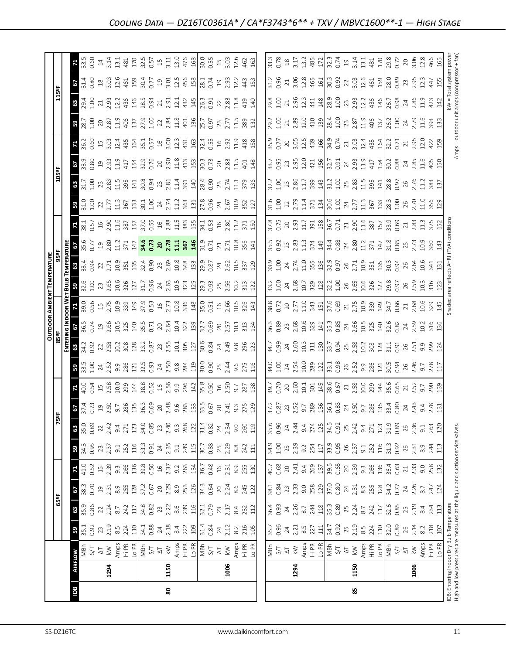|                                                                               |      |                                                                                                                                                                                                                                                                                                                                                      |                                                                                                                                                                                                                                                                                                                     |                                                                                                                                                                                                                                                                                                                                              |                                                                                                                                                                                                                                                                                                                                                                                                                                    |                                                                                                                                                                                                                                                                                                                     |                                                                                                                                                                                                                                                                                                                                                                                                                        |                                                                                                                   |                                                                                                                                                                   |                                                                                                                                                                                                                                    |                                                                                                                                                                                                                                                                                                                                    |                                                                                                                                                                                                                                                                                         |                                                                                                                                                                                                                                                                                                                                                   |                                                                                                                                                                                                                                                                                                               | <b>OUTDOOR AMBIENT TEMPERATURE</b>                                                                                                                                                                                                                                                                                          |                                                                                                                                                                                                                                                                                                                     |                                                                                                                                                                                                                                                                                                                                                   |                                                                                                                                                                                                                                                                                                                     |                                                                                                                        |                                                                                                                                                                                                                                                                                                                     |                                                                                                                                                                                                                                                                                                                     |                  |                                                                                                                                                                                                                                                                                                     |                                                                                                                                             |                                                                                                                                                                                                                                                                                                                                                   |                                                                                                                                                                                 |
|-------------------------------------------------------------------------------|------|------------------------------------------------------------------------------------------------------------------------------------------------------------------------------------------------------------------------------------------------------------------------------------------------------------------------------------------------------|---------------------------------------------------------------------------------------------------------------------------------------------------------------------------------------------------------------------------------------------------------------------------------------------------------------------|----------------------------------------------------------------------------------------------------------------------------------------------------------------------------------------------------------------------------------------------------------------------------------------------------------------------------------------------|------------------------------------------------------------------------------------------------------------------------------------------------------------------------------------------------------------------------------------------------------------------------------------------------------------------------------------------------------------------------------------------------------------------------------------|---------------------------------------------------------------------------------------------------------------------------------------------------------------------------------------------------------------------------------------------------------------------------------------------------------------------|------------------------------------------------------------------------------------------------------------------------------------------------------------------------------------------------------------------------------------------------------------------------------------------------------------------------------------------------------------------------------------------------------------------------|-------------------------------------------------------------------------------------------------------------------|-------------------------------------------------------------------------------------------------------------------------------------------------------------------|------------------------------------------------------------------------------------------------------------------------------------------------------------------------------------------------------------------------------------|------------------------------------------------------------------------------------------------------------------------------------------------------------------------------------------------------------------------------------------------------------------------------------------------------------------------------------|-----------------------------------------------------------------------------------------------------------------------------------------------------------------------------------------------------------------------------------------------------------------------------------------|---------------------------------------------------------------------------------------------------------------------------------------------------------------------------------------------------------------------------------------------------------------------------------------------------------------------------------------------------|---------------------------------------------------------------------------------------------------------------------------------------------------------------------------------------------------------------------------------------------------------------------------------------------------------------|-----------------------------------------------------------------------------------------------------------------------------------------------------------------------------------------------------------------------------------------------------------------------------------------------------------------------------|---------------------------------------------------------------------------------------------------------------------------------------------------------------------------------------------------------------------------------------------------------------------------------------------------------------------|---------------------------------------------------------------------------------------------------------------------------------------------------------------------------------------------------------------------------------------------------------------------------------------------------------------------------------------------------|---------------------------------------------------------------------------------------------------------------------------------------------------------------------------------------------------------------------------------------------------------------------------------------------------------------------|------------------------------------------------------------------------------------------------------------------------|---------------------------------------------------------------------------------------------------------------------------------------------------------------------------------------------------------------------------------------------------------------------------------------------------------------------|---------------------------------------------------------------------------------------------------------------------------------------------------------------------------------------------------------------------------------------------------------------------------------------------------------------------|------------------|-----------------------------------------------------------------------------------------------------------------------------------------------------------------------------------------------------------------------------------------------------------------------------------------------------|---------------------------------------------------------------------------------------------------------------------------------------------|---------------------------------------------------------------------------------------------------------------------------------------------------------------------------------------------------------------------------------------------------------------------------------------------------------------------------------------------------|---------------------------------------------------------------------------------------------------------------------------------------------------------------------------------|
|                                                                               |      |                                                                                                                                                                                                                                                                                                                                                      |                                                                                                                                                                                                                                                                                                                     | 65°F                                                                                                                                                                                                                                                                                                                                         |                                                                                                                                                                                                                                                                                                                                                                                                                                    |                                                                                                                                                                                                                                                                                                                     |                                                                                                                                                                                                                                                                                                                                                                                                                        |                                                                                                                   | 敞                                                                                                                                                                 |                                                                                                                                                                                                                                    |                                                                                                                                                                                                                                                                                                                                    |                                                                                                                                                                                                                                                                                         |                                                                                                                                                                                                                                                                                                                                                   |                                                                                                                                                                                                                                                                                                               |                                                                                                                                                                                                                                                                                                                             |                                                                                                                                                                                                                                                                                                                     |                                                                                                                                                                                                                                                                                                                                                   |                                                                                                                                                                                                                                                                                                                     |                                                                                                                        | 105º                                                                                                                                                                                                                                                                                                                |                                                                                                                                                                                                                                                                                                                     |                  |                                                                                                                                                                                                                                                                                                     | 115°F                                                                                                                                       |                                                                                                                                                                                                                                                                                                                                                   |                                                                                                                                                                                 |
|                                                                               |      |                                                                                                                                                                                                                                                                                                                                                      |                                                                                                                                                                                                                                                                                                                     |                                                                                                                                                                                                                                                                                                                                              |                                                                                                                                                                                                                                                                                                                                                                                                                                    |                                                                                                                                                                                                                                                                                                                     |                                                                                                                                                                                                                                                                                                                                                                                                                        |                                                                                                                   |                                                                                                                                                                   |                                                                                                                                                                                                                                    |                                                                                                                                                                                                                                                                                                                                    |                                                                                                                                                                                                                                                                                         |                                                                                                                                                                                                                                                                                                                                                   |                                                                                                                                                                                                                                                                                                               |                                                                                                                                                                                                                                                                                                                             |                                                                                                                                                                                                                                                                                                                     |                                                                                                                                                                                                                                                                                                                                                   |                                                                                                                                                                                                                                                                                                                     |                                                                                                                        |                                                                                                                                                                                                                                                                                                                     |                                                                                                                                                                                                                                                                                                                     |                  |                                                                                                                                                                                                                                                                                                     |                                                                                                                                             |                                                                                                                                                                                                                                                                                                                                                   |                                                                                                                                                                                 |
| Bal                                                                           |      |                                                                                                                                                                                                                                                                                                                                                      |                                                                                                                                                                                                                                                                                                                     |                                                                                                                                                                                                                                                                                                                                              | <b>67</b><br>38.3<br>0.70                                                                                                                                                                                                                                                                                                                                                                                                          |                                                                                                                                                                                                                                                                                                                     | 34.36                                                                                                                                                                                                                                                                                                                                                                                                                  | 8.38                                                                                                              | $\frac{35}{4}$                                                                                                                                                    |                                                                                                                                                                                                                                    |                                                                                                                                                                                                                                                                                                                                    | 63                                                                                                                                                                                                                                                                                      | $rac{28}{4}$                                                                                                                                                                                                                                                                                                                                      |                                                                                                                                                                                                                                                                                                               |                                                                                                                                                                                                                                                                                                                             |                                                                                                                                                                                                                                                                                                                     |                                                                                                                                                                                                                                                                                                                                                   |                                                                                                                                                                                                                                                                                                                     |                                                                                                                        |                                                                                                                                                                                                                                                                                                                     |                                                                                                                                                                                                                                                                                                                     | $\frac{1}{36.2}$ | <b>8</b><br>28.7<br>1.00                                                                                                                                                                                                                                                                            | $\frac{6}{29.4}$                                                                                                                            | $\frac{6}{31.4}$                                                                                                                                                                                                                                                                                                                                  | 71                                                                                                                                                                              |
|                                                                               |      |                                                                                                                                                                                                                                                                                                                                                      |                                                                                                                                                                                                                                                                                                                     |                                                                                                                                                                                                                                                                                                                                              |                                                                                                                                                                                                                                                                                                                                                                                                                                    |                                                                                                                                                                                                                                                                                                                     |                                                                                                                                                                                                                                                                                                                                                                                                                        |                                                                                                                   |                                                                                                                                                                   |                                                                                                                                                                                                                                    |                                                                                                                                                                                                                                                                                                                                    | 34.7<br>0.92                                                                                                                                                                                                                                                                            |                                                                                                                                                                                                                                                                                                                                                   | <b>D.56</b>                                                                                                                                                                                                                                                                                                   |                                                                                                                                                                                                                                                                                                                             |                                                                                                                                                                                                                                                                                                                     | $\frac{35.6}{0.77}$                                                                                                                                                                                                                                                                                                                               |                                                                                                                                                                                                                                                                                                                     |                                                                                                                        |                                                                                                                                                                                                                                                                                                                     |                                                                                                                                                                                                                                                                                                                     |                  |                                                                                                                                                                                                                                                                                                     |                                                                                                                                             |                                                                                                                                                                                                                                                                                                                                                   | 33.5                                                                                                                                                                            |
|                                                                               |      |                                                                                                                                                                                                                                                                                                                                                      |                                                                                                                                                                                                                                                                                                                     |                                                                                                                                                                                                                                                                                                                                              |                                                                                                                                                                                                                                                                                                                                                                                                                                    |                                                                                                                                                                                                                                                                                                                     |                                                                                                                                                                                                                                                                                                                                                                                                                        |                                                                                                                   |                                                                                                                                                                   |                                                                                                                                                                                                                                    |                                                                                                                                                                                                                                                                                                                                    |                                                                                                                                                                                                                                                                                         |                                                                                                                                                                                                                                                                                                                                                   |                                                                                                                                                                                                                                                                                                               |                                                                                                                                                                                                                                                                                                                             |                                                                                                                                                                                                                                                                                                                     |                                                                                                                                                                                                                                                                                                                                                   |                                                                                                                                                                                                                                                                                                                     |                                                                                                                        |                                                                                                                                                                                                                                                                                                                     |                                                                                                                                                                                                                                                                                                                     |                  |                                                                                                                                                                                                                                                                                                     |                                                                                                                                             |                                                                                                                                                                                                                                                                                                                                                   |                                                                                                                                                                                 |
|                                                                               | 1294 |                                                                                                                                                                                                                                                                                                                                                      |                                                                                                                                                                                                                                                                                                                     |                                                                                                                                                                                                                                                                                                                                              |                                                                                                                                                                                                                                                                                                                                                                                                                                    |                                                                                                                                                                                                                                                                                                                     |                                                                                                                                                                                                                                                                                                                                                                                                                        |                                                                                                                   |                                                                                                                                                                   |                                                                                                                                                                                                                                    |                                                                                                                                                                                                                                                                                                                                    |                                                                                                                                                                                                                                                                                         |                                                                                                                                                                                                                                                                                                                                                   |                                                                                                                                                                                                                                                                                                               |                                                                                                                                                                                                                                                                                                                             |                                                                                                                                                                                                                                                                                                                     |                                                                                                                                                                                                                                                                                                                                                   |                                                                                                                                                                                                                                                                                                                     |                                                                                                                        |                                                                                                                                                                                                                                                                                                                     |                                                                                                                                                                                                                                                                                                                     |                  | 20<br>2.87                                                                                                                                                                                                                                                                                          |                                                                                                                                             |                                                                                                                                                                                                                                                                                                                                                   |                                                                                                                                                                                 |
|                                                                               |      |                                                                                                                                                                                                                                                                                                                                                      |                                                                                                                                                                                                                                                                                                                     |                                                                                                                                                                                                                                                                                                                                              |                                                                                                                                                                                                                                                                                                                                                                                                                                    |                                                                                                                                                                                                                                                                                                                     |                                                                                                                                                                                                                                                                                                                                                                                                                        |                                                                                                                   |                                                                                                                                                                   |                                                                                                                                                                                                                                    |                                                                                                                                                                                                                                                                                                                                    |                                                                                                                                                                                                                                                                                         |                                                                                                                                                                                                                                                                                                                                                   |                                                                                                                                                                                                                                                                                                               |                                                                                                                                                                                                                                                                                                                             |                                                                                                                                                                                                                                                                                                                     |                                                                                                                                                                                                                                                                                                                                                   |                                                                                                                                                                                                                                                                                                                     |                                                                                                                        |                                                                                                                                                                                                                                                                                                                     |                                                                                                                                                                                                                                                                                                                     |                  |                                                                                                                                                                                                                                                                                                     |                                                                                                                                             |                                                                                                                                                                                                                                                                                                                                                   |                                                                                                                                                                                 |
|                                                                               |      |                                                                                                                                                                                                                                                                                                                                                      | $\frac{1}{2}$ $\frac{1}{2}$ $\frac{1}{2}$ $\frac{1}{2}$ $\frac{1}{2}$ $\frac{1}{2}$ $\frac{1}{2}$ $\frac{1}{2}$ $\frac{1}{2}$ $\frac{1}{2}$ $\frac{1}{2}$ $\frac{1}{2}$ $\frac{1}{2}$ $\frac{1}{2}$ $\frac{1}{2}$ $\frac{1}{2}$ $\frac{1}{2}$ $\frac{1}{2}$ $\frac{1}{2}$ $\frac{1}{2}$ $\frac{1}{2}$ $\frac{1}{2}$ | $\mathbf{B}$ $\mathbb{S}$ $\mathbb{S}$ $\mathbb{S}$ $\mathbb{S}$ $\mathbb{S}$ $\mathbb{S}$ $\mathbb{S}$ $\mathbb{S}$ $\mathbb{S}$ $\mathbb{S}$ $\mathbb{S}$ $\mathbb{S}$ $\mathbb{S}$ $\mathbb{S}$ $\mathbb{S}$ $\mathbb{S}$ $\mathbb{S}$ $\mathbb{S}$ $\mathbb{S}$ $\mathbb{S}$ $\mathbb{S}$ $\mathbb{S}$ $\mathbb{S}$ $\mathbb{$           | $\begin{array}{c} p_1 \overline{p_1} \overline{p_2} \overline{p_3} \overline{p_4} \overline{p_5} \overline{p_6} \overline{p_6} \overline{p_7} \overline{p_6} \overline{p_7} \overline{p_8} \overline{p_6} \overline{p_7} \overline{p_8} \overline{p_1} \overline{p_6} \overline{p_7} \overline{p_8} \overline{p_1} \overline{p_6} \overline{p_7} \overline{p_8} \overline{p_1} \overline{p_6} \overline{p_7} \overline{p_8} \over$ | $12.5$ 5 $2.3$ 5 $3.3$ 6 $2.5$ 6 $2.5$ 6 $2.5$ 6 $2.5$ 6 $2.5$ 6 $2.5$ 6 $2.5$ 6 $2.5$ 6 $2.5$ 6 $2.5$ 6 $2.5$ 6 $2.5$ 6 $2.5$ 6 $2.5$ 6 $2.5$ 6 $2.5$ 6 $2.5$ 6 $2.5$ 6 $2.5$ 6 $2.5$ 6 $2.5$ 6 $2.5$ 6 $2.5$ 6 $2.5$ 6 $2.5$                                                                                      | $\begin{array}{l} 3.25 \ \text{m} \ \text{m} \ \text{m} \ \text{m} \ \text{m} \ \text{m} \ \text{m} \ \text{m} \ \text{m} \ \text{m} \ \text{m} \ \text{m} \ \text{m} \ \text{m} \ \text{m} \ \text{m} \ \text{m} \ \text{m} \ \text{m} \ \text{m} \ \text{m} \ \text{m} \ \text{m} \ \text{m} \ \text{m} \ \text{m} \ \text{m} \ \text{m} \ \text{m} \ \text{m} \ \text{m} \ \text{m} \ \text{m} \ \text{m} \ \text{$ |                                                                                                                   |                                                                                                                                                                   | $\frac{1}{40}$ $\frac{1}{40}$ $\frac{5}{40}$ $\frac{4}{10}$ $\frac{5}{40}$ $\frac{8}{10}$ $\frac{5}{10}$ $\frac{29}{10}$                                                                                                           | $\mathbf{B}$ $\mathbb{R}$ $\mathbb{S}$ $\mathbb{S}$ $\mathbb{S}$ $\mathbb{S}$ $\mathbb{S}$ $\mathbb{S}$ $\mathbb{S}$ $\mathbb{S}$ $\mathbb{S}$ $\mathbb{S}$ $\mathbb{S}$ $\mathbb{S}$ $\mathbb{S}$ $\mathbb{S}$ $\mathbb{S}$ $\mathbb{S}$ $\mathbb{S}$ $\mathbb{S}$ $\mathbb{S}$ $\mathbb{S}$ $\mathbb{S}$ $\mathbb{S}$ $\mathbb{$ | $\begin{array}{c} 23.88 & 23.88 \\ 23.8 & 23.88 \\ 24.8 & 25.88 \\ 25.8 & 25.88 \\ 26.8 & 27.88 \\ 27.8 & 28.88 \\ 28.8 & 29.88 \\ 29.8 & 29.88 \\ 20.8 & 23.88 \\ 21.8 & 23.88 \\ 22.8 & 23.88 \\ 23.8 & 24.88 \\ 24.8 & 25.88 \\ 25.8 & 25.88 \\ 26.8 & 27.88 \\ 27.8 & 29.88 \\ 28.$ |                                                                                                                                                                                                                                                                                                                                                   |                                                                                                                                                                                                                                                                                                               | <b>B</b> $\frac{8}{3}$ $\frac{8}{3}$ $\frac{6}{3}$ $\frac{1}{3}$ $\frac{1}{3}$ $\frac{1}{3}$ $\frac{1}{3}$ $\frac{8}{3}$ $\frac{4}{3}$ $\frac{8}{3}$ $\frac{1}{3}$ $\frac{1}{3}$ $\frac{8}{3}$ $\frac{8}{3}$ $\frac{1}{3}$ $\frac{1}{3}$ $\frac{8}{3}$ $\frac{8}{3}$ $\frac{1}{3}$ $\frac{1}{3}$ $\frac{8}{3}$ $\frac{8}{3$ | $\frac{36}{32}$ $\frac{35}{32}$ $\frac{37}{32}$ $\frac{37}{32}$ $\frac{37}{32}$ $\frac{37}{32}$ $\frac{37}{32}$ $\frac{37}{32}$ $\frac{37}{32}$ $\frac{37}{32}$ $\frac{37}{32}$ $\frac{37}{32}$ $\frac{37}{32}$ $\frac{37}{32}$ $\frac{37}{32}$ $\frac{37}{32}$ $\frac{37}{32}$ $\frac{37}{32}$ $\frac{3$           |                                                                                                                                                                                                                                                                                                                                                   | $\frac{1}{2}$ $\frac{1}{2}$ $\frac{1}{2}$ $\frac{1}{2}$ $\frac{1}{2}$ $\frac{1}{2}$ $\frac{1}{2}$ $\frac{1}{2}$ $\frac{1}{2}$ $\frac{1}{2}$ $\frac{1}{2}$ $\frac{1}{2}$ $\frac{1}{2}$ $\frac{1}{2}$ $\frac{1}{2}$ $\frac{1}{2}$ $\frac{1}{2}$ $\frac{1}{2}$ $\frac{1}{2}$ $\frac{1}{2}$ $\frac{1}{2}$ $\frac{1}{2}$ |                                                                                                                        | $\frac{1}{1}$ $\frac{1}{2}$ $\frac{1}{5}$ $\frac{1}{6}$ $\frac{1}{3}$ $\frac{1}{6}$ $\frac{1}{3}$ $\frac{1}{6}$ $\frac{1}{6}$ $\frac{1}{6}$ $\frac{1}{6}$ $\frac{1}{6}$ $\frac{1}{6}$ $\frac{1}{6}$ $\frac{1}{6}$ $\frac{1}{6}$ $\frac{1}{6}$ $\frac{1}{6}$ $\frac{1}{6}$ $\frac{1}{6}$ $\frac{1}{6}$ $\frac{1}{6}$ | $\frac{1}{2}$ $\frac{1}{2}$ $\frac{1}{2}$ $\frac{1}{2}$ $\frac{1}{2}$ $\frac{1}{2}$ $\frac{1}{2}$ $\frac{1}{2}$ $\frac{1}{2}$ $\frac{1}{2}$ $\frac{1}{2}$ $\frac{1}{2}$ $\frac{1}{2}$ $\frac{1}{2}$ $\frac{1}{2}$ $\frac{1}{2}$ $\frac{1}{2}$ $\frac{1}{2}$ $\frac{1}{2}$ $\frac{1}{2}$ $\frac{1}{2}$ $\frac{1}{2}$ |                  |                                                                                                                                                                                                                                                                                                     | $\frac{1}{2}$ $\frac{3}{2}$ $\frac{3}{2}$ $\frac{3}{4}$ $\frac{4}{8}$ $\frac{4}{8}$ $\frac{5}{8}$ $\frac{7}{8}$ $\frac{1}{2}$ $\frac{1}{2}$ | $\begin{array}{c}\n 3.63 \\  3.75 \\  4.65 \\  5.75 \\  6.75 \\  7.75 \\  7.75 \\  7.75 \\  7.75 \\  7.75 \\  7.75 \\  7.75 \\  7.75 \\  7.75 \\  7.75 \\  7.75 \\  7.75 \\  7.75 \\  7.75 \\  7.75 \\  7.75 \\  7.75 \\  7.75 \\  7.75 \\  7.75 \\  7.75 \\  7.75 \\  7.75 \\  7.75 \\  7.75 \\  7.75 \\  7.75 \\  7.75 \\  7.75 \\  7.75 \\  7$ |                                                                                                                                                                                 |
|                                                                               |      |                                                                                                                                                                                                                                                                                                                                                      |                                                                                                                                                                                                                                                                                                                     |                                                                                                                                                                                                                                                                                                                                              |                                                                                                                                                                                                                                                                                                                                                                                                                                    |                                                                                                                                                                                                                                                                                                                     |                                                                                                                                                                                                                                                                                                                                                                                                                        |                                                                                                                   |                                                                                                                                                                   |                                                                                                                                                                                                                                    |                                                                                                                                                                                                                                                                                                                                    |                                                                                                                                                                                                                                                                                         |                                                                                                                                                                                                                                                                                                                                                   |                                                                                                                                                                                                                                                                                                               |                                                                                                                                                                                                                                                                                                                             |                                                                                                                                                                                                                                                                                                                     |                                                                                                                                                                                                                                                                                                                                                   |                                                                                                                                                                                                                                                                                                                     |                                                                                                                        |                                                                                                                                                                                                                                                                                                                     |                                                                                                                                                                                                                                                                                                                     |                  |                                                                                                                                                                                                                                                                                                     |                                                                                                                                             |                                                                                                                                                                                                                                                                                                                                                   |                                                                                                                                                                                 |
|                                                                               |      |                                                                                                                                                                                                                                                                                                                                                      |                                                                                                                                                                                                                                                                                                                     |                                                                                                                                                                                                                                                                                                                                              |                                                                                                                                                                                                                                                                                                                                                                                                                                    |                                                                                                                                                                                                                                                                                                                     |                                                                                                                                                                                                                                                                                                                                                                                                                        |                                                                                                                   |                                                                                                                                                                   | $\frac{14}{38}$ $\frac{8}{38}$ $\frac{8}{32}$ $\frac{14}{38}$ $\frac{8}{32}$ $\frac{8}{32}$ $\frac{8}{32}$ $\frac{8}{32}$ $\frac{8}{32}$ $\frac{8}{32}$ $\frac{8}{32}$ $\frac{8}{32}$ $\frac{8}{32}$ $\frac{8}{32}$ $\frac{8}{32}$ |                                                                                                                                                                                                                                                                                                                                    |                                                                                                                                                                                                                                                                                         |                                                                                                                                                                                                                                                                                                                                                   |                                                                                                                                                                                                                                                                                                               |                                                                                                                                                                                                                                                                                                                             |                                                                                                                                                                                                                                                                                                                     |                                                                                                                                                                                                                                                                                                                                                   |                                                                                                                                                                                                                                                                                                                     |                                                                                                                        |                                                                                                                                                                                                                                                                                                                     |                                                                                                                                                                                                                                                                                                                     |                  |                                                                                                                                                                                                                                                                                                     |                                                                                                                                             |                                                                                                                                                                                                                                                                                                                                                   |                                                                                                                                                                                 |
|                                                                               |      |                                                                                                                                                                                                                                                                                                                                                      |                                                                                                                                                                                                                                                                                                                     |                                                                                                                                                                                                                                                                                                                                              |                                                                                                                                                                                                                                                                                                                                                                                                                                    |                                                                                                                                                                                                                                                                                                                     |                                                                                                                                                                                                                                                                                                                                                                                                                        |                                                                                                                   |                                                                                                                                                                   |                                                                                                                                                                                                                                    |                                                                                                                                                                                                                                                                                                                                    |                                                                                                                                                                                                                                                                                         |                                                                                                                                                                                                                                                                                                                                                   |                                                                                                                                                                                                                                                                                                               |                                                                                                                                                                                                                                                                                                                             |                                                                                                                                                                                                                                                                                                                     |                                                                                                                                                                                                                                                                                                                                                   |                                                                                                                                                                                                                                                                                                                     |                                                                                                                        |                                                                                                                                                                                                                                                                                                                     |                                                                                                                                                                                                                                                                                                                     |                  |                                                                                                                                                                                                                                                                                                     |                                                                                                                                             |                                                                                                                                                                                                                                                                                                                                                   |                                                                                                                                                                                 |
|                                                                               |      |                                                                                                                                                                                                                                                                                                                                                      |                                                                                                                                                                                                                                                                                                                     |                                                                                                                                                                                                                                                                                                                                              |                                                                                                                                                                                                                                                                                                                                                                                                                                    |                                                                                                                                                                                                                                                                                                                     |                                                                                                                                                                                                                                                                                                                                                                                                                        |                                                                                                                   |                                                                                                                                                                   |                                                                                                                                                                                                                                    |                                                                                                                                                                                                                                                                                                                                    |                                                                                                                                                                                                                                                                                         |                                                                                                                                                                                                                                                                                                                                                   |                                                                                                                                                                                                                                                                                                               |                                                                                                                                                                                                                                                                                                                             |                                                                                                                                                                                                                                                                                                                     |                                                                                                                                                                                                                                                                                                                                                   |                                                                                                                                                                                                                                                                                                                     |                                                                                                                        |                                                                                                                                                                                                                                                                                                                     |                                                                                                                                                                                                                                                                                                                     |                  |                                                                                                                                                                                                                                                                                                     |                                                                                                                                             |                                                                                                                                                                                                                                                                                                                                                   |                                                                                                                                                                                 |
| 80                                                                            | 1150 |                                                                                                                                                                                                                                                                                                                                                      |                                                                                                                                                                                                                                                                                                                     |                                                                                                                                                                                                                                                                                                                                              |                                                                                                                                                                                                                                                                                                                                                                                                                                    |                                                                                                                                                                                                                                                                                                                     |                                                                                                                                                                                                                                                                                                                                                                                                                        |                                                                                                                   |                                                                                                                                                                   |                                                                                                                                                                                                                                    |                                                                                                                                                                                                                                                                                                                                    |                                                                                                                                                                                                                                                                                         |                                                                                                                                                                                                                                                                                                                                                   |                                                                                                                                                                                                                                                                                                               |                                                                                                                                                                                                                                                                                                                             |                                                                                                                                                                                                                                                                                                                     |                                                                                                                                                                                                                                                                                                                                                   |                                                                                                                                                                                                                                                                                                                     |                                                                                                                        |                                                                                                                                                                                                                                                                                                                     |                                                                                                                                                                                                                                                                                                                     |                  |                                                                                                                                                                                                                                                                                                     |                                                                                                                                             |                                                                                                                                                                                                                                                                                                                                                   |                                                                                                                                                                                 |
|                                                                               |      |                                                                                                                                                                                                                                                                                                                                                      |                                                                                                                                                                                                                                                                                                                     |                                                                                                                                                                                                                                                                                                                                              |                                                                                                                                                                                                                                                                                                                                                                                                                                    |                                                                                                                                                                                                                                                                                                                     |                                                                                                                                                                                                                                                                                                                                                                                                                        |                                                                                                                   |                                                                                                                                                                   |                                                                                                                                                                                                                                    |                                                                                                                                                                                                                                                                                                                                    |                                                                                                                                                                                                                                                                                         |                                                                                                                                                                                                                                                                                                                                                   |                                                                                                                                                                                                                                                                                                               |                                                                                                                                                                                                                                                                                                                             |                                                                                                                                                                                                                                                                                                                     |                                                                                                                                                                                                                                                                                                                                                   |                                                                                                                                                                                                                                                                                                                     |                                                                                                                        |                                                                                                                                                                                                                                                                                                                     |                                                                                                                                                                                                                                                                                                                     |                  |                                                                                                                                                                                                                                                                                                     |                                                                                                                                             |                                                                                                                                                                                                                                                                                                                                                   |                                                                                                                                                                                 |
|                                                                               |      |                                                                                                                                                                                                                                                                                                                                                      |                                                                                                                                                                                                                                                                                                                     |                                                                                                                                                                                                                                                                                                                                              |                                                                                                                                                                                                                                                                                                                                                                                                                                    |                                                                                                                                                                                                                                                                                                                     |                                                                                                                                                                                                                                                                                                                                                                                                                        |                                                                                                                   |                                                                                                                                                                   |                                                                                                                                                                                                                                    |                                                                                                                                                                                                                                                                                                                                    |                                                                                                                                                                                                                                                                                         |                                                                                                                                                                                                                                                                                                                                                   |                                                                                                                                                                                                                                                                                                               |                                                                                                                                                                                                                                                                                                                             |                                                                                                                                                                                                                                                                                                                     |                                                                                                                                                                                                                                                                                                                                                   |                                                                                                                                                                                                                                                                                                                     |                                                                                                                        |                                                                                                                                                                                                                                                                                                                     |                                                                                                                                                                                                                                                                                                                     |                  |                                                                                                                                                                                                                                                                                                     | $4324000000000$ $440000000$ $44000000$ $44000000$ $44000000$                                                                                |                                                                                                                                                                                                                                                                                                                                                   | $\frac{11}{31}$ $\frac{10}{48}$                                                                                                                                                 |
|                                                                               |      |                                                                                                                                                                                                                                                                                                                                                      |                                                                                                                                                                                                                                                                                                                     |                                                                                                                                                                                                                                                                                                                                              |                                                                                                                                                                                                                                                                                                                                                                                                                                    |                                                                                                                                                                                                                                                                                                                     |                                                                                                                                                                                                                                                                                                                                                                                                                        |                                                                                                                   |                                                                                                                                                                   |                                                                                                                                                                                                                                    |                                                                                                                                                                                                                                                                                                                                    |                                                                                                                                                                                                                                                                                         |                                                                                                                                                                                                                                                                                                                                                   |                                                                                                                                                                                                                                                                                                               |                                                                                                                                                                                                                                                                                                                             |                                                                                                                                                                                                                                                                                                                     |                                                                                                                                                                                                                                                                                                                                                   |                                                                                                                                                                                                                                                                                                                     |                                                                                                                        |                                                                                                                                                                                                                                                                                                                     |                                                                                                                                                                                                                                                                                                                     |                  |                                                                                                                                                                                                                                                                                                     |                                                                                                                                             |                                                                                                                                                                                                                                                                                                                                                   |                                                                                                                                                                                 |
|                                                                               |      |                                                                                                                                                                                                                                                                                                                                                      |                                                                                                                                                                                                                                                                                                                     |                                                                                                                                                                                                                                                                                                                                              |                                                                                                                                                                                                                                                                                                                                                                                                                                    |                                                                                                                                                                                                                                                                                                                     |                                                                                                                                                                                                                                                                                                                                                                                                                        |                                                                                                                   |                                                                                                                                                                   |                                                                                                                                                                                                                                    |                                                                                                                                                                                                                                                                                                                                    |                                                                                                                                                                                                                                                                                         |                                                                                                                                                                                                                                                                                                                                                   |                                                                                                                                                                                                                                                                                                               |                                                                                                                                                                                                                                                                                                                             |                                                                                                                                                                                                                                                                                                                     |                                                                                                                                                                                                                                                                                                                                                   |                                                                                                                                                                                                                                                                                                                     |                                                                                                                        |                                                                                                                                                                                                                                                                                                                     |                                                                                                                                                                                                                                                                                                                     |                  |                                                                                                                                                                                                                                                                                                     |                                                                                                                                             |                                                                                                                                                                                                                                                                                                                                                   | 0055<br>0.55 m<br>3.03 462                                                                                                                                                      |
|                                                                               |      |                                                                                                                                                                                                                                                                                                                                                      |                                                                                                                                                                                                                                                                                                                     |                                                                                                                                                                                                                                                                                                                                              |                                                                                                                                                                                                                                                                                                                                                                                                                                    |                                                                                                                                                                                                                                                                                                                     |                                                                                                                                                                                                                                                                                                                                                                                                                        |                                                                                                                   |                                                                                                                                                                   |                                                                                                                                                                                                                                    |                                                                                                                                                                                                                                                                                                                                    |                                                                                                                                                                                                                                                                                         |                                                                                                                                                                                                                                                                                                                                                   |                                                                                                                                                                                                                                                                                                               |                                                                                                                                                                                                                                                                                                                             |                                                                                                                                                                                                                                                                                                                     |                                                                                                                                                                                                                                                                                                                                                   |                                                                                                                                                                                                                                                                                                                     |                                                                                                                        |                                                                                                                                                                                                                                                                                                                     |                                                                                                                                                                                                                                                                                                                     |                  |                                                                                                                                                                                                                                                                                                     |                                                                                                                                             |                                                                                                                                                                                                                                                                                                                                                   |                                                                                                                                                                                 |
|                                                                               |      |                                                                                                                                                                                                                                                                                                                                                      |                                                                                                                                                                                                                                                                                                                     |                                                                                                                                                                                                                                                                                                                                              |                                                                                                                                                                                                                                                                                                                                                                                                                                    |                                                                                                                                                                                                                                                                                                                     |                                                                                                                                                                                                                                                                                                                                                                                                                        |                                                                                                                   |                                                                                                                                                                   |                                                                                                                                                                                                                                    |                                                                                                                                                                                                                                                                                                                                    |                                                                                                                                                                                                                                                                                         |                                                                                                                                                                                                                                                                                                                                                   |                                                                                                                                                                                                                                                                                                               |                                                                                                                                                                                                                                                                                                                             |                                                                                                                                                                                                                                                                                                                     |                                                                                                                                                                                                                                                                                                                                                   |                                                                                                                                                                                                                                                                                                                     |                                                                                                                        |                                                                                                                                                                                                                                                                                                                     |                                                                                                                                                                                                                                                                                                                     |                  |                                                                                                                                                                                                                                                                                                     |                                                                                                                                             |                                                                                                                                                                                                                                                                                                                                                   |                                                                                                                                                                                 |
|                                                                               | 1006 |                                                                                                                                                                                                                                                                                                                                                      |                                                                                                                                                                                                                                                                                                                     |                                                                                                                                                                                                                                                                                                                                              |                                                                                                                                                                                                                                                                                                                                                                                                                                    |                                                                                                                                                                                                                                                                                                                     |                                                                                                                                                                                                                                                                                                                                                                                                                        |                                                                                                                   |                                                                                                                                                                   |                                                                                                                                                                                                                                    |                                                                                                                                                                                                                                                                                                                                    |                                                                                                                                                                                                                                                                                         |                                                                                                                                                                                                                                                                                                                                                   |                                                                                                                                                                                                                                                                                                               |                                                                                                                                                                                                                                                                                                                             |                                                                                                                                                                                                                                                                                                                     |                                                                                                                                                                                                                                                                                                                                                   |                                                                                                                                                                                                                                                                                                                     |                                                                                                                        |                                                                                                                                                                                                                                                                                                                     |                                                                                                                                                                                                                                                                                                                     |                  |                                                                                                                                                                                                                                                                                                     |                                                                                                                                             |                                                                                                                                                                                                                                                                                                                                                   |                                                                                                                                                                                 |
|                                                                               |      |                                                                                                                                                                                                                                                                                                                                                      |                                                                                                                                                                                                                                                                                                                     |                                                                                                                                                                                                                                                                                                                                              |                                                                                                                                                                                                                                                                                                                                                                                                                                    |                                                                                                                                                                                                                                                                                                                     |                                                                                                                                                                                                                                                                                                                                                                                                                        |                                                                                                                   |                                                                                                                                                                   |                                                                                                                                                                                                                                    |                                                                                                                                                                                                                                                                                                                                    |                                                                                                                                                                                                                                                                                         |                                                                                                                                                                                                                                                                                                                                                   |                                                                                                                                                                                                                                                                                                               |                                                                                                                                                                                                                                                                                                                             |                                                                                                                                                                                                                                                                                                                     | $7.788$<br>$2.788$<br>$3.41$                                                                                                                                                                                                                                                                                                                      |                                                                                                                                                                                                                                                                                                                     |                                                                                                                        |                                                                                                                                                                                                                                                                                                                     |                                                                                                                                                                                                                                                                                                                     |                  | $\frac{11}{2}$                                                                                                                                                                                                                                                                                      |                                                                                                                                             | 19<br>2.93<br>12.2                                                                                                                                                                                                                                                                                                                                |                                                                                                                                                                                 |
|                                                                               |      |                                                                                                                                                                                                                                                                                                                                                      |                                                                                                                                                                                                                                                                                                                     |                                                                                                                                                                                                                                                                                                                                              |                                                                                                                                                                                                                                                                                                                                                                                                                                    |                                                                                                                                                                                                                                                                                                                     |                                                                                                                                                                                                                                                                                                                                                                                                                        |                                                                                                                   |                                                                                                                                                                   |                                                                                                                                                                                                                                    |                                                                                                                                                                                                                                                                                                                                    |                                                                                                                                                                                                                                                                                         |                                                                                                                                                                                                                                                                                                                                                   |                                                                                                                                                                                                                                                                                                               |                                                                                                                                                                                                                                                                                                                             |                                                                                                                                                                                                                                                                                                                     |                                                                                                                                                                                                                                                                                                                                                   |                                                                                                                                                                                                                                                                                                                     |                                                                                                                        |                                                                                                                                                                                                                                                                                                                     |                                                                                                                                                                                                                                                                                                                     |                  |                                                                                                                                                                                                                                                                                                     |                                                                                                                                             | 443                                                                                                                                                                                                                                                                                                                                               |                                                                                                                                                                                 |
|                                                                               |      |                                                                                                                                                                                                                                                                                                                                                      |                                                                                                                                                                                                                                                                                                                     |                                                                                                                                                                                                                                                                                                                                              |                                                                                                                                                                                                                                                                                                                                                                                                                                    |                                                                                                                                                                                                                                                                                                                     |                                                                                                                                                                                                                                                                                                                                                                                                                        |                                                                                                                   |                                                                                                                                                                   |                                                                                                                                                                                                                                    |                                                                                                                                                                                                                                                                                                                                    |                                                                                                                                                                                                                                                                                         |                                                                                                                                                                                                                                                                                                                                                   |                                                                                                                                                                                                                                                                                                               | 122                                                                                                                                                                                                                                                                                                                         |                                                                                                                                                                                                                                                                                                                     |                                                                                                                                                                                                                                                                                                                                                   |                                                                                                                                                                                                                                                                                                                     |                                                                                                                        |                                                                                                                                                                                                                                                                                                                     | $401$<br>$148$                                                                                                                                                                                                                                                                                                      |                  | 389<br>132                                                                                                                                                                                                                                                                                          | 140                                                                                                                                         | 153                                                                                                                                                                                                                                                                                                                                               | 163                                                                                                                                                                             |
|                                                                               |      |                                                                                                                                                                                                                                                                                                                                                      |                                                                                                                                                                                                                                                                                                                     |                                                                                                                                                                                                                                                                                                                                              |                                                                                                                                                                                                                                                                                                                                                                                                                                    |                                                                                                                                                                                                                                                                                                                     |                                                                                                                                                                                                                                                                                                                                                                                                                        |                                                                                                                   |                                                                                                                                                                   |                                                                                                                                                                                                                                    |                                                                                                                                                                                                                                                                                                                                    |                                                                                                                                                                                                                                                                                         |                                                                                                                                                                                                                                                                                                                                                   |                                                                                                                                                                                                                                                                                                               |                                                                                                                                                                                                                                                                                                                             |                                                                                                                                                                                                                                                                                                                     |                                                                                                                                                                                                                                                                                                                                                   |                                                                                                                                                                                                                                                                                                                     |                                                                                                                        |                                                                                                                                                                                                                                                                                                                     |                                                                                                                                                                                                                                                                                                                     |                  |                                                                                                                                                                                                                                                                                                     |                                                                                                                                             |                                                                                                                                                                                                                                                                                                                                                   |                                                                                                                                                                                 |
|                                                                               |      |                                                                                                                                                                                                                                                                                                                                                      |                                                                                                                                                                                                                                                                                                                     |                                                                                                                                                                                                                                                                                                                                              |                                                                                                                                                                                                                                                                                                                                                                                                                                    |                                                                                                                                                                                                                                                                                                                     |                                                                                                                                                                                                                                                                                                                                                                                                                        |                                                                                                                   |                                                                                                                                                                   |                                                                                                                                                                                                                                    |                                                                                                                                                                                                                                                                                                                                    |                                                                                                                                                                                                                                                                                         |                                                                                                                                                                                                                                                                                                                                                   |                                                                                                                                                                                                                                                                                                               | 33.2                                                                                                                                                                                                                                                                                                                        | 33.9                                                                                                                                                                                                                                                                                                                | 35.5                                                                                                                                                                                                                                                                                                                                              | 37.8                                                                                                                                                                                                                                                                                                                |                                                                                                                        |                                                                                                                                                                                                                                                                                                                     | 33.7                                                                                                                                                                                                                                                                                                                |                  |                                                                                                                                                                                                                                                                                                     |                                                                                                                                             |                                                                                                                                                                                                                                                                                                                                                   | 33.3                                                                                                                                                                            |
|                                                                               |      |                                                                                                                                                                                                                                                                                                                                                      |                                                                                                                                                                                                                                                                                                                     |                                                                                                                                                                                                                                                                                                                                              |                                                                                                                                                                                                                                                                                                                                                                                                                                    |                                                                                                                                                                                                                                                                                                                     |                                                                                                                                                                                                                                                                                                                                                                                                                        |                                                                                                                   |                                                                                                                                                                   | 39.7<br>0.70                                                                                                                                                                                                                       |                                                                                                                                                                                                                                                                                                                                    | 34.7<br>0.99                                                                                                                                                                                                                                                                            | $36.3$<br>0.89                                                                                                                                                                                                                                                                                                                                    |                                                                                                                                                                                                                                                                                                               |                                                                                                                                                                                                                                                                                                                             |                                                                                                                                                                                                                                                                                                                     | 0.92                                                                                                                                                                                                                                                                                                                                              |                                                                                                                                                                                                                                                                                                                     |                                                                                                                        |                                                                                                                                                                                                                                                                                                                     |                                                                                                                                                                                                                                                                                                                     |                  |                                                                                                                                                                                                                                                                                                     |                                                                                                                                             | $\frac{31.2}{0.96}$                                                                                                                                                                                                                                                                                                                               | 0.78                                                                                                                                                                            |
|                                                                               |      |                                                                                                                                                                                                                                                                                                                                                      |                                                                                                                                                                                                                                                                                                                     |                                                                                                                                                                                                                                                                                                                                              |                                                                                                                                                                                                                                                                                                                                                                                                                                    |                                                                                                                                                                                                                                                                                                                     |                                                                                                                                                                                                                                                                                                                                                                                                                        |                                                                                                                   |                                                                                                                                                                   | 20                                                                                                                                                                                                                                 |                                                                                                                                                                                                                                                                                                                                    |                                                                                                                                                                                                                                                                                         |                                                                                                                                                                                                                                                                                                                                                   |                                                                                                                                                                                                                                                                                                               |                                                                                                                                                                                                                                                                                                                             |                                                                                                                                                                                                                                                                                                                     |                                                                                                                                                                                                                                                                                                                                                   |                                                                                                                                                                                                                                                                                                                     |                                                                                                                        |                                                                                                                                                                                                                                                                                                                     |                                                                                                                                                                                                                                                                                                                     |                  |                                                                                                                                                                                                                                                                                                     |                                                                                                                                             | $\overline{21}$                                                                                                                                                                                                                                                                                                                                   | $^{28}$                                                                                                                                                                         |
|                                                                               | 1294 |                                                                                                                                                                                                                                                                                                                                                      |                                                                                                                                                                                                                                                                                                                     |                                                                                                                                                                                                                                                                                                                                              |                                                                                                                                                                                                                                                                                                                                                                                                                                    |                                                                                                                                                                                                                                                                                                                     |                                                                                                                                                                                                                                                                                                                                                                                                                        |                                                                                                                   |                                                                                                                                                                   |                                                                                                                                                                                                                                    |                                                                                                                                                                                                                                                                                                                                    |                                                                                                                                                                                                                                                                                         |                                                                                                                                                                                                                                                                                                                                                   |                                                                                                                                                                                                                                                                                                               |                                                                                                                                                                                                                                                                                                                             |                                                                                                                                                                                                                                                                                                                     |                                                                                                                                                                                                                                                                                                                                                   |                                                                                                                                                                                                                                                                                                                     |                                                                                                                        |                                                                                                                                                                                                                                                                                                                     |                                                                                                                                                                                                                                                                                                                     |                  |                                                                                                                                                                                                                                                                                                     | 29.8<br>1.00<br>2.96<br>2.31                                                                                                                |                                                                                                                                                                                                                                                                                                                                                   |                                                                                                                                                                                 |
|                                                                               |      |                                                                                                                                                                                                                                                                                                                                                      |                                                                                                                                                                                                                                                                                                                     |                                                                                                                                                                                                                                                                                                                                              |                                                                                                                                                                                                                                                                                                                                                                                                                                    |                                                                                                                                                                                                                                                                                                                     |                                                                                                                                                                                                                                                                                                                                                                                                                        |                                                                                                                   |                                                                                                                                                                   |                                                                                                                                                                                                                                    |                                                                                                                                                                                                                                                                                                                                    |                                                                                                                                                                                                                                                                                         |                                                                                                                                                                                                                                                                                                                                                   |                                                                                                                                                                                                                                                                                                               |                                                                                                                                                                                                                                                                                                                             |                                                                                                                                                                                                                                                                                                                     |                                                                                                                                                                                                                                                                                                                                                   |                                                                                                                                                                                                                                                                                                                     |                                                                                                                        |                                                                                                                                                                                                                                                                                                                     |                                                                                                                                                                                                                                                                                                                     |                  |                                                                                                                                                                                                                                                                                                     |                                                                                                                                             |                                                                                                                                                                                                                                                                                                                                                   |                                                                                                                                                                                 |
|                                                                               |      |                                                                                                                                                                                                                                                                                                                                                      |                                                                                                                                                                                                                                                                                                                     |                                                                                                                                                                                                                                                                                                                                              |                                                                                                                                                                                                                                                                                                                                                                                                                                    |                                                                                                                                                                                                                                                                                                                     |                                                                                                                                                                                                                                                                                                                                                                                                                        |                                                                                                                   |                                                                                                                                                                   |                                                                                                                                                                                                                                    |                                                                                                                                                                                                                                                                                                                                    |                                                                                                                                                                                                                                                                                         |                                                                                                                                                                                                                                                                                                                                                   |                                                                                                                                                                                                                                                                                                               |                                                                                                                                                                                                                                                                                                                             |                                                                                                                                                                                                                                                                                                                     |                                                                                                                                                                                                                                                                                                                                                   |                                                                                                                                                                                                                                                                                                                     |                                                                                                                        |                                                                                                                                                                                                                                                                                                                     |                                                                                                                                                                                                                                                                                                                     |                  |                                                                                                                                                                                                                                                                                                     |                                                                                                                                             |                                                                                                                                                                                                                                                                                                                                                   |                                                                                                                                                                                 |
|                                                                               |      |                                                                                                                                                                                                                                                                                                                                                      |                                                                                                                                                                                                                                                                                                                     |                                                                                                                                                                                                                                                                                                                                              |                                                                                                                                                                                                                                                                                                                                                                                                                                    |                                                                                                                                                                                                                                                                                                                     |                                                                                                                                                                                                                                                                                                                                                                                                                        |                                                                                                                   |                                                                                                                                                                   |                                                                                                                                                                                                                                    |                                                                                                                                                                                                                                                                                                                                    |                                                                                                                                                                                                                                                                                         |                                                                                                                                                                                                                                                                                                                                                   |                                                                                                                                                                                                                                                                                                               |                                                                                                                                                                                                                                                                                                                             |                                                                                                                                                                                                                                                                                                                     |                                                                                                                                                                                                                                                                                                                                                   |                                                                                                                                                                                                                                                                                                                     |                                                                                                                        |                                                                                                                                                                                                                                                                                                                     |                                                                                                                                                                                                                                                                                                                     |                  |                                                                                                                                                                                                                                                                                                     |                                                                                                                                             |                                                                                                                                                                                                                                                                                                                                                   |                                                                                                                                                                                 |
|                                                                               |      |                                                                                                                                                                                                                                                                                                                                                      |                                                                                                                                                                                                                                                                                                                     |                                                                                                                                                                                                                                                                                                                                              |                                                                                                                                                                                                                                                                                                                                                                                                                                    |                                                                                                                                                                                                                                                                                                                     |                                                                                                                                                                                                                                                                                                                                                                                                                        |                                                                                                                   |                                                                                                                                                                   |                                                                                                                                                                                                                                    |                                                                                                                                                                                                                                                                                                                                    |                                                                                                                                                                                                                                                                                         |                                                                                                                                                                                                                                                                                                                                                   |                                                                                                                                                                                                                                                                                                               |                                                                                                                                                                                                                                                                                                                             |                                                                                                                                                                                                                                                                                                                     |                                                                                                                                                                                                                                                                                                                                                   |                                                                                                                                                                                                                                                                                                                     |                                                                                                                        |                                                                                                                                                                                                                                                                                                                     |                                                                                                                                                                                                                                                                                                                     |                  |                                                                                                                                                                                                                                                                                                     |                                                                                                                                             |                                                                                                                                                                                                                                                                                                                                                   |                                                                                                                                                                                 |
|                                                                               |      |                                                                                                                                                                                                                                                                                                                                                      |                                                                                                                                                                                                                                                                                                                     |                                                                                                                                                                                                                                                                                                                                              |                                                                                                                                                                                                                                                                                                                                                                                                                                    |                                                                                                                                                                                                                                                                                                                     |                                                                                                                                                                                                                                                                                                                                                                                                                        |                                                                                                                   |                                                                                                                                                                   |                                                                                                                                                                                                                                    |                                                                                                                                                                                                                                                                                                                                    |                                                                                                                                                                                                                                                                                         |                                                                                                                                                                                                                                                                                                                                                   |                                                                                                                                                                                                                                                                                                               |                                                                                                                                                                                                                                                                                                                             |                                                                                                                                                                                                                                                                                                                     |                                                                                                                                                                                                                                                                                                                                                   |                                                                                                                                                                                                                                                                                                                     |                                                                                                                        |                                                                                                                                                                                                                                                                                                                     |                                                                                                                                                                                                                                                                                                                     |                  |                                                                                                                                                                                                                                                                                                     |                                                                                                                                             |                                                                                                                                                                                                                                                                                                                                                   |                                                                                                                                                                                 |
|                                                                               |      |                                                                                                                                                                                                                                                                                                                                                      |                                                                                                                                                                                                                                                                                                                     |                                                                                                                                                                                                                                                                                                                                              |                                                                                                                                                                                                                                                                                                                                                                                                                                    |                                                                                                                                                                                                                                                                                                                     |                                                                                                                                                                                                                                                                                                                                                                                                                        |                                                                                                                   |                                                                                                                                                                   |                                                                                                                                                                                                                                    |                                                                                                                                                                                                                                                                                                                                    |                                                                                                                                                                                                                                                                                         |                                                                                                                                                                                                                                                                                                                                                   |                                                                                                                                                                                                                                                                                                               |                                                                                                                                                                                                                                                                                                                             |                                                                                                                                                                                                                                                                                                                     |                                                                                                                                                                                                                                                                                                                                                   |                                                                                                                                                                                                                                                                                                                     |                                                                                                                        |                                                                                                                                                                                                                                                                                                                     |                                                                                                                                                                                                                                                                                                                     |                  |                                                                                                                                                                                                                                                                                                     |                                                                                                                                             |                                                                                                                                                                                                                                                                                                                                                   |                                                                                                                                                                                 |
| 85                                                                            | 1150 |                                                                                                                                                                                                                                                                                                                                                      |                                                                                                                                                                                                                                                                                                                     |                                                                                                                                                                                                                                                                                                                                              |                                                                                                                                                                                                                                                                                                                                                                                                                                    |                                                                                                                                                                                                                                                                                                                     |                                                                                                                                                                                                                                                                                                                                                                                                                        |                                                                                                                   |                                                                                                                                                                   |                                                                                                                                                                                                                                    |                                                                                                                                                                                                                                                                                                                                    |                                                                                                                                                                                                                                                                                         |                                                                                                                                                                                                                                                                                                                                                   |                                                                                                                                                                                                                                                                                                               |                                                                                                                                                                                                                                                                                                                             |                                                                                                                                                                                                                                                                                                                     |                                                                                                                                                                                                                                                                                                                                                   |                                                                                                                                                                                                                                                                                                                     |                                                                                                                        |                                                                                                                                                                                                                                                                                                                     |                                                                                                                                                                                                                                                                                                                     |                  |                                                                                                                                                                                                                                                                                                     |                                                                                                                                             |                                                                                                                                                                                                                                                                                                                                                   |                                                                                                                                                                                 |
|                                                                               |      |                                                                                                                                                                                                                                                                                                                                                      |                                                                                                                                                                                                                                                                                                                     |                                                                                                                                                                                                                                                                                                                                              |                                                                                                                                                                                                                                                                                                                                                                                                                                    |                                                                                                                                                                                                                                                                                                                     |                                                                                                                                                                                                                                                                                                                                                                                                                        |                                                                                                                   |                                                                                                                                                                   |                                                                                                                                                                                                                                    |                                                                                                                                                                                                                                                                                                                                    |                                                                                                                                                                                                                                                                                         |                                                                                                                                                                                                                                                                                                                                                   |                                                                                                                                                                                                                                                                                                               |                                                                                                                                                                                                                                                                                                                             |                                                                                                                                                                                                                                                                                                                     |                                                                                                                                                                                                                                                                                                                                                   |                                                                                                                                                                                                                                                                                                                     |                                                                                                                        |                                                                                                                                                                                                                                                                                                                     |                                                                                                                                                                                                                                                                                                                     |                  |                                                                                                                                                                                                                                                                                                     |                                                                                                                                             |                                                                                                                                                                                                                                                                                                                                                   |                                                                                                                                                                                 |
|                                                                               |      | $\frac{1}{2}$<br>$\frac{1}{2}$<br>$\frac{1}{2}$<br>$\frac{1}{2}$<br>$\frac{1}{2}$<br>$\frac{1}{2}$<br>$\frac{1}{2}$<br>$\frac{1}{2}$<br>$\frac{1}{2}$<br>$\frac{1}{2}$<br>$\frac{1}{2}$<br>$\frac{1}{2}$<br>$\frac{1}{2}$<br>$\frac{1}{2}$<br>$\frac{1}{2}$<br>$\frac{1}{2}$<br>$\frac{1}{2}$<br>$\frac{1}{2}$<br>$\frac{1}{2}$<br>$\frac{1}{2}$<br> | $\begin{array}{l} 17.68 & 17.68 & 17.68 & 17.68 \\ 17.68 & 17.68 & 17.68 & 17.68 \\ 17.68 & 17.68 & 17.68 & 17.68 \\ 17.68 & 17.68 & 17.68 & 17.68 \\ 18.68 & 17.68 & 17.68 & 17.68 \\ 19.68 & 17.68 & 17.68 & 17.68 \\ 19.68 & 17.68 & 17.68 & 17.68 \\ 10.68 & 17.68 & 17$                                        | $\begin{array}{l} 36.93 \times 36.82 \times 37.00 \\ 23.33 \times 37.00 \\ 24.33 \times 37.00 \\ 25.33 \times 37.00 \\ 26.33 \times 37.00 \\ 27.33 \times 37.00 \\ 28.33 \times 37.00 \\ 29.33 \times 37.00 \\ 21.33 \times 37.00 \\ 21.33 \times 37.00 \\ 21.33 \times 37.00 \\ 23.33 \times 37.00 \\ 24.33 \times 37.00 \\ 25.33 \times 3$ | $\begin{array}{l} 38.33 \atop 0.84 \atop 0.84 \atop 0.85 \atop 0.86 \atop 0.87 \atop 0.87 \atop 0.87 \atop 0.87 \atop 0.87 \atop 0.87 \atop 0.87 \atop 0.87 \atop 0.87 \atop 0.87 \atop 0.87 \atop 0.87 \atop 0.87 \atop 0.87 \atop 0.87 \atop 0.87 \atop 0.87 \atop 0.87 \atop 0.87 \atop 0.87 \atop 0.87 \atop 0.8$                                                                                                              | $\frac{1}{2}$ $\frac{2}{3}$ $\frac{8}{3}$ $\frac{8}{3}$ $\frac{1}{3}$ $\frac{1}{3}$ $\frac{1}{3}$ $\frac{1}{3}$ $\frac{1}{3}$ $\frac{1}{3}$ $\frac{1}{3}$ $\frac{1}{3}$ $\frac{1}{3}$ $\frac{1}{3}$ $\frac{1}{3}$ $\frac{1}{3}$ $\frac{1}{3}$ $\frac{1}{3}$ $\frac{1}{3}$ $\frac{1}{3}$ $\frac{1}{3}$ $\frac{1}{3}$ |                                                                                                                                                                                                                                                                                                                                                                                                                        | 15.6<br>0.9 5 7 4 4 5 7 12 13 13 13 14 5 7 13 14 5 7 8 9 15 7 16 17 17 18 19 19 10 11 12 13 14 5 15 16 17 18 19 1 | $\begin{array}{c} 7.25 & 0.000 & 0.000 & 0.000 \\ 0.000 & 0.000 & 0.000 & 0.000 \\ 0.000 & 0.000 & 0.000 & 0.000 \\ 0.000 & 0.000 & 0.000 & 0.000 \\ \end{array}$ |                                                                                                                                                                                                                                    | $3.5$ $3.4$ $3.5$ $3.2$ $3.1$ $3.8$ $3.6$ $3.3$ $3.8$ $3.1$ $3.3$ $3.6$ $3.5$ $3.5$ $3.5$ $3.5$ $3.5$ $3.5$ $3.5$ $3.5$ $3.5$ $3.5$ $3.5$ $3.5$ $3.5$ $3.5$ $3.5$ $3.5$ $3.5$ $3.5$ $3.5$ $3.5$ $3.5$ $3.5$ $3.5$ $3.5$ $3.5$                                                                                                      | $\frac{1}{2}$                                                                                                                                                                                                                                                                           | $\begin{array}{c}\n 2.68 \\  2.69 \\  3.74 \\  4.65 \\  5.75 \\  6.87 \\  7.59 \\  7.59 \\  7.59 \\  7.59 \\  7.59 \\  7.59 \\  7.59 \\  7.59 \\  7.59 \\  7.59 \\  7.59 \\  7.59 \\  7.59 \\  7.59 \\  7.59 \\  7.59 \\  7.59 \\  7.59 \\  7.59 \\  7.59 \\  7.59 \\  7.59 \\  7.59 \\  7.59 \\  7.59 \\  7.59 \\  7.59 \\  7.59 \\  7.59 \\  7$ | $\begin{array}{l} 38.8 \\ 30.7 \\ 21.7 \\ 31.4 \\ 32.6 \\ 33.7 \\ 34.7 \\ 35.8 \\ 36.8 \\ 37.8 \\ 38.9 \\ 39.9 \\ 30.8 \\ 31.8 \\ 32.8 \\ 33.8 \\ 34.8 \\ 35.8 \\ 36.8 \\ 37.8 \\ 38.9 \\ 39.9 \\ 39.9 \\ 31.8 \\ 32.8 \\ 33.8 \\ 34.8 \\ 35.8 \\ 36.8 \\ 37.8 \\ 38.9 \\ 39.9 \\ 39.9 \\ 39.9 \\ 39.9 \\ 39$ |                                                                                                                                                                                                                                                                                                                             | $\frac{1}{2}$ $\frac{1}{2}$ $\frac{1}{2}$ $\frac{1}{2}$ $\frac{1}{2}$ $\frac{1}{2}$ $\frac{1}{2}$ $\frac{1}{2}$ $\frac{1}{2}$ $\frac{1}{2}$ $\frac{1}{2}$ $\frac{1}{2}$ $\frac{1}{2}$ $\frac{1}{2}$ $\frac{1}{2}$ $\frac{1}{2}$ $\frac{1}{2}$ $\frac{1}{2}$ $\frac{1}{2}$ $\frac{1}{2}$ $\frac{1}{2}$ $\frac{1}{2}$ | $\begin{array}{c}\n 2.83 \\  2.83 \\  1.75 \\  2.83 \\  3.85 \\  4.85 \\  5.85 \\  6.83 \\  7.75 \\  7.75 \\  8.65 \\  7.75 \\  7.75 \\  7.75 \\  7.75 \\  7.75 \\  7.75 \\  7.75 \\  7.75 \\  7.75 \\  7.75 \\  7.75 \\  7.75 \\  7.75 \\  7.75 \\  7.75 \\  7.75 \\  7.75 \\  7.75 \\  7.75 \\  7.75 \\  7.75 \\  7.75 \\  7.75 \\  7.75 \\  7$ |                                                                                                                                                                                                                                                                                                                     | $\begin{array}{c}\n3.6 \\ 3.7 \\ 3.8 \\ 4.7 \\ 5.9 \\ 6.9 \\ 7.1 \\ 7.1 \\ 8.0 \\ 8.1 \\ 9.0 \\ 9.0 \\ 1\n\end{array}$ | $\begin{array}{c} 22.5 \\ 24.5 \\ 25.6 \\ 26.7 \\ 27.6 \\ 28.7 \\ 29.7 \\ 20.7 \\ 21.8 \\ 22.7 \\ 23.7 \\ 24.7 \\ 25.7 \\ 26.7 \\ 27.7 \\ 28.7 \\ 29.7 \\ 20.7 \\ 27.7 \\ 28.7 \\ 29.7 \\ 29.7 \\ 20.7 \\ 27.7 \\ 27.7 \\ 28.7 \\ 29.7 \\ 29.7 \\ 29.7 \\ 20.7 \\ 20.7 \\ 27.7 \\ 27.7 \\ 28.7 \\ 29.7 \\ 29$       | $\frac{1}{3}$ $\frac{3}{3}$ $\frac{3}{3}$ $\frac{1}{3}$ $\frac{1}{2}$ $\frac{1}{4}$ $\frac{1}{2}$ $\frac{1}{3}$ $\frac{1}{2}$ $\frac{1}{3}$ $\frac{1}{2}$ $\frac{1}{4}$ $\frac{1}{2}$ $\frac{1}{3}$ $\frac{1}{3}$ $\frac{3}{3}$ $\frac{3}{4}$ $\frac{3}{5}$ $\frac{3}{4}$ $\frac{3}{5}$ $\frac{3}{5}$ $\frac{3}{5}$ |                  | $\begin{array}{c} 23.23 \\ 21.33 \\ 23.43 \\ 24.54 \\ 25.65 \\ 26.75 \\ 27.83 \\ 28.75 \\ 29.75 \\ 20.75 \\ 21.9 \\ 22.75 \\ 23.75 \\ 24.75 \\ 25.75 \\ 26.75 \\ 27.75 \\ 28.75 \\ 29.75 \\ 21.75 \\ 22.75 \\ 23.75 \\ 24.75 \\ 25.75 \\ 26.75 \\ 27.75 \\ 28.75 \\ 29.75 \\ 21.75 \\ 22.75 \\ 23.$ | $478$ $28$ $27$ $27$ $27$ $28$ $29$ $21$ $25$ $29$ $21$ $29$ $21$ $29$ $21$                                                                 | $\frac{16}{12}$ $\frac{16}{4}$ $\frac{16}{12}$ $\frac{16}{12}$ $\frac{16}{12}$ $\frac{16}{12}$ $\frac{16}{12}$ $\frac{16}{12}$ $\frac{16}{12}$ $\frac{16}{12}$ $\frac{16}{12}$ $\frac{16}{12}$ $\frac{16}{12}$ $\frac{16}{12}$ $\frac{16}{12}$ $\frac{16}{12}$ $\frac{16}{12}$ $\frac{16}{12}$ $\frac{16$                                         | $\frac{25}{31}$ $\frac{25}{31}$ $\frac{25}{31}$ $\frac{25}{31}$ $\frac{25}{31}$ $\frac{25}{31}$ $\frac{25}{31}$ $\frac{25}{31}$ $\frac{25}{31}$ $\frac{25}{31}$ $\frac{25}{31}$ |
|                                                                               |      |                                                                                                                                                                                                                                                                                                                                                      |                                                                                                                                                                                                                                                                                                                     |                                                                                                                                                                                                                                                                                                                                              |                                                                                                                                                                                                                                                                                                                                                                                                                                    |                                                                                                                                                                                                                                                                                                                     |                                                                                                                                                                                                                                                                                                                                                                                                                        |                                                                                                                   |                                                                                                                                                                   |                                                                                                                                                                                                                                    |                                                                                                                                                                                                                                                                                                                                    |                                                                                                                                                                                                                                                                                         |                                                                                                                                                                                                                                                                                                                                                   |                                                                                                                                                                                                                                                                                                               |                                                                                                                                                                                                                                                                                                                             |                                                                                                                                                                                                                                                                                                                     |                                                                                                                                                                                                                                                                                                                                                   |                                                                                                                                                                                                                                                                                                                     |                                                                                                                        |                                                                                                                                                                                                                                                                                                                     |                                                                                                                                                                                                                                                                                                                     |                  |                                                                                                                                                                                                                                                                                                     |                                                                                                                                             |                                                                                                                                                                                                                                                                                                                                                   |                                                                                                                                                                                 |
|                                                                               |      |                                                                                                                                                                                                                                                                                                                                                      |                                                                                                                                                                                                                                                                                                                     |                                                                                                                                                                                                                                                                                                                                              |                                                                                                                                                                                                                                                                                                                                                                                                                                    |                                                                                                                                                                                                                                                                                                                     |                                                                                                                                                                                                                                                                                                                                                                                                                        |                                                                                                                   |                                                                                                                                                                   |                                                                                                                                                                                                                                    |                                                                                                                                                                                                                                                                                                                                    |                                                                                                                                                                                                                                                                                         |                                                                                                                                                                                                                                                                                                                                                   |                                                                                                                                                                                                                                                                                                               |                                                                                                                                                                                                                                                                                                                             |                                                                                                                                                                                                                                                                                                                     |                                                                                                                                                                                                                                                                                                                                                   |                                                                                                                                                                                                                                                                                                                     |                                                                                                                        |                                                                                                                                                                                                                                                                                                                     |                                                                                                                                                                                                                                                                                                                     |                  |                                                                                                                                                                                                                                                                                                     |                                                                                                                                             |                                                                                                                                                                                                                                                                                                                                                   | $\frac{8}{0.72}$                                                                                                                                                                |
|                                                                               |      |                                                                                                                                                                                                                                                                                                                                                      |                                                                                                                                                                                                                                                                                                                     |                                                                                                                                                                                                                                                                                                                                              |                                                                                                                                                                                                                                                                                                                                                                                                                                    |                                                                                                                                                                                                                                                                                                                     |                                                                                                                                                                                                                                                                                                                                                                                                                        |                                                                                                                   |                                                                                                                                                                   |                                                                                                                                                                                                                                    |                                                                                                                                                                                                                                                                                                                                    |                                                                                                                                                                                                                                                                                         |                                                                                                                                                                                                                                                                                                                                                   |                                                                                                                                                                                                                                                                                                               |                                                                                                                                                                                                                                                                                                                             |                                                                                                                                                                                                                                                                                                                     |                                                                                                                                                                                                                                                                                                                                                   |                                                                                                                                                                                                                                                                                                                     |                                                                                                                        |                                                                                                                                                                                                                                                                                                                     |                                                                                                                                                                                                                                                                                                                     |                  | $\frac{1}{26.2}$<br>$\frac{24}{2.79}$                                                                                                                                                                                                                                                               |                                                                                                                                             |                                                                                                                                                                                                                                                                                                                                                   |                                                                                                                                                                                 |
|                                                                               | 1006 |                                                                                                                                                                                                                                                                                                                                                      |                                                                                                                                                                                                                                                                                                                     |                                                                                                                                                                                                                                                                                                                                              |                                                                                                                                                                                                                                                                                                                                                                                                                                    |                                                                                                                                                                                                                                                                                                                     |                                                                                                                                                                                                                                                                                                                                                                                                                        |                                                                                                                   |                                                                                                                                                                   |                                                                                                                                                                                                                                    |                                                                                                                                                                                                                                                                                                                                    |                                                                                                                                                                                                                                                                                         |                                                                                                                                                                                                                                                                                                                                                   |                                                                                                                                                                                                                                                                                                               |                                                                                                                                                                                                                                                                                                                             |                                                                                                                                                                                                                                                                                                                     |                                                                                                                                                                                                                                                                                                                                                   |                                                                                                                                                                                                                                                                                                                     |                                                                                                                        |                                                                                                                                                                                                                                                                                                                     |                                                                                                                                                                                                                                                                                                                     |                  |                                                                                                                                                                                                                                                                                                     | $24 \over 2.86$                                                                                                                             |                                                                                                                                                                                                                                                                                                                                                   |                                                                                                                                                                                 |
|                                                                               |      |                                                                                                                                                                                                                                                                                                                                                      |                                                                                                                                                                                                                                                                                                                     |                                                                                                                                                                                                                                                                                                                                              |                                                                                                                                                                                                                                                                                                                                                                                                                                    |                                                                                                                                                                                                                                                                                                                     |                                                                                                                                                                                                                                                                                                                                                                                                                        |                                                                                                                   |                                                                                                                                                                   |                                                                                                                                                                                                                                    |                                                                                                                                                                                                                                                                                                                                    |                                                                                                                                                                                                                                                                                         |                                                                                                                                                                                                                                                                                                                                                   | 10.6                                                                                                                                                                                                                                                                                                          |                                                                                                                                                                                                                                                                                                                             |                                                                                                                                                                                                                                                                                                                     |                                                                                                                                                                                                                                                                                                                                                   |                                                                                                                                                                                                                                                                                                                     |                                                                                                                        |                                                                                                                                                                                                                                                                                                                     |                                                                                                                                                                                                                                                                                                                     |                  | 11.6                                                                                                                                                                                                                                                                                                | 11.9                                                                                                                                        |                                                                                                                                                                                                                                                                                                                                                   | 20<br>3.06<br>44                                                                                                                                                                |
|                                                                               |      |                                                                                                                                                                                                                                                                                                                                                      |                                                                                                                                                                                                                                                                                                                     |                                                                                                                                                                                                                                                                                                                                              |                                                                                                                                                                                                                                                                                                                                                                                                                                    |                                                                                                                                                                                                                                                                                                                     |                                                                                                                                                                                                                                                                                                                                                                                                                        |                                                                                                                   |                                                                                                                                                                   |                                                                                                                                                                                                                                    |                                                                                                                                                                                                                                                                                                                                    |                                                                                                                                                                                                                                                                                         |                                                                                                                                                                                                                                                                                                                                                   | 329                                                                                                                                                                                                                                                                                                           |                                                                                                                                                                                                                                                                                                                             | 10.6<br>341                                                                                                                                                                                                                                                                                                         |                                                                                                                                                                                                                                                                                                                                                   |                                                                                                                                                                                                                                                                                                                     |                                                                                                                        |                                                                                                                                                                                                                                                                                                                     |                                                                                                                                                                                                                                                                                                                     |                  |                                                                                                                                                                                                                                                                                                     |                                                                                                                                             |                                                                                                                                                                                                                                                                                                                                                   |                                                                                                                                                                                 |
|                                                                               |      | Amps<br>Hi PR<br>Lo PR                                                                                                                                                                                                                                                                                                                               |                                                                                                                                                                                                                                                                                                                     |                                                                                                                                                                                                                                                                                                                                              |                                                                                                                                                                                                                                                                                                                                                                                                                                    |                                                                                                                                                                                                                                                                                                                     |                                                                                                                                                                                                                                                                                                                                                                                                                        |                                                                                                                   | 131                                                                                                                                                               |                                                                                                                                                                                                                                    | 11                                                                                                                                                                                                                                                                                                                                 |                                                                                                                                                                                                                                                                                         | $23.8$<br>31.316                                                                                                                                                                                                                                                                                                                                  |                                                                                                                                                                                                                                                                                                               |                                                                                                                                                                                                                                                                                                                             |                                                                                                                                                                                                                                                                                                                     |                                                                                                                                                                                                                                                                                                                                                   | 11.3<br>375<br>152                                                                                                                                                                                                                                                                                                  |                                                                                                                        | 11.283                                                                                                                                                                                                                                                                                                              | 1.458                                                                                                                                                                                                                                                                                                               |                  | 393<br>133                                                                                                                                                                                                                                                                                          | 423<br>142                                                                                                                                  |                                                                                                                                                                                                                                                                                                                                                   | 165                                                                                                                                                                             |
| IDB: Entering Indoor Dry Bulb Temperature                                     |      |                                                                                                                                                                                                                                                                                                                                                      |                                                                                                                                                                                                                                                                                                                     |                                                                                                                                                                                                                                                                                                                                              |                                                                                                                                                                                                                                                                                                                                                                                                                                    |                                                                                                                                                                                                                                                                                                                     |                                                                                                                                                                                                                                                                                                                                                                                                                        |                                                                                                                   |                                                                                                                                                                   |                                                                                                                                                                                                                                    |                                                                                                                                                                                                                                                                                                                                    |                                                                                                                                                                                                                                                                                         |                                                                                                                                                                                                                                                                                                                                                   | shaded                                                                                                                                                                                                                                                                                                        |                                                                                                                                                                                                                                                                                                                             | cts AHRI                                                                                                                                                                                                                                                                                                            | $TM$ ) co                                                                                                                                                                                                                                                                                                                                         |                                                                                                                                                                                                                                                                                                                     |                                                                                                                        |                                                                                                                                                                                                                                                                                                                     |                                                                                                                                                                                                                                                                                                                     |                  |                                                                                                                                                                                                                                                                                                     | $k$ W =                                                                                                                                     | otal syste                                                                                                                                                                                                                                                                                                                                        | pow                                                                                                                                                                             |
| High and low pressures are measured at the liquid and suction service valves. |      |                                                                                                                                                                                                                                                                                                                                                      |                                                                                                                                                                                                                                                                                                                     |                                                                                                                                                                                                                                                                                                                                              |                                                                                                                                                                                                                                                                                                                                                                                                                                    |                                                                                                                                                                                                                                                                                                                     |                                                                                                                                                                                                                                                                                                                                                                                                                        |                                                                                                                   |                                                                                                                                                                   |                                                                                                                                                                                                                                    |                                                                                                                                                                                                                                                                                                                                    |                                                                                                                                                                                                                                                                                         |                                                                                                                                                                                                                                                                                                                                                   |                                                                                                                                                                                                                                                                                                               |                                                                                                                                                                                                                                                                                                                             |                                                                                                                                                                                                                                                                                                                     |                                                                                                                                                                                                                                                                                                                                                   |                                                                                                                                                                                                                                                                                                                     |                                                                                                                        |                                                                                                                                                                                                                                                                                                                     |                                                                                                                                                                                                                                                                                                                     |                  | Amps = outdoor unit amps (compressor + fan                                                                                                                                                                                                                                                          |                                                                                                                                             |                                                                                                                                                                                                                                                                                                                                                   |                                                                                                                                                                                 |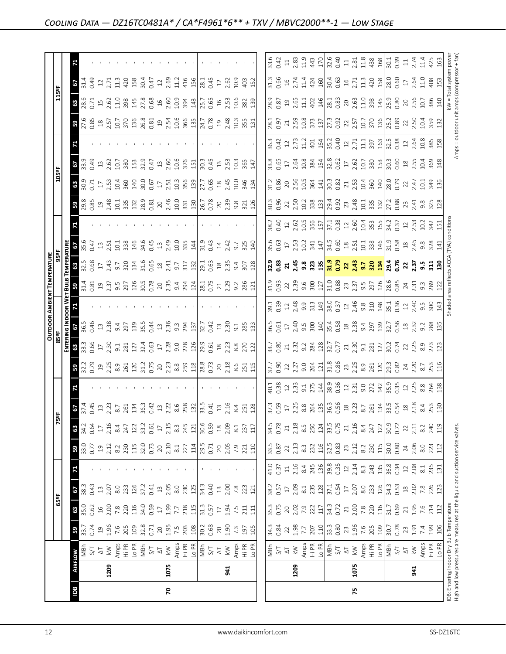|                                                                               |                |                                                                                                                                                                                                                                                                                                                                                                                                                                                               |                                    |                                                                                                                                                                  |                                                          |                                                                                                                                                                                                                                                                                                           |                                                                                                                                                                                                                                                                                                           |                                                                    |                                                                                                                                                                                                                                                                                |                                                                                                                                                                                                                                                                                                                                                   |                                                                                                                                                                                                                                                                                                                     |                                                                                                                                                                                                                                                                                                                       |                                                                                                                                                                                                                                                                                                                                                                                                                                      |                                                                                                                                                                                                                                                                                                                                                                                | <b>OUTDOOR AMBIENT TEMPERATURE</b>                                                                                                                                                                                                                                                 |                                                                                                                                                                                                                                                                                                 |                                                                 |                                                                                                                                                                                                                                                                                                                                                                                                         |                                                                                                                                                                                                                                                                                                                                                                                                               |                                  |                    |                                                                                                                                                                                                                                                                                                                                 |                                                                                                                                        |                                            |                                                                                              |
|-------------------------------------------------------------------------------|----------------|---------------------------------------------------------------------------------------------------------------------------------------------------------------------------------------------------------------------------------------------------------------------------------------------------------------------------------------------------------------------------------------------------------------------------------------------------------------|------------------------------------|------------------------------------------------------------------------------------------------------------------------------------------------------------------|----------------------------------------------------------|-----------------------------------------------------------------------------------------------------------------------------------------------------------------------------------------------------------------------------------------------------------------------------------------------------------|-----------------------------------------------------------------------------------------------------------------------------------------------------------------------------------------------------------------------------------------------------------------------------------------------------------|--------------------------------------------------------------------|--------------------------------------------------------------------------------------------------------------------------------------------------------------------------------------------------------------------------------------------------------------------------------|---------------------------------------------------------------------------------------------------------------------------------------------------------------------------------------------------------------------------------------------------------------------------------------------------------------------------------------------------|---------------------------------------------------------------------------------------------------------------------------------------------------------------------------------------------------------------------------------------------------------------------------------------------------------------------|-----------------------------------------------------------------------------------------------------------------------------------------------------------------------------------------------------------------------------------------------------------------------------------------------------------------------|--------------------------------------------------------------------------------------------------------------------------------------------------------------------------------------------------------------------------------------------------------------------------------------------------------------------------------------------------------------------------------------------------------------------------------------|--------------------------------------------------------------------------------------------------------------------------------------------------------------------------------------------------------------------------------------------------------------------------------------------------------------------------------------------------------------------------------|------------------------------------------------------------------------------------------------------------------------------------------------------------------------------------------------------------------------------------------------------------------------------------|-------------------------------------------------------------------------------------------------------------------------------------------------------------------------------------------------------------------------------------------------------------------------------------------------|-----------------------------------------------------------------|---------------------------------------------------------------------------------------------------------------------------------------------------------------------------------------------------------------------------------------------------------------------------------------------------------------------------------------------------------------------------------------------------------|---------------------------------------------------------------------------------------------------------------------------------------------------------------------------------------------------------------------------------------------------------------------------------------------------------------------------------------------------------------------------------------------------------------|----------------------------------|--------------------|---------------------------------------------------------------------------------------------------------------------------------------------------------------------------------------------------------------------------------------------------------------------------------------------------------------------------------|----------------------------------------------------------------------------------------------------------------------------------------|--------------------------------------------|----------------------------------------------------------------------------------------------|
|                                                                               |                |                                                                                                                                                                                                                                                                                                                                                                                                                                                               |                                    | 65ºF                                                                                                                                                             |                                                          |                                                                                                                                                                                                                                                                                                           |                                                                                                                                                                                                                                                                                                           | 75                                                                 | 빬                                                                                                                                                                                                                                                                              |                                                                                                                                                                                                                                                                                                                                                   |                                                                                                                                                                                                                                                                                                                     | 85°F                                                                                                                                                                                                                                                                                                                  |                                                                                                                                                                                                                                                                                                                                                                                                                                      |                                                                                                                                                                                                                                                                                                                                                                                |                                                                                                                                                                                                                                                                                    | 95°F                                                                                                                                                                                                                                                                                            |                                                                 |                                                                                                                                                                                                                                                                                                                                                                                                         |                                                                                                                                                                                                                                                                                                                                                                                                               | 105°F                            |                    |                                                                                                                                                                                                                                                                                                                                 | 115°F                                                                                                                                  |                                            |                                                                                              |
|                                                                               |                |                                                                                                                                                                                                                                                                                                                                                                                                                                                               |                                    |                                                                                                                                                                  |                                                          |                                                                                                                                                                                                                                                                                                           |                                                                                                                                                                                                                                                                                                           |                                                                    |                                                                                                                                                                                                                                                                                |                                                                                                                                                                                                                                                                                                                                                   |                                                                                                                                                                                                                                                                                                                     | ENTER                                                                                                                                                                                                                                                                                                                 | NG INDOOR W                                                                                                                                                                                                                                                                                                                                                                                                                          |                                                                                                                                                                                                                                                                                                                                                                                | ᇒ                                                                                                                                                                                                                                                                                  |                                                                                                                                                                                                                                                                                                 |                                                                 |                                                                                                                                                                                                                                                                                                                                                                                                         |                                                                                                                                                                                                                                                                                                                                                                                                               |                                  |                    |                                                                                                                                                                                                                                                                                                                                 |                                                                                                                                        |                                            |                                                                                              |
| Bal                                                                           | <b>AIRFLOW</b> |                                                                                                                                                                                                                                                                                                                                                                                                                                                               | 3.74                               | $\frac{850}{350}$ $\frac{62}{350}$ $\frac{850}{250}$ $\frac{820}{250}$ $\frac{820}{250}$ $\frac{820}{250}$ $\frac{820}{250}$ $\frac{820}{250}$ $\frac{820}{250}$ | $rac{38}{38}$                                            |                                                                                                                                                                                                                                                                                                           | $33.0$<br>$0.77$                                                                                                                                                                                                                                                                                          | $\frac{34.2}{34.2}$                                                | $\frac{67}{374}$                                                                                                                                                                                                                                                               |                                                                                                                                                                                                                                                                                                                                                   | 3.38                                                                                                                                                                                                                                                                                                                | $33.3$<br>$3.3$ $3.5$<br>$3.5$<br>$3.2$<br>$3.2$<br>$3.5$<br>$3.5$<br>$3.5$                                                                                                                                                                                                                                           | 29                                                                                                                                                                                                                                                                                                                                                                                                                                   |                                                                                                                                                                                                                                                                                                                                                                                |                                                                                                                                                                                                                                                                                    |                                                                                                                                                                                                                                                                                                 | $rac{2}{35.6}$                                                  |                                                                                                                                                                                                                                                                                                                                                                                                         | <b>3</b><br>29.85                                                                                                                                                                                                                                                                                                                                                                                             | 3.58                             | $\frac{68}{339}$   | $\frac{1}{2}$ , $\frac{1}{2}$ , $\frac{1}{2}$ , $\frac{1}{2}$ , $\frac{1}{2}$ , $\frac{1}{2}$ , $\frac{1}{2}$ , $\frac{1}{2}$ , $\frac{1}{2}$ , $\frac{1}{2}$ , $\frac{1}{2}$ , $\frac{1}{2}$ , $\frac{1}{2}$ , $\frac{1}{2}$ , $\frac{1}{2}$ , $\frac{1}{2}$ , $\frac{1}{2}$ , $\frac{1}{2}$ , $\frac{1}{2}$ , $\frac{1}{2}$ , | $\frac{38.6}{28.6}$                                                                                                                    | 29                                         |                                                                                              |
|                                                                               |                |                                                                                                                                                                                                                                                                                                                                                                                                                                                               |                                    |                                                                                                                                                                  |                                                          |                                                                                                                                                                                                                                                                                                           |                                                                                                                                                                                                                                                                                                           |                                                                    |                                                                                                                                                                                                                                                                                |                                                                                                                                                                                                                                                                                                                                                   |                                                                                                                                                                                                                                                                                                                     |                                                                                                                                                                                                                                                                                                                       |                                                                                                                                                                                                                                                                                                                                                                                                                                      |                                                                                                                                                                                                                                                                                                                                                                                |                                                                                                                                                                                                                                                                                    | 32.5<br>0.68                                                                                                                                                                                                                                                                                    |                                                                 |                                                                                                                                                                                                                                                                                                                                                                                                         |                                                                                                                                                                                                                                                                                                                                                                                                               |                                  |                    |                                                                                                                                                                                                                                                                                                                                 |                                                                                                                                        | $\frac{14}{21.49}$                         |                                                                                              |
|                                                                               |                |                                                                                                                                                                                                                                                                                                                                                                                                                                                               |                                    |                                                                                                                                                                  |                                                          |                                                                                                                                                                                                                                                                                                           |                                                                                                                                                                                                                                                                                                           |                                                                    |                                                                                                                                                                                                                                                                                |                                                                                                                                                                                                                                                                                                                                                   |                                                                                                                                                                                                                                                                                                                     |                                                                                                                                                                                                                                                                                                                       | 0.46                                                                                                                                                                                                                                                                                                                                                                                                                                 |                                                                                                                                                                                                                                                                                                                                                                                |                                                                                                                                                                                                                                                                                    |                                                                                                                                                                                                                                                                                                 |                                                                 |                                                                                                                                                                                                                                                                                                                                                                                                         |                                                                                                                                                                                                                                                                                                                                                                                                               |                                  |                    |                                                                                                                                                                                                                                                                                                                                 |                                                                                                                                        |                                            |                                                                                              |
|                                                                               |                |                                                                                                                                                                                                                                                                                                                                                                                                                                                               |                                    |                                                                                                                                                                  | $\frac{13}{2.07}$                                        |                                                                                                                                                                                                                                                                                                           |                                                                                                                                                                                                                                                                                                           | $\overline{\mathbb{L}}$                                            | $13$<br>$2.23$                                                                                                                                                                                                                                                                 |                                                                                                                                                                                                                                                                                                                                                   |                                                                                                                                                                                                                                                                                                                     |                                                                                                                                                                                                                                                                                                                       | $13^{2.38}$                                                                                                                                                                                                                                                                                                                                                                                                                          |                                                                                                                                                                                                                                                                                                                                                                                |                                                                                                                                                                                                                                                                                    |                                                                                                                                                                                                                                                                                                 | $13$<br>$2.51$                                                  |                                                                                                                                                                                                                                                                                                                                                                                                         |                                                                                                                                                                                                                                                                                                                                                                                                               | $17^{2.5}$                       | $13 \n2.62$        |                                                                                                                                                                                                                                                                                                                                 | $15$ $2.62$                                                                                                                            | $\frac{12}{2.71}$                          |                                                                                              |
|                                                                               | 1209           |                                                                                                                                                                                                                                                                                                                                                                                                                                                               |                                    |                                                                                                                                                                  |                                                          |                                                                                                                                                                                                                                                                                                           |                                                                                                                                                                                                                                                                                                           |                                                                    |                                                                                                                                                                                                                                                                                |                                                                                                                                                                                                                                                                                                                                                   |                                                                                                                                                                                                                                                                                                                     |                                                                                                                                                                                                                                                                                                                       |                                                                                                                                                                                                                                                                                                                                                                                                                                      |                                                                                                                                                                                                                                                                                                                                                                                |                                                                                                                                                                                                                                                                                    |                                                                                                                                                                                                                                                                                                 |                                                                 |                                                                                                                                                                                                                                                                                                                                                                                                         |                                                                                                                                                                                                                                                                                                                                                                                                               |                                  |                    |                                                                                                                                                                                                                                                                                                                                 |                                                                                                                                        |                                            |                                                                                              |
|                                                                               |                |                                                                                                                                                                                                                                                                                                                                                                                                                                                               |                                    |                                                                                                                                                                  | 8.0                                                      |                                                                                                                                                                                                                                                                                                           |                                                                                                                                                                                                                                                                                                           |                                                                    | $8.7\,$                                                                                                                                                                                                                                                                        |                                                                                                                                                                                                                                                                                                                                                   |                                                                                                                                                                                                                                                                                                                     |                                                                                                                                                                                                                                                                                                                       | 9.4                                                                                                                                                                                                                                                                                                                                                                                                                                  |                                                                                                                                                                                                                                                                                                                                                                                |                                                                                                                                                                                                                                                                                    |                                                                                                                                                                                                                                                                                                 |                                                                 |                                                                                                                                                                                                                                                                                                                                                                                                         |                                                                                                                                                                                                                                                                                                                                                                                                               |                                  | 10.7               |                                                                                                                                                                                                                                                                                                                                 |                                                                                                                                        | 11.3                                       |                                                                                              |
|                                                                               |                |                                                                                                                                                                                                                                                                                                                                                                                                                                                               | $1.96$<br>$7.6$<br>$7.05$<br>$109$ |                                                                                                                                                                  | $\frac{233}{37.2}$                                       |                                                                                                                                                                                                                                                                                                           |                                                                                                                                                                                                                                                                                                           | $2.16$<br>$8.4$<br>$7.2$<br>$12.2$<br>$3.2$<br>$0.61$<br>$17$      | 261                                                                                                                                                                                                                                                                            |                                                                                                                                                                                                                                                                                                                                                   | $\begin{array}{c} 21.55 & 22.53 & 23.53 & 24.53 & 25.53 & 26.53 & 27.53 & 28.53 & 27.53 & 28.53 & 27.53 & 28.53 & 27.53 & 28.53 & 27.53 & 28.53 & 28.53 & 29.53 & 20.53 & 20.53 & 20.53 & 20.53 & 20.53 & 20.53 & 20.53 & 20.53 & 20.53 & 20.53 & 20.53 & 20.53 & 20$                                               |                                                                                                                                                                                                                                                                                                                       | 297                                                                                                                                                                                                                                                                                                                                                                                                                                  |                                                                                                                                                                                                                                                                                                                                                                                | $\begin{array}{c} 1.75 & 1.75 & 1.75 & 1.75 \\ 1.75 & 1.75 & 1.75 & 1.75 \\ 1.75 & 1.75 & 1.75 & 1.75 \\ 1.75 & 1.75 & 1.75 & 1.75 \\ 1.75 & 1.75 & 1.75 & 1.75 \\ 1.75 & 1.75 & 1.75 & 1.75 \\ 1.75 & 1.75 & 1.75 & 1.75 \\ 1.75 & 1.75 & 1.75 & 1.75 \\ 1.75 & 1.75 & 1.75 & 1.$ | $\begin{array}{c} 17 \\ 2.43 \\ 9.7 \\ 320 \\ 134 \end{array}$                                                                                                                                                                                                                                  | $10.1$<br>$3.38$<br>$14.6$<br>$3.45$                            |                                                                                                                                                                                                                                                                                                                                                                                                         | $\begin{array}{c} 2.48 \\ 2.43 \\ 1.51 \\ 2.53 \\ 3.53 \\ 2.83 \\ 2.83 \\ 2.81 \\ 2.81 \\ 2.81 \\ 2.81 \\ 2.81 \\ 2.81 \\ 2.81 \\ 2.82 \\ 2.83 \\ 2.83 \\ 2.83 \\ 2.83 \\ 2.83 \\ 2.83 \\ 2.83 \\ 2.83 \\ 2.83 \\ 2.83 \\ 2.83 \\ 2.83 \\ 2.83 \\ 2.83 \\ 2.83 \\ 2.83 \\ 2.83 \\ 2.83 \\ 2.83 \\ 2.83 \\ 2.$                                                                                                 | 10.4<br>360<br>140               | 380                |                                                                                                                                                                                                                                                                                                                                 | $11.0$<br>38 $\frac{45}{14}$                                                                                                           | 420                                        |                                                                                              |
|                                                                               |                |                                                                                                                                                                                                                                                                                                                                                                                                                                                               |                                    |                                                                                                                                                                  |                                                          |                                                                                                                                                                                                                                                                                                           |                                                                                                                                                                                                                                                                                                           |                                                                    | 134                                                                                                                                                                                                                                                                            |                                                                                                                                                                                                                                                                                                                                                   |                                                                                                                                                                                                                                                                                                                     |                                                                                                                                                                                                                                                                                                                       | 139                                                                                                                                                                                                                                                                                                                                                                                                                                  |                                                                                                                                                                                                                                                                                                                                                                                |                                                                                                                                                                                                                                                                                    |                                                                                                                                                                                                                                                                                                 |                                                                 |                                                                                                                                                                                                                                                                                                                                                                                                         |                                                                                                                                                                                                                                                                                                                                                                                                               |                                  | 153                |                                                                                                                                                                                                                                                                                                                                 |                                                                                                                                        | 158                                        |                                                                                              |
|                                                                               |                |                                                                                                                                                                                                                                                                                                                                                                                                                                                               |                                    |                                                                                                                                                                  |                                                          |                                                                                                                                                                                                                                                                                                           |                                                                                                                                                                                                                                                                                                           |                                                                    | 36.3<br>0.42                                                                                                                                                                                                                                                                   |                                                                                                                                                                                                                                                                                                                                                   |                                                                                                                                                                                                                                                                                                                     |                                                                                                                                                                                                                                                                                                                       | $\begin{array}{c} 35.5 \\ 0.44 \\ 13 \end{array}$                                                                                                                                                                                                                                                                                                                                                                                    |                                                                                                                                                                                                                                                                                                                                                                                |                                                                                                                                                                                                                                                                                    |                                                                                                                                                                                                                                                                                                 |                                                                 |                                                                                                                                                                                                                                                                                                                                                                                                         |                                                                                                                                                                                                                                                                                                                                                                                                               | 30.0                             | <b>S2.9</b>        |                                                                                                                                                                                                                                                                                                                                 | 27.8<br>0.68                                                                                                                           | $30.47$<br>12<br>12                        |                                                                                              |
|                                                                               |                |                                                                                                                                                                                                                                                                                                                                                                                                                                                               |                                    |                                                                                                                                                                  |                                                          |                                                                                                                                                                                                                                                                                                           |                                                                                                                                                                                                                                                                                                           |                                                                    |                                                                                                                                                                                                                                                                                |                                                                                                                                                                                                                                                                                                                                                   |                                                                                                                                                                                                                                                                                                                     |                                                                                                                                                                                                                                                                                                                       |                                                                                                                                                                                                                                                                                                                                                                                                                                      |                                                                                                                                                                                                                                                                                                                                                                                |                                                                                                                                                                                                                                                                                    |                                                                                                                                                                                                                                                                                                 |                                                                 |                                                                                                                                                                                                                                                                                                                                                                                                         |                                                                                                                                                                                                                                                                                                                                                                                                               |                                  | 0.47               |                                                                                                                                                                                                                                                                                                                                 |                                                                                                                                        |                                            |                                                                                              |
|                                                                               |                |                                                                                                                                                                                                                                                                                                                                                                                                                                                               |                                    |                                                                                                                                                                  |                                                          |                                                                                                                                                                                                                                                                                                           |                                                                                                                                                                                                                                                                                                           |                                                                    | $\ensuremath{\mathop{\mathbb{Z}}}\xspace$                                                                                                                                                                                                                                      |                                                                                                                                                                                                                                                                                                                                                   |                                                                                                                                                                                                                                                                                                                     |                                                                                                                                                                                                                                                                                                                       |                                                                                                                                                                                                                                                                                                                                                                                                                                      |                                                                                                                                                                                                                                                                                                                                                                                |                                                                                                                                                                                                                                                                                    |                                                                                                                                                                                                                                                                                                 |                                                                 |                                                                                                                                                                                                                                                                                                                                                                                                         |                                                                                                                                                                                                                                                                                                                                                                                                               | $\overline{17}$                  | $13$               |                                                                                                                                                                                                                                                                                                                                 |                                                                                                                                        |                                            |                                                                                              |
| 20                                                                            | 1075           |                                                                                                                                                                                                                                                                                                                                                                                                                                                               |                                    |                                                                                                                                                                  |                                                          |                                                                                                                                                                                                                                                                                                           |                                                                                                                                                                                                                                                                                                           | 2.15                                                               | 2.22                                                                                                                                                                                                                                                                           |                                                                                                                                                                                                                                                                                                                                                   |                                                                                                                                                                                                                                                                                                                     |                                                                                                                                                                                                                                                                                                                       | 2.36                                                                                                                                                                                                                                                                                                                                                                                                                                 |                                                                                                                                                                                                                                                                                                                                                                                |                                                                                                                                                                                                                                                                                    |                                                                                                                                                                                                                                                                                                 |                                                                 |                                                                                                                                                                                                                                                                                                                                                                                                         |                                                                                                                                                                                                                                                                                                                                                                                                               | 2.51                             | 2.60               |                                                                                                                                                                                                                                                                                                                                 | $16$<br>$2.60$                                                                                                                         | 2.69                                       |                                                                                              |
|                                                                               |                |                                                                                                                                                                                                                                                                                                                                                                                                                                                               |                                    | 1.99<br>7.7                                                                                                                                                      | $\frac{13}{2}$ .05                                       |                                                                                                                                                                                                                                                                                                           |                                                                                                                                                                                                                                                                                                           | $8.\overline{3}$                                                   | 8.6                                                                                                                                                                                                                                                                            |                                                                                                                                                                                                                                                                                                                                                   |                                                                                                                                                                                                                                                                                                                     |                                                                                                                                                                                                                                                                                                                       | $9.\overline{3}$                                                                                                                                                                                                                                                                                                                                                                                                                     |                                                                                                                                                                                                                                                                                                                                                                                |                                                                                                                                                                                                                                                                                    |                                                                                                                                                                                                                                                                                                 |                                                                 |                                                                                                                                                                                                                                                                                                                                                                                                         |                                                                                                                                                                                                                                                                                                                                                                                                               | 10.3                             | 10.6               |                                                                                                                                                                                                                                                                                                                                 |                                                                                                                                        | 11.2                                       |                                                                                              |
|                                                                               |                |                                                                                                                                                                                                                                                                                                                                                                                                                                                               |                                    |                                                                                                                                                                  | 230                                                      |                                                                                                                                                                                                                                                                                                           |                                                                                                                                                                                                                                                                                                           | 245                                                                | 258                                                                                                                                                                                                                                                                            |                                                                                                                                                                                                                                                                                                                                                   |                                                                                                                                                                                                                                                                                                                     |                                                                                                                                                                                                                                                                                                                       | 294                                                                                                                                                                                                                                                                                                                                                                                                                                  |                                                                                                                                                                                                                                                                                                                                                                                |                                                                                                                                                                                                                                                                                    |                                                                                                                                                                                                                                                                                                 |                                                                 |                                                                                                                                                                                                                                                                                                                                                                                                         |                                                                                                                                                                                                                                                                                                                                                                                                               | $\frac{356}{13}$                 | 376                |                                                                                                                                                                                                                                                                                                                                 |                                                                                                                                        | 416                                        |                                                                                              |
|                                                                               |                |                                                                                                                                                                                                                                                                                                                                                                                                                                                               |                                    |                                                                                                                                                                  |                                                          |                                                                                                                                                                                                                                                                                                           |                                                                                                                                                                                                                                                                                                           |                                                                    |                                                                                                                                                                                                                                                                                |                                                                                                                                                                                                                                                                                                                                                   |                                                                                                                                                                                                                                                                                                                     |                                                                                                                                                                                                                                                                                                                       |                                                                                                                                                                                                                                                                                                                                                                                                                                      |                                                                                                                                                                                                                                                                                                                                                                                |                                                                                                                                                                                                                                                                                    |                                                                                                                                                                                                                                                                                                 |                                                                 |                                                                                                                                                                                                                                                                                                                                                                                                         |                                                                                                                                                                                                                                                                                                                                                                                                               |                                  | 151                |                                                                                                                                                                                                                                                                                                                                 |                                                                                                                                        |                                            |                                                                                              |
|                                                                               |                |                                                                                                                                                                                                                                                                                                                                                                                                                                                               |                                    | $218$<br>$\frac{11}{31}$<br>$\frac{3}{31}$<br>$\frac{5}{7}$                                                                                                      | $\frac{125}{34.3}$                                       |                                                                                                                                                                                                                                                                                                           | $\begin{array}{c c}\n\hline\n23 & 14 \\ \hline\n19 & .5 \\ 0 & .7 \\ 0 & .8 \\ 0 & .7 \\ \hline\n\end{array}$                                                                                                                                                                                             | $\frac{121}{30.6}$                                                 | $\frac{132}{33.5}$                                                                                                                                                                                                                                                             |                                                                                                                                                                                                                                                                                                                                                   |                                                                                                                                                                                                                                                                                                                     | $\frac{28}{3}$ $\frac{8}{2}$ $\frac{8}{2}$ $\frac{10}{2}$ $\frac{3}{2}$ $\frac{3}{2}$ $\frac{3}{2}$ $\frac{3}{2}$ $\frac{3}{2}$ $\frac{3}{2}$ $\frac{3}{2}$ $\frac{3}{2}$ $\frac{3}{2}$ $\frac{3}{2}$ $\frac{3}{2}$ $\frac{3}{2}$ $\frac{3}{2}$ $\frac{3}{2}$ $\frac{3}{2}$ $\frac{3}{2}$ $\frac{3}{2}$ $\frac{3}{2}$ | $\frac{1}{32.7}$                                                                                                                                                                                                                                                                                                                                                                                                                     |                                                                                                                                                                                                                                                                                                                                                                                |                                                                                                                                                                                                                                                                                    | $\begin{vmatrix} 1.6 & 1.6 & 0.6 \\ 0.6 & 0.6 & 0.6 \\ 0.6 & 0.6 & 0.6 \\ 0.6 & 0.6 & 0.6 \\ 0.6 & 0.6 & 0.6 \\ 0.6 & 0.6 & 0.6 \\ 0.6 & 0.6 & 0.6 \\ 0.6 & 0.6 & 0.6 \\ 0.6 & 0.6 & 0.6 \\ 0.6 & 0.6 & 0.6 \\ 0.6 & 0.6 & 0.6 \\ 0.6 & 0.6 & 0.6 \\ 0.6 & 0.6 & 0.6 \\ 0.6 & 0.6 & 0.6 \\ 0.6$ | $\frac{13}{249}$ $\frac{35}{25}$ $\frac{14}{24}$ $\frac{1}{21}$ |                                                                                                                                                                                                                                                                                                                                                                                                         | $\frac{246}{10.0}$ 371 $\frac{3}{26.7}$ 80.78                                                                                                                                                                                                                                                                                                                                                                 | 27.7                             | 30.3               |                                                                                                                                                                                                                                                                                                                                 | $\frac{9}{3}$<br>$\frac{43}{15}$<br>$\frac{7}{15}$<br>0.65                                                                             | $\overline{28.1}$                          |                                                                                              |
|                                                                               |                |                                                                                                                                                                                                                                                                                                                                                                                                                                                               |                                    |                                                                                                                                                                  | 0.40                                                     |                                                                                                                                                                                                                                                                                                           |                                                                                                                                                                                                                                                                                                           |                                                                    | 0.41                                                                                                                                                                                                                                                                           |                                                                                                                                                                                                                                                                                                                                                   |                                                                                                                                                                                                                                                                                                                     |                                                                                                                                                                                                                                                                                                                       |                                                                                                                                                                                                                                                                                                                                                                                                                                      |                                                                                                                                                                                                                                                                                                                                                                                |                                                                                                                                                                                                                                                                                    |                                                                                                                                                                                                                                                                                                 | 0.43                                                            |                                                                                                                                                                                                                                                                                                                                                                                                         |                                                                                                                                                                                                                                                                                                                                                                                                               | 0.65                             | 0.45               |                                                                                                                                                                                                                                                                                                                                 |                                                                                                                                        | 0.45                                       |                                                                                              |
|                                                                               |                |                                                                                                                                                                                                                                                                                                                                                                                                                                                               |                                    |                                                                                                                                                                  |                                                          |                                                                                                                                                                                                                                                                                                           |                                                                                                                                                                                                                                                                                                           |                                                                    | $13$                                                                                                                                                                                                                                                                           |                                                                                                                                                                                                                                                                                                                                                   |                                                                                                                                                                                                                                                                                                                     |                                                                                                                                                                                                                                                                                                                       |                                                                                                                                                                                                                                                                                                                                                                                                                                      |                                                                                                                                                                                                                                                                                                                                                                                |                                                                                                                                                                                                                                                                                    |                                                                                                                                                                                                                                                                                                 |                                                                 |                                                                                                                                                                                                                                                                                                                                                                                                         |                                                                                                                                                                                                                                                                                                                                                                                                               |                                  |                    |                                                                                                                                                                                                                                                                                                                                 |                                                                                                                                        |                                            |                                                                                              |
|                                                                               | 941            |                                                                                                                                                                                                                                                                                                                                                                                                                                                               |                                    |                                                                                                                                                                  |                                                          |                                                                                                                                                                                                                                                                                                           |                                                                                                                                                                                                                                                                                                           | $18$<br>$2.09$                                                     | 2.16                                                                                                                                                                                                                                                                           |                                                                                                                                                                                                                                                                                                                                                   |                                                                                                                                                                                                                                                                                                                     |                                                                                                                                                                                                                                                                                                                       | $\frac{13}{2.30}$                                                                                                                                                                                                                                                                                                                                                                                                                    |                                                                                                                                                                                                                                                                                                                                                                                |                                                                                                                                                                                                                                                                                    |                                                                                                                                                                                                                                                                                                 | $14$<br>$2.42$                                                  |                                                                                                                                                                                                                                                                                                                                                                                                         |                                                                                                                                                                                                                                                                                                                                                                                                               |                                  | 13.53              |                                                                                                                                                                                                                                                                                                                                 | $16$<br>$2.53$                                                                                                                         | $\frac{2}{2}$ .62                          |                                                                                              |
|                                                                               |                |                                                                                                                                                                                                                                                                                                                                                                                                                                                               |                                    | 1.94<br>7.5<br>211                                                                                                                                               | $\begin{array}{c} 13 \\ 2,00 \\ 7,8 \\ 2,11 \end{array}$ |                                                                                                                                                                                                                                                                                                           |                                                                                                                                                                                                                                                                                                           |                                                                    |                                                                                                                                                                                                                                                                                |                                                                                                                                                                                                                                                                                                                                                   |                                                                                                                                                                                                                                                                                                                     |                                                                                                                                                                                                                                                                                                                       |                                                                                                                                                                                                                                                                                                                                                                                                                                      |                                                                                                                                                                                                                                                                                                                                                                                |                                                                                                                                                                                                                                                                                    | $\begin{array}{c}\n 25 \\  25 \\  35 \\  45 \\  50 \\  28\n \end{array}$                                                                                                                                                                                                                        |                                                                 |                                                                                                                                                                                                                                                                                                                                                                                                         | $\begin{array}{c} 20 \\ 2.39 \\ 9.8 \\ 3.71 \\ 126 \end{array}$                                                                                                                                                                                                                                                                                                                                               | $245$<br>$245$<br>$246$<br>$343$ | 10.3               |                                                                                                                                                                                                                                                                                                                                 | 10.6                                                                                                                                   | 10.9                                       |                                                                                              |
|                                                                               |                | Amps<br>Hi PR<br>Lo PR                                                                                                                                                                                                                                                                                                                                                                                                                                        |                                    |                                                                                                                                                                  |                                                          |                                                                                                                                                                                                                                                                                                           |                                                                                                                                                                                                                                                                                                           | $8.1$<br>$237$<br>$117$                                            | 8.4<br>251                                                                                                                                                                                                                                                                     |                                                                                                                                                                                                                                                                                                                                                   |                                                                                                                                                                                                                                                                                                                     |                                                                                                                                                                                                                                                                                                                       | 3.83                                                                                                                                                                                                                                                                                                                                                                                                                                 |                                                                                                                                                                                                                                                                                                                                                                                |                                                                                                                                                                                                                                                                                    |                                                                                                                                                                                                                                                                                                 | 9.7<br>325<br>140                                               |                                                                                                                                                                                                                                                                                                                                                                                                         |                                                                                                                                                                                                                                                                                                                                                                                                               |                                  | 365                |                                                                                                                                                                                                                                                                                                                                 |                                                                                                                                        | 403                                        |                                                                                              |
|                                                                               |                |                                                                                                                                                                                                                                                                                                                                                                                                                                                               |                                    | $\overline{11}$                                                                                                                                                  |                                                          |                                                                                                                                                                                                                                                                                                           |                                                                                                                                                                                                                                                                                                           |                                                                    | 128                                                                                                                                                                                                                                                                            |                                                                                                                                                                                                                                                                                                                                                   |                                                                                                                                                                                                                                                                                                                     |                                                                                                                                                                                                                                                                                                                       |                                                                                                                                                                                                                                                                                                                                                                                                                                      |                                                                                                                                                                                                                                                                                                                                                                                |                                                                                                                                                                                                                                                                                    |                                                                                                                                                                                                                                                                                                 |                                                                 |                                                                                                                                                                                                                                                                                                                                                                                                         |                                                                                                                                                                                                                                                                                                                                                                                                               |                                  | 147                |                                                                                                                                                                                                                                                                                                                                 | $\begin{array}{c} 382 \\ 139 \end{array}$                                                                                              | 152                                        |                                                                                              |
|                                                                               |                |                                                                                                                                                                                                                                                                                                                                                                                                                                                               |                                    |                                                                                                                                                                  |                                                          |                                                                                                                                                                                                                                                                                                           |                                                                                                                                                                                                                                                                                                           |                                                                    |                                                                                                                                                                                                                                                                                |                                                                                                                                                                                                                                                                                                                                                   |                                                                                                                                                                                                                                                                                                                     |                                                                                                                                                                                                                                                                                                                       |                                                                                                                                                                                                                                                                                                                                                                                                                                      |                                                                                                                                                                                                                                                                                                                                                                                |                                                                                                                                                                                                                                                                                    |                                                                                                                                                                                                                                                                                                 |                                                                 |                                                                                                                                                                                                                                                                                                                                                                                                         |                                                                                                                                                                                                                                                                                                                                                                                                               |                                  |                    |                                                                                                                                                                                                                                                                                                                                 |                                                                                                                                        |                                            |                                                                                              |
|                                                                               |                |                                                                                                                                                                                                                                                                                                                                                                                                                                                               |                                    |                                                                                                                                                                  |                                                          |                                                                                                                                                                                                                                                                                                           |                                                                                                                                                                                                                                                                                                           |                                                                    |                                                                                                                                                                                                                                                                                |                                                                                                                                                                                                                                                                                                                                                   |                                                                                                                                                                                                                                                                                                                     |                                                                                                                                                                                                                                                                                                                       |                                                                                                                                                                                                                                                                                                                                                                                                                                      |                                                                                                                                                                                                                                                                                                                                                                                |                                                                                                                                                                                                                                                                                    |                                                                                                                                                                                                                                                                                                 |                                                                 |                                                                                                                                                                                                                                                                                                                                                                                                         |                                                                                                                                                                                                                                                                                                                                                                                                               |                                  |                    |                                                                                                                                                                                                                                                                                                                                 |                                                                                                                                        |                                            |                                                                                              |
|                                                                               |                |                                                                                                                                                                                                                                                                                                                                                                                                                                                               |                                    |                                                                                                                                                                  |                                                          |                                                                                                                                                                                                                                                                                                           |                                                                                                                                                                                                                                                                                                           | 34.5<br>0.78                                                       |                                                                                                                                                                                                                                                                                | $40.1$<br>$0.38$                                                                                                                                                                                                                                                                                                                                  |                                                                                                                                                                                                                                                                                                                     |                                                                                                                                                                                                                                                                                                                       |                                                                                                                                                                                                                                                                                                                                                                                                                                      |                                                                                                                                                                                                                                                                                                                                                                                |                                                                                                                                                                                                                                                                                    |                                                                                                                                                                                                                                                                                                 |                                                                 |                                                                                                                                                                                                                                                                                                                                                                                                         | 30.3<br>0.96                                                                                                                                                                                                                                                                                                                                                                                                  | 31.2<br>0.86                     |                    |                                                                                                                                                                                                                                                                                                                                 |                                                                                                                                        |                                            | 33.6<br>0.42                                                                                 |
|                                                                               |                |                                                                                                                                                                                                                                                                                                                                                                                                                                                               |                                    |                                                                                                                                                                  |                                                          |                                                                                                                                                                                                                                                                                                           | $\begin{array}{c} 33.5 \\ 0.87 \\ 2.13 \end{array}$                                                                                                                                                                                                                                                       | 21                                                                 |                                                                                                                                                                                                                                                                                |                                                                                                                                                                                                                                                                                                                                                   |                                                                                                                                                                                                                                                                                                                     |                                                                                                                                                                                                                                                                                                                       |                                                                                                                                                                                                                                                                                                                                                                                                                                      |                                                                                                                                                                                                                                                                                                                                                                                |                                                                                                                                                                                                                                                                                    |                                                                                                                                                                                                                                                                                                 |                                                                 |                                                                                                                                                                                                                                                                                                                                                                                                         |                                                                                                                                                                                                                                                                                                                                                                                                               |                                  |                    |                                                                                                                                                                                                                                                                                                                                 |                                                                                                                                        |                                            |                                                                                              |
|                                                                               | 1209           |                                                                                                                                                                                                                                                                                                                                                                                                                                                               |                                    |                                                                                                                                                                  |                                                          |                                                                                                                                                                                                                                                                                                           |                                                                                                                                                                                                                                                                                                           |                                                                    |                                                                                                                                                                                                                                                                                |                                                                                                                                                                                                                                                                                                                                                   |                                                                                                                                                                                                                                                                                                                     |                                                                                                                                                                                                                                                                                                                       |                                                                                                                                                                                                                                                                                                                                                                                                                                      |                                                                                                                                                                                                                                                                                                                                                                                |                                                                                                                                                                                                                                                                                    |                                                                                                                                                                                                                                                                                                 |                                                                 |                                                                                                                                                                                                                                                                                                                                                                                                         |                                                                                                                                                                                                                                                                                                                                                                                                               |                                  |                    |                                                                                                                                                                                                                                                                                                                                 |                                                                                                                                        |                                            |                                                                                              |
|                                                                               |                |                                                                                                                                                                                                                                                                                                                                                                                                                                                               |                                    |                                                                                                                                                                  |                                                          |                                                                                                                                                                                                                                                                                                           |                                                                                                                                                                                                                                                                                                           |                                                                    |                                                                                                                                                                                                                                                                                |                                                                                                                                                                                                                                                                                                                                                   |                                                                                                                                                                                                                                                                                                                     |                                                                                                                                                                                                                                                                                                                       |                                                                                                                                                                                                                                                                                                                                                                                                                                      |                                                                                                                                                                                                                                                                                                                                                                                |                                                                                                                                                                                                                                                                                    |                                                                                                                                                                                                                                                                                                 |                                                                 |                                                                                                                                                                                                                                                                                                                                                                                                         |                                                                                                                                                                                                                                                                                                                                                                                                               |                                  |                    |                                                                                                                                                                                                                                                                                                                                 |                                                                                                                                        | $31.3$<br>0.66<br>$15$<br>$2.74$<br>$11.4$ | $\begin{array}{c} 11 \\ 2.83 \\ 1.9 \end{array}$                                             |
|                                                                               |                |                                                                                                                                                                                                                                                                                                                                                                                                                                                               |                                    |                                                                                                                                                                  |                                                          |                                                                                                                                                                                                                                                                                                           |                                                                                                                                                                                                                                                                                                           |                                                                    |                                                                                                                                                                                                                                                                                |                                                                                                                                                                                                                                                                                                                                                   |                                                                                                                                                                                                                                                                                                                     |                                                                                                                                                                                                                                                                                                                       |                                                                                                                                                                                                                                                                                                                                                                                                                                      |                                                                                                                                                                                                                                                                                                                                                                                |                                                                                                                                                                                                                                                                                    |                                                                                                                                                                                                                                                                                                 |                                                                 |                                                                                                                                                                                                                                                                                                                                                                                                         |                                                                                                                                                                                                                                                                                                                                                                                                               |                                  |                    |                                                                                                                                                                                                                                                                                                                                 |                                                                                                                                        |                                            |                                                                                              |
|                                                                               |                | $\begin{array}{l} \text{MBD} \\ \text{MBD} \\ \text{MBD} \\ \text{MBD} \\ \text{MBD} \\ \text{MBD} \\ \text{MBD} \\ \text{MBD} \\ \text{MBD} \\ \text{MBD} \\ \text{MBD} \\ \text{MBD} \\ \text{MBD} \\ \text{MBD} \\ \text{MBD} \\ \text{MBD} \\ \text{MBD} \\ \text{MBD} \\ \text{MBD} \\ \text{MBD} \\ \text{MBD} \\ \text{MBD} \\ \text{MBD} \\ \text{MBD} \\ \text{MBD} \\ \text{MBD} \\ \text{MBD} \\ \text{MBD} \\ \text{MBD} \\ \text{MBD} \\ \text{$ |                                    |                                                                                                                                                                  |                                                          |                                                                                                                                                                                                                                                                                                           |                                                                                                                                                                                                                                                                                                           | $2.18$<br>8.5<br>250<br>$124$<br>33.5<br>0.75                      |                                                                                                                                                                                                                                                                                | $\begin{array}{c}\n 12 \\  2.33 \\  \hline\n 9.1 \\  \hline\n 14 \\  \hline\n 8.3 \\  \hline\n 9.36 \\  \hline\n 0.36\n \end{array}$                                                                                                                                                                                                              |                                                                                                                                                                                                                                                                                                                     | $\begin{array}{c} 3.750 \\ 2.310 \\ 3.310 \\ 3.321 \\ 3.332 \\ 3.341 \\ 3.351 \\ 3.371 \\ 3.371 \\ 3.371 \\ 3.371 \\ 3.371 \\ 3.371 \\ 3.371 \\ 3.371 \\ 3.371 \\ 3.371 \\ 3.371 \\ 3.371 \\ 3.371 \\ 3.371 \\ 3.371 \\ 3.371 \\ 3.371 \\ 3.371 \\ 3.371 \\ 3.371 \\ 3.371 \\ 3.371 \\ 3.371 \\ 3.$                   |                                                                                                                                                                                                                                                                                                                                                                                                                                      |                                                                                                                                                                                                                                                                                                                                                                                |                                                                                                                                                                                                                                                                                    |                                                                                                                                                                                                                                                                                                 |                                                                 |                                                                                                                                                                                                                                                                                                                                                                                                         |                                                                                                                                                                                                                                                                                                                                                                                                               |                                  |                    |                                                                                                                                                                                                                                                                                                                                 | $\frac{83}{88}$ $\frac{8}{8}$ $\frac{83}{81}$ $\frac{12}{81}$ $\frac{44}{81}$ $\frac{83}{81}$ $\frac{83}{81}$                          |                                            | $rac{170}{32.6}$                                                                             |
|                                                                               |                |                                                                                                                                                                                                                                                                                                                                                                                                                                                               |                                    |                                                                                                                                                                  |                                                          |                                                                                                                                                                                                                                                                                                           |                                                                                                                                                                                                                                                                                                           |                                                                    |                                                                                                                                                                                                                                                                                |                                                                                                                                                                                                                                                                                                                                                   |                                                                                                                                                                                                                                                                                                                     |                                                                                                                                                                                                                                                                                                                       |                                                                                                                                                                                                                                                                                                                                                                                                                                      |                                                                                                                                                                                                                                                                                                                                                                                |                                                                                                                                                                                                                                                                                    |                                                                                                                                                                                                                                                                                                 |                                                                 |                                                                                                                                                                                                                                                                                                                                                                                                         |                                                                                                                                                                                                                                                                                                                                                                                                               |                                  |                    |                                                                                                                                                                                                                                                                                                                                 |                                                                                                                                        |                                            |                                                                                              |
|                                                                               |                |                                                                                                                                                                                                                                                                                                                                                                                                                                                               |                                    |                                                                                                                                                                  |                                                          |                                                                                                                                                                                                                                                                                                           |                                                                                                                                                                                                                                                                                                           |                                                                    |                                                                                                                                                                                                                                                                                |                                                                                                                                                                                                                                                                                                                                                   |                                                                                                                                                                                                                                                                                                                     |                                                                                                                                                                                                                                                                                                                       |                                                                                                                                                                                                                                                                                                                                                                                                                                      |                                                                                                                                                                                                                                                                                                                                                                                |                                                                                                                                                                                                                                                                                    |                                                                                                                                                                                                                                                                                                 |                                                                 |                                                                                                                                                                                                                                                                                                                                                                                                         |                                                                                                                                                                                                                                                                                                                                                                                                               |                                  |                    |                                                                                                                                                                                                                                                                                                                                 |                                                                                                                                        |                                            |                                                                                              |
|                                                                               |                |                                                                                                                                                                                                                                                                                                                                                                                                                                                               |                                    |                                                                                                                                                                  |                                                          |                                                                                                                                                                                                                                                                                                           |                                                                                                                                                                                                                                                                                                           |                                                                    |                                                                                                                                                                                                                                                                                |                                                                                                                                                                                                                                                                                                                                                   |                                                                                                                                                                                                                                                                                                                     |                                                                                                                                                                                                                                                                                                                       |                                                                                                                                                                                                                                                                                                                                                                                                                                      |                                                                                                                                                                                                                                                                                                                                                                                |                                                                                                                                                                                                                                                                                    |                                                                                                                                                                                                                                                                                                 |                                                                 |                                                                                                                                                                                                                                                                                                                                                                                                         |                                                                                                                                                                                                                                                                                                                                                                                                               |                                  |                    |                                                                                                                                                                                                                                                                                                                                 |                                                                                                                                        |                                            |                                                                                              |
| 75                                                                            | 1075           |                                                                                                                                                                                                                                                                                                                                                                                                                                                               |                                    |                                                                                                                                                                  |                                                          |                                                                                                                                                                                                                                                                                                           |                                                                                                                                                                                                                                                                                                           |                                                                    |                                                                                                                                                                                                                                                                                |                                                                                                                                                                                                                                                                                                                                                   |                                                                                                                                                                                                                                                                                                                     |                                                                                                                                                                                                                                                                                                                       |                                                                                                                                                                                                                                                                                                                                                                                                                                      |                                                                                                                                                                                                                                                                                                                                                                                |                                                                                                                                                                                                                                                                                    |                                                                                                                                                                                                                                                                                                 |                                                                 |                                                                                                                                                                                                                                                                                                                                                                                                         |                                                                                                                                                                                                                                                                                                                                                                                                               |                                  |                    |                                                                                                                                                                                                                                                                                                                                 |                                                                                                                                        |                                            |                                                                                              |
|                                                                               |                |                                                                                                                                                                                                                                                                                                                                                                                                                                                               |                                    |                                                                                                                                                                  |                                                          |                                                                                                                                                                                                                                                                                                           |                                                                                                                                                                                                                                                                                                           |                                                                    |                                                                                                                                                                                                                                                                                |                                                                                                                                                                                                                                                                                                                                                   |                                                                                                                                                                                                                                                                                                                     |                                                                                                                                                                                                                                                                                                                       |                                                                                                                                                                                                                                                                                                                                                                                                                                      |                                                                                                                                                                                                                                                                                                                                                                                |                                                                                                                                                                                                                                                                                    |                                                                                                                                                                                                                                                                                                 |                                                                 |                                                                                                                                                                                                                                                                                                                                                                                                         |                                                                                                                                                                                                                                                                                                                                                                                                               |                                  |                    |                                                                                                                                                                                                                                                                                                                                 |                                                                                                                                        |                                            |                                                                                              |
|                                                                               |                |                                                                                                                                                                                                                                                                                                                                                                                                                                                               |                                    |                                                                                                                                                                  |                                                          |                                                                                                                                                                                                                                                                                                           |                                                                                                                                                                                                                                                                                                           |                                                                    |                                                                                                                                                                                                                                                                                |                                                                                                                                                                                                                                                                                                                                                   |                                                                                                                                                                                                                                                                                                                     |                                                                                                                                                                                                                                                                                                                       |                                                                                                                                                                                                                                                                                                                                                                                                                                      |                                                                                                                                                                                                                                                                                                                                                                                |                                                                                                                                                                                                                                                                                    |                                                                                                                                                                                                                                                                                                 |                                                                 |                                                                                                                                                                                                                                                                                                                                                                                                         |                                                                                                                                                                                                                                                                                                                                                                                                               |                                  |                    |                                                                                                                                                                                                                                                                                                                                 |                                                                                                                                        |                                            |                                                                                              |
|                                                                               |                |                                                                                                                                                                                                                                                                                                                                                                                                                                                               |                                    |                                                                                                                                                                  |                                                          |                                                                                                                                                                                                                                                                                                           |                                                                                                                                                                                                                                                                                                           |                                                                    |                                                                                                                                                                                                                                                                                |                                                                                                                                                                                                                                                                                                                                                   |                                                                                                                                                                                                                                                                                                                     |                                                                                                                                                                                                                                                                                                                       |                                                                                                                                                                                                                                                                                                                                                                                                                                      |                                                                                                                                                                                                                                                                                                                                                                                |                                                                                                                                                                                                                                                                                    |                                                                                                                                                                                                                                                                                                 |                                                                 |                                                                                                                                                                                                                                                                                                                                                                                                         |                                                                                                                                                                                                                                                                                                                                                                                                               |                                  |                    |                                                                                                                                                                                                                                                                                                                                 |                                                                                                                                        |                                            |                                                                                              |
|                                                                               |                | $\begin{array}{l} \displaystyle \mathop{\mathsf{Amp}}\limits_{\mathsf{H}} \mathop{\mathsf{B}}\limits_{\mathsf{B}} \mathop{\mathsf{B}}\limits_{\mathsf{H}} \mathop{\mathsf{Bmp}}\limits_{\mathsf{S}} \mathop{\mathsf{Amp}}\limits_{\mathsf{H}} \mathop{\mathsf{Bmp}}\limits_{\mathsf{H}} \end{array}$                                                                                                                                                          |                                    |                                                                                                                                                                  |                                                          | $\frac{13}{42}$ $\frac{13}{12}$ $\frac{14}{32}$ $\frac{14}{32}$ $\frac{14}{32}$ $\frac{18}{32}$ $\frac{18}{32}$ $\frac{13}{32}$ $\frac{13}{32}$ $\frac{13}{32}$ $\frac{13}{32}$ $\frac{13}{32}$ $\frac{13}{32}$ $\frac{13}{32}$ $\frac{13}{32}$ $\frac{13}{32}$ $\frac{13}{32}$ $\frac{13}{32}$ $\frac{1$ | $\frac{33}{22}$ $\frac{19}{22}$ $\frac{15}{22}$ $\frac{33}{22}$ $\frac{33}{22}$ $\frac{33}{22}$ $\frac{33}{22}$ $\frac{33}{22}$ $\frac{33}{22}$ $\frac{33}{22}$ $\frac{33}{22}$ $\frac{33}{22}$ $\frac{33}{22}$ $\frac{33}{22}$ $\frac{33}{22}$ $\frac{33}{22}$ $\frac{33}{22}$ $\frac{33}{22}$ $\frac{3$ | $71.46$<br>$2.16$<br>$8.47$<br>$2.12$<br>$8.2$<br>$3.03$<br>$3.03$ | $\begin{array}{c} 23.55 & 24.57 & 25.57 \\ 25.5 & 25.57 & 25.57 & 25.57 \\ 25.5 & 25.57 & 25.57 & 25.57 \\ 25.5 & 25.57 & 25.57 & 25.57 \\ 25.5 & 25.57 & 25.57 & 25.57 \\ 25.5 & 25.57 & 25.57 & 25.57 \\ 25.5 & 25.57 & 25.57 & 25.57 \\ 25.5 & 25.57 & 25.57 & 25.57 \\ 25$ | $\begin{array}{c} 12 \\ 21 \\ 33 \\ 56 \\ 61 \\ 72 \\ 83 \\ 14 \\ 15 \\ 13 \\ 15 \\ 13 \\ 15 \\ 16 \\ 13 \\ 15 \\ 16 \\ 13 \\ 14 \\ 15 \\ 13 \\ 15 \\ 16 \\ 13 \\ 14 \\ 15 \\ 16 \\ 13 \\ 14 \\ 15 \\ 16 \\ 17 \\ 18 \\ 19 \\ 19 \\ 19 \\ 19 \\ 19 \\ 10 \\ 13 \\ 14 \\ 15 \\ 16 \\ 17 \\ 18 \\ 19 \\ 19 \\ 19 \\ 19 \\ 19 \\ 19 \\ 19 \\ 19 \\ $ |                                                                                                                                                                                                                                                                                                                     | $\frac{21}{2.30}$ $\frac{3}{2}$ $\frac{31}{28}$ $\frac{1}{2}$ $\frac{2}{2}$ $\frac{2}{2}$ $\frac{2}{2}$ $\frac{1}{2}$ $\frac{2}{2}$ $\frac{2}{2}$ $\frac{2}{4}$ $\frac{2}{4}$                                                                                                                                         |                                                                                                                                                                                                                                                                                                                                                                                                                                      | $\begin{array}{c} 33.83 \\ 35.32 \end{array}$ $\begin{array}{c} 32.43 \\ 35.43 \end{array}$ $\begin{array}{c} 33.43 \\ 35.43 \end{array}$ $\begin{array}{c} 32.43 \\ 35.43 \end{array}$ $\begin{array}{c} 32.43 \\ 35.43 \end{array}$ $\begin{array}{c} 32.43 \\ 35.43 \end{array}$ $\begin{array}{c} 32.43 \\ 35.43 \end{array}$ $\begin{array}{c} 32.43 \\ 35.43 \end{array$ |                                                                                                                                                                                                                                                                                    |                                                                                                                                                                                                                                                                                                 |                                                                 | $\begin{array}{c} 38.36 \text{ } \text{ } 52.7 \text{ } \text{ } 72.7 \text{ } \text{ } 72.7 \text{ } \text{ } 72.7 \text{ } \text{ } 72.7 \text{ } \text{ } 72.7 \text{ } \text{ } 72.7 \text{ } \text{ } 72.7 \text{ } \text{ } 72.7 \text{ } \text{ } 72.7 \text{ } \text{ } 72.7 \text{ } \text{ } 72.7 \text{ } \text{ } 72.7 \text{ } \text{ } 72.7 \text{ } \text{ } 72.7 \text{ } \text{ } 72.$ | $\begin{array}{c c c c c c c c c} \text{S} & \text{S} & \text{S} & \text{S} & \text{S} & \text{S} & \text{S} & \text{S} & \text{S} \\ \text{S} & \text{S} & \text{S} & \text{S} & \text{S} & \text{S} & \text{S} & \text{S} & \text{S} & \text{S} & \text{S} & \text{S} \\ \text{S} & \text{S} & \text{S} & \text{S} & \text{S} & \text{S} & \text{S} & \text{S} & \text{S} & \text{S} & \text{S} & \text{S}$ |                                  |                    |                                                                                                                                                                                                                                                                                                                                 | $\begin{array}{c}\n 20 \\  2.63 \\  \hline\n 1.13 \\  \hline\n 3.8 \\  \hline\n 4.9 \\  \hline\n 5.80 \\  \hline\n 0.80\n \end{array}$ |                                            | $\begin{array}{c}\n 11 \\  21 \\  31 \\  43 \\  50 \\  61 \\  71 \\  82 \\  9\n \end{array}$ |
|                                                                               |                |                                                                                                                                                                                                                                                                                                                                                                                                                                                               |                                    |                                                                                                                                                                  |                                                          |                                                                                                                                                                                                                                                                                                           |                                                                                                                                                                                                                                                                                                           |                                                                    |                                                                                                                                                                                                                                                                                |                                                                                                                                                                                                                                                                                                                                                   |                                                                                                                                                                                                                                                                                                                     |                                                                                                                                                                                                                                                                                                                       |                                                                                                                                                                                                                                                                                                                                                                                                                                      |                                                                                                                                                                                                                                                                                                                                                                                |                                                                                                                                                                                                                                                                                    |                                                                                                                                                                                                                                                                                                 |                                                                 |                                                                                                                                                                                                                                                                                                                                                                                                         |                                                                                                                                                                                                                                                                                                                                                                                                               |                                  |                    |                                                                                                                                                                                                                                                                                                                                 |                                                                                                                                        |                                            |                                                                                              |
|                                                                               |                |                                                                                                                                                                                                                                                                                                                                                                                                                                                               | $23$<br>1.91                       |                                                                                                                                                                  |                                                          |                                                                                                                                                                                                                                                                                                           | $24$<br>2.06                                                                                                                                                                                                                                                                                              | $22$<br>$2.11$                                                     | $\frac{18}{2.18}$                                                                                                                                                                                                                                                              | $12^{2.25}$                                                                                                                                                                                                                                                                                                                                       |                                                                                                                                                                                                                                                                                                                     |                                                                                                                                                                                                                                                                                                                       |                                                                                                                                                                                                                                                                                                                                                                                                                                      |                                                                                                                                                                                                                                                                                                                                                                                |                                                                                                                                                                                                                                                                                    |                                                                                                                                                                                                                                                                                                 |                                                                 |                                                                                                                                                                                                                                                                                                                                                                                                         |                                                                                                                                                                                                                                                                                                                                                                                                               | $\frac{22}{2.47}$                |                    |                                                                                                                                                                                                                                                                                                                                 |                                                                                                                                        | $17^{2.64}$                                | 11.74                                                                                        |
|                                                                               | 941            |                                                                                                                                                                                                                                                                                                                                                                                                                                                               |                                    | 7.95                                                                                                                                                             |                                                          |                                                                                                                                                                                                                                                                                                           |                                                                                                                                                                                                                                                                                                           |                                                                    |                                                                                                                                                                                                                                                                                |                                                                                                                                                                                                                                                                                                                                                   |                                                                                                                                                                                                                                                                                                                     |                                                                                                                                                                                                                                                                                                                       |                                                                                                                                                                                                                                                                                                                                                                                                                                      |                                                                                                                                                                                                                                                                                                                                                                                |                                                                                                                                                                                                                                                                                    |                                                                                                                                                                                                                                                                                                 |                                                                 |                                                                                                                                                                                                                                                                                                                                                                                                         |                                                                                                                                                                                                                                                                                                                                                                                                               |                                  |                    |                                                                                                                                                                                                                                                                                                                                 |                                                                                                                                        |                                            |                                                                                              |
|                                                                               |                | Amps<br>Hi PR                                                                                                                                                                                                                                                                                                                                                                                                                                                 | 7.4<br>199                         |                                                                                                                                                                  |                                                          |                                                                                                                                                                                                                                                                                                           |                                                                                                                                                                                                                                                                                                           | 8.2                                                                |                                                                                                                                                                                                                                                                                |                                                                                                                                                                                                                                                                                                                                                   |                                                                                                                                                                                                                                                                                                                     |                                                                                                                                                                                                                                                                                                                       |                                                                                                                                                                                                                                                                                                                                                                                                                                      |                                                                                                                                                                                                                                                                                                                                                                                | 9.3<br>289                                                                                                                                                                                                                                                                         | <b>9.5</b><br>311                                                                                                                                                                                                                                                                               | 9.8<br>328                                                      |                                                                                                                                                                                                                                                                                                                                                                                                         |                                                                                                                                                                                                                                                                                                                                                                                                               |                                  |                    |                                                                                                                                                                                                                                                                                                                                 |                                                                                                                                        |                                            | 11.4                                                                                         |
|                                                                               |                |                                                                                                                                                                                                                                                                                                                                                                                                                                                               |                                    | 214                                                                                                                                                              | 7.8<br>226<br>123                                        | $8.1$<br>$235$<br>$131$                                                                                                                                                                                                                                                                                   | 8.0<br>223<br>112                                                                                                                                                                                                                                                                                         | 240<br>119                                                         | 8.4<br>253<br>130                                                                                                                                                                                                                                                              | 83<br>254<br>138                                                                                                                                                                                                                                                                                                                                  | $\frac{1}{2}$ $\frac{1}{2}$ $\frac{1}{3}$ $\frac{1}{3}$ $\frac{1}{3}$ $\frac{1}{3}$ $\frac{1}{3}$ $\frac{1}{3}$ $\frac{1}{3}$ $\frac{1}{3}$ $\frac{1}{3}$ $\frac{1}{3}$ $\frac{1}{3}$ $\frac{1}{3}$ $\frac{1}{3}$ $\frac{1}{3}$ $\frac{1}{3}$ $\frac{1}{3}$ $\frac{1}{3}$ $\frac{1}{3}$ $\frac{1}{3}$ $\frac{1}{3}$ |                                                                                                                                                                                                                                                                                                                       | $\begin{array}{l} 36.5 \\ 0.61 \\ 2.4 \end{array} \begin{array}{l} 27 \\ 27 \\ 30 \end{array} \begin{array}{l} 29 \\ 20 \\ 21 \end{array} \begin{array}{l} 29 \\ 21 \\ 23 \end{array} \begin{array}{l} 29 \\ 23 \\ 24 \end{array} \begin{array}{l} 29 \\ 23 \\ 24 \end{array} \begin{array}{l} 29 \\ 23 \\ 24 \end{array} \begin{array}{l} 21 \\ 23 \\ 24 \end{array} \begin{array}{l} 29 \\ 23 \\ 24 \end{array} \begin{array}{l} $ |                                                                                                                                                                                                                                                                                                                                                                                |                                                                                                                                                                                                                                                                                    |                                                                                                                                                                                                                                                                                                 |                                                                 |                                                                                                                                                                                                                                                                                                                                                                                                         | $23,41$<br>$2,43,8$<br>$3,28$<br>$128$                                                                                                                                                                                                                                                                                                                                                                        | $13.49$<br>$3.436$               | 10.4<br>369<br>148 | $\frac{18}{15}$ $\frac{2}{3}$ $\frac{3}{2}$ $\frac{3}{2}$ $\frac{5}{4}$ $\frac{5}{4}$ $\frac{3}{4}$ $\frac{3}{4}$ $\frac{3}{4}$                                                                                                                                                                                                 | $20,56$<br>$2,56$<br>$380$<br>$340$                                                                                                    | $1188$<br>$493$                            | $425$<br>$163$                                                                               |
|                                                                               |                | Lo PR                                                                                                                                                                                                                                                                                                                                                                                                                                                         | 106                                | 112                                                                                                                                                              |                                                          |                                                                                                                                                                                                                                                                                                           |                                                                                                                                                                                                                                                                                                           |                                                                    |                                                                                                                                                                                                                                                                                |                                                                                                                                                                                                                                                                                                                                                   |                                                                                                                                                                                                                                                                                                                     |                                                                                                                                                                                                                                                                                                                       |                                                                                                                                                                                                                                                                                                                                                                                                                                      |                                                                                                                                                                                                                                                                                                                                                                                |                                                                                                                                                                                                                                                                                    |                                                                                                                                                                                                                                                                                                 |                                                                 |                                                                                                                                                                                                                                                                                                                                                                                                         |                                                                                                                                                                                                                                                                                                                                                                                                               |                                  |                    |                                                                                                                                                                                                                                                                                                                                 |                                                                                                                                        |                                            |                                                                                              |
| IDB: Entering Indoor Dry Bulb Temperature                                     |                |                                                                                                                                                                                                                                                                                                                                                                                                                                                               |                                    |                                                                                                                                                                  |                                                          |                                                                                                                                                                                                                                                                                                           |                                                                                                                                                                                                                                                                                                           |                                                                    |                                                                                                                                                                                                                                                                                |                                                                                                                                                                                                                                                                                                                                                   |                                                                                                                                                                                                                                                                                                                     |                                                                                                                                                                                                                                                                                                                       |                                                                                                                                                                                                                                                                                                                                                                                                                                      | shaded                                                                                                                                                                                                                                                                                                                                                                         | area reflects ACCA                                                                                                                                                                                                                                                                 |                                                                                                                                                                                                                                                                                                 | (TVA)                                                           |                                                                                                                                                                                                                                                                                                                                                                                                         |                                                                                                                                                                                                                                                                                                                                                                                                               |                                  |                    |                                                                                                                                                                                                                                                                                                                                 |                                                                                                                                        | Total system                               | power                                                                                        |
| High and low pressures are measured at the liquid and suction service valves. |                |                                                                                                                                                                                                                                                                                                                                                                                                                                                               |                                    |                                                                                                                                                                  |                                                          |                                                                                                                                                                                                                                                                                                           |                                                                                                                                                                                                                                                                                                           |                                                                    |                                                                                                                                                                                                                                                                                |                                                                                                                                                                                                                                                                                                                                                   |                                                                                                                                                                                                                                                                                                                     |                                                                                                                                                                                                                                                                                                                       |                                                                                                                                                                                                                                                                                                                                                                                                                                      |                                                                                                                                                                                                                                                                                                                                                                                |                                                                                                                                                                                                                                                                                    |                                                                                                                                                                                                                                                                                                 |                                                                 |                                                                                                                                                                                                                                                                                                                                                                                                         |                                                                                                                                                                                                                                                                                                                                                                                                               |                                  |                    | Amps = outdoor unit amps (compressor + fan)                                                                                                                                                                                                                                                                                     |                                                                                                                                        |                                            |                                                                                              |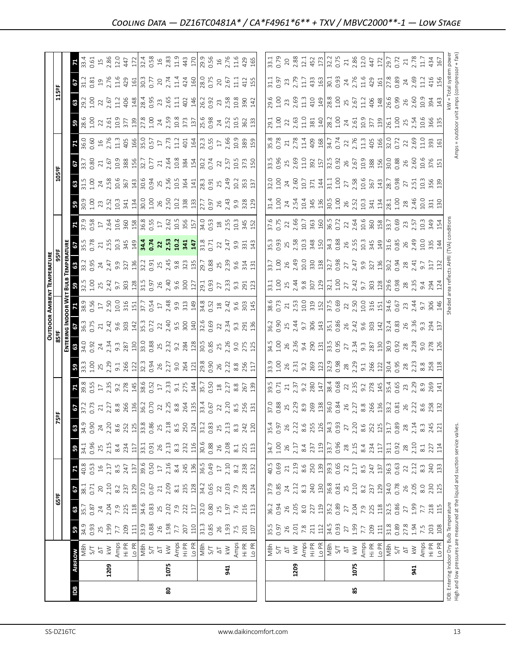|            |      |                                                                                                                                                                                                                                                                                                                                                                                                                                                                                                          |                     |                                                                                                                                                                                                                                                                                                                                                                                                         |                                                                                                                                                                                                                                                                                                                                                                          |      |                                                                                                                                                                                                                                                                                                     |                                                                               |                                                                                                                                                                                                                                                                                                                     |                                                                                                                                                                                               |                                                                                                                                                                                                                                                                                                             |                                                                                                                                                                                                                                                                                                                     |                                                                     | OUTDOOR AMBIENT TEMPERATURI                                                                                                                                                                                                                                                                                                 |                                                                                                                                                                                                                                                                                                           |                                                                                                                                                                                                                                     |  |      |                                                                                                                                                                                                                                                                                                                     |                                                                                                                                                                                                                                                                                                                     |                                                                                                                                                                                                                                                                                                           |                                                                                                                                                                                                                                                                                       |                     |
|------------|------|----------------------------------------------------------------------------------------------------------------------------------------------------------------------------------------------------------------------------------------------------------------------------------------------------------------------------------------------------------------------------------------------------------------------------------------------------------------------------------------------------------|---------------------|---------------------------------------------------------------------------------------------------------------------------------------------------------------------------------------------------------------------------------------------------------------------------------------------------------------------------------------------------------------------------------------------------------|--------------------------------------------------------------------------------------------------------------------------------------------------------------------------------------------------------------------------------------------------------------------------------------------------------------------------------------------------------------------------|------|-----------------------------------------------------------------------------------------------------------------------------------------------------------------------------------------------------------------------------------------------------------------------------------------------------|-------------------------------------------------------------------------------|---------------------------------------------------------------------------------------------------------------------------------------------------------------------------------------------------------------------------------------------------------------------------------------------------------------------|-----------------------------------------------------------------------------------------------------------------------------------------------------------------------------------------------|-------------------------------------------------------------------------------------------------------------------------------------------------------------------------------------------------------------------------------------------------------------------------------------------------------------|---------------------------------------------------------------------------------------------------------------------------------------------------------------------------------------------------------------------------------------------------------------------------------------------------------------------|---------------------------------------------------------------------|-----------------------------------------------------------------------------------------------------------------------------------------------------------------------------------------------------------------------------------------------------------------------------------------------------------------------------|-----------------------------------------------------------------------------------------------------------------------------------------------------------------------------------------------------------------------------------------------------------------------------------------------------------|-------------------------------------------------------------------------------------------------------------------------------------------------------------------------------------------------------------------------------------|--|------|---------------------------------------------------------------------------------------------------------------------------------------------------------------------------------------------------------------------------------------------------------------------------------------------------------------------|---------------------------------------------------------------------------------------------------------------------------------------------------------------------------------------------------------------------------------------------------------------------------------------------------------------------|-----------------------------------------------------------------------------------------------------------------------------------------------------------------------------------------------------------------------------------------------------------------------------------------------------------|---------------------------------------------------------------------------------------------------------------------------------------------------------------------------------------------------------------------------------------------------------------------------------------|---------------------|
|            |      |                                                                                                                                                                                                                                                                                                                                                                                                                                                                                                          |                     | 65°F                                                                                                                                                                                                                                                                                                                                                                                                    |                                                                                                                                                                                                                                                                                                                                                                          |      |                                                                                                                                                                                                                                                                                                     |                                                                               | is <sub>5</sub>                                                                                                                                                                                                                                                                                                     |                                                                                                                                                                                               |                                                                                                                                                                                                                                                                                                             |                                                                                                                                                                                                                                                                                                                     |                                                                     |                                                                                                                                                                                                                                                                                                                             |                                                                                                                                                                                                                                                                                                           |                                                                                                                                                                                                                                     |  | 105º |                                                                                                                                                                                                                                                                                                                     |                                                                                                                                                                                                                                                                                                                     | 115°                                                                                                                                                                                                                                                                                                      |                                                                                                                                                                                                                                                                                       |                     |
|            |      |                                                                                                                                                                                                                                                                                                                                                                                                                                                                                                          |                     |                                                                                                                                                                                                                                                                                                                                                                                                         |                                                                                                                                                                                                                                                                                                                                                                          |      |                                                                                                                                                                                                                                                                                                     |                                                                               |                                                                                                                                                                                                                                                                                                                     |                                                                                                                                                                                               |                                                                                                                                                                                                                                                                                                             |                                                                                                                                                                                                                                                                                                                     |                                                                     |                                                                                                                                                                                                                                                                                                                             |                                                                                                                                                                                                                                                                                                           |                                                                                                                                                                                                                                     |  |      |                                                                                                                                                                                                                                                                                                                     |                                                                                                                                                                                                                                                                                                                     |                                                                                                                                                                                                                                                                                                           |                                                                                                                                                                                                                                                                                       |                     |
| <b>Bdl</b> |      | <b>AIRFLOW</b>                                                                                                                                                                                                                                                                                                                                                                                                                                                                                           | 59                  |                                                                                                                                                                                                                                                                                                                                                                                                         |                                                                                                                                                                                                                                                                                                                                                                          |      | $3^{\circ}$                                                                                                                                                                                                                                                                                         | 63                                                                            |                                                                                                                                                                                                                                                                                                                     |                                                                                                                                                                                               |                                                                                                                                                                                                                                                                                                             |                                                                                                                                                                                                                                                                                                                     |                                                                     |                                                                                                                                                                                                                                                                                                                             |                                                                                                                                                                                                                                                                                                           |                                                                                                                                                                                                                                     |  |      |                                                                                                                                                                                                                                                                                                                     |                                                                                                                                                                                                                                                                                                                     |                                                                                                                                                                                                                                                                                                           |                                                                                                                                                                                                                                                                                       |                     |
|            |      | $\frac{1}{2}$                                                                                                                                                                                                                                                                                                                                                                                                                                                                                            | $34.9$<br>0.93      | <b>85</b><br>35.7<br>0.87                                                                                                                                                                                                                                                                                                                                                                               | <b>67</b><br>38.1<br>0.71                                                                                                                                                                                                                                                                                                                                                |      | $34.1$<br>0.96                                                                                                                                                                                                                                                                                      |                                                                               |                                                                                                                                                                                                                                                                                                                     |                                                                                                                                                                                               |                                                                                                                                                                                                                                                                                                             |                                                                                                                                                                                                                                                                                                                     |                                                                     |                                                                                                                                                                                                                                                                                                                             |                                                                                                                                                                                                                                                                                                           |                                                                                                                                                                                                                                     |  |      |                                                                                                                                                                                                                                                                                                                     |                                                                                                                                                                                                                                                                                                                     |                                                                                                                                                                                                                                                                                                           | $\frac{3}{3}$ $\frac{3}{3}$ $\frac{3}{3}$                                                                                                                                                                                                                                             |                     |
|            |      |                                                                                                                                                                                                                                                                                                                                                                                                                                                                                                          |                     |                                                                                                                                                                                                                                                                                                                                                                                                         |                                                                                                                                                                                                                                                                                                                                                                          | 0.53 |                                                                                                                                                                                                                                                                                                     | 0.90                                                                          |                                                                                                                                                                                                                                                                                                                     |                                                                                                                                                                                               |                                                                                                                                                                                                                                                                                                             |                                                                                                                                                                                                                                                                                                                     |                                                                     |                                                                                                                                                                                                                                                                                                                             |                                                                                                                                                                                                                                                                                                           |                                                                                                                                                                                                                                     |  |      |                                                                                                                                                                                                                                                                                                                     |                                                                                                                                                                                                                                                                                                                     |                                                                                                                                                                                                                                                                                                           |                                                                                                                                                                                                                                                                                       |                     |
|            |      |                                                                                                                                                                                                                                                                                                                                                                                                                                                                                                          |                     |                                                                                                                                                                                                                                                                                                                                                                                                         |                                                                                                                                                                                                                                                                                                                                                                          |      |                                                                                                                                                                                                                                                                                                     | $24$<br>$2.20$                                                                |                                                                                                                                                                                                                                                                                                                     |                                                                                                                                                                                               |                                                                                                                                                                                                                                                                                                             |                                                                                                                                                                                                                                                                                                                     |                                                                     |                                                                                                                                                                                                                                                                                                                             |                                                                                                                                                                                                                                                                                                           |                                                                                                                                                                                                                                     |  |      |                                                                                                                                                                                                                                                                                                                     |                                                                                                                                                                                                                                                                                                                     |                                                                                                                                                                                                                                                                                                           |                                                                                                                                                                                                                                                                                       |                     |
|            | 1209 |                                                                                                                                                                                                                                                                                                                                                                                                                                                                                                          |                     |                                                                                                                                                                                                                                                                                                                                                                                                         |                                                                                                                                                                                                                                                                                                                                                                          |      |                                                                                                                                                                                                                                                                                                     |                                                                               |                                                                                                                                                                                                                                                                                                                     |                                                                                                                                                                                               |                                                                                                                                                                                                                                                                                                             |                                                                                                                                                                                                                                                                                                                     |                                                                     |                                                                                                                                                                                                                                                                                                                             |                                                                                                                                                                                                                                                                                                           |                                                                                                                                                                                                                                     |  |      |                                                                                                                                                                                                                                                                                                                     |                                                                                                                                                                                                                                                                                                                     |                                                                                                                                                                                                                                                                                                           |                                                                                                                                                                                                                                                                                       |                     |
|            |      |                                                                                                                                                                                                                                                                                                                                                                                                                                                                                                          |                     |                                                                                                                                                                                                                                                                                                                                                                                                         |                                                                                                                                                                                                                                                                                                                                                                          |      |                                                                                                                                                                                                                                                                                                     |                                                                               |                                                                                                                                                                                                                                                                                                                     |                                                                                                                                                                                               |                                                                                                                                                                                                                                                                                                             |                                                                                                                                                                                                                                                                                                                     |                                                                     |                                                                                                                                                                                                                                                                                                                             |                                                                                                                                                                                                                                                                                                           |                                                                                                                                                                                                                                     |  |      |                                                                                                                                                                                                                                                                                                                     |                                                                                                                                                                                                                                                                                                                     |                                                                                                                                                                                                                                                                                                           |                                                                                                                                                                                                                                                                                       |                     |
|            |      | $\begin{array}{l} \Delta T \\ \lambda \geq \frac{1}{2} \mathop{\mathbb{E}}\limits_{\mathcal{B}} \mathop{\mathbb{E}}\limits_{\mathcal{B}} \frac{1}{\mathcal{B}} \mathop{\mathbb{E}}\limits_{\mathcal{B}} \frac{1}{\mathcal{B}} \mathop{\mathbb{E}}\limits_{\mathcal{B}} \frac{1}{\mathcal{B}} \mathop{\mathbb{E}}\limits_{\mathcal{B}} \frac{1}{\mathcal{B}} \mathop{\mathbb{E}}\limits_{\mathcal{B}} \frac{1}{\mathcal{B}} \mathop{\mathbb{E}}\limits_{\mathcal{B}} \frac{1}{\mathcal{B}} \mathop{\math$ |                     | $\begin{array}{c}\n 24 \\  25 \\  26 \\  27 \\  28 \\  29 \\  20 \\  21 \\  20 \\  21 \\  21 \\  22 \\  23 \\  24 \\  25 \\  26 \\  27 \\  28 \\  29 \\  23 \\  25 \\  27 \\  28 \\  29 \\  21 \\  21 \\  23 \\  24 \\  25 \\  27 \\  28 \\  29 \\  23 \\  25 \\  27 \\  28 \\  29 \\  29 \\  23 \\  25 \\  27 \\  28 \\  29 \\  29 \\  29 \\  23 \\  23 \\  24 \\  25 \\  27 \\  28 \\  29 \\  29 \\ $ |                                                                                                                                                                                                                                                                                                                                                                          |      | $\begin{array}{l} 2,0.5 \\ 2,1.3 \\ 2,2.4 \\ 3,3.5 \\ \end{array} \begin{array}{l} 2,0.5 \\ 2,1.5 \\ 2,1.5 \\ 2,1.5 \\ \end{array}$                                                                                                                                                                 | $\begin{array}{l} 8.6 \\ 251 \\ 218 \\ 33 \\ 33 \\ 68 \\ 68 \\ 7 \end{array}$ | $\frac{1}{2}$ $\frac{1}{2}$ $\frac{1}{2}$ $\frac{1}{2}$ $\frac{1}{2}$ $\frac{1}{2}$ $\frac{1}{2}$ $\frac{1}{2}$ $\frac{1}{2}$ $\frac{1}{2}$ $\frac{1}{2}$ $\frac{1}{2}$ $\frac{1}{2}$ $\frac{1}{2}$ $\frac{1}{2}$ $\frac{1}{2}$ $\frac{1}{2}$ $\frac{1}{2}$ $\frac{1}{2}$ $\frac{1}{2}$ $\frac{1}{2}$ $\frac{1}{2}$ |                                                                                                                                                                                               | $3\frac{1}{2}$ $3\frac{1}{2}$ $3\frac{1}{2}$ $3\frac{1}{2}$ $3\frac{1}{2}$ $3\frac{1}{2}$ $3\frac{1}{2}$ $3\frac{1}{2}$ $3\frac{1}{2}$ $3\frac{1}{2}$ $3\frac{1}{2}$ $3\frac{1}{2}$ $3\frac{1}{2}$ $3\frac{1}{2}$ $3\frac{1}{2}$ $3\frac{1}{2}$ $3\frac{1}{2}$ $3\frac{1}{2}$ $3\frac{1}{2}$ $3\frac{1}{2}$ | $\frac{1}{2}$ $\frac{1}{2}$ $\frac{1}{2}$ $\frac{1}{2}$ $\frac{1}{2}$ $\frac{1}{2}$ $\frac{1}{2}$ $\frac{1}{2}$ $\frac{1}{2}$ $\frac{1}{2}$ $\frac{1}{2}$ $\frac{1}{2}$ $\frac{1}{2}$ $\frac{1}{2}$ $\frac{1}{2}$ $\frac{1}{2}$ $\frac{1}{2}$ $\frac{1}{2}$ $\frac{1}{2}$ $\frac{1}{2}$ $\frac{1}{2}$ $\frac{1}{2}$ |                                                                     | <b>3</b> $\frac{1}{2}$ $\frac{1}{2}$ $\frac{1}{2}$ $\frac{1}{2}$ $\frac{1}{2}$ $\frac{1}{2}$ $\frac{1}{2}$ $\frac{1}{2}$ $\frac{1}{2}$ $\frac{1}{2}$ $\frac{1}{2}$ $\frac{1}{2}$ $\frac{1}{2}$ $\frac{1}{2}$ $\frac{1}{2}$ $\frac{1}{2}$ $\frac{1}{2}$ $\frac{1}{2}$ $\frac{1}{2}$ $\frac{1}{2}$ $\frac{1}{2}$ $\frac{1}{2$ | $\frac{36}{25}$ $\frac{35}{25}$ $\frac{25}{25}$ $\frac{45}{25}$ $\frac{35}{25}$ $\frac{125}{25}$ $\frac{125}{25}$ $\frac{25}{25}$ $\frac{25}{25}$ $\frac{25}{25}$ $\frac{25}{25}$ $\frac{25}{25}$ $\frac{25}{25}$ $\frac{25}{25}$ $\frac{25}{25}$ $\frac{25}{25}$ $\frac{25}{25}$ $\frac{25}{25}$ $\frac$ | <b>p</b> post substrate to the set of the set of the set of the set of the set of the set of the set of the set of the set of the set of the set of the set of the set of the set of the set of the set of the set of the set of th |  |      | $\frac{1}{2}$ $\frac{1}{2}$ $\frac{1}{2}$ $\frac{1}{2}$ $\frac{1}{2}$ $\frac{1}{2}$ $\frac{1}{2}$ $\frac{1}{2}$ $\frac{1}{2}$ $\frac{1}{2}$ $\frac{1}{2}$ $\frac{1}{2}$ $\frac{1}{2}$ $\frac{1}{2}$ $\frac{1}{2}$ $\frac{1}{2}$ $\frac{1}{2}$ $\frac{1}{2}$ $\frac{1}{2}$ $\frac{1}{2}$ $\frac{1}{2}$ $\frac{1}{2}$ | $\frac{1}{2}$ $\frac{1}{2}$ $\frac{1}{2}$ $\frac{1}{2}$ $\frac{1}{2}$ $\frac{1}{2}$ $\frac{1}{2}$ $\frac{1}{2}$ $\frac{1}{2}$ $\frac{1}{2}$ $\frac{1}{2}$ $\frac{1}{2}$ $\frac{1}{2}$ $\frac{1}{2}$ $\frac{1}{2}$ $\frac{1}{2}$ $\frac{1}{2}$ $\frac{1}{2}$ $\frac{1}{2}$ $\frac{1}{2}$ $\frac{1}{2}$ $\frac{1}{2}$ | $\frac{16}{12}$ $\frac{12}{12}$ $\frac{12}{12}$ $\frac{12}{12}$ $\frac{12}{12}$ $\frac{12}{12}$ $\frac{12}{12}$ $\frac{12}{12}$ $\frac{12}{12}$ $\frac{12}{12}$ $\frac{12}{12}$ $\frac{12}{12}$ $\frac{12}{12}$ $\frac{12}{12}$ $\frac{12}{12}$ $\frac{12}{12}$ $\frac{12}{12}$ $\frac{12}{12}$ $\frac{1$ | $\begin{array}{c} 23.7774 \\ 25.7774 \\ 26.7774 \\ 27.7774 \\ 28.7774 \\ 29.7774 \\ 20.7774 \\ 21.7774 \\ 22.7774 \\ 23.7774 \\ 24.7774 \\ 25.7774 \\ 26.7774 \\ 27.7774 \\ 28.7774 \\ 29.7774 \\ 20.7774 \\ 21.7774 \\ 23.7774 \\ 26.7774 \\ 27.7774 \\ 28.7774 \\ 29.7774 \\ 29.77$ |                     |
|            |      |                                                                                                                                                                                                                                                                                                                                                                                                                                                                                                          |                     |                                                                                                                                                                                                                                                                                                                                                                                                         |                                                                                                                                                                                                                                                                                                                                                                          |      |                                                                                                                                                                                                                                                                                                     |                                                                               |                                                                                                                                                                                                                                                                                                                     |                                                                                                                                                                                               |                                                                                                                                                                                                                                                                                                             |                                                                                                                                                                                                                                                                                                                     |                                                                     |                                                                                                                                                                                                                                                                                                                             |                                                                                                                                                                                                                                                                                                           |                                                                                                                                                                                                                                     |  |      |                                                                                                                                                                                                                                                                                                                     |                                                                                                                                                                                                                                                                                                                     |                                                                                                                                                                                                                                                                                                           |                                                                                                                                                                                                                                                                                       |                     |
|            |      |                                                                                                                                                                                                                                                                                                                                                                                                                                                                                                          |                     |                                                                                                                                                                                                                                                                                                                                                                                                         |                                                                                                                                                                                                                                                                                                                                                                          |      |                                                                                                                                                                                                                                                                                                     |                                                                               |                                                                                                                                                                                                                                                                                                                     |                                                                                                                                                                                               |                                                                                                                                                                                                                                                                                                             |                                                                                                                                                                                                                                                                                                                     |                                                                     |                                                                                                                                                                                                                                                                                                                             |                                                                                                                                                                                                                                                                                                           |                                                                                                                                                                                                                                     |  |      |                                                                                                                                                                                                                                                                                                                     |                                                                                                                                                                                                                                                                                                                     |                                                                                                                                                                                                                                                                                                           |                                                                                                                                                                                                                                                                                       |                     |
|            |      |                                                                                                                                                                                                                                                                                                                                                                                                                                                                                                          |                     |                                                                                                                                                                                                                                                                                                                                                                                                         |                                                                                                                                                                                                                                                                                                                                                                          |      |                                                                                                                                                                                                                                                                                                     |                                                                               |                                                                                                                                                                                                                                                                                                                     |                                                                                                                                                                                               |                                                                                                                                                                                                                                                                                                             |                                                                                                                                                                                                                                                                                                                     |                                                                     |                                                                                                                                                                                                                                                                                                                             |                                                                                                                                                                                                                                                                                                           |                                                                                                                                                                                                                                     |  |      |                                                                                                                                                                                                                                                                                                                     |                                                                                                                                                                                                                                                                                                                     |                                                                                                                                                                                                                                                                                                           |                                                                                                                                                                                                                                                                                       |                     |
| 8          | 1075 |                                                                                                                                                                                                                                                                                                                                                                                                                                                                                                          |                     |                                                                                                                                                                                                                                                                                                                                                                                                         |                                                                                                                                                                                                                                                                                                                                                                          |      |                                                                                                                                                                                                                                                                                                     |                                                                               |                                                                                                                                                                                                                                                                                                                     |                                                                                                                                                                                               |                                                                                                                                                                                                                                                                                                             |                                                                                                                                                                                                                                                                                                                     |                                                                     |                                                                                                                                                                                                                                                                                                                             |                                                                                                                                                                                                                                                                                                           |                                                                                                                                                                                                                                     |  |      |                                                                                                                                                                                                                                                                                                                     |                                                                                                                                                                                                                                                                                                                     |                                                                                                                                                                                                                                                                                                           |                                                                                                                                                                                                                                                                                       |                     |
|            |      |                                                                                                                                                                                                                                                                                                                                                                                                                                                                                                          |                     |                                                                                                                                                                                                                                                                                                                                                                                                         |                                                                                                                                                                                                                                                                                                                                                                          |      |                                                                                                                                                                                                                                                                                                     |                                                                               |                                                                                                                                                                                                                                                                                                                     |                                                                                                                                                                                               |                                                                                                                                                                                                                                                                                                             |                                                                                                                                                                                                                                                                                                                     |                                                                     |                                                                                                                                                                                                                                                                                                                             |                                                                                                                                                                                                                                                                                                           |                                                                                                                                                                                                                                     |  |      |                                                                                                                                                                                                                                                                                                                     |                                                                                                                                                                                                                                                                                                                     |                                                                                                                                                                                                                                                                                                           |                                                                                                                                                                                                                                                                                       |                     |
|            |      |                                                                                                                                                                                                                                                                                                                                                                                                                                                                                                          |                     |                                                                                                                                                                                                                                                                                                                                                                                                         |                                                                                                                                                                                                                                                                                                                                                                          |      |                                                                                                                                                                                                                                                                                                     |                                                                               |                                                                                                                                                                                                                                                                                                                     |                                                                                                                                                                                               |                                                                                                                                                                                                                                                                                                             |                                                                                                                                                                                                                                                                                                                     |                                                                     |                                                                                                                                                                                                                                                                                                                             |                                                                                                                                                                                                                                                                                                           |                                                                                                                                                                                                                                     |  |      |                                                                                                                                                                                                                                                                                                                     |                                                                                                                                                                                                                                                                                                                     |                                                                                                                                                                                                                                                                                                           |                                                                                                                                                                                                                                                                                       |                     |
|            |      |                                                                                                                                                                                                                                                                                                                                                                                                                                                                                                          |                     |                                                                                                                                                                                                                                                                                                                                                                                                         |                                                                                                                                                                                                                                                                                                                                                                          |      |                                                                                                                                                                                                                                                                                                     |                                                                               |                                                                                                                                                                                                                                                                                                                     |                                                                                                                                                                                               |                                                                                                                                                                                                                                                                                                             |                                                                                                                                                                                                                                                                                                                     |                                                                     |                                                                                                                                                                                                                                                                                                                             |                                                                                                                                                                                                                                                                                                           |                                                                                                                                                                                                                                     |  |      |                                                                                                                                                                                                                                                                                                                     |                                                                                                                                                                                                                                                                                                                     |                                                                                                                                                                                                                                                                                                           |                                                                                                                                                                                                                                                                                       |                     |
|            |      |                                                                                                                                                                                                                                                                                                                                                                                                                                                                                                          |                     |                                                                                                                                                                                                                                                                                                                                                                                                         |                                                                                                                                                                                                                                                                                                                                                                          |      |                                                                                                                                                                                                                                                                                                     |                                                                               |                                                                                                                                                                                                                                                                                                                     |                                                                                                                                                                                               |                                                                                                                                                                                                                                                                                                             |                                                                                                                                                                                                                                                                                                                     |                                                                     |                                                                                                                                                                                                                                                                                                                             |                                                                                                                                                                                                                                                                                                           |                                                                                                                                                                                                                                     |  |      |                                                                                                                                                                                                                                                                                                                     |                                                                                                                                                                                                                                                                                                                     |                                                                                                                                                                                                                                                                                                           |                                                                                                                                                                                                                                                                                       |                     |
|            |      |                                                                                                                                                                                                                                                                                                                                                                                                                                                                                                          |                     |                                                                                                                                                                                                                                                                                                                                                                                                         |                                                                                                                                                                                                                                                                                                                                                                          |      |                                                                                                                                                                                                                                                                                                     |                                                                               |                                                                                                                                                                                                                                                                                                                     |                                                                                                                                                                                               |                                                                                                                                                                                                                                                                                                             |                                                                                                                                                                                                                                                                                                                     |                                                                     |                                                                                                                                                                                                                                                                                                                             |                                                                                                                                                                                                                                                                                                           |                                                                                                                                                                                                                                     |  |      |                                                                                                                                                                                                                                                                                                                     |                                                                                                                                                                                                                                                                                                                     |                                                                                                                                                                                                                                                                                                           |                                                                                                                                                                                                                                                                                       |                     |
|            |      |                                                                                                                                                                                                                                                                                                                                                                                                                                                                                                          |                     |                                                                                                                                                                                                                                                                                                                                                                                                         |                                                                                                                                                                                                                                                                                                                                                                          |      |                                                                                                                                                                                                                                                                                                     |                                                                               |                                                                                                                                                                                                                                                                                                                     |                                                                                                                                                                                               |                                                                                                                                                                                                                                                                                                             |                                                                                                                                                                                                                                                                                                                     |                                                                     |                                                                                                                                                                                                                                                                                                                             |                                                                                                                                                                                                                                                                                                           |                                                                                                                                                                                                                                     |  |      |                                                                                                                                                                                                                                                                                                                     |                                                                                                                                                                                                                                                                                                                     |                                                                                                                                                                                                                                                                                                           |                                                                                                                                                                                                                                                                                       |                     |
|            | 941  |                                                                                                                                                                                                                                                                                                                                                                                                                                                                                                          |                     |                                                                                                                                                                                                                                                                                                                                                                                                         |                                                                                                                                                                                                                                                                                                                                                                          |      |                                                                                                                                                                                                                                                                                                     |                                                                               |                                                                                                                                                                                                                                                                                                                     |                                                                                                                                                                                               |                                                                                                                                                                                                                                                                                                             |                                                                                                                                                                                                                                                                                                                     |                                                                     |                                                                                                                                                                                                                                                                                                                             |                                                                                                                                                                                                                                                                                                           |                                                                                                                                                                                                                                     |  |      |                                                                                                                                                                                                                                                                                                                     |                                                                                                                                                                                                                                                                                                                     |                                                                                                                                                                                                                                                                                                           |                                                                                                                                                                                                                                                                                       |                     |
|            |      | $\begin{array}{c}\n\hline\n\text{X} \\ \hline\n\text{A} \\ \text{H} \\ \text{H} \\ \text{H} \\ \text{H} \\ \text{H} \\ \text{H} \\ \text{H} \\ \text{H} \\ \text{H} \\ \text{H} \\ \text{H} \\ \text{H} \\ \text{H} \\ \text{H} \\ \text{H} \\ \text{H} \\ \text{H} \\ \text{H} \\ \text{H} \\ \text{H} \\ \text{H} \\ \text{H} \\ \text{H} \\ \text{H} \\ \text{H} \\ \text{H} \\ \text{H} \\ \text{H} \\ \text{H} \\ \text{H} \\ \text{H} \\ \text{H} \\ $                                             |                     |                                                                                                                                                                                                                                                                                                                                                                                                         |                                                                                                                                                                                                                                                                                                                                                                          |      |                                                                                                                                                                                                                                                                                                     |                                                                               |                                                                                                                                                                                                                                                                                                                     |                                                                                                                                                                                               |                                                                                                                                                                                                                                                                                                             |                                                                                                                                                                                                                                                                                                                     |                                                                     |                                                                                                                                                                                                                                                                                                                             |                                                                                                                                                                                                                                                                                                           |                                                                                                                                                                                                                                     |  |      |                                                                                                                                                                                                                                                                                                                     |                                                                                                                                                                                                                                                                                                                     |                                                                                                                                                                                                                                                                                                           |                                                                                                                                                                                                                                                                                       |                     |
|            |      |                                                                                                                                                                                                                                                                                                                                                                                                                                                                                                          |                     |                                                                                                                                                                                                                                                                                                                                                                                                         |                                                                                                                                                                                                                                                                                                                                                                          |      |                                                                                                                                                                                                                                                                                                     |                                                                               |                                                                                                                                                                                                                                                                                                                     |                                                                                                                                                                                               |                                                                                                                                                                                                                                                                                                             |                                                                                                                                                                                                                                                                                                                     |                                                                     |                                                                                                                                                                                                                                                                                                                             |                                                                                                                                                                                                                                                                                                           |                                                                                                                                                                                                                                     |  |      |                                                                                                                                                                                                                                                                                                                     |                                                                                                                                                                                                                                                                                                                     |                                                                                                                                                                                                                                                                                                           |                                                                                                                                                                                                                                                                                       |                     |
|            |      |                                                                                                                                                                                                                                                                                                                                                                                                                                                                                                          |                     |                                                                                                                                                                                                                                                                                                                                                                                                         |                                                                                                                                                                                                                                                                                                                                                                          |      |                                                                                                                                                                                                                                                                                                     |                                                                               |                                                                                                                                                                                                                                                                                                                     |                                                                                                                                                                                               |                                                                                                                                                                                                                                                                                                             |                                                                                                                                                                                                                                                                                                                     |                                                                     |                                                                                                                                                                                                                                                                                                                             |                                                                                                                                                                                                                                                                                                           |                                                                                                                                                                                                                                     |  |      |                                                                                                                                                                                                                                                                                                                     |                                                                                                                                                                                                                                                                                                                     |                                                                                                                                                                                                                                                                                                           |                                                                                                                                                                                                                                                                                       | 165                 |
|            |      |                                                                                                                                                                                                                                                                                                                                                                                                                                                                                                          |                     |                                                                                                                                                                                                                                                                                                                                                                                                         |                                                                                                                                                                                                                                                                                                                                                                          |      |                                                                                                                                                                                                                                                                                                     |                                                                               |                                                                                                                                                                                                                                                                                                                     |                                                                                                                                                                                               |                                                                                                                                                                                                                                                                                                             |                                                                                                                                                                                                                                                                                                                     |                                                                     |                                                                                                                                                                                                                                                                                                                             |                                                                                                                                                                                                                                                                                                           |                                                                                                                                                                                                                                     |  |      |                                                                                                                                                                                                                                                                                                                     |                                                                                                                                                                                                                                                                                                                     |                                                                                                                                                                                                                                                                                                           |                                                                                                                                                                                                                                                                                       |                     |
|            |      |                                                                                                                                                                                                                                                                                                                                                                                                                                                                                                          |                     |                                                                                                                                                                                                                                                                                                                                                                                                         |                                                                                                                                                                                                                                                                                                                                                                          |      |                                                                                                                                                                                                                                                                                                     |                                                                               |                                                                                                                                                                                                                                                                                                                     |                                                                                                                                                                                               |                                                                                                                                                                                                                                                                                                             |                                                                                                                                                                                                                                                                                                                     |                                                                     |                                                                                                                                                                                                                                                                                                                             |                                                                                                                                                                                                                                                                                                           |                                                                                                                                                                                                                                     |  |      |                                                                                                                                                                                                                                                                                                                     |                                                                                                                                                                                                                                                                                                                     |                                                                                                                                                                                                                                                                                                           |                                                                                                                                                                                                                                                                                       |                     |
|            |      |                                                                                                                                                                                                                                                                                                                                                                                                                                                                                                          |                     | $36.2$<br>0.94                                                                                                                                                                                                                                                                                                                                                                                          | $37.\overline{9}$<br>0.85                                                                                                                                                                                                                                                                                                                                                |      |                                                                                                                                                                                                                                                                                                     |                                                                               |                                                                                                                                                                                                                                                                                                                     |                                                                                                                                                                                               |                                                                                                                                                                                                                                                                                                             |                                                                                                                                                                                                                                                                                                                     |                                                                     |                                                                                                                                                                                                                                                                                                                             |                                                                                                                                                                                                                                                                                                           |                                                                                                                                                                                                                                     |  |      |                                                                                                                                                                                                                                                                                                                     |                                                                                                                                                                                                                                                                                                                     |                                                                                                                                                                                                                                                                                                           |                                                                                                                                                                                                                                                                                       | 33.1<br>0.79        |
|            |      |                                                                                                                                                                                                                                                                                                                                                                                                                                                                                                          |                     |                                                                                                                                                                                                                                                                                                                                                                                                         |                                                                                                                                                                                                                                                                                                                                                                          |      |                                                                                                                                                                                                                                                                                                     |                                                                               |                                                                                                                                                                                                                                                                                                                     |                                                                                                                                                                                               |                                                                                                                                                                                                                                                                                                             |                                                                                                                                                                                                                                                                                                                     |                                                                     |                                                                                                                                                                                                                                                                                                                             |                                                                                                                                                                                                                                                                                                           |                                                                                                                                                                                                                                     |  |      |                                                                                                                                                                                                                                                                                                                     |                                                                                                                                                                                                                                                                                                                     |                                                                                                                                                                                                                                                                                                           |                                                                                                                                                                                                                                                                                       |                     |
|            | 1209 | W는 2 ☆                                                                                                                                                                                                                                                                                                                                                                                                                                                                                                   |                     |                                                                                                                                                                                                                                                                                                                                                                                                         |                                                                                                                                                                                                                                                                                                                                                                          |      |                                                                                                                                                                                                                                                                                                     |                                                                               |                                                                                                                                                                                                                                                                                                                     |                                                                                                                                                                                               |                                                                                                                                                                                                                                                                                                             |                                                                                                                                                                                                                                                                                                                     |                                                                     |                                                                                                                                                                                                                                                                                                                             |                                                                                                                                                                                                                                                                                                           |                                                                                                                                                                                                                                     |  |      |                                                                                                                                                                                                                                                                                                                     |                                                                                                                                                                                                                                                                                                                     |                                                                                                                                                                                                                                                                                                           |                                                                                                                                                                                                                                                                                       |                     |
|            |      |                                                                                                                                                                                                                                                                                                                                                                                                                                                                                                          |                     |                                                                                                                                                                                                                                                                                                                                                                                                         |                                                                                                                                                                                                                                                                                                                                                                          |      |                                                                                                                                                                                                                                                                                                     |                                                                               |                                                                                                                                                                                                                                                                                                                     |                                                                                                                                                                                               |                                                                                                                                                                                                                                                                                                             |                                                                                                                                                                                                                                                                                                                     |                                                                     |                                                                                                                                                                                                                                                                                                                             |                                                                                                                                                                                                                                                                                                           |                                                                                                                                                                                                                                     |  |      |                                                                                                                                                                                                                                                                                                                     |                                                                                                                                                                                                                                                                                                                     |                                                                                                                                                                                                                                                                                                           |                                                                                                                                                                                                                                                                                       |                     |
|            |      |                                                                                                                                                                                                                                                                                                                                                                                                                                                                                                          |                     |                                                                                                                                                                                                                                                                                                                                                                                                         |                                                                                                                                                                                                                                                                                                                                                                          |      |                                                                                                                                                                                                                                                                                                     |                                                                               |                                                                                                                                                                                                                                                                                                                     |                                                                                                                                                                                               |                                                                                                                                                                                                                                                                                                             |                                                                                                                                                                                                                                                                                                                     |                                                                     |                                                                                                                                                                                                                                                                                                                             |                                                                                                                                                                                                                                                                                                           |                                                                                                                                                                                                                                     |  |      |                                                                                                                                                                                                                                                                                                                     |                                                                                                                                                                                                                                                                                                                     |                                                                                                                                                                                                                                                                                                           |                                                                                                                                                                                                                                                                                       |                     |
|            |      |                                                                                                                                                                                                                                                                                                                                                                                                                                                                                                          |                     |                                                                                                                                                                                                                                                                                                                                                                                                         |                                                                                                                                                                                                                                                                                                                                                                          |      |                                                                                                                                                                                                                                                                                                     |                                                                               |                                                                                                                                                                                                                                                                                                                     |                                                                                                                                                                                               |                                                                                                                                                                                                                                                                                                             |                                                                                                                                                                                                                                                                                                                     |                                                                     |                                                                                                                                                                                                                                                                                                                             |                                                                                                                                                                                                                                                                                                           |                                                                                                                                                                                                                                     |  |      |                                                                                                                                                                                                                                                                                                                     |                                                                                                                                                                                                                                                                                                                     |                                                                                                                                                                                                                                                                                                           |                                                                                                                                                                                                                                                                                       |                     |
|            |      |                                                                                                                                                                                                                                                                                                                                                                                                                                                                                                          |                     |                                                                                                                                                                                                                                                                                                                                                                                                         |                                                                                                                                                                                                                                                                                                                                                                          |      |                                                                                                                                                                                                                                                                                                     |                                                                               |                                                                                                                                                                                                                                                                                                                     |                                                                                                                                                                                               |                                                                                                                                                                                                                                                                                                             |                                                                                                                                                                                                                                                                                                                     |                                                                     |                                                                                                                                                                                                                                                                                                                             |                                                                                                                                                                                                                                                                                                           |                                                                                                                                                                                                                                     |  |      |                                                                                                                                                                                                                                                                                                                     |                                                                                                                                                                                                                                                                                                                     |                                                                                                                                                                                                                                                                                                           |                                                                                                                                                                                                                                                                                       |                     |
|            |      |                                                                                                                                                                                                                                                                                                                                                                                                                                                                                                          |                     |                                                                                                                                                                                                                                                                                                                                                                                                         |                                                                                                                                                                                                                                                                                                                                                                          |      |                                                                                                                                                                                                                                                                                                     |                                                                               |                                                                                                                                                                                                                                                                                                                     |                                                                                                                                                                                               |                                                                                                                                                                                                                                                                                                             |                                                                                                                                                                                                                                                                                                                     |                                                                     |                                                                                                                                                                                                                                                                                                                             |                                                                                                                                                                                                                                                                                                           |                                                                                                                                                                                                                                     |  |      |                                                                                                                                                                                                                                                                                                                     |                                                                                                                                                                                                                                                                                                                     |                                                                                                                                                                                                                                                                                                           |                                                                                                                                                                                                                                                                                       |                     |
|            |      |                                                                                                                                                                                                                                                                                                                                                                                                                                                                                                          |                     |                                                                                                                                                                                                                                                                                                                                                                                                         |                                                                                                                                                                                                                                                                                                                                                                          |      |                                                                                                                                                                                                                                                                                                     |                                                                               |                                                                                                                                                                                                                                                                                                                     |                                                                                                                                                                                               |                                                                                                                                                                                                                                                                                                             |                                                                                                                                                                                                                                                                                                                     |                                                                     |                                                                                                                                                                                                                                                                                                                             |                                                                                                                                                                                                                                                                                                           |                                                                                                                                                                                                                                     |  |      |                                                                                                                                                                                                                                                                                                                     |                                                                                                                                                                                                                                                                                                                     |                                                                                                                                                                                                                                                                                                           |                                                                                                                                                                                                                                                                                       |                     |
| 85         | 1075 |                                                                                                                                                                                                                                                                                                                                                                                                                                                                                                          |                     |                                                                                                                                                                                                                                                                                                                                                                                                         |                                                                                                                                                                                                                                                                                                                                                                          |      |                                                                                                                                                                                                                                                                                                     |                                                                               |                                                                                                                                                                                                                                                                                                                     |                                                                                                                                                                                               |                                                                                                                                                                                                                                                                                                             |                                                                                                                                                                                                                                                                                                                     |                                                                     |                                                                                                                                                                                                                                                                                                                             |                                                                                                                                                                                                                                                                                                           |                                                                                                                                                                                                                                     |  |      |                                                                                                                                                                                                                                                                                                                     |                                                                                                                                                                                                                                                                                                                     |                                                                                                                                                                                                                                                                                                           |                                                                                                                                                                                                                                                                                       |                     |
|            |      |                                                                                                                                                                                                                                                                                                                                                                                                                                                                                                          |                     |                                                                                                                                                                                                                                                                                                                                                                                                         |                                                                                                                                                                                                                                                                                                                                                                          |      |                                                                                                                                                                                                                                                                                                     |                                                                               |                                                                                                                                                                                                                                                                                                                     |                                                                                                                                                                                               |                                                                                                                                                                                                                                                                                                             |                                                                                                                                                                                                                                                                                                                     |                                                                     |                                                                                                                                                                                                                                                                                                                             |                                                                                                                                                                                                                                                                                                           |                                                                                                                                                                                                                                     |  |      |                                                                                                                                                                                                                                                                                                                     |                                                                                                                                                                                                                                                                                                                     |                                                                                                                                                                                                                                                                                                           |                                                                                                                                                                                                                                                                                       |                     |
|            |      | Amps<br>ERENGE<br>TO PERS<br>ST<br>ST<br>ST<br>ST<br>ST<br>ST<br>ST<br>ST<br>ST                                                                                                                                                                                                                                                                                                                                                                                                                          |                     |                                                                                                                                                                                                                                                                                                                                                                                                         | $\frac{1}{2} \sum_{1}^{2} \sum_{1}^{2} \sum_{1}^{2} \sum_{1}^{2} \sum_{1}^{2} \sum_{1}^{2} \sum_{1}^{2} \sum_{1}^{2} \sum_{1}^{2} \sum_{1}^{2} \sum_{1}^{2} \sum_{1}^{2} \sum_{1}^{2} \sum_{1}^{2} \sum_{1}^{2} \sum_{1}^{2} \sum_{1}^{2} \sum_{1}^{2} \sum_{1}^{2} \sum_{1}^{2} \sum_{1}^{2} \sum_{1}^{2} \sum_{1}^{2} \sum_{1}^{2} \sum_{1}^{2} \sum_{1}^{2} \sum_{1}$ |      | $\begin{array}{l} 3,135 \\ 3,146 \\ 2,156 \\ 3,167 \\ 3,178 \\ 3,187 \\ 3,199 \\ 3,199 \\ 3,199 \\ 3,199 \\ 3,199 \\ 3,199 \\ 3,199 \\ 3,199 \\ 3,199 \\ 3,199 \\ 3,199 \\ 3,199 \\ 3,199 \\ 3,199 \\ 3,199 \\ 3,199 \\ 3,199 \\ 3,199 \\ 3,199 \\ 3,199 \\ 3,199 \\ 3,199 \\ 3,199 \\ 3,199 \\ 3,$ |                                                                               | $\frac{26}{25}$ $\frac{26}{25}$ $\frac{26}{25}$ $\frac{26}{25}$ $\frac{26}{25}$ $\frac{26}{25}$ $\frac{26}{25}$ $\frac{26}{25}$ $\frac{26}{25}$ $\frac{26}{25}$ $\frac{26}{25}$ $\frac{26}{25}$ $\frac{26}{25}$ $\frac{26}{25}$ $\frac{26}{25}$ $\frac{26}{25}$ $\frac{26}{25}$ $\frac{26}{25}$ $\frac{2$           | $\begin{array}{ccc}\n 35.7 & 7.7 & 3.8 & 4 \\  25.7 & 3.8 & 4.8 & 3.8 & 3.8 \\  36.7 & 3.8 & 4.8 & 3.8 & 3.8 \\  37.7 & 3.8 & 4.8 & 3.8 & 3.8 \\  38.7 & 3.8 & 3.8 & 3.8 & 3.8\n \end{array}$ | $3.58$ $2.8$ $3.3$ $3.5$ $3.5$ $3.5$ $3.5$ $3.5$ $3.5$ $3.5$ $3.5$ $3.5$ $3.5$ $3.5$ $3.5$ $3.5$ $3.5$ $3.5$ $3.5$ $3.5$ $3.5$ $3.5$ $3.5$ $3.5$ $3.5$ $3.5$ $3.5$ $3.5$ $3.5$ $3.5$ $3.5$ $3.5$ $3.5$ $3.5$ $3.5$ $3.5$ $3.5$                                                                              |                                                                                                                                                                                                                                                                                                                     | $\begin{array}{l} 38.6 \\ 0.73 \\ 2.1 \\ 3.9 \\ 2.9 \\ \end{array}$ |                                                                                                                                                                                                                                                                                                                             |                                                                                                                                                                                                                                                                                                           |                                                                                                                                                                                                                                     |  |      | $\begin{array}{c} 33.96 \ 36.92 \ 37.4 \ 38.9 \ 39.9 \ 31.9 \ 31.9 \ 32.9 \ 33.9 \ 34.9 \ 35.9 \ 36.9 \ 37.9 \ 38.9 \ 39.9 \ 39.9 \ 30.9 \ 31.9 \ 32.9 \ 33.9 \ 34.9 \ 35.9 \ 36.9 \ 37.9 \ 38.9 \ 39.9 \ 39.9 \ 30.9 \ 31.9 \ 32.9 \ 33.9 \ 34.9 \ 35.9 \ 36.9 \ 37.9 \ $                                          |                                                                                                                                                                                                                                                                                                                     |                                                                                                                                                                                                                                                                                                           |                                                                                                                                                                                                                                                                                       |                     |
|            |      |                                                                                                                                                                                                                                                                                                                                                                                                                                                                                                          |                     |                                                                                                                                                                                                                                                                                                                                                                                                         |                                                                                                                                                                                                                                                                                                                                                                          |      |                                                                                                                                                                                                                                                                                                     |                                                                               |                                                                                                                                                                                                                                                                                                                     |                                                                                                                                                                                               |                                                                                                                                                                                                                                                                                                             |                                                                                                                                                                                                                                                                                                                     |                                                                     |                                                                                                                                                                                                                                                                                                                             |                                                                                                                                                                                                                                                                                                           |                                                                                                                                                                                                                                     |  |      |                                                                                                                                                                                                                                                                                                                     |                                                                                                                                                                                                                                                                                                                     |                                                                                                                                                                                                                                                                                                           |                                                                                                                                                                                                                                                                                       |                     |
|            |      |                                                                                                                                                                                                                                                                                                                                                                                                                                                                                                          |                     |                                                                                                                                                                                                                                                                                                                                                                                                         |                                                                                                                                                                                                                                                                                                                                                                          |      |                                                                                                                                                                                                                                                                                                     |                                                                               |                                                                                                                                                                                                                                                                                                                     |                                                                                                                                                                                               |                                                                                                                                                                                                                                                                                                             |                                                                                                                                                                                                                                                                                                                     |                                                                     |                                                                                                                                                                                                                                                                                                                             |                                                                                                                                                                                                                                                                                                           |                                                                                                                                                                                                                                     |  |      |                                                                                                                                                                                                                                                                                                                     |                                                                                                                                                                                                                                                                                                                     |                                                                                                                                                                                                                                                                                                           |                                                                                                                                                                                                                                                                                       |                     |
|            |      | $\overline{\Delta}$                                                                                                                                                                                                                                                                                                                                                                                                                                                                                      |                     |                                                                                                                                                                                                                                                                                                                                                                                                         |                                                                                                                                                                                                                                                                                                                                                                          |      |                                                                                                                                                                                                                                                                                                     |                                                                               |                                                                                                                                                                                                                                                                                                                     |                                                                                                                                                                                               |                                                                                                                                                                                                                                                                                                             |                                                                                                                                                                                                                                                                                                                     |                                                                     |                                                                                                                                                                                                                                                                                                                             |                                                                                                                                                                                                                                                                                                           |                                                                                                                                                                                                                                     |  |      |                                                                                                                                                                                                                                                                                                                     |                                                                                                                                                                                                                                                                                                                     |                                                                                                                                                                                                                                                                                                           |                                                                                                                                                                                                                                                                                       |                     |
|            | 941  | $\overline{k}$                                                                                                                                                                                                                                                                                                                                                                                                                                                                                           |                     |                                                                                                                                                                                                                                                                                                                                                                                                         |                                                                                                                                                                                                                                                                                                                                                                          |      |                                                                                                                                                                                                                                                                                                     |                                                                               |                                                                                                                                                                                                                                                                                                                     |                                                                                                                                                                                               |                                                                                                                                                                                                                                                                                                             |                                                                                                                                                                                                                                                                                                                     |                                                                     |                                                                                                                                                                                                                                                                                                                             |                                                                                                                                                                                                                                                                                                           |                                                                                                                                                                                                                                     |  |      |                                                                                                                                                                                                                                                                                                                     |                                                                                                                                                                                                                                                                                                                     |                                                                                                                                                                                                                                                                                                           |                                                                                                                                                                                                                                                                                       |                     |
|            |      | Amps<br>Hi PR                                                                                                                                                                                                                                                                                                                                                                                                                                                                                            |                     |                                                                                                                                                                                                                                                                                                                                                                                                         |                                                                                                                                                                                                                                                                                                                                                                          |      |                                                                                                                                                                                                                                                                                                     |                                                                               |                                                                                                                                                                                                                                                                                                                     |                                                                                                                                                                                               |                                                                                                                                                                                                                                                                                                             |                                                                                                                                                                                                                                                                                                                     |                                                                     |                                                                                                                                                                                                                                                                                                                             |                                                                                                                                                                                                                                                                                                           |                                                                                                                                                                                                                                     |  |      |                                                                                                                                                                                                                                                                                                                     |                                                                                                                                                                                                                                                                                                                     |                                                                                                                                                                                                                                                                                                           |                                                                                                                                                                                                                                                                                       |                     |
|            |      |                                                                                                                                                                                                                                                                                                                                                                                                                                                                                                          | $7.5$<br>203<br>108 |                                                                                                                                                                                                                                                                                                                                                                                                         |                                                                                                                                                                                                                                                                                                                                                                          |      |                                                                                                                                                                                                                                                                                                     |                                                                               |                                                                                                                                                                                                                                                                                                                     |                                                                                                                                                                                               |                                                                                                                                                                                                                                                                                                             |                                                                                                                                                                                                                                                                                                                     |                                                                     |                                                                                                                                                                                                                                                                                                                             |                                                                                                                                                                                                                                                                                                           |                                                                                                                                                                                                                                     |  |      |                                                                                                                                                                                                                                                                                                                     |                                                                                                                                                                                                                                                                                                                     |                                                                                                                                                                                                                                                                                                           |                                                                                                                                                                                                                                                                                       | $1.7$<br>434<br>167 |
|            |      | Lo PR                                                                                                                                                                                                                                                                                                                                                                                                                                                                                                    |                     |                                                                                                                                                                                                                                                                                                                                                                                                         |                                                                                                                                                                                                                                                                                                                                                                          |      |                                                                                                                                                                                                                                                                                                     |                                                                               |                                                                                                                                                                                                                                                                                                                     |                                                                                                                                                                                               |                                                                                                                                                                                                                                                                                                             |                                                                                                                                                                                                                                                                                                                     |                                                                     |                                                                                                                                                                                                                                                                                                                             |                                                                                                                                                                                                                                                                                                           |                                                                                                                                                                                                                                     |  |      |                                                                                                                                                                                                                                                                                                                     |                                                                                                                                                                                                                                                                                                                     |                                                                                                                                                                                                                                                                                                           |                                                                                                                                                                                                                                                                                       |                     |
|            |      | High and low pressures are measured at the liquid and suction service valves.<br>IDB: Entering Indoor Dry Bulb Temperature                                                                                                                                                                                                                                                                                                                                                                               |                     |                                                                                                                                                                                                                                                                                                                                                                                                         |                                                                                                                                                                                                                                                                                                                                                                          |      |                                                                                                                                                                                                                                                                                                     |                                                                               |                                                                                                                                                                                                                                                                                                                     |                                                                                                                                                                                               |                                                                                                                                                                                                                                                                                                             |                                                                                                                                                                                                                                                                                                                     |                                                                     |                                                                                                                                                                                                                                                                                                                             |                                                                                                                                                                                                                                                                                                           |                                                                                                                                                                                                                                     |  |      |                                                                                                                                                                                                                                                                                                                     |                                                                                                                                                                                                                                                                                                                     | Amps = outdoor unit amps (compressor + far                                                                                                                                                                                                                                                                | al syste                                                                                                                                                                                                                                                                              |                     |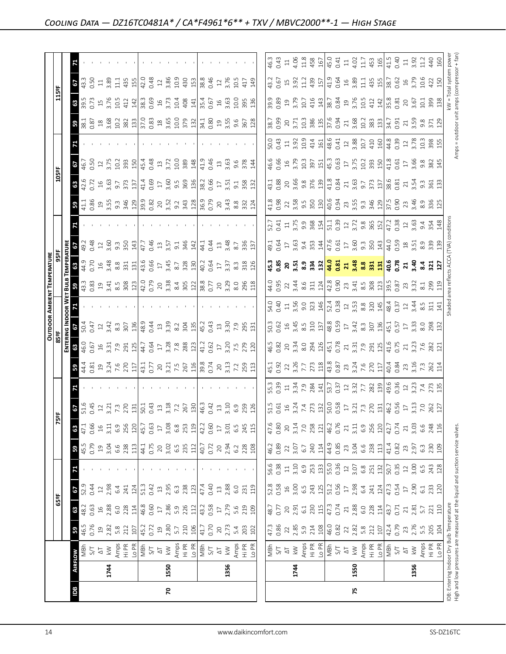|                                                                               |                |                                                                                                                               |                                                                  |                  |                  |                   |                                                                |                     |                                                                                                                                                                                                                                                                            |                                                                                                                                                                                                                                        |                                                                                                                                                                                                                                                                                                               |                                                                                                                                                                                                                                  |                                                                                                                                                                                                                                                                                                             |                                                                                                                                                                                                                                                                | <b>OUTDOOR AMBIENT TEMPERATURE</b>                                                                                                                                                                                                                                                                                    |          |                                           |                                                                                                                      |                                                                                                                                                                                                                                                                                                                     |                                                             |                                                                                                                                                                                                                                |                                                                                                                                                                                                                                                                                                                     |                                                                                                                                                                                                                                                                                                                                    |                                                                                                                                                                                                                                |                                                                                                                                                                                                                                                                                                                                                                                                                                    |
|-------------------------------------------------------------------------------|----------------|-------------------------------------------------------------------------------------------------------------------------------|------------------------------------------------------------------|------------------|------------------|-------------------|----------------------------------------------------------------|---------------------|----------------------------------------------------------------------------------------------------------------------------------------------------------------------------------------------------------------------------------------------------------------------------|----------------------------------------------------------------------------------------------------------------------------------------------------------------------------------------------------------------------------------------|---------------------------------------------------------------------------------------------------------------------------------------------------------------------------------------------------------------------------------------------------------------------------------------------------------------|----------------------------------------------------------------------------------------------------------------------------------------------------------------------------------------------------------------------------------|-------------------------------------------------------------------------------------------------------------------------------------------------------------------------------------------------------------------------------------------------------------------------------------------------------------|----------------------------------------------------------------------------------------------------------------------------------------------------------------------------------------------------------------------------------------------------------------|-----------------------------------------------------------------------------------------------------------------------------------------------------------------------------------------------------------------------------------------------------------------------------------------------------------------------|----------|-------------------------------------------|----------------------------------------------------------------------------------------------------------------------|---------------------------------------------------------------------------------------------------------------------------------------------------------------------------------------------------------------------------------------------------------------------------------------------------------------------|-------------------------------------------------------------|--------------------------------------------------------------------------------------------------------------------------------------------------------------------------------------------------------------------------------|---------------------------------------------------------------------------------------------------------------------------------------------------------------------------------------------------------------------------------------------------------------------------------------------------------------------|------------------------------------------------------------------------------------------------------------------------------------------------------------------------------------------------------------------------------------------------------------------------------------------------------------------------------------|--------------------------------------------------------------------------------------------------------------------------------------------------------------------------------------------------------------------------------|------------------------------------------------------------------------------------------------------------------------------------------------------------------------------------------------------------------------------------------------------------------------------------------------------------------------------------------------------------------------------------------------------------------------------------|
|                                                                               |                |                                                                                                                               |                                                                  | 65ºF             |                  |                   |                                                                | F5                  | 능                                                                                                                                                                                                                                                                          |                                                                                                                                                                                                                                        |                                                                                                                                                                                                                                                                                                               | 85°F                                                                                                                                                                                                                             |                                                                                                                                                                                                                                                                                                             |                                                                                                                                                                                                                                                                |                                                                                                                                                                                                                                                                                                                       | 95ºF     |                                           |                                                                                                                      |                                                                                                                                                                                                                                                                                                                     | 105°F                                                       |                                                                                                                                                                                                                                |                                                                                                                                                                                                                                                                                                                     | 115°F                                                                                                                                                                                                                                                                                                                              |                                                                                                                                                                                                                                |                                                                                                                                                                                                                                                                                                                                                                                                                                    |
|                                                                               |                |                                                                                                                               |                                                                  |                  |                  |                   |                                                                |                     |                                                                                                                                                                                                                                                                            |                                                                                                                                                                                                                                        |                                                                                                                                                                                                                                                                                                               | ENTER                                                                                                                                                                                                                            | NG INDOOR W                                                                                                                                                                                                                                                                                                 |                                                                                                                                                                                                                                                                | ᇒ                                                                                                                                                                                                                                                                                                                     |          |                                           |                                                                                                                      |                                                                                                                                                                                                                                                                                                                     |                                                             |                                                                                                                                                                                                                                |                                                                                                                                                                                                                                                                                                                     |                                                                                                                                                                                                                                                                                                                                    |                                                                                                                                                                                                                                |                                                                                                                                                                                                                                                                                                                                                                                                                                    |
| Bal                                                                           | <b>AIRFLOW</b> |                                                                                                                               | 59                                                               | 63               | 29               |                   | 59                                                             | 63                  | $rac{6}{2}$<br>5.1.5                                                                                                                                                                                                                                                       |                                                                                                                                                                                                                                        | 59                                                                                                                                                                                                                                                                                                            | 63                                                                                                                                                                                                                               | 29                                                                                                                                                                                                                                                                                                          |                                                                                                                                                                                                                                                                |                                                                                                                                                                                                                                                                                                                       |          | 3.38                                      |                                                                                                                      | 59                                                                                                                                                                                                                                                                                                                  | $\frac{3}{42.5}$                                            | 29                                                                                                                                                                                                                             | $\frac{1}{2}$ $\frac{1}{2}$ $\frac{1}{2}$ $\frac{1}{2}$ $\frac{1}{2}$ $\frac{1}{2}$ $\frac{1}{2}$ $\frac{1}{2}$ $\frac{1}{2}$ $\frac{1}{2}$ $\frac{1}{2}$ $\frac{1}{2}$ $\frac{1}{2}$ $\frac{1}{2}$ $\frac{1}{2}$ $\frac{1}{2}$ $\frac{1}{2}$ $\frac{1}{2}$ $\frac{1}{2}$ $\frac{1}{2}$ $\frac{1}{2}$ $\frac{1}{2}$ | 89.5<br>39.5                                                                                                                                                                                                                                                                                                                       | $\frac{2}{3}$                                                                                                                                                                                                                  |                                                                                                                                                                                                                                                                                                                                                                                                                                    |
|                                                                               |                | MBh                                                                                                                           | 46.5<br>0.76                                                     | 48.2             |                  |                   | 45.5                                                           | 47.1                |                                                                                                                                                                                                                                                                            |                                                                                                                                                                                                                                        |                                                                                                                                                                                                                                                                                                               |                                                                                                                                                                                                                                  | 50.4                                                                                                                                                                                                                                                                                                        |                                                                                                                                                                                                                                                                |                                                                                                                                                                                                                                                                                                                       | 44.9     |                                           |                                                                                                                      | $\frac{41.1}{0.86}$                                                                                                                                                                                                                                                                                                 |                                                             | 46.7<br>0.50                                                                                                                                                                                                                   |                                                                                                                                                                                                                                                                                                                     |                                                                                                                                                                                                                                                                                                                                    |                                                                                                                                                                                                                                |                                                                                                                                                                                                                                                                                                                                                                                                                                    |
|                                                                               |                | 5/7                                                                                                                           |                                                                  | 0.63             | 0.44             |                   | 0.79                                                           | 0.66                |                                                                                                                                                                                                                                                                            |                                                                                                                                                                                                                                        |                                                                                                                                                                                                                                                                                                               |                                                                                                                                                                                                                                  |                                                                                                                                                                                                                                                                                                             |                                                                                                                                                                                                                                                                |                                                                                                                                                                                                                                                                                                                       |          |                                           |                                                                                                                      |                                                                                                                                                                                                                                                                                                                     |                                                             |                                                                                                                                                                                                                                |                                                                                                                                                                                                                                                                                                                     |                                                                                                                                                                                                                                                                                                                                    | 0.50                                                                                                                                                                                                                           |                                                                                                                                                                                                                                                                                                                                                                                                                                    |
|                                                                               |                | $\overline{\Delta}$                                                                                                           |                                                                  | $16^{28}_{-280}$ | $12\,$           |                   | $\frac{19}{3.04}$                                              | $\frac{16}{1}$      | $\frac{12}{3.21}$                                                                                                                                                                                                                                                          |                                                                                                                                                                                                                                        |                                                                                                                                                                                                                                                                                                               |                                                                                                                                                                                                                                  |                                                                                                                                                                                                                                                                                                             |                                                                                                                                                                                                                                                                |                                                                                                                                                                                                                                                                                                                       |          |                                           |                                                                                                                      |                                                                                                                                                                                                                                                                                                                     |                                                             | $12 \over 3.75$                                                                                                                                                                                                                |                                                                                                                                                                                                                                                                                                                     | $15$<br>$3.76$                                                                                                                                                                                                                                                                                                                     | $\Xi$                                                                                                                                                                                                                          |                                                                                                                                                                                                                                                                                                                                                                                                                                    |
|                                                                               | 1744           | $\gtrapprox$                                                                                                                  |                                                                  |                  | 2.98             |                   |                                                                | 3.11                |                                                                                                                                                                                                                                                                            |                                                                                                                                                                                                                                        |                                                                                                                                                                                                                                                                                                               |                                                                                                                                                                                                                                  |                                                                                                                                                                                                                                                                                                             |                                                                                                                                                                                                                                                                |                                                                                                                                                                                                                                                                                                                       |          |                                           |                                                                                                                      |                                                                                                                                                                                                                                                                                                                     |                                                             |                                                                                                                                                                                                                                |                                                                                                                                                                                                                                                                                                                     |                                                                                                                                                                                                                                                                                                                                    | 3.89                                                                                                                                                                                                                           |                                                                                                                                                                                                                                                                                                                                                                                                                                    |
|                                                                               |                |                                                                                                                               | $19$ $28$ $5.8$ $21$                                             |                  | 6.4              |                   | 6.6<br>238                                                     | 6.9                 | 7.3                                                                                                                                                                                                                                                                        |                                                                                                                                                                                                                                        |                                                                                                                                                                                                                                                                                                               |                                                                                                                                                                                                                                  | $0.47$<br>$2.42$<br>$8.3$<br>$50$                                                                                                                                                                                                                                                                           |                                                                                                                                                                                                                                                                |                                                                                                                                                                                                                                                                                                                       |          |                                           |                                                                                                                      |                                                                                                                                                                                                                                                                                                                     |                                                             | 10.2<br>393                                                                                                                                                                                                                    |                                                                                                                                                                                                                                                                                                                     | 10.5                                                                                                                                                                                                                                                                                                                               | $\Xi$                                                                                                                                                                                                                          |                                                                                                                                                                                                                                                                                                                                                                                                                                    |
|                                                                               |                | Amps<br>Hi PR                                                                                                                 |                                                                  | 228              | 241              |                   |                                                                | 256                 |                                                                                                                                                                                                                                                                            |                                                                                                                                                                                                                                        |                                                                                                                                                                                                                                                                                                               | $46.0$<br>$0.67$<br>$0.67$<br>$0.7$<br>$0.7$<br>$0.7$<br>$0.67$<br>$0.67$<br>$0.67$                                                                                                                                              |                                                                                                                                                                                                                                                                                                             |                                                                                                                                                                                                                                                                |                                                                                                                                                                                                                                                                                                                       |          |                                           |                                                                                                                      |                                                                                                                                                                                                                                                                                                                     | $\begin{array}{c} 16 \\ 3.63 \\ 9.7 \\ 3.73 \\ \end{array}$ |                                                                                                                                                                                                                                |                                                                                                                                                                                                                                                                                                                     | 412                                                                                                                                                                                                                                                                                                                                | 435                                                                                                                                                                                                                            |                                                                                                                                                                                                                                                                                                                                                                                                                                    |
|                                                                               |                | Lo PR                                                                                                                         | 107                                                              | 114              | 124              |                   | 113                                                            | 120                 |                                                                                                                                                                                                                                                                            |                                                                                                                                                                                                                                        |                                                                                                                                                                                                                                                                                                               |                                                                                                                                                                                                                                  | 136                                                                                                                                                                                                                                                                                                         |                                                                                                                                                                                                                                                                |                                                                                                                                                                                                                                                                                                                       |          |                                           |                                                                                                                      |                                                                                                                                                                                                                                                                                                                     |                                                             | 150                                                                                                                                                                                                                            |                                                                                                                                                                                                                                                                                                                     | 142                                                                                                                                                                                                                                                                                                                                | 155                                                                                                                                                                                                                            |                                                                                                                                                                                                                                                                                                                                                                                                                                    |
|                                                                               |                | $\frac{1}{2}$                                                                                                                 | $\begin{array}{c} 45.2 \\ 0.72 \\ 19 \\ 2.80 \\ 5.7 \end{array}$ | 46.8<br>0.60     | 51.3             |                   | 44.1<br>0.75                                                   | 45.7                | $\frac{1}{2}$ $\frac{1}{2}$ $\frac{1}{3}$ $\frac{3}{4}$ $\frac{3}{4}$                                                                                                                                                                                                      |                                                                                                                                                                                                                                        |                                                                                                                                                                                                                                                                                                               |                                                                                                                                                                                                                                  | $\begin{array}{c} 48.9 \\ 0.44 \\ 13 \end{array}$                                                                                                                                                                                                                                                           |                                                                                                                                                                                                                                                                |                                                                                                                                                                                                                                                                                                                       |          |                                           |                                                                                                                      |                                                                                                                                                                                                                                                                                                                     | $0.69$<br>17                                                | 45.4                                                                                                                                                                                                                           |                                                                                                                                                                                                                                                                                                                     | 38.3<br>0.69<br>16<br>3.73                                                                                                                                                                                                                                                                                                         | $\frac{12.0}{0.48}$ $\frac{2}{3.86}$                                                                                                                                                                                           |                                                                                                                                                                                                                                                                                                                                                                                                                                    |
|                                                                               |                |                                                                                                                               |                                                                  |                  |                  |                   |                                                                | 0.63                |                                                                                                                                                                                                                                                                            |                                                                                                                                                                                                                                        |                                                                                                                                                                                                                                                                                                               |                                                                                                                                                                                                                                  |                                                                                                                                                                                                                                                                                                             |                                                                                                                                                                                                                                                                |                                                                                                                                                                                                                                                                                                                       |          |                                           |                                                                                                                      |                                                                                                                                                                                                                                                                                                                     |                                                             | 0.48                                                                                                                                                                                                                           |                                                                                                                                                                                                                                                                                                                     |                                                                                                                                                                                                                                                                                                                                    |                                                                                                                                                                                                                                |                                                                                                                                                                                                                                                                                                                                                                                                                                    |
|                                                                               |                |                                                                                                                               |                                                                  | $17\,$           | $\frac{13}{2}$   |                   | $20\,$                                                         | $\overline{17}$     |                                                                                                                                                                                                                                                                            |                                                                                                                                                                                                                                        |                                                                                                                                                                                                                                                                                                               |                                                                                                                                                                                                                                  |                                                                                                                                                                                                                                                                                                             |                                                                                                                                                                                                                                                                |                                                                                                                                                                                                                                                                                                                       |          |                                           |                                                                                                                      |                                                                                                                                                                                                                                                                                                                     |                                                             |                                                                                                                                                                                                                                |                                                                                                                                                                                                                                                                                                                     |                                                                                                                                                                                                                                                                                                                                    |                                                                                                                                                                                                                                |                                                                                                                                                                                                                                                                                                                                                                                                                                    |
| 20                                                                            | 1550           | $\overline{\mathsf{k}}$ W                                                                                                     |                                                                  |                  | 2.95             |                   | 3.02                                                           | 3.08                |                                                                                                                                                                                                                                                                            |                                                                                                                                                                                                                                        |                                                                                                                                                                                                                                                                                                               |                                                                                                                                                                                                                                  | 3.39                                                                                                                                                                                                                                                                                                        |                                                                                                                                                                                                                                                                |                                                                                                                                                                                                                                                                                                                       |          |                                           |                                                                                                                      |                                                                                                                                                                                                                                                                                                                     |                                                             | 13.72                                                                                                                                                                                                                          |                                                                                                                                                                                                                                                                                                                     |                                                                                                                                                                                                                                                                                                                                    |                                                                                                                                                                                                                                |                                                                                                                                                                                                                                                                                                                                                                                                                                    |
|                                                                               |                | Amps                                                                                                                          |                                                                  | 2.86<br>5.9      | $6.\overline{3}$ |                   | 6.5                                                            | 6.8                 | $3.18$<br>$7.2$                                                                                                                                                                                                                                                            |                                                                                                                                                                                                                                        |                                                                                                                                                                                                                                                                                                               |                                                                                                                                                                                                                                  | $8.2\,$                                                                                                                                                                                                                                                                                                     |                                                                                                                                                                                                                                                                |                                                                                                                                                                                                                                                                                                                       |          |                                           |                                                                                                                      |                                                                                                                                                                                                                                                                                                                     |                                                             |                                                                                                                                                                                                                                |                                                                                                                                                                                                                                                                                                                     |                                                                                                                                                                                                                                                                                                                                    | 10.9                                                                                                                                                                                                                           |                                                                                                                                                                                                                                                                                                                                                                                                                                    |
|                                                                               |                | $\frac{1}{2}$ $\frac{1}{2}$ $\frac{1}{2}$ $\frac{1}{2}$ $\frac{1}{2}$ $\frac{1}{2}$ $\frac{1}{2}$ $\frac{1}{2}$ $\frac{1}{2}$ | 210                                                              | 226              | 238              |                   | 235                                                            | 253                 | 267<br>130                                                                                                                                                                                                                                                                 |                                                                                                                                                                                                                                        |                                                                                                                                                                                                                                                                                                               |                                                                                                                                                                                                                                  | $\frac{35}{32}$<br>$\frac{13}{42}$<br>$\frac{13}{42}$ $\frac{3}{42}$ $\frac{3}{42}$ $\frac{3}{42}$ $\frac{3}{42}$ $\frac{3}{42}$ $\frac{3}{42}$ $\frac{3}{42}$                                                                                                                                              |                                                                                                                                                                                                                                                                |                                                                                                                                                                                                                                                                                                                       |          |                                           |                                                                                                                      |                                                                                                                                                                                                                                                                                                                     |                                                             | 10.0<br>389                                                                                                                                                                                                                    |                                                                                                                                                                                                                                                                                                                     | $\frac{36}{10}$ $\frac{26}{10}$ $\frac{27}{10}$ $\frac{26}{10}$ $\frac{26}{10}$ $\frac{26}{10}$ $\frac{26}{10}$ $\frac{26}{10}$ $\frac{26}{10}$ $\frac{26}{10}$ $\frac{26}{10}$ $\frac{26}{10}$ $\frac{26}{10}$ $\frac{26}{10}$ $\frac{26}{10}$ $\frac{26}{10}$ $\frac{26}{10}$ $\frac{26}{10}$ $\frac{2$                          |                                                                                                                                                                                                                                |                                                                                                                                                                                                                                                                                                                                                                                                                                    |
|                                                                               |                |                                                                                                                               | 106                                                              | 112              | 123              |                   | 112                                                            | 119                 |                                                                                                                                                                                                                                                                            |                                                                                                                                                                                                                                        |                                                                                                                                                                                                                                                                                                               |                                                                                                                                                                                                                                  |                                                                                                                                                                                                                                                                                                             |                                                                                                                                                                                                                                                                |                                                                                                                                                                                                                                                                                                                       |          |                                           |                                                                                                                      |                                                                                                                                                                                                                                                                                                                     |                                                             | 148                                                                                                                                                                                                                            |                                                                                                                                                                                                                                                                                                                     |                                                                                                                                                                                                                                                                                                                                    |                                                                                                                                                                                                                                |                                                                                                                                                                                                                                                                                                                                                                                                                                    |
|                                                                               |                |                                                                                                                               | 41.7                                                             | 43.2             | 47.4             |                   | 40.7                                                           | 42.2                | 46.3<br>0.42                                                                                                                                                                                                                                                               |                                                                                                                                                                                                                                        |                                                                                                                                                                                                                                                                                                               |                                                                                                                                                                                                                                  |                                                                                                                                                                                                                                                                                                             |                                                                                                                                                                                                                                                                |                                                                                                                                                                                                                                                                                                                       |          | $\vert 4.1$                               |                                                                                                                      |                                                                                                                                                                                                                                                                                                                     |                                                             | 41.9                                                                                                                                                                                                                           |                                                                                                                                                                                                                                                                                                                     |                                                                                                                                                                                                                                                                                                                                    | $\frac{450}{158}$ $\frac{83}{80}$ $\frac{46}{5}$                                                                                                                                                                               |                                                                                                                                                                                                                                                                                                                                                                                                                                    |
|                                                                               |                |                                                                                                                               | 0.70                                                             | 0.58             | 0.40             |                   | 0.72                                                           | 0.60                |                                                                                                                                                                                                                                                                            |                                                                                                                                                                                                                                        |                                                                                                                                                                                                                                                                                                               |                                                                                                                                                                                                                                  |                                                                                                                                                                                                                                                                                                             |                                                                                                                                                                                                                                                                |                                                                                                                                                                                                                                                                                                                       |          | 0.44                                      |                                                                                                                      |                                                                                                                                                                                                                                                                                                                     |                                                             | 0.46                                                                                                                                                                                                                           |                                                                                                                                                                                                                                                                                                                     |                                                                                                                                                                                                                                                                                                                                    |                                                                                                                                                                                                                                |                                                                                                                                                                                                                                                                                                                                                                                                                                    |
|                                                                               |                | $\overline{\circ}$                                                                                                            | $\gtrsim$                                                        | $\Box$           | $\Xi$            |                   | $20$                                                           | $\frac{1}{2}$       | $13$                                                                                                                                                                                                                                                                       |                                                                                                                                                                                                                                        |                                                                                                                                                                                                                                                                                                               |                                                                                                                                                                                                                                  |                                                                                                                                                                                                                                                                                                             |                                                                                                                                                                                                                                                                |                                                                                                                                                                                                                                                                                                                       |          |                                           |                                                                                                                      |                                                                                                                                                                                                                                                                                                                     |                                                             |                                                                                                                                                                                                                                |                                                                                                                                                                                                                                                                                                                     |                                                                                                                                                                                                                                                                                                                                    |                                                                                                                                                                                                                                |                                                                                                                                                                                                                                                                                                                                                                                                                                    |
|                                                                               | 1356           | $\geqslant$                                                                                                                   | 2.73                                                             | 2.79             | 2.88             |                   | 2.94                                                           | 3.01                | 3.10                                                                                                                                                                                                                                                                       |                                                                                                                                                                                                                                        |                                                                                                                                                                                                                                                                                                               |                                                                                                                                                                                                                                  |                                                                                                                                                                                                                                                                                                             |                                                                                                                                                                                                                                                                |                                                                                                                                                                                                                                                                                                                       |          | $\begin{array}{c} 13 \\ 3.48 \end{array}$ |                                                                                                                      |                                                                                                                                                                                                                                                                                                                     |                                                             | $\frac{13}{3.63}$                                                                                                                                                                                                              |                                                                                                                                                                                                                                                                                                                     |                                                                                                                                                                                                                                                                                                                                    | $\frac{12}{3.76}$                                                                                                                                                                                                              |                                                                                                                                                                                                                                                                                                                                                                                                                                    |
|                                                                               |                |                                                                                                                               |                                                                  | 5.6              | 6.0              |                   |                                                                | 6.5                 | 6.9                                                                                                                                                                                                                                                                        |                                                                                                                                                                                                                                        |                                                                                                                                                                                                                                                                                                               |                                                                                                                                                                                                                                  |                                                                                                                                                                                                                                                                                                             |                                                                                                                                                                                                                                                                |                                                                                                                                                                                                                                                                                                                       |          |                                           |                                                                                                                      |                                                                                                                                                                                                                                                                                                                     |                                                             |                                                                                                                                                                                                                                |                                                                                                                                                                                                                                                                                                                     |                                                                                                                                                                                                                                                                                                                                    | 10.5                                                                                                                                                                                                                           |                                                                                                                                                                                                                                                                                                                                                                                                                                    |
|                                                                               |                | Amps<br>Hi PR<br>Lo PR                                                                                                        | 5.4<br>203                                                       | 219              | 231              |                   | $6.2$ $2.8$ $108$                                              |                     |                                                                                                                                                                                                                                                                            |                                                                                                                                                                                                                                        |                                                                                                                                                                                                                                                                                                               |                                                                                                                                                                                                                                  |                                                                                                                                                                                                                                                                                                             |                                                                                                                                                                                                                                                                |                                                                                                                                                                                                                                                                                                                       |          | 8.7<br>336<br>137                         |                                                                                                                      | $\begin{array}{c} 20 \\ 3.48 \\ 8.8 \\ 3.24 \end{array}$                                                                                                                                                                                                                                                            | $17$ $3.51$ $3.58$ $3.32$                                   | $9.84$<br>$7.8$                                                                                                                                                                                                                |                                                                                                                                                                                                                                                                                                                     |                                                                                                                                                                                                                                                                                                                                    | 417                                                                                                                                                                                                                            |                                                                                                                                                                                                                                                                                                                                                                                                                                    |
|                                                                               |                |                                                                                                                               | 102                                                              | 109              | 119              |                   |                                                                | 245<br>115          | 259<br>126                                                                                                                                                                                                                                                                 |                                                                                                                                                                                                                                        |                                                                                                                                                                                                                                                                                                               |                                                                                                                                                                                                                                  |                                                                                                                                                                                                                                                                                                             |                                                                                                                                                                                                                                                                |                                                                                                                                                                                                                                                                                                                       |          |                                           |                                                                                                                      |                                                                                                                                                                                                                                                                                                                     |                                                             |                                                                                                                                                                                                                                |                                                                                                                                                                                                                                                                                                                     |                                                                                                                                                                                                                                                                                                                                    | 149                                                                                                                                                                                                                            |                                                                                                                                                                                                                                                                                                                                                                                                                                    |
|                                                                               |                |                                                                                                                               |                                                                  |                  |                  |                   |                                                                |                     |                                                                                                                                                                                                                                                                            |                                                                                                                                                                                                                                        |                                                                                                                                                                                                                                                                                                               |                                                                                                                                                                                                                                  |                                                                                                                                                                                                                                                                                                             |                                                                                                                                                                                                                                                                |                                                                                                                                                                                                                                                                                                                       |          |                                           |                                                                                                                      |                                                                                                                                                                                                                                                                                                                     |                                                             |                                                                                                                                                                                                                                |                                                                                                                                                                                                                                                                                                                     |                                                                                                                                                                                                                                                                                                                                    |                                                                                                                                                                                                                                |                                                                                                                                                                                                                                                                                                                                                                                                                                    |
|                                                                               |                |                                                                                                                               |                                                                  |                  |                  |                   |                                                                |                     |                                                                                                                                                                                                                                                                            |                                                                                                                                                                                                                                        |                                                                                                                                                                                                                                                                                                               |                                                                                                                                                                                                                                  |                                                                                                                                                                                                                                                                                                             |                                                                                                                                                                                                                                                                |                                                                                                                                                                                                                                                                                                                       |          |                                           |                                                                                                                      |                                                                                                                                                                                                                                                                                                                     |                                                             |                                                                                                                                                                                                                                |                                                                                                                                                                                                                                                                                                                     |                                                                                                                                                                                                                                                                                                                                    |                                                                                                                                                                                                                                |                                                                                                                                                                                                                                                                                                                                                                                                                                    |
|                                                                               |                |                                                                                                                               | 47.3<br>0.86                                                     | 48.7<br>0.77     | 52.8<br>0.58     | 56.6<br>0.38      | 46.2<br>0.89                                                   | 47.6                |                                                                                                                                                                                                                                                                            |                                                                                                                                                                                                                                        |                                                                                                                                                                                                                                                                                                               |                                                                                                                                                                                                                                  |                                                                                                                                                                                                                                                                                                             |                                                                                                                                                                                                                                                                |                                                                                                                                                                                                                                                                                                                       |          |                                           |                                                                                                                      | 41.8<br>0.98                                                                                                                                                                                                                                                                                                        |                                                             |                                                                                                                                                                                                                                |                                                                                                                                                                                                                                                                                                                     |                                                                                                                                                                                                                                                                                                                                    |                                                                                                                                                                                                                                | 46.3                                                                                                                                                                                                                                                                                                                                                                                                                               |
|                                                                               |                | $\frac{1}{2} \sum_{i=1}^{N} \sum_{j=1}^{N}$                                                                                   |                                                                  |                  |                  |                   |                                                                | 0.80                |                                                                                                                                                                                                                                                                            |                                                                                                                                                                                                                                        |                                                                                                                                                                                                                                                                                                               |                                                                                                                                                                                                                                  |                                                                                                                                                                                                                                                                                                             |                                                                                                                                                                                                                                                                |                                                                                                                                                                                                                                                                                                                       |          |                                           |                                                                                                                      |                                                                                                                                                                                                                                                                                                                     |                                                             |                                                                                                                                                                                                                                |                                                                                                                                                                                                                                                                                                                     |                                                                                                                                                                                                                                                                                                                                    |                                                                                                                                                                                                                                |                                                                                                                                                                                                                                                                                                                                                                                                                                    |
|                                                                               |                |                                                                                                                               |                                                                  | 2.91             | $16$<br>$3.00$   | $\Xi$             |                                                                | 20                  |                                                                                                                                                                                                                                                                            |                                                                                                                                                                                                                                        |                                                                                                                                                                                                                                                                                                               |                                                                                                                                                                                                                                  |                                                                                                                                                                                                                                                                                                             |                                                                                                                                                                                                                                                                |                                                                                                                                                                                                                                                                                                                       |          |                                           |                                                                                                                      |                                                                                                                                                                                                                                                                                                                     |                                                             |                                                                                                                                                                                                                                |                                                                                                                                                                                                                                                                                                                     |                                                                                                                                                                                                                                                                                                                                    |                                                                                                                                                                                                                                |                                                                                                                                                                                                                                                                                                                                                                                                                                    |
|                                                                               | 1744           |                                                                                                                               |                                                                  |                  |                  | 3.10              |                                                                | 3.14                |                                                                                                                                                                                                                                                                            |                                                                                                                                                                                                                                        |                                                                                                                                                                                                                                                                                                               |                                                                                                                                                                                                                                  |                                                                                                                                                                                                                                                                                                             |                                                                                                                                                                                                                                                                |                                                                                                                                                                                                                                                                                                                       |          |                                           |                                                                                                                      |                                                                                                                                                                                                                                                                                                                     |                                                             |                                                                                                                                                                                                                                |                                                                                                                                                                                                                                                                                                                     |                                                                                                                                                                                                                                                                                                                                    |                                                                                                                                                                                                                                |                                                                                                                                                                                                                                                                                                                                                                                                                                    |
|                                                                               |                | Amps<br>Hi PR<br>Lo PR                                                                                                        | $285$<br>$2.85$<br>$5.31$<br>$108$                               | 6.1              | 6.5              | 6.9<br>253<br>133 | $\begin{array}{c} 22 \\ 3.07 \\ 6.7 \\ 240 \\ 114 \end{array}$ | $7.0$<br>258<br>121 |                                                                                                                                                                                                                                                                            |                                                                                                                                                                                                                                        |                                                                                                                                                                                                                                                                                                               |                                                                                                                                                                                                                                  |                                                                                                                                                                                                                                                                                                             |                                                                                                                                                                                                                                                                |                                                                                                                                                                                                                                                                                                                       |          |                                           |                                                                                                                      |                                                                                                                                                                                                                                                                                                                     |                                                             |                                                                                                                                                                                                                                |                                                                                                                                                                                                                                                                                                                     |                                                                                                                                                                                                                                                                                                                                    |                                                                                                                                                                                                                                | $\begin{array}{c} 11 \\ 4 \\ 0 \\ 1 \\ 3 \\ 4 \\ 5 \\ \end{array}$                                                                                                                                                                                                                                                                                                                                                                 |
|                                                                               |                |                                                                                                                               |                                                                  | 230<br>115       | 243<br>125       |                   |                                                                |                     |                                                                                                                                                                                                                                                                            |                                                                                                                                                                                                                                        |                                                                                                                                                                                                                                                                                                               |                                                                                                                                                                                                                                  |                                                                                                                                                                                                                                                                                                             |                                                                                                                                                                                                                                                                |                                                                                                                                                                                                                                                                                                                       |          |                                           |                                                                                                                      |                                                                                                                                                                                                                                                                                                                     |                                                             |                                                                                                                                                                                                                                |                                                                                                                                                                                                                                                                                                                     |                                                                                                                                                                                                                                                                                                                                    |                                                                                                                                                                                                                                |                                                                                                                                                                                                                                                                                                                                                                                                                                    |
|                                                                               |                |                                                                                                                               |                                                                  |                  |                  |                   |                                                                |                     |                                                                                                                                                                                                                                                                            |                                                                                                                                                                                                                                        |                                                                                                                                                                                                                                                                                                               |                                                                                                                                                                                                                                  |                                                                                                                                                                                                                                                                                                             |                                                                                                                                                                                                                                                                |                                                                                                                                                                                                                                                                                                                       |          |                                           |                                                                                                                      |                                                                                                                                                                                                                                                                                                                     |                                                             |                                                                                                                                                                                                                                |                                                                                                                                                                                                                                                                                                                     |                                                                                                                                                                                                                                                                                                                                    |                                                                                                                                                                                                                                |                                                                                                                                                                                                                                                                                                                                                                                                                                    |
|                                                                               |                | NBh<br>S/T                                                                                                                    | 46.0<br>0.82                                                     | $47.3$<br>0.74   | 51.2<br>0.56     | 55.0<br>0.36      | 44.9<br>0.85                                                   | 46.2<br>0.76        |                                                                                                                                                                                                                                                                            |                                                                                                                                                                                                                                        |                                                                                                                                                                                                                                                                                                               |                                                                                                                                                                                                                                  |                                                                                                                                                                                                                                                                                                             |                                                                                                                                                                                                                                                                |                                                                                                                                                                                                                                                                                                                       |          |                                           |                                                                                                                      |                                                                                                                                                                                                                                                                                                                     |                                                             |                                                                                                                                                                                                                                |                                                                                                                                                                                                                                                                                                                     |                                                                                                                                                                                                                                                                                                                                    |                                                                                                                                                                                                                                | 45.0<br>0.41                                                                                                                                                                                                                                                                                                                                                                                                                       |
|                                                                               |                |                                                                                                                               |                                                                  |                  |                  |                   |                                                                |                     |                                                                                                                                                                                                                                                                            |                                                                                                                                                                                                                                        |                                                                                                                                                                                                                                                                                                               |                                                                                                                                                                                                                                  |                                                                                                                                                                                                                                                                                                             |                                                                                                                                                                                                                                                                |                                                                                                                                                                                                                                                                                                                       |          |                                           |                                                                                                                      |                                                                                                                                                                                                                                                                                                                     |                                                             |                                                                                                                                                                                                                                |                                                                                                                                                                                                                                                                                                                     |                                                                                                                                                                                                                                                                                                                                    |                                                                                                                                                                                                                                |                                                                                                                                                                                                                                                                                                                                                                                                                                    |
|                                                                               |                | $\overline{\Delta}$                                                                                                           | $22\,$                                                           | $\overline{21}$  | $\Box$           | $12\,$            | 23<br>3.04                                                     | 21                  |                                                                                                                                                                                                                                                                            |                                                                                                                                                                                                                                        |                                                                                                                                                                                                                                                                                                               |                                                                                                                                                                                                                                  |                                                                                                                                                                                                                                                                                                             |                                                                                                                                                                                                                                                                |                                                                                                                                                                                                                                                                                                                       |          |                                           |                                                                                                                      |                                                                                                                                                                                                                                                                                                                     |                                                             |                                                                                                                                                                                                                                |                                                                                                                                                                                                                                                                                                                     |                                                                                                                                                                                                                                                                                                                                    |                                                                                                                                                                                                                                |                                                                                                                                                                                                                                                                                                                                                                                                                                    |
| 75                                                                            | 1550           | $\stackrel{\textstyle<}{\sim}$                                                                                                | $2.82$<br>5.8                                                    | 2.88             | 2.98             | 3.07              |                                                                | 3.11                |                                                                                                                                                                                                                                                                            |                                                                                                                                                                                                                                        |                                                                                                                                                                                                                                                                                                               |                                                                                                                                                                                                                                  |                                                                                                                                                                                                                                                                                                             |                                                                                                                                                                                                                                                                |                                                                                                                                                                                                                                                                                                                       |          |                                           |                                                                                                                      |                                                                                                                                                                                                                                                                                                                     |                                                             |                                                                                                                                                                                                                                |                                                                                                                                                                                                                                                                                                                     |                                                                                                                                                                                                                                                                                                                                    |                                                                                                                                                                                                                                |                                                                                                                                                                                                                                                                                                                                                                                                                                    |
|                                                                               |                |                                                                                                                               |                                                                  | 6.0              | 6.4              | 6.8               | 6.6                                                            | 6.9                 |                                                                                                                                                                                                                                                                            |                                                                                                                                                                                                                                        |                                                                                                                                                                                                                                                                                                               |                                                                                                                                                                                                                                  |                                                                                                                                                                                                                                                                                                             |                                                                                                                                                                                                                                                                |                                                                                                                                                                                                                                                                                                                       |          |                                           |                                                                                                                      |                                                                                                                                                                                                                                                                                                                     |                                                             |                                                                                                                                                                                                                                |                                                                                                                                                                                                                                                                                                                     |                                                                                                                                                                                                                                                                                                                                    |                                                                                                                                                                                                                                |                                                                                                                                                                                                                                                                                                                                                                                                                                    |
|                                                                               |                | Amps<br>Hi PR<br>Lo PR                                                                                                        | 212                                                              | 228              | 241              | 251               | 238                                                            | 256                 |                                                                                                                                                                                                                                                                            |                                                                                                                                                                                                                                        |                                                                                                                                                                                                                                                                                                               |                                                                                                                                                                                                                                  |                                                                                                                                                                                                                                                                                                             |                                                                                                                                                                                                                                                                |                                                                                                                                                                                                                                                                                                                       |          |                                           |                                                                                                                      |                                                                                                                                                                                                                                                                                                                     |                                                             |                                                                                                                                                                                                                                |                                                                                                                                                                                                                                                                                                                     |                                                                                                                                                                                                                                                                                                                                    |                                                                                                                                                                                                                                |                                                                                                                                                                                                                                                                                                                                                                                                                                    |
|                                                                               |                |                                                                                                                               | 107                                                              | 114              | 124              | 132               | 113                                                            | 120                 |                                                                                                                                                                                                                                                                            |                                                                                                                                                                                                                                        |                                                                                                                                                                                                                                                                                                               |                                                                                                                                                                                                                                  |                                                                                                                                                                                                                                                                                                             |                                                                                                                                                                                                                                                                |                                                                                                                                                                                                                                                                                                                       |          |                                           |                                                                                                                      |                                                                                                                                                                                                                                                                                                                     |                                                             |                                                                                                                                                                                                                                |                                                                                                                                                                                                                                                                                                                     |                                                                                                                                                                                                                                                                                                                                    |                                                                                                                                                                                                                                |                                                                                                                                                                                                                                                                                                                                                                                                                                    |
|                                                                               |                | NBh                                                                                                                           | 42.4<br>0.79                                                     | 43.7<br>0.71     | 47.3<br>0.54     | 50.7              | 41.4                                                           | 42.7<br>0.74        | $\begin{array}{l} 1.66 \ 1.67 \ 1.68 \ 1.69 \ 1.60 \ 1.60 \ 1.60 \ 1.60 \ 1.60 \ 1.60 \ 1.60 \ 1.60 \ 1.60 \ 1.60 \ 1.60 \ 1.60 \ 1.60 \ 1.60 \ 1.60 \ 1.60 \ 1.60 \ 1.60 \ 1.60 \ 1.60 \ 1.60 \ 1.60 \ 1.60 \ 1.60 \ 1.60 \ 1.60 \ 1.60 \ 1.60 \ 1.60 \ 1.60 \ 1.60 \ 1.$ | ន <u>្</u> លំ ដូង ដូច និង ដ្ឋាយ និង ដូច និង ដូច និង ដូច និង ដូច និង ដូច និង ដូច និង ដូច និង ដូច និង ដូច និង ដូច និង ដ<br>ដូច ដូច និង ដូច្រ និង ដូច និង ដូច និង ដូច និង ដូច និង ដូច និង ដូច និង ដូច និង ដូច និង ដូច និង ដូច និង ដូច និង | $\begin{array}{l} 45.3 \\ 0.9 \ 2 \ 3 \ 7 \ 8 \ 1 \ 1 \ 1 \ 1 \ 2 \ 2 \ 3 \ 2 \ 3 \ 4 \ 4 \ 5 \ 6 \ 7 \ 7 \ 8 \ 1 \ 1 \ 1 \ 1 \ 2 \ 2 \ 3 \ 4 \ 5 \ 6 \ 7 \ 1 \ 1 \ 2 \ 1 \ 3 \ 6 \ 7 \ 7 \ 8 \ 1 \ 1 \ 1 \ 2 \ 1 \ 2 \ 1 \ 3 \ 1 \ 4 \ 1 \ 2 \ 1 \ 3 \ 1 \ 3 \ 1 \ 4 \ 1 \ 3 \ 1 \ 4 \ 1 \ 4 \ 1 \ 3 \ 1 \ $ | $\frac{45}{32}$ as a state of the state of the state of the state of the state of the state of the state of the state of the state of the state of the state of the state of the state of the state of the state of the state of | $\frac{1}{50}$ $\frac{1}{50}$ $\frac{1}{50}$ $\frac{1}{50}$ $\frac{1}{50}$ $\frac{1}{50}$ $\frac{1}{50}$ $\frac{1}{50}$ $\frac{1}{50}$ $\frac{1}{50}$ $\frac{1}{50}$ $\frac{1}{50}$ $\frac{1}{50}$ $\frac{1}{50}$ $\frac{1}{50}$ $\frac{1}{50}$ $\frac{1}{50}$ $\frac{1}{50}$ $\frac{1}{50}$ $\frac{1}{50}$ | $3.63 \pm 3.83$ $3.83 \pm 1.23$ $4.83 \pm 1.23$ $5.83 \pm 1.23$ $6.83 \pm 1.23$ $6.83 \pm 1.23$ $6.83 \pm 1.23$ $6.83 \pm 1.23$ $6.83 \pm 1.23$ $6.83 \pm 1.23$ $6.83 \pm 1.23$ $6.83 \pm 1.23$ $6.83 \pm 1.23$ $6.83 \pm 1.23$ $6.83 \pm 1.23$ $6.83 \pm 1.2$ | $\frac{4}{3}$ $\frac{6}{3}$ $\frac{8}{3}$ $\frac{4}{3}$ $\frac{4}{3}$ $\frac{6}{3}$ $\frac{11}{3}$ $\frac{11}{3}$ $\frac{8}{3}$ $\frac{8}{3}$ $\frac{7}{3}$ $\frac{11}{3}$ $\frac{8}{3}$ $\frac{7}{3}$ $\frac{11}{3}$ $\frac{8}{3}$ $\frac{11}{3}$ $\frac{11}{3}$ $\frac{8}{3}$ $\frac{11}{3}$ $\frac{11}{3}$ $\frac$ |          |                                           | 21<br>22 12 23 24 12 25 26 26 27 28 29 29 29 20 21 22 22 23 24 25 26 27 28 29 29 20 21 22 23 24 25 26 26 27 28 29 20 | $\frac{1}{2}$ $\frac{1}{2}$ $\frac{1}{2}$ $\frac{1}{2}$ $\frac{1}{2}$ $\frac{1}{2}$ $\frac{1}{2}$ $\frac{1}{2}$ $\frac{1}{2}$ $\frac{1}{2}$ $\frac{1}{2}$ $\frac{1}{2}$ $\frac{1}{2}$ $\frac{1}{2}$ $\frac{1}{2}$ $\frac{1}{2}$ $\frac{1}{2}$ $\frac{1}{2}$ $\frac{1}{2}$ $\frac{1}{2}$ $\frac{1}{2}$ $\frac{1}{2}$ |                                                             | $4666$ $466$ $466$ $466$ $466$ $466$ $466$ $466$ $466$ $466$ $466$ $466$ $466$ $466$ $466$ $466$ $466$ $466$ $466$ $466$ $466$ $466$ $466$ $466$ $466$ $466$ $466$ $466$ $466$ $466$ $466$ $466$ $466$ $466$ $466$ $466$ $466$ | $\begin{array}{l} 2309\\ 2509\\ 2609\\ 2750\\ 2850\\ 2950\\ 2150\\ 2350\\ 2650\\ 2750\\ 2850\\ 2950\\ 2150\\ 2350\\ 2350\\ 2450\\ 2450\\ 2550\\ 2650\\ 2750\\ 2950\\ 2950\\ 2950\\ 2950\\ 2950\\ 2950\\ 2950\\ 2950\\ 2950\\ 2950\\ 2950\\ 2950\\ 2950\\ 2950\\ 2950\\ 29$                                          | $\begin{array}{c}\n 39.899 \\  20.899 \\  30.51 \\  30.52 \\  40.43 \\  50.53 \\  60.53 \\  70.53 \\  70.53 \\  70.53 \\  70.53 \\  70.53 \\  70.53 \\  70.53 \\  70.53 \\  70.53 \\  70.53 \\  70.53 \\  70.53 \\  70.53 \\  70.53 \\  70.53 \\  70.53 \\  70.53 \\  70.53 \\  70.53 \\  70.53 \\  70.53 \\  70.53 \\  70.53 \\ $ | $(3.55)$ $(5.75)$ $(3.75)$ $(3.75)$ $(4.75)$ $(5.75)$ $(5.75)$ $(5.75)$ $(5.75)$ $(5.75)$ $(5.75)$ $(5.75)$ $(5.75)$ $(5.75)$ $(5.75)$ $(5.75)$ $(5.75)$ $(5.75)$ $(5.75)$ $(5.75)$ $(5.75)$ $(5.75)$ $(5.75)$ $(5.75)$ $(5.7$ | $\begin{array}{c}\n11 \\ 4 \cdot 02 \\ 1 \cdot 03 \\ 4 \cdot 04 \\ 6 \cdot 04 \\ 14 \cdot 04 \\ 04 \cdot 04 \\ 04 \cdot 04 \\ 04 \cdot 04 \\ 04 \cdot 04 \\ 04 \cdot 04 \\ 04 \cdot 04 \\ 05 \cdot 04 \\ 06 \cdot 04 \\ 07 \cdot 04 \\ 08 \cdot 04 \\ 09 \cdot 04 \\ 00 \cdot 04 \\ 00 \cdot 04 \\ 00 \cdot 05 \cdot 05 \\ 04 \cdot 04 \cdot 06 \\ 05 \cdot 04 \cdot 07 \cdot 07 \cdot 08 \\ 06 \cdot 04 \cdot 07 \cdot 08 \cdot $ |
|                                                                               |                | 5/1                                                                                                                           |                                                                  |                  |                  | 0.35              | 0.82                                                           |                     |                                                                                                                                                                                                                                                                            |                                                                                                                                                                                                                                        |                                                                                                                                                                                                                                                                                                               |                                                                                                                                                                                                                                  |                                                                                                                                                                                                                                                                                                             |                                                                                                                                                                                                                                                                |                                                                                                                                                                                                                                                                                                                       |          |                                           |                                                                                                                      |                                                                                                                                                                                                                                                                                                                     |                                                             |                                                                                                                                                                                                                                |                                                                                                                                                                                                                                                                                                                     |                                                                                                                                                                                                                                                                                                                                    |                                                                                                                                                                                                                                |                                                                                                                                                                                                                                                                                                                                                                                                                                    |
|                                                                               |                | $\Delta \mathbb{T}$                                                                                                           | 23<br>2.76                                                       | $21\,$           | $17\,$           | $12$              | 23                                                             | $\geq 1$            |                                                                                                                                                                                                                                                                            |                                                                                                                                                                                                                                        |                                                                                                                                                                                                                                                                                                               |                                                                                                                                                                                                                                  |                                                                                                                                                                                                                                                                                                             |                                                                                                                                                                                                                                                                |                                                                                                                                                                                                                                                                                                                       |          |                                           |                                                                                                                      |                                                                                                                                                                                                                                                                                                                     |                                                             |                                                                                                                                                                                                                                |                                                                                                                                                                                                                                                                                                                     |                                                                                                                                                                                                                                                                                                                                    | $\frac{16}{3.79}$                                                                                                                                                                                                              | $\frac{13.5}{11.2}$                                                                                                                                                                                                                                                                                                                                                                                                                |
|                                                                               | 1356           | $\geqslant$                                                                                                                   |                                                                  | 2.81             | 2.90             | 3.00              | 2.97                                                           | 3.03                |                                                                                                                                                                                                                                                                            |                                                                                                                                                                                                                                        |                                                                                                                                                                                                                                                                                                               |                                                                                                                                                                                                                                  |                                                                                                                                                                                                                                                                                                             |                                                                                                                                                                                                                                                                |                                                                                                                                                                                                                                                                                                                       |          |                                           |                                                                                                                      |                                                                                                                                                                                                                                                                                                                     |                                                             |                                                                                                                                                                                                                                |                                                                                                                                                                                                                                                                                                                     |                                                                                                                                                                                                                                                                                                                                    |                                                                                                                                                                                                                                |                                                                                                                                                                                                                                                                                                                                                                                                                                    |
|                                                                               |                | Amps                                                                                                                          | 5.5<br>205                                                       | 5.7              | 61               | 6.5               | 6.3                                                            | 6.6                 |                                                                                                                                                                                                                                                                            |                                                                                                                                                                                                                                        |                                                                                                                                                                                                                                                                                                               |                                                                                                                                                                                                                                  |                                                                                                                                                                                                                                                                                                             |                                                                                                                                                                                                                                                                | $8.1$<br>299                                                                                                                                                                                                                                                                                                          |          | 8.9<br>339                                |                                                                                                                      |                                                                                                                                                                                                                                                                                                                     |                                                             |                                                                                                                                                                                                                                |                                                                                                                                                                                                                                                                                                                     |                                                                                                                                                                                                                                                                                                                                    |                                                                                                                                                                                                                                |                                                                                                                                                                                                                                                                                                                                                                                                                                    |
|                                                                               |                | Hi PR                                                                                                                         |                                                                  | 221              | 233<br>120       | 243<br>128        | 230<br>109                                                     | 248<br>116          |                                                                                                                                                                                                                                                                            |                                                                                                                                                                                                                                        |                                                                                                                                                                                                                                                                                                               |                                                                                                                                                                                                                                  |                                                                                                                                                                                                                                                                                                             |                                                                                                                                                                                                                                                                |                                                                                                                                                                                                                                                                                                                       |          |                                           |                                                                                                                      |                                                                                                                                                                                                                                                                                                                     |                                                             |                                                                                                                                                                                                                                |                                                                                                                                                                                                                                                                                                                     |                                                                                                                                                                                                                                                                                                                                    | 10.6<br>42<br>150                                                                                                                                                                                                              | 440                                                                                                                                                                                                                                                                                                                                                                                                                                |
|                                                                               |                | Lo PR                                                                                                                         | 104                                                              | 110              |                  |                   |                                                                |                     |                                                                                                                                                                                                                                                                            |                                                                                                                                                                                                                                        |                                                                                                                                                                                                                                                                                                               |                                                                                                                                                                                                                                  |                                                                                                                                                                                                                                                                                                             | $\frac{1}{4}$                                                                                                                                                                                                                                                  |                                                                                                                                                                                                                                                                                                                       |          |                                           |                                                                                                                      |                                                                                                                                                                                                                                                                                                                     |                                                             |                                                                                                                                                                                                                                |                                                                                                                                                                                                                                                                                                                     |                                                                                                                                                                                                                                                                                                                                    |                                                                                                                                                                                                                                | <b>D91</b>                                                                                                                                                                                                                                                                                                                                                                                                                         |
|                                                                               |                | IDB: Entering Indoor Dry Bulb Temperature                                                                                     |                                                                  |                  |                  |                   |                                                                |                     |                                                                                                                                                                                                                                                                            |                                                                                                                                                                                                                                        |                                                                                                                                                                                                                                                                                                               |                                                                                                                                                                                                                                  |                                                                                                                                                                                                                                                                                                             | haded                                                                                                                                                                                                                                                          |                                                                                                                                                                                                                                                                                                                       | cts ACCA | (TVA)                                     |                                                                                                                      |                                                                                                                                                                                                                                                                                                                     |                                                             |                                                                                                                                                                                                                                |                                                                                                                                                                                                                                                                                                                     |                                                                                                                                                                                                                                                                                                                                    | al system                                                                                                                                                                                                                      | power                                                                                                                                                                                                                                                                                                                                                                                                                              |
| High and low pressures are measured at the liquid and suction service valves. |                |                                                                                                                               |                                                                  |                  |                  |                   |                                                                |                     |                                                                                                                                                                                                                                                                            |                                                                                                                                                                                                                                        |                                                                                                                                                                                                                                                                                                               |                                                                                                                                                                                                                                  |                                                                                                                                                                                                                                                                                                             |                                                                                                                                                                                                                                                                |                                                                                                                                                                                                                                                                                                                       |          |                                           |                                                                                                                      |                                                                                                                                                                                                                                                                                                                     |                                                             |                                                                                                                                                                                                                                | Amps = outdoor unit amps (compressor + fan                                                                                                                                                                                                                                                                          |                                                                                                                                                                                                                                                                                                                                    |                                                                                                                                                                                                                                |                                                                                                                                                                                                                                                                                                                                                                                                                                    |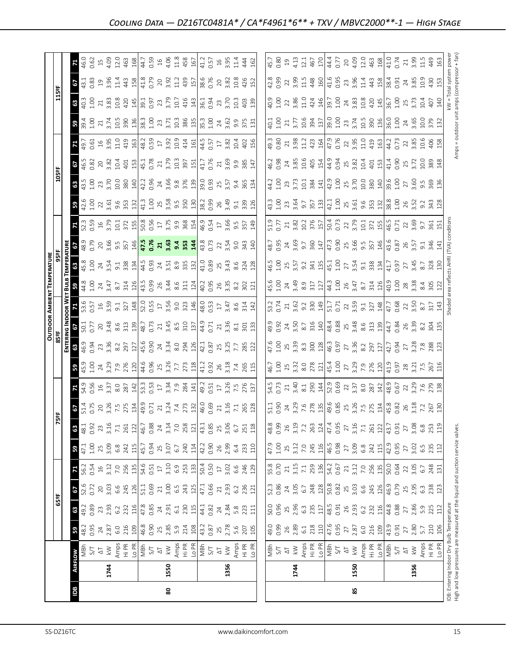|            |                |                                                                                                                                                                                                                                                                                                                                                                                                                                                                                                                                                                                                                                                                                      |                                                                                                                                                                                                                |                                                                                                                                                                                                                                                                                                                                                                                                                                                             |                                                                                                                                                                                                                                                                                                                                                                                                                                                                                       |                                                                                                                                                                                                                                                                                                                                                   |                                                                                          |                                                                                          |                                                                                                                                                                                                                                                                                                                                                                                                         |     |                                                                                                                                                                                                                                                                                    |                                                                                                                                                                                                                                                                                                  |                                                                                                                                                                                                                                                                                                                       |                                                                                                                                                                                                                                                                                                                                    | <b>OUTDOOR AMBIENT TEMPERATURE</b>                                                                                                                                                                                                                                                                                  |                                                                                                                                                                                                                                                                                                                       |                                                                                                                                                                                                                                |                                                                                                                                                                                                                                                                                                            |                                                                                                                                                                                                                                                                                                             |                                                                                                                                                                                                                                                                                                                       |                                                                                                                                                                                                                                                                                                                                                                                          |                                            |                                                                                                                                |                                                                                                                                                                                                                                |                                                     |
|------------|----------------|--------------------------------------------------------------------------------------------------------------------------------------------------------------------------------------------------------------------------------------------------------------------------------------------------------------------------------------------------------------------------------------------------------------------------------------------------------------------------------------------------------------------------------------------------------------------------------------------------------------------------------------------------------------------------------------|----------------------------------------------------------------------------------------------------------------------------------------------------------------------------------------------------------------|-------------------------------------------------------------------------------------------------------------------------------------------------------------------------------------------------------------------------------------------------------------------------------------------------------------------------------------------------------------------------------------------------------------------------------------------------------------|---------------------------------------------------------------------------------------------------------------------------------------------------------------------------------------------------------------------------------------------------------------------------------------------------------------------------------------------------------------------------------------------------------------------------------------------------------------------------------------|---------------------------------------------------------------------------------------------------------------------------------------------------------------------------------------------------------------------------------------------------------------------------------------------------------------------------------------------------|------------------------------------------------------------------------------------------|------------------------------------------------------------------------------------------|---------------------------------------------------------------------------------------------------------------------------------------------------------------------------------------------------------------------------------------------------------------------------------------------------------------------------------------------------------------------------------------------------------|-----|------------------------------------------------------------------------------------------------------------------------------------------------------------------------------------------------------------------------------------------------------------------------------------|--------------------------------------------------------------------------------------------------------------------------------------------------------------------------------------------------------------------------------------------------------------------------------------------------|-----------------------------------------------------------------------------------------------------------------------------------------------------------------------------------------------------------------------------------------------------------------------------------------------------------------------|------------------------------------------------------------------------------------------------------------------------------------------------------------------------------------------------------------------------------------------------------------------------------------------------------------------------------------|---------------------------------------------------------------------------------------------------------------------------------------------------------------------------------------------------------------------------------------------------------------------------------------------------------------------|-----------------------------------------------------------------------------------------------------------------------------------------------------------------------------------------------------------------------------------------------------------------------------------------------------------------------|--------------------------------------------------------------------------------------------------------------------------------------------------------------------------------------------------------------------------------|------------------------------------------------------------------------------------------------------------------------------------------------------------------------------------------------------------------------------------------------------------------------------------------------------------|-------------------------------------------------------------------------------------------------------------------------------------------------------------------------------------------------------------------------------------------------------------------------------------------------------------|-----------------------------------------------------------------------------------------------------------------------------------------------------------------------------------------------------------------------------------------------------------------------------------------------------------------------|------------------------------------------------------------------------------------------------------------------------------------------------------------------------------------------------------------------------------------------------------------------------------------------------------------------------------------------------------------------------------------------|--------------------------------------------|--------------------------------------------------------------------------------------------------------------------------------|--------------------------------------------------------------------------------------------------------------------------------------------------------------------------------------------------------------------------------|-----------------------------------------------------|
|            |                |                                                                                                                                                                                                                                                                                                                                                                                                                                                                                                                                                                                                                                                                                      |                                                                                                                                                                                                                | 65°F                                                                                                                                                                                                                                                                                                                                                                                                                                                        |                                                                                                                                                                                                                                                                                                                                                                                                                                                                                       |                                                                                                                                                                                                                                                                                                                                                   |                                                                                          |                                                                                          | ង្គ                                                                                                                                                                                                                                                                                                                                                                                                     |     |                                                                                                                                                                                                                                                                                    |                                                                                                                                                                                                                                                                                                  |                                                                                                                                                                                                                                                                                                                       |                                                                                                                                                                                                                                                                                                                                    |                                                                                                                                                                                                                                                                                                                     |                                                                                                                                                                                                                                                                                                                       |                                                                                                                                                                                                                                |                                                                                                                                                                                                                                                                                                            | 105°F                                                                                                                                                                                                                                                                                                       |                                                                                                                                                                                                                                                                                                                       |                                                                                                                                                                                                                                                                                                                                                                                          |                                            | 115°F                                                                                                                          |                                                                                                                                                                                                                                |                                                     |
|            |                |                                                                                                                                                                                                                                                                                                                                                                                                                                                                                                                                                                                                                                                                                      |                                                                                                                                                                                                                |                                                                                                                                                                                                                                                                                                                                                                                                                                                             |                                                                                                                                                                                                                                                                                                                                                                                                                                                                                       |                                                                                                                                                                                                                                                                                                                                                   |                                                                                          |                                                                                          |                                                                                                                                                                                                                                                                                                                                                                                                         |     |                                                                                                                                                                                                                                                                                    |                                                                                                                                                                                                                                                                                                  |                                                                                                                                                                                                                                                                                                                       |                                                                                                                                                                                                                                                                                                                                    |                                                                                                                                                                                                                                                                                                                     |                                                                                                                                                                                                                                                                                                                       |                                                                                                                                                                                                                                |                                                                                                                                                                                                                                                                                                            |                                                                                                                                                                                                                                                                                                             |                                                                                                                                                                                                                                                                                                                       |                                                                                                                                                                                                                                                                                                                                                                                          |                                            |                                                                                                                                |                                                                                                                                                                                                                                |                                                     |
| <b>BGI</b> | <b>AIRFLOW</b> |                                                                                                                                                                                                                                                                                                                                                                                                                                                                                                                                                                                                                                                                                      | ${\tt S}$                                                                                                                                                                                                      | 3.58                                                                                                                                                                                                                                                                                                                                                                                                                                                        | $rac{67}{52.6}$                                                                                                                                                                                                                                                                                                                                                                                                                                                                       | $\mathbf{z}$                                                                                                                                                                                                                                                                                                                                      | 3.38                                                                                     | $\mathbf{3}$                                                                             | <b>67.19</b><br>D.14                                                                                                                                                                                                                                                                                                                                                                                    |     |                                                                                                                                                                                                                                                                                    |                                                                                                                                                                                                                                                                                                  |                                                                                                                                                                                                                                                                                                                       |                                                                                                                                                                                                                                                                                                                                    |                                                                                                                                                                                                                                                                                                                     |                                                                                                                                                                                                                                                                                                                       | $6280$<br>$489$                                                                                                                                                                                                                |                                                                                                                                                                                                                                                                                                            |                                                                                                                                                                                                                                                                                                             |                                                                                                                                                                                                                                                                                                                       |                                                                                                                                                                                                                                                                                                                                                                                          | <b>B</b><br>39.4<br>1.00                   |                                                                                                                                | $\frac{3}{13}$ 33                                                                                                                                                                                                              | 71                                                  |
|            |                | 7<br>S/T                                                                                                                                                                                                                                                                                                                                                                                                                                                                                                                                                                                                                                                                             | $48.2$<br>0.95                                                                                                                                                                                                 |                                                                                                                                                                                                                                                                                                                                                                                                                                                             |                                                                                                                                                                                                                                                                                                                                                                                                                                                                                       | $\frac{56.3}{0.54}$                                                                                                                                                                                                                                                                                                                               |                                                                                          | 48.1                                                                                     |                                                                                                                                                                                                                                                                                                                                                                                                         |     |                                                                                                                                                                                                                                                                                    |                                                                                                                                                                                                                                                                                                  |                                                                                                                                                                                                                                                                                                                       |                                                                                                                                                                                                                                                                                                                                    |                                                                                                                                                                                                                                                                                                                     |                                                                                                                                                                                                                                                                                                                       |                                                                                                                                                                                                                                |                                                                                                                                                                                                                                                                                                            |                                                                                                                                                                                                                                                                                                             |                                                                                                                                                                                                                                                                                                                       |                                                                                                                                                                                                                                                                                                                                                                                          |                                            |                                                                                                                                |                                                                                                                                                                                                                                | 46.0                                                |
|            |                |                                                                                                                                                                                                                                                                                                                                                                                                                                                                                                                                                                                                                                                                                      |                                                                                                                                                                                                                |                                                                                                                                                                                                                                                                                                                                                                                                                                                             |                                                                                                                                                                                                                                                                                                                                                                                                                                                                                       |                                                                                                                                                                                                                                                                                                                                                   |                                                                                          | 0.92                                                                                     |                                                                                                                                                                                                                                                                                                                                                                                                         |     |                                                                                                                                                                                                                                                                                    |                                                                                                                                                                                                                                                                                                  |                                                                                                                                                                                                                                                                                                                       |                                                                                                                                                                                                                                                                                                                                    |                                                                                                                                                                                                                                                                                                                     |                                                                                                                                                                                                                                                                                                                       |                                                                                                                                                                                                                                |                                                                                                                                                                                                                                                                                                            |                                                                                                                                                                                                                                                                                                             |                                                                                                                                                                                                                                                                                                                       |                                                                                                                                                                                                                                                                                                                                                                                          |                                            |                                                                                                                                |                                                                                                                                                                                                                                | 0.62                                                |
|            | 1744           | $\frac{\sqrt{1}}{2}$                                                                                                                                                                                                                                                                                                                                                                                                                                                                                                                                                                                                                                                                 | $\begin{array}{c}\n 24 \\  28 \\  60 \\  74 \\  89 \\  108 \\  49 \\  69 \\  74 \\  74 \\  89 \\  74 \\  108 \\  108\n \end{array}$                                                                            | $\begin{array}{c}\n 23 \\  23 \\  \hline\n 63 \\  \hline\n 73 \\  \hline\n 83 \\  \hline\n 14 \\  \hline\n 63 \\  \hline\n 73 \\  \hline\n 14 \\  \hline\n 15 \\  \hline\n 11 \\  \hline\n 63 \\  \hline\n 13 \\  \hline\n 14 \\  \hline\n 16 \\  \hline\n 13 \\  \hline\n 14 \\  \hline\n 15 \\  \hline\n 16 \\  \hline\n 17 \\  \hline\n 18 \\  \hline\n 19 \\  \hline\n 19 \\  \hline\n 19 \\  \hline\n 19 \\  \hline\n 19 \\  \hline\n 19 \\  \hline\n$ | $\begin{array}{c}\n 2 \overline{0} \\  3 \overline{0} \\  6 \overline{0} \\  7 \overline{0} \\  8 \overline{1} \\  1 \overline{1} \\  1 \overline{1} \\  1 \overline{1} \\  1 \overline{1} \\  1 \overline{1} \\  1 \overline{1} \\  1 \overline{1} \\  1 \overline{1} \\  1 \overline{1} \\  1 \overline{1} \\  1 \overline{1} \\  1 \overline{1} \\  1 \overline{1} \\  1 \overline{1} \\  1 \overline{1} \\  1 \overline{1} \\  1 \overline{1} \\  1 \overline{1} \\  1 \overline$ | $16$<br>$3.12$                                                                                                                                                                                                                                                                                                                                    | $25$<br>$3.09$<br>$6.8$<br>$242$<br>$115$<br>$45.7$<br>$0.94$                            | $23.16$<br>$7.1$<br>$261$                                                                | $\begin{array}{c}\n 26 \\  27 \\  28 \\  29 \\  20 \\  21 \\  24 \\  26 \\  27 \\  28 \\  29 \\  20 \\  20 \\  21 \\  22 \\  23 \\  24 \\  25 \\  26 \\  27 \\  28 \\  29 \\  20 \\  21 \\  22 \\  23 \\  24 \\  25 \\  27 \\  28 \\  29 \\  20 \\  20 \\  21 \\  22 \\  23 \\  24 \\  25 \\  27 \\  28 \\  29 \\  21 \\  22 \\  23 \\  24 \\  25 \\  27 \\  28 \\  29 \\  20 \\  20 \\  21 \\  23 \\ $ |     | $\mathbf{B}$ and $\mathbf{S}$ and $\mathbf{S}$ are such that $\mathbf{S}$ and $\mathbf{S}$ are such that $\mathbf{S}$ and $\mathbf{S}$ are such that $\mathbf{S}$ and $\mathbf{S}$ are such that $\mathbf{S}$ and $\mathbf{S}$ are such that $\mathbf{S}$ are such that $\mathbf{$ | $\frac{16}{360}$ $\frac{16}{360}$ $\frac{16}{360}$ $\frac{16}{360}$ $\frac{16}{360}$ $\frac{16}{360}$ $\frac{16}{360}$ $\frac{16}{360}$ $\frac{16}{360}$ $\frac{16}{360}$ $\frac{16}{360}$ $\frac{16}{360}$ $\frac{16}{360}$ $\frac{16}{360}$ $\frac{16}{360}$ $\frac{16}{360}$ $\frac{16}{360}$ | $\bullet$ 5 5 6 $\frac{2}{3}$ $\frac{2}{3}$ $\frac{2}{3}$ $\frac{2}{3}$ $\frac{2}{3}$ $\frac{2}{3}$ $\frac{2}{3}$ $\frac{2}{3}$ $\frac{2}{3}$ $\frac{2}{3}$ $\frac{2}{3}$ $\frac{2}{3}$ $\frac{2}{3}$ $\frac{2}{3}$ $\frac{2}{3}$ $\frac{2}{3}$ $\frac{2}{3}$ $\frac{2}{3}$ $\frac{2}{3}$ $\frac{2}{3}$ $\frac{2}{3}$ | $\mathbf{Z}$ $\mathbb{R}$ $\mathbb{R}$ $\mathbb{R}$ $\mathbb{R}$ $\mathbb{R}$ $\mathbb{R}$ $\mathbb{R}$ $\mathbb{R}$ $\mathbb{R}$ $\mathbb{R}$ $\mathbb{R}$ $\mathbb{R}$ $\mathbb{R}$ $\mathbb{R}$ $\mathbb{R}$ $\mathbb{R}$ $\mathbb{R}$ $\mathbb{R}$ $\mathbb{R}$ $\mathbb{R}$ $\mathbb{R}$ $\mathbb{R}$ $\mathbb{R}$ $\mathbb{$ | $\frac{1}{3}$ $\frac{1}{3}$ $\frac{3}{5}$ $\frac{1}{3}$ $\frac{1}{3}$ $\frac{1}{3}$ $\frac{1}{3}$ $\frac{1}{3}$ $\frac{1}{3}$ $\frac{1}{3}$ $\frac{1}{3}$ $\frac{1}{3}$ $\frac{1}{3}$ $\frac{1}{3}$ $\frac{1}{3}$ $\frac{1}{3}$ $\frac{1}{3}$ $\frac{1}{3}$ $\frac{1}{3}$ $\frac{1}{3}$ $\frac{1}{3}$ $\frac{1}{3}$ | $\frac{36}{32}$ $\frac{36}{32}$ $\frac{37}{32}$ $\frac{37}{32}$ $\frac{37}{32}$ $\frac{37}{32}$ $\frac{37}{32}$ $\frac{37}{32}$ $\frac{37}{32}$ $\frac{37}{32}$ $\frac{37}{32}$ $\frac{37}{32}$ $\frac{37}{32}$ $\frac{37}{32}$ $\frac{37}{32}$ $\frac{37}{32}$ $\frac{37}{32}$ $\frac{37}{32}$ $\frac{3$             |                                                                                                                                                                                                                                | $\frac{1}{2}$ $\frac{13}{22}$ $\frac{13}{22}$ $\frac{13}{22}$ $\frac{13}{22}$ $\frac{13}{22}$ $\frac{13}{22}$ $\frac{13}{22}$ $\frac{13}{22}$ $\frac{13}{22}$ $\frac{13}{22}$ $\frac{13}{22}$ $\frac{13}{22}$ $\frac{13}{22}$ $\frac{13}{22}$ $\frac{13}{22}$ $\frac{13}{22}$ $\frac{13}{22}$ $\frac{13}{$ | $\frac{16}{3}$ $\frac{17}{3}$ $\frac{16}{3}$ $\frac{17}{3}$ $\frac{17}{3}$ $\frac{16}{3}$ $\frac{17}{3}$ $\frac{16}{3}$ $\frac{16}{3}$ $\frac{16}{3}$ $\frac{16}{3}$ $\frac{16}{3}$ $\frac{16}{3}$ $\frac{16}{3}$ $\frac{17}{3}$ $\frac{17}{3}$ $\frac{17}{3}$ $\frac{17}{3}$ $\frac{17}{3}$ $\frac{17}{3}$ | $\frac{1}{2}$ $\frac{1}{2}$ $\frac{1}{2}$ $\frac{1}{2}$ $\frac{1}{2}$ $\frac{1}{2}$ $\frac{1}{2}$ $\frac{1}{2}$ $\frac{1}{2}$ $\frac{1}{2}$ $\frac{1}{2}$ $\frac{1}{2}$ $\frac{1}{2}$ $\frac{1}{2}$ $\frac{1}{2}$ $\frac{1}{2}$ $\frac{1}{2}$ $\frac{1}{2}$ $\frac{1}{2}$ $\frac{1}{2}$ $\frac{1}{2}$ $\frac{1}{2}$   | $\begin{array}{ccc} \frac{1}{12} & \frac{1}{12} & \frac{1}{12} & \frac{1}{12} & \frac{1}{12} & \frac{1}{12} & \frac{1}{12} & \frac{1}{12} & \frac{1}{12} & \frac{1}{12} & \frac{1}{12} & \frac{1}{12} & \frac{1}{12} & \frac{1}{12} & \frac{1}{12} & \frac{1}{12} & \frac{1}{12} & \frac{1}{12} & \frac{1}{12} & \frac{1}{12} & \frac{1}{12} & \frac{1}{12} & \frac{1}{12} & \frac{1}{1$ | $\frac{21}{3.74}$                          |                                                                                                                                | $19.96$<br>$1.4$                                                                                                                                                                                                               |                                                     |
|            |                |                                                                                                                                                                                                                                                                                                                                                                                                                                                                                                                                                                                                                                                                                      |                                                                                                                                                                                                                |                                                                                                                                                                                                                                                                                                                                                                                                                                                             |                                                                                                                                                                                                                                                                                                                                                                                                                                                                                       |                                                                                                                                                                                                                                                                                                                                                   |                                                                                          |                                                                                          |                                                                                                                                                                                                                                                                                                                                                                                                         |     |                                                                                                                                                                                                                                                                                    |                                                                                                                                                                                                                                                                                                  |                                                                                                                                                                                                                                                                                                                       |                                                                                                                                                                                                                                                                                                                                    |                                                                                                                                                                                                                                                                                                                     |                                                                                                                                                                                                                                                                                                                       |                                                                                                                                                                                                                                |                                                                                                                                                                                                                                                                                                            |                                                                                                                                                                                                                                                                                                             |                                                                                                                                                                                                                                                                                                                       |                                                                                                                                                                                                                                                                                                                                                                                          |                                            |                                                                                                                                |                                                                                                                                                                                                                                |                                                     |
|            |                | Amps<br>Hi PR<br>JOH<br>S/T<br>S/T<br>& X                                                                                                                                                                                                                                                                                                                                                                                                                                                                                                                                                                                                                                            |                                                                                                                                                                                                                |                                                                                                                                                                                                                                                                                                                                                                                                                                                             |                                                                                                                                                                                                                                                                                                                                                                                                                                                                                       | $\begin{array}{c} 7.0 \\ 256 \\ 1.3 \\ 54.6 \\ 0.51 \\ 17 \end{array}$                                                                                                                                                                                                                                                                            |                                                                                          |                                                                                          |                                                                                                                                                                                                                                                                                                                                                                                                         |     |                                                                                                                                                                                                                                                                                    |                                                                                                                                                                                                                                                                                                  |                                                                                                                                                                                                                                                                                                                       |                                                                                                                                                                                                                                                                                                                                    |                                                                                                                                                                                                                                                                                                                     |                                                                                                                                                                                                                                                                                                                       |                                                                                                                                                                                                                                |                                                                                                                                                                                                                                                                                                            |                                                                                                                                                                                                                                                                                                             |                                                                                                                                                                                                                                                                                                                       |                                                                                                                                                                                                                                                                                                                                                                                          |                                            |                                                                                                                                |                                                                                                                                                                                                                                |                                                     |
|            |                |                                                                                                                                                                                                                                                                                                                                                                                                                                                                                                                                                                                                                                                                                      |                                                                                                                                                                                                                |                                                                                                                                                                                                                                                                                                                                                                                                                                                             |                                                                                                                                                                                                                                                                                                                                                                                                                                                                                       |                                                                                                                                                                                                                                                                                                                                                   |                                                                                          | $122$<br>46.7                                                                            |                                                                                                                                                                                                                                                                                                                                                                                                         |     |                                                                                                                                                                                                                                                                                    |                                                                                                                                                                                                                                                                                                  |                                                                                                                                                                                                                                                                                                                       |                                                                                                                                                                                                                                                                                                                                    |                                                                                                                                                                                                                                                                                                                     |                                                                                                                                                                                                                                                                                                                       |                                                                                                                                                                                                                                |                                                                                                                                                                                                                                                                                                            |                                                                                                                                                                                                                                                                                                             |                                                                                                                                                                                                                                                                                                                       |                                                                                                                                                                                                                                                                                                                                                                                          |                                            |                                                                                                                                |                                                                                                                                                                                                                                |                                                     |
|            |                |                                                                                                                                                                                                                                                                                                                                                                                                                                                                                                                                                                                                                                                                                      |                                                                                                                                                                                                                |                                                                                                                                                                                                                                                                                                                                                                                                                                                             |                                                                                                                                                                                                                                                                                                                                                                                                                                                                                       |                                                                                                                                                                                                                                                                                                                                                   |                                                                                          |                                                                                          |                                                                                                                                                                                                                                                                                                                                                                                                         |     |                                                                                                                                                                                                                                                                                    |                                                                                                                                                                                                                                                                                                  |                                                                                                                                                                                                                                                                                                                       |                                                                                                                                                                                                                                                                                                                                    |                                                                                                                                                                                                                                                                                                                     |                                                                                                                                                                                                                                                                                                                       |                                                                                                                                                                                                                                |                                                                                                                                                                                                                                                                                                            |                                                                                                                                                                                                                                                                                                             |                                                                                                                                                                                                                                                                                                                       |                                                                                                                                                                                                                                                                                                                                                                                          |                                            |                                                                                                                                |                                                                                                                                                                                                                                |                                                     |
|            |                |                                                                                                                                                                                                                                                                                                                                                                                                                                                                                                                                                                                                                                                                                      |                                                                                                                                                                                                                |                                                                                                                                                                                                                                                                                                                                                                                                                                                             |                                                                                                                                                                                                                                                                                                                                                                                                                                                                                       |                                                                                                                                                                                                                                                                                                                                                   |                                                                                          | 0.88                                                                                     |                                                                                                                                                                                                                                                                                                                                                                                                         |     |                                                                                                                                                                                                                                                                                    |                                                                                                                                                                                                                                                                                                  |                                                                                                                                                                                                                                                                                                                       |                                                                                                                                                                                                                                                                                                                                    |                                                                                                                                                                                                                                                                                                                     |                                                                                                                                                                                                                                                                                                                       |                                                                                                                                                                                                                                |                                                                                                                                                                                                                                                                                                            |                                                                                                                                                                                                                                                                                                             |                                                                                                                                                                                                                                                                                                                       |                                                                                                                                                                                                                                                                                                                                                                                          |                                            |                                                                                                                                |                                                                                                                                                                                                                                |                                                     |
|            |                |                                                                                                                                                                                                                                                                                                                                                                                                                                                                                                                                                                                                                                                                                      |                                                                                                                                                                                                                |                                                                                                                                                                                                                                                                                                                                                                                                                                                             |                                                                                                                                                                                                                                                                                                                                                                                                                                                                                       |                                                                                                                                                                                                                                                                                                                                                   |                                                                                          | $24\,$                                                                                   |                                                                                                                                                                                                                                                                                                                                                                                                         |     |                                                                                                                                                                                                                                                                                    |                                                                                                                                                                                                                                                                                                  |                                                                                                                                                                                                                                                                                                                       |                                                                                                                                                                                                                                                                                                                                    |                                                                                                                                                                                                                                                                                                                     |                                                                                                                                                                                                                                                                                                                       |                                                                                                                                                                                                                                |                                                                                                                                                                                                                                                                                                            |                                                                                                                                                                                                                                                                                                             |                                                                                                                                                                                                                                                                                                                       |                                                                                                                                                                                                                                                                                                                                                                                          |                                            |                                                                                                                                |                                                                                                                                                                                                                                |                                                     |
| 80         | 1550           |                                                                                                                                                                                                                                                                                                                                                                                                                                                                                                                                                                                                                                                                                      |                                                                                                                                                                                                                |                                                                                                                                                                                                                                                                                                                                                                                                                                                             |                                                                                                                                                                                                                                                                                                                                                                                                                                                                                       |                                                                                                                                                                                                                                                                                                                                                   | $25$<br>$3.07$<br>$6.7$                                                                  |                                                                                          |                                                                                                                                                                                                                                                                                                                                                                                                         |     |                                                                                                                                                                                                                                                                                    |                                                                                                                                                                                                                                                                                                  |                                                                                                                                                                                                                                                                                                                       |                                                                                                                                                                                                                                                                                                                                    |                                                                                                                                                                                                                                                                                                                     |                                                                                                                                                                                                                                                                                                                       |                                                                                                                                                                                                                                |                                                                                                                                                                                                                                                                                                            |                                                                                                                                                                                                                                                                                                             |                                                                                                                                                                                                                                                                                                                       |                                                                                                                                                                                                                                                                                                                                                                                          |                                            |                                                                                                                                |                                                                                                                                                                                                                                |                                                     |
|            |                |                                                                                                                                                                                                                                                                                                                                                                                                                                                                                                                                                                                                                                                                                      |                                                                                                                                                                                                                |                                                                                                                                                                                                                                                                                                                                                                                                                                                             |                                                                                                                                                                                                                                                                                                                                                                                                                                                                                       | $3.10$<br>$6.9$                                                                                                                                                                                                                                                                                                                                   |                                                                                          |                                                                                          |                                                                                                                                                                                                                                                                                                                                                                                                         |     |                                                                                                                                                                                                                                                                                    |                                                                                                                                                                                                                                                                                                  |                                                                                                                                                                                                                                                                                                                       |                                                                                                                                                                                                                                                                                                                                    |                                                                                                                                                                                                                                                                                                                     |                                                                                                                                                                                                                                                                                                                       |                                                                                                                                                                                                                                |                                                                                                                                                                                                                                                                                                            |                                                                                                                                                                                                                                                                                                             |                                                                                                                                                                                                                                                                                                                       |                                                                                                                                                                                                                                                                                                                                                                                          |                                            |                                                                                                                                |                                                                                                                                                                                                                                |                                                     |
|            |                |                                                                                                                                                                                                                                                                                                                                                                                                                                                                                                                                                                                                                                                                                      |                                                                                                                                                                                                                |                                                                                                                                                                                                                                                                                                                                                                                                                                                             |                                                                                                                                                                                                                                                                                                                                                                                                                                                                                       |                                                                                                                                                                                                                                                                                                                                                   |                                                                                          |                                                                                          |                                                                                                                                                                                                                                                                                                                                                                                                         |     |                                                                                                                                                                                                                                                                                    |                                                                                                                                                                                                                                                                                                  |                                                                                                                                                                                                                                                                                                                       |                                                                                                                                                                                                                                                                                                                                    |                                                                                                                                                                                                                                                                                                                     |                                                                                                                                                                                                                                                                                                                       |                                                                                                                                                                                                                                |                                                                                                                                                                                                                                                                                                            |                                                                                                                                                                                                                                                                                                             |                                                                                                                                                                                                                                                                                                                       |                                                                                                                                                                                                                                                                                                                                                                                          |                                            |                                                                                                                                |                                                                                                                                                                                                                                |                                                     |
|            |                |                                                                                                                                                                                                                                                                                                                                                                                                                                                                                                                                                                                                                                                                                      |                                                                                                                                                                                                                |                                                                                                                                                                                                                                                                                                                                                                                                                                                             |                                                                                                                                                                                                                                                                                                                                                                                                                                                                                       |                                                                                                                                                                                                                                                                                                                                                   |                                                                                          |                                                                                          |                                                                                                                                                                                                                                                                                                                                                                                                         |     |                                                                                                                                                                                                                                                                                    |                                                                                                                                                                                                                                                                                                  |                                                                                                                                                                                                                                                                                                                       |                                                                                                                                                                                                                                                                                                                                    |                                                                                                                                                                                                                                                                                                                     |                                                                                                                                                                                                                                                                                                                       |                                                                                                                                                                                                                                |                                                                                                                                                                                                                                                                                                            |                                                                                                                                                                                                                                                                                                             |                                                                                                                                                                                                                                                                                                                       |                                                                                                                                                                                                                                                                                                                                                                                          |                                            |                                                                                                                                |                                                                                                                                                                                                                                |                                                     |
|            |                | $\begin{array}{l} \displaystyle \mathop{\rm Amp}\limits_{\displaystyle \leftarrow} \mathop{\rm BFR}\limits_{\displaystyle \leftarrow} \mathop{\rm BFR}\limits_{\displaystyle \leftarrow} \mathop{\rm BFR}\limits_{\displaystyle \leftarrow} \mathop{\rm SFR}\limits_{\displaystyle \leftarrow} \mathop{\rm SFR}\limits_{\displaystyle \leftarrow} \mathop{\rm SFR}\limits_{\displaystyle \leftarrow} \mathop{\rm SFR}\limits_{\displaystyle \leftarrow} \mathop{\rm SFR}\limits_{\displaystyle \leftarrow} \mathop{\rm SFR}\limits_{\displaystyle \leftarrow} \mathop{\rm SFR}\limits_{\displaystyle \leftarrow} \mathop{\rm SFR}\limits_{\displaystyle \leftarrow} \mathop{\rm SFR$ |                                                                                                                                                                                                                | $\frac{58}{11}$<br>$\frac{11}{11}$<br>$\frac{13}{11}$                                                                                                                                                                                                                                                                                                                                                                                                       |                                                                                                                                                                                                                                                                                                                                                                                                                                                                                       | $253$<br>$\frac{33}{50}$<br>$\frac{4}{50}$<br>$\frac{5}{50}$                                                                                                                                                                                                                                                                                      | $\frac{240}{114}$<br>$\frac{13}{42}$                                                     | $\frac{3.14}{7.0}$<br>7.0<br>258<br>12,1<br>43.35                                        |                                                                                                                                                                                                                                                                                                                                                                                                         |     |                                                                                                                                                                                                                                                                                    |                                                                                                                                                                                                                                                                                                  |                                                                                                                                                                                                                                                                                                                       |                                                                                                                                                                                                                                                                                                                                    |                                                                                                                                                                                                                                                                                                                     |                                                                                                                                                                                                                                                                                                                       |                                                                                                                                                                                                                                |                                                                                                                                                                                                                                                                                                            |                                                                                                                                                                                                                                                                                                             |                                                                                                                                                                                                                                                                                                                       |                                                                                                                                                                                                                                                                                                                                                                                          |                                            |                                                                                                                                |                                                                                                                                                                                                                                |                                                     |
|            |                |                                                                                                                                                                                                                                                                                                                                                                                                                                                                                                                                                                                                                                                                                      |                                                                                                                                                                                                                |                                                                                                                                                                                                                                                                                                                                                                                                                                                             |                                                                                                                                                                                                                                                                                                                                                                                                                                                                                       |                                                                                                                                                                                                                                                                                                                                                   |                                                                                          |                                                                                          |                                                                                                                                                                                                                                                                                                                                                                                                         |     |                                                                                                                                                                                                                                                                                    |                                                                                                                                                                                                                                                                                                  |                                                                                                                                                                                                                                                                                                                       |                                                                                                                                                                                                                                                                                                                                    |                                                                                                                                                                                                                                                                                                                     |                                                                                                                                                                                                                                                                                                                       |                                                                                                                                                                                                                                |                                                                                                                                                                                                                                                                                                            |                                                                                                                                                                                                                                                                                                             |                                                                                                                                                                                                                                                                                                                       |                                                                                                                                                                                                                                                                                                                                                                                          |                                            |                                                                                                                                |                                                                                                                                                                                                                                |                                                     |
|            |                |                                                                                                                                                                                                                                                                                                                                                                                                                                                                                                                                                                                                                                                                                      |                                                                                                                                                                                                                |                                                                                                                                                                                                                                                                                                                                                                                                                                                             |                                                                                                                                                                                                                                                                                                                                                                                                                                                                                       |                                                                                                                                                                                                                                                                                                                                                   |                                                                                          |                                                                                          |                                                                                                                                                                                                                                                                                                                                                                                                         |     |                                                                                                                                                                                                                                                                                    |                                                                                                                                                                                                                                                                                                  |                                                                                                                                                                                                                                                                                                                       |                                                                                                                                                                                                                                                                                                                                    |                                                                                                                                                                                                                                                                                                                     |                                                                                                                                                                                                                                                                                                                       |                                                                                                                                                                                                                                |                                                                                                                                                                                                                                                                                                            |                                                                                                                                                                                                                                                                                                             |                                                                                                                                                                                                                                                                                                                       |                                                                                                                                                                                                                                                                                                                                                                                          |                                            |                                                                                                                                |                                                                                                                                                                                                                                |                                                     |
|            | 1356           |                                                                                                                                                                                                                                                                                                                                                                                                                                                                                                                                                                                                                                                                                      | $\frac{22}{3}$<br>$\frac{25}{3}$<br>$\frac{25}{3}$<br>$\frac{25}{3}$<br>$\frac{6}{3}$<br>$\frac{1}{2}$<br>$\frac{1}{2}$                                                                                        | $24.84$<br>$2.84$<br>$5.8$<br>$2.3$<br>$11$                                                                                                                                                                                                                                                                                                                                                                                                                 | $2.93$<br>$6.2$<br>$236$<br>$121$                                                                                                                                                                                                                                                                                                                                                                                                                                                     |                                                                                                                                                                                                                                                                                                                                                   | 26<br>2.99<br>6.4<br>233<br>110                                                          | 25<br>3.06<br>6.7                                                                        |                                                                                                                                                                                                                                                                                                                                                                                                         |     |                                                                                                                                                                                                                                                                                    |                                                                                                                                                                                                                                                                                                  |                                                                                                                                                                                                                                                                                                                       |                                                                                                                                                                                                                                                                                                                                    |                                                                                                                                                                                                                                                                                                                     |                                                                                                                                                                                                                                                                                                                       |                                                                                                                                                                                                                                |                                                                                                                                                                                                                                                                                                            |                                                                                                                                                                                                                                                                                                             |                                                                                                                                                                                                                                                                                                                       |                                                                                                                                                                                                                                                                                                                                                                                          |                                            |                                                                                                                                |                                                                                                                                                                                                                                |                                                     |
|            |                |                                                                                                                                                                                                                                                                                                                                                                                                                                                                                                                                                                                                                                                                                      |                                                                                                                                                                                                                |                                                                                                                                                                                                                                                                                                                                                                                                                                                             |                                                                                                                                                                                                                                                                                                                                                                                                                                                                                       | $3.02$<br>6.6                                                                                                                                                                                                                                                                                                                                     |                                                                                          |                                                                                          |                                                                                                                                                                                                                                                                                                                                                                                                         |     |                                                                                                                                                                                                                                                                                    |                                                                                                                                                                                                                                                                                                  |                                                                                                                                                                                                                                                                                                                       |                                                                                                                                                                                                                                                                                                                                    |                                                                                                                                                                                                                                                                                                                     |                                                                                                                                                                                                                                                                                                                       |                                                                                                                                                                                                                                |                                                                                                                                                                                                                                                                                                            |                                                                                                                                                                                                                                                                                                             |                                                                                                                                                                                                                                                                                                                       |                                                                                                                                                                                                                                                                                                                                                                                          |                                            | $\overline{0}$                                                                                                                 |                                                                                                                                                                                                                                |                                                     |
|            |                | Amps<br>Hi PR<br>Lo PR                                                                                                                                                                                                                                                                                                                                                                                                                                                                                                                                                                                                                                                               |                                                                                                                                                                                                                |                                                                                                                                                                                                                                                                                                                                                                                                                                                             |                                                                                                                                                                                                                                                                                                                                                                                                                                                                                       | 246<br>129                                                                                                                                                                                                                                                                                                                                        |                                                                                          |                                                                                          |                                                                                                                                                                                                                                                                                                                                                                                                         |     |                                                                                                                                                                                                                                                                                    |                                                                                                                                                                                                                                                                                                  |                                                                                                                                                                                                                                                                                                                       |                                                                                                                                                                                                                                                                                                                                    |                                                                                                                                                                                                                                                                                                                     |                                                                                                                                                                                                                                                                                                                       |                                                                                                                                                                                                                                |                                                                                                                                                                                                                                                                                                            |                                                                                                                                                                                                                                                                                                             |                                                                                                                                                                                                                                                                                                                       |                                                                                                                                                                                                                                                                                                                                                                                          |                                            | 403                                                                                                                            |                                                                                                                                                                                                                                | 44                                                  |
|            |                |                                                                                                                                                                                                                                                                                                                                                                                                                                                                                                                                                                                                                                                                                      |                                                                                                                                                                                                                |                                                                                                                                                                                                                                                                                                                                                                                                                                                             |                                                                                                                                                                                                                                                                                                                                                                                                                                                                                       |                                                                                                                                                                                                                                                                                                                                                   |                                                                                          | 251<br>118                                                                               |                                                                                                                                                                                                                                                                                                                                                                                                         | 137 |                                                                                                                                                                                                                                                                                    |                                                                                                                                                                                                                                                                                                  |                                                                                                                                                                                                                                                                                                                       |                                                                                                                                                                                                                                                                                                                                    |                                                                                                                                                                                                                                                                                                                     |                                                                                                                                                                                                                                                                                                                       |                                                                                                                                                                                                                                |                                                                                                                                                                                                                                                                                                            |                                                                                                                                                                                                                                                                                                             |                                                                                                                                                                                                                                                                                                                       |                                                                                                                                                                                                                                                                                                                                                                                          |                                            | 139                                                                                                                            |                                                                                                                                                                                                                                | 162                                                 |
|            |                |                                                                                                                                                                                                                                                                                                                                                                                                                                                                                                                                                                                                                                                                                      |                                                                                                                                                                                                                |                                                                                                                                                                                                                                                                                                                                                                                                                                                             |                                                                                                                                                                                                                                                                                                                                                                                                                                                                                       |                                                                                                                                                                                                                                                                                                                                                   |                                                                                          |                                                                                          |                                                                                                                                                                                                                                                                                                                                                                                                         |     |                                                                                                                                                                                                                                                                                    |                                                                                                                                                                                                                                                                                                  |                                                                                                                                                                                                                                                                                                                       |                                                                                                                                                                                                                                                                                                                                    |                                                                                                                                                                                                                                                                                                                     |                                                                                                                                                                                                                                                                                                                       |                                                                                                                                                                                                                                |                                                                                                                                                                                                                                                                                                            |                                                                                                                                                                                                                                                                                                             |                                                                                                                                                                                                                                                                                                                       |                                                                                                                                                                                                                                                                                                                                                                                          |                                            |                                                                                                                                |                                                                                                                                                                                                                                |                                                     |
|            |                |                                                                                                                                                                                                                                                                                                                                                                                                                                                                                                                                                                                                                                                                                      |                                                                                                                                                                                                                |                                                                                                                                                                                                                                                                                                                                                                                                                                                             |                                                                                                                                                                                                                                                                                                                                                                                                                                                                                       |                                                                                                                                                                                                                                                                                                                                                   |                                                                                          |                                                                                          |                                                                                                                                                                                                                                                                                                                                                                                                         |     |                                                                                                                                                                                                                                                                                    |                                                                                                                                                                                                                                                                                                  |                                                                                                                                                                                                                                                                                                                       |                                                                                                                                                                                                                                                                                                                                    |                                                                                                                                                                                                                                                                                                                     |                                                                                                                                                                                                                                                                                                                       |                                                                                                                                                                                                                                |                                                                                                                                                                                                                                                                                                            |                                                                                                                                                                                                                                                                                                             |                                                                                                                                                                                                                                                                                                                       |                                                                                                                                                                                                                                                                                                                                                                                          |                                            |                                                                                                                                |                                                                                                                                                                                                                                | 45.7                                                |
|            |                | $\frac{1}{2} \sum_{i=1}^{N} \sum_{j=1}^{N}$                                                                                                                                                                                                                                                                                                                                                                                                                                                                                                                                                                                                                                          | 0.99                                                                                                                                                                                                           | 50.0<br>0.96                                                                                                                                                                                                                                                                                                                                                                                                                                                | 52.3<br>0.86                                                                                                                                                                                                                                                                                                                                                                                                                                                                          | 55.8<br>0.70                                                                                                                                                                                                                                                                                                                                      | 47.9<br>1.00                                                                             |                                                                                          |                                                                                                                                                                                                                                                                                                                                                                                                         |     |                                                                                                                                                                                                                                                                                    |                                                                                                                                                                                                                                                                                                  |                                                                                                                                                                                                                                                                                                                       |                                                                                                                                                                                                                                                                                                                                    |                                                                                                                                                                                                                                                                                                                     |                                                                                                                                                                                                                                                                                                                       |                                                                                                                                                                                                                                |                                                                                                                                                                                                                                                                                                            |                                                                                                                                                                                                                                                                                                             |                                                                                                                                                                                                                                                                                                                       |                                                                                                                                                                                                                                                                                                                                                                                          |                                            |                                                                                                                                |                                                                                                                                                                                                                                | 0.80                                                |
|            |                |                                                                                                                                                                                                                                                                                                                                                                                                                                                                                                                                                                                                                                                                                      |                                                                                                                                                                                                                |                                                                                                                                                                                                                                                                                                                                                                                                                                                             |                                                                                                                                                                                                                                                                                                                                                                                                                                                                                       | $21\,$                                                                                                                                                                                                                                                                                                                                            | 25                                                                                       |                                                                                          |                                                                                                                                                                                                                                                                                                                                                                                                         |     |                                                                                                                                                                                                                                                                                    |                                                                                                                                                                                                                                                                                                  |                                                                                                                                                                                                                                                                                                                       |                                                                                                                                                                                                                                                                                                                                    |                                                                                                                                                                                                                                                                                                                     |                                                                                                                                                                                                                                                                                                                       |                                                                                                                                                                                                                                |                                                                                                                                                                                                                                                                                                            |                                                                                                                                                                                                                                                                                                             |                                                                                                                                                                                                                                                                                                                       |                                                                                                                                                                                                                                                                                                                                                                                          |                                            |                                                                                                                                |                                                                                                                                                                                                                                | $\overline{19}$                                     |
|            | 1744           |                                                                                                                                                                                                                                                                                                                                                                                                                                                                                                                                                                                                                                                                                      |                                                                                                                                                                                                                |                                                                                                                                                                                                                                                                                                                                                                                                                                                             |                                                                                                                                                                                                                                                                                                                                                                                                                                                                                       |                                                                                                                                                                                                                                                                                                                                                   |                                                                                          |                                                                                          |                                                                                                                                                                                                                                                                                                                                                                                                         |     |                                                                                                                                                                                                                                                                                    |                                                                                                                                                                                                                                                                                                  |                                                                                                                                                                                                                                                                                                                       |                                                                                                                                                                                                                                                                                                                                    |                                                                                                                                                                                                                                                                                                                     |                                                                                                                                                                                                                                                                                                                       |                                                                                                                                                                                                                                |                                                                                                                                                                                                                                                                                                            |                                                                                                                                                                                                                                                                                                             |                                                                                                                                                                                                                                                                                                                       |                                                                                                                                                                                                                                                                                                                                                                                          |                                            |                                                                                                                                |                                                                                                                                                                                                                                |                                                     |
|            |                |                                                                                                                                                                                                                                                                                                                                                                                                                                                                                                                                                                                                                                                                                      |                                                                                                                                                                                                                |                                                                                                                                                                                                                                                                                                                                                                                                                                                             |                                                                                                                                                                                                                                                                                                                                                                                                                                                                                       |                                                                                                                                                                                                                                                                                                                                                   |                                                                                          |                                                                                          |                                                                                                                                                                                                                                                                                                                                                                                                         |     |                                                                                                                                                                                                                                                                                    |                                                                                                                                                                                                                                                                                                  |                                                                                                                                                                                                                                                                                                                       |                                                                                                                                                                                                                                                                                                                                    |                                                                                                                                                                                                                                                                                                                     |                                                                                                                                                                                                                                                                                                                       |                                                                                                                                                                                                                                |                                                                                                                                                                                                                                                                                                            |                                                                                                                                                                                                                                                                                                             |                                                                                                                                                                                                                                                                                                                       |                                                                                                                                                                                                                                                                                                                                                                                          |                                            |                                                                                                                                |                                                                                                                                                                                                                                |                                                     |
|            |                | $\begin{array}{l} \displaystyle \mathop{\rm Arg\,}\limits_{\displaystyle \mathop{\rm H\,}}\displaystyle \mathop{\rm Ext\,}\limits_{\displaystyle \mathop{\rm M\,}}\displaystyle \mathop{\rm Ext\,}\limits_{\displaystyle \mathop{\rm M\,}}\displaystyle \mathop{\rm Var\,}\limits_{\displaystyle \mathop{\rm M\,}}\\ \displaystyle \mathop{\rm Im\,}\limits_{\displaystyle \mathop{\rm M\,}}\displaystyle \mathop{\rm Im\,}\limits_{\displaystyle \mathop{\rm M\,}}\displaystyle \mathop{\rm Im\,}\limits_{\displaystyle \mathop{\rm M\,}} \end{array}$                                                                                                                              | $\begin{array}{c}\n 26 \\  28 \\  \hline\n 21 \\  \hline\n 32 \\  \hline\n 41 \\  \hline\n 52 \\  \hline\n 62 \\  \hline\n 72 \\  \hline\n 83 \\  \hline\n 92 \\  \hline\n 109 \\  \hline\n 109\n \end{array}$ | $2.96$<br>$2.35$<br>$3.31$<br>$48.5$<br>$48.5$                                                                                                                                                                                                                                                                                                                                                                                                              |                                                                                                                                                                                                                                                                                                                                                                                                                                                                                       | $\begin{array}{c} 3.15 \\ 7.1 \\ 259 \\ 136 \\ 54.7 \\ 0.67 \end{array}$                                                                                                                                                                                                                                                                          | 3.12<br>7.0<br>245<br>46.5<br>40.98                                                      | $\begin{array}{c}\n 48.8 \\  0.99 \\  26 \\  3.19 \\  7.2 \\  8.3 \\  124\n \end{array}$ |                                                                                                                                                                                                                                                                                                                                                                                                         |     |                                                                                                                                                                                                                                                                                    |                                                                                                                                                                                                                                                                                                  |                                                                                                                                                                                                                                                                                                                       | <u>និង ក្នុង មួយ ដែល</u><br>ប្រភេទ មួយ មួយ មាន មាន មាន ទី មាន មាន មាន                                                                                                                                                                                                                                                              |                                                                                                                                                                                                                                                                                                                     |                                                                                                                                                                                                                                                                                                                       |                                                                                                                                                                                                                                |                                                                                                                                                                                                                                                                                                            |                                                                                                                                                                                                                                                                                                             | $45.8$ $\frac{4}{3}$ $\frac{8}{3}$ $\frac{4}{3}$ $\frac{8}{3}$ $\frac{1}{3}$ $\frac{1}{3}$ $\frac{1}{3}$ $\frac{1}{3}$ $\frac{1}{3}$ $\frac{1}{3}$ $\frac{1}{3}$ $\frac{1}{3}$ $\frac{1}{3}$ $\frac{1}{3}$ $\frac{1}{3}$ $\frac{1}{3}$ $\frac{1}{3}$ $\frac{1}{3}$ $\frac{1}{3}$ $\frac{1}{3}$ $\frac{1}{3}$ $\frac{$ |                                                                                                                                                                                                                                                                                                                                                                                          |                                            | $43.0$<br>$32.0$<br>$34.0$<br>$35.0$<br>$36.0$<br>$37.0$<br>$37.0$<br>$38.0$<br>$37.0$<br>$37.0$<br>$37.0$<br>$37.0$<br>$37.0$ |                                                                                                                                                                                                                                | $4.13$<br>$45$<br>$45$                              |
|            |                |                                                                                                                                                                                                                                                                                                                                                                                                                                                                                                                                                                                                                                                                                      |                                                                                                                                                                                                                |                                                                                                                                                                                                                                                                                                                                                                                                                                                             |                                                                                                                                                                                                                                                                                                                                                                                                                                                                                       |                                                                                                                                                                                                                                                                                                                                                   |                                                                                          |                                                                                          |                                                                                                                                                                                                                                                                                                                                                                                                         |     |                                                                                                                                                                                                                                                                                    |                                                                                                                                                                                                                                                                                                  |                                                                                                                                                                                                                                                                                                                       |                                                                                                                                                                                                                                                                                                                                    |                                                                                                                                                                                                                                                                                                                     |                                                                                                                                                                                                                                                                                                                       |                                                                                                                                                                                                                                |                                                                                                                                                                                                                                                                                                            |                                                                                                                                                                                                                                                                                                             |                                                                                                                                                                                                                                                                                                                       |                                                                                                                                                                                                                                                                                                                                                                                          |                                            |                                                                                                                                |                                                                                                                                                                                                                                |                                                     |
|            |                |                                                                                                                                                                                                                                                                                                                                                                                                                                                                                                                                                                                                                                                                                      |                                                                                                                                                                                                                |                                                                                                                                                                                                                                                                                                                                                                                                                                                             |                                                                                                                                                                                                                                                                                                                                                                                                                                                                                       |                                                                                                                                                                                                                                                                                                                                                   |                                                                                          | 47.4<br>0.95                                                                             |                                                                                                                                                                                                                                                                                                                                                                                                         |     |                                                                                                                                                                                                                                                                                    |                                                                                                                                                                                                                                                                                                  |                                                                                                                                                                                                                                                                                                                       |                                                                                                                                                                                                                                                                                                                                    |                                                                                                                                                                                                                                                                                                                     |                                                                                                                                                                                                                                                                                                                       |                                                                                                                                                                                                                                |                                                                                                                                                                                                                                                                                                            |                                                                                                                                                                                                                                                                                                             |                                                                                                                                                                                                                                                                                                                       |                                                                                                                                                                                                                                                                                                                                                                                          |                                            |                                                                                                                                |                                                                                                                                                                                                                                | $44.4$<br>0.77                                      |
|            |                |                                                                                                                                                                                                                                                                                                                                                                                                                                                                                                                                                                                                                                                                                      |                                                                                                                                                                                                                |                                                                                                                                                                                                                                                                                                                                                                                                                                                             |                                                                                                                                                                                                                                                                                                                                                                                                                                                                                       |                                                                                                                                                                                                                                                                                                                                                   |                                                                                          |                                                                                          |                                                                                                                                                                                                                                                                                                                                                                                                         |     |                                                                                                                                                                                                                                                                                    |                                                                                                                                                                                                                                                                                                  |                                                                                                                                                                                                                                                                                                                       |                                                                                                                                                                                                                                                                                                                                    |                                                                                                                                                                                                                                                                                                                     |                                                                                                                                                                                                                                                                                                                       |                                                                                                                                                                                                                                |                                                                                                                                                                                                                                                                                                            |                                                                                                                                                                                                                                                                                                             |                                                                                                                                                                                                                                                                                                                       |                                                                                                                                                                                                                                                                                                                                                                                          |                                            |                                                                                                                                |                                                                                                                                                                                                                                |                                                     |
|            |                |                                                                                                                                                                                                                                                                                                                                                                                                                                                                                                                                                                                                                                                                                      |                                                                                                                                                                                                                |                                                                                                                                                                                                                                                                                                                                                                                                                                                             |                                                                                                                                                                                                                                                                                                                                                                                                                                                                                       |                                                                                                                                                                                                                                                                                                                                                   |                                                                                          |                                                                                          |                                                                                                                                                                                                                                                                                                                                                                                                         |     |                                                                                                                                                                                                                                                                                    |                                                                                                                                                                                                                                                                                                  |                                                                                                                                                                                                                                                                                                                       |                                                                                                                                                                                                                                                                                                                                    |                                                                                                                                                                                                                                                                                                                     |                                                                                                                                                                                                                                                                                                                       |                                                                                                                                                                                                                                |                                                                                                                                                                                                                                                                                                            |                                                                                                                                                                                                                                                                                                             |                                                                                                                                                                                                                                                                                                                       |                                                                                                                                                                                                                                                                                                                                                                                          |                                            |                                                                                                                                |                                                                                                                                                                                                                                |                                                     |
| 53         | 1550           |                                                                                                                                                                                                                                                                                                                                                                                                                                                                                                                                                                                                                                                                                      |                                                                                                                                                                                                                |                                                                                                                                                                                                                                                                                                                                                                                                                                                             |                                                                                                                                                                                                                                                                                                                                                                                                                                                                                       |                                                                                                                                                                                                                                                                                                                                                   |                                                                                          |                                                                                          |                                                                                                                                                                                                                                                                                                                                                                                                         |     |                                                                                                                                                                                                                                                                                    |                                                                                                                                                                                                                                                                                                  |                                                                                                                                                                                                                                                                                                                       |                                                                                                                                                                                                                                                                                                                                    |                                                                                                                                                                                                                                                                                                                     |                                                                                                                                                                                                                                                                                                                       |                                                                                                                                                                                                                                |                                                                                                                                                                                                                                                                                                            |                                                                                                                                                                                                                                                                                                             |                                                                                                                                                                                                                                                                                                                       |                                                                                                                                                                                                                                                                                                                                                                                          |                                            |                                                                                                                                |                                                                                                                                                                                                                                |                                                     |
|            |                |                                                                                                                                                                                                                                                                                                                                                                                                                                                                                                                                                                                                                                                                                      |                                                                                                                                                                                                                |                                                                                                                                                                                                                                                                                                                                                                                                                                                             |                                                                                                                                                                                                                                                                                                                                                                                                                                                                                       |                                                                                                                                                                                                                                                                                                                                                   |                                                                                          |                                                                                          |                                                                                                                                                                                                                                                                                                                                                                                                         |     |                                                                                                                                                                                                                                                                                    |                                                                                                                                                                                                                                                                                                  |                                                                                                                                                                                                                                                                                                                       |                                                                                                                                                                                                                                                                                                                                    |                                                                                                                                                                                                                                                                                                                     |                                                                                                                                                                                                                                                                                                                       |                                                                                                                                                                                                                                |                                                                                                                                                                                                                                                                                                            |                                                                                                                                                                                                                                                                                                             |                                                                                                                                                                                                                                                                                                                       |                                                                                                                                                                                                                                                                                                                                                                                          |                                            |                                                                                                                                |                                                                                                                                                                                                                                |                                                     |
|            |                | Amps<br>Hi PR<br>Lo PR                                                                                                                                                                                                                                                                                                                                                                                                                                                                                                                                                                                                                                                               |                                                                                                                                                                                                                | 293<br>0.32<br>0.32<br>116                                                                                                                                                                                                                                                                                                                                                                                                                                  |                                                                                                                                                                                                                                                                                                                                                                                                                                                                                       |                                                                                                                                                                                                                                                                                                                                                   |                                                                                          | $\begin{array}{c}\n 27 \\  3.16 \\  7.1 \\  261 \\  \hline\n 19.7\n \end{array}$         |                                                                                                                                                                                                                                                                                                                                                                                                         |     |                                                                                                                                                                                                                                                                                    |                                                                                                                                                                                                                                                                                                  |                                                                                                                                                                                                                                                                                                                       |                                                                                                                                                                                                                                                                                                                                    |                                                                                                                                                                                                                                                                                                                     |                                                                                                                                                                                                                                                                                                                       |                                                                                                                                                                                                                                |                                                                                                                                                                                                                                                                                                            |                                                                                                                                                                                                                                                                                                             |                                                                                                                                                                                                                                                                                                                       |                                                                                                                                                                                                                                                                                                                                                                                          |                                            |                                                                                                                                |                                                                                                                                                                                                                                |                                                     |
|            |                |                                                                                                                                                                                                                                                                                                                                                                                                                                                                                                                                                                                                                                                                                      |                                                                                                                                                                                                                |                                                                                                                                                                                                                                                                                                                                                                                                                                                             |                                                                                                                                                                                                                                                                                                                                                                                                                                                                                       |                                                                                                                                                                                                                                                                                                                                                   |                                                                                          |                                                                                          |                                                                                                                                                                                                                                                                                                                                                                                                         |     |                                                                                                                                                                                                                                                                                    |                                                                                                                                                                                                                                                                                                  |                                                                                                                                                                                                                                                                                                                       |                                                                                                                                                                                                                                                                                                                                    |                                                                                                                                                                                                                                                                                                                     |                                                                                                                                                                                                                                                                                                                       |                                                                                                                                                                                                                                |                                                                                                                                                                                                                                                                                                            |                                                                                                                                                                                                                                                                                                             |                                                                                                                                                                                                                                                                                                                       |                                                                                                                                                                                                                                                                                                                                                                                          |                                            |                                                                                                                                |                                                                                                                                                                                                                                |                                                     |
|            |                | NBN<br>S/T                                                                                                                                                                                                                                                                                                                                                                                                                                                                                                                                                                                                                                                                           | 43.9<br>0.91                                                                                                                                                                                                   | $4.8$<br>0.88                                                                                                                                                                                                                                                                                                                                                                                                                                               | $46.9$<br>0.79                                                                                                                                                                                                                                                                                                                                                                                                                                                                        | $\begin{array}{c}\n 11.7 \\  23.7 \\  35.7 \\  56.7 \\  67.7 \\  78.7 \\  79.7 \\  79.7 \\  79.7 \\  79.7 \\  79.7 \\  79.7 \\  79.7 \\  79.7 \\  79.7 \\  79.7 \\  79.7 \\  79.7 \\  79.7 \\  79.7 \\  79.7 \\  79.7 \\  79.7 \\  79.7 \\  79.7 \\  79.7 \\  79.7 \\  79.7 \\  79.7 \\  79.7 \\  79.7 \\  79.7 \\  79.7 \\  79.7 \\  79.7 \\  7$ | $\begin{array}{c}\n 27 \\  3.09 \\  6.8 \\  242 \\  119 \\  42.9 \\  0.95\n \end{array}$ |                                                                                          |                                                                                                                                                                                                                                                                                                                                                                                                         |     |                                                                                                                                                                                                                                                                                    |                                                                                                                                                                                                                                                                                                  |                                                                                                                                                                                                                                                                                                                       |                                                                                                                                                                                                                                                                                                                                    |                                                                                                                                                                                                                                                                                                                     |                                                                                                                                                                                                                                                                                                                       |                                                                                                                                                                                                                                |                                                                                                                                                                                                                                                                                                            |                                                                                                                                                                                                                                                                                                             |                                                                                                                                                                                                                                                                                                                       |                                                                                                                                                                                                                                                                                                                                                                                          |                                            |                                                                                                                                |                                                                                                                                                                                                                                | $20$ $4.09$ $4.03$ $4.63$ $80$ $4.04$ $1.04$ $1.04$ |
|            |                |                                                                                                                                                                                                                                                                                                                                                                                                                                                                                                                                                                                                                                                                                      |                                                                                                                                                                                                                |                                                                                                                                                                                                                                                                                                                                                                                                                                                             |                                                                                                                                                                                                                                                                                                                                                                                                                                                                                       |                                                                                                                                                                                                                                                                                                                                                   |                                                                                          | 0.91                                                                                     |                                                                                                                                                                                                                                                                                                                                                                                                         |     |                                                                                                                                                                                                                                                                                    |                                                                                                                                                                                                                                                                                                  |                                                                                                                                                                                                                                                                                                                       |                                                                                                                                                                                                                                                                                                                                    |                                                                                                                                                                                                                                                                                                                     |                                                                                                                                                                                                                                                                                                                       |                                                                                                                                                                                                                                |                                                                                                                                                                                                                                                                                                            |                                                                                                                                                                                                                                                                                                             |                                                                                                                                                                                                                                                                                                                       |                                                                                                                                                                                                                                                                                                                                                                                          |                                            |                                                                                                                                |                                                                                                                                                                                                                                |                                                     |
|            |                | $\overline{\Delta}$                                                                                                                                                                                                                                                                                                                                                                                                                                                                                                                                                                                                                                                                  | $27$<br>$2.80$                                                                                                                                                                                                 | 27<br>2.86                                                                                                                                                                                                                                                                                                                                                                                                                                                  | 25<br>2.95                                                                                                                                                                                                                                                                                                                                                                                                                                                                            |                                                                                                                                                                                                                                                                                                                                                   |                                                                                          |                                                                                          |                                                                                                                                                                                                                                                                                                                                                                                                         |     |                                                                                                                                                                                                                                                                                    |                                                                                                                                                                                                                                                                                                  |                                                                                                                                                                                                                                                                                                                       |                                                                                                                                                                                                                                                                                                                                    |                                                                                                                                                                                                                                                                                                                     |                                                                                                                                                                                                                                                                                                                       |                                                                                                                                                                                                                                |                                                                                                                                                                                                                                                                                                            |                                                                                                                                                                                                                                                                                                             |                                                                                                                                                                                                                                                                                                                       |                                                                                                                                                                                                                                                                                                                                                                                          |                                            |                                                                                                                                |                                                                                                                                                                                                                                |                                                     |
|            | 1356           | $\lesssim$                                                                                                                                                                                                                                                                                                                                                                                                                                                                                                                                                                                                                                                                           |                                                                                                                                                                                                                |                                                                                                                                                                                                                                                                                                                                                                                                                                                             |                                                                                                                                                                                                                                                                                                                                                                                                                                                                                       |                                                                                                                                                                                                                                                                                                                                                   | $\frac{27}{3.02}$                                                                        |                                                                                          |                                                                                                                                                                                                                                                                                                                                                                                                         |     |                                                                                                                                                                                                                                                                                    |                                                                                                                                                                                                                                                                                                  |                                                                                                                                                                                                                                                                                                                       |                                                                                                                                                                                                                                                                                                                                    |                                                                                                                                                                                                                                                                                                                     |                                                                                                                                                                                                                                                                                                                       |                                                                                                                                                                                                                                |                                                                                                                                                                                                                                                                                                            |                                                                                                                                                                                                                                                                                                             |                                                                                                                                                                                                                                                                                                                       |                                                                                                                                                                                                                                                                                                                                                                                          |                                            |                                                                                                                                |                                                                                                                                                                                                                                |                                                     |
|            |                |                                                                                                                                                                                                                                                                                                                                                                                                                                                                                                                                                                                                                                                                                      |                                                                                                                                                                                                                |                                                                                                                                                                                                                                                                                                                                                                                                                                                             |                                                                                                                                                                                                                                                                                                                                                                                                                                                                                       |                                                                                                                                                                                                                                                                                                                                                   |                                                                                          |                                                                                          |                                                                                                                                                                                                                                                                                                                                                                                                         |     |                                                                                                                                                                                                                                                                                    |                                                                                                                                                                                                                                                                                                  |                                                                                                                                                                                                                                                                                                                       |                                                                                                                                                                                                                                                                                                                                    |                                                                                                                                                                                                                                                                                                                     |                                                                                                                                                                                                                                                                                                                       |                                                                                                                                                                                                                                |                                                                                                                                                                                                                                                                                                            |                                                                                                                                                                                                                                                                                                             |                                                                                                                                                                                                                                                                                                                       |                                                                                                                                                                                                                                                                                                                                                                                          |                                            |                                                                                                                                |                                                                                                                                                                                                                                | $73.99$<br>$1.5$<br>$449$                           |
|            |                | Amps<br>Hi PR<br>Lo PR                                                                                                                                                                                                                                                                                                                                                                                                                                                                                                                                                                                                                                                               | $5.7$<br>$210$<br>$106$                                                                                                                                                                                        | 5.9<br>225<br>112                                                                                                                                                                                                                                                                                                                                                                                                                                           | G.3<br>238<br>123                                                                                                                                                                                                                                                                                                                                                                                                                                                                     | 248                                                                                                                                                                                                                                                                                                                                               | 235<br>112                                                                               | $27$<br>$3.08$<br>$6.8$<br>$2.53$<br>$119$                                               |                                                                                                                                                                                                                                                                                                                                                                                                         |     |                                                                                                                                                                                                                                                                                    | $4.5$ $2.8$ $3.8$ $3.8$ $3.8$ $3.8$ $3.8$ $3.8$ $3.2$ $3.8$ $3.8$ $3.2$ $3.8$ $3.2$ $3.2$ $3.8$ $3.2$ $3.2$ $3.2$ $3.2$ $3.2$ $3.2$ $3.2$ $3.2$ $3.2$ $3.2$ $3.2$ $3.2$ $3.2$ $3.2$ $3.2$ $3.2$ $3.2$ $3.2$ $3.2$ $3.2$ $3.2$                                                                    |                                                                                                                                                                                                                                                                                                                       |                                                                                                                                                                                                                                                                                                                                    | 8.4<br>305<br>122                                                                                                                                                                                                                                                                                                   | $46.5$ $\frac{1}{2}$ $\frac{1}{2}$ $\frac{1}{2}$ $\frac{1}{2}$ $\frac{1}{2}$ $\frac{1}{2}$ $\frac{1}{2}$ $\frac{1}{2}$ $\frac{1}{2}$ $\frac{1}{2}$ $\frac{1}{2}$ $\frac{1}{2}$ $\frac{1}{2}$ $\frac{1}{2}$ $\frac{1}{2}$ $\frac{1}{2}$ $\frac{1}{2}$ $\frac{1}{2}$ $\frac{1}{2}$ $\frac{1}{2}$ $\frac{1}{2}$ $\frac{$ | $48.79$ $30.8$ $7.8$ $6.8$ $7.8$ $7.8$ $7.8$ $7.8$ $7.8$ $7.8$ $7.8$ $7.8$ $7.8$ $7.8$ $7.8$ $7.8$ $7.8$ $7.8$ $7.8$ $7.8$ $7.8$ $7.8$ $7.8$ $7.8$ $7.8$ $7.8$ $7.8$ $7.8$ $7.8$ $7.8$ $7.8$ $7.8$ $7.8$ $7.8$ $7.8$ $7.8$ $7$ | $\begin{array}{l} 23.75 & 27.75 & 27.75 & 27.75 & 27.75 & 27.75 & 27.75 & 27.75 & 27.75 & 27.75 & 27.75 & 27.75 & 27.75 & 27.75 & 27.75 & 27.75 & 27.75 & 27.75 & 27.75 & 27.75 & 27.75 & 27.75 & 27.75 & 27.75 & 27.75 & 27.75 & 27.75 & 27.75 & 27.75 & 27.75 & 27$                                      | $4:5$ and $2:5$ and $2:5$ and $2:5$ and $2:5$ and $2:5$ and $2:5$ and $2:5$ and $2:5$ and $2:5$ and $2:5$ and $2:5$ and $2:5$ and $2:5$ and $2:5$ and $2:5$ and $2:5$ and $2:5$ and $2:5$ and $2:5$ and $2:5$ and $2:5$ and                                                                                 | $10.88$<br>38.32                                                                                                                                                                                                                                                                                                      | $43.80 \times 13.81 \times 13.81 \times 14.81 \times 15.81 \times 15.81 \times 15.81 \times 15.81 \times 15.81 \times 15.81 \times 15.81 \times 15.81 \times 15.81 \times 15.81 \times 15.81 \times 15.81 \times 15.81 \times 15.81 \times 15.81 \times 15.81 \times 15.81 \times 15.81 \times 15.81 \times 15.81 \times 15.81 \times 15.81 \times 15.81 \times 15.8$                    |                                            | $10.4$<br>407<br>140                                                                                                           | $(3.8)$ $(3.8)$ $(3.8)$ $(4.8)$ $(5.8)$ $(6.8)$ $(7.8)$ $(8.8)$ $(9.8)$ $(1.8)$ $(1.8)$ $(1.8)$ $(1.8)$ $(1.8)$ $(1.8)$ $(1.8)$ $(1.8)$ $(1.8)$ $(1.8)$ $(1.8)$ $(1.8)$ $(1.8)$ $(1.8)$ $(1.8)$ $(1.8)$ $(1.8)$ $(1.8)$ $(1.8$ |                                                     |
|            |                |                                                                                                                                                                                                                                                                                                                                                                                                                                                                                                                                                                                                                                                                                      |                                                                                                                                                                                                                |                                                                                                                                                                                                                                                                                                                                                                                                                                                             |                                                                                                                                                                                                                                                                                                                                                                                                                                                                                       |                                                                                                                                                                                                                                                                                                                                                   |                                                                                          |                                                                                          |                                                                                                                                                                                                                                                                                                                                                                                                         |     |                                                                                                                                                                                                                                                                                    |                                                                                                                                                                                                                                                                                                  |                                                                                                                                                                                                                                                                                                                       |                                                                                                                                                                                                                                                                                                                                    |                                                                                                                                                                                                                                                                                                                     |                                                                                                                                                                                                                                                                                                                       |                                                                                                                                                                                                                                |                                                                                                                                                                                                                                                                                                            |                                                                                                                                                                                                                                                                                                             |                                                                                                                                                                                                                                                                                                                       |                                                                                                                                                                                                                                                                                                                                                                                          |                                            |                                                                                                                                |                                                                                                                                                                                                                                | 163                                                 |
|            |                | IDB: Entering Indoor Dry Bulb Temperature                                                                                                                                                                                                                                                                                                                                                                                                                                                                                                                                                                                                                                            |                                                                                                                                                                                                                |                                                                                                                                                                                                                                                                                                                                                                                                                                                             |                                                                                                                                                                                                                                                                                                                                                                                                                                                                                       |                                                                                                                                                                                                                                                                                                                                                   |                                                                                          |                                                                                          |                                                                                                                                                                                                                                                                                                                                                                                                         |     |                                                                                                                                                                                                                                                                                    |                                                                                                                                                                                                                                                                                                  |                                                                                                                                                                                                                                                                                                                       | haded                                                                                                                                                                                                                                                                                                                              |                                                                                                                                                                                                                                                                                                                     |                                                                                                                                                                                                                                                                                                                       | $(M)$ co                                                                                                                                                                                                                       |                                                                                                                                                                                                                                                                                                            |                                                                                                                                                                                                                                                                                                             |                                                                                                                                                                                                                                                                                                                       |                                                                                                                                                                                                                                                                                                                                                                                          |                                            | $\leq$ WN                                                                                                                      |                                                                                                                                                                                                                                | powe                                                |
|            |                | High and low pressures are measured at the liquid and suction service valves.                                                                                                                                                                                                                                                                                                                                                                                                                                                                                                                                                                                                        |                                                                                                                                                                                                                |                                                                                                                                                                                                                                                                                                                                                                                                                                                             |                                                                                                                                                                                                                                                                                                                                                                                                                                                                                       |                                                                                                                                                                                                                                                                                                                                                   |                                                                                          |                                                                                          |                                                                                                                                                                                                                                                                                                                                                                                                         |     |                                                                                                                                                                                                                                                                                    |                                                                                                                                                                                                                                                                                                  |                                                                                                                                                                                                                                                                                                                       |                                                                                                                                                                                                                                                                                                                                    |                                                                                                                                                                                                                                                                                                                     |                                                                                                                                                                                                                                                                                                                       |                                                                                                                                                                                                                                |                                                                                                                                                                                                                                                                                                            |                                                                                                                                                                                                                                                                                                             |                                                                                                                                                                                                                                                                                                                       |                                                                                                                                                                                                                                                                                                                                                                                          | Amps = outdoor unit amps (compressor + fan |                                                                                                                                |                                                                                                                                                                                                                                |                                                     |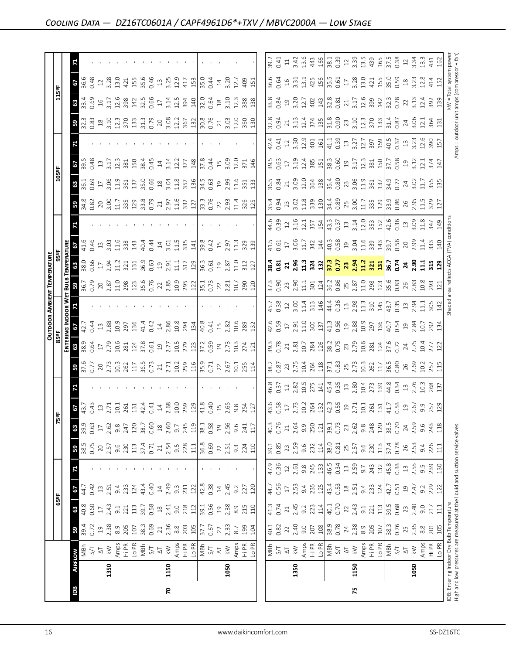|                                                                               |      |                                                                                                                                                                                                                                                                                                                                                                                                                                                                                                                                                                                                                                                                                      |                                                                                                  |                             |                                                                                                                                                                                                                                                                                                                 |                                                                                                                 |                                                                                                    |                                                                                                                                                                                                                                                     |                                                                                                                                                                         |                                                           |                                                                                                                                                                                                                                                                                                                                                   |                                                                                                                                                                                                                                                                                                                                                   |                                                                             |                                                                                                                                                                                                                                | <b>OUTDOOR AMBIENT TEMPERATURE</b> |                                                                                            |                                                                    |                                                                                                                                                                                                                                                                                |                                                                                                                                                                                                                                                                                                                     |                                                                                                                                                                                                                                                                       |                      |                                                                                                                                                                                                                                                                                                               |                                                                                                                                |                                                                                                   |       |
|-------------------------------------------------------------------------------|------|--------------------------------------------------------------------------------------------------------------------------------------------------------------------------------------------------------------------------------------------------------------------------------------------------------------------------------------------------------------------------------------------------------------------------------------------------------------------------------------------------------------------------------------------------------------------------------------------------------------------------------------------------------------------------------------|--------------------------------------------------------------------------------------------------|-----------------------------|-----------------------------------------------------------------------------------------------------------------------------------------------------------------------------------------------------------------------------------------------------------------------------------------------------------------|-----------------------------------------------------------------------------------------------------------------|----------------------------------------------------------------------------------------------------|-----------------------------------------------------------------------------------------------------------------------------------------------------------------------------------------------------------------------------------------------------|-------------------------------------------------------------------------------------------------------------------------------------------------------------------------|-----------------------------------------------------------|---------------------------------------------------------------------------------------------------------------------------------------------------------------------------------------------------------------------------------------------------------------------------------------------------------------------------------------------------|---------------------------------------------------------------------------------------------------------------------------------------------------------------------------------------------------------------------------------------------------------------------------------------------------------------------------------------------------|-----------------------------------------------------------------------------|--------------------------------------------------------------------------------------------------------------------------------------------------------------------------------------------------------------------------------|------------------------------------|--------------------------------------------------------------------------------------------|--------------------------------------------------------------------|--------------------------------------------------------------------------------------------------------------------------------------------------------------------------------------------------------------------------------------------------------------------------------|---------------------------------------------------------------------------------------------------------------------------------------------------------------------------------------------------------------------------------------------------------------------------------------------------------------------|-----------------------------------------------------------------------------------------------------------------------------------------------------------------------------------------------------------------------------------------------------------------------|----------------------|---------------------------------------------------------------------------------------------------------------------------------------------------------------------------------------------------------------------------------------------------------------------------------------------------------------|--------------------------------------------------------------------------------------------------------------------------------|---------------------------------------------------------------------------------------------------|-------|
|                                                                               |      |                                                                                                                                                                                                                                                                                                                                                                                                                                                                                                                                                                                                                                                                                      |                                                                                                  | 65°F                        |                                                                                                                                                                                                                                                                                                                 |                                                                                                                 |                                                                                                    | k,                                                                                                                                                                                                                                                  | 눕                                                                                                                                                                       |                                                           |                                                                                                                                                                                                                                                                                                                                                   |                                                                                                                                                                                                                                                                                                                                                   | 85°F                                                                        |                                                                                                                                                                                                                                |                                    |                                                                                            |                                                                    |                                                                                                                                                                                                                                                                                | 105ºF                                                                                                                                                                                                                                                                                                               |                                                                                                                                                                                                                                                                       |                      |                                                                                                                                                                                                                                                                                                               | 115°F                                                                                                                          |                                                                                                   |       |
|                                                                               |      |                                                                                                                                                                                                                                                                                                                                                                                                                                                                                                                                                                                                                                                                                      |                                                                                                  |                             |                                                                                                                                                                                                                                                                                                                 |                                                                                                                 |                                                                                                    |                                                                                                                                                                                                                                                     |                                                                                                                                                                         |                                                           |                                                                                                                                                                                                                                                                                                                                                   | ENTERI                                                                                                                                                                                                                                                                                                                                            |                                                                             |                                                                                                                                                                                                                                |                                    |                                                                                            |                                                                    |                                                                                                                                                                                                                                                                                |                                                                                                                                                                                                                                                                                                                     |                                                                                                                                                                                                                                                                       |                      |                                                                                                                                                                                                                                                                                                               |                                                                                                                                |                                                                                                   |       |
| Bal                                                                           |      | <b>AIRFLOW</b>                                                                                                                                                                                                                                                                                                                                                                                                                                                                                                                                                                                                                                                                       | $50^{\circ}$                                                                                     | $\frac{8}{9}$ $\frac{6}{9}$ | 29                                                                                                                                                                                                                                                                                                              |                                                                                                                 | $\mathbf{B}$                                                                                       | 63                                                                                                                                                                                                                                                  | $rac{67}{43.7}$                                                                                                                                                         |                                                           | <b>5</b><br>37.6<br>0.77                                                                                                                                                                                                                                                                                                                          | 63                                                                                                                                                                                                                                                                                                                                                | 29                                                                          |                                                                                                                                                                                                                                |                                    |                                                                                            |                                                                    | <b>3</b> 4.8<br>0.82                                                                                                                                                                                                                                                           | $rac{36}{361}$                                                                                                                                                                                                                                                                                                      | $rac{3}{3}$<br>39.38                                                                                                                                                                                                                                                  |                      | $32.3$<br>$0.83$                                                                                                                                                                                                                                                                                              | <b>68</b><br>33.4<br>0.69                                                                                                      | $36.6$<br>3.38                                                                                    |       |
|                                                                               |      | MBh                                                                                                                                                                                                                                                                                                                                                                                                                                                                                                                                                                                                                                                                                  | 39.4<br>0.72                                                                                     |                             | 44.7                                                                                                                                                                                                                                                                                                            |                                                                                                                 | 38.5<br>0.75                                                                                       | 39.9                                                                                                                                                                                                                                                |                                                                                                                                                                         |                                                           |                                                                                                                                                                                                                                                                                                                                                   | 38.9<br>0.64                                                                                                                                                                                                                                                                                                                                      | 42.7<br>0.44                                                                |                                                                                                                                                                                                                                |                                    | 38.0<br>0.66                                                                               |                                                                    |                                                                                                                                                                                                                                                                                |                                                                                                                                                                                                                                                                                                                     |                                                                                                                                                                                                                                                                       |                      |                                                                                                                                                                                                                                                                                                               |                                                                                                                                |                                                                                                   |       |
|                                                                               |      |                                                                                                                                                                                                                                                                                                                                                                                                                                                                                                                                                                                                                                                                                      |                                                                                                  |                             | 0.42                                                                                                                                                                                                                                                                                                            |                                                                                                                 |                                                                                                    | 0.63                                                                                                                                                                                                                                                | 0.43                                                                                                                                                                    |                                                           |                                                                                                                                                                                                                                                                                                                                                   |                                                                                                                                                                                                                                                                                                                                                   |                                                                             |                                                                                                                                                                                                                                |                                    |                                                                                            | 0.46                                                               |                                                                                                                                                                                                                                                                                |                                                                                                                                                                                                                                                                                                                     |                                                                                                                                                                                                                                                                       |                      |                                                                                                                                                                                                                                                                                                               |                                                                                                                                |                                                                                                   |       |
|                                                                               | 1350 | $\frac{1}{\sqrt{2}}\leq \frac{1}{\sqrt{2}}$                                                                                                                                                                                                                                                                                                                                                                                                                                                                                                                                                                                                                                          |                                                                                                  | 2.43<br>$17\,$              | 13.51                                                                                                                                                                                                                                                                                                           |                                                                                                                 | 2.57                                                                                               | $17$<br>$2.62$                                                                                                                                                                                                                                      | $13$<br>$2.71$                                                                                                                                                          |                                                           |                                                                                                                                                                                                                                                                                                                                                   | $17$<br>$2.79$                                                                                                                                                                                                                                                                                                                                    | $\frac{13}{2.88}$                                                           |                                                                                                                                                                                                                                |                                    |                                                                                            | $\frac{13}{3.03}$                                                  |                                                                                                                                                                                                                                                                                |                                                                                                                                                                                                                                                                                                                     | 3.17<br>$13$                                                                                                                                                                                                                                                          |                      |                                                                                                                                                                                                                                                                                                               | 3.17<br>$16$                                                                                                                   | 3.28<br>$\ensuremath{\mathop{\mathit{2}}\nolimits}$                                               |       |
|                                                                               |      |                                                                                                                                                                                                                                                                                                                                                                                                                                                                                                                                                                                                                                                                                      |                                                                                                  | 9.1                         | 9.4                                                                                                                                                                                                                                                                                                             |                                                                                                                 |                                                                                                    |                                                                                                                                                                                                                                                     |                                                                                                                                                                         |                                                           |                                                                                                                                                                                                                                                                                                                                                   |                                                                                                                                                                                                                                                                                                                                                   | 10.9                                                                        |                                                                                                                                                                                                                                |                                    | $17$<br>$2.94$<br>$11.2$<br>$321$                                                          |                                                                    |                                                                                                                                                                                                                                                                                | $\frac{17}{3.06}$                                                                                                                                                                                                                                                                                                   | 12.3                                                                                                                                                                                                                                                                  |                      |                                                                                                                                                                                                                                                                                                               |                                                                                                                                | 13.0                                                                                              |       |
|                                                                               |      |                                                                                                                                                                                                                                                                                                                                                                                                                                                                                                                                                                                                                                                                                      |                                                                                                  | 221                         | 233                                                                                                                                                                                                                                                                                                             |                                                                                                                 |                                                                                                    | $9.8$<br>247                                                                                                                                                                                                                                        | $10.1$<br>$261$                                                                                                                                                         |                                                           |                                                                                                                                                                                                                                                                                                                                                   |                                                                                                                                                                                                                                                                                                                                                   | 297                                                                         |                                                                                                                                                                                                                                |                                    |                                                                                            |                                                                    |                                                                                                                                                                                                                                                                                | 361                                                                                                                                                                                                                                                                                                                 | 381                                                                                                                                                                                                                                                                   |                      |                                                                                                                                                                                                                                                                                                               | 12.6<br>398                                                                                                                    | 421                                                                                               |       |
|                                                                               |      | $\begin{array}{l} \displaystyle \mathop{\mathsf{Amp}}\limits_{\mathsf{H}} \mathop{\mathsf{PR}}\limits_{\mathsf{L}} \mathop{\mathsf{Rmp}}\limits_{\mathsf{L}} \mathop{\mathsf{Rmp}}\limits_{\mathsf{M}} \mathop{\mathsf{Rmp}}\limits_{\mathsf{M}} \end{array}$                                                                                                                                                                                                                                                                                                                                                                                                                        | $\begin{array}{c}\n 19 \\  2.38 \\  8.9 \\  107 \\  8.3 \\  107 \\  38.3 \\  0.69\n \end{array}$ |                             | 124                                                                                                                                                                                                                                                                                                             |                                                                                                                 | $9.6$<br>$230$<br>$113$<br>$37.4$<br>0.71                                                          |                                                                                                                                                                                                                                                     |                                                                                                                                                                         |                                                           |                                                                                                                                                                                                                                                                                                                                                   | $\frac{10.6}{281}$ $\frac{12}{3}$ $\frac{8}{3}$ $\frac{61}{3}$ $\frac{9}{2}$                                                                                                                                                                                                                                                                      |                                                                             |                                                                                                                                                                                                                                |                                    |                                                                                            | $\begin{array}{c c}\n1.6 \\ 3.8 \\ 1.4 \\ 0.4 \\ 1.4\n\end{array}$ |                                                                                                                                                                                                                                                                                |                                                                                                                                                                                                                                                                                                                     | 150                                                                                                                                                                                                                                                                   |                      | $\begin{array}{c} 33.7378 \\ 33.7378 \\ 34.7378 \\ 35.7378 \\ 36.7378 \\ 37.7378 \\ 38.7378 \\ 39.7378 \\ 30.7378 \\ 31.7378 \\ 32.7378 \\ 33.7378 \\ 34.7378 \\ 35.7378 \\ 36.7378 \\ 37.7378 \\ 38.7378 \\ 39.7378 \\ 39.7378 \\ 39.7378 \\ 39.7378 \\ 39.7378 \\ 39.7378 \\ 39.73$                         |                                                                                                                                |                                                                                                   |       |
|                                                                               |      |                                                                                                                                                                                                                                                                                                                                                                                                                                                                                                                                                                                                                                                                                      |                                                                                                  | $\frac{13}{39.58}$          | 43.4                                                                                                                                                                                                                                                                                                            |                                                                                                                 |                                                                                                    | 120<br>38.7                                                                                                                                                                                                                                         | $\frac{131}{42.4}$ $\frac{4}{4}$ $\frac{4}{4}$ $\frac{4}{4}$ $\frac{4}{4}$ $\frac{8}{40}$ $\frac{8}{10}$                                                                |                                                           |                                                                                                                                                                                                                                                                                                                                                   |                                                                                                                                                                                                                                                                                                                                                   | $\frac{136}{41.4}$                                                          |                                                                                                                                                                                                                                |                                    |                                                                                            |                                                                    |                                                                                                                                                                                                                                                                                |                                                                                                                                                                                                                                                                                                                     |                                                                                                                                                                                                                                                                       |                      |                                                                                                                                                                                                                                                                                                               | $\frac{142}{32.5}$                                                                                                             |                                                                                                   |       |
|                                                                               |      |                                                                                                                                                                                                                                                                                                                                                                                                                                                                                                                                                                                                                                                                                      |                                                                                                  |                             | 0.40                                                                                                                                                                                                                                                                                                            |                                                                                                                 |                                                                                                    | 0.60                                                                                                                                                                                                                                                |                                                                                                                                                                         |                                                           |                                                                                                                                                                                                                                                                                                                                                   |                                                                                                                                                                                                                                                                                                                                                   | 0.42                                                                        |                                                                                                                                                                                                                                |                                    |                                                                                            |                                                                    |                                                                                                                                                                                                                                                                                |                                                                                                                                                                                                                                                                                                                     | 38.45<br>0.45                                                                                                                                                                                                                                                         |                      |                                                                                                                                                                                                                                                                                                               |                                                                                                                                |                                                                                                   |       |
|                                                                               |      |                                                                                                                                                                                                                                                                                                                                                                                                                                                                                                                                                                                                                                                                                      | $\overline{21}$                                                                                  |                             |                                                                                                                                                                                                                                                                                                                 |                                                                                                                 | $\gtrsim$                                                                                          | $\overset{\text{\tiny \textsf{SO}}}{\rightarrow}$                                                                                                                                                                                                   |                                                                                                                                                                         |                                                           |                                                                                                                                                                                                                                                                                                                                                   |                                                                                                                                                                                                                                                                                                                                                   |                                                                             |                                                                                                                                                                                                                                |                                    |                                                                                            |                                                                    |                                                                                                                                                                                                                                                                                |                                                                                                                                                                                                                                                                                                                     | $14\,$                                                                                                                                                                                                                                                                |                      |                                                                                                                                                                                                                                                                                                               | $17\,$                                                                                                                         |                                                                                                   |       |
| 20                                                                            | 1150 |                                                                                                                                                                                                                                                                                                                                                                                                                                                                                                                                                                                                                                                                                      |                                                                                                  | $18$<br>$2.41$              | $14$<br>2.49                                                                                                                                                                                                                                                                                                    |                                                                                                                 |                                                                                                    | 2.60                                                                                                                                                                                                                                                |                                                                                                                                                                         |                                                           |                                                                                                                                                                                                                                                                                                                                                   |                                                                                                                                                                                                                                                                                                                                                   | $\frac{14}{2.86}$                                                           |                                                                                                                                                                                                                                |                                    |                                                                                            |                                                                    |                                                                                                                                                                                                                                                                                |                                                                                                                                                                                                                                                                                                                     |                                                                                                                                                                                                                                                                       |                      |                                                                                                                                                                                                                                                                                                               |                                                                                                                                |                                                                                                   |       |
|                                                                               |      |                                                                                                                                                                                                                                                                                                                                                                                                                                                                                                                                                                                                                                                                                      |                                                                                                  |                             | $9.\overline{3}$                                                                                                                                                                                                                                                                                                |                                                                                                                 |                                                                                                    | $\overline{9}$ .7                                                                                                                                                                                                                                   |                                                                                                                                                                         |                                                           |                                                                                                                                                                                                                                                                                                                                                   |                                                                                                                                                                                                                                                                                                                                                   | 10.8                                                                        |                                                                                                                                                                                                                                |                                    |                                                                                            |                                                                    |                                                                                                                                                                                                                                                                                |                                                                                                                                                                                                                                                                                                                     |                                                                                                                                                                                                                                                                       |                      |                                                                                                                                                                                                                                                                                                               |                                                                                                                                |                                                                                                   |       |
|                                                                               |      | $\begin{array}{c}\n\text{Amps} \\ \text{Hi PR} \\ \hline\n\text{MBR} \\ \text{MBr} \\ \text{S/T} \\ \hline\n\end{array}$                                                                                                                                                                                                                                                                                                                                                                                                                                                                                                                                                             | $2.36$<br>$8.8$<br>$203$<br>$105$                                                                | $9.0$<br>$2.12$<br>$1.12$   | 231                                                                                                                                                                                                                                                                                                             |                                                                                                                 | $2.54$<br>$9.5$<br>$2.28$<br>$11$                                                                  | 245                                                                                                                                                                                                                                                 | 259                                                                                                                                                                     |                                                           |                                                                                                                                                                                                                                                                                                                                                   | $2.77$<br>$10.5$<br>$27$<br>$21$<br>$37.3$<br>$30.59$                                                                                                                                                                                                                                                                                             | 294<br>134                                                                  |                                                                                                                                                                                                                                |                                    |                                                                                            | $3.01$<br>$1.5$ $3.3$<br>$1.5$<br>$1.5$<br>$3.3$                   |                                                                                                                                                                                                                                                                                | $\frac{1}{3}$ $\frac{1}{3}$ $\frac{1}{3}$ $\frac{1}{3}$ $\frac{1}{3}$ $\frac{1}{3}$ $\frac{1}{3}$ $\frac{1}{3}$ $\frac{1}{3}$ $\frac{1}{3}$ $\frac{1}{3}$ $\frac{1}{3}$ $\frac{1}{3}$ $\frac{1}{3}$ $\frac{1}{3}$ $\frac{1}{3}$ $\frac{1}{3}$ $\frac{1}{3}$ $\frac{1}{3}$ $\frac{1}{3}$ $\frac{1}{3}$ $\frac{1}{3}$ | $3.14$<br>$12.2$<br>$377$<br>$148$                                                                                                                                                                                                                                    |                      |                                                                                                                                                                                                                                                                                                               | $\frac{3.14}{2.3}$ $\frac{3.49}{2.0}$ $\frac{10}{2.5}$ $\frac{3.59}{2.5}$ $\frac{40}{2.5}$ $\frac{10}{2.5}$ $\frac{3.59}{2.5}$ | $\frac{155}{35.6}$ $\frac{6}{35}$ $\frac{45}{35}$ $\frac{35}{35}$ $\frac{35}{35}$ $\frac{35}{45}$ |       |
|                                                                               |      |                                                                                                                                                                                                                                                                                                                                                                                                                                                                                                                                                                                                                                                                                      |                                                                                                  |                             | 122                                                                                                                                                                                                                                                                                                             |                                                                                                                 |                                                                                                    | 119                                                                                                                                                                                                                                                 | 129                                                                                                                                                                     |                                                           |                                                                                                                                                                                                                                                                                                                                                   |                                                                                                                                                                                                                                                                                                                                                   |                                                                             |                                                                                                                                                                                                                                |                                    |                                                                                            |                                                                    |                                                                                                                                                                                                                                                                                |                                                                                                                                                                                                                                                                                                                     |                                                                                                                                                                                                                                                                       |                      |                                                                                                                                                                                                                                                                                                               |                                                                                                                                |                                                                                                   |       |
|                                                                               |      |                                                                                                                                                                                                                                                                                                                                                                                                                                                                                                                                                                                                                                                                                      | 37.7                                                                                             |                             |                                                                                                                                                                                                                                                                                                                 |                                                                                                                 | 36.8<br>0.69                                                                                       |                                                                                                                                                                                                                                                     | 41.8                                                                                                                                                                    |                                                           |                                                                                                                                                                                                                                                                                                                                                   |                                                                                                                                                                                                                                                                                                                                                   | $\frac{8}{40.8}$<br>0.41<br>15<br>2.82                                      |                                                                                                                                                                                                                                |                                    |                                                                                            |                                                                    |                                                                                                                                                                                                                                                                                |                                                                                                                                                                                                                                                                                                                     | $\frac{37.8}{0.44}$                                                                                                                                                                                                                                                   |                      |                                                                                                                                                                                                                                                                                                               |                                                                                                                                | $\frac{5}{35}$                                                                                    |       |
|                                                                               |      |                                                                                                                                                                                                                                                                                                                                                                                                                                                                                                                                                                                                                                                                                      |                                                                                                  | 39.1<br>0.56                | 42.8<br>0.38                                                                                                                                                                                                                                                                                                    |                                                                                                                 |                                                                                                    | 38.1<br>0.58                                                                                                                                                                                                                                        | 0.40                                                                                                                                                                    |                                                           |                                                                                                                                                                                                                                                                                                                                                   |                                                                                                                                                                                                                                                                                                                                                   |                                                                             |                                                                                                                                                                                                                                |                                    |                                                                                            |                                                                    |                                                                                                                                                                                                                                                                                |                                                                                                                                                                                                                                                                                                                     |                                                                                                                                                                                                                                                                       |                      |                                                                                                                                                                                                                                                                                                               |                                                                                                                                | 0.44                                                                                              |       |
|                                                                               |      |                                                                                                                                                                                                                                                                                                                                                                                                                                                                                                                                                                                                                                                                                      | $\mathfrak{Z}$                                                                                   |                             |                                                                                                                                                                                                                                                                                                                 |                                                                                                                 |                                                                                                    | $\overline{c}$                                                                                                                                                                                                                                      | $15$                                                                                                                                                                    |                                                           |                                                                                                                                                                                                                                                                                                                                                   |                                                                                                                                                                                                                                                                                                                                                   |                                                                             |                                                                                                                                                                                                                                |                                    |                                                                                            |                                                                    |                                                                                                                                                                                                                                                                                |                                                                                                                                                                                                                                                                                                                     | $\overline{15}$                                                                                                                                                                                                                                                       |                      |                                                                                                                                                                                                                                                                                                               |                                                                                                                                |                                                                                                   |       |
|                                                                               | 1050 | $\lesssim$                                                                                                                                                                                                                                                                                                                                                                                                                                                                                                                                                                                                                                                                           | 2.33                                                                                             | $19^{2}$                    | $14$<br>2.45                                                                                                                                                                                                                                                                                                    |                                                                                                                 | 2.51                                                                                               | 2.56                                                                                                                                                                                                                                                | 2.65                                                                                                                                                                    |                                                           |                                                                                                                                                                                                                                                                                                                                                   |                                                                                                                                                                                                                                                                                                                                                   |                                                                             |                                                                                                                                                                                                                                |                                    |                                                                                            | $0.42$<br>15<br>2.97                                               |                                                                                                                                                                                                                                                                                |                                                                                                                                                                                                                                                                                                                     |                                                                                                                                                                                                                                                                       |                      |                                                                                                                                                                                                                                                                                                               |                                                                                                                                | $\frac{14}{3.20}$                                                                                 |       |
|                                                                               |      |                                                                                                                                                                                                                                                                                                                                                                                                                                                                                                                                                                                                                                                                                      | $8.7\,$                                                                                          |                             |                                                                                                                                                                                                                                                                                                                 |                                                                                                                 |                                                                                                    |                                                                                                                                                                                                                                                     | 9.8                                                                                                                                                                     |                                                           |                                                                                                                                                                                                                                                                                                                                                   |                                                                                                                                                                                                                                                                                                                                                   |                                                                             |                                                                                                                                                                                                                                |                                    |                                                                                            |                                                                    |                                                                                                                                                                                                                                                                                |                                                                                                                                                                                                                                                                                                                     |                                                                                                                                                                                                                                                                       |                      |                                                                                                                                                                                                                                                                                                               |                                                                                                                                | 12.7                                                                                              |       |
|                                                                               |      | Amps<br>Hi PR<br>Lo PR                                                                                                                                                                                                                                                                                                                                                                                                                                                                                                                                                                                                                                                               |                                                                                                  | 8.9<br>215<br>110           | 9.2<br>227<br>120                                                                                                                                                                                                                                                                                               |                                                                                                                 | 9.3<br>224<br>110                                                                                  | 9.6<br>241<br>117                                                                                                                                                                                                                                   |                                                                                                                                                                         |                                                           | 2.67<br>10.1<br>114                                                                                                                                                                                                                                                                                                                               | $2,73$<br>$2,73$<br>$2,71$<br>$2,71$                                                                                                                                                                                                                                                                                                              | 10.6<br>289<br>132                                                          |                                                                                                                                                                                                                                |                                    |                                                                                            | 11.3<br>329<br>139                                                 | $23.93$<br>$2.934$<br>$3.25$<br>$3.25$                                                                                                                                                                                                                                         |                                                                                                                                                                                                                                                                                                                     | $3.09$<br>$12.0$<br>$371$                                                                                                                                                                                                                                             |                      |                                                                                                                                                                                                                                                                                                               | 12.3<br>388<br>138                                                                                                             | 409                                                                                               |       |
|                                                                               |      |                                                                                                                                                                                                                                                                                                                                                                                                                                                                                                                                                                                                                                                                                      | 199<br>104                                                                                       |                             |                                                                                                                                                                                                                                                                                                                 |                                                                                                                 |                                                                                                    |                                                                                                                                                                                                                                                     | 254<br>127                                                                                                                                                              |                                                           |                                                                                                                                                                                                                                                                                                                                                   |                                                                                                                                                                                                                                                                                                                                                   |                                                                             |                                                                                                                                                                                                                                |                                    |                                                                                            |                                                                    |                                                                                                                                                                                                                                                                                |                                                                                                                                                                                                                                                                                                                     | 146                                                                                                                                                                                                                                                                   |                      |                                                                                                                                                                                                                                                                                                               |                                                                                                                                | 151                                                                                               |       |
|                                                                               |      |                                                                                                                                                                                                                                                                                                                                                                                                                                                                                                                                                                                                                                                                                      |                                                                                                  |                             |                                                                                                                                                                                                                                                                                                                 |                                                                                                                 |                                                                                                    |                                                                                                                                                                                                                                                     |                                                                                                                                                                         |                                                           |                                                                                                                                                                                                                                                                                                                                                   |                                                                                                                                                                                                                                                                                                                                                   |                                                                             |                                                                                                                                                                                                                                |                                    |                                                                                            |                                                                    |                                                                                                                                                                                                                                                                                |                                                                                                                                                                                                                                                                                                                     |                                                                                                                                                                                                                                                                       |                      |                                                                                                                                                                                                                                                                                                               |                                                                                                                                |                                                                                                   |       |
|                                                                               |      |                                                                                                                                                                                                                                                                                                                                                                                                                                                                                                                                                                                                                                                                                      |                                                                                                  |                             |                                                                                                                                                                                                                                                                                                                 |                                                                                                                 |                                                                                                    |                                                                                                                                                                                                                                                     |                                                                                                                                                                         |                                                           |                                                                                                                                                                                                                                                                                                                                                   |                                                                                                                                                                                                                                                                                                                                                   | 42.6                                                                        |                                                                                                                                                                                                                                |                                    |                                                                                            | 41.5                                                               | 35.4                                                                                                                                                                                                                                                                           | 36.5                                                                                                                                                                                                                                                                                                                | 39.5                                                                                                                                                                                                                                                                  |                      |                                                                                                                                                                                                                                                                                                               |                                                                                                                                | 36.6                                                                                              | 39.2  |
|                                                                               |      |                                                                                                                                                                                                                                                                                                                                                                                                                                                                                                                                                                                                                                                                                      | 40.1<br>0.82                                                                                     | $41.3$<br>0.74              | 44.7<br>0.56                                                                                                                                                                                                                                                                                                    |                                                                                                                 | 39.1<br>0.85                                                                                       | 40.3<br>0.76                                                                                                                                                                                                                                        |                                                                                                                                                                         | 46.8<br>0.37                                              |                                                                                                                                                                                                                                                                                                                                                   | 39.3<br>0.78                                                                                                                                                                                                                                                                                                                                      |                                                                             |                                                                                                                                                                                                                                |                                    |                                                                                            |                                                                    |                                                                                                                                                                                                                                                                                | 0.84                                                                                                                                                                                                                                                                                                                | 0.63                                                                                                                                                                                                                                                                  |                      | $32.8$<br>0.94                                                                                                                                                                                                                                                                                                |                                                                                                                                |                                                                                                   | 0.41  |
|                                                                               |      | $\frac{1}{2}$<br>$\frac{1}{2}$<br>$\frac{1}{2}$                                                                                                                                                                                                                                                                                                                                                                                                                                                                                                                                                                                                                                      |                                                                                                  | $\mathbf{21}$               | $17\,$                                                                                                                                                                                                                                                                                                          | $47.9$<br>0.36<br>12                                                                                            |                                                                                                    | $21\,$                                                                                                                                                                                                                                              | $43.6$<br>0.58<br>17                                                                                                                                                    |                                                           | 38.2<br>0.87<br>23                                                                                                                                                                                                                                                                                                                                | 21                                                                                                                                                                                                                                                                                                                                                | $0.59$<br>17                                                                |                                                                                                                                                                                                                                |                                    |                                                                                            |                                                                    |                                                                                                                                                                                                                                                                                |                                                                                                                                                                                                                                                                                                                     | $\overline{\mathbb{L}}$                                                                                                                                                                                                                                               | $42.4$<br>0.41<br>12 |                                                                                                                                                                                                                                                                                                               |                                                                                                                                |                                                                                                   | $\Xi$ |
|                                                                               | 1350 |                                                                                                                                                                                                                                                                                                                                                                                                                                                                                                                                                                                                                                                                                      |                                                                                                  | 2.45                        | 2.53                                                                                                                                                                                                                                                                                                            |                                                                                                                 | 23<br>2.59                                                                                         | 2.64                                                                                                                                                                                                                                                |                                                                                                                                                                         |                                                           |                                                                                                                                                                                                                                                                                                                                                   |                                                                                                                                                                                                                                                                                                                                                   |                                                                             |                                                                                                                                                                                                                                |                                    |                                                                                            |                                                                    |                                                                                                                                                                                                                                                                                |                                                                                                                                                                                                                                                                                                                     |                                                                                                                                                                                                                                                                       |                      |                                                                                                                                                                                                                                                                                                               |                                                                                                                                |                                                                                                   |       |
|                                                                               |      |                                                                                                                                                                                                                                                                                                                                                                                                                                                                                                                                                                                                                                                                                      | $2,40$<br>$9.0$                                                                                  | 9.2                         | 9.4                                                                                                                                                                                                                                                                                                             | $2.61$<br>9.8                                                                                                   | 9.6<br>232                                                                                         | 9.9                                                                                                                                                                                                                                                 |                                                                                                                                                                         | $12$<br>$2.82$<br>$10.5$<br>$275$                         |                                                                                                                                                                                                                                                                                                                                                   |                                                                                                                                                                                                                                                                                                                                                   |                                                                             |                                                                                                                                                                                                                                |                                    |                                                                                            |                                                                    |                                                                                                                                                                                                                                                                                |                                                                                                                                                                                                                                                                                                                     |                                                                                                                                                                                                                                                                       |                      |                                                                                                                                                                                                                                                                                                               |                                                                                                                                |                                                                                                   |       |
|                                                                               |      |                                                                                                                                                                                                                                                                                                                                                                                                                                                                                                                                                                                                                                                                                      |                                                                                                  |                             |                                                                                                                                                                                                                                                                                                                 |                                                                                                                 |                                                                                                    |                                                                                                                                                                                                                                                     |                                                                                                                                                                         |                                                           |                                                                                                                                                                                                                                                                                                                                                   |                                                                                                                                                                                                                                                                                                                                                   |                                                                             |                                                                                                                                                                                                                                |                                    |                                                                                            |                                                                    |                                                                                                                                                                                                                                                                                |                                                                                                                                                                                                                                                                                                                     |                                                                                                                                                                                                                                                                       |                      |                                                                                                                                                                                                                                                                                                               |                                                                                                                                |                                                                                                   |       |
|                                                                               |      | $\begin{array}{l} \displaystyle \mathop{\rm Amp}\limits_{\displaystyle \leftarrow} \mathop{\rm BFR}\limits_{\displaystyle \leftarrow} \mathop{\rm BFR}\limits_{\displaystyle \leftarrow} \mathop{\rm MFR}\limits_{\displaystyle \leftarrow} \mathop{\rm MFR}\limits_{\displaystyle \leftarrow} \mathop{\rm MFR}\limits_{\displaystyle \leftarrow} \mathop{\rm MFR}\limits_{\displaystyle \leftarrow} \mathop{\rm MFR}\limits_{\displaystyle \leftarrow} \mathop{\rm MFR}\limits_{\displaystyle \leftarrow} \mathop{\rm MFR}\limits_{\displaystyle \leftarrow} \mathop{\rm MFR}\limits_{\displaystyle \leftarrow} \mathop{\rm MFR}\limits_{\displaystyle \leftarrow} \mathop{\rm MFR$ | $\frac{207}{108}$                                                                                | 223                         |                                                                                                                                                                                                                                                                                                                 |                                                                                                                 |                                                                                                    |                                                                                                                                                                                                                                                     |                                                                                                                                                                         |                                                           |                                                                                                                                                                                                                                                                                                                                                   |                                                                                                                                                                                                                                                                                                                                                   |                                                                             |                                                                                                                                                                                                                                |                                    |                                                                                            |                                                                    |                                                                                                                                                                                                                                                                                |                                                                                                                                                                                                                                                                                                                     |                                                                                                                                                                                                                                                                       |                      |                                                                                                                                                                                                                                                                                                               |                                                                                                                                |                                                                                                   |       |
|                                                                               |      |                                                                                                                                                                                                                                                                                                                                                                                                                                                                                                                                                                                                                                                                                      |                                                                                                  | 40.1                        |                                                                                                                                                                                                                                                                                                                 |                                                                                                                 |                                                                                                    |                                                                                                                                                                                                                                                     |                                                                                                                                                                         |                                                           |                                                                                                                                                                                                                                                                                                                                                   |                                                                                                                                                                                                                                                                                                                                                   |                                                                             |                                                                                                                                                                                                                                |                                    |                                                                                            |                                                                    |                                                                                                                                                                                                                                                                                |                                                                                                                                                                                                                                                                                                                     |                                                                                                                                                                                                                                                                       |                      |                                                                                                                                                                                                                                                                                                               |                                                                                                                                |                                                                                                   |       |
|                                                                               |      |                                                                                                                                                                                                                                                                                                                                                                                                                                                                                                                                                                                                                                                                                      |                                                                                                  |                             |                                                                                                                                                                                                                                                                                                                 |                                                                                                                 |                                                                                                    |                                                                                                                                                                                                                                                     |                                                                                                                                                                         |                                                           |                                                                                                                                                                                                                                                                                                                                                   |                                                                                                                                                                                                                                                                                                                                                   |                                                                             |                                                                                                                                                                                                                                |                                    |                                                                                            |                                                                    |                                                                                                                                                                                                                                                                                |                                                                                                                                                                                                                                                                                                                     |                                                                                                                                                                                                                                                                       |                      |                                                                                                                                                                                                                                                                                                               |                                                                                                                                |                                                                                                   |       |
|                                                                               |      |                                                                                                                                                                                                                                                                                                                                                                                                                                                                                                                                                                                                                                                                                      |                                                                                                  |                             |                                                                                                                                                                                                                                                                                                                 |                                                                                                                 |                                                                                                    |                                                                                                                                                                                                                                                     |                                                                                                                                                                         |                                                           |                                                                                                                                                                                                                                                                                                                                                   |                                                                                                                                                                                                                                                                                                                                                   |                                                                             |                                                                                                                                                                                                                                |                                    |                                                                                            |                                                                    |                                                                                                                                                                                                                                                                                |                                                                                                                                                                                                                                                                                                                     |                                                                                                                                                                                                                                                                       |                      |                                                                                                                                                                                                                                                                                                               |                                                                                                                                |                                                                                                   |       |
| 75                                                                            | 1150 |                                                                                                                                                                                                                                                                                                                                                                                                                                                                                                                                                                                                                                                                                      |                                                                                                  | $2,43$<br>9.1<br>9.1        |                                                                                                                                                                                                                                                                                                                 |                                                                                                                 |                                                                                                    |                                                                                                                                                                                                                                                     |                                                                                                                                                                         |                                                           |                                                                                                                                                                                                                                                                                                                                                   |                                                                                                                                                                                                                                                                                                                                                   |                                                                             |                                                                                                                                                                                                                                |                                    |                                                                                            |                                                                    |                                                                                                                                                                                                                                                                                |                                                                                                                                                                                                                                                                                                                     |                                                                                                                                                                                                                                                                       |                      |                                                                                                                                                                                                                                                                                                               |                                                                                                                                |                                                                                                   |       |
|                                                                               |      |                                                                                                                                                                                                                                                                                                                                                                                                                                                                                                                                                                                                                                                                                      |                                                                                                  |                             |                                                                                                                                                                                                                                                                                                                 |                                                                                                                 |                                                                                                    |                                                                                                                                                                                                                                                     |                                                                                                                                                                         |                                                           |                                                                                                                                                                                                                                                                                                                                                   |                                                                                                                                                                                                                                                                                                                                                   |                                                                             |                                                                                                                                                                                                                                |                                    |                                                                                            |                                                                    |                                                                                                                                                                                                                                                                                |                                                                                                                                                                                                                                                                                                                     |                                                                                                                                                                                                                                                                       |                      |                                                                                                                                                                                                                                                                                                               |                                                                                                                                |                                                                                                   |       |
|                                                                               |      | Amps<br>Hi PR<br>Lo PR                                                                                                                                                                                                                                                                                                                                                                                                                                                                                                                                                                                                                                                               | $74$<br>$2.38$<br>$8.9$<br>$205$                                                                 |                             | $\begin{bmatrix} 235 \\ 125 \\ 43.5 \\ 0.53 \\ 0.53 \\ 0.54 \\ 0.53 \\ 0.54 \\ 0.24 \\ 0.24 \\ 0.24 \\ 0.25 \\ 0.24 \\ 0.24 \\ 0.25 \\ 0.24 \\ 0.24 \\ 0.25 \\ 0.24 \\ 0.25 \\ 0.25 \\ 0.24 \\ 0.25 \\ 0.25 \\ 0.26 \\ 0.27 \\ 0.28 \\ 0.29 \\ 0.29 \\ 0.29 \\ 0.29 \\ 0.29 \\ 0.29 \\ 0.29 \\ 0.29 \\ 0.29 \\$ | $\begin{array}{c c}\n 245 \\  131 \\  465 \\  341 \\  451 \\  542 \\  653 \\  754 \\  742 \\  86\n \end{array}$ | $\frac{114}{380}$ $\frac{1380}{381}$ $\frac{25}{35}$ $\frac{5}{35}$ $\frac{5}{35}$ $\frac{13}{25}$ | $250$ $\frac{1}{3}$ $\frac{1}{3}$ $\frac{1}{3}$ $\frac{1}{2}$ $\frac{1}{2}$ $\frac{1}{2}$ $\frac{1}{2}$ $\frac{1}{2}$ $\frac{1}{2}$ $\frac{1}{2}$ $\frac{1}{2}$ $\frac{1}{2}$ $\frac{1}{2}$ $\frac{1}{2}$ $\frac{1}{2}$ $\frac{1}{2}$ $\frac{1}{2}$ | $\frac{2}{3}$ $\frac{2}{3}$ $\frac{4}{3}$ $\frac{2}{3}$ $\frac{5}{3}$ $\frac{5}{3}$ $\frac{5}{3}$ $\frac{1}{3}$ $\frac{1}{3}$ $\frac{1}{3}$ $\frac{1}{3}$ $\frac{1}{3}$ | $\frac{141}{45.35}$ $\frac{43}{12.80}$ $\frac{28}{12.73}$ |                                                                                                                                                                                                                                                                                                                                                   |                                                                                                                                                                                                                                                                                                                                                   | $2.51387$<br>$2.587$<br>$2.597$<br>$2.598$<br>$2.597$<br>$2.597$<br>$2.597$ |                                                                                                                                                                                                                                |                                    |                                                                                            |                                                                    |                                                                                                                                                                                                                                                                                |                                                                                                                                                                                                                                                                                                                     |                                                                                                                                                                                                                                                                       |                      |                                                                                                                                                                                                                                                                                                               |                                                                                                                                |                                                                                                   |       |
|                                                                               |      |                                                                                                                                                                                                                                                                                                                                                                                                                                                                                                                                                                                                                                                                                      |                                                                                                  | $113$                       |                                                                                                                                                                                                                                                                                                                 |                                                                                                                 |                                                                                                    |                                                                                                                                                                                                                                                     |                                                                                                                                                                         |                                                           | $\begin{array}{c}\n 1.73 \\  1.74 \\  2.83 \\  3.75 \\  3.83 \\  3.73 \\  3.93 \\  3.93 \\  3.93 \\  3.93 \\  3.93 \\  3.93 \\  3.93 \\  3.93 \\  3.93 \\  3.93 \\  3.93 \\  3.93 \\  3.93 \\  3.93 \\  3.93 \\  3.93 \\  3.93 \\  3.93 \\  3.93 \\  3.93 \\  3.93 \\  3.93 \\  3.93 \\  3.93 \\  3.93 \\  3.93 \\  3.93 \\  3.93 \\  3.93 \\  3$ | $\begin{array}{c}\n 2.31 \\  2.31 \\  2.34 \\  2.45 \\  2.54 \\  2.55 \\  2.55 \\  2.57 \\  2.57 \\  2.57 \\  2.57 \\  2.57 \\  2.57 \\  2.57 \\  2.57 \\  2.57 \\  2.57 \\  2.57 \\  2.57 \\  2.57 \\  2.57 \\  2.57 \\  2.57 \\  2.57 \\  2.57 \\  2.57 \\  2.57 \\  2.57 \\  2.57 \\  2.57 \\  2.57 \\  2.57 \\  2.57 \\  2.57 \\  2.57 \\  2$ |                                                                             | $45.8$ $25.8$ $25.4$ $35.4$ $45.8$ $35.4$ $35.4$ $45.8$ $35.4$ $35.4$ $35.4$ $35.4$ $35.4$ $35.4$ $35.4$ $35.4$ $35.4$ $35.4$ $35.4$ $35.4$ $35.4$ $35.4$ $35.4$ $35.4$ $35.4$ $35.4$ $35.4$ $35.4$ $35.4$ $35.4$ $35.4$ $35.$ |                                    | ឌី ឌី ដ ឌី ដី ឌី ង <mark>ី ដី ដូ ង ខ្ញុំ ដូ ង ដ</mark> ន្ត្រី ដូ ង ខ្ញុំ ដូ ង ន្ទី ដូ ង ទី |                                                                    | $\begin{array}{c} 23.676 & 24.676 \\ 25.676 & 25.676 \\ 25.676 & 25.676 \\ 25.676 & 25.676 \\ 25.676 & 25.676 \\ 25.676 & 25.676 \\ 25.676 & 25.676 \\ 25.676 & 25.676 \\ 25.676 & 25.676 \\ 25.676 & 25.676 \\ 25.676 & 25.676 \\ 25.676 & 25.676 \\ 25.676 & 25.676 \\ 25.6$ | $\frac{1}{2}$ $\frac{3}{2}$ $\frac{3}{2}$ $\frac{1}{2}$ $\frac{1}{2}$ $\frac{3}{2}$ $\frac{1}{2}$ $\frac{1}{2}$ $\frac{3}{2}$ $\frac{1}{2}$ $\frac{1}{2}$ $\frac{1}{2}$ $\frac{1}{2}$ $\frac{1}{2}$ $\frac{1}{2}$ $\frac{1}{2}$ $\frac{1}{2}$ $\frac{1}{2}$ $\frac{1}{2}$ $\frac{1}{2}$ $\frac{1}{2}$ $\frac{1}{2}$ | $\begin{array}{c} 21.71 & 22.71 & 23.71 & 24.71 & 25.71 & 26.71 & 27.71 & 28.71 & 27.71 & 28.71 & 27.71 & 28.71 & 29.71 & 20.71 & 27.71 & 28.71 & 29.71 & 20.71 & 20.71 & 20.71 & 20.71 & 20.71 & 20.71 & 20.71 & 20.71 & 20.71 & 20.71 & 20.71 & 20.71 & 20.71 & 20$ |                      |                                                                                                                                                                                                                                                                                                               |                                                                                                                                |                                                                                                   |       |
|                                                                               |      | 지<br>S/T                                                                                                                                                                                                                                                                                                                                                                                                                                                                                                                                                                                                                                                                             | 38.3<br>0.76                                                                                     | 39.5<br>0.68                |                                                                                                                                                                                                                                                                                                                 |                                                                                                                 | $\frac{37.4}{0.78}$                                                                                | 38.5<br>0.70                                                                                                                                                                                                                                        |                                                                                                                                                                         | $\frac{44.8}{0.34}$                                       |                                                                                                                                                                                                                                                                                                                                                   |                                                                                                                                                                                                                                                                                                                                                   |                                                                             |                                                                                                                                                                                                                                |                                    |                                                                                            |                                                                    |                                                                                                                                                                                                                                                                                |                                                                                                                                                                                                                                                                                                                     |                                                                                                                                                                                                                                                                       |                      |                                                                                                                                                                                                                                                                                                               | $\frac{32.3}{0.78}$                                                                                                            |                                                                                                   |       |
|                                                                               |      | $\overline{\Delta}$                                                                                                                                                                                                                                                                                                                                                                                                                                                                                                                                                                                                                                                                  |                                                                                                  |                             | $42.7$<br>0.51<br>19<br>2.47                                                                                                                                                                                                                                                                                    |                                                                                                                 |                                                                                                    | $24\,$                                                                                                                                                                                                                                              | $\sqrt{4.7}$<br>0.53<br>2.67                                                                                                                                            |                                                           |                                                                                                                                                                                                                                                                                                                                                   |                                                                                                                                                                                                                                                                                                                                                   | $\frac{10.7}{9.54}$<br>0.54<br>2.84                                         |                                                                                                                                                                                                                                |                                    |                                                                                            |                                                                    |                                                                                                                                                                                                                                                                                |                                                                                                                                                                                                                                                                                                                     |                                                                                                                                                                                                                                                                       |                      |                                                                                                                                                                                                                                                                                                               |                                                                                                                                |                                                                                                   |       |
|                                                                               | 1050 | $\overline{\mathsf{k}\mathsf{w}}$                                                                                                                                                                                                                                                                                                                                                                                                                                                                                                                                                                                                                                                    | 25<br>2.35                                                                                       | $23$<br>$2.40$              |                                                                                                                                                                                                                                                                                                                 |                                                                                                                 | 2.53                                                                                               | 2.59                                                                                                                                                                                                                                                |                                                                                                                                                                         | 13.76                                                     |                                                                                                                                                                                                                                                                                                                                                   |                                                                                                                                                                                                                                                                                                                                                   |                                                                             |                                                                                                                                                                                                                                |                                    |                                                                                            |                                                                    |                                                                                                                                                                                                                                                                                |                                                                                                                                                                                                                                                                                                                     |                                                                                                                                                                                                                                                                       |                      |                                                                                                                                                                                                                                                                                                               | $\frac{22}{3.13}$                                                                                                              |                                                                                                   |       |
|                                                                               |      |                                                                                                                                                                                                                                                                                                                                                                                                                                                                                                                                                                                                                                                                                      |                                                                                                  | 9.0                         | 9.2                                                                                                                                                                                                                                                                                                             |                                                                                                                 |                                                                                                    | 9.6                                                                                                                                                                                                                                                 |                                                                                                                                                                         |                                                           |                                                                                                                                                                                                                                                                                                                                                   |                                                                                                                                                                                                                                                                                                                                                   |                                                                             |                                                                                                                                                                                                                                |                                    |                                                                                            |                                                                    |                                                                                                                                                                                                                                                                                |                                                                                                                                                                                                                                                                                                                     |                                                                                                                                                                                                                                                                       |                      |                                                                                                                                                                                                                                                                                                               |                                                                                                                                |                                                                                                   |       |
|                                                                               |      | Amps<br>Hi PR                                                                                                                                                                                                                                                                                                                                                                                                                                                                                                                                                                                                                                                                        | $8.8$<br>201                                                                                     | 217                         |                                                                                                                                                                                                                                                                                                                 |                                                                                                                 |                                                                                                    |                                                                                                                                                                                                                                                     |                                                                                                                                                                         |                                                           |                                                                                                                                                                                                                                                                                                                                                   |                                                                                                                                                                                                                                                                                                                                                   |                                                                             |                                                                                                                                                                                                                                |                                    |                                                                                            |                                                                    |                                                                                                                                                                                                                                                                                |                                                                                                                                                                                                                                                                                                                     |                                                                                                                                                                                                                                                                       |                      | $\begin{array}{c} 1.4 \\ 0.87 \\ 0.87 \\ 0.94 \\ 0.51 \\ 0.74 \\ 0.05 \\ 0.11 \\ 0.81 \\ 0.11 \\ 0.13 \\ 0.13 \\ 0.13 \\ 0.13 \\ 0.13 \\ 0.13 \\ 0.13 \\ 0.13 \\ 0.13 \\ 0.13 \\ 0.13 \\ 0.13 \\ 0.13 \\ 0.13 \\ 0.13 \\ 0.13 \\ 0.13 \\ 0.13 \\ 0.13 \\ 0.13 \\ 0.13 \\ 0.13 \\ 0.13 \\ 0.13 \\ 0.13 \\ 0.1$ |                                                                                                                                |                                                                                                   |       |
|                                                                               |      | Lo PR                                                                                                                                                                                                                                                                                                                                                                                                                                                                                                                                                                                                                                                                                | 105                                                                                              | $\Xi$                       | 229<br>122                                                                                                                                                                                                                                                                                                      | $45.8$<br>$0.33$<br>$21.5$<br>$0.5$<br>$0.5$<br>$0.33$<br>$0.130$                                               | 9.4<br>226<br>111                                                                                  | 243<br>118                                                                                                                                                                                                                                          | 9.57<br>257<br>129                                                                                                                                                      | 10.3<br>268<br>137                                        | 10.2<br>257<br>115                                                                                                                                                                                                                                                                                                                                | $24$<br>$2.75$<br>$2.77$<br>$2.72$                                                                                                                                                                                                                                                                                                                | 10.7<br>292<br>134                                                          | 142                                                                                                                                                                                                                            |                                    |                                                                                            | 140                                                                |                                                                                                                                                                                                                                                                                |                                                                                                                                                                                                                                                                                                                     |                                                                                                                                                                                                                                                                       | 12.6<br>390<br>157   |                                                                                                                                                                                                                                                                                                               | $12.4$<br>392<br>139                                                                                                           | 12.8<br>414<br>152                                                                                |       |
|                                                                               |      | IDB: Entering Indoor Dry Bulb Temperature                                                                                                                                                                                                                                                                                                                                                                                                                                                                                                                                                                                                                                            |                                                                                                  |                             |                                                                                                                                                                                                                                                                                                                 |                                                                                                                 |                                                                                                    |                                                                                                                                                                                                                                                     |                                                                                                                                                                         |                                                           |                                                                                                                                                                                                                                                                                                                                                   |                                                                                                                                                                                                                                                                                                                                                   |                                                                             | haded                                                                                                                                                                                                                          | rea refle                          | cts ACCA                                                                                   | (TVA) condition                                                    |                                                                                                                                                                                                                                                                                |                                                                                                                                                                                                                                                                                                                     |                                                                                                                                                                                                                                                                       |                      |                                                                                                                                                                                                                                                                                                               |                                                                                                                                | otal system                                                                                       | powe  |
| High and low pressures are measured at the liquid and suction service valves. |      |                                                                                                                                                                                                                                                                                                                                                                                                                                                                                                                                                                                                                                                                                      |                                                                                                  |                             |                                                                                                                                                                                                                                                                                                                 |                                                                                                                 |                                                                                                    |                                                                                                                                                                                                                                                     |                                                                                                                                                                         |                                                           |                                                                                                                                                                                                                                                                                                                                                   |                                                                                                                                                                                                                                                                                                                                                   |                                                                             |                                                                                                                                                                                                                                |                                    |                                                                                            |                                                                    |                                                                                                                                                                                                                                                                                |                                                                                                                                                                                                                                                                                                                     |                                                                                                                                                                                                                                                                       |                      | Amps = outdoor unit amps (compressor + fan)                                                                                                                                                                                                                                                                   |                                                                                                                                |                                                                                                   |       |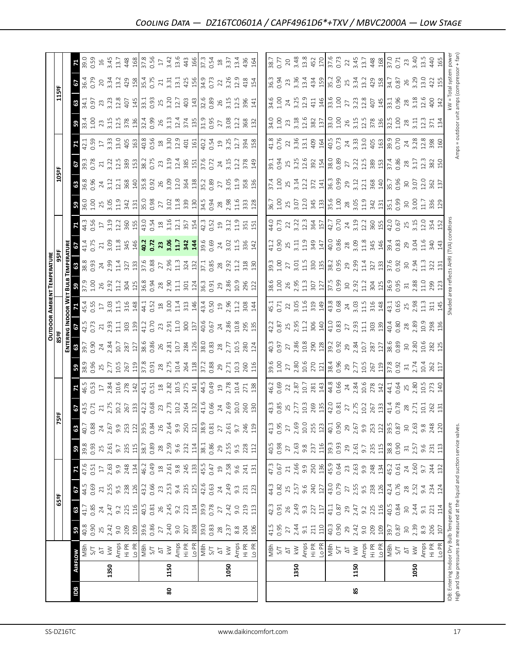|                                                                               |                |                      |                  |                 |                                  |                             |                     |                    |                                                                                                                                                                                                                                                                                                               |                                                                                                                                                                                                                                                                                                                                                                                    |                                                                                                                      |                    |                                                                                                                                 |                                                                                                                                                                                                                                                                                                                                    | <b>OUTDOOR AMBIENT TEMPERATURE</b>                                                                                                 |                                                                           |                                                                                                                                                                                                                                                                                                                                                   |                                                                                                                                                                                                                                                                                                                                                                                                                                                                                   |                                                                                                                                                                                                                                                                                                                                                   |                            |                                                        |                                                                                                  |                                                                                                                                                                    |                                                                                                           |                                                            |                                                               |
|-------------------------------------------------------------------------------|----------------|----------------------|------------------|-----------------|----------------------------------|-----------------------------|---------------------|--------------------|---------------------------------------------------------------------------------------------------------------------------------------------------------------------------------------------------------------------------------------------------------------------------------------------------------------|------------------------------------------------------------------------------------------------------------------------------------------------------------------------------------------------------------------------------------------------------------------------------------------------------------------------------------------------------------------------------------|----------------------------------------------------------------------------------------------------------------------|--------------------|---------------------------------------------------------------------------------------------------------------------------------|------------------------------------------------------------------------------------------------------------------------------------------------------------------------------------------------------------------------------------------------------------------------------------------------------------------------------------|------------------------------------------------------------------------------------------------------------------------------------|---------------------------------------------------------------------------|---------------------------------------------------------------------------------------------------------------------------------------------------------------------------------------------------------------------------------------------------------------------------------------------------------------------------------------------------|-----------------------------------------------------------------------------------------------------------------------------------------------------------------------------------------------------------------------------------------------------------------------------------------------------------------------------------------------------------------------------------------------------------------------------------------------------------------------------------|---------------------------------------------------------------------------------------------------------------------------------------------------------------------------------------------------------------------------------------------------------------------------------------------------------------------------------------------------|----------------------------|--------------------------------------------------------|--------------------------------------------------------------------------------------------------|--------------------------------------------------------------------------------------------------------------------------------------------------------------------|-----------------------------------------------------------------------------------------------------------|------------------------------------------------------------|---------------------------------------------------------------|
|                                                                               |                |                      |                  | 65ºF            |                                  |                             |                     |                    | ទ្ធ                                                                                                                                                                                                                                                                                                           |                                                                                                                                                                                                                                                                                                                                                                                    |                                                                                                                      | 85 <sup>e</sup> F  |                                                                                                                                 |                                                                                                                                                                                                                                                                                                                                    |                                                                                                                                    |                                                                           |                                                                                                                                                                                                                                                                                                                                                   |                                                                                                                                                                                                                                                                                                                                                                                                                                                                                   |                                                                                                                                                                                                                                                                                                                                                   | 105°F                      |                                                        |                                                                                                  |                                                                                                                                                                    | 115°F                                                                                                     |                                                            |                                                               |
|                                                                               |                |                      |                  |                 |                                  |                             |                     |                    |                                                                                                                                                                                                                                                                                                               |                                                                                                                                                                                                                                                                                                                                                                                    |                                                                                                                      | Enter              |                                                                                                                                 |                                                                                                                                                                                                                                                                                                                                    |                                                                                                                                    | <b>EMPERATURE</b>                                                         |                                                                                                                                                                                                                                                                                                                                                   |                                                                                                                                                                                                                                                                                                                                                                                                                                                                                   |                                                                                                                                                                                                                                                                                                                                                   |                            |                                                        |                                                                                                  |                                                                                                                                                                    |                                                                                                           |                                                            |                                                               |
| <b>Bdl</b>                                                                    | <b>AIRFLOW</b> |                      | 59               | 63              | 67                               | 71                          | 59                  | 63                 | $rac{6}{43.5}$                                                                                                                                                                                                                                                                                                |                                                                                                                                                                                                                                                                                                                                                                                    | $38.9$<br>38.96                                                                                                      | 63                 | $rac{3}{42.5}$                                                                                                                  |                                                                                                                                                                                                                                                                                                                                    | <b>8</b><br>37.9<br>1.00                                                                                                           | $\begin{smallmatrix} 6 & 0 & 8 \ 8 & 8 & 8 \ 8 & 8 & 8 \end{smallmatrix}$ | 6                                                                                                                                                                                                                                                                                                                                                 | $44.3$<br>0.56<br>3.19                                                                                                                                                                                                                                                                                                                                                                                                                                                            | <b>58</b><br>36.0<br>1.00                                                                                                                                                                                                                                                                                                                         |                            | $\frac{25}{93}$                                        |                                                                                                  | <b>59</b><br>33.4<br>1.00                                                                                                                                          | 63                                                                                                        | 29                                                         |                                                               |
|                                                                               |                | MBh                  | 40.8             | 41.7            | 44.5                             |                             | 39.8                | 40.7               |                                                                                                                                                                                                                                                                                                               |                                                                                                                                                                                                                                                                                                                                                                                    |                                                                                                                      | 39.7<br>0.90       |                                                                                                                                 | 45.4<br>0.55                                                                                                                                                                                                                                                                                                                       |                                                                                                                                    |                                                                           | $\frac{41.4}{0.75}$                                                                                                                                                                                                                                                                                                                               |                                                                                                                                                                                                                                                                                                                                                                                                                                                                                   |                                                                                                                                                                                                                                                                                                                                                   | 8<br>36.8<br>0.96          |                                                        | $42.1$<br>0.59                                                                                   |                                                                                                                                                                    | 34.1<br>0.97                                                                                              | 36.4<br>0.79                                               | 39.0                                                          |
|                                                                               |                | 5/1                  | 0.90             | 0.85            | 0.69                             | 0.51                        | 0.93                | 0.88               |                                                                                                                                                                                                                                                                                                               |                                                                                                                                                                                                                                                                                                                                                                                    |                                                                                                                      |                    |                                                                                                                                 |                                                                                                                                                                                                                                                                                                                                    |                                                                                                                                    |                                                                           |                                                                                                                                                                                                                                                                                                                                                   |                                                                                                                                                                                                                                                                                                                                                                                                                                                                                   |                                                                                                                                                                                                                                                                                                                                                   |                            |                                                        |                                                                                                  |                                                                                                                                                                    |                                                                                                           |                                                            | 0.59                                                          |
|                                                                               |                | $\overline{\circ}$   | $25$<br>$2.42$   | 24              | $\gtrsim$                        | $\Gamma$                    | 2.61                | $\overline{24}$    |                                                                                                                                                                                                                                                                                                               |                                                                                                                                                                                                                                                                                                                                                                                    |                                                                                                                      |                    |                                                                                                                                 |                                                                                                                                                                                                                                                                                                                                    |                                                                                                                                    |                                                                           |                                                                                                                                                                                                                                                                                                                                                   |                                                                                                                                                                                                                                                                                                                                                                                                                                                                                   | $25$ 3.05                                                                                                                                                                                                                                                                                                                                         | $\overline{24}$            | $\sqrt{2}1$                                            | $\frac{17}{3.33}$                                                                                |                                                                                                                                                                    | 23<br>3.23                                                                                                | $20$                                                       | $16$<br>3.45                                                  |
|                                                                               | 1350           | $\geq$               |                  | 2.47            | 2.55                             | 2.63                        |                     | 2.67               |                                                                                                                                                                                                                                                                                                               |                                                                                                                                                                                                                                                                                                                                                                                    |                                                                                                                      |                    |                                                                                                                                 |                                                                                                                                                                                                                                                                                                                                    |                                                                                                                                    | $24$<br>$2.99$<br>$11.4$                                                  |                                                                                                                                                                                                                                                                                                                                                   |                                                                                                                                                                                                                                                                                                                                                                                                                                                                                   |                                                                                                                                                                                                                                                                                                                                                   | 3.12                       | 3.22                                                   |                                                                                                  |                                                                                                                                                                    |                                                                                                           | 3.34                                                       |                                                               |
|                                                                               |                |                      | 9.0              | 9.2             | $9.\overline{5}$                 | 9.9                         | 9.7                 | 9.9                |                                                                                                                                                                                                                                                                                                               |                                                                                                                                                                                                                                                                                                                                                                                    |                                                                                                                      |                    |                                                                                                                                 |                                                                                                                                                                                                                                                                                                                                    |                                                                                                                                    |                                                                           |                                                                                                                                                                                                                                                                                                                                                   |                                                                                                                                                                                                                                                                                                                                                                                                                                                                                   |                                                                                                                                                                                                                                                                                                                                                   | 12.1                       |                                                        |                                                                                                  |                                                                                                                                                                    | $12.8$<br>407                                                                                             |                                                            |                                                               |
|                                                                               |                | Amps<br>Hi PR        | 209              | 225             | 238                              | 248                         | 235                 | 253                | $\begin{array}{c} 21.75 & 21.6 & 21.7 \\ 21.75 & 21.6 & 21.7 \\ 21.75 & 21.7 & 21.7 \\ 21.75 & 21.7 & 21.7 \\ 21.75 & 21.7 & 21.7 \\ 21.75 & 21.7 & 21.7 \\ 21.75 & 21.7 & 21.7 \\ 21.75 & 21.7 & 21.7 \\ 21.75 & 21.7 & 21.7 \\ 21.75 & 21.7 & 21.7 \\ 21.75 & 21.7 & 21.7 \\ 21.$                           | 16.5<br>0.53<br>17<br>2.84<br>2.78                                                                                                                                                                                                                                                                                                                                                 |                                                                                                                      |                    | $213.93$<br>$2.93$<br>$1.13$<br>$3.93$<br>$1.2$<br>$1.2$<br>$0.70$                                                              | $\begin{array}{c}\n 12.83 \\  23.143 \\  35.144 \\  45.14 \\  45.14 \\  45.14 \\  45.14 \\  45.14 \\  45.14 \\  45.14 \\  45.14 \\  45.14 \\  45.14 \\  45.14 \\  46.14 \\  47.14 \\  48.14 \\  49.14 \\  40.14 \\  45.14 \\  46.14 \\  47.14 \\  48.14 \\  49.14 \\  40.14 \\  40.14 \\  41.14 \\  42.14 \\  43.14 \\  44.14 \\ $ | $\begin{array}{c}\n 26 \\  23 \\  11 \\  35 \\  45 \\  63 \\  76 \\  86 \\  76 \\  87 \\  11 \\  88 \\  124 \\  134\n \end{array}$ | $\frac{327}{37.6}$                                                        | $^{21}_{3.09}$ $^{14}_{344}$ $^{14}_{40}$ $^{12}_{12}$                                                                                                                                                                                                                                                                                            |                                                                                                                                                                                                                                                                                                                                                                                                                                                                                   | $\begin{array}{c}\n 1.33 \\  1.43 \\  1.45 \\  1.45 \\  1.45 \\  1.45 \\  1.45 \\  1.45 \\  1.45 \\  1.45 \\  1.45 \\  1.45 \\  1.45 \\  1.45 \\  1.45 \\  1.45 \\  1.45 \\  1.45 \\  1.45 \\  1.45 \\  1.45 \\  1.45 \\  1.45 \\  1.45 \\  1.45 \\  1.45 \\  1.45 \\  1.45 \\  1.45 \\  1.45 \\  1.45 \\  1.45 \\  1.45 \\  1.45 \\  1.45 \\  1$ |                            | $\frac{12.5}{389}$ $\frac{15}{38.2}$ $\frac{1}{36.75}$ | $13.0$<br>$40.0$<br>$40.0$<br>$40.0$<br>$40.0$<br>$40.0$<br>$40.0$<br>$40.0$<br>$40.0$<br>$40.0$ | $23.15$<br>$3.15$<br>$12.5$<br>$378$                                                                                                                               |                                                                                                           | $13.2$<br>$428$<br>$15.4$<br>$15.75$                       | 13.7<br>448                                                   |
|                                                                               |                |                      | $\frac{20}{2}$   | 116             | 126                              | 134                         | 115                 |                    |                                                                                                                                                                                                                                                                                                               |                                                                                                                                                                                                                                                                                                                                                                                    |                                                                                                                      |                    |                                                                                                                                 |                                                                                                                                                                                                                                                                                                                                    |                                                                                                                                    |                                                                           |                                                                                                                                                                                                                                                                                                                                                   |                                                                                                                                                                                                                                                                                                                                                                                                                                                                                   |                                                                                                                                                                                                                                                                                                                                                   |                            |                                                        |                                                                                                  |                                                                                                                                                                    |                                                                                                           |                                                            |                                                               |
|                                                                               |                | 이들<br>기준<br>S/T      | $\frac{1}{39.6}$ | 40.5            | 43.2                             | 46.2                        | 38.7                | $\frac{122}{39.5}$ |                                                                                                                                                                                                                                                                                                               | $\frac{14}{45}$ .1<br>0.51<br>2.82                                                                                                                                                                                                                                                                                                                                                 |                                                                                                                      |                    |                                                                                                                                 |                                                                                                                                                                                                                                                                                                                                    |                                                                                                                                    |                                                                           |                                                                                                                                                                                                                                                                                                                                                   |                                                                                                                                                                                                                                                                                                                                                                                                                                                                                   |                                                                                                                                                                                                                                                                                                                                                   |                            |                                                        |                                                                                                  |                                                                                                                                                                    | $\frac{145}{33.1}$                                                                                        |                                                            | $\frac{168}{37.8}$                                            |
|                                                                               |                |                      | 0.86             | 0.81            | 0.66                             | 0.49                        |                     | 0.84               |                                                                                                                                                                                                                                                                                                               |                                                                                                                                                                                                                                                                                                                                                                                    |                                                                                                                      |                    |                                                                                                                                 |                                                                                                                                                                                                                                                                                                                                    |                                                                                                                                    |                                                                           |                                                                                                                                                                                                                                                                                                                                                   |                                                                                                                                                                                                                                                                                                                                                                                                                                                                                   |                                                                                                                                                                                                                                                                                                                                                   |                            |                                                        |                                                                                                  |                                                                                                                                                                    |                                                                                                           |                                                            |                                                               |
|                                                                               |                | $\overline{\Delta}$  | $27\,$           | 26              | 23                               | $^{28}$                     | $28\,$              | 26                 |                                                                                                                                                                                                                                                                                                               |                                                                                                                                                                                                                                                                                                                                                                                    |                                                                                                                      |                    |                                                                                                                                 |                                                                                                                                                                                                                                                                                                                                    |                                                                                                                                    |                                                                           | $\mathbf{z}$                                                                                                                                                                                                                                                                                                                                      |                                                                                                                                                                                                                                                                                                                                                                                                                                                                                   |                                                                                                                                                                                                                                                                                                                                                   |                            |                                                        |                                                                                                  |                                                                                                                                                                    | 25                                                                                                        | $21\,$                                                     |                                                               |
| 80                                                                            | 1150           | $\overline{k}$       | 2.40             | 2.45            | 2.53                             | 2.61                        | 2.59                | 2.64               |                                                                                                                                                                                                                                                                                                               |                                                                                                                                                                                                                                                                                                                                                                                    |                                                                                                                      |                    |                                                                                                                                 |                                                                                                                                                                                                                                                                                                                                    |                                                                                                                                    |                                                                           |                                                                                                                                                                                                                                                                                                                                                   |                                                                                                                                                                                                                                                                                                                                                                                                                                                                                   |                                                                                                                                                                                                                                                                                                                                                   |                            | 23.19                                                  |                                                                                                  |                                                                                                                                                                    | 3.20                                                                                                      | $3.\overline{3}1$                                          |                                                               |
|                                                                               |                | Amps                 | 9.0              | 9.2             | 9.4                              |                             | 9.6                 | 9.9                |                                                                                                                                                                                                                                                                                                               | 10.5                                                                                                                                                                                                                                                                                                                                                                               |                                                                                                                      |                    | $2.91$<br>$1.10$<br>$300$<br>$1.37$                                                                                             |                                                                                                                                                                                                                                                                                                                                    |                                                                                                                                    | $0.88$<br>$2.96$<br>$1.34$<br>$1.32$                                      | 3.544                                                                                                                                                                                                                                                                                                                                             |                                                                                                                                                                                                                                                                                                                                                                                                                                                                                   |                                                                                                                                                                                                                                                                                                                                                   |                            |                                                        |                                                                                                  |                                                                                                                                                                    | 12.7                                                                                                      | $\frac{13}{13}$                                            | $3.42$<br>13.6                                                |
|                                                                               |                | Hi PR                | 207              | 223             |                                  | $9.8$<br>245                | 232                 | 250                |                                                                                                                                                                                                                                                                                                               |                                                                                                                                                                                                                                                                                                                                                                                    |                                                                                                                      |                    |                                                                                                                                 |                                                                                                                                                                                                                                                                                                                                    |                                                                                                                                    |                                                                           |                                                                                                                                                                                                                                                                                                                                                   |                                                                                                                                                                                                                                                                                                                                                                                                                                                                                   |                                                                                                                                                                                                                                                                                                                                                   |                            | $\frac{2.4}{385}$                                      |                                                                                                  |                                                                                                                                                                    |                                                                                                           |                                                            | 443                                                           |
|                                                                               |                | Lo PR                | 108              | 114             | 235                              | 133                         | 114                 | $121\,$            |                                                                                                                                                                                                                                                                                                               | 275                                                                                                                                                                                                                                                                                                                                                                                |                                                                                                                      |                    |                                                                                                                                 |                                                                                                                                                                                                                                                                                                                                    |                                                                                                                                    |                                                                           |                                                                                                                                                                                                                                                                                                                                                   |                                                                                                                                                                                                                                                                                                                                                                                                                                                                                   |                                                                                                                                                                                                                                                                                                                                                   |                            |                                                        |                                                                                                  |                                                                                                                                                                    | 403<br>143                                                                                                | 425                                                        | 166                                                           |
|                                                                               |                | $\frac{1}{\sqrt{2}}$ | 39.0             |                 |                                  | 45.5                        |                     | 38.9               |                                                                                                                                                                                                                                                                                                               |                                                                                                                                                                                                                                                                                                                                                                                    |                                                                                                                      |                    |                                                                                                                                 | $43.4$<br>0.50<br>2.96<br>2.1.2                                                                                                                                                                                                                                                                                                    |                                                                                                                                    |                                                                           | 39.6<br>0.69                                                                                                                                                                                                                                                                                                                                      |                                                                                                                                                                                                                                                                                                                                                                                                                                                                                   |                                                                                                                                                                                                                                                                                                                                                   | 35.2<br>0.89               | $\frac{37.6}{0.72}$                                    | $rac{1}{6}$ $rac{1}{6}$ $rac{1}{6}$ $rac{1}{6}$ $rac{3}{6}$ $rac{5}{6}$ $rac{5}{6}$              | $\frac{18}{3}$ $\frac{17}{3}$ $\frac{36}{3}$ $\frac{6}{3}$ $\frac{17}{3}$ $\frac{47}{3}$ $\frac{47}{3}$ $\frac{19}{3}$ $\frac{19}{3}$ $\frac{55}{3}$ $\frac{7}{2}$ | 32.6<br>0.89                                                                                              |                                                            | 37.3                                                          |
|                                                                               |                |                      | 0.83             | 39.9<br>0.78    | $42.6$<br>0.63                   | 0.47                        | 38.1<br>0.86        | 0.81               |                                                                                                                                                                                                                                                                                                               |                                                                                                                                                                                                                                                                                                                                                                                    |                                                                                                                      |                    |                                                                                                                                 |                                                                                                                                                                                                                                                                                                                                    | 36.3<br>0.91                                                                                                                       | $\frac{37.1}{0.85}$                                                       |                                                                                                                                                                                                                                                                                                                                                   |                                                                                                                                                                                                                                                                                                                                                                                                                                                                                   |                                                                                                                                                                                                                                                                                                                                                   |                            |                                                        |                                                                                                  |                                                                                                                                                                    |                                                                                                           | 34.9<br>0.73                                               | 0.54                                                          |
|                                                                               |                | $\overline{\Delta}$  |                  | $\overline{27}$ | $\overline{24}$                  | $\mathfrak{Q}$              |                     | $\overline{27}$    |                                                                                                                                                                                                                                                                                                               |                                                                                                                                                                                                                                                                                                                                                                                    |                                                                                                                      |                    |                                                                                                                                 |                                                                                                                                                                                                                                                                                                                                    |                                                                                                                                    |                                                                           |                                                                                                                                                                                                                                                                                                                                                   |                                                                                                                                                                                                                                                                                                                                                                                                                                                                                   |                                                                                                                                                                                                                                                                                                                                                   | $\overline{27}$            | 24                                                     |                                                                                                  |                                                                                                                                                                    |                                                                                                           |                                                            |                                                               |
|                                                                               | 1050           | $\geqslant$          | $28$<br>$2.37$   | 2.42            | 2.49                             | 2.58                        | 29<br>2.55          | 2.61               |                                                                                                                                                                                                                                                                                                               | $44.5$<br>0.49<br>19<br>2.78                                                                                                                                                                                                                                                                                                                                                       |                                                                                                                      |                    |                                                                                                                                 |                                                                                                                                                                                                                                                                                                                                    |                                                                                                                                    | $28$<br>$2.92$                                                            | $\frac{24}{3.02}$                                                                                                                                                                                                                                                                                                                                 |                                                                                                                                                                                                                                                                                                                                                                                                                                                                                   | $\frac{28}{2.36}$                                                                                                                                                                                                                                                                                                                                 |                            | 3.15                                                   |                                                                                                  |                                                                                                                                                                    | $26$<br>3.15<br>12.5                                                                                      | 22<br>3.26<br>12.9                                         | $\frac{18}{3.37}$                                             |
|                                                                               |                | Amps                 | 8.8              | 9.0             | $9.\overline{3}$                 | 9.6                         | $9.\overline{5}$    | 9.7                |                                                                                                                                                                                                                                                                                                               | 10.4                                                                                                                                                                                                                                                                                                                                                                               |                                                                                                                      |                    |                                                                                                                                 |                                                                                                                                                                                                                                                                                                                                    |                                                                                                                                    |                                                                           |                                                                                                                                                                                                                                                                                                                                                   | $\frac{9}{11}$                                                                                                                                                                                                                                                                                                                                                                                                                                                                    |                                                                                                                                                                                                                                                                                                                                                   |                            | 12.2                                                   | 12.7                                                                                             | 3.08<br>12.2                                                                                                                                                       |                                                                                                           |                                                            | 13.4                                                          |
|                                                                               |                |                      | 204              | 219             | 231                              | 241                         | 228                 |                    |                                                                                                                                                                                                                                                                                                               | 271                                                                                                                                                                                                                                                                                                                                                                                | 10.3<br>260                                                                                                          | 10.5<br>280<br>124 | $\begin{array}{c} 40.6 \\ 0.67 \\ 2.86 \\ 2.86 \\ 10.8 \\ 2.95 \\ 13 \\ \end{array}$                                            | 308                                                                                                                                                                                                                                                                                                                                | $286$<br>$2.86$<br>$2.96$<br>$2.21$                                                                                                | $11.2$<br>318                                                             | $11.5$<br>336                                                                                                                                                                                                                                                                                                                                     |                                                                                                                                                                                                                                                                                                                                                                                                                                                                                   | 333                                                                                                                                                                                                                                                                                                                                               | $3.138$<br>$3.38$<br>$136$ | 378                                                    | 394                                                                                              | 368                                                                                                                                                                | 396                                                                                                       | 418                                                        | 436                                                           |
|                                                                               |                | Hi PR<br>Lo PR       |                  |                 |                                  |                             |                     | 246<br>119         |                                                                                                                                                                                                                                                                                                               |                                                                                                                                                                                                                                                                                                                                                                                    |                                                                                                                      |                    |                                                                                                                                 |                                                                                                                                                                                                                                                                                                                                    |                                                                                                                                    |                                                                           |                                                                                                                                                                                                                                                                                                                                                   | $\frac{51}{151}$                                                                                                                                                                                                                                                                                                                                                                                                                                                                  |                                                                                                                                                                                                                                                                                                                                                   |                            |                                                        |                                                                                                  |                                                                                                                                                                    |                                                                                                           |                                                            |                                                               |
|                                                                               |                |                      | 106              | 113             | 123                              | 131                         | 112                 |                    |                                                                                                                                                                                                                                                                                                               | 138                                                                                                                                                                                                                                                                                                                                                                                | 116                                                                                                                  |                    |                                                                                                                                 | 144                                                                                                                                                                                                                                                                                                                                |                                                                                                                                    | 130                                                                       | 142                                                                                                                                                                                                                                                                                                                                               |                                                                                                                                                                                                                                                                                                                                                                                                                                                                                   |                                                                                                                                                                                                                                                                                                                                                   |                            | 149                                                    | 158                                                                                              | 132                                                                                                                                                                | 141                                                                                                       | 154                                                        | 164                                                           |
|                                                                               |                |                      |                  |                 |                                  |                             |                     |                    |                                                                                                                                                                                                                                                                                                               |                                                                                                                                                                                                                                                                                                                                                                                    |                                                                                                                      |                    |                                                                                                                                 |                                                                                                                                                                                                                                                                                                                                    |                                                                                                                                    |                                                                           |                                                                                                                                                                                                                                                                                                                                                   |                                                                                                                                                                                                                                                                                                                                                                                                                                                                                   |                                                                                                                                                                                                                                                                                                                                                   |                            |                                                        |                                                                                                  |                                                                                                                                                                    |                                                                                                           |                                                            |                                                               |
|                                                                               |                |                      | 41.5             | 42.3            | 44.3                             | 47.3<br>0.67                | 40.5<br>0.98        | 41.3               |                                                                                                                                                                                                                                                                                                               | 46.2<br>0.69                                                                                                                                                                                                                                                                                                                                                                       | 39.6                                                                                                                 |                    | 42.2                                                                                                                            | 45.1                                                                                                                                                                                                                                                                                                                               | 38.6<br>1.00                                                                                                                       | 39.3                                                                      | 41.2                                                                                                                                                                                                                                                                                                                                              | 44.0<br>0.73                                                                                                                                                                                                                                                                                                                                                                                                                                                                      | 36.7                                                                                                                                                                                                                                                                                                                                              |                            | 39.1                                                   |                                                                                                  |                                                                                                                                                                    |                                                                                                           | 36.3                                                       | 38.7                                                          |
|                                                                               |                | 다 강<br>동             | 0.95             | 0.91            | 0.82                             |                             |                     | 0.95               |                                                                                                                                                                                                                                                                                                               |                                                                                                                                                                                                                                                                                                                                                                                    | $1.00$<br>$27$                                                                                                       |                    | 0.87                                                                                                                            | 0.71                                                                                                                                                                                                                                                                                                                               |                                                                                                                                    | 1.00                                                                      | 0.90                                                                                                                                                                                                                                                                                                                                              |                                                                                                                                                                                                                                                                                                                                                                                                                                                                                   |                                                                                                                                                                                                                                                                                                                                                   |                            | 0.94                                                   |                                                                                                  |                                                                                                                                                                    |                                                                                                           | 0.94                                                       | 0.77                                                          |
|                                                                               |                |                      | $\overline{27}$  | 26              | 25                               | $21\,$                      | $\overline{27}$     | $\overline{27}$    |                                                                                                                                                                                                                                                                                                               |                                                                                                                                                                                                                                                                                                                                                                                    |                                                                                                                      |                    |                                                                                                                                 | 22                                                                                                                                                                                                                                                                                                                                 |                                                                                                                                    | $\overline{27}$                                                           |                                                                                                                                                                                                                                                                                                                                                   |                                                                                                                                                                                                                                                                                                                                                                                                                                                                                   |                                                                                                                                                                                                                                                                                                                                                   |                            |                                                        |                                                                                                  |                                                                                                                                                                    |                                                                                                           | 23                                                         | 20                                                            |
|                                                                               | 1350           | $\lesssim$           | 2.44             | $2.49$<br>9.3   | 2.57<br>9.6                      |                             |                     | 2.69               |                                                                                                                                                                                                                                                                                                               |                                                                                                                                                                                                                                                                                                                                                                                    |                                                                                                                      |                    |                                                                                                                                 |                                                                                                                                                                                                                                                                                                                                    |                                                                                                                                    |                                                                           |                                                                                                                                                                                                                                                                                                                                                   |                                                                                                                                                                                                                                                                                                                                                                                                                                                                                   |                                                                                                                                                                                                                                                                                                                                                   |                            |                                                        |                                                                                                  |                                                                                                                                                                    |                                                                                                           |                                                            |                                                               |
|                                                                               |                |                      | 9.1              |                 |                                  |                             | 2.63<br>9.8<br>237  | $10.0\,$           |                                                                                                                                                                                                                                                                                                               |                                                                                                                                                                                                                                                                                                                                                                                    |                                                                                                                      |                    |                                                                                                                                 |                                                                                                                                                                                                                                                                                                                                    |                                                                                                                                    |                                                                           |                                                                                                                                                                                                                                                                                                                                                   |                                                                                                                                                                                                                                                                                                                                                                                                                                                                                   |                                                                                                                                                                                                                                                                                                                                                   |                            |                                                        |                                                                                                  |                                                                                                                                                                    | 34.6<br>1.00<br>24<br>3.25<br>12.9                                                                        |                                                            |                                                               |
|                                                                               |                | Amps<br>Hi PR        | 211              | 227<br>117      |                                  |                             |                     | 255                |                                                                                                                                                                                                                                                                                                               |                                                                                                                                                                                                                                                                                                                                                                                    |                                                                                                                      |                    |                                                                                                                                 |                                                                                                                                                                                                                                                                                                                                    |                                                                                                                                    |                                                                           |                                                                                                                                                                                                                                                                                                                                                   |                                                                                                                                                                                                                                                                                                                                                                                                                                                                                   |                                                                                                                                                                                                                                                                                                                                                   |                            |                                                        |                                                                                                  |                                                                                                                                                                    |                                                                                                           |                                                            |                                                               |
|                                                                               |                | Lo PR                | 110              |                 | 240                              | $2.56$<br>$9.50$<br>$45.9$  |                     | 123                |                                                                                                                                                                                                                                                                                                               |                                                                                                                                                                                                                                                                                                                                                                                    |                                                                                                                      |                    |                                                                                                                                 |                                                                                                                                                                                                                                                                                                                                    |                                                                                                                                    |                                                                           |                                                                                                                                                                                                                                                                                                                                                   |                                                                                                                                                                                                                                                                                                                                                                                                                                                                                   |                                                                                                                                                                                                                                                                                                                                                   |                            |                                                        |                                                                                                  |                                                                                                                                                                    |                                                                                                           |                                                            |                                                               |
|                                                                               |                | $\frac{1}{2}$<br>SN  | $40.3$<br>0.90   | 41.1            | 43.0                             |                             | $\frac{16}{3}$ 3.93 | 40.1               |                                                                                                                                                                                                                                                                                                               | $\begin{array}{c}\n 22 \\  23 \\  10 \\  28 \\  34 \\  44 \\  65 \\  74 \\  84 \\  105 \\  71 \\  84 \\  105 \\  71 \\  142 \\  143 \\  144 \\  65 \\  71 \\  84 \\  105 \\  71 \\  84 \\  105 \\  71 \\  84 \\  142 \\  143 \\  144 \\  145 \\  147 \\  148 \\  149 \\  140 \\  141 \\  142 \\  143 \\  144 \\  145 \\  147 \\  148 \\  149 \\  140 \\  141 \\  142 \\  143 \\  $ |                                                                                                                      |                    | $\begin{array}{c} 25 \\ 2.95 \\ 11.2 \\ 306 \\ 41.0 \\ 63 \\ \end{array}$                                                       | $\begin{array}{c} 3.05 \\ 11.6 \\ 3.19 \\ 4.3 \\ 4.6 \\ 6.8 \\ 7.0 \\ 8.0 \\ 1.1 \\ 3.1 \\ 4.8 \\ 148 \\ \end{array}$                                                                                                                                                                                                              | $2.95$<br>$1.3$<br>$307$<br>$7.5$<br>$7.5$<br>$3.99$                                                                               | $3.11.58$ $3.81$ $3.25$ $3.39$ $3.35$ $3.39$                              |                                                                                                                                                                                                                                                                                                                                                   |                                                                                                                                                                                                                                                                                                                                                                                                                                                                                   |                                                                                                                                                                                                                                                                                                                                                   |                            |                                                        |                                                                                                  |                                                                                                                                                                    | $4146$<br>$146$<br>$33.6$<br>$1.00$                                                                       | $\begin{array}{c} 3.36 \\ 3.34 \\ 3.45 \\ 4.5 \end{array}$ |                                                               |
|                                                                               |                |                      |                  | 0.87            | 0.79                             | 0.64                        |                     | 0.90               |                                                                                                                                                                                                                                                                                                               |                                                                                                                                                                                                                                                                                                                                                                                    |                                                                                                                      |                    |                                                                                                                                 |                                                                                                                                                                                                                                                                                                                                    |                                                                                                                                    |                                                                           |                                                                                                                                                                                                                                                                                                                                                   |                                                                                                                                                                                                                                                                                                                                                                                                                                                                                   |                                                                                                                                                                                                                                                                                                                                                   |                            |                                                        |                                                                                                  |                                                                                                                                                                    |                                                                                                           |                                                            |                                                               |
|                                                                               |                | $\overline{\Delta}$  | 29<br>2.42       | 29              |                                  | 23                          | 29                  | 29                 |                                                                                                                                                                                                                                                                                                               |                                                                                                                                                                                                                                                                                                                                                                                    |                                                                                                                      |                    | $2.93$<br>$1.1$                                                                                                                 |                                                                                                                                                                                                                                                                                                                                    |                                                                                                                                    |                                                                           |                                                                                                                                                                                                                                                                                                                                                   |                                                                                                                                                                                                                                                                                                                                                                                                                                                                                   |                                                                                                                                                                                                                                                                                                                                                   |                            |                                                        |                                                                                                  |                                                                                                                                                                    |                                                                                                           |                                                            |                                                               |
| 58                                                                            | 1150           | $\overline{k}$       |                  | 2.47            |                                  |                             | 2.61                | 2.67<br>9.9        |                                                                                                                                                                                                                                                                                                               |                                                                                                                                                                                                                                                                                                                                                                                    |                                                                                                                      |                    |                                                                                                                                 |                                                                                                                                                                                                                                                                                                                                    |                                                                                                                                    |                                                                           |                                                                                                                                                                                                                                                                                                                                                   |                                                                                                                                                                                                                                                                                                                                                                                                                                                                                   |                                                                                                                                                                                                                                                                                                                                                   |                            |                                                        |                                                                                                  |                                                                                                                                                                    |                                                                                                           |                                                            |                                                               |
|                                                                               |                | Amps                 | 9.0              | 9.2             |                                  |                             | 9.7                 |                    |                                                                                                                                                                                                                                                                                                               |                                                                                                                                                                                                                                                                                                                                                                                    |                                                                                                                      |                    |                                                                                                                                 |                                                                                                                                                                                                                                                                                                                                    |                                                                                                                                    |                                                                           |                                                                                                                                                                                                                                                                                                                                                   |                                                                                                                                                                                                                                                                                                                                                                                                                                                                                   |                                                                                                                                                                                                                                                                                                                                                   |                            |                                                        |                                                                                                  |                                                                                                                                                                    |                                                                                                           |                                                            |                                                               |
|                                                                               |                | Hi PR                | 209              | 225             | 27<br>2.55<br>9.58<br>238<br>126 | $2.63$<br>9.9<br>248<br>134 | 235                 | 253                |                                                                                                                                                                                                                                                                                                               |                                                                                                                                                                                                                                                                                                                                                                                    |                                                                                                                      |                    | 303                                                                                                                             |                                                                                                                                                                                                                                                                                                                                    |                                                                                                                                    |                                                                           |                                                                                                                                                                                                                                                                                                                                                   |                                                                                                                                                                                                                                                                                                                                                                                                                                                                                   |                                                                                                                                                                                                                                                                                                                                                   |                            |                                                        |                                                                                                  |                                                                                                                                                                    |                                                                                                           |                                                            |                                                               |
|                                                                               |                | Lo PR                | 109              |                 |                                  |                             | 115                 | 122                |                                                                                                                                                                                                                                                                                                               |                                                                                                                                                                                                                                                                                                                                                                                    |                                                                                                                      |                    | 139                                                                                                                             |                                                                                                                                                                                                                                                                                                                                    |                                                                                                                                    |                                                                           |                                                                                                                                                                                                                                                                                                                                                   |                                                                                                                                                                                                                                                                                                                                                                                                                                                                                   |                                                                                                                                                                                                                                                                                                                                                   |                            |                                                        |                                                                                                  |                                                                                                                                                                    |                                                                                                           |                                                            |                                                               |
|                                                                               |                | MBh                  | 39.7             | 40.5<br>0.84    | 42.4<br>0.76                     | 45.2<br>0.61                | 38.8<br>0.90        | 39.5               | $\begin{array}{l} 43.6 \\ 43.6 \\ 36.7 \\ 57.7 \\ 58.8 \\ 69.7 \\ 71.9 \\ 82.7 \\ 73.8 \\ 74.8 \\ 75.8 \\ 77.8 \\ 79.8 \\ 71.8 \\ 72.7 \\ 73.8 \\ 74.8 \\ 75.8 \\ 77.8 \\ 77.8 \\ 77.8 \\ 77.8 \\ 77.8 \\ 77.8 \\ 77.8 \\ 77.8 \\ 77.8 \\ 77.8 \\ 77.8 \\ 77.8 \\ 77.8 \\ 77.8 \\ 77.8 \\ 77.8 \\ 77.8 \\ 77$ | $44.1$<br>0.64<br>2.5<br>2.80                                                                                                                                                                                                                                                                                                                                                      | $2.80$<br>$2.72$<br>$2.73$<br>$3.8$<br>$3.7$<br>$3.7$<br>$3.7$<br>$3.6$<br>$3.7$<br>$3.7$<br>$3.7$<br>$3.8$<br>$3.7$ |                    |                                                                                                                                 | $\frac{1}{43.1}$<br>0.65<br>2.98<br>2.13                                                                                                                                                                                                                                                                                           |                                                                                                                                    | $\frac{11.4}{327}$<br>$\frac{133}{37.6}$                                  | $\begin{array}{c}\n1.333 \\ 1.434 \\ 1.544 \\ 1.68 \\ 1.745 \\ 1.745 \\ 1.745 \\ 1.745 \\ 1.745 \\ 1.745 \\ 1.745 \\ 1.745 \\ 1.745 \\ 1.745 \\ 1.745 \\ 1.745 \\ 1.745 \\ 1.745 \\ 1.745 \\ 1.745 \\ 1.745 \\ 1.745 \\ 1.745 \\ 1.745 \\ 1.745 \\ 1.745 \\ 1.745 \\ 1.745 \\ 1.745 \\ 1.745 \\ 1.745 \\ 1.745 \\ 1.745 \\ 1.745 \\ 1.745 \\ 1.7$ |                                                                                                                                                                                                                                                                                                                                                                                                                                                                                   |                                                                                                                                                                                                                                                                                                                                                   | 35.7                       | 37.4<br>0.86                                           |                                                                                                  |                                                                                                                                                                    | $\begin{array}{c}\n 27 \\  3.23 \\  12.4 \\  \hline\n 47 \\  3.3 \\  \hline\n 3.3 \\  0.96\n \end{array}$ | 34.7<br>0.87                                               | $\begin{array}{c}\n3.48 \\ 3.452 \\ 4.52 \\ 7.6\n\end{array}$ |
|                                                                               |                | $5\sqrt{ }$          | 0.87             |                 |                                  |                             |                     | 0.87               |                                                                                                                                                                                                                                                                                                               |                                                                                                                                                                                                                                                                                                                                                                                    |                                                                                                                      |                    |                                                                                                                                 |                                                                                                                                                                                                                                                                                                                                    |                                                                                                                                    |                                                                           |                                                                                                                                                                                                                                                                                                                                                   |                                                                                                                                                                                                                                                                                                                                                                                                                                                                                   |                                                                                                                                                                                                                                                                                                                                                   |                            |                                                        |                                                                                                  |                                                                                                                                                                    |                                                                                                           |                                                            |                                                               |
|                                                                               |                | $\overline{\Delta}$  | $30\,$           | $\rm ^{30}$     | $28$                             | $24$<br>2.60                | $31$<br>$2.57$      | $30\,$             |                                                                                                                                                                                                                                                                                                               |                                                                                                                                                                                                                                                                                                                                                                                    | $\frac{31}{2.74}$                                                                                                    | $30$<br>$2.80$     |                                                                                                                                 |                                                                                                                                                                                                                                                                                                                                    | $\frac{31}{2.88}$                                                                                                                  | $\rm 90$                                                                  | $29$<br>$3.04$                                                                                                                                                                                                                                                                                                                                    |                                                                                                                                                                                                                                                                                                                                                                                                                                                                                   |                                                                                                                                                                                                                                                                                                                                                   | 50                         | 28                                                     | 24<br>3.28                                                                                       | $28$                                                                                                                                                               | 28<br>3.18                                                                                                | 26<br>3.29                                                 | $23$<br>3.40                                                  |
|                                                                               | 1050           | $\geq$               | 2.39             | 2.44            | 2.52                             |                             |                     | 2.63               |                                                                                                                                                                                                                                                                                                               |                                                                                                                                                                                                                                                                                                                                                                                    |                                                                                                                      |                    |                                                                                                                                 |                                                                                                                                                                                                                                                                                                                                    |                                                                                                                                    | 2.94                                                                      |                                                                                                                                                                                                                                                                                                                                                   |                                                                                                                                                                                                                                                                                                                                                                                                                                                                                   |                                                                                                                                                                                                                                                                                                                                                   | 3.07                       | 3.17                                                   |                                                                                                  | 3.11                                                                                                                                                               |                                                                                                           |                                                            |                                                               |
|                                                                               |                | Amps                 | 8.9              | 9.1             | 9.4                              | 9.7                         | 9.6                 | $9.\overline{8}$   |                                                                                                                                                                                                                                                                                                               | 10.5                                                                                                                                                                                                                                                                                                                                                                               |                                                                                                                      |                    |                                                                                                                                 |                                                                                                                                                                                                                                                                                                                                    |                                                                                                                                    | Ë                                                                         |                                                                                                                                                                                                                                                                                                                                                   |                                                                                                                                                                                                                                                                                                                                                                                                                                                                                   |                                                                                                                                                                                                                                                                                                                                                   |                            | 12.3                                                   |                                                                                                  | 12.3                                                                                                                                                               |                                                                                                           | 13 <sub>1</sub>                                            | 13.5                                                          |
|                                                                               |                | Hi PR                | 206              | 221             | 234<br>124                       | 244<br>132                  | 231                 | 248<br>120         | $\frac{1}{2}$ $\frac{1}{2}$ $\frac{1}{2}$                                                                                                                                                                                                                                                                     | 273<br>140                                                                                                                                                                                                                                                                                                                                                                         | 10.4<br>262<br>117                                                                                                   | 10.6<br>282<br>125 | $\frac{1}{4}$ $\frac{3}{8}$ $\frac{8}{8}$ $\frac{8}{8}$ $\frac{3}{2}$ $\frac{9}{2}$ $\frac{8}{8}$ $\frac{9}{12}$ $\frac{8}{12}$ | 311                                                                                                                                                                                                                                                                                                                                | $11.0$<br>$293$<br>$123$                                                                                                           | $\frac{22}{131}$                                                          | $1.40$<br>$4.43$                                                                                                                                                                                                                                                                                                                                  | $\frac{1}{2} \times \frac{1}{2} \times \frac{1}{2} \times \frac{1}{2} \times \frac{1}{2} \times \frac{1}{2} \times \frac{1}{2} \times \frac{1}{2} \times \frac{1}{2} \times \frac{1}{2} \times \frac{1}{2} \times \frac{1}{2} \times \frac{1}{2} \times \frac{1}{2} \times \frac{1}{2} \times \frac{1}{2} \times \frac{1}{2} \times \frac{1}{2} \times \frac{1}{2} \times \frac{1}{2} \times \frac{1}{2} \times \frac{1}{2} \times \frac{1}{2} \times \frac{1}{2} \times \frac{1$ | 30001780                                                                                                                                                                                                                                                                                                                                          | 12.0<br>362<br>137         | $\begin{array}{c}\n38 \\ 150\n\end{array}$             | $13.8$<br>388                                                                                    | $\frac{371}{134}$                                                                                                                                                  | $12.6$<br>400<br>142                                                                                      | $22$ 55                                                    | 440                                                           |
|                                                                               |                | Lo PR                |                  | 114             |                                  |                             | 113                 |                    |                                                                                                                                                                                                                                                                                                               |                                                                                                                                                                                                                                                                                                                                                                                    |                                                                                                                      |                    |                                                                                                                                 |                                                                                                                                                                                                                                                                                                                                    |                                                                                                                                    |                                                                           |                                                                                                                                                                                                                                                                                                                                                   |                                                                                                                                                                                                                                                                                                                                                                                                                                                                                   |                                                                                                                                                                                                                                                                                                                                                   |                            |                                                        |                                                                                                  |                                                                                                                                                                    |                                                                                                           |                                                            |                                                               |
| IDB: Entering Indoor Dry Bulb Temperature                                     |                |                      |                  |                 |                                  |                             |                     |                    |                                                                                                                                                                                                                                                                                                               |                                                                                                                                                                                                                                                                                                                                                                                    |                                                                                                                      |                    |                                                                                                                                 |                                                                                                                                                                                                                                                                                                                                    |                                                                                                                                    |                                                                           | $(M)$ cc                                                                                                                                                                                                                                                                                                                                          |                                                                                                                                                                                                                                                                                                                                                                                                                                                                                   |                                                                                                                                                                                                                                                                                                                                                   |                            |                                                        |                                                                                                  |                                                                                                                                                                    | Total syste<br>$kW =$                                                                                     |                                                            |                                                               |
| High and low pressures are measured at the liquid and suction service valves. |                |                      |                  |                 |                                  |                             |                     |                    |                                                                                                                                                                                                                                                                                                               |                                                                                                                                                                                                                                                                                                                                                                                    |                                                                                                                      |                    |                                                                                                                                 |                                                                                                                                                                                                                                                                                                                                    |                                                                                                                                    |                                                                           |                                                                                                                                                                                                                                                                                                                                                   |                                                                                                                                                                                                                                                                                                                                                                                                                                                                                   |                                                                                                                                                                                                                                                                                                                                                   |                            |                                                        |                                                                                                  |                                                                                                                                                                    | Amps = outdoor unit amps (compressor + fan                                                                |                                                            |                                                               |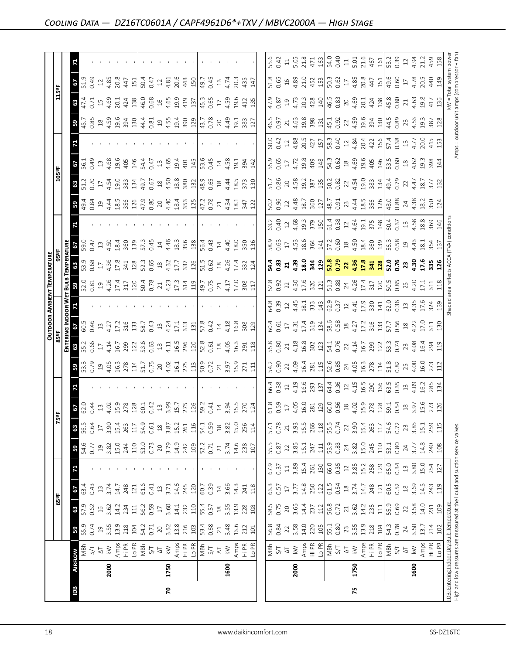|            |      |                                                                                            |                 |             |                                         |              |                |             |                                                             |              |                                               |                                                             |                                                                  |                                                                             | <b>OUTDOOR AMBIENT TEMPERATURE</b>                                                                                                                                                                                                                                                                                     |                                                                                                                                   |                                                                                      |             |                                                        |                                                                                                                                                      |                                      |                                   |                                                                                                  |                                                                                                |                                                                                               |            |
|------------|------|--------------------------------------------------------------------------------------------|-----------------|-------------|-----------------------------------------|--------------|----------------|-------------|-------------------------------------------------------------|--------------|-----------------------------------------------|-------------------------------------------------------------|------------------------------------------------------------------|-----------------------------------------------------------------------------|------------------------------------------------------------------------------------------------------------------------------------------------------------------------------------------------------------------------------------------------------------------------------------------------------------------------|-----------------------------------------------------------------------------------------------------------------------------------|--------------------------------------------------------------------------------------|-------------|--------------------------------------------------------|------------------------------------------------------------------------------------------------------------------------------------------------------|--------------------------------------|-----------------------------------|--------------------------------------------------------------------------------------------------|------------------------------------------------------------------------------------------------|-----------------------------------------------------------------------------------------------|------------|
|            |      |                                                                                            |                 | 65°F        |                                         |              |                | K)          | 낢                                                           |              |                                               | 85ºF                                                        |                                                                  |                                                                             |                                                                                                                                                                                                                                                                                                                        | 95 ap                                                                                                                             |                                                                                      |             |                                                        | 105°F                                                                                                                                                |                                      |                                   |                                                                                                  | 115ºF                                                                                          |                                                                                               |            |
|            |      |                                                                                            |                 |             |                                         |              |                |             |                                                             |              |                                               | ENTERI                                                      | NG INDOOR W                                                      |                                                                             | ET BULB                                                                                                                                                                                                                                                                                                                | <b>EMPERATURE</b>                                                                                                                 |                                                                                      |             |                                                        |                                                                                                                                                      |                                      |                                   |                                                                                                  |                                                                                                |                                                                                               |            |
| <b>Bdl</b> |      | <b>AIRFLOW</b>                                                                             | 59              | 63          | 29                                      |              | 59             | 63          | $\mathcal{L}$                                               |              | 59                                            | 63                                                          | 29                                                               |                                                                             | 59                                                                                                                                                                                                                                                                                                                     | 63                                                                                                                                | 57                                                                                   |             | 59                                                     | $\mathbf{3}$                                                                                                                                         | 19                                   |                                   | 59                                                                                               | 67<br>63                                                                                       | 71                                                                                            |            |
|            |      | MBh                                                                                        | 55.9            | 57.9        | 63.4                                    |              | 54.6           | 56.5        | 62.0                                                        |              | 53.3<br>0.79                                  | 55.2                                                        | 60.5                                                             |                                                                             |                                                                                                                                                                                                                                                                                                                        | 53.9<br>0.68                                                                                                                      | 59.0                                                                                 |             | $\frac{49.8}{9.34}$                                    | 51.2                                                                                                                                                 | 56.1                                 |                                   | 45.7<br>0.85                                                                                     | 47.4<br>0.71                                                                                   | 51.9                                                                                          |            |
|            |      | 5/1                                                                                        | 0.74            | 0.62        | 0.43                                    |              | 0.77           | 0.64        | 0.44                                                        |              |                                               | 0.66                                                        | 0.46                                                             |                                                                             |                                                                                                                                                                                                                                                                                                                        |                                                                                                                                   | 0.47                                                                                 |             |                                                        | 0.70                                                                                                                                                 | 0.49                                 |                                   |                                                                                                  |                                                                                                | 0.49                                                                                          |            |
|            |      | $\overline{\mathcal{L}}$                                                                   | $\overline{19}$ | $16$        | $13\,$                                  |              | $\Xi$          | $17\,$      | $\Xi$                                                       |              | 19<br>4.05<br>16.3<br>278                     | $\overline{17}$                                             | $13$                                                             |                                                                             |                                                                                                                                                                                                                                                                                                                        | $17\,$                                                                                                                            | $13$                                                                                 |             | 1944                                                   | $17\,$                                                                                                                                               | $13$                                 |                                   | 4.59                                                                                             | $\overline{15}$                                                                                | $12\,$                                                                                        |            |
|            | 2000 | $\gtrapprox$                                                                               | 3.55            | 3.62        | 3.74                                    |              | 3.82           | 3.90        | 4.02                                                        |              |                                               | 4.14                                                        | 4.27                                                             |                                                                             |                                                                                                                                                                                                                                                                                                                        | 4.36                                                                                                                              | 4.50                                                                                 |             |                                                        | 4.54<br>19.0                                                                                                                                         | 4.68                                 |                                   |                                                                                                  | 4.69                                                                                           | 4.85                                                                                          |            |
|            |      |                                                                                            | 13.9            | 14.2        | 14.7                                    |              | 15.0<br>244    | 15.4        | 15.9                                                        |              |                                               |                                                             | 17.2                                                             |                                                                             |                                                                                                                                                                                                                                                                                                                        | $17.8$<br>341                                                                                                                     | 18.4                                                                                 |             |                                                        |                                                                                                                                                      | 19.6                                 |                                   |                                                                                                  | 20.1                                                                                           | 20.8                                                                                          |            |
|            |      | $\begin{array}{c}\n\text{Amps} \\ \text{Hi PR} \\ \text{Lo PR} \\ \text{NBr}\n\end{array}$ | 218             | 234         | 248                                     |              |                | 263         | 278                                                         |              |                                               | 16.7<br>299<br>122                                          | 316                                                              |                                                                             | $\begin{array}{c} 52.0 \\ 0.81 \\ 0.9 \\ 4.26 \\ 4.7 \\ \hline \end{array}$                                                                                                                                                                                                                                            |                                                                                                                                   | 360<br>139                                                                           |             | 18.5<br>356<br>126                                     | 383                                                                                                                                                  | 405                                  |                                   | 19.6<br>394<br>130                                                                               | 424                                                                                            | 447                                                                                           |            |
|            |      |                                                                                            | 104             | 111         | 121                                     |              | 110            | 117         | 128                                                         |              | 114                                           |                                                             | 133                                                              |                                                                             |                                                                                                                                                                                                                                                                                                                        | 128                                                                                                                               |                                                                                      |             |                                                        | 134                                                                                                                                                  | 146                                  |                                   |                                                                                                  | 138                                                                                            | 151                                                                                           |            |
|            |      |                                                                                            | 54.2            | 56.2        | 61.6                                    |              | 53.0<br>0.73   | 54.9        | 60.1                                                        |              | $51.7$<br>0.75                                | 53.6                                                        | 58.7                                                             |                                                                             |                                                                                                                                                                                                                                                                                                                        | $52.3$<br>0.65<br>18<br>4.32                                                                                                      | 57.3                                                                                 |             | 47.9<br>0.80                                           | 49.7                                                                                                                                                 | 54.4                                 |                                   | $4.309$<br>$4.55$<br>$4.55$                                                                      | 46.0                                                                                           | 50.4                                                                                          |            |
|            |      |                                                                                            | 0.71            | 0.59        | 0.41                                    |              |                | 0.61        | 0.42                                                        |              |                                               |                                                             | 0.43                                                             |                                                                             |                                                                                                                                                                                                                                                                                                                        |                                                                                                                                   | 0.45                                                                                 |             |                                                        | 0.67                                                                                                                                                 | 0.47                                 |                                   |                                                                                                  | 0.68                                                                                           | 0.47                                                                                          |            |
|            |      |                                                                                            | 20              | $\Gamma$    | $13\,$                                  |              | 20             | $18$        | $13$                                                        |              | $20\,$                                        | $^{28}$                                                     | $\Xi$                                                            |                                                                             |                                                                                                                                                                                                                                                                                                                        |                                                                                                                                   | 14                                                                                   |             | 20                                                     | $^{28}$                                                                                                                                              | $13$                                 |                                   |                                                                                                  | $16$                                                                                           | $12$                                                                                          |            |
| 2          | 1750 | $\gtrapprox$                                                                               | 3.52            | 3.60        | 3.71                                    |              | 3.79           | 3.87        | 3.99                                                        |              |                                               | 4.11                                                        | 4.24                                                             |                                                                             |                                                                                                                                                                                                                                                                                                                        |                                                                                                                                   | 4.46                                                                                 |             |                                                        | 4.50<br>18.8                                                                                                                                         | 4.65                                 |                                   |                                                                                                  | 4.65                                                                                           | 4.81                                                                                          |            |
|            |      | Amps                                                                                       | 13.8            | 14.1        | 14.6                                    |              | 14.9           | 15.2        | 15.7                                                        |              |                                               | 16.5                                                        | 17.1                                                             |                                                                             |                                                                                                                                                                                                                                                                                                                        | 17.7                                                                                                                              | 18.3                                                                                 |             |                                                        |                                                                                                                                                      | 19.4                                 |                                   |                                                                                                  | 19.9                                                                                           | 20.6                                                                                          |            |
|            |      | E PR<br>PR<br>PR<br>NBh                                                                    | 216             | 232         | 245                                     |              | 242<br>109     | 261         | 275                                                         |              | $4.02$<br>$16.1$<br>$175$<br>$130$<br>$10.72$ | 296                                                         | 313                                                              |                                                                             | $4.23$<br>$17.3$<br>$31.4$<br>$119$                                                                                                                                                                                                                                                                                    | $\frac{337}{126}$                                                                                                                 | 356                                                                                  |             | $4.40$<br>$18.4$<br>$353$<br>$121$<br>$47.2$<br>$0.78$ | 380                                                                                                                                                  | 401                                  |                                   | 19.4<br>390<br>129                                                                               | 419                                                                                            | 443                                                                                           |            |
|            |      |                                                                                            | 103             | 110         | 120                                     |              |                | 116         | 126                                                         |              |                                               |                                                             | 131                                                              |                                                                             |                                                                                                                                                                                                                                                                                                                        |                                                                                                                                   |                                                                                      |             |                                                        | 132                                                                                                                                                  | 145                                  |                                   |                                                                                                  | 137                                                                                            | 150                                                                                           |            |
|            |      |                                                                                            | 53.4            | 55.4        | 60.7                                    |              |                | 54.1        | 59.2                                                        |              |                                               | 52.8<br>0.61                                                | 57.8                                                             |                                                                             | $\sqrt{49.7}$<br>0.75                                                                                                                                                                                                                                                                                                  | $\begin{array}{c} 1.5 \\ 0.62 \\ 1.8 \\ 4.26 \end{array}$                                                                         | 56.4                                                                                 |             |                                                        | 48.9                                                                                                                                                 | 53.6                                 |                                   |                                                                                                  | 45.3                                                                                           | 49.7                                                                                          |            |
|            |      | $51$                                                                                       | 0.68            | 0.57        | 0.39                                    |              | 52.2<br>0.71   | 0.59        | 0.41                                                        |              |                                               |                                                             | 0.42                                                             |                                                                             |                                                                                                                                                                                                                                                                                                                        |                                                                                                                                   | 0.43                                                                                 |             |                                                        | 0.65                                                                                                                                                 | 0.45                                 |                                   | 43.7<br>0.78                                                                                     | 0.65                                                                                           | 0.45                                                                                          |            |
|            |      | $\overline{\omega}$                                                                        | $21\,$          | $^{28}$     | $14\,$                                  |              | $21\,$         | $^{28}$     | $14\,$                                                      |              | $\overline{21}$                               | $^{28}$                                                     | $14\,$                                                           |                                                                             |                                                                                                                                                                                                                                                                                                                        |                                                                                                                                   | $14\,$                                                                               |             | $\overline{21}$                                        | $\overset{\text{\tiny \textsf{Q}}}{\rightarrow}$                                                                                                     | $14\,$                               |                                   | 20                                                                                               | $17\,$                                                                                         | $13$                                                                                          |            |
|            | 1600 | $\gtrapprox$                                                                               | 3.48            | 3.55        | 3.66                                    |              | 3.74           | 3.82        | 3.94                                                        |              |                                               |                                                             | 4.18                                                             |                                                                             |                                                                                                                                                                                                                                                                                                                        |                                                                                                                                   | 4.40                                                                                 |             | 4.34                                                   |                                                                                                                                                      |                                      |                                   | 4.49                                                                                             | 4.59                                                                                           | 4.74                                                                                          |            |
|            |      | Amps                                                                                       | 13.6            | 13.9        | 14.3                                    |              | 14.6           | 15.0        | 15.5                                                        |              | 3.97<br>15.9<br>271                           | 4.05<br>16.3<br>291<br>118                                  | 16.8                                                             |                                                                             | 4.17<br>17.0<br>308                                                                                                                                                                                                                                                                                                    |                                                                                                                                   | 18.0                                                                                 |             |                                                        | 4.44<br>18.5                                                                                                                                         | 4.58<br>19.1                         |                                   |                                                                                                  | 19.6                                                                                           | 20.3                                                                                          |            |
|            |      |                                                                                            | 212             | 228         | 241                                     |              |                | 256         | 270                                                         |              |                                               |                                                             | 308                                                              |                                                                             |                                                                                                                                                                                                                                                                                                                        |                                                                                                                                   |                                                                                      |             | $\frac{18.1}{347}$                                     | 373                                                                                                                                                  | 394                                  |                                   |                                                                                                  | 412                                                                                            | 435                                                                                           |            |
|            |      | Hi PR<br>Lo PR                                                                             | 101             | 108         | 118                                     |              | 238<br>107     | 114         | 124                                                         |              | $\Xi$                                         |                                                             | 129                                                              |                                                                             | 11                                                                                                                                                                                                                                                                                                                     | 17.4<br>332<br>124                                                                                                                | 350<br>136                                                                           |             | 122                                                    | 130                                                                                                                                                  | 142                                  |                                   | 19.1<br>383<br>127                                                                               | 135                                                                                            | 147                                                                                           |            |
|            |      |                                                                                            |                 |             |                                         |              |                |             |                                                             |              |                                               |                                                             |                                                                  |                                                                             |                                                                                                                                                                                                                                                                                                                        |                                                                                                                                   |                                                                                      |             |                                                        |                                                                                                                                                      |                                      |                                   |                                                                                                  |                                                                                                |                                                                                               |            |
|            |      |                                                                                            | 56.8            | 58.5        | 63.3                                    |              |                | 57.1        | 61.8                                                        | 56.4         | 54.2                                          | 55.8                                                        | 60.4                                                             | 64.8                                                                        |                                                                                                                                                                                                                                                                                                                        |                                                                                                                                   | 58.9                                                                                 | 53.2        | 50.2                                                   | 51.7                                                                                                                                                 | 55.9                                 | 60.0                              | 46.5                                                                                             | 47.9                                                                                           |                                                                                               | 55.6       |
|            |      | NBh<br>S/T                                                                                 | 0.84            | 0.75        | 0.57                                    | 0.37         | 55.5<br>0.87   | 0.78        | 0.59                                                        | 0.38         | 0.90                                          | 0.80                                                        | 0.61                                                             |                                                                             | 52.8<br>0.92                                                                                                                                                                                                                                                                                                           | 54.4<br>0.83                                                                                                                      | 0.63                                                                                 | 0.40        | 0.96                                                   | 0.86                                                                                                                                                 | 0.65                                 | 0.42                              | 0.97                                                                                             | 0.87                                                                                           | 0.42<br>51.8<br>0.65                                                                          |            |
|            |      | $\overline{\Delta}$                                                                        | 22              | $20$        | $\overline{17}$                         | $\Xi$        | 22             | 21          | $17\,$                                                      | 12           | 22                                            | 21                                                          |                                                                  | $0.39$<br>12                                                                | $\overline{2}$                                                                                                                                                                                                                                                                                                         | $\mathbf{z}$                                                                                                                      | $17\,$                                                                               | $12$        | 22                                                     |                                                                                                                                                      | $\overline{17}$                      | 12                                | 21                                                                                               | 19                                                                                             | $\Xi$                                                                                         |            |
|            | 2000 | $\lesssim$                                                                                 | 3.58            | 3.65        | 3.77                                    | 3.89         | 3.85           | 3.93        |                                                             |              |                                               |                                                             |                                                                  |                                                                             |                                                                                                                                                                                                                                                                                                                        |                                                                                                                                   |                                                                                      |             |                                                        |                                                                                                                                                      |                                      |                                   |                                                                                                  |                                                                                                | 5.05                                                                                          |            |
|            |      | Amps<br>Hi PR<br>Lo PR                                                                     | 14.0            | 14.4        | 14.8                                    | 15.4         | 15.1           | 15.5        | 4.05<br>16.0                                                | 4.19<br>16.6 | 4.09<br>16.4                                  | 4.18<br>16.8<br>302<br>123                                  | $4.31$<br>$17.4$<br>$319$<br>$134$<br>$58.58$<br>$134$<br>$4.27$ | $4.45$<br>$18.1$<br>$33.3$<br>$14$                                          |                                                                                                                                                                                                                                                                                                                        |                                                                                                                                   | $4.53$<br>$18.6$<br>$364$<br>$141$                                                   |             | $4.48$<br>18.7<br>360<br>360<br>48.7<br>48.7           | $\begin{array}{c} 20 \\ 4.58 \\ 19.2 \\ \hline 88 \\ 78 \\ \hline \end{array} \begin{array}{c} 20 \\ 15 \\ 15 \\ 50.2 \\ 0.82 \\ \hline \end{array}$ | $4.72$<br>$19.8$<br>$409$<br>$148$   | 4.88<br>20.5<br>427<br>157        | $4.63$ $\frac{8}{19}$ $\frac{8}{3}$ $\frac{81}{15}$ $\frac{1}{45}$ $\frac{1}{20}$ $\frac{3}{20}$ | 4.73<br>20.3                                                                                   | 21.8<br>$\begin{array}{c} 16 \\ 4.89 \\ 21.0 \\ 4.52 \\ \end{array}$                          |            |
|            |      |                                                                                            | 220             | 237         | 250                                     | 261          | 247            | 266         |                                                             | 293          |                                               |                                                             |                                                                  |                                                                             |                                                                                                                                                                                                                                                                                                                        |                                                                                                                                   |                                                                                      |             |                                                        |                                                                                                                                                      |                                      |                                   |                                                                                                  |                                                                                                | 471                                                                                           |            |
|            |      |                                                                                            | 105             | 112         | 122                                     | 130          | 111            | 118         | $\begin{array}{c} 281 \\ 129 \\ 60.56 \end{array}$          | 137          | $\frac{281}{115}$                             |                                                             |                                                                  |                                                                             |                                                                                                                                                                                                                                                                                                                        |                                                                                                                                   |                                                                                      |             |                                                        |                                                                                                                                                      |                                      |                                   |                                                                                                  | 428                                                                                            | 163                                                                                           |            |
|            |      | MBh                                                                                        | 55.1            | 56.8        | 61.5                                    | 66.0         | 53.9           | 55.5        |                                                             | 64.4<br>0.36 |                                               | 54.1<br>0.76                                                |                                                                  |                                                                             |                                                                                                                                                                                                                                                                                                                        |                                                                                                                                   |                                                                                      |             |                                                        |                                                                                                                                                      |                                      |                                   |                                                                                                  |                                                                                                | 54.0<br>0.40<br>50.3<br>0.62                                                                  |            |
|            |      | 5/1                                                                                        | 0.80            | 0.72        | 0.54                                    | 0.35         | 0.83           | 0.74        |                                                             |              |                                               |                                                             |                                                                  |                                                                             |                                                                                                                                                                                                                                                                                                                        |                                                                                                                                   |                                                                                      |             |                                                        |                                                                                                                                                      | $54.3$<br>0.62<br>18                 |                                   |                                                                                                  |                                                                                                |                                                                                               |            |
|            |      | $\overline{\triangle}$                                                                     | 23              | $21\,$      | $\overset{\text{\tiny \textsf{SO}}}{-}$ | $12$         | 24             | 22          |                                                             | $12\,$       |                                               | 22                                                          |                                                                  |                                                                             |                                                                                                                                                                                                                                                                                                                        |                                                                                                                                   |                                                                                      |             |                                                        |                                                                                                                                                      |                                      |                                   |                                                                                                  |                                                                                                | $\Xi$                                                                                         |            |
| 54         | 1750 | $\lesssim$                                                                                 | 3.55<br>13.9    | 3.62        | 3.74                                    | 3.85<br>15.2 | $3.82$<br>15.0 | 3.90        |                                                             | 4.15<br>16.5 |                                               | 4.14                                                        |                                                                  |                                                                             |                                                                                                                                                                                                                                                                                                                        |                                                                                                                                   |                                                                                      |             |                                                        |                                                                                                                                                      |                                      |                                   |                                                                                                  |                                                                                                |                                                                                               |            |
|            |      | Amps<br>Hi PR                                                                              | 218             | 14.2<br>235 | 14.7<br>248                             |              | 245            | 15.4<br>263 |                                                             |              |                                               |                                                             |                                                                  |                                                                             |                                                                                                                                                                                                                                                                                                                        |                                                                                                                                   |                                                                                      |             |                                                        |                                                                                                                                                      |                                      |                                   |                                                                                                  |                                                                                                |                                                                                               |            |
|            |      | Lo PR                                                                                      | 104             | 111         | 121                                     | 258<br>129   | 110            | 117         | $\begin{array}{c} 18 \\ 4.02 \\ 15.9 \\ 278 \\ \end{array}$ | 290<br>136   | $24$<br>4.05<br>16.3<br>278<br>114            | $\begin{array}{c}\n16.7 \\ 299 \\ 121 \\ 53.4\n\end{array}$ | $\frac{17.2}{31.31}$                                             | $\begin{array}{c} 62.9 \\ 0.37 \\ 1.41 \\ 1.9 \\ 1.9 \\ \hline \end{array}$ | 4:30 $\frac{1}{2}$ $\frac{1}{2}$ $\frac{1}{2}$ $\frac{1}{2}$ $\frac{1}{2}$ $\frac{1}{2}$ $\frac{1}{2}$ $\frac{1}{2}$ $\frac{1}{2}$ $\frac{1}{2}$ $\frac{1}{2}$ $\frac{1}{2}$ $\frac{1}{2}$ $\frac{1}{2}$ $\frac{1}{2}$ $\frac{1}{2}$ $\frac{1}{2}$ $\frac{1}{2}$ $\frac{1}{2}$ $\frac{1}{2}$ $\frac{1}{2}$ $\frac{1}{$ | ិន ដូ ដូ <mark>ដូ ដូ ង ដូ ង ដូ ង ដូ</mark> ង ដូ ង ដូ ង នា <mark>ដូ ន</mark><br>អូ ដូ ង ដូ <mark>ដូ និ ង ដូ ង ដូ ង ដូ</mark> ដូ និ | $\begin{array}{c} 57.2 \\ 0.60 \\ 1.50 \\ 4.50 \\ 18.4 \\ 360 \\ 139 \\ \end{array}$ |             | $7344$<br>$445$<br>$356$<br>$126$                      | $22$<br>4.54<br>19.0<br>383<br>34                                                                                                                    | $4.69$<br>$4.9.6$<br>$4.95$<br>$146$ | 58.3<br>0.4.84<br>4.84<br>20.4 25 | $22$<br>4.59<br>19.6<br>394<br>30                                                                | $\begin{array}{c} 46.5 \\ 0.83 \\ 0.83 \\ 4.69 \\ 2.0.1 \\ 4.24 \\ 1.38 \\ \hline \end{array}$ | 5.01<br>21.6<br>467<br>161<br>$\begin{array}{c} 17 \\ 4.85 \\ 20.8 \\ 447 \\ 151 \end{array}$ |            |
|            |      | MBh                                                                                        | 54.3            | 55.9        | 60.5                                    |              |                | 54.6        |                                                             |              |                                               |                                                             | $\frac{57.7}{0.56}$                                              |                                                                             |                                                                                                                                                                                                                                                                                                                        |                                                                                                                                   | 56.3<br>0.58                                                                         |             |                                                        |                                                                                                                                                      | 53.5<br>0.60                         |                                   |                                                                                                  |                                                                                                | 49.6                                                                                          |            |
|            |      | 5/7                                                                                        | 0.78            | 0.69        | 0.52                                    | 65.0<br>0.34 | 53.1<br>0.80   | 0.72        | 59.1<br>0.54                                                | 63.5<br>0.35 | 51.8                                          |                                                             |                                                                  |                                                                             |                                                                                                                                                                                                                                                                                                                        |                                                                                                                                   |                                                                                      | 60.4        | 48.0<br>0.88                                           | 49.4<br>0.79                                                                                                                                         |                                      | 57.4<br>0.38                      | 44.5<br>0.89                                                                                     | 45.80                                                                                          | 53.2<br>0.39<br>0.60                                                                          |            |
|            |      | $\overline{\mathcal{L}}$                                                                   | 24              | 22          | $18$<br>3.69                            | $13\,$       | 24             | 23          | $18$<br>$3.97$                                              | $13$         |                                               | 23                                                          | $18$<br>4.22                                                     | $13$<br>4.35                                                                |                                                                                                                                                                                                                                                                                                                        | $23^{4.30}_{-4.30}$                                                                                                               | 2943                                                                                 | $13 \n4.58$ | $24$<br>4.38                                           | $22$<br>4.47                                                                                                                                         | $18 \n4.62$                          | $13$<br>4.77                      | $23$<br>4.53                                                                                     | $21\,$                                                                                         | $12\,$<br>$17\,$                                                                              |            |
|            | 1600 | $\lesssim$                                                                                 | 3.50            | 3.58        |                                         | 3.80         | 3.77           | 3.85        |                                                             | 4.09         |                                               | 4.08                                                        |                                                                  |                                                                             |                                                                                                                                                                                                                                                                                                                        |                                                                                                                                   |                                                                                      |             |                                                        |                                                                                                                                                      |                                      |                                   |                                                                                                  | 4.63                                                                                           | 4.94<br>4.78                                                                                  |            |
|            |      | Amps<br>Hi PR                                                                              | 13.7            | 14.0        | 14.5                                    | 15.0         | 14.8           | 15.1        | 15.6<br>273                                                 | 16.2         |                                               |                                                             | 17.0                                                             | 17.6                                                                        | 17.1                                                                                                                                                                                                                                                                                                                   | 17.6<br>335                                                                                                                       | $\frac{18.1}{354}$                                                                   | 18.8<br>369 |                                                        |                                                                                                                                                      |                                      | 20.0                              |                                                                                                  | 19.8<br>417                                                                                    | 21.2                                                                                          |            |
|            |      | Lo PR                                                                                      | 214<br>102      | 109<br>231  | 243<br>119                              | 254<br>127   | 240<br>108     | 259<br>115  | 126                                                         | 285<br>134   | 25<br>4.00<br>16.0<br>273                     | 16.4<br>294<br>119                                          | $\begin{array}{c} 31 \\ 130 \end{array}$                         | 324<br>139                                                                  | 311                                                                                                                                                                                                                                                                                                                    | 126                                                                                                                               |                                                                                      |             | $\frac{2}{350}$<br>350                                 | 18.7<br>377<br>132                                                                                                                                   | 19.3<br>398<br>144                   | 415<br>153                        | 19.3<br>387<br>128                                                                               | 136                                                                                            | 20.5<br>44<br>149                                                                             | 459<br>158 |
|            |      | IDB: Entering Indoor Dry Bulb Temperature                                                  |                 |             |                                         |              |                |             |                                                             |              |                                               |                                                             |                                                                  |                                                                             |                                                                                                                                                                                                                                                                                                                        |                                                                                                                                   |                                                                                      |             |                                                        |                                                                                                                                                      |                                      |                                   |                                                                                                  |                                                                                                |                                                                                               |            |
|            |      | High and low pressures are measured at the liquid and suction service valves.              |                 |             |                                         |              |                |             |                                                             |              |                                               |                                                             |                                                                  |                                                                             | shaded area reflects ACCA (TVA) condition:                                                                                                                                                                                                                                                                             |                                                                                                                                   |                                                                                      |             |                                                        |                                                                                                                                                      |                                      |                                   | Amps = outdoor unit amps (compressor + fan)                                                      | kW = Total system power                                                                        |                                                                                               |            |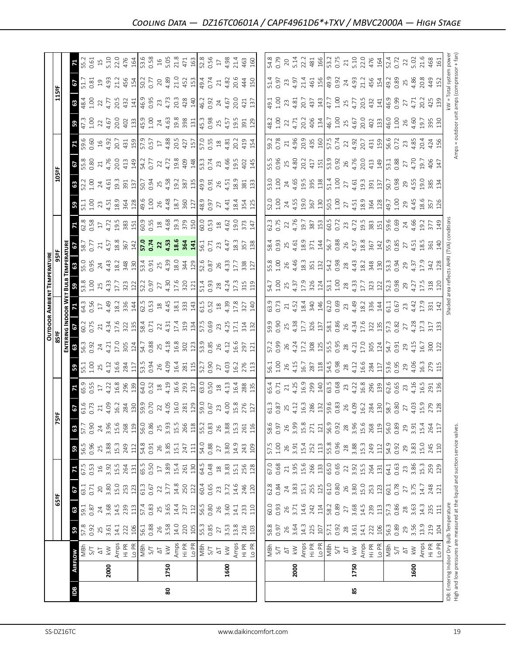|     |      |                                                                                                                            |                 |                 |                            |                                                  |                 |             |                 |                    |                    |                |                     |                 | OUTDOOR AMBIENT TEMPERATURE         |                          |                |                                           |                                    |                         |                 |                    |                      |                                                                 |                |                        |
|-----|------|----------------------------------------------------------------------------------------------------------------------------|-----------------|-----------------|----------------------------|--------------------------------------------------|-----------------|-------------|-----------------|--------------------|--------------------|----------------|---------------------|-----------------|-------------------------------------|--------------------------|----------------|-------------------------------------------|------------------------------------|-------------------------|-----------------|--------------------|----------------------|-----------------------------------------------------------------|----------------|------------------------|
|     |      |                                                                                                                            |                 | 65°F            |                            |                                                  |                 |             | ទី              |                    |                    | 85°F           |                     |                 |                                     | 95°F                     |                |                                           |                                    | 105°F                   |                 |                    |                      | 115ºF                                                           |                |                        |
|     |      |                                                                                                                            |                 |                 |                            |                                                  |                 |             |                 |                    |                    |                | ENTERING INDOOR WET |                 |                                     | <b>BULB TEMPERATURE</b>  |                |                                           |                                    |                         |                 |                    |                      |                                                                 |                |                        |
| Bal |      | <b>AIRFLOW</b>                                                                                                             | 59              | 63              | 29                         | 71                                               | 59              | 63          | 67              | 71                 | 59                 | 63             | 5                   | 71              | 59                                  | 63                       | 5              | 71                                        | 59                                 | 63                      |                 | 59.6               | 59                   | 63                                                              | 29             | 71                     |
|     |      | MBh<br>5/1                                                                                                                 | 57.8            | 59.1            | 63.1                       | 67.5                                             | 56.5            | 57.7        | 61.6<br>0.73    | 65.9               | $5.1$<br>$1.00$    | 56.3           | 60.2<br>0.75        | 64.3            | 53.8<br>1.00                        | 55.0<br>0.95             | 58.7<br>0.77   | 62.8<br>0.58                              | 51.1                               | 52.2                    | $\frac{67}{65}$ | 0.60               | 47.3<br>1.00         | 1.00<br>48.4                                                    | 51.7<br>0.81   | 55.2                   |
|     |      | $\overline{\mathbb{Q}}$                                                                                                    | 0.92            | 0.87<br>24      | 0.71<br>$\gtrsim$          | 0.53<br>$\frac{16}{1}$                           | 0.96<br>25      | 0.90<br>24  | $\overline{21}$ | 0.55<br>$17\,$     | 25                 | 0.92<br>24     | 21                  | 0.56<br>$17\,$  | 25                                  | 24                       | $\gtrsim$      | $17$                                      | 1.00<br>$23$                       | 1.00<br>$\overline{24}$ | $\overline{21}$ |                    | 22                   | 22                                                              | $\overline{c}$ | 0.61<br>$\overline{1}$ |
|     | 2000 | $\geqslant$                                                                                                                | $25$<br>3.61    | 3.68            | 3.80                       | 3.92                                             | 3.88            | 3.96        | 4.09            | 4.22               | 4.12               | 4.21           | 4.34                | 4.49            | 4.33                                | 4.43                     | 4.57           | 4.72                                      | 4.51                               | 4.61                    | 4.76            | $16$<br>4.92       | 4.67                 | 4.77                                                            | 4.93           | 5.10                   |
|     |      |                                                                                                                            | 14.1            | 14.5            | 15.0                       | 15.5                                             | 15.3            | 15.6        | 16.2            | 16.8               | 16.6               | 17.0           | 17.6                | 18.2            | 17.7                                | 18.2                     | 18.8           | 19.5                                      | 18.9                               | 19.3                    | 20.0            | 20.7               | 20.0                 | 20.5                                                            |                | 22.0                   |
|     |      | Amps<br>Hi PR                                                                                                              | 222             | 239             | 253                        | 264                                              | 249             | 268         | 284             | 296                | 284                | 305            | 322                 | 336             | 323                                 | 348                      | 367            | 383                                       | 364                                | 391                     | 413             | 431                | 402                  | 432                                                             | 21.2<br>456    | 476                    |
|     |      | Lo PR                                                                                                                      | 106             | $113$           | 123                        | 131                                              | 112             | 119         | $\frac{30}{2}$  | 139                | 117                | 124            | 135                 | 144             | 122                                 | 130                      | 142            | 151                                       | 128                                | 137                     | 149             | 159                | 133                  | 141                                                             | 154            | 164                    |
|     |      | $\frac{1}{2}$ S/T                                                                                                          | 56.1            | 57.4            | 61.3                       | 65.5                                             | 54.8            | 56.0        | 59.9<br>0.70    | 64.0<br>0.52<br>18 | 53.5               | 54.7           | 58.4                | 62.5            | 52.2                                | 53.4                     | 57.0           | 60.9                                      | 49.6                               | 50.7                    | 54.2            | 57.9<br>Q.57<br>17 | 45.9                 | 46.9<br>0.95                                                    | 50.2           | 53.6                   |
|     |      |                                                                                                                            | 0.88            | 0.83            | 0.67                       | 0.50                                             | 0.91            | 0.86        |                 |                    | 0.94               | 0.88           | 0.71                | 0.53            | 0.97                                | 0.91                     | 0.74           | $\begin{array}{c} 0.55 \\ 18 \end{array}$ | 1.00                               | 0.94                    | 0.77            |                    | 1.00                 |                                                                 | 0.77           | 0.58                   |
|     |      | $\overline{\Delta}$                                                                                                        | 26              | 25              | $22\,$                     | $17\,$                                           | 26              | 25          | 22              |                    | 26                 | 25             | 22                  | $^{28}$         | 27                                  | 25                       | $\overline{2}$ |                                           | 26                                 | 25                      | 22              |                    | $24$<br>4.63<br>19.8 | 23                                                              | 20             | $16$                   |
| 80  | 1750 | $\lesssim$                                                                                                                 | $3.58$<br>14.0  | $3.65$<br>14.4  | 3.77                       | 3.89                                             | 3.85<br>15.1    | 3.93        | 4.05            | 4.19               | 4.09               | 4.18           | 4.31                | 4.45            | 4.30                                | 4.39                     | 4.53           | 4.68                                      | 4.48                               | 4.58                    | 4.72            | 4.88               |                      | 4.73                                                            | 4.89           | 5.05                   |
|     |      | Hi PR<br>Amps                                                                                                              | 220             | 237             | 14.8                       | 15.4                                             | 247             | 15.5<br>266 | 16.0<br>281     | 16.6<br>293        | 16.4<br>281<br>115 | 16.8           | 17.4<br>319         | 18.1            | 17.6<br>320                         | 18.0                     | 18.6<br>364    | 19.3                                      | 360<br>18.7                        | 19.2<br>387             | 19.8<br>409     | 20.5<br>427        | 398                  | 20.3<br>428                                                     | 21.0<br>452    | 21.8<br>471            |
|     |      | Lo PR                                                                                                                      | 105             | 112             | 250<br>122                 | 261<br>130                                       | 111             | 118         | 129             | 137                |                    | $302$<br>$123$ | 134                 | $333$<br>143    | 121                                 | 344<br>129               | $\ddot{a}$     | 379<br>150                                | 127                                | 135                     | 148             | 157                | 131                  | 140                                                             | 153            | 163                    |
|     |      | MBh                                                                                                                        |                 | 56.5            |                            | 64.5                                             | 54.0            | 55.2        | 59.0            | 63.0               |                    |                | 57.5                | 61.5            | 51.4                                | 52.6                     | 56.1           |                                           | 48.9                               | 49.9                    | 53.3            | 57.0               |                      |                                                                 | 49.4           | 52.8                   |
|     |      | $5/$                                                                                                                       | 55.3<br>0.85    | 0.80            | 60.4                       | 0.48                                             | 0.88            | 0.83        | 0.67            | 0.50               | 52.7<br>0.90       | 53.9<br>0.85   | 0.69                | 0.52            | 0.93                                | 0.87                     | 0.71           | 60.0<br>0.53                              | 0.97                               | 0.91                    | 0.74            | 0.55               | 45.3<br>0.98         | 46.2<br>0.92                                                    | 0.74           | 0.56                   |
|     |      | $\overline{\Delta}$                                                                                                        | $\overline{27}$ | 26              | $23\,$                     | $\overset{\text{\tiny \textsf{Q}}}{\rightarrow}$ | $\overline{27}$ | 26          | 23              | $^{28}$            | 27                 | 26             | 23                  | $^{28}$         | $28$                                | 26                       | 23             | $18\,$                                    | 27                                 | 26                      | 23              | $^{28}$            | 25                   | 24                                                              | 21             | $17\,$                 |
|     | 1600 | $\lesssim$                                                                                                                 | 3.53            | 3.60            | 3.72                       | 3.83                                             | 3.80            | 3.88        | 4.00            | 4.13               | 4.03               | 4.12           | 4.25                | 4.39            | 4.24                                | 4.33                     | 4.47           | 4.62                                      | 4.41                               | 4.51                    | 4.66            | 4.81               | 4.57                 | 4.67                                                            | 4.82           | 4.98                   |
|     |      | Amps                                                                                                                       | 13.8            | 14.1            | 14.6                       | 15.1                                             | 14.9            | 15.3        | 15.8            | 16.4               | 16.2               | 9.91           | 17.1                | 17.8            | 17.3                                | 17.7                     | 18.3           | 19.0                                      | 18.4                               | 18.9                    | 19.5            | 20.2               | 19.5                 | 20.0                                                            | 20.6           | 21.4                   |
|     |      |                                                                                                                            | 216             | 233             | 246                        |                                                  | 243             | 261         | 276             | 288                | 276                | 297            | 314                 | 327             | 315                                 | 338                      |                | 373                                       | 354                                | 381                     | 402             | 419                | 391                  | 421                                                             | 444            | 463                    |
|     |      | Hi PR<br>Lo PR                                                                                                             | 103             | 110             | 120                        | 256<br>128                                       | 109             | 116         | 127             | 135                | 113                | 121            | 132                 | 140             | 119                                 | 127                      | 357<br>138     | 147                                       | 125                                | 133                     | 145             | 154                | 129                  | 137                                                             | 150            | 160                    |
|     |      |                                                                                                                            |                 |                 |                            |                                                  |                 |             |                 |                    |                    |                |                     |                 |                                     |                          |                |                                           |                                    |                         |                 |                    |                      |                                                                 |                |                        |
|     |      |                                                                                                                            | 58.8            | 60.0            | 62.8                       | 67.0                                             | 57.5<br>1.00    | 58.6        | 61.3            |                    | 56.1               | 57.2           | 59.9                | 63.9            | 54.7                                | 55.8                     | 58.4           | 62.3                                      | 52.0                               | 53.0                    | 55.5            | $-59.2$            | 48.2                 | 49.1                                                            | 51.4           | 54.8                   |
|     |      | ngw<br>S/T                                                                                                                 | 0.97            | 0.93            | 0.84                       | 0.68                                             |                 | 0.97        | 0.87            | 65.4<br>0.71       | 1.00               | 0.99           | 0.90                | 0.73            | 1.00                                | 1.00                     | 0.93           | 0.75                                      | 1.00                               | 1.00                    | 0.96            | 0.78               | 1.00                 | 1.00                                                            | 0.97           | 0.79                   |
|     |      | $\overline{\Delta}$                                                                                                        | 26              | 26              | 24                         | $\overline{21}$                                  | 26              | 26          | 25              | 21                 | 26                 | 26             | 25                  | 21              | 25                                  | 26                       | 25             | $\overline{2}$                            | 24                                 | 24                      | 25              | 21                 | 22                   | 23                                                              | 23             | 20                     |
|     | 2000 | $\lesssim$                                                                                                                 | 3.64            | 3.71            | 3.83                       |                                                  | 3.91            | 3.99        | 4.12            | 4.25               | 4.15               | 4.24           | 4.38<br>17.7        | 4.52<br>18.4    | 4.37                                | 4.46                     | 4.61           |                                           | 4.55                               | 4.65                    | 4.80            |                    | 4.71<br>20.2         | 4.81                                                            | 4.97           | 5.14                   |
|     |      | Amps<br>Hi PR                                                                                                              | 14.3            | 14.6            | 15.1                       | 3.95<br>15.6                                     | 15.4            | 15.8        | 16.3            | 16.9               | 16.7               | 17.2           |                     |                 | 17.9                                | $18.3$<br>$351$<br>$132$ | 18.9           | 4.76<br>19.7                              | 19.0                               | 19.5                    | 20.2            | 4.96<br>20.9       |                      | 20.7                                                            | 21.4           | 22.2                   |
|     |      |                                                                                                                            | 225             | 242             | 255                        | 266                                              | 252             | 271         | 286             | 299                | 287                | 308            | 326                 | 340             | 326                                 |                          | 371            | $\frac{387}{153}$                         | 367                                | 395                     | 417             | 435                | 406                  | 437                                                             | 461            | 481                    |
|     |      | Lo <sub>PR</sub>                                                                                                           | 107             | 114             | 125                        | 133                                              | 113             | 121         | 132             | 140                | 118                | 125            | 137                 | 146             | 124                                 |                          | 144            |                                           | 130                                | 138                     | 151             | $\frac{160}{2}$    | 134                  | 143                                                             | 156            | 166                    |
|     |      | MBh                                                                                                                        | 57.1            | 58.2            | 61.0                       | 65.0                                             | 55.8<br>0.96    | 56.9        | 59.6<br>0.83    | 63.5               | 54.5<br>0.98       | 55.5<br>0.95   | 58.1                | 62.0<br>0.69    | 53.1                                | 54.2<br>0.98             | 56.7           | 60.5<br>0.72                              | 50.5<br>1.00                       | 51.4                    | 53.9            | 57.5<br>0.74       | 46.7                 | 47.7                                                            | 49.9           | 53.2                   |
|     |      | 5/7                                                                                                                        | 0.92            | 0.89            | 0.80                       | 0.65                                             |                 | 0.92        |                 | 0.68               |                    |                | 0.86                |                 | 1.00                                |                          | 0.88           |                                           |                                    | 1.00                    | 0.92            |                    | 1.00                 | 1.00                                                            | 0.92           | 0.75                   |
|     |      | $\overline{\Delta}$                                                                                                        | $28$            | $\overline{27}$ | 26                         | 22                                               | $28$            | 28          | 26              | 23                 | $28$               | $28$           | 26                  | 23              | $28$                                | $28$                     | 26<br>4.57     | 23<br>4.72                                |                                    | $27\,$                  | 26              | $22$<br>4.92       | 25                   | 25                                                              | 24             | $21\,$                 |
| 85  | 1750 | $\geqslant$                                                                                                                | 3.61            | 3.68<br>14.5    |                            | 15.5<br>3.92                                     | 3.88<br>15.3    | 3.96        | 4.09            | 4.22               | 4.12               | 4.21           | 4.34                | 4.49            | 4.33                                | 4.43                     |                |                                           |                                    | 4.61                    | 4.76            |                    | 20.0<br>4.67         | 20.5<br>4.77                                                    | 4.93           | 5.10                   |
|     |      | Amps<br>Hi PR                                                                                                              | 14.1<br>222     | 239             |                            |                                                  | 249             | 15.6<br>268 | 16.2<br>284     | 16.8<br>296        | 16.6<br>284        | 17.0<br>305    | 17.6<br>322         | 18.2<br>336     | 17.7<br>323                         |                          | 18.8<br>367    |                                           |                                    | 19.3<br>391             | 20.0<br>413     |                    | 402                  | 432                                                             | 21.2<br>456    | 22.0<br>476            |
|     |      | Lo PR                                                                                                                      | 106             | 113             | 3.80<br>15.0<br>253<br>123 | 264<br>131                                       | 112             | 119         | 130             | 139                | 117                | 124            | 135                 | $\frac{144}{5}$ | 122                                 | 18.2<br>348<br>130       | 142            | 19.5<br>383<br>151                        | $27$<br>4.51<br>18.9<br>364<br>128 | 137                     | 149             | 20.7<br>431<br>159 | 133                  | 141                                                             | 154            | 164                    |
|     |      | MBh                                                                                                                        | 56.3<br>0.89    | 57.3            | 60.1                       | 64.1                                             | 54.9            | 56.0        | 58.7<br>0.80    |                    | 53.6<br>0.95       | 54.7           | 57.3<br>0.82        | 61.1            | 52.3                                | 53.3                     | 55.9           |                                           | 49.7                               | 50.7                    | 53.1            | 56.6<br>0.72       | 46.0                 | 46.9                                                            | 49.2           | 52.4                   |
|     |      | <b>S/T</b>                                                                                                                 |                 | 0.86            | 0.78                       | 0.63                                             | 0.92            | 0.89        |                 | 62.6<br>0.65       |                    | 0.91           |                     | 0.67            | 0.98                                | 0.94                     | 0.85           | 59.6<br>0.69                              | 1.00                               | 0.98                    | 0.88            |                    | 1.00                 | 0.99                                                            | 0.89           | 0.72                   |
|     |      | $\overline{\Delta}$                                                                                                        | 29              | $28$            | 27                         | 23                                               | 29              | 29          | 27              | 23                 | 29<br>4.06         | 29             | $\overline{27}$     | 23              | 29                                  | 29                       | 27             | 24.66                                     | 29                                 | 29                      | 27              | $23$<br>4.85       | 26                   | 27                                                              | 25             | 22                     |
|     | 1600 | $\geq$                                                                                                                     | 3.56            | 3.63            | 3.75                       | 3.86                                             | 3.83            | 3.91        | 4.03            | 4.16               |                    | 4.15           | 4.28                | 4.42            | 4.27                                | 4.37                     | 4.51           |                                           | 4.45                               | 4.55                    | 4.70            |                    | 4.60                 | 4.71                                                            | 4.86           | 5.02                   |
|     |      | Amps                                                                                                                       | 13.9            | 14.3            | 14.7                       | 15.3                                             | 15.0            | 15.4        | 15.9            | 16.5               | 16.3               | 16.7           | 17.3                | 17.9            | $17.5$                              | 17.9                     | 18.5           | $\overline{19.2}$                         | 18.6                               | 0.61                    | 19.7            | 20.4               | 19.7                 | 20.2                                                            | 20.8           | 21.6                   |
|     |      | Hi PR<br>Lo PR                                                                                                             | 219             | 235             | 248<br>121                 | 259<br>129                                       | 245<br>110      | 264<br>117  | 279             | 136<br>291         | 279<br>$115$       | 300<br>122     | 133<br>317          | 331             | 318                                 | 128<br>342               | 361            | 377                                       | 357<br>126                         | 385<br>134              | 406<br>147      | 424<br>156         | 395<br>130           | 425<br>139                                                      | 449<br>152     | 468<br>161             |
|     |      |                                                                                                                            | 104             | $\overline{11}$ |                            |                                                  |                 |             | 128             |                    |                    |                |                     |                 |                                     |                          |                |                                           |                                    |                         |                 |                    |                      |                                                                 |                |                        |
|     |      | High and low pressures are measured at the liquid and suction service valves.<br>IDB: Entering Indoor Dry Bulb Temperature |                 |                 |                            |                                                  |                 |             |                 |                    |                    |                |                     | shaded          | area reflects AHRI (TVA) conditions |                          |                |                                           |                                    |                         |                 |                    |                      | Amps = outdoor unit amps (compressor + fan<br>kW = Total system |                | power                  |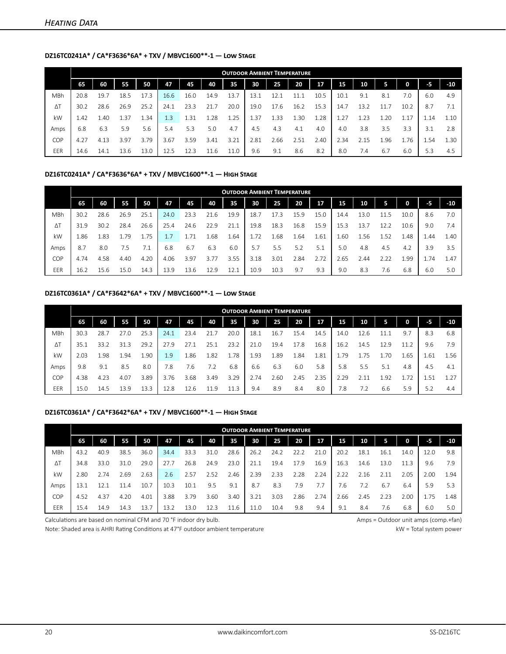## **DZ16TC0241A\* / CA\*F3636\*6A\* + TXV / MBVC1600\*\*-1 — Low Stage**

|            |      |      |      |      |      |      |      | <b>OUTDOOR AMBIENT TEMPERATURE</b> |      |      |      |      |      |      |      |      |      |       |
|------------|------|------|------|------|------|------|------|------------------------------------|------|------|------|------|------|------|------|------|------|-------|
|            | 65   | 60   | 55   | 50   | 47   | 45   | 40   | 35                                 | 30   | 25   | 20   | 17   | 15   | 10   | 5.   | 0    | -5   | $-10$ |
| MBh        | 20.8 | 19.7 | 18.5 | 17.3 | 16.6 | 16.0 | 14.9 | 13.7                               | 13.1 | 12.1 | 11.1 | 10.5 | 10.1 | 9.1  | 8.1  | 7.0  | 6.0  | 4.9   |
| $\Delta T$ | 30.2 | 28.6 | 26.9 | 25.2 | 24.1 | 23.3 | 21.7 | 20.0                               | 19.0 | 17.6 | 16.2 | 15.3 | 14.7 | 13.2 |      | 10.2 | 8.7  | 7.1   |
| kW         | 1.42 | 1.40 | 1.37 | 1.34 | 1.3  | 1.31 | 1.28 | 1.25                               | L.37 | 1.33 | 30   | 1.28 | 1.27 | .23  | .20  | 1.17 | 1.14 | 1.10  |
| Amps       | 6.8  | 6.3  | 5.9  | 5.6  | 5.4  | 5.3  | 5.0  | 4.7                                | 4.5  | 4.3  | 4.1  | 4.0  | 4.0  | 3.8  | 3.5  | 3.3  | 3.1  | 2.8   |
| COP        | 4.27 | 4.13 | 3.97 | 3.79 | 3.67 | 3.59 | 3.41 | 3.21                               | 2.81 | 2.66 | 2.51 | 2.40 | 2.34 | 2.15 | L.96 | 1.76 | 1.54 | 1.30  |
| EER        | 14.6 | 14.1 | 13.6 | 13.0 | 12.5 | 12.3 | 11.6 | 11.0                               | 9.6  | 9.1  | 8.6  | 8.2  | 8.0  | 7.4  | 6.7  | 6.0  | 5.3  | 4.5   |

### **DZ16TC0241A\* / CA\*F3636\*6A\* + TXV / MBVC1600\*\*-1 — High Stage**

|            |      |      |      |      |      |      |      | <b>OUTDOOR AMBIENT TEMPERATURE</b> |      |      |      |      |      |      |      |      |      |       |
|------------|------|------|------|------|------|------|------|------------------------------------|------|------|------|------|------|------|------|------|------|-------|
|            | 65   | 60   | 55   | 50   | 47   | 45   | 40   | 35                                 | 30   | 25   | 20   | 17   | 15   | 10   | 5    | 0    | -5   | $-10$ |
| <b>MBh</b> | 30.2 | 28.6 | 26.9 | 25.1 | 24.0 | 23.3 | 21.6 | 19.9                               | 18.7 | 17.3 | 15.9 | 15.0 | 14.4 | 13.0 | 5    | 10.0 | 8.6  | 7.0   |
| ΔΤ         | 31.9 | 30.2 | 28.4 | 26.6 | 25.4 | 24.6 | 22.9 | 21.1                               | 19.8 | 18.3 | 16.8 | 15.9 | 15.3 | 13.  | 12.2 | 10.6 | 9.0  | 7.4   |
| kW         | 1.86 | 1.83 | 1.79 | 1.75 | 1.7  | 1.71 | .68  | .64                                | 1.72 | .68  | 1.64 | 1.61 | 1.60 | .56  | 1.52 | 1.48 | 4.44 | 1.40  |
| Amps       | 8.7  | 8.0  | 7.5  | 7.1  | 6.8  | 6.7  | 6.3  | 6.0                                | 5.7  | 5.5  | 5.2  | 5.1  | 5.0  | 4.8  | 4.5  | 4.2  | 3.9  | 3.5   |
| COP        | 4.74 | 4.58 | 4.40 | 4.20 | 4.06 | 3.97 | 3.77 | 3.55                               | 3.18 | 3.01 | 2.84 | 2.72 | 2.65 | 2.44 | 2.22 | 1.99 | 1.74 | 1.47  |
| EER        | 16.2 | 15.6 | 15.0 | 14.3 | 13.9 | 13.6 | 12.9 | 12.1                               | 10.9 | 10.3 | 9.7  | 9.3  | 9.0  | 8.3  | 7.6  | 6.8  | 6.0  | 5.0   |

#### **DZ16TC0361A\* / CA\*F3642\*6A\* + TXV / MBVC1600\*\*-1 — Low Stage**

|            |      |      |      |      |      |      |      | <b>OUTDOOR AMBIENT TEMPERATURE</b> |      |      |      |      |      |      |      |      |      |       |
|------------|------|------|------|------|------|------|------|------------------------------------|------|------|------|------|------|------|------|------|------|-------|
|            | 65   | 60   | 55   | 50   | 47   | 45   | 40   | 35                                 | 30   | 25   | 20   | 17   | 15   | 10   | 5    | 0    | -5   | $-10$ |
| MBh        | 30.3 | 28.7 | 27.0 | 25.3 | 24.1 | 23.4 | 21.7 | 20.0                               | 18.1 | 16.7 | 15.4 | 14.5 | 14.0 | 12.6 |      | 9.7  | 8.3  | 6.8   |
| $\Delta T$ | 35.1 | 33.2 | 31.3 | 29.2 | 27.9 | 27.1 | 25.1 | 23.2                               | 21.0 | 19.4 | 17.8 | 16.8 | 16.2 | 14.5 | 12.9 | 11.2 | 9.6  | 7.9   |
| kW         | 2.03 | 1.98 | 1.94 | 1.90 | 1.9  | 1.86 | 1.82 | 1.78                               | 1.93 | 1.89 | 1.84 | 1.81 | 1.79 | 1.75 | 1.70 | 1.65 | 1.61 | 1.56  |
| Amps       | 9.8  | 9.1  | 8.5  | 8.0  | 7.8  | 7.6  | 7.2  | 6.8                                | 6.6  | 6.3  | 6.0  | 5.8  | 5.8  | 5.5  | 5.1  | 4.8  | 4.5  | 4.1   |
| COP        | 4.38 | 4.23 | 4.07 | 3.89 | 3.76 | 3.68 | 3.49 | 3.29                               | 2.74 | 2.60 | 2.45 | 2.35 | 2.29 | 2.11 | 1.92 | 1.72 | 1.51 | 1.27  |
| EER        | 15.0 | 14.5 | 13.9 | 13.3 | 12.8 | 12.6 | 11.9 | 11.3                               | 9.4  | 8.9  | 8.4  | 8.0  | 7.8  | 7.2  | 6.6  | 5.9  | 5.2  | 4.4   |

#### **DZ16TC0361A\* / CA\*F3642\*6A\* + TXV / MBVC1600\*\*-1 — High Stage**

|            |      |      |      |      |      |      |      | <b>OUTDOOR AMBIENT TEMPERATURE</b> |      |      |      |      |      |                 |      |      |      |       |
|------------|------|------|------|------|------|------|------|------------------------------------|------|------|------|------|------|-----------------|------|------|------|-------|
|            | 65   | 60   | 55   | 50   | 47   | 45   | 40   | 35                                 | 30   | 25   | 20   | 17   | 15   | 10 <sup>°</sup> | 5    | 0    | -5   | $-10$ |
| <b>MBh</b> | 43.2 | 40.9 | 38.5 | 36.0 | 34.4 | 33.3 | 31.0 | 28.6                               | 26.2 | 24.2 | 22.2 | 21.0 | 20.2 | 18.1            | 16.1 | 14.0 | 12.0 | 9.8   |
| $\Delta T$ | 34.8 | 33.0 | 31.0 | 29.0 | 27.7 | 26.8 | 24.9 | 23.0                               | 21.1 | 19.4 | 17.9 | 16.9 | 16.3 | 14.6            | 13.0 | 11.3 | 9.6  | 7.9   |
| kW         | 2.80 | 2.74 | 2.69 | 2.63 | 2.6  | 2.57 | 2.52 | 2.46                               | 2.39 | 2.33 | 2.28 | 2.24 | 2.22 | 2.16            | 2.11 | 2.05 | 2.00 | 1.94  |
| Amps       | 13.1 | 12.1 | 11.4 | 10.7 | 10.3 | 10.1 | 9.5  | 9.1                                | 8.7  | 8.3  | 7.9  | 7.7  | 7.6  | 7.2             | 6.7  | 6.4  | 5.9  | 5.3   |
| <b>COP</b> | 4.52 | 4.37 | 4.20 | 4.01 | 3.88 | 3.79 | 3.60 | 3.40                               | 3.21 | 3.03 | 2.86 | 2.74 | 2.66 | 2.45            | 2.23 | 2.00 | 1.75 | 1.48  |
| EER        | 15.4 | 14.9 | 14.3 | 13.7 | 13.2 | 13.0 | 12.3 | 11.6                               | 11.0 | 10.4 | 9.8  | 9.4  | 9.1  | 8.4             | 7.6  | 6.8  | 6.0  | 5.0   |

Calculations are based on nominal CFM and 70 °F indoor dry bulb. Amps = Outdoor unit amps (comp.+fan)

Note: Shaded area is AHRI Rating Conditions at 47°F outdoor ambient temperature kW = Total system power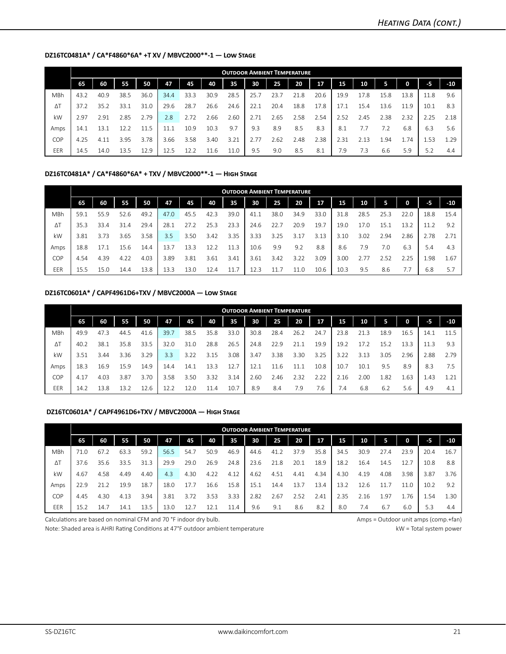#### **DZ16TC0481A\* / CA\*F4860\*6A\* +T XV / MBVC2000\*\*-1 — Low Stage**

|            |      |      |      |      |      |      |      | <b>OUTDOOR AMBIENT TEMPERATURE</b> |      |      |      |      |      |      |      |          |      |       |
|------------|------|------|------|------|------|------|------|------------------------------------|------|------|------|------|------|------|------|----------|------|-------|
|            | 65   | 60   | 55   | 50   | 47   | 45   | 40   | 35                                 | 30   | 25   | 20   | 17   | 15   | 10   | 5    | $\Omega$ | -5   | $-10$ |
| MBh        | 43.2 | 40.9 | 38.5 | 36.0 | 34.4 | 33.3 | 30.9 | 28.5                               | 25.7 | 23.7 | 21.8 | 20.6 | 19.9 | 17.8 | 15.8 | 13.8     | 11.8 | 9.6   |
| $\Delta T$ | 37.2 | 35.2 | 33.1 | 31.0 | 29.6 | 28.7 | 26.6 | 24.6                               | 22.1 | 20.4 | 18.8 | 17.8 | 17.1 | 15.4 | 13.6 | 11.9     | 10.1 | 8.3   |
| kW         | 2.97 | 2.91 | 2.85 | 2.79 | 2.8  | 2.72 | 2.66 | 2.60                               | 2.71 | 2.65 | 2.58 | 2.54 | 2.52 | 2.45 | 2.38 | 2.32     | 2.25 | 2.18  |
| Amps       | 14.1 | 13.1 | 12.2 | 11.5 | 11.1 | 10.9 | 10.3 | 9.7                                | 9.3  | 8.9  | 8.5  | 8.3  | 8.1  | 7.7  | 7.2  | 6.8      | 6.3  | 5.6   |
| COP        | 4.25 | 4.11 | 3.95 | 3.78 | 3.66 | 3.58 | 3.40 | 3.21                               | 2.77 | 2.62 | 2.48 | 2.38 | 2.31 | 2.13 | 1.94 | . 74     | 1.53 | 1.29  |
| EER        | 14.5 | 14.0 | 13.5 | 12.9 | 12.5 | 12.2 | 11.6 | 11.0                               | 9.5  | 9.0  | 8.5  | 8.1  | 7.9  | 7.3  | 6.6  | 5.9      | 5.2  | 4.4   |

#### **DZ16TC0481A\* / CA\*F4860\*6A\* + TXV / MBVC2000\*\*-1 — High Stage**

|            |      |      |      |      |      |      |      | <b>OUTDOOR AMBIENT TEMPERATURE</b> |      |      |      |      |      |      |      |      |      |       |
|------------|------|------|------|------|------|------|------|------------------------------------|------|------|------|------|------|------|------|------|------|-------|
|            | 65   | 60   | 55   | 50   | 47   | 45   | 40   | 35                                 | 30   | 25   | 20   | 17   | 15   | 10   | 5    | 0    | $-5$ | $-10$ |
| <b>MBh</b> | 59.1 | 55.9 | 52.6 | 49.2 | 47.0 | 45.5 | 42.3 | 39.0                               | 41.1 | 38.0 | 34.9 | 33.0 | 31.8 | 28.5 | 25.3 | 22.0 | 18.8 | 15.4  |
| $\Delta T$ | 35.3 | 33.4 | 31.4 | 29.4 | 28.1 | 27.2 | 25.3 | 23.3                               | 24.6 | 22.7 | 20.9 | 19.7 | 19.0 | 17.0 | 15.1 | 13.2 | 11.2 | 9.2   |
| kW         | 3.81 | 3.73 | 3.65 | 3.58 | 3.5  | 3.50 | 3.42 | 3.35                               | 3.33 | 3.25 | 3.17 | 3.13 | 3.10 | 3.02 | 2.94 | 2.86 | 2.78 | 2.71  |
| Amps       | 18.8 | 17.1 | 15.6 | 14.4 | 13.7 | 13.3 | 12.2 | 11.3                               | 10.6 | 9.9  | 9.2  | 8.8  | 8.6  | 7.9  | 7.0  | 6.3  | 5.4  | 4.3   |
| COP        | 4.54 | 4.39 | 4.22 | 4.03 | 3.89 | 3.81 | 3.61 | 3.41                               | 3.61 | 3.42 | 3.22 | 3.09 | 3.00 |      | 2.52 | 2.25 | 1.98 | 1.67  |
| EER        | 15.5 | 15.0 | 14.4 | 13.8 | 13.3 | 13.0 | 12.4 | 11.7                               | 12.3 | 11.7 | 11.0 | 10.6 | 10.3 | 9.5  | 8.6  | 7.7  | 6.8  | 5.7   |

#### **DZ16TC0601A\* / CAPF4961D6+TXV / MBVC2000A — Low Stage**

|            | <b>OUTDOOR AMBIENT TEMPERATURE</b> |      |      |      |      |      |      |      |      |      |      |      |      |      |      |      |      |       |
|------------|------------------------------------|------|------|------|------|------|------|------|------|------|------|------|------|------|------|------|------|-------|
|            | 65                                 | 60   | 55   | 50   | 47   | 45   | 40   | 35   | 30   | 25   | 20   | 17   | 15   | 10   | 5    | 0    | -5   | $-10$ |
| MBh        | 49.9                               | 47.3 | 44.5 | 41.6 | 39.7 | 38.5 | 35.8 | 33.0 | 30.8 | 28.4 | 26.2 | 24.7 | 23.8 | 21.3 | 18.9 | 16.5 | 14.1 | 11.5  |
| $\Delta T$ | 40.2                               | 38.1 | 35.8 | 33.5 | 32.0 | 31.0 | 28.8 | 26.5 | 24.8 | 22.9 | 21.1 | 19.9 | 19.2 | 17.2 | 15.2 | 13.3 | 11.3 | 9.3   |
| kW         | 3.51                               | 3.44 | 3.36 | 3.29 | 3.3  | 3.22 | 3.15 | 3.08 | 3.47 | 3.38 | 3.30 | 3.25 | 3.22 | 3.13 | 3.05 | 2.96 | 2.88 | 2.79  |
| Amps       | 18.3                               | 16.9 | 15.9 | 14.9 | 14.4 | 14.1 | 13.3 | 12.7 | 12.1 | 11.6 | 11.1 | 10.8 | 10.7 | 10.1 | 9.5  | 8.9  | 8.3  | 7.5   |
| COP        | 4.17                               | 4.03 | 3.87 | 3.70 | 3.58 | 3.50 | 3.32 | 3.14 | 2.60 | 2.46 | 2.32 | 2.22 | 2.16 | 2.00 | 1.82 | 1.63 | 1.43 | 1.21  |
| EER        | 14.2                               | 13.8 | 13.2 | 12.6 | 12.2 | 12.0 | 11.4 | 10.7 | 8.9  | 8.4  | 7.9  | 7.6  | 7.4  | 6.8  | 6.2  | 5.6  | 4.9  | 4.1   |

#### **DZ16TC0601A\* / CAPF4961D6+TXV / MBVC2000A — High Stage**

|            | <b>OUTDOOR AMBIENT TEMPERATURE</b> |      |      |      |      |      |      |      |      |      |      |      |      |      |      |      |      |       |
|------------|------------------------------------|------|------|------|------|------|------|------|------|------|------|------|------|------|------|------|------|-------|
|            | 65                                 | 60   | 55   | 50   | 47   | 45   | 40   | 35   | 30   | 25   | 20   | 17   | 15   | 10   | 5.   | 0    | -5.  | $-10$ |
| MBh        | 71.0                               | 67.2 | 63.3 | 59.2 | 56.5 | 54.7 | 50.9 | 46.9 | 44.6 | 41.2 | 37.9 | 35.8 | 34.5 | 30.9 | 27.4 | 23.9 | 20.4 | 16.7  |
| $\Delta T$ | 37.6                               | 35.6 | 33.5 | 31.3 | 29.9 | 29.0 | 26.9 | 24.8 | 23.6 | 21.8 | 20.1 | 18.9 | 18.2 | 16.4 | 14.5 | 12.7 | 10.8 | 8.8   |
| kW         | 4.67                               | 4.58 | 4.49 | 4.40 | 4.3  | 4.30 | 4.22 | 4.12 | 4.62 | 4.51 | 4.41 | 4.34 | 4.30 | 4.19 | 4.08 | 3.98 | 3.87 | 3.76  |
| Amps       | 22.9                               | 21.2 | 19.9 | 18.7 | 18.0 | 17.7 | 16.6 | 15.8 | 15.1 | 14.4 | 13.7 | 13.4 | 13.2 | 12.6 |      | 11.0 | 10.2 | 9.2   |
| COP        | 4.45                               | 4.30 | 4.13 | 3.94 | 3.81 | 3.72 | 3.53 | 3.33 | 2.82 | 2.67 | 2.52 | 2.41 | 2.35 | 2.16 | 1.97 | 1.76 | 1.54 | 1.30  |
| EER        | 15.2                               | 14.7 | 14.1 | 13.5 | 13.0 | 12.7 | 12.1 | 11.4 | 9.6  | 9.1  | 8.6  | 8.2  | 8.0  | 7.4  | 6.7  | 6.0  | 5.3  | 4.4   |

Calculations are based on nominal CFM and 70 °F indoor dry bulb. Amps = Outdoor unit amps (comp.+fan)

Note: Shaded area is AHRI Rating Conditions at 47°F outdoor ambient temperature kW = Total system power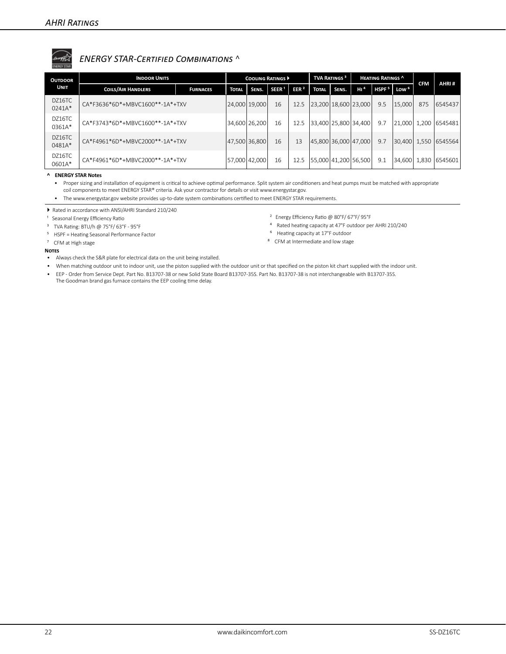# *ENERGY STAR-Certified Combinations* ^

| <b>OUTDOOR</b>   | <b>INDOOR UNITS</b>             |                 |               | <b>COOLING RATINGS ▶</b> |                   |                  |                          | <b>TVA RATINGS<sup>3</sup></b> |                 | <b>HEATING RATINGS ^</b> |                                    |            | AHRI#         |
|------------------|---------------------------------|-----------------|---------------|--------------------------|-------------------|------------------|--------------------------|--------------------------------|-----------------|--------------------------|------------------------------------|------------|---------------|
| <b>UNIT</b>      | <b>COILS/AIR HANDLERS</b>       | <b>FURNACES</b> | <b>TOTAL</b>  | SENS.                    | SEER <sup>1</sup> | EER <sup>2</sup> | <b>TOTAL</b>             | SENS.                          | H1 <sup>4</sup> |                          | HSPF <sup>5</sup> Low <sup>6</sup> | <b>CFM</b> |               |
| DZ16TC<br>0241A* | CA*F3636*6D*+MBVC1600**-1A*+TXV |                 | 24,000        | 19,000                   | 16                | 12.5             | 23,200   18,600   23,000 |                                |                 | 9.5                      | 15,000                             | 875        | 6545437       |
| DZ16TC<br>0361A* | CA*F3743*6D*+MBVC1600**-1A*+TXV |                 |               | 34,600 26,200            | 16                | 12.5             | 33,400 25,800 34,400     |                                |                 | 9.7                      | 21.000                             | 1,200      | 6545481       |
| DZ16TC<br>0481A* | CA*F4961*6D*+MBVC2000**-1A*+TXV |                 | 47,500 36,800 |                          | 16                | 13               | 45,800 36,000 47,000     |                                |                 | 9.7                      | 30,400 1,550                       |            | 6545564       |
| DZ16TC<br>0601A* | CA*F4961*6D*+MBVC2000**-1A*+TXV |                 | 57,000 42,000 |                          | 16                | 12.5             | 55,000 41,200 56,500     |                                |                 | 9.1                      | 34.600                             |            | 1,830 6545601 |

**^ ENERGY STAR Notes**

• Proper sizing and installation of equipment is critical to achieve optimal performance. Split system air conditioners and heat pumps must be matched with appropriate coil components to meet ENERGY STAR® criteria. Ask your contractor for details or visit www.energystar.gov.

• The www.energystar.gov website provides up-to-date system combinations certified to meet ENERGY STAR requirements.

Rated in accordance with ANSI/AHRI Standard 210/240

<sup>1</sup> Seasonal Energy Efficiency Ratio

³ TVA Rating: BTU/h @ 75°F/ 63°F - 95°F

⁵ HSPF = Heating Seasonal Performance Factor

⁷ CFM at High stage

- ² Energy Efficiency Ratio @ 80°F/ 67°F/ 95°F
- ⁴ Rated heating capacity at 47°F outdoor per AHRI 210/240
- ⁶ Heating capacity at 17°F outdoor
- ⁸ CFM at Intermediate and low stage

- **Notes**
- Always check the S&R plate for electrical data on the unit being installed.
- When matching outdoor unit to indoor unit, use the piston supplied with the outdoor unit or that specified on the piston kit chart supplied with the indoor unit. • EEP - Order from Service Dept. Part No. B13707-38 or new Solid State Board B13707-35S. Part No. B13707-38 is not interchangeable with B13707-35S. The Goodman brand gas furnace contains the EEP cooling time delay.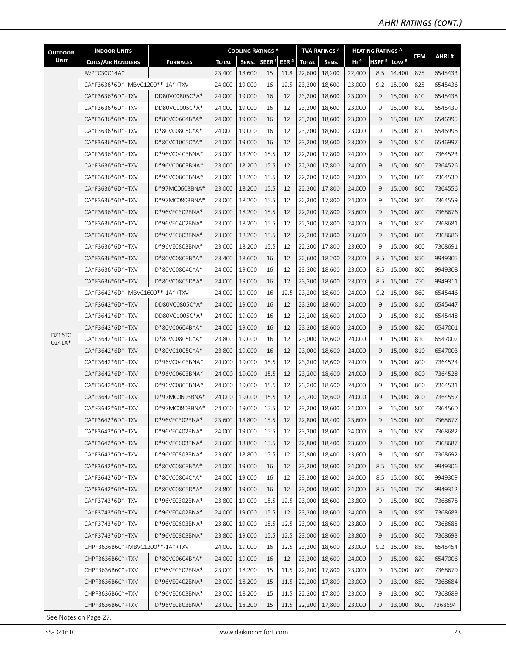| <b>OUTDOOR</b> | <b>INDOOR UNITS</b>             |                 |              | <b>COOLING RATINGS ^</b> |                   |                  |              | <b>TVA RATINGS<sup>3</sup></b> |                 | <b>HEATING RATINGS ^</b> |                  |            |         |
|----------------|---------------------------------|-----------------|--------------|--------------------------|-------------------|------------------|--------------|--------------------------------|-----------------|--------------------------|------------------|------------|---------|
| <b>UNIT</b>    | <b>COILS/AIR HANDLERS</b>       | <b>FURNACES</b> | <b>TOTAL</b> | SENS.                    | SEER <sup>1</sup> | EER <sup>2</sup> | <b>TOTAL</b> | SENS.                          | H1 <sup>4</sup> | HSPF <sup>5</sup>        | Low <sup>6</sup> | <b>CFM</b> | AHRI#   |
|                | AVPTC30C14A*                    |                 | 23,400       | 18,600                   | 15                | 11.8             | 22,600       | 18,200                         | 22,400          | 8.5                      | 14,400           | 875        | 6545433 |
|                | CA*F3636*6D*+MBVC1200**-1A*+TXV |                 | 24,000       | 19,000                   | 16                | 12.5             | 23,200       | 18,600                         | 23,000          | 9.2                      | 15,000           | 825        | 6545436 |
|                | CA*F3636*6D*+TXV                | DD80VC0805C*A*  | 24,000       | 19,000                   | 16                | 12               | 23,200       | 18,600                         | 23,000          | 9                        | 15,000           | 810        | 6545438 |
|                | CA*F3636*6D*+TXV                | DD80VC1005C*A*  | 24,000       | 19,000                   | 16                | 12               | 23,200       | 18,600                         | 23,000          | 9                        | 15,000           | 810        | 6545439 |
|                | CA*F3636*6D*+TXV                | D*80VC0604B*A*  | 24,000       | 19,000                   | 16                | 12               | 23,200       | 18,600                         | 23,000          | 9                        | 15,000           | 820        | 6546995 |
|                | CA*F3636*6D*+TXV                | D*80VC0805C*A*  | 24,000       | 19,000                   | 16                | 12               | 23,200       | 18,600                         | 23,000          | 9                        | 15,000           | 810        | 6546996 |
|                | CA*F3636*6D*+TXV                | D*80VC1005C*A*  | 24,000       | 19,000                   | 16                | 12               | 23,200       | 18,600                         | 23,000          | 9                        | 15,000           | 810        | 6546997 |
|                | CA*F3636*6D*+TXV                | D*96VC0403BNA*  | 23,000       | 18,200                   | 15.5              | 12               | 22,200       | 17,800                         | 24,000          | 9                        | 15,000           | 800        | 7364523 |
|                | CA*F3636*6D*+TXV                | D*96VC0603BNA*  | 23,000       | 18,200                   | 15.5              | 12               | 22,200       | 17,800                         | 24,000          | 9                        | 15,000           | 800        | 7364526 |
|                | CA*F3636*6D*+TXV                | D*96VC0803BNA*  | 23,000       | 18,200                   | 15.5              | 12               | 22,200       | 17,800                         | 24,000          | 9                        | 15,000           | 800        | 7364530 |
|                | CA*F3636*6D*+TXV                | D*97MC0603BNA*  | 23,000       | 18,200                   | 15.5              | 12               | 22,200       | 17,800                         | 24,000          | 9                        | 15,000           | 800        | 7364556 |
|                | CA*F3636*6D*+TXV                | D*97MC0803BNA*  | 23,000       | 18,200                   | 15.5              | 12               | 22,200       | 17,800                         | 24,000          | 9                        | 15,000           | 800        | 7364559 |
|                | CA*F3636*6D*+TXV                | D*96VE0302BNA*  | 23,000       | 18,200                   | 15.5              | 12               | 22,200       | 17,800                         | 23,600          | 9                        | 15,000           | 800        | 7368676 |
|                | CA*F3636*6D*+TXV                | D*96VE0402BNA*  | 23,000       | 18,200                   | 15.5              | 12               | 22,200       | 17,800                         | 24,000          | 9                        | 15,000           | 850        | 7368681 |
|                | CA*F3636*6D*+TXV                | D*96VE0603BNA*  | 23,000       | 18,200                   | 15.5              | 12               | 22,200       | 17,800                         | 23,600          | 9                        | 15,000           | 800        | 7368686 |
|                | CA*F3636*6D*+TXV                | D*96VE0803BNA*  | 23,000       | 18,200                   | 15.5              | 12               | 22,200       | 17,800                         | 23,600          | 9                        | 15,000           | 800        | 7368691 |
|                | CA*F3636*6D*+TXV                | D*80VC0803B*A*  | 23,400       | 18,600                   | 16                | 12               | 22,600       | 18,200                         | 23,000          | 8.5                      | 15,000           | 850        | 9949305 |
|                | CA*F3636*6D*+TXV                | D*80VC0804C*A*  | 24,000       | 19,000                   | 16                | 12               | 23,200       | 18,600                         | 23,000          | 8.5                      | 15,000           | 800        | 9949308 |
|                | CA*F3636*6D*+TXV                | D*80VC0805D*A*  | 24,000       | 19,000                   | 16                | 12               | 23,200       | 18,600                         | 23,000          | 8.5                      | 15,000           | 750        | 9949311 |
|                | CA*F3642*6D*+MBVC1600**-1A*+TXV |                 | 24,000       | 19,000                   | 16                | 12.5             | 23,200       | 18,600                         | 24,000          | 9.2                      | 15,000           | 860        | 6545446 |
|                | CA*F3642*6D*+TXV                | DD80VC0805C*A*  | 24,000       | 19,000                   | 16                | 12               | 23,200       | 18,600                         | 24,000          | 9                        | 15,000           | 810        | 6545447 |
|                | CA*F3642*6D*+TXV                | DD80VC1005C*A*  | 24,000       | 19,000                   | 16                | 12               | 23,200       | 18,600                         | 24,000          | 9                        | 15,000           | 810        | 6545448 |
| DZ16TC         | CA*F3642*6D*+TXV                | D*80VC0604B*A*  | 24,000       | 19,000                   | 16                | 12               | 23,200       | 18,600                         | 24,000          | 9                        | 15,000           | 820        | 6547001 |
| 0241A*         | CA*F3642*6D*+TXV                | D*80VC0805C*A*  | 23,800       | 19,000                   | 16                | 12               | 23,000       | 18,600                         | 24,000          | 9                        | 15,000           | 810        | 6547002 |
|                | CA*F3642*6D*+TXV                | D*80VC1005C*A*  | 23,800       | 19,000                   | 16                | 12               | 23,000       | 18,600                         | 24,000          | 9                        | 15,000           | 810        | 6547003 |
|                | CA*F3642*6D*+TXV                | D*96VC0403BNA*  | 24,000       | 19,000                   | 15.5              | 12               | 23,200       | 18,600                         | 24,000          | 9                        | 15,000           | 800        | 7364524 |
|                | CA*F3642*6D*+TXV                | D*96VC0603BNA*  | 24,000       | 19,000                   | 15.5              | 12               | 23,200       | 18,600                         | 24,000          | 9                        | 15,000           | 800        | 7364528 |
|                | CA*F3642*6D*+TXV                | D*96VC0803BNA*  | 24,000       | 19,000                   | 15.5              | 12               | 23,200       | 18,600                         | 24,000          | 9                        | 15,000           | 800        | 7364531 |
|                | CA*F3642*6D*+TXV                | D*97MC0603BNA*  | 24,000       | 19,000                   | 15.5              | 12               | 23,200       | 18,600                         | 24,000          | 9                        | 15,000           | 800        | 7364557 |
|                | CA*F3642*6D*+TXV                | D*97MC0803BNA*  | 24,000       | 19.000                   | 15.5              | 12               |              | 23,200   18,600                | 24,000          | 9                        | 15,000           | 800        | 7364560 |
|                | CA*F3642*6D*+TXV                | D*96VE0302BNA*  | 23,600       | 18,800                   | 15.5              | 12               | 22,800       | 18,400                         | 23,600          | 9                        | 15,000           | 800        | 7368677 |
|                | CA*F3642*6D*+TXV                | D*96VE0402BNA*  | 24,000       | 19,000                   | 15.5              | 12               | 23,200       | 18,600                         | 24,000          | 9                        | 15,000           | 850        | 7368682 |
|                | CA*F3642*6D*+TXV                | D*96VE0603BNA*  | 23,600       | 18,800                   | 15.5              | 12               | 22,800       | 18,400                         | 23,600          | 9                        | 15,000           | 800        | 7368687 |
|                | CA*F3642*6D*+TXV                | D*96VE0803BNA*  | 23,600       | 18,800                   | 15.5              | 12               | 22,800       | 18,400                         | 23,600          | 9                        | 15,000           | 800        | 7368692 |
|                | CA*F3642*6D*+TXV                | D*80VC0803B*A*  | 24,000       | 19,000                   | 16                | 12               | 23,200       | 18,600                         | 24,000          | 8.5                      | 15,000           | 850        | 9949306 |
|                | CA*F3642*6D*+TXV                | D*80VC0804C*A*  | 24,000       | 19,000                   | 16                | 12               | 23,200       | 18,600                         | 24,000          | 8.5                      | 15,000           | 800        | 9949309 |
|                | CA*F3642*6D*+TXV                | D*80VC0805D*A*  | 23,800       | 19,000                   | 16                | 12               | 23,000       | 18,600                         | 24,000          | 8.5                      | 15,000           | 750        | 9949312 |
|                | CA*F3743*6D*+TXV                | D*96VE0302BNA*  | 23,800       | 19,000                   | 15.5              | 12.5             | 23,000       | 18,600                         | 23,800          | 9                        | 15,000           | 800        | 7368678 |
|                | CA*F3743*6D*+TXV                | D*96VE0402BNA*  | 24,000       | 19,000                   | 15.5              | 12               | 23,200       | 18,600                         | 24,000          | 9                        | 15,000           | 850        | 7368683 |
|                | CA*F3743*6D*+TXV                | D*96VE0603BNA*  | 23,800       | 19,000                   | 15.5              | 12.5             | 23,000       | 18,600                         | 23,800          | 9                        | 15,000           | 800        | 7368688 |
|                | CA*F3743*6D*+TXV                | D*96VE0803BNA*  | 23,800       | 19,000                   | 15.5              | 12.5             | 23,000       | 18,600                         | 23,800          | 9                        | 15,000           | 800        | 7368693 |
|                | CHPF3636B6C*+MBVC1200**-1A*+TXV |                 | 24,000       | 19,000                   | 16                | 12.5             | 23,200       | 18,600                         | 23,000          | 9.2                      | 15,000           | 850        | 6545454 |
|                | CHPF3636B6C*+TXV                | D*80VC0604B*A*  | 24,000       | 19,000                   | 16                | 12               | 23,200       | 18,600                         | 24,000          | 9                        | 15,000           | 820        | 6547006 |
|                | CHPF3636B6C*+TXV                | D*96VE0302BNA*  | 23,000       | 18,200                   | 15                | 11.5             | 22,200       | 17,800                         | 23,000          | 9                        | 13,000           | 800        | 7368679 |
|                | CHPF3636B6C*+TXV                | D*96VE0402BNA*  | 23,000       | 18,200                   | 15                | 11.5             | 22,200       | 17,800                         | 23,000          | 9                        | 13,000           | 850        | 7368684 |
|                | CHPF3636B6C*+TXV                | D*96VE0603BNA*  | 23,000       | 18,200                   | 15                | 11.5             | 22,200       | 17,800                         | 23,000          | 9                        | 13,000           | 800        | 7368689 |
|                | CHPF3636B6C*+TXV                | D*96VE0803BNA*  | 23,000       | 18,200                   | 15                | 11.5             | 22,200       | 17,800                         | 23,000          | 9                        | 13,000           | 800        | 7368694 |

See Notes on Page 27.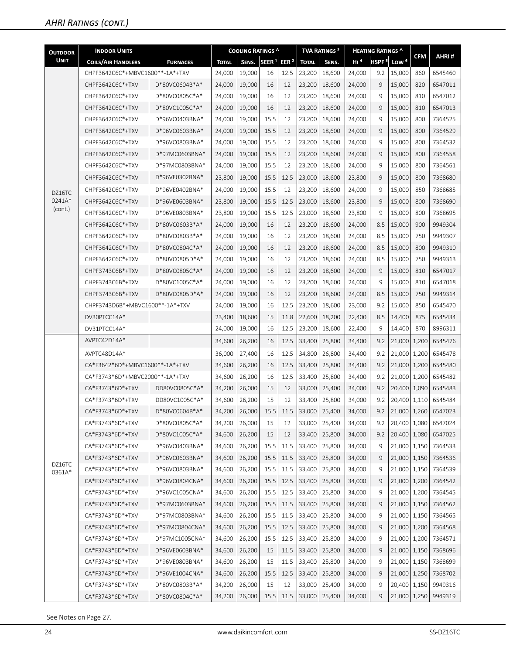| <b>OUTDOOR</b>   | <b>INDOOR UNITS</b>             |                 |               | COOLING RATINGS ^ |                   |                  |              | <b>TVA RATINGS<sup>3</sup></b> |                 | <b>HEATING RATINGS ^</b> |                  |            |                      |
|------------------|---------------------------------|-----------------|---------------|-------------------|-------------------|------------------|--------------|--------------------------------|-----------------|--------------------------|------------------|------------|----------------------|
| <b>UNIT</b>      | <b>COILS/AIR HANDLERS</b>       | <b>FURNACES</b> | <b>TOTAL</b>  | SENS.             | SEER <sup>1</sup> | EER <sup>2</sup> | <b>TOTAL</b> | SENS.                          | H1 <sup>4</sup> | HSPF <sup>5</sup>        | Low <sup>6</sup> | <b>CFM</b> | AHRI#                |
|                  | CHPF3642C6C*+MBVC1600**-1A*+TXV |                 | 24,000        | 19,000            | 16                | 12.5             | 23,200       | 18,600                         | 24,000          | 9.2                      | 15,000           | 860        | 6545460              |
|                  | CHPF3642C6C*+TXV                | D*80VC0604B*A*  | 24,000        | 19,000            | 16                | 12               | 23,200       | 18,600                         | 24,000          | 9                        | 15,000           | 820        | 6547011              |
|                  | CHPF3642C6C*+TXV                | D*80VC0805C*A*  | 24,000        | 19,000            | 16                | 12               | 23,200       | 18,600                         | 24,000          | 9                        | 15,000           | 810        | 6547012              |
|                  | CHPF3642C6C*+TXV                | D*80VC1005C*A*  | 24,000        | 19,000            | 16                | 12               | 23,200       | 18,600                         | 24,000          | 9                        | 15,000           | 810        | 6547013              |
|                  | CHPF3642C6C*+TXV                | D*96VC0403BNA*  | 24,000        | 19,000            | 15.5              | 12               | 23,200       | 18,600                         | 24,000          | 9                        | 15,000           | 800        | 7364525              |
|                  | CHPF3642C6C*+TXV                | D*96VC0603BNA*  | 24,000        | 19,000            | 15.5              | 12               | 23,200       | 18,600                         | 24,000          | 9                        | 15,000           | 800        | 7364529              |
|                  | CHPF3642C6C*+TXV                | D*96VC0803BNA*  | 24,000        | 19,000            | 15.5              | 12               | 23,200       | 18,600                         | 24,000          | 9                        | 15,000           | 800        | 7364532              |
|                  | CHPF3642C6C*+TXV                | D*97MC0603BNA*  | 24,000        | 19,000            | 15.5              | 12               | 23,200       | 18,600                         | 24,000          | 9                        | 15,000           | 800        | 7364558              |
|                  | CHPF3642C6C*+TXV                | D*97MC0803BNA*  | 24,000        | 19,000            | 15.5              | 12               | 23,200       | 18,600                         | 24,000          | 9                        | 15,000           | 800        | 7364561              |
|                  | CHPF3642C6C*+TXV                | D*96VE0302BNA*  | 23,800        | 19,000            | 15.5              | 12.5             | 23,000       | 18,600                         | 23,800          | 9                        | 15,000           | 800        | 7368680              |
| DZ16TC           | CHPF3642C6C*+TXV                | D*96VE0402BNA*  | 24,000        | 19,000            | 15.5              | 12               | 23,200       | 18,600                         | 24,000          | 9                        | 15,000           | 850        | 7368685              |
| 0241A*           | CHPF3642C6C*+TXV                | D*96VE0603BNA*  | 23,800        | 19,000            | 15.5              | 12.5             | 23,000       | 18,600                         | 23,800          | 9                        | 15,000           | 800        | 7368690              |
| (cont.)          | CHPF3642C6C*+TXV                | D*96VE0803BNA*  | 23,800        | 19,000            | 15.5              | 12.5             | 23,000       | 18,600                         | 23,800          | 9                        | 15,000           | 800        | 7368695              |
|                  | CHPF3642C6C*+TXV                | D*80VC0603B*A*  | 24,000        | 19,000            | 16                | 12               | 23,200       | 18,600                         | 24,000          | 8.5                      | 15,000           | 900        | 9949304              |
|                  | CHPF3642C6C*+TXV                | D*80VC0803B*A*  | 24,000        | 19,000            | 16                | 12               | 23,200       | 18,600                         | 24,000          | 8.5                      | 15,000           | 750        | 9949307              |
|                  | CHPF3642C6C*+TXV                | D*80VC0804C*A*  | 24,000        | 19,000            | 16                | 12               | 23,200       | 18,600                         | 24,000          | 8.5                      | 15,000           | 800        | 9949310              |
|                  | CHPF3642C6C*+TXV                | D*80VC0805D*A*  | 24,000        | 19,000            | 16                | 12               | 23,200       | 18,600                         | 24,000          | 8.5                      | 15,000           | 750        | 9949313              |
|                  | CHPF3743C6B*+TXV                | D*80VC0805C*A*  | 24,000        | 19,000            | 16                | 12               | 23,200       | 18,600                         | 24,000          | 9                        | 15,000           | 810        | 6547017              |
|                  | CHPF3743C6B*+TXV                | D*80VC1005C*A*  | 24,000        | 19,000            | 16                | 12               | 23,200       | 18,600                         | 24,000          | 9                        | 15,000           | 810        | 6547018              |
|                  | CHPF3743C6B*+TXV                | D*80VC0805D*A*  | 24,000        | 19,000            | 16                | 12               | 23,200       | 18,600                         | 24,000          | 8.5                      | 15,000           | 750        | 9949314              |
|                  | CHPF3743D6B*+MBVC1600**-1A*+TXV |                 | 24,000        | 19,000            | 16                | 12.5             | 23,200       | 18,600                         | 23,000          | 9.2                      | 15,000           | 850        | 6545470              |
|                  | DV30PTCC14A*                    |                 | 23,400        | 18,600            | 15                | 11.8             | 22,600       | 18,200                         | 22,400          | 8.5                      | 14,400           | 875        | 6545434              |
|                  | DV31PTCC14A*                    |                 | 24,000        | 19,000            | 16                | 12.5             | 23,200       | 18,600                         | 22,400          | 9                        | 14,400           | 870        | 8996311              |
|                  | AVPTC42D14A*                    |                 | 34,600        | 26,200            | 16                | 12.5             | 33,400       | 25,800                         | 34,400          | 9.2                      | 21,000           | 1,200      | 6545476              |
|                  | AVPTC48D14A*                    |                 | 36,000        | 27,400            | 16                | 12.5             | 34,800       | 26,800                         | 34,400          | 9.2                      | 21,000   1,200   |            | 6545478              |
|                  | CA*F3642*6D*+MBVC1600**-1A*+TXV |                 | 34,600        | 26,200            | 16                | 12.5             | 33,400       | 25,800                         | 34,400          | 9.2                      | 21,000 1,200     |            | 6545480              |
|                  | CA*F3743*6D*+MBVC2000**-1A*+TXV |                 | 34,600        | 26,200            | 16                | 12.5             | 33,400       | 25,800                         | 34,400          | 9.2                      | 21,000           | 1,200      | 6545482              |
|                  | CA*F3743*6D*+TXV                | DD80VC0805C*A*  | 34,200        | 26,000            | 15                | 12               | 33,000       | 25,400                         | 34,000          | 9.2                      | 20,400   1,090   |            | 6545483              |
|                  | CA*F3743*6D*+TXV                | DD80VC1005C*A*  | 34,600        | 26,200            | 15                | 12               | 33,400       | 25,800                         | 34,000          | 9.2                      | 20,400 1,110     |            | 6545484              |
|                  | CA*F3743*6D*+TXV                | D*80VC0604B*A*  | 34,200 26,000 |                   |                   |                  |              | 15.5 11.5 33,000 25,400        | 34,000          | 9.2                      |                  |            | 21,000 1,260 6547023 |
|                  | CA*F3743*6D*+TXV                | D*80VC0805C*A*  | 34,200        | 26,000            | 15                | 12               | 33,000       | 25,400                         | 34,000          | 9.2                      | 20,400   1,080   |            | 6547024              |
|                  | CA*F3743*6D*+TXV                | D*80VC1005C*A*  | 34,600        | 26,200            | 15                | 12               | 33,400       | 25,800                         | 34,000          | 9.2                      | 20,400   1,080   |            | 6547025              |
|                  | CA*F3743*6D*+TXV                | D*96VC0403BNA*  | 34,600        | 26,200            | 15.5              | 11.5             | 33,400       | 25,800                         | 34,000          | 9                        | 21,000   1,150   |            | 7364533              |
|                  | CA*F3743*6D*+TXV                | D*96VC0603BNA*  | 34,600        | 26,200            | 15.5              | 11.5             | 33,400       | 25,800                         | 34,000          | 9                        | 21,000   1,150   |            | 7364536              |
| DZ16TC<br>0361A* | CA*F3743*6D*+TXV                | D*96VC0803BNA*  | 34,600        | 26,200            | 15.5              | 11.5             | 33,400       | 25,800                         | 34,000          | 9                        | 21,000   1,150   |            | 7364539              |
|                  | CA*F3743*6D*+TXV                | D*96VC0804CNA*  | 34,600        | 26,200            | 15.5              | 12.5             | 33,400       | 25,800                         | 34,000          | 9                        | 21,000   1,200   |            | 7364542              |
|                  | CA*F3743*6D*+TXV                | D*96VC1005CNA*  | 34,600        | 26,200            | 15.5              | 12.5             | 33,400       | 25,800                         | 34,000          | 9                        | 21,000   1,200   |            | 7364545              |
|                  | CA*F3743*6D*+TXV                | D*97MC0603BNA*  | 34,600        | 26,200            | 15.5              | 11.5             | 33,400       | 25,800                         | 34,000          | 9                        | 21,000   1,150   |            | 7364562              |
|                  | CA*F3743*6D*+TXV                | D*97MC0803BNA*  | 34,600        | 26,200            | 15.5              | 11.5             | 33,400       | 25,800                         | 34,000          | 9                        | 21,000   1,150   |            | 7364565              |
|                  | CA*F3743*6D*+TXV                | D*97MC0804CNA*  | 34,600        | 26,200            | 15.5              | 12.5             | 33,400       | 25,800                         | 34,000          | 9                        | 21,000   1,200   |            | 7364568              |
|                  | CA*F3743*6D*+TXV                | D*97MC1005CNA*  | 34,600        | 26,200            | 15.5              | 12.5             | 33,400       | 25,800                         | 34,000          | 9                        | 21,000   1,200   |            | 7364571              |
|                  | CA*F3743*6D*+TXV                | D*96VE0603BNA*  | 34,600        | 26,200            | 15                | 11.5             | 33,400       | 25,800                         | 34,000          | 9                        | 21,000   1,150   |            | 7368696              |
|                  | CA*F3743*6D*+TXV                | D*96VE0803BNA*  | 34,600        | 26,200            | 15                | 11.5             | 33,400       | 25,800                         | 34,000          | 9                        | 21,000   1,150   |            | 7368699              |
|                  | CA*F3743*6D*+TXV                | D*96VE1004CNA*  | 34,600        | 26,200            | 15.5              | 12.5             | 33,400       | 25,800                         | 34,000          | 9                        | 21,000   1,250   |            | 7368702              |
|                  | CA*F3743*6D*+TXV                | D*80VC0803B*A*  | 34,200        | 26,000            | 15                | 12               | 33,000       | 25,400                         | 34,000          | 9                        | 20,400   1,150   |            | 9949316              |
|                  | CA*F3743*6D*+TXV                | D*80VC0804C*A*  | 34,200        | 26,000            | 15.5              | 11.5             | 33,000       | 25,400                         | 34,000          | 9                        | 21,000 1,250     |            | 9949319              |

See Notes on Page 27.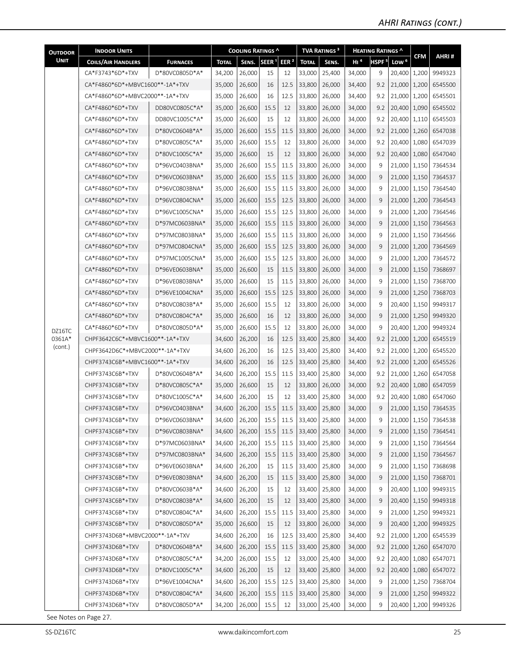| <b>OUTDOOR</b> | <b>INDOOR UNITS</b>             |                 |              | <b>COOLING RATINGS ^</b> |                   |                  |              | <b>TVA RATINGS<sup>3</sup></b> |                 | <b>HEATING RATINGS ^</b> |                  |            |                          |
|----------------|---------------------------------|-----------------|--------------|--------------------------|-------------------|------------------|--------------|--------------------------------|-----------------|--------------------------|------------------|------------|--------------------------|
| <b>UNIT</b>    | <b>COILS/AIR HANDLERS</b>       | <b>FURNACES</b> | <b>TOTAL</b> | SENS.                    | SEER <sup>1</sup> | EER <sup>2</sup> | <b>TOTAL</b> | SENS.                          | H1 <sup>4</sup> | HSPF <sup>5</sup>        | Low <sup>6</sup> | <b>CFM</b> | AHRI#                    |
|                | CA*F3743*6D*+TXV                | D*80VC0805D*A*  | 34,200       | 26,000                   | 15                | 12               | 33,000       | 25,400                         | 34,000          | 9                        | 20,400   1,200   |            | 9949323                  |
|                | CA*F4860*6D*+MBVC1600**-1A*+TXV |                 | 35,000       | 26,600                   | 16                | 12.5             | 33,800       | 26,000                         | 34,400          | 9.2                      | 21,000   1,200   |            | 6545500                  |
|                | CA*F4860*6D*+MBVC2000**-1A*+TXV |                 | 35,000       | 26,600                   | 16                | 12.5             | 33,800       | 26,000                         | 34,400          | 9.2                      | 21,000   1,200   |            | 6545501                  |
|                | CA*F4860*6D*+TXV                | DD80VC0805C*A*  | 35,000       | 26,600                   | 15.5              | 12               | 33,800       | 26,000                         | 34,000          | 9.2                      | 20,400   1,090   |            | 6545502                  |
|                | CA*F4860*6D*+TXV                | DD80VC1005C*A*  | 35,000       | 26,600                   | 15                | 12               | 33,800       | 26,000                         | 34,000          | 9.2                      | 20,400   1,110   |            | 6545503                  |
|                | CA*F4860*6D*+TXV                | D*80VC0604B*A*  | 35,000       | 26,600                   | 15.5              | 11.5             | 33,800       | 26,000                         | 34,000          | 9.2                      | 21,000   1,260   |            | 6547038                  |
|                | CA*F4860*6D*+TXV                | D*80VC0805C*A*  | 35,000       | 26,600                   | 15.5              | 12               | 33,800       | 26,000                         | 34,000          | 9.2                      | 20,400   1,080   |            | 6547039                  |
|                | CA*F4860*6D*+TXV                | D*80VC1005C*A*  | 35,000       | 26,600                   | 15                | 12               | 33,800       | 26,000                         | 34,000          | 9.2                      | 20,400   1,080   |            | 6547040                  |
|                | CA*F4860*6D*+TXV                | D*96VC0403BNA*  | 35,000       | 26,600                   | 15.5              | 11.5             | 33,800       | 26,000                         | 34,000          | 9                        | 21,000   1,150   |            | 7364534                  |
|                | CA*F4860*6D*+TXV                | D*96VC0603BNA*  | 35,000       | 26,600                   | 15.5              | 11.5             | 33,800       | 26,000                         | 34,000          | 9                        | 21,000   1,150   |            | 7364537                  |
|                | CA*F4860*6D*+TXV                | D*96VC0803BNA*  | 35,000       | 26,600                   | 15.5              | 11.5             | 33,800       | 26,000                         | 34,000          | 9                        | 21,000   1,150   |            | 7364540                  |
|                | CA*F4860*6D*+TXV                | D*96VC0804CNA*  | 35,000       | 26,600                   | 15.5              | 12.5             | 33,800       | 26,000                         | 34,000          | 9                        | 21,000   1,200   |            | 7364543                  |
|                | CA*F4860*6D*+TXV                | D*96VC1005CNA*  | 35,000       | 26,600                   | 15.5              | 12.5             | 33,800       | 26,000                         | 34,000          | 9                        | 21,000   1,200   |            | 7364546                  |
|                | CA*F4860*6D*+TXV                | D*97MC0603BNA*  | 35,000       | 26,600                   | 15.5              | 11.5             | 33,800       | 26,000                         | 34,000          | 9                        | 21,000 1,150     |            | 7364563                  |
|                | CA*F4860*6D*+TXV                | D*97MC0803BNA*  | 35,000       | 26,600                   | 15.5              | 11.5             | 33,800       | 26,000                         | 34,000          | 9                        | 21,000 1,150     |            | 7364566                  |
|                | CA*F4860*6D*+TXV                | D*97MC0804CNA*  | 35,000       | 26,600                   | 15.5              | 12.5             | 33,800       | 26,000                         | 34,000          | 9                        | 21,000   1,200   |            | 7364569                  |
|                | CA*F4860*6D*+TXV                | D*97MC1005CNA*  | 35,000       | 26,600                   | 15.5              | 12.5             | 33,800       | 26,000                         | 34,000          | 9                        | 21,000   1,200   |            | 7364572                  |
|                | CA*F4860*6D*+TXV                | D*96VE0603BNA*  | 35,000       | 26,600                   | 15                | 11.5             | 33,800       | 26,000                         | 34,000          | 9                        | 21,000   1,150   |            | 7368697                  |
|                | CA*F4860*6D*+TXV                | D*96VE0803BNA*  | 35,000       | 26,600                   | 15                | 11.5             | 33,800       | 26,000                         | 34,000          | 9                        | 21,000   1,150   |            | 7368700                  |
|                | CA*F4860*6D*+TXV                | D*96VE1004CNA*  | 35,000       | 26,600                   | 15.5              | 12.5             | 33,800       | 26,000                         | 34,000          | 9                        | 21,000 1,250     |            | 7368703                  |
|                | CA*F4860*6D*+TXV                | D*80VC0803B*A*  | 35,000       | 26,600                   | 15.5              | 12               | 33,800       | 26,000                         | 34,000          | 9                        | 20,400   1,150   |            | 9949317                  |
|                | CA*F4860*6D*+TXV                | D*80VC0804C*A*  | 35,000       | 26,600                   | 16                | 12               | 33,800       | 26,000                         | 34,000          | 9                        | 21,000   1,250   |            | 9949320                  |
| DZ16TC         | CA*F4860*6D*+TXV                | D*80VC0805D*A*  | 35,000       | 26,600                   | 15.5              | 12               | 33,800       | 26,000                         | 34,000          | 9                        | 20,400   1,200   |            | 9949324                  |
| 0361A*         | CHPF3642C6C*+MBVC1600**-1A*+TXV |                 | 34,600       | 26,200                   | 16                | 12.5             | 33,400       | 25,800                         | 34,400          | 9.2                      | 21,000   1,200   |            | 6545519                  |
| (cont.)        | CHPF3642D6C*+MBVC2000**-1A*+TXV |                 | 34,600       | 26,200                   | 16                | 12.5             | 33,400       | 25,800                         | 34,400          | 9.2                      | 21,000   1,200   |            | 6545520                  |
|                | CHPF3743C6B*+MBVC1600**-1A*+TXV |                 | 34,600       | 26,200                   | 16                | 12.5             | 33,400       | 25,800                         | 34,400          | 9.2                      | 21,000   1,200   |            | 6545526                  |
|                | CHPF3743C6B*+TXV                | D*80VC0604B*A*  | 34,600       | 26,200                   | 15.5              | 11.5             | 33,400       | 25,800                         | 34,000          | 9.2                      | 21,000   1,260   |            | 6547058                  |
|                | CHPF3743C6B*+TXV                | D*80VC0805C*A*  | 35,000       | 26,600                   | 15                | 12               | 33,800       | 26,000                         | 34,000          | 9.2                      | 20,400   1,080   |            | 6547059                  |
|                | CHPF3743C6B*+TXV                | D*80VC1005C*A*  | 34,600       | 26,200                   | 15                | 12               | 33,400       | 25,800                         | 34,000          | 9.2                      | 20,400   1,080   |            | 6547060                  |
|                | CHPF3743C6B*+TXV                | D*96VC0403BNA*  | 34,600       | 26,200                   | 15.5              | 11.5             | 33,400       | 25,800                         | 34,000          | 9                        | 21,000   1,150   |            | 7364535                  |
|                | CHPF3743C6B*+TXV                | D*96VC0603BNA*  | 34,600       | 26,200                   | 15.5              | 11.5             | 33,400       | 25,800                         | 34,000          | 9                        |                  |            | 21,000   1,150   7364538 |
|                | CHPF3743C6B*+TXV                | D*96VC0803BNA*  | 34,600       | 26,200                   | 15.5              | 11.5             | 33,400       | 25,800                         | 34,000          | 9                        | 21,000   1,150   |            | 7364541                  |
|                | CHPF3743C6B*+TXV                | D*97MC0603BNA*  | 34,600       | 26,200                   | 15.5              | 11.5             | 33,400       | 25,800                         | 34,000          | 9                        | $21,000$   1,150 |            | 7364564                  |
|                | CHPF3743C6B*+TXV                | D*97MC0803BNA*  | 34,600       | 26,200                   | 15.5              | 11.5             | 33,400       | 25,800                         | 34,000          | 9                        | 21,000   1,150   |            | 7364567                  |
|                | CHPF3743C6B*+TXV                | D*96VE0603BNA*  | 34,600       | 26,200                   | 15                | 11.5             | 33,400       | 25,800                         | 34,000          | 9                        | 21,000 1,150     |            | 7368698                  |
|                | CHPF3743C6B*+TXV                | D*96VE0803BNA*  | 34,600       | 26,200                   | 15                | 11.5             | 33,400       | 25,800                         | 34,000          | 9                        | $21,000$   1,150 |            | 7368701                  |
|                | CHPF3743C6B*+TXV                | D*80VC0603B*A*  | 34,600       | 26,200                   | 15                | 12               | 33,400       | 25,800                         | 34,000          | 9                        | 20,400 1,100     |            | 9949315                  |
|                | CHPF3743C6B*+TXV                | D*80VC0803B*A*  | 34,600       | 26,200                   | 15                | 12               | 33,400       | 25,800                         | 34,000          | 9                        | 20,400   1,150   |            | 9949318                  |
|                | CHPF3743C6B*+TXV                | D*80VC0804C*A*  | 34,600       | 26,200                   | 15.5              | 11.5             | 33,400       | 25,800                         | 34,000          | 9                        | 21,000   1,250   |            | 9949321                  |
|                | CHPF3743C6B*+TXV                | D*80VC0805D*A*  | 35,000       | 26,600                   | 15                | 12               | 33,800       | 26,000                         | 34,000          | 9                        | 20,400   1,200   |            | 9949325                  |
|                | CHPF3743D6B*+MBVC2000**-1A*+TXV |                 | 34,600       | 26,200                   | 16                | 12.5             | 33,400       | 25,800                         | 34,400          | 9.2                      | 21,000   1,200   |            | 6545539                  |
|                | CHPF3743D6B*+TXV                | D*80VC0604B*A*  | 34,600       | 26,200                   | 15.5              | 11.5             | 33,400       | 25,800                         | 34,000          | 9.2                      | 21,000   1,260   |            | 6547070                  |
|                | CHPF3743D6B*+TXV                | D*80VC0805C*A*  | 34,200       | 26,000                   | 15.5              | 12               | 33,000       | 25,400                         | 34,000          | 9.2                      | 20,400 1,080     |            | 6547071                  |
|                | CHPF3743D6B*+TXV                | D*80VC1005C*A*  | 34,600       | 26,200                   | 15                | 12               | 33,400       | 25,800                         | 34,000          | 9.2                      | 20,400 1,080     |            | 6547072                  |
|                | CHPF3743D6B*+TXV                | D*96VE1004CNA*  | 34,600       | 26,200                   | 15.5              | 12.5             | 33,400       | 25,800                         | 34,000          | 9                        | 21,000 1,250     |            | 7368704                  |
|                | CHPF3743D6B*+TXV                | D*80VC0804C*A*  | 34,600       | 26,200                   | 15.5              | 11.5             | 33,400       | 25,800                         | 34,000          | 9                        | 21,000 1,250     |            | 9949322                  |
|                | CHPF3743D6B*+TXV                | D*80VC0805D*A*  | 34,200       | 26,000                   | 15.5              | 12               | 33,000       | 25,400                         | 34,000          | 9                        | 20,400   1,200   |            | 9949326                  |

See Notes on Page 27.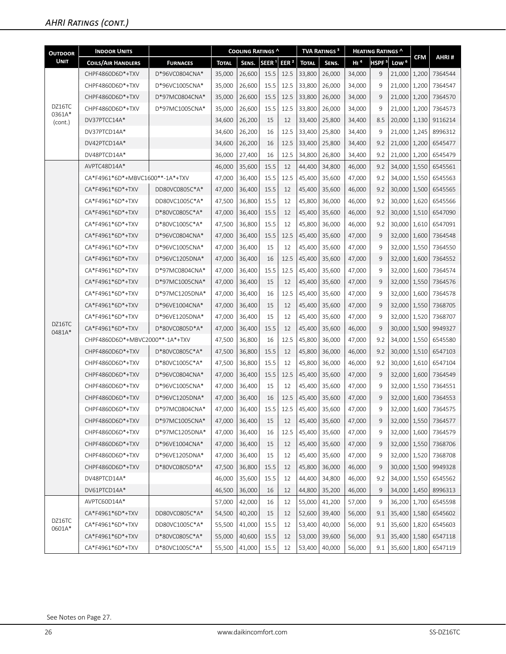| <b>OUTDOOR</b>    | <b>INDOOR UNITS</b>             |                 |              | <b>COOLING RATINGS ^</b> |                   |                  |              | <b>TVA RATINGS<sup>3</sup></b> |                 | <b>HEATING RATINGS ^</b> |                  |            |         |
|-------------------|---------------------------------|-----------------|--------------|--------------------------|-------------------|------------------|--------------|--------------------------------|-----------------|--------------------------|------------------|------------|---------|
| <b>UNIT</b>       | <b>COILS/AIR HANDLERS</b>       | <b>FURNACES</b> | <b>TOTAL</b> | SENS.                    | SEER <sup>1</sup> | EER <sup>2</sup> | <b>TOTAL</b> | SENS.                          | H1 <sup>4</sup> | HSPF <sup>5</sup>        | Low <sup>6</sup> | <b>CFM</b> | AHRI#   |
|                   | CHPF4860D6D*+TXV                | D*96VC0804CNA*  | 35,000       | 26,600                   | 15.5              | 12.5             | 33,800       | 26,000                         | 34,000          | 9                        | 21,000           | 1,200      | 7364544 |
|                   | CHPF4860D6D*+TXV                | D*96VC1005CNA*  | 35,000       | 26,600                   | 15.5              | 12.5             | 33,800       | 26,000                         | 34,000          | 9                        | 21,000   1,200   |            | 7364547 |
|                   | CHPF4860D6D*+TXV                | D*97MC0804CNA*  | 35,000       | 26,600                   | 15.5              | 12.5             | 33,800       | 26,000                         | 34,000          | 9                        | 21,000   1,200   |            | 7364570 |
| DZ16TC            | CHPF4860D6D*+TXV                | D*97MC1005CNA*  | 35,000       | 26,600                   | 15.5              | 12.5             | 33,800       | 26,000                         | 34,000          | 9                        | 21,000   1,200   |            | 7364573 |
| 0361A*<br>(cont.) | DV37PTCC14A*                    |                 | 34,600       | 26,200                   | 15                | 12               | 33,400       | 25,800                         | 34,400          | 8.5                      | 20,000   1,130   |            | 9116214 |
|                   | DV37PTCD14A*                    |                 | 34,600       | 26,200                   | 16                | 12.5             | 33,400       | 25,800                         | 34,400          | 9                        | 21,000   1,245   |            | 8996312 |
|                   | DV42PTCD14A*                    |                 | 34,600       | 26,200                   | 16                | 12.5             | 33,400       | 25,800                         | 34,400          | 9.2                      | 21,000   1,200   |            | 6545477 |
|                   | DV48PTCD14A*                    |                 | 36,000       | 27,400                   | 16                | 12.5             | 34,800       | 26,800                         | 34,400          | 9.2                      | 21,000   1,200   |            | 6545479 |
|                   | AVPTC48D14A*                    |                 | 46,000       | 35,600                   | 15.5              | 12               | 44,400       | 34,800                         | 46,000          | 9.2                      | 34,000   1,550   |            | 6545561 |
|                   | CA*F4961*6D*+MBVC1600**-1A*+TXV |                 | 47,000       | 36,400                   | 15.5              | 12.5             | 45,400       | 35,600                         | 47,000          | 9.2                      | 34,000   1,550   |            | 6545563 |
|                   | CA*F4961*6D*+TXV                | DD80VC0805C*A*  | 47,000       | 36,400                   | 15.5              | 12               | 45,400       | 35,600                         | 46,000          | 9.2                      | 30,000   1,500   |            | 6545565 |
|                   | CA*F4961*6D*+TXV                | DD80VC1005C*A*  | 47,500       | 36,800                   | 15.5              | 12               | 45,800       | 36,000                         | 46,000          | 9.2                      | 30,000   1,620   |            | 6545566 |
|                   | CA*F4961*6D*+TXV                | D*80VC0805C*A*  | 47,000       | 36,400                   | 15.5              | 12               | 45,400       | 35,600                         | 46.000          | 9.2                      | 30,000   1,510   |            | 6547090 |
|                   | CA*F4961*6D*+TXV                | D*80VC1005C*A*  | 47,500       | 36.800                   | 15.5              | 12               | 45,800       | 36,000                         | 46,000          | 9.2                      | 30,000   1,610   |            | 6547091 |
|                   | CA*F4961*6D*+TXV                | D*96VC0804CNA*  | 47,000       | 36,400                   | 15.5              | 12.5             | 45,400       | 35,600                         | 47,000          | 9                        | 32,000   1,600   |            | 7364548 |
|                   | CA*F4961*6D*+TXV                | D*96VC1005CNA*  | 47,000       | 36,400                   | 15                | 12               | 45,400       | 35.600                         | 47,000          | 9                        | 32,000 1,550     |            | 7364550 |
|                   | CA*F4961*6D*+TXV                | D*96VC1205DNA*  | 47,000       | 36,400                   | 16                | 12.5             | 45,400       | 35,600                         | 47,000          | 9                        | 32,000   1,600   |            | 7364552 |
|                   | CA*F4961*6D*+TXV                | D*97MC0804CNA*  | 47,000       | 36,400                   | 15.5              | 12.5             | 45,400       | 35,600                         | 47,000          | 9                        | 32,000   1,600   |            | 7364574 |
|                   | CA*F4961*6D*+TXV                | D*97MC1005CNA*  | 47,000       | 36,400                   | 15                | 12               | 45,400       | 35,600                         | 47,000          | 9                        | 32,000 1,550     |            | 7364576 |
|                   | CA*F4961*6D*+TXV                | D*97MC1205DNA*  | 47,000       | 36,400                   | 16                | 12.5             | 45,400       | 35,600                         | 47,000          | 9                        | 32,000   1,600   |            | 7364578 |
|                   | CA*F4961*6D*+TXV                | D*96VE1004CNA*  | 47,000       | 36,400                   | 15                | 12               | 45,400       | 35,600                         | 47,000          | 9                        | 32,000 1,550     |            | 7368705 |
|                   | CA*F4961*6D*+TXV                | D*96VE1205DNA*  | 47,000       | 36,400                   | 15                | 12               | 45,400       | 35,600                         | 47,000          | 9                        | 32,000   1,520   |            | 7368707 |
| DZ16TC<br>0481A*  | CA*F4961*6D*+TXV                | D*80VC0805D*A*  | 47,000       | 36,400                   | 15.5              | 12               | 45,400       | 35,600                         | 46,000          | 9                        | 30,000   1,500   |            | 9949327 |
|                   | CHPF4860D6D*+MBVC2000**-1A*+TXV |                 | 47,500       | 36,800                   | 16                | 12.5             | 45,800       | 36,000                         | 47,000          | 9.2                      | 34,000   1,550   |            | 6545580 |
|                   | CHPF4860D6D*+TXV                | D*80VC0805C*A*  | 47,500       | 36,800                   | 15.5              | 12               | 45,800       | 36,000                         | 46,000          | 9.2                      | 30,000   1,510   |            | 6547103 |
|                   | CHPF4860D6D*+TXV                | D*80VC1005C*A*  | 47,500       | 36.800                   | 15.5              | 12               | 45,800       | 36,000                         | 46,000          | 9.2                      | 30,000   1,610   |            | 6547104 |
|                   | CHPF4860D6D*+TXV                | D*96VC0804CNA*  | 47,000       | 36,400                   | 15.5              | 12.5             | 45,400       | 35,600                         | 47,000          | 9                        | 32,000   1,600   |            | 7364549 |
|                   | CHPF4860D6D*+TXV                | D*96VC1005CNA*  | 47.000       | 36,400                   | 15                | 12               | 45,400       | 35,600                         | 47,000          | 9                        | 32,000   1,550   |            | 7364551 |
|                   | CHPF4860D6D*+TXV                | D*96VC1205DNA*  | 47,000       | 36,400                   | 16                | 12.5             | 45,400       | 35,600                         | 47,000          | 9                        | 32,000   1,600   |            | 7364553 |
|                   | CHPF4860D6D*+TXV                | D*97MC0804CNA*  | 47,000       | 36,400                   | 15.5              | 12.5             | 45,400       | 35,600                         | 47,000          | 9                        | 32,000   1,600   |            | 7364575 |
|                   | CHPF4860D6D*+TXV                | D*97MC1005CNA*  | 47,000       | 36,400                   | 15                | 12               | 45,400       | 35,600                         | 47,000          | 9                        | 32,000   1,550   |            | 7364577 |
|                   | CHPF4860D6D*+TXV                | D*97MC1205DNA*  | 47,000       | 36,400                   | 16                | 12.5             | 45,400       | 35,600                         | 47,000          | 9                        | 32,000 1,600     |            | 7364579 |
|                   | CHPF4860D6D*+TXV                | D*96VE1004CNA*  | 47,000       | 36,400                   | 15                | 12               | 45,400       | 35,600                         | 47,000          | 9                        | 32,000   1,550   |            | 7368706 |
|                   | CHPF4860D6D*+TXV                | D*96VE1205DNA*  | 47,000       | 36,400                   | 15                | 12               | 45,400       | 35,600                         | 47,000          | 9                        | 32,000   1,520   |            | 7368708 |
|                   | CHPF4860D6D*+TXV                | D*80VC0805D*A*  | 47,500       | 36,800                   | 15.5              | 12               | 45,800       | 36,000                         | 46,000          | 9                        | 30,000 1,500     |            | 9949328 |
|                   | DV48PTCD14A*                    |                 | 46,000       | 35,600                   | 15.5              | 12               | 44,400       | 34,800                         | 46,000          | 9.2                      | 34,000 1,550     |            | 6545562 |
|                   | DV61PTCD14A*                    |                 | 46,500       | 36,000                   | 16                | 12               | 44,800       | 35,200                         | 46,000          | 9                        | 34,000   1,450   |            | 8996313 |
|                   | AVPTC60D14A*                    |                 | 57,000       | 42,000                   | 16                | 12               | 55,000       | 41,200                         | 57,000          | 9                        | 36,200   1,700   |            | 6545598 |
|                   | CA*F4961*6D*+TXV                | DD80VC0805C*A*  | 54,500       | 40,200                   | 15                | 12               | 52,600       | 39,400                         | 56,000          | 9.1                      | 35,400   1,580   |            | 6545602 |
| DZ16TC<br>0601A*  | CA*F4961*6D*+TXV                | DD80VC1005C*A*  | 55,500       | 41,000                   | 15.5              | 12               | 53,400       | 40,000                         | 56,000          | 9.1                      | 35,600   1,820   |            | 6545603 |
|                   | CA*F4961*6D*+TXV                | D*80VC0805C*A*  | 55,000       | 40,600                   | 15.5              | 12               | 53,000       | 39,600                         | 56,000          | 9.1                      | 35,400   1,580   |            | 6547118 |
|                   | CA*F4961*6D*+TXV                | D*80VC1005C*A*  | 55,500       | 41,000                   | 15.5              | 12               | 53,400       | 40,000                         | 56,000          | 9.1                      | 35,600   1,800   |            | 6547119 |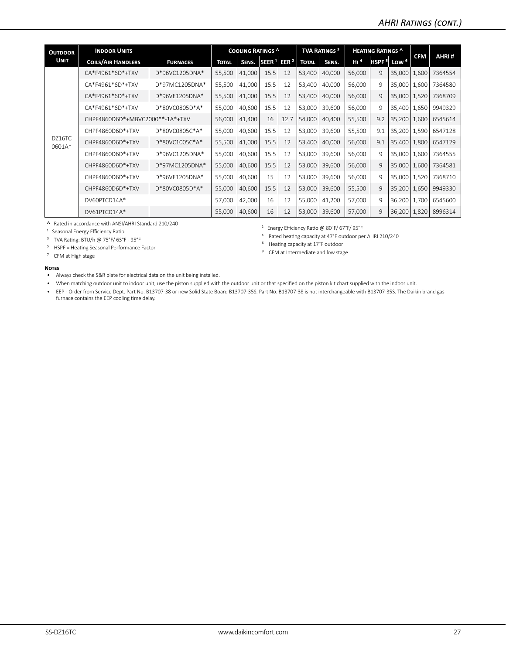| <b>INDOOR UNITS</b>       |                 |                                                                                                                                                                                                                                                                                                                                                                                                                                                                                                                          |        |                   |                  |                          |        |                                |     |                  |                                               |                                                                                                                                                      |
|---------------------------|-----------------|--------------------------------------------------------------------------------------------------------------------------------------------------------------------------------------------------------------------------------------------------------------------------------------------------------------------------------------------------------------------------------------------------------------------------------------------------------------------------------------------------------------------------|--------|-------------------|------------------|--------------------------|--------|--------------------------------|-----|------------------|-----------------------------------------------|------------------------------------------------------------------------------------------------------------------------------------------------------|
| <b>COILS/AIR HANDLERS</b> | <b>FURNACES</b> | <b>TOTAL</b>                                                                                                                                                                                                                                                                                                                                                                                                                                                                                                             | SENS.  | SEER <sup>1</sup> | EER <sup>2</sup> | <b>TOTAL</b>             | SENS.  | H1 <sup>4</sup>                |     | Low <sup>6</sup> |                                               | AHRI#                                                                                                                                                |
| CA*F4961*6D*+TXV          | D*96VC1205DNA*  | 55,500                                                                                                                                                                                                                                                                                                                                                                                                                                                                                                                   | 41,000 | 15.5              | 12               | 53,400                   | 40,000 | 56,000                         | 9   |                  | 1,600                                         | 7364554                                                                                                                                              |
| CA*F4961*6D*+TXV          | D*97MC1205DNA*  | 55,500                                                                                                                                                                                                                                                                                                                                                                                                                                                                                                                   | 41,000 | 15.5              | 12               | 53,400                   | 40,000 | 56,000                         | 9   |                  | 1,600                                         | 7364580                                                                                                                                              |
| CA*F4961*6D*+TXV          | D*96VE1205DNA*  | 55,500                                                                                                                                                                                                                                                                                                                                                                                                                                                                                                                   | 41,000 | 15.5              | 12               | 53,400                   | 40.000 | 56.000                         | 9   |                  | 1.520                                         | 7368709                                                                                                                                              |
| CA*F4961*6D*+TXV          | D*80VC0805D*A*  | 55,000                                                                                                                                                                                                                                                                                                                                                                                                                                                                                                                   | 40,600 | 15.5              | 12               | 53,000                   | 39,600 | 56,000                         | 9   |                  | 1,650                                         | 9949329                                                                                                                                              |
|                           |                 | 56,000                                                                                                                                                                                                                                                                                                                                                                                                                                                                                                                   | 41,400 | 16                | 12.7             | 54,000                   | 40,400 | 55,500                         | 9.2 |                  | 1,600                                         | 6545614                                                                                                                                              |
| CHPF4860D6D*+TXV          | D*80VC0805C*A*  | 55,000                                                                                                                                                                                                                                                                                                                                                                                                                                                                                                                   | 40,600 | 15.5              | 12               | 53,000                   | 39,600 | 55,500                         | 9.1 |                  |                                               | 6547128                                                                                                                                              |
| CHPF4860D6D*+TXV          | D*80VC1005C*A*  | 55,500                                                                                                                                                                                                                                                                                                                                                                                                                                                                                                                   | 41,000 | 15.5              | 12               | 53,400                   | 40,000 | 56.000                         | 9.1 |                  | 1,800                                         | 6547129                                                                                                                                              |
| CHPF4860D6D*+TXV          | D*96VC1205DNA*  | 55,000                                                                                                                                                                                                                                                                                                                                                                                                                                                                                                                   | 40.600 | 15.5              | 12               | 53,000                   | 39.600 | 56.000                         | 9   |                  | 1.600                                         | 7364555                                                                                                                                              |
| CHPF4860D6D*+TXV          | D*97MC1205DNA*  | 55,000                                                                                                                                                                                                                                                                                                                                                                                                                                                                                                                   | 40,600 | 15.5              | 12               | 53,000                   | 39,600 | 56,000                         | 9   |                  | 1,600                                         | 7364581                                                                                                                                              |
| CHPF4860D6D*+TXV          | D*96VE1205DNA*  | 55,000                                                                                                                                                                                                                                                                                                                                                                                                                                                                                                                   | 40,600 | 15                | 12               | 53,000                   | 39,600 | 56,000                         | 9   |                  | 1,520                                         | 7368710                                                                                                                                              |
| CHPF4860D6D*+TXV          | D*80VC0805D*A*  | 55,000                                                                                                                                                                                                                                                                                                                                                                                                                                                                                                                   | 40,600 | 15.5              | 12               | 53,000                   | 39,600 | 55,500                         | 9   |                  | 1,650                                         | 9949330                                                                                                                                              |
| DV60PTCD14A*              |                 | 57,000                                                                                                                                                                                                                                                                                                                                                                                                                                                                                                                   | 42,000 | 16                | 12               | 55,000                   | 41,200 | 57,000                         | 9   |                  | 1.700                                         | 6545600                                                                                                                                              |
| DV61PTCD14A*              |                 | 55,000                                                                                                                                                                                                                                                                                                                                                                                                                                                                                                                   | 40,600 | 16                | 12               | 53,000                   | 39,600 | 57,000                         | 9   |                  | 1,820                                         | 8996314                                                                                                                                              |
|                           |                 | CHPF4860D6D*+MBVC2000**-1A*+TXV<br>$\mathbf{A} \quad \mathbf{B} \quad \mathbf{B} \quad \mathbf{C} \quad \mathbf{A} \quad \mathbf{A} \quad \mathbf{A} \quad \mathbf{A} \quad \mathbf{A} \quad \mathbf{A} \quad \mathbf{A} \quad \mathbf{A} \quad \mathbf{A} \quad \mathbf{A} \quad \mathbf{A} \quad \mathbf{A} \quad \mathbf{A} \quad \mathbf{A} \quad \mathbf{A} \quad \mathbf{A} \quad \mathbf{A} \quad \mathbf{A} \quad \mathbf{A} \quad \mathbf{A} \quad \mathbf{A} \quad \mathbf{A} \quad \mathbf{A} \quad \mathbf{$ |        |                   |                  | <b>COOLING RATINGS ^</b> |        | <b>TVA RATINGS<sup>3</sup></b> |     |                  | <b>HEATING RATINGS ^</b><br>HSPF <sup>5</sup> | <b>CFM</b><br>35,000<br>35,000<br>35,000<br>35,400<br>35,200<br>35,200   1,590<br>35.400<br>35.000<br>35,000<br>35,000<br>35,200<br>36,200<br>36,200 |

**˄** Rated in accordance with ANSI/AHRI Standard 210/240

<sup>1</sup> Seasonal Energy Efficiency Ratio

³ TVA Rating: BTU/h @ 75°F/ 63°F - 95°F

⁵ HSPF = Heating Seasonal Performance Factor

⁷ CFM at High stage

² Energy Efficiency Ratio @ 80°F/ 67°F/ 95°F

⁴ Rated heating capacity at 47°F outdoor per AHRI 210/240

⁶ Heating capacity at 17°F outdoor

⁸ CFM at Intermediate and low stage

#### **Notes**

• Always check the S&R plate for electrical data on the unit being installed.

• When matching outdoor unit to indoor unit, use the piston supplied with the outdoor unit or that specified on the piston kit chart supplied with the indoor unit.

• EEP - Order from Service Dept. Part No. B13707-38 or new Solid State Board B13707-35S. Part No. B13707-38 is not interchangeable with B13707-35S. The Daikin brand gas furnace contains the EEP cooling time delay.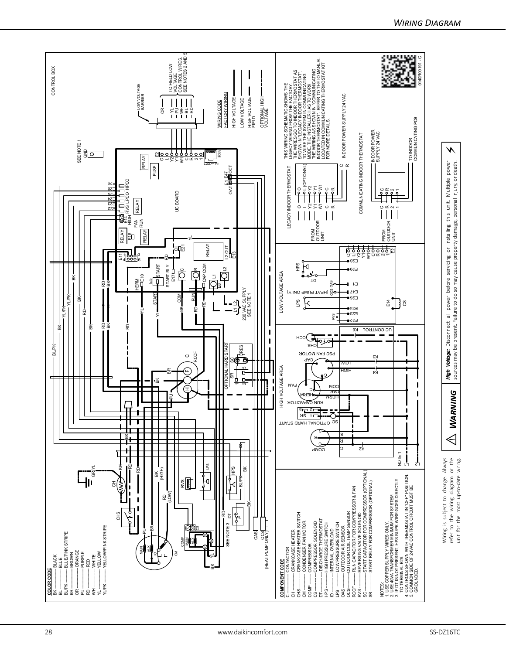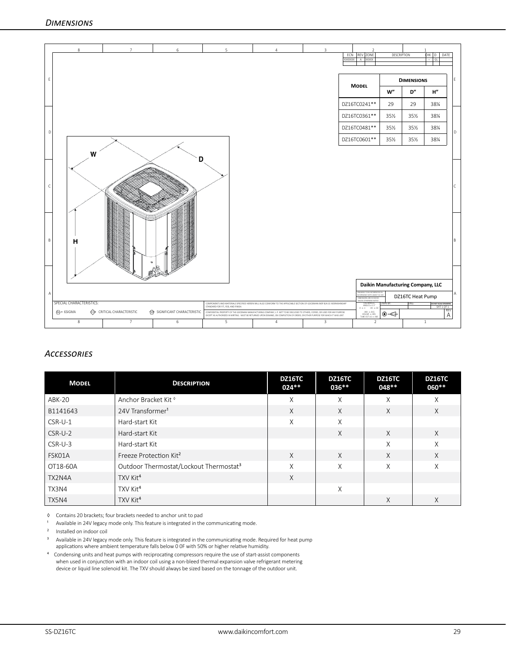

# *Accessories*

| <b>MODEL</b>  | <b>DESCRIPTION</b>                                 | <b>DZ16TC</b><br>024** | <b>DZ16TC</b><br>$036***$ | <b>DZ16TC</b><br>048** | <b>DZ16TC</b><br>060** |
|---------------|----------------------------------------------------|------------------------|---------------------------|------------------------|------------------------|
| <b>ABK-20</b> | Anchor Bracket Kit <sup>®</sup>                    | X                      | X                         | X                      | X                      |
| B1141643      | 24V Transformer <sup>1</sup>                       | $\times$               | X                         | X                      | $\times$               |
| CSR-U-1       | Hard-start Kit                                     | X                      | X                         |                        |                        |
| $CSR-U-2$     | Hard-start Kit                                     |                        | X                         | X                      | $\times$               |
| CSR-U-3       | Hard-start Kit                                     |                        |                           | X                      | X                      |
| FSK01A        | Freeze Protection Kit <sup>2</sup>                 | X                      | X                         | X                      | X                      |
| OT18-60A      | Outdoor Thermostat/Lockout Thermostat <sup>3</sup> | X                      | X                         | X                      | X                      |
| TX2N4A        | TXV Kit <sup>4</sup>                               | X                      |                           |                        |                        |
| TX3N4         | TXV Kit <sup>4</sup>                               |                        | X                         |                        |                        |
| TX5N4         | TXV Kit <sup>4</sup>                               |                        |                           | X                      | X                      |

◊ Contains 20 brackets; four brackets needed to anchor unit to pad

Available in 24V legacy mode only. This feature is integrated in the communicating mode.

² Installed on indoor coil

<sup>3</sup> Available in 24V legacy mode only. This feature is integrated in the communicating mode. Required for heat pump

applications where ambient temperature falls below 0 0F with 50% or higher relative humidity.

⁴ Condensing units and heat pumps with reciprocating compressors require the use of start-assist components when used in conjunction with an indoor coil using a non-bleed thermal expansion valve refrigerant metering device or liquid line solenoid kit. The TXV should always be sized based on the tonnage of the outdoor unit.